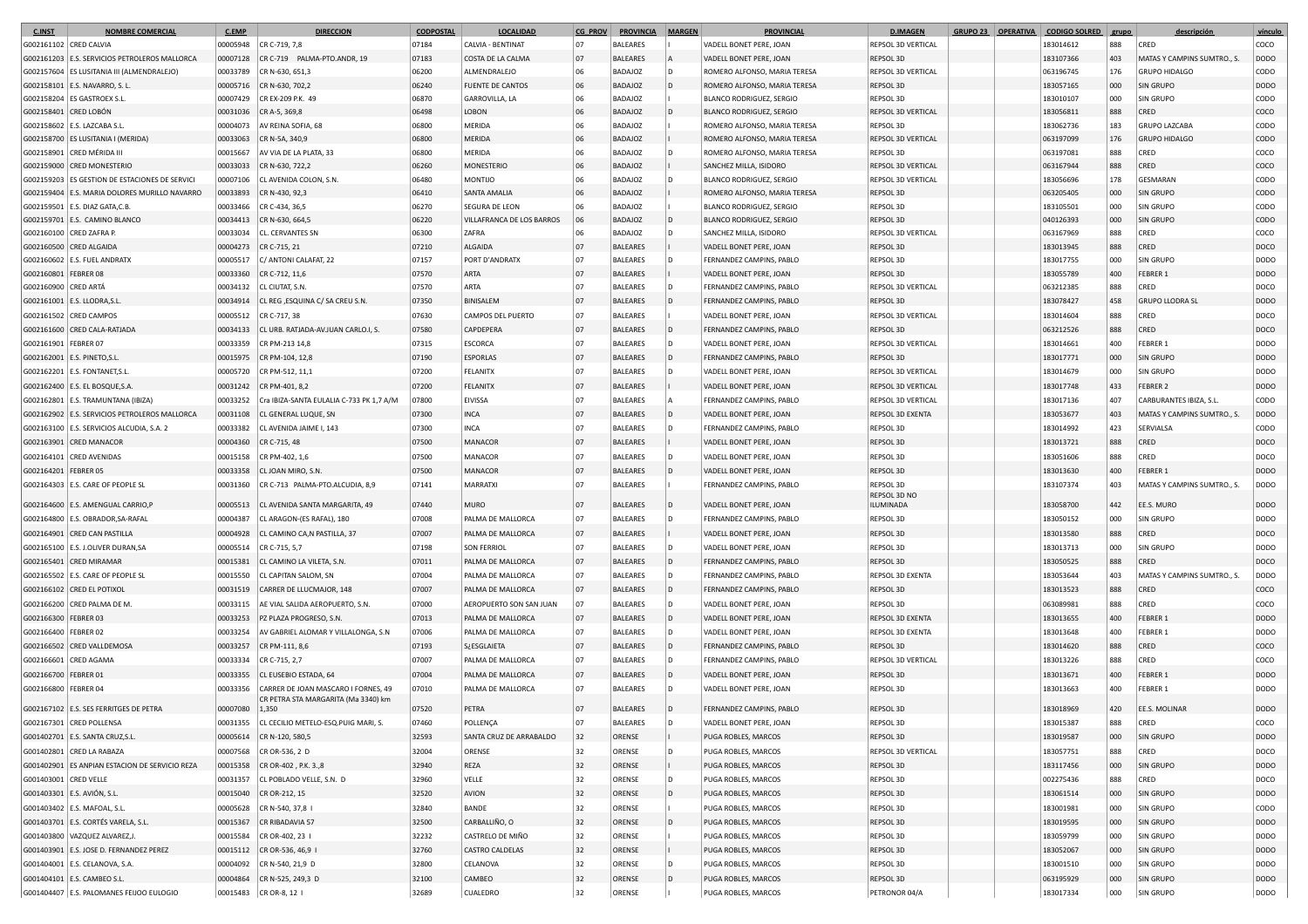| <b>C.INST</b>          | NOMBRE COMERCIAL                               | <b>C.EMP</b> | <b>DIRECCION</b>                             | <b>CODPOSTAL</b> | <b>LOCALIDAD</b>          | <b>CG PROV</b> | <b>PROVINCIA</b> | <b>MARGEN</b> | <b>PROVINCIAL</b>               | <b>D.IMAGEN</b>           | GRUPO 23 OPERATIVA | <b>CODIGO SOLRED</b> | grupo | descripción                 | vínculo     |
|------------------------|------------------------------------------------|--------------|----------------------------------------------|------------------|---------------------------|----------------|------------------|---------------|---------------------------------|---------------------------|--------------------|----------------------|-------|-----------------------------|-------------|
| G002161102 CRED CALVIA |                                                | 00005948     | CR C-719, 7,8                                | 07184            | CALVIA - BENTINAT         | 07             | <b>BALEARES</b>  |               | VADELL BONET PERE, JOAN         | REPSOL 3D VERTICAL        |                    | 183014612            | 888   | CRED                        | COCO        |
|                        | G002161203 E.S. SERVICIOS PETROLEROS MALLORCA  | 00007128     | CR C-719 PALMA-PTO.ANDR, 19                  | 07183            | COSTA DE LA CALMA         | 07             | <b>BALEARES</b>  |               | VADELL BONET PERE, JOAN         | REPSOL 3D                 |                    | 183107366            | 403   | MATAS Y CAMPINS SUMTRO., S. | <b>DODO</b> |
|                        | G002157604 ES LUSITANIA III (ALMENDRALEJO)     | 00033789     | CR N-630, 651,3                              | 06200            | ALMENDRALEJO              | 06             | <b>BADAJOZ</b>   | D             | ROMERO ALFONSO, MARIA TERESA    | REPSOL 3D VERTICAL        |                    | 063196745            | 176   | <b>GRUPO HIDALGO</b>        | CODO        |
|                        | G002158101 E.S. NAVARRO, S. L                  | 00005716     | CR N-630, 702,2                              | 06240            | <b>FUENTE DE CANTOS</b>   | 06             | BADAJOZ          | D             | ROMERO ALFONSO, MARIA TERESA    | REPSOL 3D                 |                    | 183057165            | 000   | SIN GRUPO                   | DODO        |
|                        | G002158204 ES GASTROEX S.L                     | 00007429     | CR EX-209 P.K. 49                            | 06870            | GARROVILLA, LA            | 06             | <b>BADAJOZ</b>   |               | <b>BLANCO RODRIGUEZ, SERGIO</b> | REPSOL 3D                 |                    | 183010107            | 000   | <b>SIN GRUPO</b>            | CODO        |
| G002158401 CRED LOBÓN  |                                                | 00031036     | CR A-5, 369,8                                | 06498            | LOBON                     | 06             | <b>BADAJOZ</b>   |               | <b>BLANCO RODRIGUEZ, SERGIO</b> | <b>REPSOL 3D VERTICAL</b> |                    | 183056811            | 888   | CRED                        | COCO        |
|                        | G002158602   E.S. LAZCABA S.L                  | 00004073     | AV REINA SOFIA, 68                           | 06800            | MERIDA                    | 06             | BADAJOZ          |               | ROMERO ALFONSO, MARIA TERESA    | REPSOL 3D                 |                    | 183062736            | 183   | <b>GRUPO LAZCABA</b>        | CODO        |
|                        | G002158700 ES LUSITANIA I (MERIDA)             | 00033063     | CR N-5A, 340,9                               | 06800            | MERIDA                    | 06             | BADAJOZ          |               | ROMERO ALFONSO, MARIA TERESA    | REPSOL 3D VERTICAL        |                    | 063197099            | 176   | <b>GRUPO HIDALGO</b>        | CODO        |
|                        | G002158901 CRED MÉRIDA II                      | 00015667     | AV VIA DE LA PLATA, 33                       | 06800            | MERIDA                    | 06             | <b>BADAJOZ</b>   | D             | ROMERO ALFONSO, MARIA TERESA    | REPSOL 3D                 |                    | 063197081            | 888   | CRED                        | coco        |
|                        | G002159000 CRED MONESTERIC                     | 00033033     | CR N-630, 722,2                              | 06260            | MONESTERIO                | 06             | <b>BADAJOZ</b>   |               | SANCHEZ MILLA, ISIDORO          | REPSOL 3D VERTICAL        |                    | 063167944            | 888   | CRED                        | COCO        |
|                        | G002159203 ES GESTION DE ESTACIONES DE SERVICI | 00007106     | CL AVENIDA COLON, S.N.                       | 06480            | <b>OLITION</b>            | 06             | BADAJOZ          | D             | <b>BLANCO RODRIGUEZ, SERGIO</b> | REPSOL 3D VERTICAL        |                    | 183056696            | 178   | GESMARAN                    | CODO        |
|                        | G002159404 E.S. MARIA DOLORES MURILLO NAVARRO  | 00033893     | CR N-430, 92,3                               | 06410            | <b>SANTA AMALIA</b>       | 06             | BADAJOZ          |               | ROMERO ALFONSO, MARIA TERESA    | REPSOL 3D                 |                    | 063205405            | 000   | SIN GRUPO                   | CODO        |
|                        | G002159501 E.S. DIAZ GATA, C.B                 | 00033466     | CR C-434, 36,5                               | 06270            | SEGURA DE LEON            | 06             | <b>BADAJOZ</b>   |               | <b>BLANCO RODRIGUEZ, SERGIO</b> | REPSOL 3D                 |                    | 183105501            | 000   | <b>SIN GRUPO</b>            | CODO        |
|                        | G002159701 E.S. CAMINO BLANCO                  | 00034413     | CR N-630, 664,5                              | 06220            | VILLAFRANCA DE LOS BARROS | 06             | BADAJOZ          |               | <b>BLANCO RODRIGUEZ, SERGIO</b> | REPSOL 3D                 |                    | 040126393            | 000   | <b>SIN GRUPO</b>            | CODO        |
|                        | G002160100 CRED ZAFRA P.                       | 00033034     | CL. CERVANTES SN                             | 06300            | ZAFRA                     | 06             | <b>BADAJOZ</b>   | D             | SANCHEZ MILLA, ISIDORO          | <b>REPSOL 3D VERTICAL</b> |                    | 063167969            | 888   | CRED                        | coco        |
|                        | G002160500 CRED ALGAIDA                        | 00004273     | CR C-715, 21                                 | 07210            | ALGAIDA                   | 07             | <b>BALEARES</b>  |               | VADELL BONET PERE, JOAN         | REPSOL 3D                 |                    | 183013945            | 888   | CRED                        | DOCO        |
|                        | G002160602 E.S. FUEL ANDRATX                   | 00005517     | C/ ANTONI CALAFAT, 22                        | 07157            | PORT D'ANDRATX            | 07             | <b>BALEARES</b>  | D             | FERNANDEZ CAMPINS, PABLO        | REPSOL 3D                 |                    | 183017755            | 000   | SIN GRUPO                   | <b>DODO</b> |
| G002160801 FEBRER 08   |                                                | 00033360     | CR C-712, 11,6                               | 07570            | ARTA                      | 07             | <b>BALEARES</b>  |               | VADELL BONET PERE, JOAN         | REPSOL 3D                 |                    | 183055789            | 400   | FEBRER 1                    | <b>DODO</b> |
| G002160900 CRED ARTÁ   |                                                | 00034132     | CL CIUTAT, S.N.                              | 07570            | ARTA                      | 07             | <b>BALEARES</b>  |               | FERNANDEZ CAMPINS, PABLO        | REPSOL 3D VERTICAL        |                    | 063212385            | 888   | CRED                        | DOCO        |
|                        | G002161001 E.S. LLODRA, S.L.                   | 00034914     | CL REG , ESQUINA C/ SA CREU S.N              | 07350            | BINISALEM                 | 07             | <b>BALEARES</b>  | D             | FERNANDEZ CAMPINS, PABLO        | REPSOL 3D                 |                    | 183078427            | 458   | <b>GRUPO LLODRA SL</b>      | <b>DODO</b> |
|                        | G002161502 CRED CAMPOS                         | 00005512     | CR C-717, 38                                 | 07630            | CAMPOS DEL PUERTO         | 07             | <b>BALEARES</b>  |               | VADELL BONET PERE, JOAN         | REPSOL 3D VERTICAL        |                    | 183014604            | 888   | CRED                        | DOCO        |
|                        | G002161600 CRED CALA-RATJADA                   |              | CL URB. RATJADA-AV.JUAN CARLO.I, S.          | 07580            | <b>CAPDEPERA</b>          | 07             | <b>BALEARES</b>  | l D           | FERNANDEZ CAMPINS, PABLO        | REPSOL 3D                 |                    |                      | 888   | CRED                        |             |
|                        |                                                | 00034133     |                                              |                  |                           |                |                  |               |                                 |                           |                    | 063212526            |       |                             | DOCO        |
| G002161901 FEBRER 07   |                                                | 00033359     | CR PM-213 14,8                               | 07315            | ESCORCA                   | 07             | <b>BALEARES</b>  | D             | VADELL BONET PERE, JOAN         | REPSOL 3D VERTICAL        |                    | 183014661            | 400   | FEBRER 1                    | <b>DODO</b> |
|                        | G002162001 E.S. PINETO, S.L.                   | 00015975     | CR PM-104, 12,8                              | 07190            | <b>ESPORLAS</b>           | 07             | <b>BALEARES</b>  | D             | FERNANDEZ CAMPINS, PABLO        | REPSOL 3D                 |                    | 183017771            | 000   | <b>SIN GRUPO</b>            | <b>DODO</b> |
|                        | G002162201 E.S. FONTANET, S.L.                 | 00005720     | CR PM-512, 11,1                              | 07200            | <b>FELANITX</b>           | 07             | <b>BALEARES</b>  | D             | VADELL BONET PERE, JOAN         | REPSOL 3D VERTICAL        |                    | 183014679            | 000   | <b>SIN GRUPO</b>            | <b>DODO</b> |
|                        | G002162400   E.S. EL BOSQUE, S.A               | 00031242     | CR PM-401, 8,2                               | 07200            | <b>FELANITX</b>           | 07             | <b>BALEARES</b>  |               | VADELL BONET PERE, JOAN         | REPSOL 3D VERTICAL        |                    | 183017748            | 433   | <b>FEBRER 2</b>             | <b>DODO</b> |
|                        | G002162801 E.S. TRAMUNTANA (IBIZA)             | 00033252     | Cra IBIZA-SANTA EULALIA C-733 PK 1.7 A/M     | 07800            | EIVISSA                   | 07             | <b>BALEARES</b>  |               | FERNANDEZ CAMPINS, PABLO        | REPSOL 3D VERTICAL        |                    | 183017136            | 407   | CARBURANTES IBIZA, S.L.     | CODO        |
|                        | G002162902 E.S. SERVICIOS PETROLEROS MALLORCA  | 00031108     | CL GENERAL LUQUE, SN                         | 07300            | <b>INCA</b>               | 07             | <b>BALEARES</b>  | D             | VADELL BONET PERE, JOAN         | REPSOL 3D EXENTA          |                    | 183053677            | 403   | MATAS Y CAMPINS SUMTRO., S. | <b>DODO</b> |
|                        | G002163100   E.S. SERVICIOS ALCUDIA, S.A. 2    | 00033382     | CL AVENIDA JAIME I, 143                      | 07300            | INCA                      | 07             | <b>BALEARES</b>  | D             | FERNANDEZ CAMPINS, PABLO        | REPSOL 3D                 |                    | 183014992            | 423   | SERVIALSA                   | CODO        |
|                        | G002163901 CRED MANACOR                        | 00004360     | CR C-715, 48                                 | 07500            | MANACOR                   | 07             | <b>BALEARES</b>  |               | VADELL BONET PERE, JOAN         | REPSOL 3D                 |                    | 183013721            | 888   | CRED                        | DOCO        |
| G002164101             | <b>CRED AVENIDAS</b>                           | 00015158     | CR PM-402, 1,6                               | 07500            | MANACOR                   | 07             | <b>BALEARES</b>  | D             | VADELL BONET PERE, JOAN         | REPSOL 3D                 |                    | 183051606            | 888   | CRED                        | DOCO        |
| G002164201             | <b>FEBRER 05</b>                               | 00033358     | CL JOAN MIRO, S.N.                           | 07500            | MANACOR                   | 07             | <b>BALEARES</b>  |               | VADELL BONET PERE, JOAN         | REPSOL 3D                 |                    | 183013630            | 400   | FEBRER 1                    | <b>DODO</b> |
|                        | G002164303   E.S. CARE OF PEOPLE SL            | 00031360     | CR C-713 PALMA-PTO.ALCUDIA, 8,9              | 07141            | MARRATXI                  | 07             | <b>BALEARES</b>  |               | FERNANDEZ CAMPINS, PABLO        | REPSOL 3D                 |                    | 183107374            | 403   | MATAS Y CAMPINS SUMTRO., S. | <b>DODO</b> |
|                        |                                                |              |                                              |                  |                           |                |                  |               |                                 | REPSOL 3D NO              |                    |                      |       |                             |             |
|                        | G002164600 E.S. AMENGUAL CARRIO,P              | 00005513     | CL AVENIDA SANTA MARGARITA, 49               | 07440            | <b>MURO</b>               | 07             | <b>BALEARES</b>  | l D           | VADELL BONET PERE, JOAN         | ILUMINADA                 |                    | 183058700            | 442   | EE.S. MURO                  | <b>DODO</b> |
|                        | G002164800   E.S. OBRADOR, SA-RAFAL            | 00004387     | CL ARAGON-(ES RAFAL), 180                    | 07008            | PALMA DE MALLORCA         | 07             | <b>BALEARES</b>  | D             | FERNANDEZ CAMPINS, PABLO        | REPSOL 3D                 |                    | 183050152            | 000   | <b>SIN GRUPO</b>            | <b>DODO</b> |
|                        | G002164901 CRED CAN PASTILLA                   | 00004928     | CL CAMINO CA, N PASTILLA, 37                 | 07007            | PALMA DE MALLORCA         | 07             | <b>BALEARES</b>  |               | VADELL BONET PERE, JOAN         | REPSOL 3D                 |                    | 183013580            | 888   | CRED                        | DOCO        |
|                        | G002165100   E.S. J.OLIVER DURAN, SA           | 00005514     | CR C-715, 5,7                                | 07198            | SON FERRIOL               | 07             | <b>BALEARES</b>  | D             | VADELL BONET PERE, JOAN         | REPSOL 3D                 |                    | 183013713            | 000   | SIN GRUPO                   | DODO        |
|                        | G002165401 CRED MIRAMAR                        | 00015381     | CL CAMINO LA VILETA, S.N.                    | 07011            | PALMA DE MALLORCA         | 07             | <b>BALEARES</b>  | ID.           | FERNANDEZ CAMPINS, PABLO        | REPSOL 3D                 |                    | 183050525            | 888   | CRED                        | DOCO        |
|                        | G002165502 E.S. CARE OF PEOPLE SL              | 00015550     | CL CAPITAN SALOM, SN                         | 07004            | PALMA DE MALLORCA         | 07             | <b>BALEARES</b>  | D             | FERNANDEZ CAMPINS, PABLO        | REPSOL 3D EXENTA          |                    | 183053644            | 403   | MATAS Y CAMPINS SUMTRO., S. | <b>DODO</b> |
|                        | G002166102 CRED EL POTIXOL                     | 00031519     | CARRER DE LLUCMAJOR, 148                     | 07007            | PALMA DE MALLORCA         | 07             | <b>BALEARES</b>  | D             | FERNANDEZ CAMPINS, PABLO        | REPSOL 3D                 |                    | 183013523            | 888   | CRED                        | COCO        |
|                        | G002166200 CRED PALMA DE M.                    | 00033115     | AE VIAL SALIDA AEROPUERTO, S.N.              | 07000            | AEROPUERTO SON SAN JUAN   | 07             | <b>BALEARES</b>  | D             | VADELL BONET PERE, JOAN         | REPSOL 3D                 |                    | 063089981            | 888   | CRED                        | COCO        |
| G002166300   FEBRER 03 |                                                | 00033253     | PZ PLAZA PROGRESO, S.N                       | 07013            | PALMA DE MALLORCA         | 07             | <b>BALEARES</b>  | D             | VADELL BONET PERE, JOAN         | REPSOL 3D EXENTA          |                    | 183013655            | 400   | FEBRER 1                    | <b>DODO</b> |
| G002166400 FEBRER 02   |                                                | 00033254     | AV GABRIEL ALOMAR Y VILLALONGA, S.N.         | 07006            | PALMA DE MALLORCA         | 07             | <b>BALEARES</b>  | D             | VADELL BONET PERE, JOAN         | REPSOL 3D EXENTA          |                    | 183013648            | 400   | FEBRER 1                    | <b>DODO</b> |
|                        | G002166502 CRED VALLDEMOSA                     | 00033257     | CR PM-111, 8,6                               | 07193            | S¿ESGLAIETA               | 07             | <b>BALEARES</b>  | ID.           | FERNANDEZ CAMPINS, PABLO        | REPSOL 3D                 |                    | 183014620            | 888   | CRED                        | COCO        |
|                        | G002166601 CRED AGAMA                          | 00033334     | CR C-715, 2,7                                | 07007            | PALMA DE MALLORCA         | 07             | <b>BALEARES</b>  | D             | FERNANDEZ CAMPINS, PABLO        | REPSOL 3D VERTICAL        |                    | 183013226            | 888   | CRED                        | COCO        |
| G002166700 FEBRER 01   |                                                | 00033355     | CL EUSEBIO ESTADA, 64                        | 07004            | PALMA DE MALLORCA         | 07             | <b>BALEARES</b>  | D             | VADELL BONET PERE, JOAN         | REPSOL 3D                 |                    | 183013671            | 400   | FEBRER 1                    | <b>DODO</b> |
| G002166800 FEBRER 04   |                                                | 00033356     | CARRER DE JOAN MASCARO I FORNES, 49          | 07010            | PALMA DE MALLORCA         | 07             | <b>BALEARES</b>  | D             | VADELL BONET PERE, JOAN         | REPSOL 3D                 |                    | 183013663            | 400   | <b>FEBRER 1</b>             | DODO        |
|                        |                                                |              | CR PETRA STA MARGARITA (Ma 3340) km          |                  |                           |                |                  |               |                                 |                           |                    |                      |       |                             |             |
|                        | G002167102 E.S. SES FERRITGES DE PETRA         | 00007080     | 1,350                                        | 07520            | PETRA                     | 07             | <b>BALEARES</b>  | D             | FERNANDEZ CAMPINS, PABLO        | REPSOL 3D                 |                    | 183018969            | 420   | EE.S. MOLINAR               | <b>DODO</b> |
|                        | G002167301 CRED POLLENSA                       |              | 00031355 CL CECILIO METELO-ESQ.PUIG MARI, S. | 07460            | POLLENÇA                  |                | BALLARLS         |               | ADELL BONET PERE, JOAN          | <b>REPSOL 3D</b>          |                    | 183015387            | 888   | CRED                        | COCO        |
|                        | G001402701 E.S. SANTA CRUZ, S.L.               |              | 00005614 CR N-120, 580,5                     | 32593            | SANTA CRUZ DE ARRABALDO   | 32             | ORENSE           |               | PUGA ROBLES, MARCOS             | REPSOL 3D                 |                    | 183019587            | 000   | SIN GRUPO                   | <b>DODO</b> |
|                        | G001402801 CRED LA RABAZA                      |              | 00007568 CR OR-536, 2 D                      | 32004            | ORENSE                    | 32             | ORENSE           |               | PUGA ROBLES, MARCOS             | <b>REPSOL 3D VERTICAL</b> |                    | 183057751            |       | CRED                        | DOCO        |
|                        | G001402901 ES ANPIAN ESTACION DE SERVICIO REZA |              | 00015358   CR OR-402, P.K. 3.,8              | 32940            | REZA                      | 32             | ORENSE           |               | PUGA ROBLES, MARCOS             | REPSOL 3D                 |                    | 183117456            | 000   | SIN GRUPO                   | <b>DODO</b> |
| G001403001 CRED VELLE  |                                                |              | 00031357 CL POBLADO VELLE, S.N. D            | 32960            | VELLE                     | 32             | ORENSE           | D             | PUGA ROBLES, MARCOS             | REPSOL 3D                 |                    | 002275436            | 888   | CRED                        | DOCO        |
|                        | G001403301 E.S. AVIÓN, S.L.                    |              | 00015040   CR OR-212, 15                     | 32520            | AVION                     | 32             | ORENSE           | D             | PUGA ROBLES, MARCOS             | REPSOL 3D                 |                    | 183061514            | 000   | SIN GRUPO                   | <b>DODO</b> |
|                        | G001403402 E.S. MAFOAL, S.L.                   |              | 00005628 CR N-540, 37,8 I                    | 32840            | BANDE                     | 32             | ORENSE           |               | PUGA ROBLES, MARCOS             | REPSOL 3D                 |                    | 183001981            | 000   | <b>SIN GRUPO</b>            | CODO        |
|                        | G001403701 E.S. CORTÉS VARELA, S.L.            | 00015367     | CR RIBADAVIA 57                              | 32500            | CARBALLIÑO, O             | 32             | ORENSE           |               | PUGA ROBLES, MARCOS             | REPSOL 3D                 |                    | 183019595            | 000   | SIN GRUPO                   | <b>DODO</b> |
|                        | G001403800 VAZQUEZ ALVAREZ, J.                 |              | 00015584 CR OR-402, 23 I                     | 32232            | CASTRELO DE MIÑO          |                |                  |               | PUGA ROBLES, MARCOS             | REPSOL 3D                 |                    |                      |       | <b>SIN GRUPO</b>            | DODO        |
|                        |                                                |              |                                              |                  |                           | 32             | ORENSE           |               |                                 |                           |                    | 183059799            | 000   |                             |             |
|                        | G001403901 E.S. JOSE D. FERNANDEZ PEREZ        |              | 00015112 CR OR-536, 46,9                     | 32760            | <b>CASTRO CALDELAS</b>    | 32             | ORENSE           |               | PUGA ROBLES, MARCOS             | REPSOL 3D                 |                    | 183052067            | 000   | SIN GRUPO                   | <b>DODO</b> |
|                        | G001404001   E.S. CELANOVA, S.A.               |              | 00004092   CR N-540, 21,9 D                  | 32800            | CELANOVA                  | 32             | ORENSE           |               | PUGA ROBLES, MARCOS             | REPSOL 3D                 |                    | 183001510            | 000   | SIN GRUPO                   | <b>DODO</b> |
|                        | G001404101 E.S. CAMBEO S.L.                    |              | 00004864   CR N-525, 249,3 D                 | 32100            | CAMBEO                    | 32             | ORENSE           | D             | PUGA ROBLES, MARCOS             | REPSOL 3D                 |                    | 063195929            | 000   | SIN GRUPO                   | <b>DODO</b> |
|                        | G001404407 E.S. PALOMANES FEIJOO EULOGIO       |              | 00015483 CR OR-8, 12 I                       | 32689            | CUALEDRO                  | 32             | ORENSE           |               | PUGA ROBLES, MARCOS             | PETRONOR 04/A             |                    | 183017334            | 000   | <b>SIN GRUPO</b>            | <b>DODO</b> |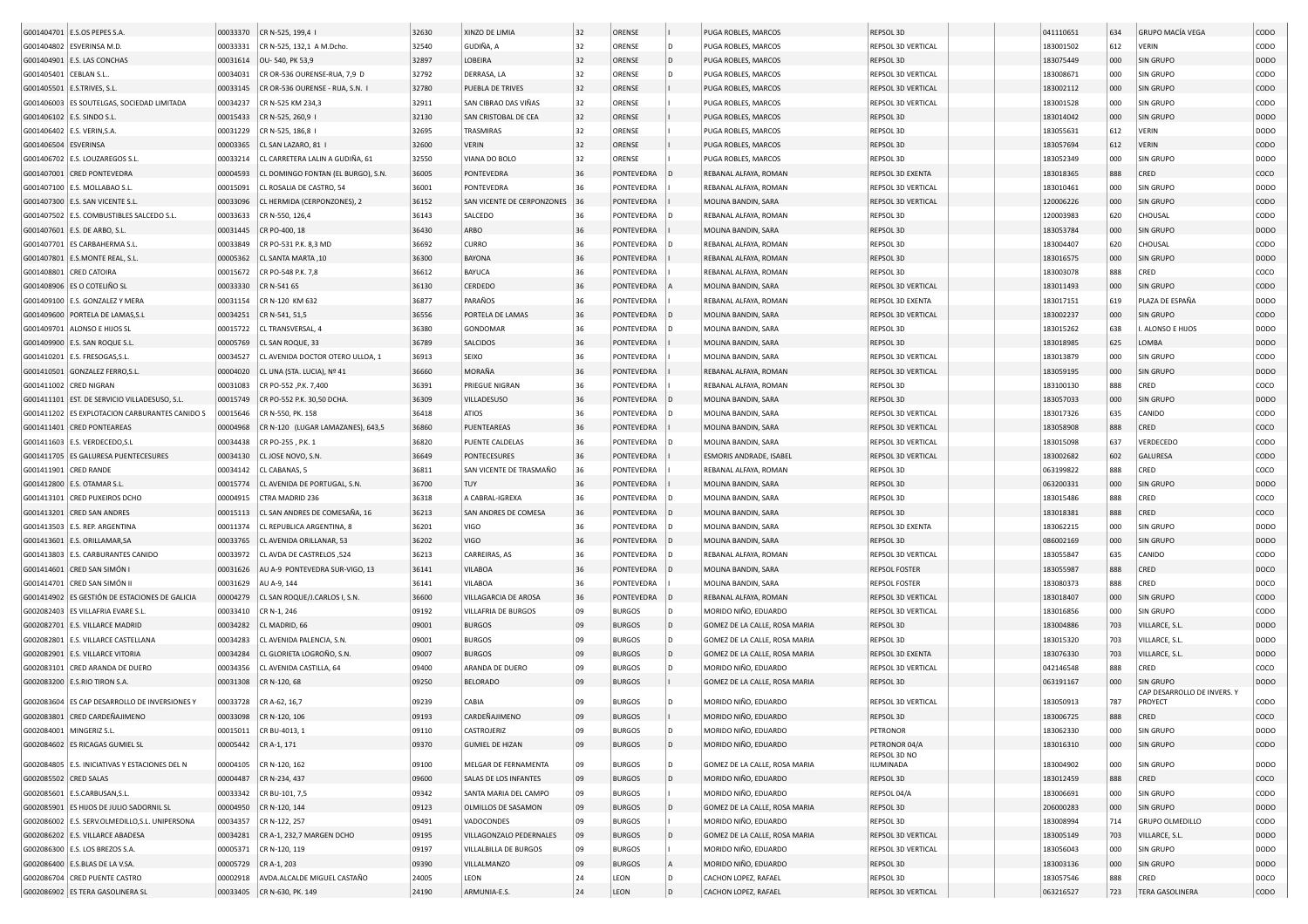|                        |                                                  |          |                                    | 32630 | XINZO DE LIMIA             | 32 | ORENSE        |              |                               | REPSOL 3D                 | 041110651 | 634 | <b>GRUPO MACÍA VEGA</b>   | CODO             |
|------------------------|--------------------------------------------------|----------|------------------------------------|-------|----------------------------|----|---------------|--------------|-------------------------------|---------------------------|-----------|-----|---------------------------|------------------|
|                        | G001404701 E.S.OS PEPES S.A                      | 00033370 | CR N-525, 199,4                    |       |                            |    |               |              | PUGA ROBLES, MARCOS           |                           |           |     |                           |                  |
|                        | G001404802 ESVERINSA M.D.                        | 00033331 | CR N-525, 132,1 A M.Dcho.          | 32540 | GUDIÑA, A                  | 32 | ORENSE        | D            | PUGA ROBLES, MARCOS           | REPSOL 3D VERTICAL        | 183001502 | 612 | VERIN                     | CODO             |
|                        | G001404901 E.S. LAS CONCHAS                      | 00031614 | OU-540, PK 53,9                    | 32897 | LOBEIRA                    | 32 | ORENSE        |              | PUGA ROBLES, MARCOS           | REPSOL 3D                 | 183075449 | 000 | SIN GRUPO                 | DOD <sub>O</sub> |
| G001405401 CEBLAN S.L. |                                                  | 00034031 | CR OR-536 OURENSE-RUA, 7,9 D       | 32792 | DERRASA, LA                | 32 | ORENSE        |              | PUGA ROBLES, MARCOS           | REPSOL 3D VERTICAL        | 183008671 | 000 | SIN GRUPO                 | CODO             |
|                        | G001405501 E.S.TRIVES, S.L.                      | 00033145 | CR OR-536 OURENSE - RUA, S.N.      | 32780 | PUEBLA DE TRIVES           | 32 | ORENSE        |              | PUGA ROBLES, MARCOS           | REPSOL 3D VERTICAL        | 183002112 | 000 | <b>SIN GRUPO</b>          | CODO             |
|                        | G001406003 ES SOUTELGAS, SOCIEDAD LIMITADA       | 00034237 | CR N-525 KM 234,3                  | 32911 | SAN CIBRAO DAS VIÑAS       | 32 | ORENSE        |              | PUGA ROBLES, MARCOS           | REPSOL 3D VERTICAL        | 183001528 | 000 | SIN GRUPO                 | CODO             |
|                        | G001406102 E.S. SINDO S.L.                       | 00015433 | CR N-525, 260,9                    | 32130 | SAN CRISTOBAL DE CEA       | 32 | ORENSE        |              | PUGA ROBLES, MARCOS           | <b>REPSOL 3D</b>          | 183014042 | 000 | SIN GRUPO                 | <b>DODO</b>      |
|                        | G001406402 E.S. VERIN, S.A.                      | 00031229 | CR N-525, 186.8                    | 32695 | TRASMIRAS                  | 32 | ORENSE        |              | PUGA ROBLES, MARCOS           | REPSOL 3D                 | 183055631 | 612 | VERIN                     | DODO             |
|                        |                                                  |          |                                    | 32600 |                            | 32 |               |              |                               |                           |           |     |                           |                  |
| G001406504 ESVERINSA   |                                                  | 00003365 | CL SAN LAZARO, 81                  |       | <b>VERIN</b>               |    | ORENSE        |              | PUGA ROBLES, MARCOS           | REPSOL 3D                 | 183057694 | 612 | <b>VERIN</b>              | CODO             |
|                        | G001406702 E.S. LOUZAREGOS S.L.                  | 00033214 | CL CARRETERA LALIN A GUDIÑA, 61    | 32550 | VIANA DO BOLO              | 32 | ORENSE        |              | PUGA ROBLES, MARCOS           | REPSOL 3D                 | 183052349 | 000 | SIN GRUPO                 | DODO             |
|                        | G001407001 CRED PONTEVEDRA                       | 00004593 | CL DOMINGO FONTAN (EL BURGO), S.N. | 36005 | PONTEVEDRA                 | 36 | PONTEVEDRA    |              | REBANAL ALFAYA, ROMAN         | REPSOL 3D EXENTA          | 183018365 | 888 | CRED                      | coco             |
|                        | G001407100 E.S. MOLLABAO S.L.                    | 00015091 | CL ROSALIA DE CASTRO, 54           | 36001 | PONTEVEDRA                 | 36 | PONTEVEDRA    |              | REBANAL ALFAYA, ROMAN         | REPSOL 3D VERTICAL        | 183010461 | 000 | SIN GRUPO                 | DODO             |
|                        | G001407300 E.S. SAN VICENTE S.L                  | 00033096 | CL HERMIDA (CERPONZONES), 2        | 36152 | SAN VICENTE DE CERPONZONES | 36 | PONTEVEDRA    |              | MOLINA BANDIN, SARA           | REPSOL 3D VERTICAL        | 120006226 | 000 | SIN GRUPO                 | CODO             |
|                        | G001407502 E.S. COMBUSTIBLES SALCEDO S.L.        | 00033633 | CR N-550, 126,4                    | 36143 | SALCEDO                    | 36 | PONTEVEDRA    |              | REBANAL ALFAYA, ROMAN         | REPSOL 3D                 | 120003983 | 620 | CHOUSAL                   | CODO             |
|                        | G001407601 E.S. DE ARBO, S.L                     | 00031445 | CR PO-400, 18                      | 36430 | ARBO                       | 36 | PONTEVEDRA    |              | MOLINA BANDIN, SARA           | REPSOL 3D                 | 183053784 | 000 | SIN GRUPO                 | <b>DODO</b>      |
| G001407701             | ES CARBAHERMA S.L.                               | 00033849 | CR PO-531 P.K. 8,3 MD              | 36692 | CURRO                      | 36 | PONTEVEDRA    |              | REBANAL ALFAYA, ROMAN         | REPSOL 3D                 | 183004407 | 620 | CHOUSAL                   | CODO             |
|                        |                                                  |          |                                    |       |                            |    |               |              |                               |                           |           |     |                           |                  |
| G001407801             | E.S.MONTE REAL, S.L.                             | 00005362 | CL SANTA MARTA, 10                 | 36300 | BAYONA                     | 36 | PONTEVEDRA    |              | REBANAL ALFAYA, ROMAN         | REPSOL 3D                 | 183016575 | 000 | SIN GRUPO                 | <b>DODO</b>      |
|                        | G001408801 CRED CATOIRA                          | 00015672 | CR PO-548 P.K. 7,8                 | 36612 | BAYUCA                     | 36 | PONTEVEDRA    |              | REBANAL ALFAYA, ROMAN         | REPSOL 3D                 | 183003078 | 888 | CRED                      | coco             |
|                        | G001408906   ES O COTELIÑO SL                    | 00033330 | CR N-541 65                        | 36130 | CERDEDO                    | 36 | PONTEVEDRA    |              | MOLINA BANDIN, SARA           | REPSOL 3D VERTICAL        | 183011493 | 000 | SIN GRUPO                 | CODO             |
|                        | G001409100 E.S. GONZALEZ Y MERA                  | 00031154 | CR N-120 KM 632                    | 36877 | PARAÑOS                    | 36 | PONTEVEDRA    |              | REBANAL ALFAYA, ROMAN         | REPSOL 3D EXENTA          | 183017151 | 619 | PLAZA DE ESPAÑA           | DODO             |
|                        | G001409600 PORTELA DE LAMAS, S.L                 | 00034251 | CR N-541, 51,5                     | 36556 | PORTELA DE LAMAS           | 36 | PONTEVEDRA    |              | MOLINA BANDIN, SARA           | REPSOL 3D VERTICAL        | 183002237 | 000 | SIN GRUPO                 | CODO             |
|                        | G001409701 ALONSO E HIJOS SL                     | 00015722 | CL TRANSVERSAL, 4                  | 36380 | GONDOMAR                   | 36 | PONTEVEDRA    |              | MOLINA BANDIN, SARA           | REPSOL 3D                 | 183015262 | 638 | . ALONSO E HIJOS          | DODO             |
|                        | G001409900 E.S. SAN ROQUE S.L                    | 00005769 | CL SAN ROQUE, 33                   | 36789 | SALCIDOS                   | 36 | PONTEVEDRA    |              | MOLINA BANDIN, SARA           | REPSOL 3D                 | 183018985 | 625 | LOMBA                     | <b>DODO</b>      |
|                        | G001410201 E.S. FRESOGAS, S.L.                   | 00034527 | CL AVENIDA DOCTOR OTERO ULLOA, 1   | 36913 | SEIXO                      | 36 | PONTEVEDRA    |              | MOLINA BANDIN, SARA           | REPSOL 3D VERTICAL        | 183013879 | 000 | SIN GRUPO                 | CODO             |
|                        |                                                  |          |                                    |       |                            |    |               |              |                               |                           |           |     |                           |                  |
|                        | G001410501 GONZALEZ FERRO, S.L                   | 00004020 | CL UNA (STA. LUCIA), Nº 41         | 36660 | MORAÑA                     | 36 | PONTEVEDRA    |              | REBANAL ALFAYA, ROMAN         | REPSOL 3D VERTICAL        | 183059195 | 000 | SIN GRUPO                 | DODO             |
|                        | G001411002 CRED NIGRAN                           | 00031083 | CR PO-552, P.K. 7,400              | 36391 | PRIEGUE NIGRAN             | 36 | PONTEVEDRA    |              | REBANAL ALFAYA, ROMAN         | REPSOL 3D                 | 183100130 | 888 | CRED                      | coco             |
|                        | G001411101 EST. DE SERVICIO VILLADESUSO, S.L.    | 00015749 | CR PO-552 P.K. 30,50 DCHA          | 36309 | VILLADESUSO                | 36 | PONTEVEDRA    |              | MOLINA BANDIN, SARA           | REPSOL 3D                 | 183057033 | 000 | SIN GRUPO                 | <b>DODO</b>      |
|                        | G001411202 ES EXPLOTACION CARBURANTES CANIDO S   | 00015646 | CR N-550, PK. 158                  | 36418 | <b>ATIOS</b>               | 36 | PONTEVEDRA    |              | MOLINA BANDIN, SARA           | REPSOL 3D VERTICAL        | 183017326 | 635 | CANIDO                    | CODO             |
|                        | G001411401 CRED PONTEAREAS                       | 00004968 | CR N-120 (LUGAR LAMAZANES), 643,5  | 36860 | PUENTEAREAS                | 36 | PONTEVEDRA    |              | MOLINA BANDIN, SARA           | <b>REPSOL 3D VERTICAL</b> | 183058908 | 888 | CRED                      | coco             |
|                        | G001411603   E.S. VERDECEDO, S.L                 | 00034438 | CR PO-255, P.K. 1                  | 36820 | PUENTE CALDELAS            | 36 | PONTEVEDRA    |              | MOLINA BANDIN, SARA           | REPSOL 3D VERTICAL        | 183015098 | 637 | VERDECEDO                 | CODO             |
|                        | G001411705 ES GALURESA PUENTECESURES             | 00034130 | CL JOSE NOVO, S.N                  | 36649 | PONTECESURES               | 36 | PONTEVEDRA    |              | ESMORIS ANDRADE, ISABEL       | <b>REPSOL 3D VERTICAL</b> | 183002682 | 602 | GALURESA                  | CODO             |
| G001411901 CRED RANDE  |                                                  | 00034142 | CL CABANAS, 5                      | 36811 | SAN VICENTE DE TRASMAÑO    | 36 | PONTEVEDRA    |              | REBANAL ALFAYA, ROMAN         | REPSOL 3D                 | 063199822 | 888 | CRED                      | coco             |
|                        |                                                  |          |                                    |       |                            |    |               |              |                               |                           |           |     |                           |                  |
|                        | G001412800 E.S. OTAMAR S.L                       | 00015774 | CL AVENIDA DE PORTUGAL, S.N.       | 36700 | TUY                        | 36 | PONTEVEDRA    |              | MOLINA BANDIN, SARA           | REPSOL 3D                 | 063200331 | 000 | SIN GRUPO                 | <b>DODO</b>      |
|                        | G001413101 CRED PUXEIROS DCHO                    | 00004915 | CTRA MADRID 236                    | 36318 | A CABRAL-IGREXA            | 36 | PONTEVEDRA    |              | MOLINA BANDIN, SARA           | REPSOL 3D                 | 183015486 | 888 | CRED                      | coco             |
|                        | G001413201 CRED SAN ANDRES                       | 00015113 | CL SAN ANDRES DE COMESAÑA, 16      | 36213 | SAN ANDRES DE COMESA       | 36 | PONTEVEDRA    |              | MOLINA BANDIN, SARA           | REPSOL 3D                 | 183018381 | 888 | CRED                      | coco             |
|                        | G001413503 E.S. REP. ARGENTINA                   | 00011374 | CL REPUBLICA ARGENTINA, 8          | 36201 | VIGO                       | 36 | PONTEVEDRA    |              | MOLINA BANDIN, SARA           | REPSOL 3D EXENTA          | 183062215 | 000 | SIN GRUPO                 | DODO             |
|                        | G001413601 E.S. ORILLAMAR, SA                    | 00033765 | CL AVENIDA ORILLANAR, 53           | 36202 | VIGO                       | 36 | PONTEVEDRA    |              | MOLINA BANDIN, SARA           | REPSOL 3D                 | 086002169 | 000 | SIN GRUPO                 | DODO             |
|                        | G001413803 E.S. CARBURANTES CANIDO               | 00033972 | CL AVDA DE CASTRELOS ,524          | 36213 | CARREIRAS, AS              | 36 | PONTEVEDRA    |              | REBANAL ALFAYA, ROMAN         | REPSOL 3D VERTICAL        | 183055847 | 635 | CANIDO                    | CODO             |
|                        | G001414601 CRED SAN SIMÓN                        | 00031626 | AU A-9 PONTEVEDRA SUR-VIGO, 13     | 36141 | <b>VILABOA</b>             | 36 | PONTEVEDRA    |              | MOLINA BANDIN, SARA           | <b>REPSOL FOSTER</b>      | 183055987 | 888 | CRED                      | DOCO             |
|                        | G001414701 CRED SAN SIMÓN II                     | 00031629 | AU A-9, 144                        | 36141 | <b>VILABOA</b>             | 36 | PONTEVEDRA    |              | MOLINA BANDIN, SARA           | <b>REPSOL FOSTER</b>      | 183080373 | 888 | CRED                      | DOCO             |
|                        |                                                  |          |                                    |       |                            |    |               |              |                               |                           |           |     |                           |                  |
| G001414902             | ES GESTIÓN DE ESTACIONES DE GALICIA              | 00004279 | CL SAN ROQUE/J.CARLOS I, S.N       | 36600 | VILLAGARCIA DE AROSA       | 36 | PONTEVEDRA    |              | REBANAL ALFAYA, ROMAN         | REPSOL 3D VERTICAL        | 183018407 | 000 | SIN GRUPO                 | CODO             |
|                        | G002082403 ES VILLAFRIA EVARE S.L.               | 00033410 | CR N-1, 246                        | 09192 | VILLAFRIA DE BURGOS        | 09 | <b>BURGOS</b> | ID.          | MORIDO NIÑO, EDUARDO          | REPSOL 3D VERTICAL        | 183016856 | 000 | SIN GRUPO                 | CODO             |
|                        | G002082701 E.S. VILLARCE MADRID                  | 00034282 | CL MADRID, 66                      | 09001 | <b>BURGOS</b>              | 09 | <b>BURGOS</b> | ID.          | GOMEZ DE LA CALLE, ROSA MARIA | REPSOL 3D                 | 183004886 | 703 | VILLARCE, S.L             | DODO             |
| G002082801             | E.S. VILLARCE CASTELLANA                         | 00034283 | CL AVENIDA PALENCIA, S.N           | 09001 | <b>BURGOS</b>              | 09 | <b>BURGOS</b> | l D          | GOMEZ DE LA CALLE, ROSA MARIA | REPSOL 3D                 | 183015320 | 703 | VILLARCE, S.L.            | <b>DODO</b>      |
|                        | G002082901 E.S. VILLARCE VITORIA                 | 00034284 | CL GLORIETA LOGROÑO, S.N           | 09007 | <b>BURGOS</b>              | 09 | <b>BURGOS</b> | I D          | GOMEZ DE LA CALLE, ROSA MARIA | REPSOL 3D EXENTA          | 183076330 | 703 | VILLARCE, S.L             | <b>DODO</b>      |
|                        | G002083101 CRED ARANDA DE DUERO                  | 00034356 | CL AVENIDA CASTILLA, 64            | 09400 | ARANDA DE DUERO            | 09 | <b>BURGOS</b> | l D          | MORIDO NIÑO, EDUARDO          | REPSOL 3D VERTICAL        | 042146548 | 888 | CRED                      | coco             |
|                        | G002083200 E.S.RIO TIRON S.A.                    | 00031308 | CR N-120, 68                       | 09250 | <b>BELORADO</b>            | 09 | <b>BURGOS</b> |              | GOMEZ DE LA CALLE, ROSA MARIA | REPSOL 3D                 | 063191167 | 000 | SIN GRUPO                 | <b>DODO</b>      |
|                        |                                                  |          |                                    |       |                            |    |               |              |                               |                           |           |     | CAP DESARROLLO DE INVERS. |                  |
|                        | G002083604 ES CAP DESARROLLO DE INVERSIONES Y    | 00033728 | CR A-62, 16,7                      | 09239 | CABIA                      | 09 | <b>BURGOS</b> |              | MORIDO NIÑO, EDUARDO          | REPSOL 3D VERTICAL        | 183050913 | 787 | PROYECT                   | CODO             |
|                        | G002083801 CRED CARDEÑAJIMENO                    | 00033098 | CR N-120, 106                      | 09193 | CARDEÑAIIMENO              | 09 | <b>BURGOS</b> |              | MORIDO NIÑO, EDUARDO          | REPSOL 3D                 | 183006725 | 888 | CRED                      | COCO             |
|                        | G002084001   MINGERIZ S.L.                       |          | 00015011 CR BU-4013, 1             | 09110 | CASTROJERIZ                | 09 | <b>BURGOS</b> | $\mathsf{D}$ | MORIDO NIÑO, EDUARDO          | PETRONOR                  | 183062330 | 000 | SIN GRUPO                 | <b>DODO</b>      |
|                        | G002084602 ES RICAGAS GUMIEL SL                  | 00005442 | CR A-1, 171                        | 09370 | <b>GUMIEL DE HIZAN</b>     | 09 | <b>BURGOS</b> | D            | MORIDO NIÑO, EDUARDO          | PETRONOR 04/A             | 183016310 | 000 | SIN GRUPO                 | CODO             |
|                        |                                                  |          |                                    |       |                            |    |               |              |                               | REPSOL 3D NO              |           |     |                           |                  |
|                        | G002084805   E.S. INICIATIVAS Y ESTACIONES DEL N |          | 00004105 CR N-120, 162             | 09100 | MELGAR DE FERNAMENTA       | 09 | <b>BURGOS</b> | l D          | GOMEZ DE LA CALLE, ROSA MARIA | ILUMINADA                 | 183004902 | 000 | SIN GRUPO                 | <b>DODO</b>      |
| G002085502 CRED SALAS  |                                                  | 00004487 | CR N-234, 437                      | 09600 | SALAS DE LOS INFANTES      | 09 | <b>BURGOS</b> |              | MORIDO NIÑO, EDUARDO          | REPSOL 3D                 | 183012459 | 888 | CRED                      | coco             |
|                        | G002085601 E.S.CARBUSAN, S.L.                    | 00033342 | CR BU-101, 7,5                     | 09342 | SANTA MARIA DEL CAMPO      | 09 | <b>BURGOS</b> |              | MORIDO NIÑO, EDUARDO          | REPSOL 04/A               | 183006691 | 000 | SIN GRUPO                 | CODO             |
|                        | G002085901 ES HIJOS DE JULIO SADORNIL SL         | 00004950 | CR N-120, 144                      | 09123 | OLMILLOS DE SASAMON        | 09 | <b>BURGOS</b> |              | GOMEZ DE LA CALLE, ROSA MARIA | REPSOL 3D                 | 206000283 | 000 | SIN GRUPO                 | DODO             |
|                        | G002086002 E.S. SERV.OLMEDILLO,S.L. UNIPERSONA   | 00034357 | CR N-122, 257                      | 09491 | VADOCONDES                 | 09 | <b>BURGOS</b> |              | MORIDO NIÑO, EDUARDO          | REPSOL 3D                 | 183008994 | 714 | <b>GRUPO OLMEDILLO</b>    | CODO             |
|                        |                                                  |          |                                    |       |                            |    |               |              |                               |                           |           |     |                           |                  |
|                        | G002086202 E.S. VILLARCE ABADESA                 | 00034281 | CR A-1, 232,7 MARGEN DCHO          | 09195 | VILLAGONZALO PEDERNALES    | 09 | <b>BURGOS</b> |              | GOMEZ DE LA CALLE, ROSA MARIA | REPSOL 3D VERTICAL        | 183005149 | 703 | VILLARCE, S.L             | DODO             |
|                        | G002086300 E.S. LOS BREZOS S.A.                  | 00005371 | CR N-120, 119                      | 09197 | VILLALBILLA DE BURGOS      | 09 | <b>BURGOS</b> |              | MORIDO NIÑO, EDUARDO          | REPSOL 3D VERTICAL        | 183056043 | 000 | SIN GRUPO                 | DODO             |
|                        | G002086400 E.S.BLAS DE LA V.SA.                  | 00005729 | CR A-1, 203                        | 09390 | VILLALMANZO                | 09 | <b>BURGOS</b> |              | MORIDO NIÑO, EDUARDO          | REPSOL 3D                 | 183003136 | 000 | SIN GRUPO                 | DODO             |
|                        | G002086704 CRED PUENTE CASTRO                    | 00002918 | AVDA.ALCALDE MIGUEL CASTAÑO        | 24005 | LEON                       | 24 | LEON          |              | CACHON LOPEZ, RAFAEL          | REPSOL 3D                 | 183057546 | 888 | CRED                      | DOCO             |
|                        | G002086902 ES TERA GASOLINERA SL                 |          | 00033405 CR N-630, PK. 149         | 24190 | ARMUNIA-E.S.               | 24 | LEON          |              | CACHON LOPEZ, RAFAEL          | REPSOL 3D VERTICAL        | 063216527 | 723 | <b>TERA GASOLINERA</b>    | CODO             |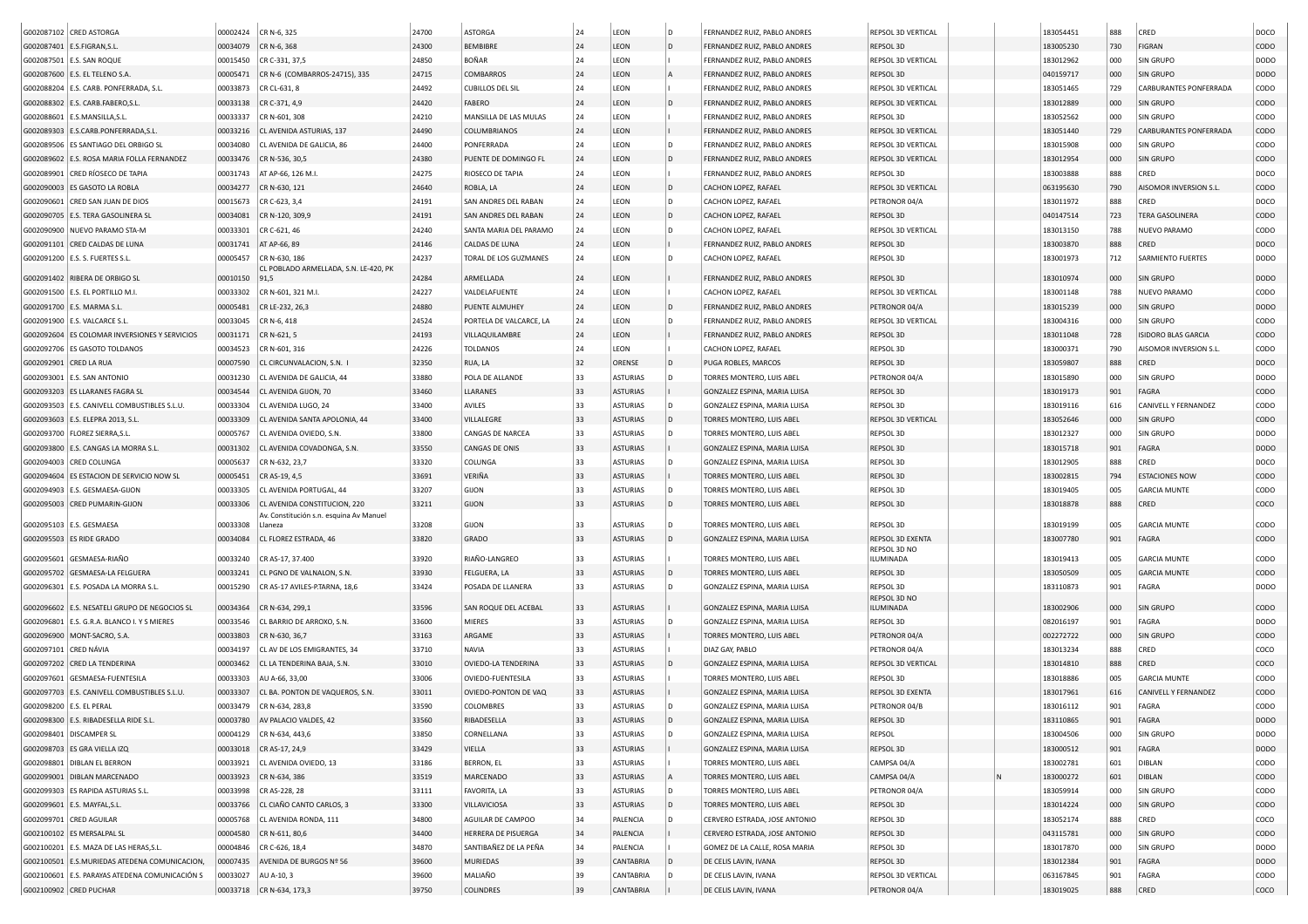|                       | G002087102 CRED ASTORGA                          |          | 00002424 CR N-6, 325                               | 24700 | <b>ASTORGA</b>              | 24 | LEON            | D   | FERNANDEZ RUIZ, PABLO ANDRES  | REPSOL 3D VERTICAL        |  | 183054451 | 888 | CRED                       | DOCO             |
|-----------------------|--------------------------------------------------|----------|----------------------------------------------------|-------|-----------------------------|----|-----------------|-----|-------------------------------|---------------------------|--|-----------|-----|----------------------------|------------------|
|                       | G002087401 E.S.FIGRAN, S.L.                      | 00034079 | CR N-6, 368                                        | 24300 | <b>BEMBIBRE</b>             | 24 | LEON            | D   | FERNANDEZ RUIZ, PABLO ANDRES  | REPSOL 3D                 |  | 183005230 | 730 | <b>FIGRAN</b>              | <b>CODO</b>      |
|                       | G002087501   E.S. SAN ROQUE                      | 00015450 | CR C-331, 37,5                                     | 24850 | <b>BOÑAR</b>                | 24 | LEON            |     | FERNANDEZ RUIZ, PABLO ANDRES  | REPSOL 3D VERTICAL        |  | 183012962 | 000 | SIN GRUPO                  | <b>DODO</b>      |
|                       | G002087600 E.S. EL TELENO S.A                    | 00005471 | CR N-6 (COMBARROS-24715), 335                      | 24715 | <b>COMBARROS</b>            | 24 | LEON            |     | FERNANDEZ RUIZ, PABLO ANDRES  | REPSOL 3D                 |  | 040159717 | 000 | SIN GRUPO                  | <b>DODO</b>      |
|                       | G002088204 E.S. CARB. PONFERRADA, S.L.           | 00033873 | CR CL-631, 8                                       | 24492 | <b>CUBILLOS DEL SIL</b>     | 24 | LEON            |     | FERNANDEZ RUIZ, PABLO ANDRES  | REPSOL 3D VERTICAL        |  | 183051465 | 729 | CARBURANTES PONFERRADA     | CODO             |
|                       | G002088302 E.S. CARB.FABERO, S.L                 | 00033138 | CR C-371, 4,9                                      | 24420 | <b>FABERO</b>               | 24 | LEON            | D   | FERNANDEZ RUIZ, PABLO ANDRES  | <b>REPSOL 3D VERTICAL</b> |  | 183012889 | 000 | <b>SIN GRUPO</b>           | <b>CODO</b>      |
|                       | G002088601 E.S.MANSILLA,S.L                      | 00033337 | CR N-601, 308                                      | 24210 | MANSILLA DE LAS MULAS       | 24 | LEON            |     | FERNANDEZ RUIZ, PABLO ANDRES  | REPSOL 3D                 |  | 183052562 | 000 | SIN GRUPO                  | CODO             |
|                       | G002089303 E.S.CARB.PONFERRADA,S.L               | 00033216 | CL AVENIDA ASTURIAS, 137                           | 24490 | COLUMBRIANOS                | 24 | LEON            |     | FERNANDEZ RUIZ, PABLO ANDRES  | REPSOL 3D VERTICAL        |  | 183051440 | 729 | CARBURANTES PONFERRADA     | <b>CODO</b>      |
|                       | G002089506   ES SANTIAGO DEL ORBIGO SL           | 00034080 | CL AVENIDA DE GALICIA, 86                          | 24400 | PONFERRADA                  | 24 | LEON            | D   | FERNANDEZ RUIZ, PABLO ANDRES  | REPSOL 3D VERTICAL        |  | 183015908 | 000 | <b>SIN GRUPO</b>           | CODO             |
|                       | G002089602 E.S. ROSA MARIA FOLLA FERNANDEZ       |          |                                                    |       |                             | 24 |                 | D   | FERNANDEZ RUIZ, PABLO ANDRES  |                           |  |           | 000 |                            | CODO             |
|                       |                                                  | 00033476 | CR N-536, 30,5                                     | 24380 | PUENTE DE DOMINGO FL        |    | LEON            |     |                               | REPSOL 3D VERTICAL        |  | 183012954 |     | <b>SIN GRUPO</b>           |                  |
|                       | G002089901 CRED RÍOSECO DE TAPIA                 | 00031743 | AT AP-66, 126 M.I.                                 | 24275 | RIOSECO DE TAPIA            | 24 | LEON            |     | FERNANDEZ RUIZ, PABLO ANDRES  | REPSOL 3D                 |  | 183003888 | 888 | CRED                       | DOCO             |
|                       | G002090003 ES GASOTO LA ROBLA                    | 00034277 | CR N-630, 121                                      | 24640 | ROBLA, LA                   | 24 | LEON            | D   | CACHON LOPEZ, RAFAEL          | <b>REPSOL 3D VERTICAL</b> |  | 063195630 | 790 | AISOMOR INVERSION S.L.     | CODO             |
|                       | G002090601 CRED SAN JUAN DE DIOS                 | 00015673 | CR C-623, 3,4                                      | 24191 | SAN ANDRES DEL RABAN        | 24 | LEON            | D   | CACHON LOPEZ, RAFAEL          | PETRONOR 04/A             |  | 183011972 | 888 | CRED                       | DOCO             |
|                       | G002090705 E.S. TERA GASOLINERA SL               | 00034081 | CR N-120, 309,9                                    | 24191 | SAN ANDRES DEL RABAN        | 24 | LEON            | D   | CACHON LOPEZ, RAFAEL          | REPSOL 3D                 |  | 040147514 | 723 | <b>TERA GASOLINERA</b>     | <b>CODO</b>      |
|                       | G002090900 NUEVO PARAMO STA-M                    | 00033301 | CR C-621, 46                                       | 24240 | SANTA MARIA DEL PARAMO      | 24 | LEON            | D   | CACHON LOPEZ, RAFAEL          | REPSOL 3D VERTICAL        |  | 183013150 | 788 | NUEVO PARAMO               | copo             |
|                       | G002091101 CRED CALDAS DE LUNA                   | 00031741 | AT AP-66, 89                                       | 24146 | CALDAS DE LUNA              | 24 | LEON            |     | FERNANDEZ RUIZ, PABLO ANDRES  | REPSOL 3D                 |  | 183003870 | 888 | CRED                       | DOCO             |
|                       | G002091200   E.S. S. FUERTES S.L.                | 00005457 | CR N-630, 186                                      | 24237 | TORAL DE LOS GUZMANES       | 24 | LEON            | D   | CACHON LOPEZ, RAFAEL          | REPSOL 3D                 |  | 183001973 | 712 | SARMIENTO FUERTES          | <b>DODO</b>      |
|                       | G002091402 RIBERA DE ORBIGO SL                   | 00010150 | CL POBLADO ARMELLADA, S.N. LE-420, PK<br>91,5      | 24284 | ARMELLADA                   | 24 | LEON            |     | FERNANDEZ RUIZ, PABLO ANDRES  | REPSOL 3D                 |  | 183010974 | 000 | <b>SIN GRUPO</b>           | <b>DODO</b>      |
|                       | G002091500   E.S. EL PORTILLO M.I                | 00033302 | CR N-601, 321 M.I.                                 | 24227 | VALDELAFUENTE               | 24 | LEON            |     | CACHON LOPEZ, RAFAEL          | REPSOL 3D VERTICAL        |  | 183001148 | 788 | NUEVO PARAMO               | CODO             |
|                       | G002091700 E.S. MARMA S.L                        | 00005481 | CR LE-232, 26,3                                    | 24880 | PUENTE ALMUHEY              | 24 | LEON            | l D | FERNANDEZ RUIZ, PABLO ANDRES  | PETRONOR 04/A             |  | 183015239 | 000 | SIN GRUPO                  | DOD <sub>O</sub> |
|                       | G002091900 E.S. VALCARCE S.L.                    | 00033045 | CR N-6, 418                                        | 24524 | PORTELA DE VALCARCE, LA     | 24 | LEON            |     | FERNANDEZ RUIZ, PABLO ANDRES  | REPSOL 3D VERTICAL        |  | 183004316 | 000 | <b>SIN GRUPO</b>           | CODO             |
|                       | G002092604 ES COLOMAR INVERSIONES Y SERVICIOS    | 00031171 | CR N-621, 5                                        | 24193 | VILLAQUILAMBRE              | 24 | LEON            |     | FERNANDEZ RUIZ, PABLO ANDRES  | REPSOL 3D                 |  | 183011048 | 728 | <b>ISIDORO BLAS GARCIA</b> | <b>CODO</b>      |
|                       | G002092706 ES GASOTO TOLDANOS                    | 00034523 | CR N-601, 316                                      | 24226 | TOLDANOS                    | 24 | LEON            |     | CACHON LOPEZ, RAFAEL          | REPSOL 3D                 |  | 183000371 | 790 | AISOMOR INVERSION S.L.     | CODO             |
|                       |                                                  |          |                                                    |       |                             |    |                 |     |                               |                           |  |           |     |                            |                  |
|                       | G002092901 CRED LA RUA                           | 00007590 | CL CIRCUNVALACION, S.N.                            | 32350 | RUA, LA                     | 32 | ORENSE          | D   | PUGA ROBLES, MARCOS           | <b>REPSOL 3D</b>          |  | 183059807 | 888 | CRED                       | DOCO             |
|                       | G002093001   E.S. SAN ANTONIO                    | 00031230 | CL AVENIDA DE GALICIA, 44                          | 33880 | POLA DE ALLANDE             | 33 | ASTURIAS        |     | TORRES MONTERO, LUIS ABEL     | PETRONOR 04/A             |  | 183015890 | 000 | <b>SIN GRUPO</b>           | <b>DODO</b>      |
|                       | G002093203 ES LLARANES FAGRA SL                  | 00034544 | CL AVENIDA GIJON, 70                               | 33460 | LLARANES                    | 33 | <b>ASTURIAS</b> |     | GONZALEZ ESPINA, MARIA LUISA  | REPSOL 3D                 |  | 183019173 | 901 | FAGRA                      | CODO             |
|                       | G002093503 E.S. CANIVELL COMBUSTIBLES S.L.U.     | 00033304 | CL AVENIDA LUGO, 24                                | 33400 | AVILES                      | 33 | <b>ASTURIAS</b> | D   | GONZALEZ ESPINA, MARIA LUISA  | REPSOL 3D                 |  | 183019116 | 616 | CANIVELL Y FERNANDEZ       | CODO             |
|                       | G002093603   E.S. ELEPRA 2013, S.L               | 00033309 | CL AVENIDA SANTA APOLONIA, 44                      | 33400 | VILLALEGRE                  | 33 | ASTURIAS        |     | TORRES MONTERO, LUIS ABEL     | REPSOL 3D VERTICAL        |  | 183052646 | 000 | <b>SIN GRUPO</b>           | CODO             |
|                       | G002093700   FLOREZ SIERRA, S.L                  | 00005767 | CL AVENIDA OVIEDO, S.N.                            | 33800 | <b>CANGAS DE NARCEA</b>     | 33 | ASTURIAS        |     | TORRES MONTERO, LUIS ABEL     | REPSOL 3D                 |  | 183012327 | 000 | <b>SIN GRUPO</b>           | <b>DODO</b>      |
|                       | G002093800 E.S. CANGAS LA MORRA S.L              | 00031302 | CL AVENIDA COVADONGA, S.N.                         | 33550 | CANGAS DE ONIS              | 33 | <b>ASTURIAS</b> |     | GONZALEZ ESPINA, MARIA LUISA  | <b>REPSOL 3D</b>          |  | 183015718 | 901 | FAGRA                      | <b>DODO</b>      |
|                       | G002094003 CRED COLUNGA                          | 00005637 | CR N-632, 23,7                                     | 33320 | COLUNGA                     | 33 | <b>ASTURIAS</b> |     | GONZALEZ ESPINA, MARIA LUISA  | REPSOL 3D                 |  | 183012905 | 888 | CRED                       | DOCO             |
|                       | G002094604 ES ESTACION DE SERVICIO NOW SL        | 00005451 | CR AS-19, 4,5                                      | 33691 | VERIÑA                      | 33 | <b>ASTURIAS</b> |     | TORRES MONTERO, LUIS ABEL     | REPSOL 3D                 |  | 183002815 | 794 | <b>ESTACIONES NOW</b>      | CODO             |
|                       | G002094903   E.S. GESMAESA-GIJON                 | 00033305 | CL AVENIDA PORTUGAL, 44                            | 33207 | GIJON                       | 33 | ASTURIAS        | D   | TORRES MONTERO, LUIS ABEL     | REPSOL 3D                 |  | 183019405 | 005 | <b>GARCIA MUNTE</b>        | CODO             |
|                       | G002095003 CRED PUMARIN-GIJON                    | 00033306 | CL AVENIDA CONSTITUCION, 220                       | 33211 | GIJON                       | 33 | <b>ASTURIAS</b> | D   | TORRES MONTERO, LUIS ABEL     | REPSOL 3D                 |  | 183018878 | 888 | CRED                       | coco             |
|                       | G002095103   E.S. GESMAESA                       | 00033308 | Av. Constitución s.n. esquina Av Manuel<br>Llaneza | 33208 | GIJON                       | 33 | <b>ASTURIAS</b> |     | TORRES MONTERO, LUIS ABEL     | REPSOL 3D                 |  | 183019199 | 005 | <b>GARCIA MUNTE</b>        | CODO             |
|                       | G002095503 ES RIDE GRADO                         | 00034084 | CL FLOREZ ESTRADA, 46                              | 33820 | <b>GRADO</b>                | 33 | <b>ASTURIAS</b> |     | GONZALEZ ESPINA, MARIA LUISA  | REPSOL 3D EXENTA          |  | 183007780 | 901 | FAGRA                      | <b>CODO</b>      |
|                       |                                                  |          |                                                    |       |                             |    |                 |     |                               | REPSOL 3D NO              |  |           |     |                            |                  |
|                       | G002095601 GESMAESA-RIAÑO                        | 00033240 | CR AS-17, 37.400                                   | 33920 | RIAÑO-LANGREO               | 33 | <b>ASTURIAS</b> |     | TORRES MONTERO, LUIS ABEL     | ILUMINADA                 |  | 183019413 | 005 | <b>GARCIA MUNTE</b>        | CODO             |
|                       | G002095702 GESMAESA-LA FELGUERA                  | 00033241 | CL PGNO DE VALNALON, S.N                           | 33930 | FELGUERA, LA                | 33 | <b>ASTURIAS</b> |     | TORRES MONTERO, LUIS ABEL     | <b>REPSOL 3D</b>          |  | 183050509 | 005 | <b>GARCIA MUNTE</b>        | <b>CODO</b>      |
|                       | G002096301 E.S. POSADA LA MORRA S.L              | 00015290 | CR AS-17 AVILES-P.TARNA, 18,6                      | 33424 | POSADA DE LLANERA           | 33 | ASTURIAS        |     | GONZALEZ ESPINA, MARIA LUISA  | REPSOL 3D                 |  | 183110873 | 901 | FAGRA                      | <b>DODO</b>      |
|                       | G002096602 E.S. NESATELI GRUPO DE NEGOCIOS SL    | 00034364 | CR N-634, 299,1                                    | 33596 | SAN ROQUE DEL ACEBAL        | 33 | <b>ASTURIAS</b> |     | GONZALEZ ESPINA, MARIA LUISA  | REPSOL 3D NO<br>ILUMINADA |  | 183002906 | 000 | <b>SIN GRUPO</b>           | <b>CODO</b>      |
|                       | G002096801   E.S. G.R.A. BLANCO I. Y S MIERES    | 00033546 | CL BARRIO DE ARROXO, S.N.                          | 33600 | <b>MIERES</b>               | 33 | ASTURIAS        |     | GONZALEZ ESPINA, MARIA LUISA  | REPSOL 3D                 |  | 082016197 | 901 | FAGRA                      | <b>DODO</b>      |
|                       |                                                  |          |                                                    |       |                             |    |                 |     |                               |                           |  |           |     |                            |                  |
|                       | G002096900 MONT-SACRO, S.A                       | 00033803 | CR N-630, 36,7                                     | 33163 | ARGAME                      | 33 | <b>ASTURIAS</b> |     | TORRES MONTERO, LUIS ABEL     | PETRONOR 04/A             |  | 002272722 | 000 | <b>SIN GRUPO</b>           | CODO             |
| G002097101 CRED NÁVIA |                                                  | 00034197 | CL AV DE LOS EMIGRANTES, 34                        | 33710 | <b>NAVIA</b>                | 33 | <b>ASTURIAS</b> |     | DIAZ GAY, PABLO               | PETRONOR 04/A             |  | 183013234 | 888 | CRED                       | coco             |
|                       | G002097202 CRED LA TENDERINA                     | 00003462 | CL LA TENDERINA BAJA, S.N.                         | 33010 | OVIEDO-LA TENDERINA         | 33 | <b>ASTURIAS</b> |     | GONZALEZ ESPINA, MARIA LUISA  | <b>REPSOL 3D VERTICAL</b> |  | 183014810 | 888 | CRED                       | coco             |
|                       | G002097601 GESMAESA-FUENTESILA                   | 00033303 | AU A-66, 33,00                                     | 33006 | OVIEDO-FUENTESILA           | 33 | <b>ASTURIAS</b> |     | TORRES MONTERO, LUIS ABEL     | REPSOL 3D                 |  | 183018886 | 005 | <b>GARCIA MUNTE</b>        | CODO             |
|                       | G002097703 E.S. CANIVELL COMBUSTIBLES S.L.U.     | 00033307 | CL BA. PONTON DE VAQUEROS, S.N.                    | 33011 | <b>OVIEDO-PONTON DE VAQ</b> | 33 | <b>ASTURIAS</b> |     | GONZALEZ ESPINA, MARIA LUISA  | <b>REPSOL 3D EXENTA</b>   |  | 183017961 | 616 | CANIVELL Y FERNANDEZ       | CODO             |
|                       | G002098200 E.S. EL PERAL                         | 00033479 | CR N-634, 283,8                                    | 33590 | COLOMBRES                   | 33 | <b>ASTURIAS</b> |     | GONZALEZ ESPINA, MARIA LUISA  | PETRONOR 04/B             |  | 183016112 | 901 | FAGRA                      | CODO             |
|                       | G002098300 E.S. RIBADESELLA RIDE S.L.            |          | 00003780 AV PALACIO VALDES, 42                     | 33560 | RIBADESELLA                 | 33 | ASTURIAS        |     | GONZALEZ ESPINA, MARIA LUISA  | REPSOL 3D                 |  | 183110865 | 901 |                            | DODO             |
|                       | G002098401 DISCAMPER SL                          |          | 00004129 CR N-634, 443,6                           | 33850 | CORNELLANA                  | 33 | <b>ASTURIAS</b> |     | GONZALEZ ESPINA, MARIA LUISA  | REPSOL                    |  | 183004506 | 000 | SIN GRUPO                  | <b>DODO</b>      |
|                       | G002098703 ES GRA VIELLA IZQ                     |          | 00033018 CR AS-17, 24,9                            | 33429 | VIELLA                      | 33 | <b>ASTURIAS</b> |     | GONZALEZ ESPINA, MARIA LUISA  | REPSOL 3D                 |  | 183000512 | 901 | FAGRA                      | DODO             |
|                       | G002098801 DIBLAN EL BERRON                      | 00033921 | CL AVENIDA OVIEDO, 13                              | 33186 | BERRON, EL                  | 33 | ASTURIAS        |     | TORRES MONTERO, LUIS ABEL     | CAMPSA 04/A               |  | 183002781 | 601 | DIBLAN                     | CODO             |
|                       | G002099001 DIBLAN MARCENADO                      |          | 00033923 CR N-634, 386                             | 33519 | MARCENADO                   | 33 | <b>ASTURIAS</b> |     | TORRES MONTERO, LUIS ABEL     | CAMPSA 04/A               |  | 183000272 | 601 | DIBLAN                     | <b>CODO</b>      |
|                       | G002099303 ES RAPIDA ASTURIAS S.L.               | 00033998 | CR AS-228, 28                                      | 33111 | FAVORITA, LA                | 33 | <b>ASTURIAS</b> | D   | TORRES MONTERO, LUIS ABEL     | PETRONOR 04/A             |  | 183059914 | 000 | SIN GRUPO                  | CODO             |
|                       | G002099601 E.S. MAYFAL, S.L.                     | 00033766 | CL CIAÑO CANTO CARLOS, 3                           | 33300 | VILLAVICIOSA                | 33 | ASTURIAS        |     | TORRES MONTERO, LUIS ABEL     | REPSOL 3D                 |  | 183014224 | 000 | SIN GRUPO                  | <b>CODO</b>      |
|                       | G002099701 CRED AGUILAR                          | 00005768 | CL AVENIDA RONDA, 111                              | 34800 | AGUILAR DE CAMPOO           | 34 | PALENCIA        |     | CERVERO ESTRADA, JOSE ANTONIO | REPSOL 3D                 |  | 183052174 | 888 | CRED                       | coco             |
|                       | G002100102 ES MERSALPAL SL                       | 00004580 | CR N-611, 80,6                                     | 34400 | HERRERA DE PISUERGA         | 34 | PALENCIA        |     | CERVERO ESTRADA, JOSE ANTONIO | REPSOL 3D                 |  | 043115781 | 000 | <b>SIN GRUPO</b>           | <b>CODO</b>      |
|                       | G002100201 E.S. MAZA DE LAS HERAS, S.L.          | 00004846 | CR C-626, 18,4                                     | 34870 | SANTIBAÑEZ DE LA PEÑA       | 34 | PALENCIA        |     | GOMEZ DE LA CALLE, ROSA MARIA | REPSOL 3D                 |  | 183017870 | 000 | SIN GRUPO                  | <b>DODO</b>      |
|                       | G002100501 E.S.MURIEDAS ATEDENA COMUNICACION,    | 00007435 | AVENIDA DE BURGOS Nº 56                            | 39600 | MURIEDAS                    | 39 | CANTABRIA       |     | DE CELIS LAVIN, IVANA         | REPSOL 3D                 |  | 183012384 | 901 | FAGRA                      | DODO             |
|                       | G002100601   E.S. PARAYAS ATEDENA COMUNICACIÓN S | 00033027 | AU A-10, 3                                         | 39600 | MALIAÑO                     | 39 | CANTABRIA       |     | DE CELIS LAVIN, IVANA         | REPSOL 3D VERTICAL        |  | 063167845 | 901 | FAGRA                      | CODO             |
|                       | G002100902 CRED PUCHAR                           |          | 00033718 CR N-634, 173,3                           | 39750 | <b>COLINDRES</b>            | 39 | CANTABRIA       |     | DE CELIS LAVIN, IVANA         | PETRONOR 04/A             |  | 183019025 | 888 | CRED                       | coco             |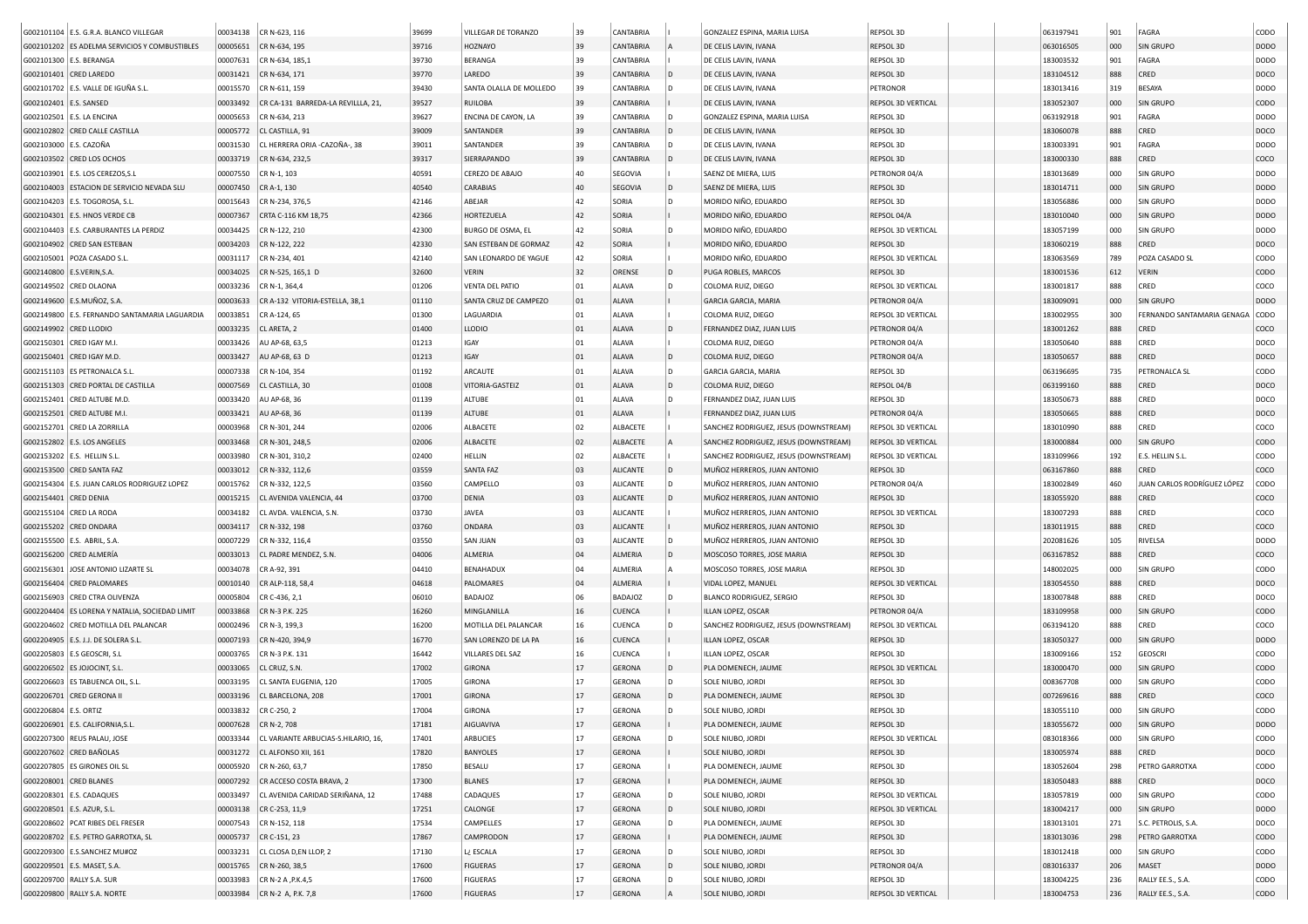| G002101104 E.S. G.R.A. BLANCO VILLEGAR                         | 00034138             | CR N-623, 116                                | 39699 | VILLEGAR DE TORANZO     | 39 | CANTABRIA       |           | GONZALEZ ESPINA, MARIA LUISA          | REPSOL 3D          | 063197941              | 901        | FAGRA                       | CODO        |
|----------------------------------------------------------------|----------------------|----------------------------------------------|-------|-------------------------|----|-----------------|-----------|---------------------------------------|--------------------|------------------------|------------|-----------------------------|-------------|
| G002101202 ES ADELMA SERVICIOS Y COMBUSTIBLES                  | 00005651             | CR N-634, 195                                | 39716 | <b>HOZNAYO</b>          | 39 | CANTABRIA       |           | DE CELIS LAVIN, IVANA                 | REPSOL 3D          | 063016505              | 000        | SIN GRUPO                   | <b>DODO</b> |
| G002101300 E.S. BERANGA                                        | 00007631             | CR N-634, 185,1                              | 39730 | BERANGA                 | 39 | CANTABRIA       |           | DE CELIS LAVIN, IVANA                 | REPSOL 3D          | 183003532              | 901        | FAGRA                       | DODO        |
| G002101401 CRED LAREDO                                         | 00031421             | CR N-634, 171                                | 39770 | LAREDO                  | 39 | CANTABRIA       | D         | DE CELIS LAVIN, IVANA                 | REPSOL 3D          | 183104512              | 888        | CRED                        | DOCO        |
| G002101702 E.S. VALLE DE IGUÑA S.L.                            | 00015570             | CR N-611, 159                                | 39430 | SANTA OLALLA DE MOLLEDO | 39 | CANTABRIA       | D         | DE CELIS LAVIN, IVANA                 | PETRONOR           | 183013416              | 319        | BESAYA                      | DODO        |
| G002102401 E.S. SANSED                                         | 00033492             | CR CA-131 BARREDA-LA REVILLLA, 21,           | 39527 | <b>RUILOBA</b>          | 39 | CANTABRIA       |           | DE CELIS LAVIN, IVANA                 | REPSOL 3D VERTICAL | 183052307              | 000        | <b>SIN GRUPO</b>            | <b>CODO</b> |
| G002102501 E.S. LA ENCINA                                      | 00005653             | CR N-634, 213                                | 39627 | ENCINA DE CAYON, LA     | 39 | CANTABRIA       |           | GONZALEZ ESPINA, MARIA LUISA          | REPSOL 3D          | 063192918              | 901        | FAGRA                       | DODO        |
| G002102802 CRED CALLE CASTILLA                                 | 00005772             | CL CASTILLA, 91                              | 39009 | SANTANDER               | 39 | CANTABRIA       |           | DE CELIS LAVIN, IVANA                 | REPSOL 3D          | 183060078              | 888        | CRED                        | DOCO        |
| G002103000 E.S. CAZOÑA                                         | 00031530             | CL HERRERA ORIA -CAZOÑA-, 38                 | 39011 | SANTANDER               | 39 | CANTABRIA       |           | DE CELIS LAVIN, IVANA                 | REPSOL 3D          | 183003391              | 901        | FAGRA                       | DODO        |
| G002103502 CRED LOS OCHOS                                      | 00033719             | CR N-634, 232,5                              | 39317 | SIERRAPANDO             | 39 | CANTABRIA       |           | DE CELIS LAVIN, IVANA                 | REPSOL 3D          | 183000330              | 888        | CRED                        | coco        |
| G002103901 E.S. LOS CEREZOS, S.L                               | 00007550             | CR N-1, 103                                  | 40591 | CEREZO DE ABAJO         | 40 | SEGOVIA         |           | SAENZ DE MIERA. LUIS                  | PETRONOR 04/A      | 183013689              | 000        | <b>SIN GRUPO</b>            | <b>DODO</b> |
| G002104003 ESTACION DE SERVICIO NEVADA SLU                     | 00007450             | CR A-1, 130                                  | 40540 | <b>CARABIAS</b>         | 40 | SEGOVIA         | D         | SAENZ DE MIERA, LUIS                  | REPSOL 3D          | 183014711              | 000        | <b>SIN GRUPO</b>            | <b>DODO</b> |
| G002104203 E.S. TOGOROSA. S.L.                                 | 00015643             | CR N-234, 376,5                              | 42146 | ABEJAR                  | 42 | SORIA           |           | MORIDO NIÑO, EDUARDO                  | REPSOL 3D          | 183056886              | 000        | <b>SIN GRUPO</b>            | <b>DODO</b> |
| G002104301 E.S. HNOS VERDE CB                                  | 00007367             | CRTA C-116 KM 18,75                          | 42366 | HORTEZUELA              | 42 | SORIA           |           | MORIDO NIÑO, EDUARDO                  | REPSOL 04/A        | 183010040              | 000        | SIN GRUPO                   | <b>DODO</b> |
| G002104403 E.S. CARBURANTES LA PERDIZ                          | 00034425             | CR N-122, 210                                | 42300 | BURGO DE OSMA, EL       | 42 | SORIA           | D         | MORIDO NIÑO, EDUARDO                  | REPSOL 3D VERTICAL | 183057199              | 000        | SIN GRUPO                   | DODO        |
| G002104902 CRED SAN ESTEBAN                                    | 00034203             | CR N-122, 222                                | 42330 | SAN ESTEBAN DE GORMAZ   | 42 | SORIA           |           | MORIDO NIÑO, EDUARDO                  | REPSOL 3D          | 183060219              | 888        | CRED                        | DOCO        |
| G002105001   POZA CASADO S.L.                                  | 00031117             | CR N-234, 401                                | 42140 | SAN LEONARDO DE YAGUE   | 42 | SORIA           |           | MORIDO NIÑO, EDUARDO                  | REPSOL 3D VERTICAL | 183063569              | 789        | POZA CASADO SL              | CODO        |
| G002140800   E.S.VERIN, S.A.                                   | 00034025             | CR N-525, 165,1 D                            | 32600 | <b>VERIN</b>            | 32 | ORENSE          | ID.       | PUGA ROBLES, MARCOS                   | REPSOL 3D          | 183001536              | 612        | <b>VERIN</b>                | CODO        |
| G002149502 CRED OLAONA                                         | 00033236             | $CR N-1, 364, 4$                             | 01206 | <b>VENTA DEL PATIO</b>  | 01 | ALAVA           | D         | COLOMA RUIZ, DIEGO                    | REPSOL 3D VERTICAL | 183001817              | 888        | CRED                        | coco        |
| G002149600 E.S.MUÑOZ, S.A                                      | 00003633             | CR A-132 VITORIA-ESTELLA, 38,1               | 01110 | SANTA CRUZ DE CAMPEZO   | 01 | ALAVA           |           | GARCIA GARCIA, MARIA                  | PETRONOR 04/A      | 183009091              | 000        | SIN GRUPO                   | DODO        |
| G002149800   E.S. FERNANDO SANTAMARIA LAGUARDIA                | 00033851             | CR A-124, 65                                 | 01300 | LAGUARDIA               | 01 | ALAVA           |           | COLOMA RUIZ, DIEGO                    | REPSOL 3D VERTICAL | 183002955              | 300        | FERNANDO SANTAMARIA GENAGA  | <b>CODO</b> |
| G002149902 CRED LLODIO                                         | 00033235             | CL ARETA, 2                                  | 01400 | <b>LLODIO</b>           | 01 | ALAVA           |           | FERNANDEZ DIAZ, JUAN LUIS             | PETRONOR 04/A      | 183001262              | 888        | CRED                        | COCO        |
| G002150301 CRED IGAY M.I.                                      | 00033426             | AU AP-68, 63,5                               | 01213 | IGAY                    | 01 | ALAVA           |           | COLOMA RUIZ, DIEGO                    | PETRONOR 04/A      | 183050640              | 888        | CRED                        | DOCO        |
| G002150401 CRED IGAY M.D.                                      | 00033427             | AU AP-68, 63 D                               | 01213 | IGAY                    | 01 | ALAVA           | D         | COLOMA RUIZ, DIEGO                    | PETRONOR 04/A      | 183050657              | 888        | CRED                        | DOCO        |
| G002151103 ES PETRONALCA S.L.                                  | 00007338             | CR N-104, 354                                | 01192 | ARCAUTE                 | 01 | ALAVA           |           | <b>GARCIA GARCIA, MARIA</b>           | REPSOL 3D          | 063196695              | 735        | PETRONALCA SL               | CODO        |
| G002151303 CRED PORTAL DE CASTILLA                             | 00007569             | CL CASTILLA, 30                              | 01008 | VITORIA-GASTEIZ         | 01 | ALAVA           | D         | COLOMA RUIZ, DIEGO                    | REPSOL 04/B        | 063199160              | 888        | CRED                        | DOCO        |
| G002152401 CRED ALTUBE M.D.                                    | 00033420             | AU AP-68, 36                                 | 01139 | ALTUBE                  | 01 | ALAVA           | D         | FERNANDEZ DIAZ, JUAN LUIS             | REPSOL 3D          | 183050673              | 888        | CRED                        | DOCO        |
| G002152501 CRED ALTUBE M.I.                                    | 00033421             | AU AP-68, 36                                 | 01139 | <b>ALTUBE</b>           | 01 | ALAVA           |           | FERNANDEZ DIAZ, JUAN LUIS             | PETRONOR 04/A      | 183050665              | 888        | CRED                        | DOCO        |
| G002152701 CRED LA ZORRILLA                                    | 00003968             | CR N-301, 244                                | 02006 | ALBACETE                | 02 | ALBACETE        |           | SANCHEZ RODRIGUEZ, JESUS (DOWNSTREAM) | REPSOL 3D VERTICAL | 183010990              | 888        | CRED                        | COCO        |
| G002152802 E.S. LOS ANGELES                                    | 00033468             | CR N-301, 248,5                              | 02006 | ALBACETE                | 02 | ALBACETE        |           | SANCHEZ RODRIGUEZ, JESUS (DOWNSTREAM) | REPSOL 3D VERTICAL | 183000884              | 000        | SIN GRUPO                   | CODO        |
| G002153202 E.S. HELLIN S.L.                                    | 00033980             | CR N-301, 310,2                              | 02400 | HELLIN                  | 02 | ALBACETE        |           | SANCHEZ RODRIGUEZ, JESUS (DOWNSTREAM) | REPSOL 3D VERTICAL | 183109966              | 192        | E.S. HELLIN S.L.            | CODO        |
| G002153500 CRED SANTA FAZ                                      | 00033012             | CR N-332, 112,6                              | 03559 | <b>SANTA FAZ</b>        | 03 | <b>ALICANTE</b> | D         | MUÑOZ HERREROS, JUAN ANTONIO          | REPSOL 3D          | 063167860              | 888        | CRED                        | coco        |
| G002154304   E.S. JUAN CARLOS RODRIGUEZ LOPEZ                  | 00015762             | CR N-332, 122,5                              | 03560 | CAMPELLO                | 03 | <b>ALICANTE</b> | D         | MUÑOZ HERREROS, JUAN ANTONIO          | PETRONOR 04/A      | 183002849              | 460        | JUAN CARLOS RODRÍGUEZ LÓPEZ | CODO        |
| G002154401 CRED DENIA                                          | 00015215             | CL AVENIDA VALENCIA, 44                      | 03700 | <b>DENIA</b>            | 03 | <b>ALICANTE</b> |           | MUÑOZ HERREROS, JUAN ANTONIO          | REPSOL 3D          | 183055920              | 888        | CRED                        | coco        |
| G002155104 CRED LA RODA                                        | 00034182             | CL AVDA. VALENCIA, S.N.                      | 03730 | JAVEA                   | 03 | ALICANTE        |           | MUÑOZ HERREROS, JUAN ANTONIO          | REPSOL 3D VERTICAL | 183007293              | 888        | CRED                        | coco        |
| G002155202 CRED ONDARA                                         | 00034117             | CR N-332, 198                                | 03760 | <b>ONDARA</b>           | 03 | <b>ALICANTE</b> |           | MUÑOZ HERREROS, JUAN ANTONIO          | REPSOL 3D          | 183011915              | 888        | CRED                        | coco        |
| G002155500 E.S. ABRIL, S.A.                                    | 00007229             | CR N-332, 116,4                              | 03550 | <b>SAN JUAN</b>         | 03 | <b>ALICANTE</b> | D         | MUÑOZ HERREROS, JUAN ANTONIO          | REPSOL 3D          | 202081626              | 105        | RIVELSA                     | DODO        |
| G002156200 CRED ALMERÍA                                        | 00033013             | CL PADRE MENDEZ, S.N.                        | 04006 | ALMERIA                 | 04 | ALMERIA         |           | MOSCOSO TORRES, JOSE MARIA            | REPSOL 3D          | 063167852              | 888        | CRED                        | COCO        |
| G002156301 JOSE ANTONIO LIZARTE SL                             | 00034078             | CR A-92, 391                                 | 04410 | BENAHADUX               | 04 | ALMERIA         |           | MOSCOSO TORRES, JOSE MARIA            | REPSOL 3D          | 148002025              | 000        | SIN GRUPO                   | CODO        |
| G002156404 CRED PALOMARES                                      | 00010140             | CR ALP-118, 58,4                             | 04618 | PALOMARES               | 04 | ALMERIA         |           | VIDAL LOPEZ, MANUEL                   | REPSOL 3D VERTICAL | 183054550              | 888        | CRED                        | DOCO        |
| G002156903 CRED CTRA OLIVENZA                                  | 00005804             | CR C-436, 2,1                                | 06010 | <b>BADAJOZ</b>          | 06 | BADAJOZ         | D         | <b>BLANCO RODRIGUEZ, SERGIO</b>       | REPSOL 3D          | 183007848              | 888        | CRED                        | DOCO        |
| G002204404 ES LORENA Y NATALIA, SOCIEDAD LIMIT                 | 00033868             | CR N-3 P.K. 225                              | 16260 | MINGLANILLA             | 16 | <b>CUENCA</b>   |           | ILLAN LOPEZ, OSCAR                    | PETRONOR 04/A      | 183109958              | 000        | SIN GRUPO                   | CODO        |
| G002204602 CRED MOTILLA DEL PALANCAR                           | 00002496             | CR N-3, 199,3                                | 16200 | MOTILLA DEL PALANCAR    | 16 | CUENCA          | D         | SANCHEZ RODRIGUEZ, JESUS (DOWNSTREAM) | REPSOL 3D VERTICAL | 063194120              | 888        | CRED                        | COCO        |
| G002204905 E.S. J.J. DE SOLERA S.L                             | 00007193             | CR N-420, 394,9                              | 16770 | SAN LORENZO DE LA PA    | 16 | CUENCA          |           | ILLAN LOPEZ, OSCAR                    | REPSOL 3D          | 183050327              | 000        | <b>SIN GRUPO</b>            | <b>DODO</b> |
|                                                                | 00003765             |                                              | 16442 | VILLARES DEL SAZ        | 16 | CUENCA          |           | ILLAN LOPEZ, OSCAR                    | REPSOL 3D          |                        |            | <b>GEOSCRI</b>              | CODO        |
| G002205803   E.S GEOSCRI, S.L                                  |                      | CR N-3 P.K. 131<br>CL CRUZ, S.N.             | 17002 | <b>GIRONA</b>           | 17 | <b>GERONA</b>   | D         | PLA DOMENECH, JAUME                   | REPSOL 3D VERTICAL | 183009166<br>183000470 | 152<br>000 | <b>SIN GRUPO</b>            | CODO        |
| G002206502 ES JOJOCINT, S.L<br>G002206603 ES TABUENCA OIL, S.L | 00033065<br>00033195 | CL SANTA EUGENIA, 120                        | 17005 | <b>GIRONA</b>           | 17 | <b>GERONA</b>   | D         | SOLE NIUBO, JORDI                     | REPSOL 3D          | 008367708              | 000        | <b>SIN GRUPO</b>            | CODO        |
|                                                                |                      |                                              |       |                         |    |                 |           |                                       |                    |                        |            |                             |             |
| G002206701 CRED GERONA II                                      | 00033196             | CL BARCELONA, 208                            | 17001 | <b>GIRONA</b>           | 17 | <b>GERONA</b>   | D         | PLA DOMENECH, JAUME                   | REPSOL 3D          | 007269616              | 888        | CRED                        | coco        |
| G002206804 E.S. ORTIZ                                          |                      | 00033832 CR C-250, 2                         | 17004 | <b>GIRONA</b>           | 17 | GERONA          | $\vert$ D | SOLE NIUBO, JORDI                     | REPSOL 3D          | 183055110              | 000        | <b>SIN GRUPO</b>            | CODO        |
| G002206901 E.S. CALIFORNIA, S.L.                               |                      | 00007628 CR N-2, 708                         | 17181 | AIGUAVIVA               | 17 | GERONA          |           | PLA DOMENECH, JAUME                   | REPSOL 3D          | 183055672              | 000        | SIN GRUPO                   | DODO        |
| G002207300 REUS PALAU, JOSE                                    |                      | 00033344 CL VARIANTE ARBUCIAS-S.HILARIO, 16, | 17401 | ARBUCIES                | 17 | <b>GERONA</b>   | D         | SOLE NIUBO, JORDI                     | REPSOL 3D VERTICAL | 083018366              | 000        | SIN GRUPO                   | CODO        |
| G002207602 CRED BAÑOLAS                                        |                      | 00031272 CL ALFONSO XII, 161                 | 17820 | <b>BANYOLES</b>         | 17 | GERONA          |           | SOLE NIUBO, JORDI                     | REPSOL 3D          | 183005974              | 888        | CRED                        | DOCO        |
| G002207805 ES GIRONES OIL SL                                   |                      | 00005920 CR N-260, 63,7                      | 17850 | <b>BESALU</b>           | 17 | <b>GERONA</b>   |           | PLA DOMENECH, JAUME                   | REPSOL 3D          | 183052604              | 298        | PETRO GARROTXA              | CODO        |
| G002208001 CRED BLANES                                         |                      | 00007292 CR ACCESO COSTA BRAVA, 2            | 17300 | <b>BLANES</b>           | 17 | GERONA          |           | PLA DOMENECH, JAUME                   | REPSOL 3D          | 183050483              | 888        | CRED                        | DOCO        |
| G002208301 E.S. CADAQUES                                       |                      | 00033497 CL AVENIDA CARIDAD SERIÑANA, 12     | 17488 | CADAQUES                | 17 | <b>GERONA</b>   | D         | SOLE NIUBO, JORDI                     | REPSOL 3D VERTICAL | 183057819              | 000        | SIN GRUPO                   | CODO        |
| G002208501 E.S. AZUR, S.L.                                     |                      | 00003138 CR C-253, 11,9                      | 17251 | CALONGE                 | 17 | <b>GERONA</b>   | D         | SOLE NIUBO, JORDI                     | REPSOL 3D VERTICAL | 183004217              | 000        | SIN GRUPO                   | DODO        |
| G002208602 PCAT RIBES DEL FRESER                               |                      | 00007543 CR N-152, 118                       | 17534 | CAMPELLES               | 17 | <b>GERONA</b>   | D         | PLA DOMENECH, JAUME                   | REPSOL 3D          | 183013101              | 271        | S.C. PETROLIS, S.A.         | DOCO        |
| G002208702 E.S. PETRO GARROTXA, SL                             |                      | 00005737 CR C-151, 23                        | 17867 | CAMPRODON               | 17 | <b>GERONA</b>   |           | PLA DOMENECH, JAUME                   | REPSOL 3D          | 183013036              | 298        | PETRO GARROTXA              | CODO        |
| G002209300 E.S.SANCHEZ MU#OZ                                   |                      | 00033231 CL CLOSA D,EN LLOP, 2               | 17130 | L¿ ESCALA               | 17 | GERONA          | D         | SOLE NIUBO, JORDI                     | REPSOL 3D          | 183012418              | 000        | SIN GRUPO                   | CODO        |
| G002209501 E.S. MASET, S.A.                                    |                      | 00015765 CR N-260, 38,5                      | 17600 | <b>FIGUERAS</b>         | 17 | <b>GERONA</b>   | D         | SOLE NIUBO, JORDI                     | PETRONOR 04/A      | 083016337              | 206        | MASET                       | DODO        |
| G002209700 RALLY S.A. SUR                                      |                      | 00033983 CR N-2 A , P.K.4,5                  | 17600 | <b>FIGUERAS</b>         | 17 | <b>GERONA</b>   | D         | SOLE NIUBO, JORDI                     | REPSOL 3D          | 183004225              | 236        | RALLY EE.S., S.A.           | CODO        |
| G002209800 RALLY S.A. NORTE                                    |                      | 00033984   CR N-2 A, P.K. 7,8                | 17600 | <b>FIGUERAS</b>         | 17 | GERONA          |           | SOLE NIUBO, JORDI                     | REPSOL 3D VERTICAL | 183004753              | 236        | RALLY EE.S., S.A.           | <b>CODO</b> |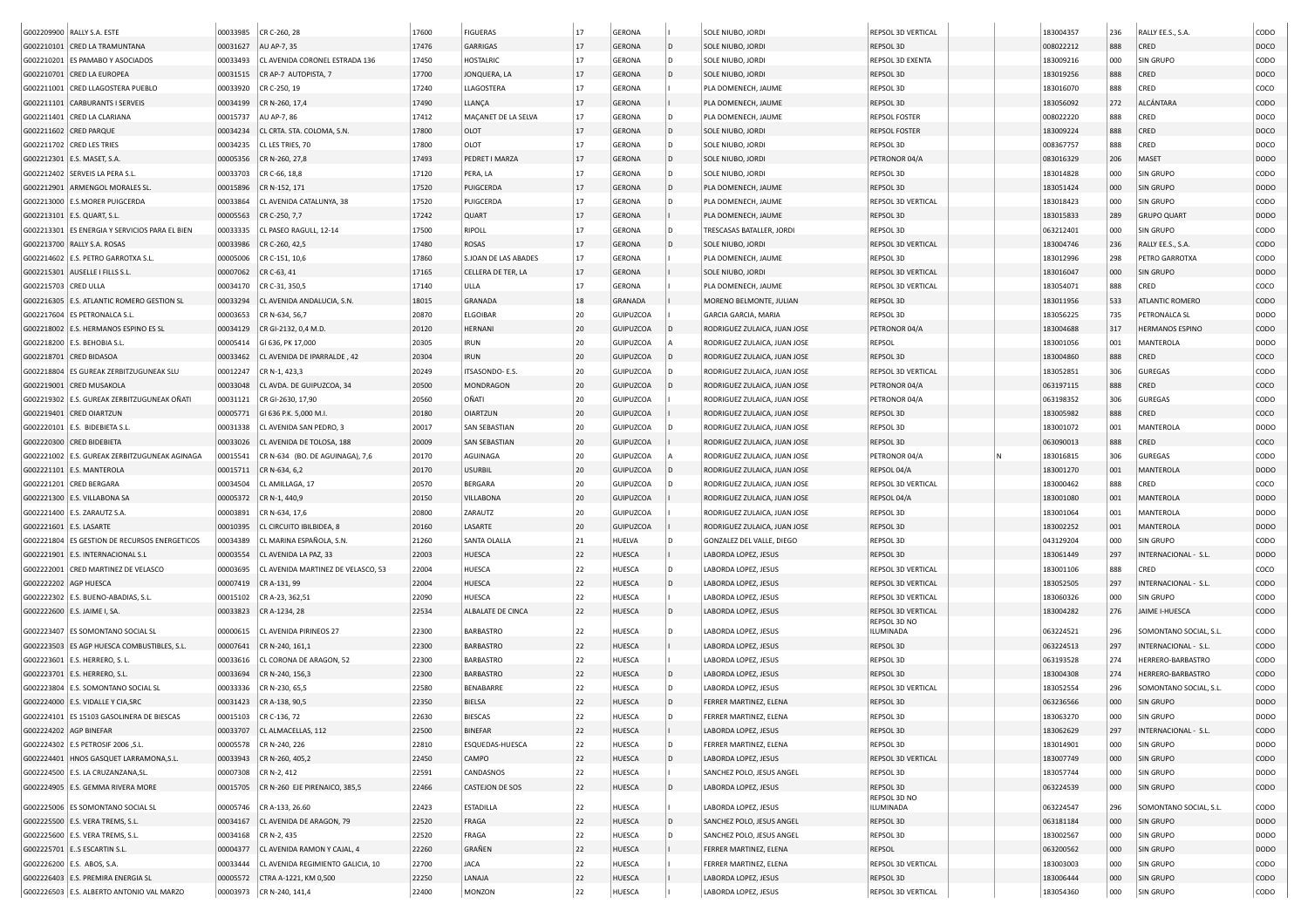|                         | G002209900   RALLY S.A. ESTE                                                    | 00033985 | CR C-260, 28                                      | 17600          | <b>FIGUERAS</b>      | 17       | <b>GERONA</b>           |     | SOLE NIUBO, JORDI                            | REPSOL 3D VERTICAL              |  | 183004357              | 236        | RALLY EE.S., S.A.             | copo                |
|-------------------------|---------------------------------------------------------------------------------|----------|---------------------------------------------------|----------------|----------------------|----------|-------------------------|-----|----------------------------------------------|---------------------------------|--|------------------------|------------|-------------------------------|---------------------|
|                         | G002210101 CRED LA TRAMUNTANA                                                   | 00031627 | AU AP-7, 35                                       | 17476          | <b>GARRIGAS</b>      | 17       | <b>GERONA</b>           |     | SOLE NIUBO, JORD                             | REPSOL 3D                       |  | 008022212              | 888        | CRED                          | DOCO                |
|                         | G002210201 ES PAMABO Y ASOCIADOS                                                | 00033493 | CL AVENIDA CORONEL ESTRADA 136                    | 17450          | HOSTALRIC            | 17       | <b>GERONA</b>           | D   | SOLE NIUBO, JORDI                            | REPSOL 3D EXENTA                |  | 183009216              | 000        | <b>SIN GRUPO</b>              | copo                |
|                         | G002210701 CRED LA EUROPEA                                                      | 00031515 | CR AP-7 AUTOPISTA, 7                              | 17700          | JONQUERA, LA         | 17       | <b>GERONA</b>           |     | SOLE NIUBO, JORDI                            | REPSOL 3D                       |  | 183019256              | 888        | CRED                          | DOCO                |
|                         | G002211001 CRED LLAGOSTERA PUEBLO                                               | 00033920 | CR C-250, 19                                      | 17240          | LLAGOSTERA           | 17       | <b>GERONA</b>           |     | PLA DOMENECH, JAUME                          | REPSOL 3D                       |  | 183016070              | 888        | CRED                          | COCO                |
|                         | G002211101 CARBURANTS I SERVEIS                                                 | 00034199 | CR N-260, 17,4                                    | 17490          | LLANÇA               | 17       | <b>GERONA</b>           |     | PLA DOMENECH, JAUME                          | REPSOL 3D                       |  | 183056092              | 272        | ALCÁNTARA                     | CODO                |
|                         | G002211401 CRED LA CLARIANA                                                     | 00015737 | AU AP-7, 86                                       | 17412          | MAÇANET DE LA SELVA  | 17       | <b>GERONA</b>           | l D | PLA DOMENECH, JAUME                          | <b>REPSOL FOSTER</b>            |  | 008022220              | 888        | CRED                          | DOCO                |
|                         | G002211602 CRED PARQUE                                                          | 00034234 | CL CRTA. STA. COLOMA, S.N.                        | 17800          | OLOT                 | 17       | <b>GERONA</b>           | l D | SOLE NIUBO, JORDI                            | <b>REPSOL FOSTER</b>            |  | 183009224              | 888        | CRED                          | DOCO                |
|                         | G002211702 CRED LES TRIES                                                       | 00034235 | CL LES TRIES, 70                                  | 17800          | OLOT                 | 17       | <b>GERONA</b>           | l D | SOLE NIUBO, JORDI                            | REPSOL 3D                       |  | 008367757              | 888        | CRED                          | DOCO                |
|                         | G002212301 E.S. MASET, S.A.                                                     | 00005356 | CR N-260, 27,8                                    | 17493          | PEDRET I MARZA       | 17       | <b>GERONA</b>           |     | SOLE NIUBO, JORDI                            | PETRONOR 04/A                   |  | 083016329              | 206        | MASET                         | <b>DODO</b>         |
|                         |                                                                                 |          |                                                   | 17120          |                      | 17       | <b>GERONA</b>           | ID. |                                              |                                 |  |                        |            |                               | copo                |
|                         | G002212402   SERVEIS LA PERA S.L.                                               | 00033703 | CR C-66, 18,8                                     |                | PERA, LA             | 17       |                         |     | SOLE NIUBO, JORDI                            | REPSOL 3D                       |  | 183014828              | 000        | <b>SIN GRUPO</b>              |                     |
|                         | G002212901 ARMENGOL MORALES SL                                                  | 00015896 | CR N-152, 171                                     | 17520          | PUIGCERDA            |          | <b>GERONA</b>           |     | PLA DOMENECH, JAUME                          | REPSOL 3D                       |  | 183051424              | 000        | <b>SIN GRUPO</b>              | DOD <sub>O</sub>    |
| G002213000              | <b>E.S.MORER PUIGCERDA</b>                                                      | 00033864 | CL AVENIDA CATALUNYA, 38                          | 17520          | PUIGCERDA            | 17       | <b>GERONA</b>           |     | PLA DOMENECH, JAUME                          | REPSOL 3D VERTICAL              |  | 183018423              | 000        | <b>SIN GRUPO</b>              | copo                |
|                         | G002213101   E.S. QUART, S.L                                                    | 00005563 | CR C-250, 7,7                                     | 17242          | QUART                | 17       | <b>GERONA</b>           |     | PLA DOMENECH, JAUME                          | REPSOL 3D                       |  | 183015833              | 289        | <b>GRUPO QUART</b>            | DODO                |
|                         | G002213301 ES ENERGIA Y SERVICIOS PARA EL BIEN                                  | 00033335 | CL PASEO RAGULL, 12-14                            | 17500          | RIPOLL               | 17       | <b>GERONA</b>           |     | TRESCASAS BATALLER, JORD                     | REPSOL 3D                       |  | 063212401              | 000        | SIN GRUPO                     | copo                |
|                         | G002213700 RALLY S.A. ROSAS                                                     | 00033986 | CR C-260, 42,5                                    | 17480          | <b>ROSAS</b>         | 17       | <b>GERONA</b>           |     | SOLE NIUBO, JORDI                            | REPSOL 3D VERTICAL              |  | 183004746              | 236        | RALLY EE.S., S.A.             | <b>CODO</b>         |
|                         | G002214602   E.S. PETRO GARROTXA S.L.                                           | 00005006 | CR C-151, 10,6                                    | 17860          | S.JOAN DE LAS ABADES | 17       | <b>GERONA</b>           |     | PLA DOMENECH, JAUME                          | REPSOL 3D                       |  | 183012996              | 298        | PETRO GARROTXA                | copo                |
|                         | G002215301 AUSELLE I FILLS S.L                                                  | 00007062 | CR C-63, 41                                       | 17165          | CELLERA DE TER, LA   | 17       | <b>GERONA</b>           |     | SOLE NIUBO, JORDI                            | REPSOL 3D VERTICAL              |  | 183016047              | 000        | <b>SIN GRUPO</b>              | <b>DODO</b>         |
| G002215703 CRED ULLA    |                                                                                 | 00034170 | CR C-31, 350,5                                    | 17140          | ULLA                 | 17       | <b>GERONA</b>           |     | PLA DOMENECH, JAUME                          | REPSOL 3D VERTICAL              |  | 183054071              | 888        | CRED                          | coco                |
|                         | G002216305 E.S. ATLANTIC ROMERO GESTION SL                                      | 00033294 | CL AVENIDA ANDALUCIA, S.N.                        | 18015          | <b>GRANADA</b>       | 18       | <b>GRANADA</b>          |     | MORENO BELMONTE, JULIAN                      | REPSOL 3D                       |  | 183011956              | 533        | ATLANTIC ROMERO               | <b>CODO</b>         |
|                         | G002217604 ES PETRONALCA S.L.                                                   | 00003653 | CR N-634, 56,7                                    | 20870          | ELGOIBAR             | 20       | GUIPUZCOA               |     | GARCIA GARCIA, MARIA                         | REPSOL 3D                       |  | 183056225              | 735        | PETRONALCA SL                 | DODO                |
|                         | G002218002 E.S. HERMANOS ESPINO ES SL                                           | 00034129 | CR GI-2132, 0,4 M.D                               | 20120          | <b>HERNAN</b>        | 20       | GUIPUZCOA               |     | RODRIGUEZ ZULAICA, JUAN JOSE                 | PETRONOR 04/A                   |  | 183004688              | 317        | <b>HERMANOS ESPINO</b>        | <b>CODO</b>         |
|                         | G002218200 E.S. BEHOBIA S.L                                                     | 00005414 | GI 636, PK 17,000                                 | 20305          | <b>IRUN</b>          | 20       | GUIPUZCOA               |     | RODRIGUEZ ZULAICA, JUAN JOSE                 | REPSOL                          |  | 183001056              | 001        | MANTEROLA                     | <b>DODO</b>         |
|                         | G002218701 CRED BIDASOA                                                         | 00033462 | CL AVENIDA DE IPARRALDE, 42                       | 20304          | <b>IRUN</b>          | 20       | GUIPUZCOA               |     | RODRIGUEZ ZULAICA, JUAN JOSE                 | REPSOL 3D                       |  | 183004860              | 888        | CRED                          | coco                |
|                         | G002218804 ES GUREAK ZERBITZUGUNEAK SLU                                         | 00012247 | CR N-1, 423,3                                     | 20249          | ITSASONDO- E.S.      | 20       | GUIPUZCOA               |     | RODRIGUEZ ZULAICA, JUAN JOSE                 | <b>REPSOL 3D VERTICAL</b>       |  | 183052851              | 306        | <b>GUREGAS</b>                | CODO                |
|                         | G002219001 CRED MUSAKOLA                                                        | 00033048 | CL AVDA. DE GUIPUZCOA, 34                         | 20500          | <b>MONDRAGON</b>     | $20\,$   | <b>GUIPUZCOA</b>        |     | RODRIGUEZ ZULAICA, JUAN JOSE                 | PETRONOR 04/A                   |  | 063197115              | 888        | CRED                          | coco                |
|                         | G002219302 E.S. GUREAK ZERBITZUGUNEAK OÑAT                                      | 00031121 | CR GI-2630, 17,90                                 | 20560          | OÑATI                | 20       | <b>GUIPUZCOA</b>        |     | RODRIGUEZ ZULAICA, JUAN JOSE                 | PETRONOR 04/A                   |  | 063198352              | 306        | <b>GUREGAS</b>                | CODO                |
|                         | G002219401 CRED OIARTZUN                                                        | 00005771 | GI 636 P.K. 5,000 M.I                             | 20180          | <b>OIARTZUN</b>      | $20\,$   | <b>GUIPUZCOA</b>        |     | RODRIGUEZ ZULAICA, JUAN JOSE                 | <b>REPSOL 3D</b>                |  | 183005982              | 888        | CRED                          | coco                |
|                         | G002220101 E.S. BIDEBIETA S.L                                                   | 00031338 | CL AVENIDA SAN PEDRO, 3                           | 20017          | <b>SAN SEBASTIAN</b> | 20       | <b>GUIPUZCOA</b>        |     | RODRIGUEZ ZULAICA, JUAN JOSE                 | REPSOL 3D                       |  | 183001072              | 001        | MANTEROLA                     | <b>DODO</b>         |
|                         | G002220300 CRED BIDEBIETA                                                       | 00033026 | CL AVENIDA DE TOLOSA, 188                         | 20009          | <b>SAN SEBASTIAN</b> | 20       | <b>GUIPUZCOA</b>        |     | RODRIGUEZ ZULAICA, JUAN JOSE                 | REPSOL 3D                       |  | 063090013              | 888        | CRED                          | coco                |
|                         | G002221002 E.S. GUREAK ZERBITZUGUNEAK AGINAGA                                   | 00015541 | CR N-634 (BO. DE AGUINAGA), 7,6                   | 20170          | AGUINAGA             | 20       | GUIPUZCOA               |     | RODRIGUEZ ZULAICA, JUAN JOSE                 | PETRONOR 04/A                   |  | 183016815              | 306        | <b>GUREGAS</b>                | CODO                |
|                         | G002221101 E.S. MANTEROLA                                                       | 00015711 | CR N-634, 6,2                                     | 20170          | <b>USURBIL</b>       | $20\,$   | GUIPUZCOA               |     | RODRIGUEZ ZULAICA, JUAN JOSE                 | REPSOL 04/A                     |  | 183001270              | 001        | MANTEROLA                     | DODO                |
|                         | G002221201 CRED BERGARA                                                         | 00034504 | CL AMILLAGA, 17                                   | 20570          | <b>BERGARA</b>       | 20       | GUIPUZCOA               |     | RODRIGUEZ ZULAICA, JUAN JOSE                 | REPSOL 3D VERTICAL              |  | 183000462              | 888        | CRED                          | COCO                |
|                         | G002221300 E.S. VILLABONA SA                                                    | 00005372 | CR N-1, 440,9                                     | 20150          | VILLABONA            | 20       | <b>GUIPUZCOA</b>        |     | RODRIGUEZ ZULAICA, JUAN JOSE                 | REPSOL 04/A                     |  | 183001080              | 001        | MANTEROLA                     | <b>DODO</b>         |
|                         | G002221400   E.S. ZARAUTZ S.A.                                                  | 00003891 | CR N-634, 17,6                                    | 20800          | ZARAUTZ              | 20       | <b>GUIPUZCOA</b>        |     | RODRIGUEZ ZULAICA, JUAN JOSE                 | REPSOL 3D                       |  | 183001064              | 001        | MANTEROLA                     | <b>DODO</b>         |
| G002221601 E.S. LASARTE |                                                                                 | 00010395 | CL CIRCUITO IBILBIDEA, 8                          | 20160          | LASARTE              | 20       | <b>GUIPUZCOA</b>        |     | RODRIGUEZ ZULAICA, JUAN JOSE                 | REPSOL 3D                       |  | 183002252              | 001        | <b>MANTEROLA</b>              | <b>DODO</b>         |
|                         | G002221804 ES GESTION DE RECURSOS ENERGETICOS                                   | 00034389 | CL MARINA ESPAÑOLA, S.N.                          | 21260          | SANTA OLALLA         | 21       | HUELVA                  |     | GONZALEZ DEL VALLE, DIEGO                    | REPSOL 3D                       |  | 043129204              | 000        | SIN GRUPO                     | CODO                |
|                         | G002221901 E.S. INTERNACIONAL S.L                                               | 00003554 | CL AVENIDA LA PAZ, 33                             | 22003          | <b>HUESCA</b>        | 22       | HUESCA                  |     | LABORDA LOPEZ, JESUS                         | REPSOL 3D                       |  | 183061449              | 297        | INTERNACIONAL - S.L.          | <b>DODO</b>         |
|                         | G002222001 CRED MARTINEZ DE VELASCO                                             | 00003695 | CL AVENIDA MARTINEZ DE VELASCO, 53                | 22004          | HUESCA               | 22       | HUESCA                  |     | LABORDA LOPEZ, JESUS                         | REPSOL 3D VERTICAL              |  | 183001106              | 888        | CRED                          | coco                |
| G002222202 AGP HUESCA   |                                                                                 | 00007419 | CR A-131, 99                                      | 22004          | HUESCA               | 22       | HUESCA                  |     | LABORDA LOPEZ, JESUS                         | REPSOL 3D VERTICAL              |  | 183052505              | 297        | INTERNACIONAL - S.L.          | <b>CODO</b>         |
|                         | G002222302 E.S. BUENO-ABADIAS, S.L.                                             | 00015102 | CR A-23, 362,51                                   | 22090          | HUESCA               | 22       | HUESCA                  |     | LABORDA LOPEZ, JESUS                         | REPSOL 3D VERTICAL              |  | 183060326              | 000        | <b>SIN GRUPO</b>              | copo                |
|                         | G002222600 E.S. JAIME I, SA.                                                    | 00033823 | CR A-1234, 28                                     | 22534          | ALBALATE DE CINCA    | 22       | HUESCA                  |     | LABORDA LOPEZ, JESUS                         | REPSOL 3D VERTICAL              |  | 183004282              | 276        | JAIME I-HUESCA                | <b>CODO</b>         |
|                         |                                                                                 |          |                                                   |                |                      |          |                         |     |                                              | REPSOL 3D NO                    |  |                        |            |                               |                     |
|                         | G002223407 ES SOMONTANO SOCIAL SL                                               | 00000615 | CL AVENIDA PIRINEOS 27                            | 22300          | <b>BARBASTRO</b>     | 22       | HUESCA                  |     | LABORDA LOPEZ, JESUS                         | ILUMINADA                       |  | 063224521              | 296        | SOMONTANO SOCIAL, S.L         | CODO                |
|                         | G002223503 ES AGP HUESCA COMBUSTIBLES, S.L.                                     | 00007641 | CR N-240, 161,1                                   | 22300          | <b>BARBASTRO</b>     | 22       | <b>HUESCA</b>           |     | LABORDA LOPEZ, JESUS                         | REPSOL 3D                       |  | 063224513              | 297        | INTERNACIONAL - S.L.          | <b>CODO</b>         |
|                         | G002223601 E.S. HERRERO, S. L.                                                  | 00033616 | CL CORONA DE ARAGON, 52                           | 22300          | <b>BARBASTRO</b>     | 22       | HUESCA                  |     | LABORDA LOPEZ, JESUS                         | REPSOL 3D                       |  | 063193528              | 274        | HERRERO-BARBASTRO             | CODO                |
|                         | G002223701 E.S. HERRERO, S.L                                                    | 00033694 | CR N-240, 156,3                                   | 22300          | <b>BARBASTRO</b>     | 22       | <b>HUESCA</b>           |     | LABORDA LOPEZ, JESUS                         | REPSOL 3D                       |  | 183004308              | 274        | HERRERO-BARBASTRO             | <b>CODO</b>         |
|                         | G002223804 E.S. SOMONTANO SOCIAL SL                                             | 00033336 | CR N-230, 65,5                                    | 22580          | BENABARRE            | 22       | HUESCA                  |     | LABORDA LOPEZ, JESUS                         | REPSOL 3D VERTICAL              |  | 183052554              | 296        | SOMONTANO SOCIAL, S.L         | CODO                |
|                         | G002224000 E.S. VIDALLE Y CIA, SRC                                              | 00031423 | CR A-138, 90,5                                    | 22350          | <b>BIELSA</b>        | 22       | HUESCA                  |     | FERRER MARTINEZ, ELENA                       | REPSOL 3D                       |  | 063236566              | 000        | <b>SIN GRUPO</b>              | <b>DODO</b>         |
|                         | G002224101 ES 15103 GASOLINERA DE BIESCAS                                       | 00015103 | CR C-136, 72                                      | 22630          | <b>BIESCAS</b>       | 22       | HUESCA                  |     | FERRER MARTINEZ, ELENA                       | REPSOL 3D                       |  | 183063270              | 000        | SIN GRUPO                     | DODO                |
| G002224202 AGP BINEFAR  |                                                                                 | 00033707 | CL ALMACELLAS, 112                                | 22500          | <b>BINEFAR</b>       | 22       | <b>HUESCA</b>           |     | LABORDA LOPEZ, JESUS                         | REPSOL 3D                       |  | 183062629              | 297        | INTERNACIONAL - S.L.          | CODO                |
|                         | G002224302   E.S PETROSIF 2006 , S.L.                                           | 00005578 | CR N-240, 226                                     | 22810          | ESQUEDAS-HUESCA      | 22       | HUESCA                  |     | FERRER MARTINEZ, ELENA                       | REPSOL 3D                       |  | 183014901              | 000        | <b>SIN GRUPO</b>              | <b>DODO</b>         |
|                         | G002224401   HNOS GASQUET LARRAMONA, S.L.                                       | 00033943 | CR N-260, 405,2                                   | 22450          | CAMPO                | 22       | HUESCA                  |     | LABORDA LOPEZ, JESUS                         | REPSOL 3D VERTICAL              |  | 183007749              | 000        | SIN GRUPO                     | CODO                |
|                         | G002224500 E.S. LA CRUZANZANA, SL.                                              | 00007308 | CR N-2, 412                                       | 22591          | CANDASNOS            | 22       | <b>HUESCA</b>           |     | SANCHEZ POLO, JESUS ANGEL                    | REPSOL 3D                       |  | 183057744              | 000        | <b>SIN GRUPO</b>              | <b>DODO</b>         |
|                         | G002224905 E.S. GEMMA RIVERA MORE                                               | 00015705 | CR N-260 EJE PIRENAICO, 385,5                     | 22466          | CASTEJON DE SOS      | 22       | <b>HUESCA</b>           |     | LABORDA LOPEZ, JESUS                         | REPSOL 3D                       |  | 063224539              | 000        | <b>SIN GRUPO</b>              | <b>CODO</b>         |
|                         |                                                                                 |          |                                                   |                |                      |          |                         |     |                                              | REPSOL 3D NO                    |  |                        |            |                               |                     |
|                         | G002225006 ES SOMONTANO SOCIAL SL                                               | 00005746 | CR A-133, 26.60                                   | 22423          | <b>ESTADILLA</b>     | 22       | HUESCA                  |     | LABORDA LOPEZ, JESUS                         | ILUMINADA                       |  | 063224547              | 296        | SOMONTANO SOCIAL, S.L         | CODO                |
|                         | G002225500 E.S. VERA TREMS, S.L.                                                | 00034167 | CL AVENIDA DE ARAGON, 79                          | 22520          | FRAGA                | 22       | <b>HUESCA</b>           |     | SANCHEZ POLO, JESUS ANGEL                    | REPSOL 3D                       |  | 063181184              | 000        | <b>SIN GRUPO</b>              | <b>DODO</b>         |
|                         | G002225600 E.S. VERA TREMS, S.L.                                                | 00034168 | CR N-2, 435                                       | 22520          | FRAGA                | 22       | HUESCA                  |     | SANCHEZ POLO, JESUS ANGEL                    | REPSOL 3D                       |  | 183002567              | 000        | SIN GRUPO                     | <b>DODO</b>         |
|                         |                                                                                 |          |                                                   |                |                      |          |                         |     |                                              |                                 |  |                        |            |                               | <b>DODO</b>         |
|                         | G002225701 ES ESCARTIN S.L.                                                     | 00004377 | CL AVENIDA RAMON Y CAJAL, 4                       | 22260          | GRAÑEN               | 22       | HUESCA                  |     | FERRER MARTINEZ, ELENA                       | REPSOL                          |  | 063200562              | 000        | <b>SIN GRUPO</b>              |                     |
|                         | G002226200 E.S. ABOS, S.A.                                                      | 00033444 | CL AVENIDA REGIMIENTO GALICIA, 10                 | 22700          | <b>JACA</b>          | 22       | HUESCA                  |     | FERRER MARTINEZ, ELENA                       | REPSOL 3D VERTICAL              |  | 183003003              | 000        | SIN GRUPO                     | CODO                |
|                         | G002226403 E.S. PREMIRA ENERGIA SL<br>G002226503 E.S. ALBERTO ANTONIO VAL MARZO | 00005572 | CTRA A-1221, KM 0,500<br>00003973 CR N-240, 141,4 | 22250<br>22400 | LANAJA<br>MONZON     | 22<br>22 | <b>HUESCA</b><br>HUESCA |     | LABORDA LOPEZ, JESUS<br>LABORDA LOPEZ, JESUS | REPSOL 3D<br>REPSOL 3D VERTICAL |  | 183006444<br>183054360 | 000<br>000 | <b>SIN GRUPO</b><br>SIN GRUPO | <b>CODO</b><br>CODO |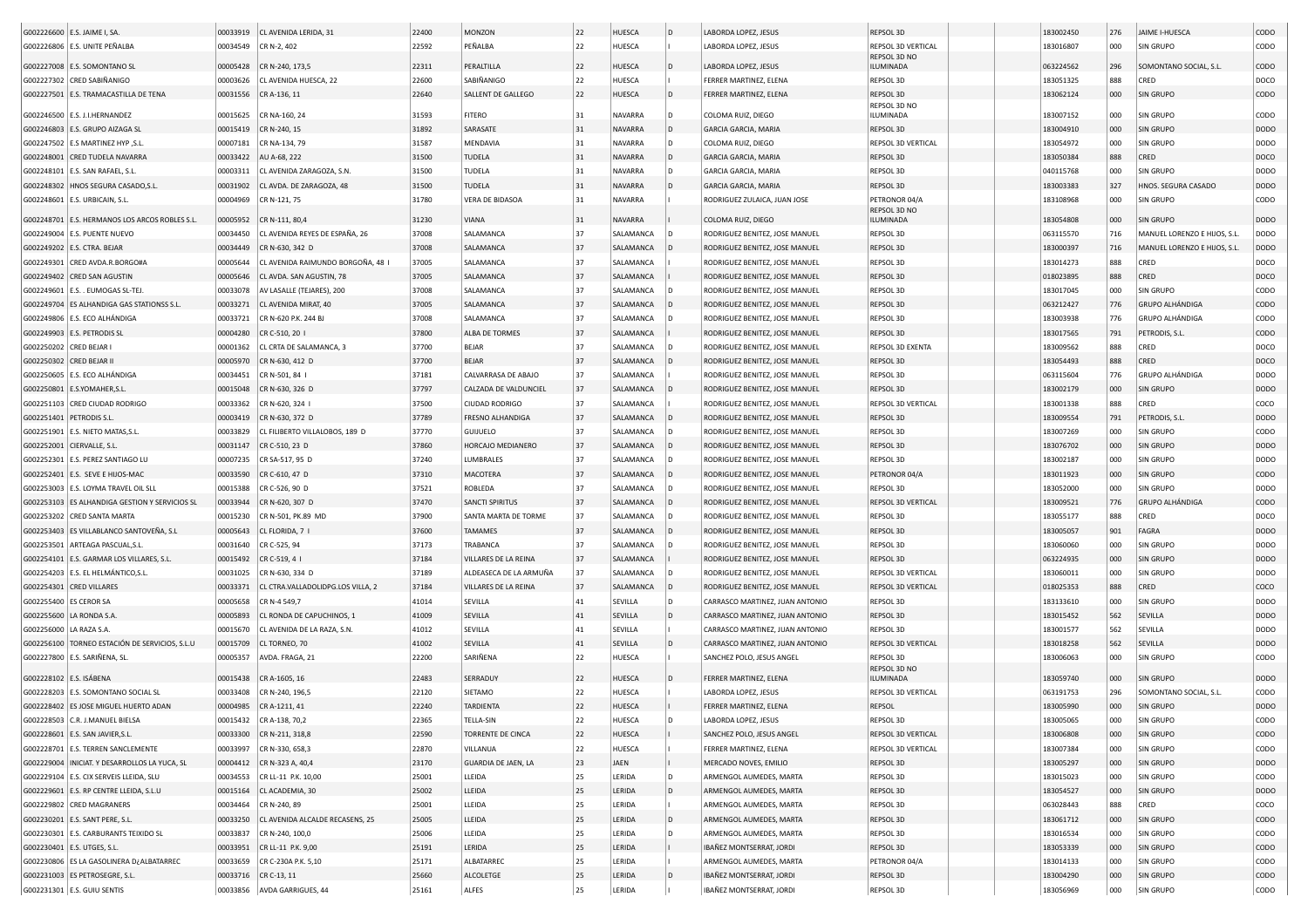|                           | G002226600   E.S. JAIME I, SA.                   |          | 00033919 CL AVENIDA LERIDA, 31    | 22400 | <b>MONZON</b>              | 22 | <b>HUESCA</b>  | D            | LABORDA LOPEZ, JESUS            | REPSOL 3D                     | 183002450 | 276 | JAIME I-HUESCA               | CODO        |
|---------------------------|--------------------------------------------------|----------|-----------------------------------|-------|----------------------------|----|----------------|--------------|---------------------------------|-------------------------------|-----------|-----|------------------------------|-------------|
|                           | G002226806 E.S. UNITE PEÑALBA                    | 00034549 | CR N-2, 402                       | 22592 | PEÑALBA                    | 22 | HUESCA         |              | LABORDA LOPEZ, JESUS            | REPSOL 3D VERTICAL            | 183016807 | 000 | <b>SIN GRUPO</b>             | CODO        |
|                           |                                                  |          |                                   |       |                            |    |                |              |                                 | REPSOL 3D NO                  |           |     |                              |             |
|                           | G002227008 E.S. SOMONTANO SL                     | 00005428 | CR N-240, 173,5                   | 22311 | PERALTILLA                 | 22 | HUESCA         | D            | LABORDA LOPEZ, JESUS            | ILUMINADA                     | 063224562 | 296 | SOMONTANO SOCIAL, S.L.       | CODO        |
|                           | G002227302 CRED SABIÑANIGO                       | 00003626 | CL AVENIDA HUESCA, 22             | 22600 | SABIÑANIGO                 | 22 | <b>HUESCA</b>  |              | FERRER MARTINEZ, ELENA          | REPSOL 3D                     | 183051325 | 888 | CRED                         | DOCO        |
|                           | G002227501 E.S. TRAMACASTILLA DE TENA            | 00031556 | CR A-136, 11                      | 22640 | SALLENT DE GALLEGO         | 22 | <b>HUESCA</b>  |              | FERRER MARTINEZ, ELENA          | REPSOL 3D                     | 183062124 | 000 | <b>SIN GRUPO</b>             | CODO        |
|                           | G002246500 E.S. J.I.HERNANDEZ                    | 00015625 | CR NA-160, 24                     | 31593 | <b>FITERO</b>              | 31 | <b>NAVARRA</b> |              | COLOMA RUIZ, DIEGO              | REPSOL 3D NO<br>ILUMINADA     | 183007152 | 000 | SIN GRUPO                    | CODO        |
|                           |                                                  |          |                                   | 31892 | SARASATE                   | 31 | NAVARRA        | D            | <b>GARCIA GARCIA, MARIA</b>     | REPSOL 3D                     | 183004910 | 000 | <b>SIN GRUPO</b>             | <b>DODO</b> |
|                           | G002246803 E.S. GRUPO AIZAGA SL                  | 00015419 | CR N-240, 15                      |       |                            |    |                |              |                                 |                               |           |     |                              |             |
|                           | G002247502   E.S MARTINEZ HYP , S.L.             | 00007181 | CR NA-134, 79                     | 31587 | MENDAVIA                   | 31 | <b>NAVARRA</b> |              | COLOMA RUIZ, DIEGO              | REPSOL 3D VERTICAL            | 183054972 | 000 | SIN GRUPO                    | <b>DODO</b> |
|                           | G002248001 CRED TUDELA NAVARRA                   | 00033422 | AU A-68, 222                      | 31500 | TUDELA                     | 31 | NAVARRA        | D            | GARCIA GARCIA, MARIA            | REPSOL 3D                     | 183050384 | 888 | CRED                         | DOCO        |
|                           | G002248101   E.S. SAN RAFAEL, S.L.               | 00003311 | CL AVENIDA ZARAGOZA, S.N          | 31500 | TUDELA                     | 31 | <b>NAVARRA</b> | l D          | GARCIA GARCIA, MARIA            | REPSOL 3D                     | 040115768 | 000 | SIN GRUPO                    | <b>DODO</b> |
|                           | G002248302   HNOS SEGURA CASADO, S.L             | 00031902 | CL AVDA. DE ZARAGOZA, 48          | 31500 | TUDELA                     | 31 | <b>NAVARRA</b> |              | <b>GARCIA GARCIA, MARIA</b>     | REPSOL 3D                     | 183003383 | 327 | HNOS. SEGURA CASADO          | <b>DODO</b> |
|                           | G002248601   E.S. URBICAIN, S.L.                 | 00004969 | CR N-121, 75                      | 31780 | VERA DE BIDASOA            | 31 | <b>NAVARRA</b> |              | RODRIGUEZ ZULAICA, JUAN JOSE    | PETRONOR 04/A<br>REPSOL 3D NO | 183108968 | 000 | <b>SIN GRUPO</b>             | CODO        |
|                           | G002248701 E.S. HERMANOS LOS ARCOS ROBLES S.L.   | 00005952 | CR N-111, 80,4                    | 31230 | VIANA                      | 31 | NAVARRA        |              | COLOMA RUIZ, DIEGO              | ILUMINADA                     | 183054808 | 000 | <b>SIN GRUPO</b>             | <b>DODO</b> |
|                           | G002249004 E.S. PUENTE NUEVO                     | 00034450 | CL AVENIDA REYES DE ESPAÑA, 26    | 37008 | SALAMANCA                  | 37 | SALAMANCA      |              | RODRIGUEZ BENITEZ, JOSE MANUEL  | REPSOL 3D                     | 063115570 | 716 | MANUEL LORENZO E HIJOS, S.L. | <b>DODO</b> |
|                           | G002249202   E.S. CTRA. BEJAR                    | 00034449 | CR N-630, 342 D                   | 37008 | SALAMANCA                  | 37 | SALAMANCA      |              | RODRIGUEZ BENITEZ, JOSE MANUEL  | REPSOL 3D                     | 183000397 | 716 | MANUEL LORENZO E HIJOS, S.L. | <b>DODO</b> |
| G002249301                | CRED AVDA.R.BORGO#A                              | 00005644 | CL AVENIDA RAIMUNDO BORGOÑA, 48   | 37005 | SALAMANCA                  | 37 | SALAMANCA      |              | RODRIGUEZ BENITEZ, JOSE MANUEL  | REPSOL 3D                     | 183014273 | 888 | CRED                         | DOCO        |
|                           | G002249402 CRED SAN AGUSTIN                      | 00005646 | CL AVDA. SAN AGUSTIN, 78          | 37005 | SALAMANCA                  | 37 | SALAMANCA      |              | RODRIGUEZ BENITEZ, JOSE MANUEL  | REPSOL 3D                     | 018023895 | 888 | CRED                         | DOCO        |
|                           | G002249601   E.S. . EUMOGAS SL-TEJ.              | 00033078 | AV LASALLE (TEJARES), 200         | 37008 | SALAMANCA                  | 37 | SALAMANCA      |              | RODRIGUEZ BENITEZ, JOSE MANUEL  | REPSOL 3D                     | 183017045 | 000 | <b>SIN GRUPO</b>             | CODO        |
|                           | G002249704 ES ALHANDIGA GAS STATIONSS S.L.       | 00033271 | CL AVENIDA MIRAT, 40              | 37005 | SALAMANCA                  | 37 | SALAMANCA      |              | RODRIGUEZ BENITEZ, JOSE MANUEL  | REPSOL 3D                     | 063212427 | 776 | <b>GRUPO ALHÁNDIGA</b>       | CODO        |
|                           | G002249806   E.S. ECO ALHÁNDIGA                  | 00033721 | CR N-620 P.K. 244 BJ              | 37008 | SALAMANCA                  | 37 | SALAMANCA      |              | RODRIGUEZ BENITEZ, JOSE MANUEL  | REPSOL 3D                     | 183003938 | 776 | <b>GRUPO ALHÁNDIGA</b>       | CODO        |
|                           | G002249903 E.S. PETRODIS SL                      | 00004280 | CR C-510, 20                      | 37800 | ALBA DE TORMES             | 37 | SALAMANCA      |              | RODRIGUEZ BENITEZ, JOSE MANUEL  | REPSOL 3D                     | 183017565 | 791 | PETRODIS, S.L.               | CODO        |
| G002250202 CRED BEJAR I   |                                                  | 00001362 | CL CRTA DE SALAMANCA, 3           | 37700 | <b>BEJAR</b>               | 37 | SALAMANCA      |              | RODRIGUEZ BENITEZ, JOSE MANUEL  | REPSOL 3D EXENTA              | 183009562 | 888 | CRED                         | DOCO        |
| G002250302 CRED BEJAR II  |                                                  | 00005970 | CR N-630, 412 D                   | 37700 | <b>BEJAR</b>               | 37 | SALAMANCA      |              | RODRIGUEZ BENITEZ, JOSE MANUEL  | REPSOL 3D                     | 183054493 | 888 | CRED                         | DOCO        |
|                           | G002250605   E.S. ECO ALHÁNDIGA                  | 00034451 | CR N-501, 84 I                    | 37181 | CALVARRASA DE ABAJO        | 37 | SALAMANCA      |              | RODRIGUEZ BENITEZ, JOSE MANUEL  | REPSOL 3D                     | 063115604 | 776 | <b>GRUPO ALHÁNDIGA</b>       | <b>DODO</b> |
|                           |                                                  |          |                                   |       |                            |    |                |              |                                 |                               |           |     |                              |             |
|                           | G002250801 E.S.YOMAHER,S.L                       | 00015048 | CR N-630, 326 D                   | 37797 | CALZADA DE VALDUNCIEL      | 37 | SALAMANCA      |              | RODRIGUEZ BENITEZ, JOSE MANUEL  | REPSOL 3D                     | 183002179 | 000 | <b>SIN GRUPO</b>             | <b>DODO</b> |
|                           | G002251103 CRED CIUDAD RODRIGO                   | 00033362 | CR N-620, 324 I                   | 37500 | CIUDAD RODRIGO             | 37 | SALAMANCA      |              | RODRIGUEZ BENITEZ, JOSE MANUEL  | REPSOL 3D VERTICAL            | 183001338 | 888 | CRED                         | coco        |
| G002251401 PETRODIS S.L.  |                                                  | 00003419 | CR N-630, 372 D                   | 37789 | FRESNO ALHANDIGA           | 37 | SALAMANCA      |              | RODRIGUEZ BENITEZ, JOSE MANUEL  | REPSOL 3D                     | 183009554 | 791 | PETRODIS, S.L                | <b>DODO</b> |
|                           | G002251901 E.S. NIETO MATAS, S.L                 | 00033829 | CL FILIBERTO VILLALOBOS, 189 D    | 37770 | <b>GUIJUELO</b>            | 37 | SALAMANCA      |              | RODRIGUEZ BENITEZ, JOSE MANUEL  | REPSOL 3D                     | 183007269 | 000 | SIN GRUPO                    | CODO        |
| G002252001 CIERVALLE, S.L |                                                  | 00031147 | CR C-510, 23 D                    | 37860 | HORCAJO MEDIANERO          | 37 | SALAMANCA      |              | RODRIGUEZ BENITEZ, JOSE MANUEL  | REPSOL 3D                     | 183076702 | 000 | <b>SIN GRUPO</b>             | <b>DODO</b> |
|                           | G002252301   E.S. PEREZ SANTIAGO LU              | 00007235 | CR SA-517, 95 D                   | 37240 | LUMBRALES                  | 37 | SALAMANCA      |              | RODRIGUEZ BENITEZ, JOSE MANUEL  | REPSOL 3D                     | 183002187 | 000 | SIN GRUPO                    | <b>DODO</b> |
|                           | G002252401   E.S. SEVE E HIJOS-MAC               | 00033590 | CR C-610, 47 D                    | 37310 | MACOTERA                   | 37 | SALAMANCA      |              | RODRIGUEZ BENITEZ, JOSE MANUEL  | PETRONOR 04/A                 | 183011923 | 000 | <b>SIN GRUPO</b>             | CODO        |
|                           | G002253003   E.S. LOYMA TRAVEL OIL SLI           | 00015388 | CR C-526, 90 D                    | 37521 | <b>ROBLEDA</b>             | 37 | SALAMANCA      |              | RODRIGUEZ BENITEZ, JOSE MANUEL  | REPSOL 3D                     | 183052000 | 000 | <b>SIN GRUPO</b>             | <b>DODO</b> |
|                           | G002253103 ES ALHANDIGA GESTION Y SERVICIOS SL   | 00033944 | CR N-620, 307 D                   | 37470 | <b>SANCTI SPIRITUS</b>     | 37 | SALAMANCA      |              | RODRIGUEZ BENITEZ, JOSE MANUEL  | REPSOL 3D VERTICAL            | 183009521 | 776 | <b>GRUPO ALHÁNDIGA</b>       | CODO        |
|                           | G002253202 CRED SANTA MARTA                      | 00015230 | CR N-501, PK.89 MD                | 37900 | SANTA MARTA DE TORME       | 37 | SALAMANCA      |              | RODRIGUEZ BENITEZ, JOSE MANUEL  | REPSOL 3D                     | 183055177 | 888 | CRED                         | DOCO        |
|                           | G002253403 ES VILLABLANCO SANTOVEÑA, S.L         | 00005643 | CL FLORIDA, 7                     | 37600 | <b>TAMAMES</b>             | 37 | SALAMANCA      |              | RODRIGUEZ BENITEZ, JOSE MANUEL  | REPSOL 3D                     | 183005057 | 901 | <b>FAGRA</b>                 | <b>DODO</b> |
|                           | G002253501 ARTEAGA PASCUAL,S.L                   | 00031640 | CR C-525, 94                      | 37173 | TRABANCA                   | 37 | SALAMANCA      |              | RODRIGUEZ BENITEZ, JOSE MANUEL  | REPSOL 3D                     | 183060060 | 000 | SIN GRUPO                    | <b>DODO</b> |
|                           | G002254101 E.S. GARMAR LOS VILLARES, S.L         | 00015492 | CR C-519, 4                       | 37184 | VILLARES DE LA REINA       | 37 | SALAMANCA      |              | RODRIGUEZ BENITEZ, JOSE MANUEL  | REPSOL 3D                     | 063224935 | 000 | SIN GRUPO                    | <b>DODO</b> |
|                           | G002254203   E.S. EL HELMÁNTICO, S.L             | 00031025 | CR N-630, 334 D                   | 37189 | ALDEASECA DE LA ARMUÑA     | 37 | SALAMANCA      |              | RODRIGUEZ BENITEZ, JOSE MANUEL  | REPSOL 3D VERTICAL            | 183060011 | 000 | <b>SIN GRUPO</b>             | <b>DODO</b> |
|                           | G002254301 CRED VILLARES                         | 00033371 | CL CTRA.VALLADOLIDPG.LOS VILLA, 2 | 37184 | VILLARES DE LA REINA       | 37 | SALAMANCA      |              | RODRIGUEZ BENITEZ, JOSE MANUEL  | REPSOL 3D VERTICAL            | 018025353 | 888 | CRED                         | coco        |
| G002255400 ES CEROR SA    |                                                  | 00005658 | CR N-4 549,7                      | 41014 | SEVILLA                    | 41 | SEVILLA        | ID.          | CARRASCO MARTINEZ, JUAN ANTONIO | REPSOL 3D                     | 183133610 | 000 | SIN GRUPO                    | <b>DODO</b> |
|                           | G002255600 LA RONDA S.A                          | 00005893 | CL RONDA DE CAPUCHINOS, 1         | 41009 | SEVILLA                    | 41 | SEVILLA        |              | CARRASCO MARTINEZ, JUAN ANTONIO | REPSOL 3D                     | 183015452 | 562 | SEVILLA                      | <b>DODO</b> |
| G002256000   LA RAZA S.A. |                                                  | 00015670 | CL AVENIDA DE LA RAZA, S.N.       | 41012 | SEVILLA                    | 41 | SEVILLA        |              | CARRASCO MARTINEZ, JUAN ANTONIO | REPSOL 3D                     | 183001577 | 562 | SEVILLA                      | <b>DODO</b> |
|                           | G002256100   TORNEO ESTACIÓN DE SERVICIOS, S.L.U | 00015709 | CL TORNEO, 70                     | 41002 | SEVILLA                    | 41 | SEVILLA        |              | CARRASCO MARTINEZ, JUAN ANTONIO | REPSOL 3D VERTICAL            | 183018258 | 562 | SEVILLA                      | <b>DODO</b> |
|                           | G002227800 E.S. SARIÑENA, SL                     | 00005357 | AVDA. FRAGA, 21                   | 22200 | SARIÑENA                   | 22 | HUESCA         |              | SANCHEZ POLO, JESUS ANGEL       | REPSOL 3D                     | 183006063 | 000 | <b>SIN GRUPO</b>             | CODO        |
|                           |                                                  |          |                                   | 22483 |                            | 22 |                |              |                                 | REPSOL 3D NO                  |           |     |                              | <b>DODO</b> |
| G002228102 E.S. ISÁBENA   |                                                  | 00015438 | CR A-1605, 16                     |       | SERRADUY                   |    | HUESCA         |              | FERRER MARTINEZ, ELENA          | ILUMINADA                     | 183059740 | 000 | <b>SIN GRUPO</b>             |             |
|                           | G002228203 E.S. SOMONTANO SOCIAL SL              | 00033408 | CR N-240, 196,5                   | 22120 | SIETAMO                    | 22 | HUESCA         |              | LABORDA LOPEZ, JESUS            | REPSOL 3D VERTICAL            | 063191753 | 296 | SOMONTANO SOCIAL, S.L.       | CODO        |
|                           | G002228402 ES JOSE MIGUEL HUERTO ADAN            | 00004985 | CR A-1211, 41                     | 22240 | <b>TARDIENTA</b>           | 22 | <b>HUESCA</b>  |              | FERRER MARTINEZ, ELENA          | <b>REPSOL</b>                 | 183005990 | 000 | <b>SIN GRUPO</b>             | <b>DODO</b> |
|                           | G002228503 C.R. J.MANUEL BIELSA                  |          | 00015432 CR A-138, 70,2           | 22365 | TELLA-SIN                  |    | HUESCA         |              | LABORDA LOPEZ, JESUS            | REPSOL 3D                     | 183005065 | ooo | <b>SIN GRUPO</b>             | <b>CODO</b> |
|                           | G002228601 E.S. SAN JAVIER, S.L.                 |          | 00033300 CR N-211, 318,8          | 22590 | <b>TORRENTE DE CINCA</b>   | 22 | HUESCA         |              | SANCHEZ POLO, JESUS ANGEL       | REPSOL 3D VERTICAL            | 183006808 | 000 | SIN GRUPO                    | CODO        |
|                           | G002228701 E.S. TERREN SANCLEMENTE               |          | 00033997 CR N-330, 658,3          | 22870 | VILLANUA                   | 22 | HUESCA         |              | FERRER MARTINEZ, ELENA          | REPSOL 3D VERTICAL            | 183007384 | 000 | SIN GRUPO                    | CODO        |
|                           | G002229004   INICIAT. Y DESARROLLOS LA YUCA, SL  |          | 00004412 CR N-323 A, 40,4         | 23170 | <b>GUARDIA DE JAEN, LA</b> | 23 | JAEN           |              | MERCADO NOVES, EMILIO           | REPSOL 3D                     | 183005297 | 000 | <b>SIN GRUPO</b>             | <b>DODO</b> |
|                           | G002229104 E.S. CIX SERVEIS LLEIDA, SLU          |          | 00034553 CR LL-11 P.K. 10,00      | 25001 | LLEIDA                     | 25 | LERIDA         | D            | ARMENGOL AUMEDES, MARTA         | REPSOL 3D                     | 183015023 | 000 | <b>SIN GRUPO</b>             | CODO        |
|                           | G002229601 E.S. RP CENTRE LLEIDA, S.L.U          |          | 00015164 CL ACADEMIA, 30          | 25002 | LLEIDA                     | 25 | LERIDA         | $\mathsf{D}$ | ARMENGOL AUMEDES, MARTA         | REPSOL 3D                     | 183054527 | 000 | <b>SIN GRUPO</b>             | <b>DODO</b> |
|                           | G002229802 CRED MAGRANERS                        | 00034464 | CR N-240, 89                      | 25001 | LLEIDA                     | 25 | LERIDA         |              | ARMENGOL AUMEDES, MARTA         | REPSOL 3D                     | 063028443 | 888 | CRED                         | COCO        |
|                           | G002230201 E.S. SANT PERE, S.L.                  | 00033250 | CL AVENIDA ALCALDE RECASENS, 25   | 25005 | LLEIDA                     | 25 | LERIDA         | $\mathsf{D}$ | ARMENGOL AUMEDES, MARTA         | REPSOL 3D                     | 183061712 | 000 | <b>SIN GRUPO</b>             | CODO        |
|                           | G002230301 E.S. CARBURANTS TEIXIDO SL            |          | 00033837 CR N-240, 100,0          | 25006 | LLEIDA                     | 25 | LERIDA         | D            | ARMENGOL AUMEDES, MARTA         | REPSOL 3D                     | 183016534 | 000 | <b>SIN GRUPO</b>             | CODO        |
|                           | G002230401 E.S. UTGES, S.L.                      |          | 00033951 CR LL-11 P.K. 9,00       | 25191 | LERIDA                     | 25 | LERIDA         |              | IBAÑEZ MONTSERRAT, JORDI        | REPSOL 3D                     | 183053339 | 000 | <b>SIN GRUPO</b>             | CODO        |
|                           | G002230806 ES LA GASOLINERA D¿ALBATARREC         |          | 00033659 CR C-230A P.K. 5,10      | 25171 | ALBATARREC                 | 25 | LERIDA         |              | ARMENGOL AUMEDES, MARTA         | PETRONOR 04/A                 | 183014133 | 000 | <b>SIN GRUPO</b>             | CODO        |
|                           | G002231003 ES PETROSEGRE, S.L                    |          | 00033716 CR C-13, 11              | 25660 | <b>ALCOLETGE</b>           | 25 | LERIDA         |              | IBAÑEZ MONTSERRAT, JORDI        | REPSOL 3D                     | 183004290 | 000 | <b>SIN GRUPO</b>             | CODO        |
|                           | G002231301 E.S. GUIU SENTIS                      |          | 00033856 AVDA GARRIGUES, 44       | 25161 | ALFES                      | 25 | LERIDA         |              | IBAÑEZ MONTSERRAT, JORDI        | REPSOL 3D                     | 183056969 | 000 | <b>SIN GRUPO</b>             | CODO        |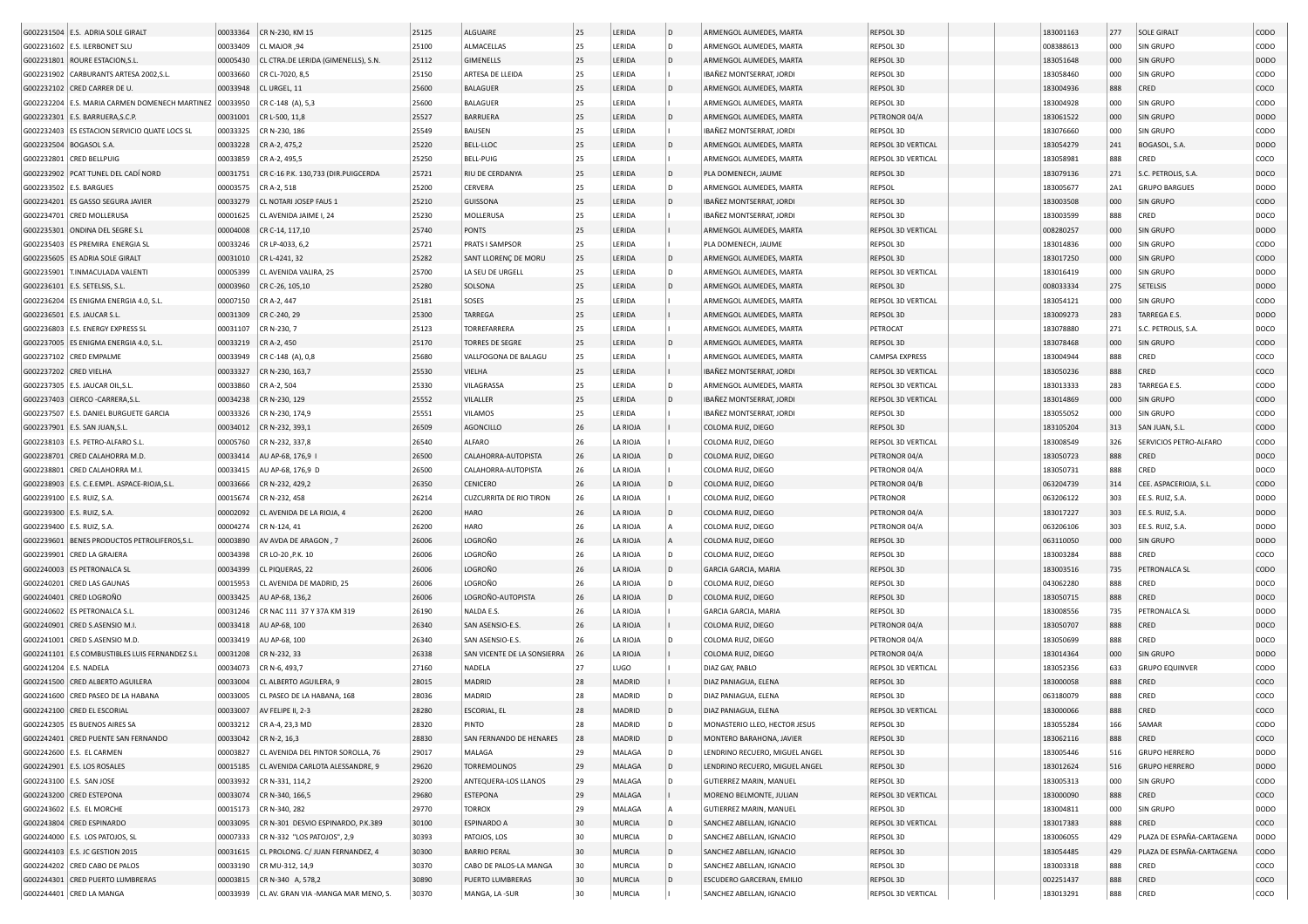|                              | G002231504 E.S. ADRIA SOLE GIRALT              | 00033364 | CR N-230, KM 15                     | 25125 | ALGUAIRE                       | 25 | LERIDA        | l D | ARMENGOL AUMEDES, MARTA        | REPSOL 3D                 | 183001163 | 277 | <b>SOLE GIRALT</b>        | CODO        |
|------------------------------|------------------------------------------------|----------|-------------------------------------|-------|--------------------------------|----|---------------|-----|--------------------------------|---------------------------|-----------|-----|---------------------------|-------------|
|                              |                                                |          |                                     |       |                                |    |               | D   | ARMENGOL AUMEDES, MARTA        |                           |           |     |                           |             |
|                              | G002231602   E.S. ILERBONET SLU                | 00033409 | CL MAJOR ,94                        | 25100 | ALMACELLAS                     | 25 | LERIDA        |     |                                | REPSOL 3D                 | 008388613 | 000 | SIN GRUPO                 | CODO        |
|                              | G002231801 ROURE ESTACION, S.L                 | 00005430 | CL CTRA.DE LERIDA (GIMENELLS), S.N. | 25112 | <b>GIMENELLS</b>               | 25 | LERIDA        |     | ARMENGOL AUMEDES, MARTA        | REPSOL 3D                 | 183051648 | 000 | <b>SIN GRUPO</b>          | DODO        |
|                              | G002231902 CARBURANTS ARTESA 2002, S.L.        | 00033660 | CR CL-7020, 8,5                     | 25150 | ARTESA DE LLEIDA               | 25 | LERIDA        |     | IBAÑEZ MONTSERRAT, JORDI       | REPSOL 3D                 | 183058460 | 000 | SIN GRUPO                 | CODO        |
|                              | G002232102 CRED CARRER DE U                    | 00033948 | CL URGEL, 11                        | 25600 | <b>BALAGUEF</b>                | 25 | LERIDA        |     | ARMENGOL AUMEDES, MARTA        | REPSOL 3D                 | 183004936 | 888 | CRED                      | COCO        |
|                              | G002232204 E.S. MARIA CARMEN DOMENECH MARTINEZ | 00033950 | CR C-148 (A), 5,3                   | 25600 | <b>BALAGUER</b>                | 25 | LERIDA        |     | ARMENGOL AUMEDES, MARTA        | REPSOL 3D                 | 183004928 | 000 | SIN GRUPO                 | CODO        |
| G002232301                   | E.S. BARRUERA.S.C.P                            | 00031001 | CR L-500, 11,8                      | 25527 | <b>BARRUERA</b>                | 25 | LERIDA        |     | ARMENGOL AUMEDES, MARTA        | PETRONOR 04/A             | 183061522 | 000 | <b>SIN GRUPO</b>          | <b>DODO</b> |
|                              | G002232403 ES ESTACION SERVICIO QUATE LOCS SL  | 00033325 | CR N-230, 186                       | 25549 | BAUSEN                         | 25 | LERIDA        |     | IBAÑEZ MONTSERRAT, JORDI       | REPSOL 3D                 | 183076660 | 000 | SIN GRUPO                 | CODO        |
| G002232504                   | <b>BOGASOL S.A.</b>                            | 00033228 | CR A-2, 475,2                       | 25220 | <b>BELL-LLOC</b>               | 25 | LERIDA        | D   | ARMENGOL AUMEDES, MARTA        | REPSOL 3D VERTICAL        | 183054279 | 241 | BOGASOL, S.A.             | <b>DODO</b> |
|                              |                                                |          |                                     |       |                                |    |               |     |                                |                           |           |     |                           |             |
| G002232801                   | <b>CRED BELLPUIG</b>                           | 00033859 | CR A-2, 495,5                       | 25250 | <b>BELL-PUIG</b>               | 25 | LERIDA        |     | ARMENGOL AUMEDES, MARTA        | REPSOL 3D VERTICAL        | 183058981 | 888 | CRED                      | coco        |
| G002232902                   | PCAT TUNEL DEL CADÍ NORD                       | 00031751 | CR C-16 P.K. 130,733 (DIR.PUIGCERDA | 25721 | RIU DE CERDANYA                | 25 | LERIDA        | D   | PLA DOMENECH, JAUME            | REPSOL 3D                 | 183079136 | 271 | S.C. PETROLIS, S.A.       | DOCO        |
| G002233502                   | <b>E.S. BARGUES</b>                            | 00003575 | CR A-2, 518                         | 25200 | CERVERA                        | 25 | LERIDA        | D   | ARMENGOL AUMEDES, MARTA        | REPSOL                    | 183005677 | 2A1 | <b>GRUPO BARGUES</b>      | <b>DODO</b> |
| G002234201                   | ES GASSO SEGURA JAVIER                         | 00033279 | CL NOTARI JOSEP FAUS 1              | 25210 | GUISSONA                       | 25 | LERIDA        | D   | IBAÑEZ MONTSERRAT, JORDI       | REPSOL 3D                 | 183003508 | 000 | SIN GRUPO                 | copo        |
|                              | G002234701 CRED MOLLERUSA                      | 00001625 | CL AVENIDA JAIME I. 24              | 25230 | MOLLERUSA                      | 25 | LERIDA        |     | IBAÑEZ MONTSERRAT, JORDI       | REPSOL 3D                 | 183003599 | 888 | CRED                      | DOCO        |
|                              | G002235301 ONDINA DEL SEGRE S.L                | 00004008 | CR C-14, 117,10                     | 25740 | PONTS                          | 25 | LERIDA        |     | ARMENGOL AUMEDES, MARTA        | REPSOL 3D VERTICAL        | 008280257 | 000 | <b>SIN GRUPO</b>          | DODO        |
|                              | G002235403 ES PREMIRA ENERGIA SL               | 00033246 | CR LP-4033, 6,2                     | 25721 | PRATS I SAMPSOR                | 25 | LERIDA        |     | PLA DOMENECH, JAUME            | REPSOL 3D                 | 183014836 | 000 | <b>SIN GRUPO</b>          | CODO        |
|                              | G002235605 ES ADRIA SOLE GIRALT                | 00031010 | CR L-4241, 32                       | 25282 | SANT LLORENÇ DE MORU           | 25 | LERIDA        | D   | ARMENGOL AUMEDES, MARTA        | REPSOL 3D                 | 183017250 | 000 | <b>SIN GRUPO</b>          | CODO        |
|                              |                                                |          |                                     |       |                                |    |               |     |                                |                           |           |     |                           |             |
|                              | G002235901 T.INMACULADA VALENTI                | 00005399 | CL AVENIDA VALIRA, 25               | 25700 | LA SEU DE URGELL               | 25 | LERIDA        |     | ARMENGOL AUMEDES, MARTA        | REPSOL 3D VERTICAL        | 183016419 | 000 | SIN GRUPO                 | DODO        |
|                              | G002236101 E.S. SETELSIS, S.L.                 | 00003960 | CR C-26, 105,10                     | 25280 | SOLSONA                        | 25 | LERIDA        | D   | ARMENGOL AUMEDES, MARTA        | REPSOL 3D                 | 008033334 | 275 | SETELSIS                  | <b>DODO</b> |
|                              | G002236204 ES ENIGMA ENERGIA 4.0, S.L.         | 00007150 | CR A-2, 447                         | 25181 | SOSES                          | 25 | LERIDA        |     | ARMENGOL AUMEDES, MARTA        | REPSOL 3D VERTICAL        | 183054121 | 000 | <b>SIN GRUPO</b>          | CODO        |
|                              | G002236501 E.S. JAUCAR S.L.                    | 00031309 | CR C-240, 29                        | 25300 | <b>TARREGA</b>                 | 25 | LERIDA        |     | ARMENGOL AUMEDES, MARTA        | REPSOL 3D                 | 183009273 | 283 | TARREGA E.S.              | <b>DODO</b> |
|                              | G002236803   E.S. ENERGY EXPRESS SL            | 00031107 | CR N-230, 7                         | 25123 | <b>TORREFARRERA</b>            | 25 | LERIDA        |     | ARMENGOL AUMEDES, MARTA        | PETROCAT                  | 183078880 | 271 | S.C. PETROLIS, S.A.       | DOCO        |
|                              | G002237005 ES ENIGMA ENERGIA 4.0, S.L          | 00033219 | CR A-2, 450                         | 25170 | <b>TORRES DE SEGRE</b>         | 25 | LERIDA        | D   | ARMENGOL AUMEDES, MARTA        | REPSOL 3D                 | 183078468 | 000 | SIN GRUPO                 | CODO        |
|                              | G002237102 CRED EMPALME                        | 00033949 | CR C-148 (A), 0,8                   | 25680 | VALLFOGONA DE BALAGU           | 25 | LERIDA        |     | ARMENGOL AUMEDES, MARTA        | <b>CAMPSA EXPRESS</b>     | 183004944 | 888 | CRED                      | coco        |
| G002237202 CRED VIELHA       |                                                | 00033327 | CR N-230, 163,7                     | 25530 | VIELHA                         | 25 | LERIDA        |     | IBAÑEZ MONTSERRAT, JORDI       | REPSOL 3D VERTICAL        | 183050236 | 888 | CRED                      | coco        |
|                              |                                                |          |                                     |       |                                |    |               |     |                                |                           |           |     |                           |             |
|                              | G002237305   E.S. JAUCAR OIL, S.L.             | 00033860 | CR A-2, 504                         | 25330 | VILAGRASSA                     | 25 | LERIDA        | D   | ARMENGOL AUMEDES, MARTA        | REPSOL 3D VERTICAL        | 183013333 | 283 | TARREGA E.S.              | CODO        |
|                              | G002237403 CIERCO -CARRERA, S.L                | 00034238 | CR N-230, 129                       | 25552 | VILALLER                       | 25 | LERIDA        |     | IBAÑEZ MONTSERRAT, JORDI       | REPSOL 3D VERTICAL        | 183014869 | 000 | SIN GRUPO                 | CODO        |
|                              | G002237507 E.S. DANIEL BURGUETE GARCIA         | 00033326 | CR N-230, 174,9                     | 25551 | <b>VILAMOS</b>                 | 25 | LERIDA        |     | IBAÑEZ MONTSERRAT, JORDI       | REPSOL 3D                 | 183055052 | 000 | SIN GRUPO                 | CODO        |
|                              | G002237901 E.S. SAN JUAN, S.L.                 | 00034012 | CR N-232, 393,1                     | 26509 | AGONCILLO                      | 26 | LA RIOJA      |     | COLOMA RUIZ, DIEGO             | REPSOL 3D                 | 183105204 | 313 | SAN JUAN, S.L.            | CODO        |
|                              | G002238103 E.S. PETRO-ALFARO S.L               | 00005760 | CR N-232, 337,8                     | 26540 | ALFARO                         | 26 | LA RIOJA      |     | COLOMA RUIZ, DIEGO             | REPSOL 3D VERTICAL        | 183008549 | 326 | SERVICIOS PETRO-ALFARO    | CODO        |
|                              | G002238701 CRED CALAHORRA M.D.                 | 00033414 | AU AP-68, 176,9                     | 26500 | CALAHORRA-AUTOPISTA            | 26 | LA RIOJA      |     | COLOMA RUIZ, DIEGO             | PETRONOR 04/A             | 183050723 | 888 | CRED                      | DOCO        |
|                              | G002238801 CRED CALAHORRA M.I.                 | 00033415 | AU AP-68, 176,9 D                   | 26500 | CALAHORRA-AUTOPISTA            | 26 | LA RIOJA      |     | COLOMA RUIZ, DIEGO             | PETRONOR 04/A             | 183050731 | 888 | CRED                      | DOCO        |
|                              | G002238903 E.S. C.E.EMPL. ASPACE-RIOJA, S.L    | 00033666 |                                     | 26350 | CENICERO                       | 26 | LA RIOJA      |     |                                | PETRONOR 04/B             | 063204739 |     | CEE. ASPACERIOJA, S.L.    |             |
|                              |                                                |          | CR N-232, 429,2                     |       |                                |    |               | D   | COLOMA RUIZ, DIEGO             |                           |           | 314 |                           | CODO        |
| G002239100   E.S. RUIZ, S.A. |                                                | 00015674 | CR N-232, 458                       | 26214 | <b>CUZCURRITA DE RIO TIRON</b> | 26 | LA RIOJA      |     | COLOMA RUIZ, DIEGO             | PETRONOR                  | 063206122 | 303 | EE.S. RUIZ, S.A.          | DODO        |
| G002239300 E.S. RUIZ, S.A.   |                                                | 00002092 | CL AVENIDA DE LA RIOJA, 4           | 26200 | HARO                           | 26 | LA RIOJA      |     | COLOMA RUIZ, DIEGO             | PETRONOR 04/A             | 183017227 | 303 | EE.S. RUIZ, S.A.          | DODO        |
| G002239400   E.S. RUIZ, S.A. |                                                | 00004274 | CR N-124, 41                        | 26200 | HARO                           | 26 | LA RIOJA      |     | COLOMA RUIZ, DIEGO             | PETRONOR 04/A             | 063206106 | 303 | EE.S. RUIZ, S.A.          | <b>DODO</b> |
| G002239601                   | BENES PRODUCTOS PETROLIFEROS, S.L.             | 00003890 | AV AVDA DE ARAGON, 7                | 26006 | LOGROÑO                        | 26 | LA RIOJA      |     | COLOMA RUIZ, DIEGO             | REPSOL 3D                 | 063110050 | 000 | SIN GRUPO                 | DODO        |
| G002239901                   | <b>CRED LA GRAJERA</b>                         | 00034398 | CR LO-20, P.K. 10                   | 26006 | LOGROÑO                        | 26 | LA RIOJA      | D   | COLOMA RUIZ, DIEGO             | REPSOL 3D                 | 183003284 | 888 | CRED                      | coco        |
|                              | G002240003 ES PETRONALCA SL                    | 00034399 | CL PIQUERAS, 22                     | 26006 | LOGROÑO                        | 26 | LA RIOJA      | l D | <b>GARCIA GARCIA, MARIA</b>    | REPSOL 3D                 | 183003516 | 735 | PETRONALCA SL             | CODO        |
|                              | G002240201 CRED LAS GAUNAS                     | 00015953 | CL AVENIDA DE MADRID, 25            | 26006 | LOGROÑO                        | 26 | LA RIOJA      | D   | COLOMA RUIZ, DIEGO             | REPSOL 3D                 | 043062280 | 888 | CRED                      | DOCO        |
|                              | G002240401 CRED LOGROÑO                        | 00033425 | AU AP-68, 136,2                     | 26006 | LOGROÑO-AUTOPISTA              | 26 | LA RIOJA      |     | COLOMA RUIZ, DIEGO             | REPSOL 3D                 | 183050715 | 888 | CRED                      | DOCO        |
|                              |                                                |          |                                     |       |                                |    |               |     |                                |                           |           |     |                           |             |
|                              | G002240602 ES PETRONALCA S.L.                  | 00031246 | CR NAC 111 37 Y 37A KM 319          | 26190 | NALDA E.S.                     | 26 | LA RIOJA      |     | GARCIA GARCIA, MARIA           | REPSOL 3D                 | 183008556 | 735 | PETRONALCA SL             | <b>DODO</b> |
|                              | G002240901 CRED S.ASENSIO M.I                  | 00033418 | AU AP-68, 100                       | 26340 | SAN ASENSIO-E.S.               | 26 | LA RIOJA      |     | COLOMA RUIZ, DIEGO             | PETRONOR 04/A             | 183050707 | 888 | CRED                      | DOCO        |
|                              | G002241001 CRED S.ASENSIO M.D.                 | 00033419 | AU AP-68, 100                       | 26340 | SAN ASENSIO-E.S.               | 26 | LA RIOJA      |     | COLOMA RUIZ, DIEGO             | PETRONOR 04/A             | 183050699 | 888 | CRED                      | DOCO        |
| G002241101                   | <b>E.S COMBUSTIBLES LUIS FERNANDEZ S.L</b>     | 00031208 | CR N-232, 33                        | 26338 | SAN VICENTE DE LA SONSIERRA    | 26 | LA RIOJA      |     | COLOMA RUIZ, DIEGO             | PETRONOR 04/A             | 183014364 | 000 | <b>SIN GRUPO</b>          | <b>DODO</b> |
| G002241204                   | E.S. NADELA                                    | 00034073 | CR N-6, 493,7                       | 27160 | NADELA                         | 27 | LUGO          |     | DIAZ GAY, PABLO                | REPSOL 3D VERTICAL        | 183052356 | 633 | <b>GRUPO EQUINVER</b>     | CODO        |
|                              | G002241500 CRED ALBERTO AGUILERA               | 00033004 | CL ALBERTO AGUILERA, 9              | 28015 | MADRID                         | 28 | MADRID        |     | DIAZ PANIAGUA, ELENA           | REPSOL 3D                 | 183000058 | 888 | CRED                      | COCO        |
|                              | G002241600 CRED PASEO DE LA HABANA             | 00033005 | CL PASEO DE LA HABANA, 168          | 28036 | MADRID                         | 28 | MADRID        | D   | DIAZ PANIAGUA, ELENA           | REPSOL 3D                 | 063180079 | 888 | CRED                      | coco        |
|                              | G002242100 CRED EL ESCORIAL                    | 00033007 | AV FELIPE II, 2-3                   | 28280 | <b>ESCORIAL, EL</b>            | 28 | MADRID        |     | DIAZ PANIAGUA, ELENA           | REPSOL 3D VERTICAL        | 183000066 | 888 | CRED                      | COCO        |
|                              |                                                |          |                                     |       |                                |    |               | l D |                                |                           |           |     | SAMAR                     |             |
|                              | G002242305 ES BUENOS AIRES SA                  |          | 00033212   CR A-4, 23,3 MD          | 28320 | PINTO                          | 28 | MADRID        |     | MONASTERIO LLEO, HECTOR JESUS  | REPSOL 3D                 | 183055284 | 166 |                           | CODO        |
|                              | G002242401 CRED PUENTE SAN FERNANDO            |          | 00033042 CR N-2, 16,3               | 28830 | SAN FERNANDO DE HENARES        | 28 | MADRID        | D   | MONTERO BARAHONA, JAVIER       | REPSOL 3D                 | 183062116 | 888 | CRED                      | coco        |
|                              | G002242600 E.S. EL CARMEN                      | 00003827 | CL AVENIDA DEL PINTOR SOROLLA, 76   | 29017 | MALAGA                         | 29 | MALAGA        | D   | LENDRINO RECUERO, MIGUEL ANGEL | REPSOL 3D                 | 183005446 | 516 | <b>GRUPO HERRERO</b>      | <b>DODO</b> |
|                              | G002242901 E.S. LOS ROSALES                    | 00015185 | CL AVENIDA CARLOTA ALESSANDRE, 9    | 29620 | <b>TORREMOLINOS</b>            | 29 | MALAGA        | D   | LENDRINO RECUERO, MIGUEL ANGEL | REPSOL 3D                 | 183012624 | 516 | <b>GRUPO HERRERO</b>      | <b>DODO</b> |
|                              | G002243100 E.S. SAN JOSE                       | 00033932 | CR N-331, 114,2                     | 29200 | ANTEQUERA-LOS LLANOS           | 29 | MALAGA        | D   | GUTIERREZ MARIN, MANUEL        | REPSOL 3D                 | 183005313 | 000 | SIN GRUPO                 | CODO        |
|                              | G002243200 CRED ESTEPONA                       | 00033074 | CR N-340, 166,5                     | 29680 | <b>ESTEPONA</b>                | 29 | MALAGA        |     | MORENO BELMONTE, JULIAN        | REPSOL 3D VERTICAL        | 183000090 | 888 | CRED                      | coco        |
|                              |                                                | 00015173 | CR N-340, 282                       | 29770 | <b>TORROX</b>                  | 29 | MALAGA        |     | GUTIERREZ MARIN, MANUEL        | REPSOL 3D                 | 183004811 | 000 | SIN GRUPO                 | <b>DODO</b> |
|                              |                                                |          |                                     |       |                                |    |               |     | SANCHEZ ABELLAN, IGNACIO       | <b>REPSOL 3D VERTICAL</b> | 183017383 |     |                           |             |
|                              | G002243602 E.S. EL MORCHE                      |          |                                     |       |                                |    |               |     |                                |                           |           |     |                           |             |
|                              | G002243804 CRED ESPINARDO                      | 00033095 | CR N-301 DESVIO ESPINARDO, P.K.389  | 30100 | <b>ESPINARDO A</b>             | 30 | MURCIA        | l D |                                |                           |           | 888 | CRED                      | coco        |
|                              | G002244000 E.S. LOS PATOJOS, SL                | 00007333 | CR N-332 "LOS PATOJOS", 2,9         | 30393 | PATOJOS, LOS                   | 30 | <b>MURCIA</b> | D   | SANCHEZ ABELLAN, IGNACIO       | REPSOL 3D                 | 183006055 | 429 | PLAZA DE ESPAÑA-CARTAGENA | <b>DODO</b> |
|                              | G002244103   E.S. JC GESTION 2015              | 00031615 | CL PROLONG. C/ JUAN FERNANDEZ, 4    | 30300 | <b>BARRIO PERAL</b>            | 30 | <b>MURCIA</b> | D   | SANCHEZ ABELLAN, IGNACIO       | REPSOL 3D                 | 183054485 | 429 | PLAZA DE ESPAÑA-CARTAGENA | CODO        |
|                              | G002244202 CRED CABO DE PALOS                  | 00033190 | CR MU-312, 14,9                     | 30370 | CABO DE PALOS-LA MANGA         | 30 | MURCIA        | D   | SANCHEZ ABELLAN, IGNACIO       | REPSOL 3D                 | 183003318 | 888 | CRED                      | COCO        |
|                              | G002244301 CRED PUERTO LUMBRERAS               | 00003815 | CR N-340 A, 578,2                   | 30890 | PUERTO LUMBRERAS               | 30 | <b>MURCIA</b> | D   | ESCUDERO GARCERAN, EMILIO      | REPSOL 3D                 | 002251437 | 888 | CRED                      | <b>COCO</b> |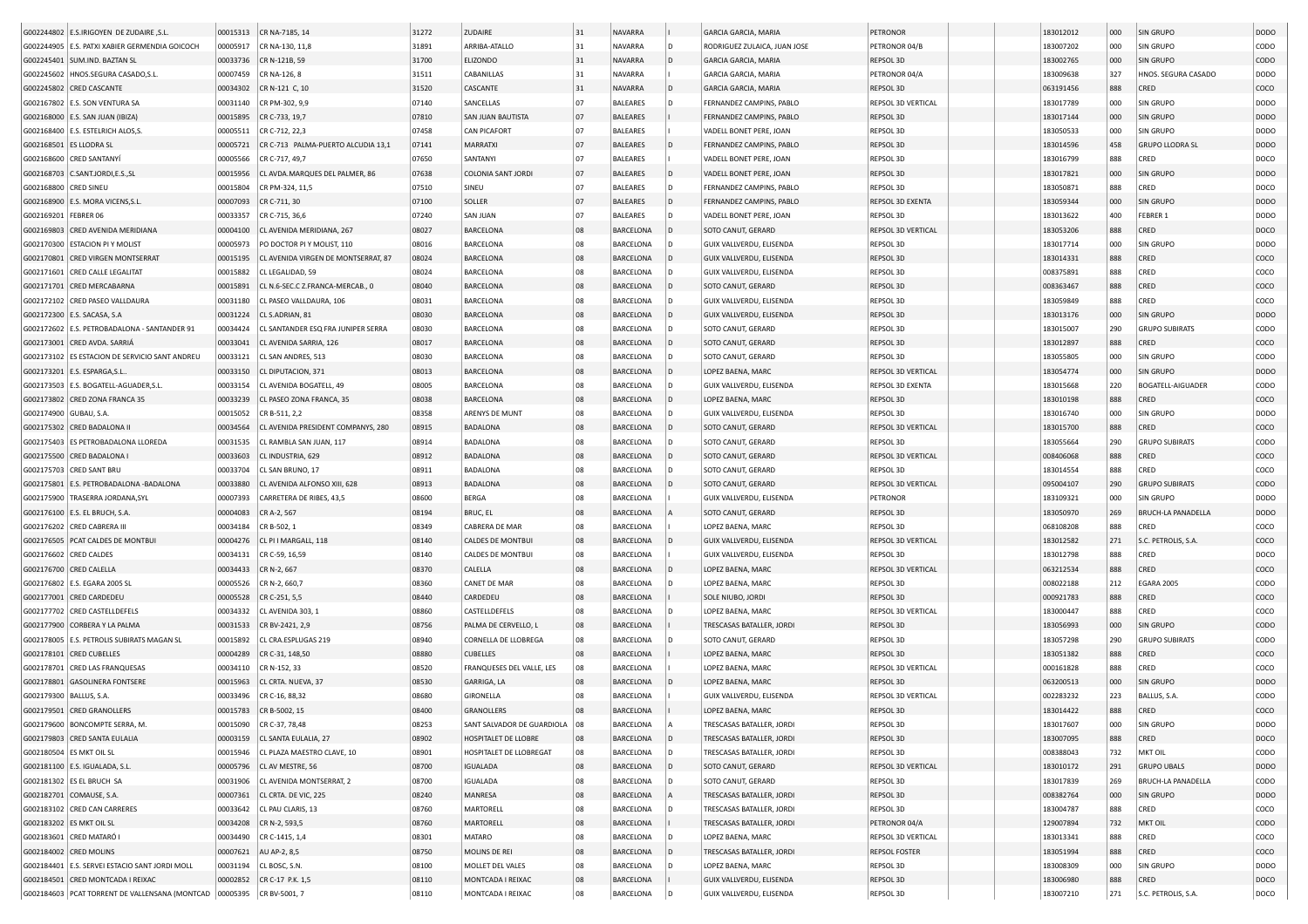|                           | G002244802 E.S.IRIGOYEN DE ZUDAIRE, S.L.       | 00015313 | CR NA-7185, 14                      | 31272 | <b>ZUDAIRE</b>                    | 31 | <b>NAVARRA</b>   |              | <b>GARCIA GARCIA, MARIA</b>                          | PETRONOR             | 183012012 | 000 | <b>SIN GRUPO</b>          | <b>DODO</b>      |
|---------------------------|------------------------------------------------|----------|-------------------------------------|-------|-----------------------------------|----|------------------|--------------|------------------------------------------------------|----------------------|-----------|-----|---------------------------|------------------|
|                           | G002244905 E.S. PATXI XABIER GERMENDIA GOICOCH | 00005917 | CR NA-130, 11,8                     | 31891 | ARRIBA-ATALLO                     | 31 | <b>NAVARRA</b>   |              | RODRIGUEZ ZULAICA, JUAN JOSE                         | PETRONOR 04/B        | 183007202 | 000 | SIN GRUPO                 | CODO             |
|                           | G002245401   SUM.IND. BAZTAN SL                | 00033736 | CR N-121B, 59                       | 31700 | ELIZONDO                          | 31 | NAVARRA          | ID.          | <b>GARCIA GARCIA, MARIA</b>                          | REPSOL 3D            | 183002765 | 000 | <b>SIN GRUPO</b>          | <b>CODO</b>      |
| G002245602                | HNOS.SEGURA CASADO, S.L                        | 00007459 | CR NA-126, 8                        | 31511 | CABANILLAS                        | 31 | NAVARRA          |              | GARCIA GARCIA, MARIA                                 | PETRONOR 04/A        | 183009638 | 327 | HNOS. SEGURA CASADO       | <b>DODO</b>      |
|                           | G002245802 CRED CASCANTE                       | 00034302 | CR N-121 C, 10                      | 31520 | CASCANTE                          | 31 | <b>NAVARRA</b>   | l D          | <b>GARCIA GARCIA, MARIA</b>                          | REPSOL 3D            | 063191456 | 888 | CRED                      | coco             |
|                           | G002167802 E.S. SON VENTURA SA                 | 00031140 | CR PM-302, 9,9                      | 07140 | SANCELLAS                         | 07 | <b>BALEARES</b>  |              | FERNANDEZ CAMPINS, PABLO                             | REPSOL 3D VERTICAL   | 183017789 | 000 | SIN GRUPO                 | <b>DODO</b>      |
|                           | G002168000 E.S. SAN JUAN (IBIZA)               | 00015895 | CR C-733, 19,7                      | 07810 | SAN JUAN BAUTISTA                 | 07 | <b>BALEARES</b>  |              | FERNANDEZ CAMPINS, PABLO                             | REPSOL 3D            | 183017144 | 000 | SIN GRUPO                 | <b>DODO</b>      |
|                           | G002168400 E.S. ESTELRICH ALOS.S.              | 00005511 | CR C-712, 22,3                      | 07458 | <b>CAN PICAFORT</b>               | 07 | <b>BALEARES</b>  |              | VADELL BONET PERE, JOAN                              | REPSOL 3D            | 183050533 | 000 | SIN GRUPO                 | <b>DODO</b>      |
| G002168501 ES LLODRA SL   |                                                | 00005721 | CR C-713 PALMA-PUERTO ALCUDIA 13,1  | 07141 | <b>MARRATXI</b>                   | 07 | <b>BALEARES</b>  |              | FERNANDEZ CAMPINS, PABLO                             | REPSOL 3D            | 183014596 | 458 | <b>GRUPO LLODRA SL</b>    | <b>DODO</b>      |
|                           | G002168600 CRED SANTANYÍ                       | 00005566 | CR C-717, 49,7                      | 07650 | SANTANYI                          | 07 | <b>BALEARES</b>  |              | VADELL BONET PERE, JOAN                              | REPSOL 3D            | 183016799 | 888 | CRED                      | DOCO             |
|                           | G002168703 C.SANT.JORDI,E.S.,SL                | 00015956 | CL AVDA.MARQUES DEL PALMER, 86      | 07638 | COLONIA SANT JORDI                | 07 | <b>BALEARES</b>  | ID.          | VADELL BONET PERE, JOAN                              | REPSOL 3D            | 183017821 | 000 | <b>SIN GRUPO</b>          | <b>DODO</b>      |
| G002168800 CRED SINEU     |                                                | 00015804 | CR PM-324, 11.5                     | 07510 | SINEU                             | 07 | <b>BALEARES</b>  |              |                                                      | REPSOL 3D            | 183050871 | 888 | CRED                      |                  |
|                           |                                                |          |                                     |       |                                   | 07 | <b>BALEARES</b>  | l D          | FERNANDEZ CAMPINS, PABLO<br>FERNANDEZ CAMPINS, PABLO |                      |           |     |                           | DOCO             |
|                           | G002168900 E.S. MORA VICENS, S.L               | 00007093 | CR C-711, 30                        | 07100 | SOLLER                            |    |                  |              |                                                      | REPSOL 3D EXENTA     | 183059344 | 000 | <b>SIN GRUPO</b>          | <b>DODO</b>      |
| G002169201                | FEBRER 06                                      | 00033357 | CR C-715, 36,6                      | 07240 | <b>SAN JUAN</b>                   | 07 | <b>BALEARES</b>  | I D          | VADELL BONET PERE, JOAN                              | REPSOL 3D            | 183013622 | 400 | FEBRER 1                  | <b>DODO</b>      |
| G002169803                | CRED AVENIDA MERIDIANA                         | 00004100 | CL AVENIDA MERIDIANA, 267           | 08027 | BARCELONA                         | 08 | BARCELONA        |              | SOTO CANUT, GERARD                                   | REPSOL 3D VERTICAL   | 183053206 | 888 | CRED                      | DOCO             |
| G002170300                | <b>ESTACION PI Y MOLIST</b>                    | 00005973 | PO DOCTOR PI Y MOLIST, 110          | 08016 | BARCELONA                         | 08 | BARCELONA        |              | GUIX VALLVERDU, ELISENDA                             | REPSOL 3D            | 183017714 | 000 | SIN GRUPO                 | <b>DODO</b>      |
| G002170801                | <b>CRED VIRGEN MONTSERRAT</b>                  | 00015195 | CL AVENIDA VIRGEN DE MONTSERRAT, 87 | 08024 | BARCELONA                         | 08 | <b>BARCELONA</b> | l D          | GUIX VALLVERDU, ELISENDA                             | REPSOL 3D            | 183014331 | 888 | CRED                      | coco             |
| G002171601                | <b>CRED CALLE LEGALITAT</b>                    | 00015882 | CL LEGALIDAD, 59                    | 08024 | BARCELONA                         | 08 | BARCELONA        |              | GUIX VALLVERDU, ELISENDA                             | REPSOL 3D            | 008375891 | 888 | CRED                      | coco             |
| G002171701                | <b>CRED MERCABARNA</b>                         | 00015891 | CL N.6-SEC.C Z.FRANCA-MERCAB., 0    | 08040 | BARCELONA                         | 08 | BARCELONA        | l D          | SOTO CANUT, GERARD                                   | REPSOL 3D            | 008363467 | 888 | CRED                      | coco             |
|                           | G002172102 CRED PASEO VALLDAURA                | 00031180 | CL PASEO VALLDAURA, 106             | 08031 | BARCELONA                         | 08 | BARCELONA        |              | GUIX VALLVERDU, ELISENDA                             | REPSOL 3D            | 183059849 | 888 | CRED                      | coco             |
|                           | G002172300 E.S. SACASA, S.A                    | 00031224 | CL S.ADRIAN, 81                     | 08030 | BARCELONA                         | 08 | BARCELONA        |              | GUIX VALLVERDU, ELISENDA                             | REPSOL 3D            | 183013176 | 000 | <b>SIN GRUPO</b>          | DOD <sub>O</sub> |
|                           | G002172602 E.S. PETROBADALONA - SANTANDER 91   | 00034424 | CL SANTANDER ESQ FRA JUNIPER SERRA  | 08030 | BARCELONA                         | 08 | BARCELONA        |              | SOTO CANUT, GERARD                                   | REPSOL 3D            | 183015007 | 290 | <b>GRUPO SUBIRATS</b>     | CODO             |
|                           | G002173001 CRED AVDA. SARRIÁ                   | 00033041 | CL AVENIDA SARRIA, 126              | 08017 | BARCELONA                         | 08 | BARCELONA        |              | SOTO CANUT, GERARD                                   | REPSOL 3D            | 183012897 | 888 | CRED                      | coco             |
|                           | G002173102 ES ESTACION DE SERVICIO SANT ANDREU | 00033121 | CL SAN ANDRES, 513                  | 08030 | BARCELONA                         | 08 | BARCELONA        |              | SOTO CANUT, GERARD                                   | REPSOL 3D            | 183055805 | 000 | SIN GRUPO                 | CODO             |
|                           | G002173201 E.S. ESPARGA, S.L.                  | 00033150 | CL DIPUTACION, 371                  | 08013 | BARCELONA                         | 08 | <b>BARCELONA</b> |              | LOPEZ BAENA, MARC                                    | REPSOL 3D VERTICAL   | 183054774 | 000 | SIN GRUPO                 | <b>DODO</b>      |
|                           | G002173503 E.S. BOGATELL-AGUADER, S.L          | 00033154 | CL AVENIDA BOGATELL, 49             | 08005 | BARCELONA                         | 08 | BARCELONA        |              | GUIX VALLVERDU, ELISENDA                             | REPSOL 3D EXENTA     | 183015668 | 220 | <b>BOGATELL-AIGUADER</b>  | CODO             |
|                           | G002173802 CRED ZONA FRANCA 35                 | 00033239 | CL PASEO ZONA FRANCA, 35            | 08038 | <b>BARCELONA</b>                  | 08 | <b>BARCELONA</b> | l D          | LOPEZ BAENA, MARC                                    | REPSOL 3D            | 183010198 | 888 | CRED                      | coco             |
| G002174900 GUBAU, S.A.    |                                                | 00015052 | CR B-511, 2,2                       | 08358 | ARENYS DE MUNT                    | 08 | BARCELONA        |              | GUIX VALLVERDU, ELISENDA                             | REPSOL 3D            | 183016740 | 000 | SIN GRUPO                 | <b>DODO</b>      |
|                           | G002175302 CRED BADALONA II                    | 00034564 | CL AVENIDA PRESIDENT COMPANYS, 280  | 08915 | <b>BADALONA</b>                   | 08 | <b>BARCELONA</b> |              | SOTO CANUT, GERARD                                   | REPSOL 3D VERTICAL   | 183015700 | 888 | CRED                      | coco             |
|                           | G002175403 ES PETROBADALONA LLOREDA            | 00031535 | CL RAMBLA SAN JUAN, 117             | 08914 | <b>BADALONA</b>                   | 08 | BARCELONA        |              | SOTO CANUT, GERARD                                   | REPSOL 3D            | 183055664 | 290 | <b>GRUPO SUBIRATS</b>     | CODO             |
|                           | G002175500 CRED BADALONA I                     | 00033603 | CL INDUSTRIA, 629                   | 08912 | <b>BADALONA</b>                   | 08 | <b>BARCELONA</b> | l D          | SOTO CANUT, GERARD                                   | REPSOL 3D VERTICAL   | 008406068 | 888 | CRED                      | coco             |
|                           | G002175703 CRED SANT BRU                       | 00033704 | CL SAN BRUNO, 17                    | 08911 | <b>BADALONA</b>                   | 08 | BARCELONA        |              | SOTO CANUT, GERARD                                   | REPSOL 3D            | 183014554 | 888 | CRED                      | coco             |
|                           | G002175801 E.S. PETROBADALONA -BADALONA        | 00033880 | CL AVENIDA ALFONSO XIII, 628        | 08913 | <b>BADALONA</b>                   | 08 | <b>BARCELONA</b> |              | SOTO CANUT, GERARD                                   | REPSOL 3D VERTICAL   | 095004107 | 290 | <b>GRUPO SUBIRATS</b>     | <b>CODO</b>      |
|                           | G002175900 TRASERRA JORDANA, SYL               | 00007393 | CARRETERA DE RIBES, 43,5            | 08600 | <b>BERGA</b>                      | 08 | BARCELONA        |              | GUIX VALLVERDU, ELISENDA                             | PETRONOR             | 183109321 | 000 | SIN GRUPO                 | <b>DODO</b>      |
|                           | G002176100 E.S. EL BRUCH, S.A                  | 00004083 | CR A-2, 567                         | 08194 |                                   | 08 | BARCELONA        |              | SOTO CANUT, GERARD                                   | REPSOL 3D            | 183050970 | 269 | <b>BRUCH-LA PANADELLA</b> | <b>DODO</b>      |
|                           | G002176202 CRED CABRERA III                    | 00034184 | CR B-502, 1                         | 08349 | <b>BRUC, EL</b><br>CABRERA DE MAR | 08 | <b>BARCELONA</b> |              | LOPEZ BAENA, MARC                                    | REPSOL 3D            | 068108208 | 888 | CRED                      | coco             |
|                           |                                                |          |                                     |       |                                   |    |                  |              |                                                      |                      |           |     |                           |                  |
|                           | G002176505 PCAT CALDES DE MONTBUI              | 00004276 | CL PI I MARGALL, 118                | 08140 | <b>CALDES DE MONTBUI</b>          | 08 | BARCELONA        |              | GUIX VALLVERDU, ELISENDA                             | REPSOL 3D VERTICAL   | 183012582 | 271 | S.C. PETROLIS, S.A.       | coco             |
|                           | G002176602 CRED CALDES                         | 00034131 | CR C-59, 16,59                      | 08140 | <b>CALDES DE MONTBUI</b>          | 08 | <b>BARCELONA</b> |              | GUIX VALLVERDU, ELISENDA                             | REPSOL 3D            | 183012798 | 888 | CRED                      | DOCO             |
|                           | G002176700 CRED CALELLA                        | 00034433 | CR N-2, 667                         | 08370 | CALELLA                           | 08 | <b>BARCELONA</b> |              | LOPEZ BAENA, MARC                                    | REPSOL 3D VERTICAL   | 063212534 | 888 | CRED                      | coco             |
|                           | G002176802   E.S. EGARA 2005 SL                | 00005526 | CR N-2, 660,7                       | 08360 | <b>CANET DE MAR</b>               | 08 | BARCELONA        |              | LOPEZ BAENA, MARC                                    | REPSOL 3D            | 008022188 | 212 | <b>EGARA 2005</b>         | CODO             |
|                           | G002177001 CRED CARDEDEU                       | 00005528 | CR C-251, 5,5                       | 08440 | CARDEDEU                          | 08 | <b>BARCELONA</b> |              | SOLE NIUBO, JORDI                                    | REPSOL 3D            | 000921783 | 888 | CRED                      | coco             |
|                           | G002177702 CRED CASTELLDEFELS                  | 00034332 | CL AVENIDA 303, 1                   | 08860 | CASTELLDEFELS                     | 08 | BARCELONA        |              | LOPEZ BAENA, MARC                                    | REPSOL 3D VERTICAL   | 183000447 | 888 | CRED                      | coco             |
|                           | G002177900 CORBERA Y LA PALMA                  | 00031533 | CR BV-2421, 2,9                     | 08756 | PALMA DE CERVELLO, L              | 08 | <b>BARCELONA</b> |              | TRESCASAS BATALLER, JORDI                            | REPSOL 3D            | 183056993 | 000 | <b>SIN GRUPO</b>          | CODO             |
|                           | G002178005 E.S. PETROLIS SUBIRATS MAGAN SL     | 00015892 | CL CRA.ESPLUGAS 219                 | 08940 | CORNELLA DE LLOBREGA              | 08 | BARCELONA        |              | SOTO CANUT, GERARD                                   | REPSOL 3D            | 183057298 | 290 | <b>GRUPO SUBIRATS</b>     | CODO             |
|                           | G002178101 CRED CUBELLES                       | 00004289 | CR C-31, 148,50                     | 08880 | CUBELLES                          | 80 | BARCELONA        |              | LOPEZ BAENA, MARC                                    | REPSOL 3D            | 183051382 | 888 | CRED                      | coco             |
| G002178701                | <b>CRED LAS FRANQUESAS</b>                     | 00034110 | CR N-152, 33                        | 08520 | FRANQUESES DEL VALLE, LES         | 08 | BARCELONA        |              | LOPEZ BAENA, MARC                                    | REPSOL 3D VERTICAL   | 000161828 | 888 | CRED                      | coco             |
|                           | G002178801 GASOLINERA FONTSERE                 | 00015963 | CL CRTA. NUEVA, 37                  | 08530 | GARRIGA, LA                       | 08 | <b>BARCELONA</b> |              | LOPEZ BAENA, MARC                                    | REPSOL 3D            | 063200513 | 000 | SIN GRUPO                 | <b>DODO</b>      |
| G002179300   BALLUS, S.A. |                                                | 00033496 | CR C-16, 88,32                      | 08680 | GIRONELLA                         | 08 | BARCELONA        |              | GUIX VALLVERDU, ELISENDA                             | REPSOL 3D VERTICAL   | 002283232 | 223 | BALLUS, S.A.              | CODO             |
|                           | G002179501 CRED GRANOLLERS                     | 00015783 | CR B-5002, 15                       | 08400 | <b>GRANOLLERS</b>                 | 08 | <b>BARCELONA</b> |              | LOPEZ BAENA, MARC                                    | REPSOL 3D            | 183014422 | 888 | CRED                      | coco             |
|                           | G002179600   BONCOMPTE SERRA, M.               |          | 00015090   CR C-37, 78,48           | 08253 | SANT SALVADOR DE GUARDIOLA   08   |    | BARCELONA        |              | TRESCASAS BATALLER, JORDI                            | REPSOL 3D            | 183017607 | 000 | <b>SIN GRUPO</b>          | DODO             |
|                           | G002179803 CRED SANTA EULALIA                  | 00003159 | CL SANTA EULALIA, 27                | 08902 | HOSPITALET DE LLOBRE              | 08 | BARCELONA        | $\mathsf{D}$ | TRESCASAS BATALLER, JORDI                            | REPSOL 3D            | 183007095 | 888 | CRED                      | DOCO             |
|                           | G002180504 ES MKT OIL SL                       | 00015946 | CL PLAZA MAESTRO CLAVE, 10          | 08901 | HOSPITALET DE LLOBREGAT           | 08 | BARCELONA        |              | TRESCASAS BATALLER, JORDI                            | REPSOL 3D            | 008388043 | 732 | MKT OIL                   | <b>CODO</b>      |
|                           | G002181100 E.S. IGUALADA, S.L.                 | 00005796 | CL AV MESTRE, 56                    | 08700 | <b>IGUALADA</b>                   | 08 | BARCELONA        |              | SOTO CANUT, GERARD                                   | REPSOL 3D VERTICAL   | 183010172 | 291 | <b>GRUPO UBALS</b>        | <b>DODO</b>      |
|                           | G002181302 ES EL BRUCH SA                      | 00031906 | CL AVENIDA MONTSERRAT, 2            | 08700 | <b>IGUALADA</b>                   | 08 | BARCELONA        |              | SOTO CANUT, GERARD                                   | REPSOL 3D            | 183017839 | 269 | BRUCH-LA PANADELLA        | CODO             |
|                           | G002182701 COMAUSE, S.A.                       | 00007361 | CL CRTA. DE VIC, 225                | 08240 | MANRESA                           | 08 | BARCELONA        |              | TRESCASAS BATALLER, JORDI                            | REPSOL 3D            | 008382764 | 000 | <b>SIN GRUPO</b>          | <b>DODO</b>      |
|                           | G002183102 CRED CAN CARRERES                   | 00033642 | CL PAU CLARIS, 13                   | 08760 | MARTORELL                         | 08 | BARCELONA        |              | TRESCASAS BATALLER, JORDI                            | REPSOL 3D            | 183004787 | 888 | CRED                      | COCO             |
|                           | G002183202 ES MKT OIL SL                       | 00034208 | CR N-2, 593,5                       | 08760 | <b>MARTORELL</b>                  | 08 | BARCELONA        |              | TRESCASAS BATALLER, JORDI                            | PETRONOR 04/A        | 129007894 | 732 | <b>MKT OIL</b>            | <b>CODO</b>      |
|                           | G002183601 CRED MATARÓ I                       |          | 00034490 CR C-1415, 1,4             | 08301 | <b>MATARO</b>                     | 08 | BARCELONA        |              | LOPEZ BAENA, MARC                                    | REPSOL 3D VERTICAL   | 183013341 | 888 | CRED                      | coco             |
|                           | G002184002 CRED MOLINS                         | 00007621 | AU AP-2, 8,5                        | 08750 | MOLINS DE REI                     | 08 | BARCELONA        |              | TRESCASAS BATALLER, JORDI                            | <b>REPSOL FOSTER</b> | 183051994 | 888 | CRED                      | coco             |
|                           | G002184401 E.S. SERVEI ESTACIO SANT JORDI MOLL | 00031194 | CL BOSC, S.N.                       | 08100 | MOLLET DEL VALES                  | 08 | BARCELONA        |              | LOPEZ BAENA, MARC                                    | REPSOL 3D            | 183008309 | 000 | SIN GRUPO                 | <b>DODO</b>      |
|                           | G002184501 CRED MONTCADA I REIXAC              | 00002852 | CR C-17 P.K. 1,5                    | 08110 | MONTCADA I REIXAC                 | 08 | BARCELONA        |              | GUIX VALLVERDU, ELISENDA                             | REPSOL 3D            | 183006980 | 888 | CRED                      | DOCO             |
|                           | G002184603 PCAT TORRENT DE VALLENSANA (MONTCAD |          | 00005395 CR BV-5001, 7              | 08110 | MONTCADA I REIXAC                 |    | BARCELONA        |              | GUIX VALLVERDU, ELISENDA                             | REPSOL 3D            | 183007210 | 271 | S.C. PETROLIS, S.A.       | DOCO             |
|                           |                                                |          |                                     |       |                                   |    |                  |              |                                                      |                      |           |     |                           |                  |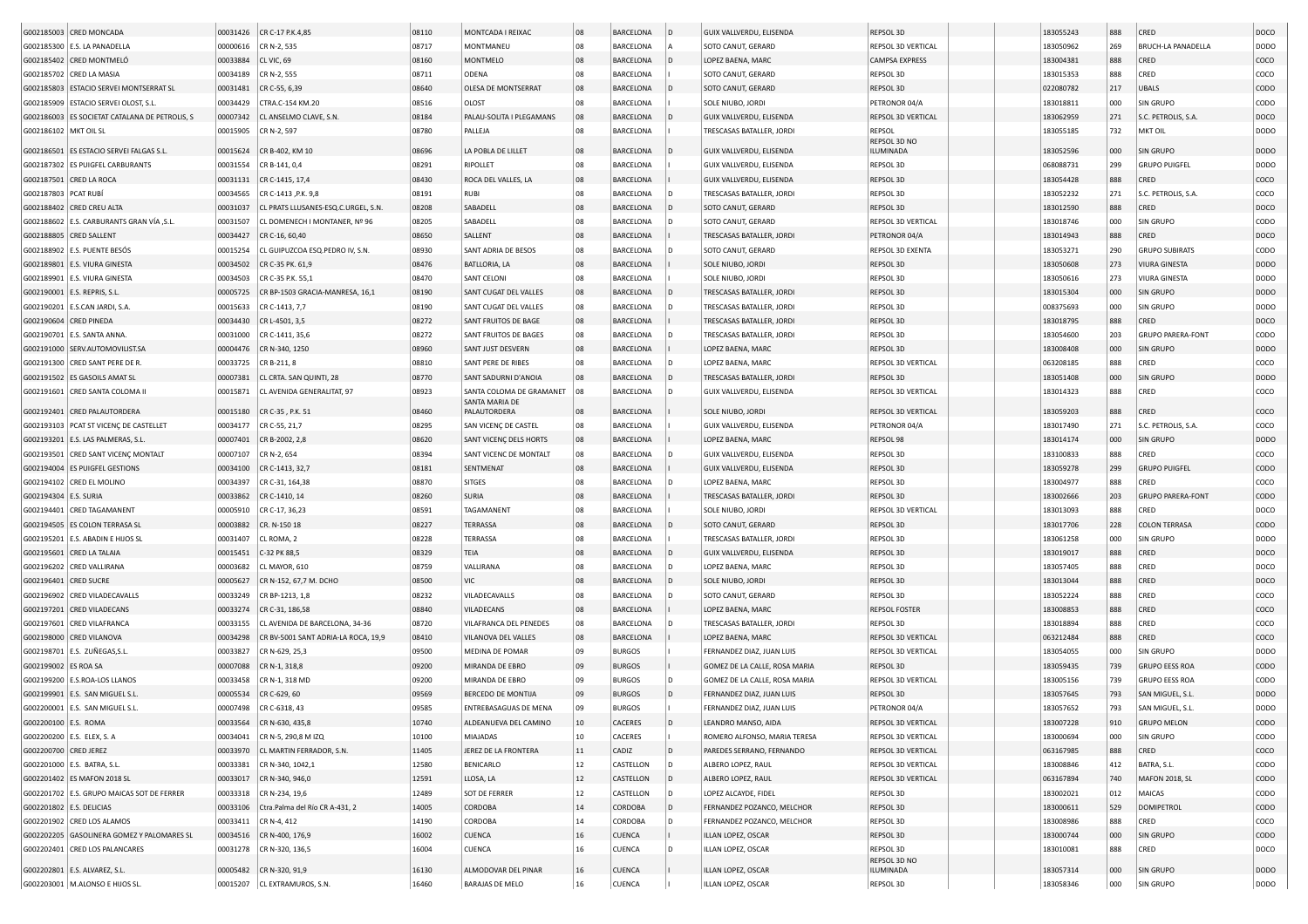| G002185003 CRED MONCADA                        |          | 00031426 CR C-17 P.K.4,85               | 08110 | MONTCADA I REIXAC              | 08         | <b>BARCELONA</b> | $\overline{D}$ | GUIX VALLVERDU, ELISENDA      | REPSOL 3D                 | 183055243 | 888 | CRED                      | DOCO             |
|------------------------------------------------|----------|-----------------------------------------|-------|--------------------------------|------------|------------------|----------------|-------------------------------|---------------------------|-----------|-----|---------------------------|------------------|
| G002185300 E.S. LA PANADELLA                   | 00000616 | CR N-2, 535                             | 08717 | MONTMANEU                      | 08         | <b>BARCELONA</b> |                | SOTO CANUT, GERARD            | REPSOL 3D VERTICAL        | 183050962 | 269 | <b>BRUCH-LA PANADELLA</b> | <b>DODO</b>      |
| G002185402 CRED MONTMELÓ                       | 00033884 | CL VIC, 69                              | 08160 | <b>MONTMELO</b>                | 08         | <b>BARCELONA</b> |                | LOPEZ BAENA, MARC             | CAMPSA EXPRESS            | 183004381 | 888 | CRED                      | coco             |
| G002185702 CRED LA MASIA                       | 00034189 | CR N-2, 555                             | 08711 | ODENA                          | 08         | <b>BARCELONA</b> |                | SOTO CANUT, GERARD            | REPSOL 3D                 | 183015353 | 888 | CRED                      | coco             |
| G002185803 ESTACIO SERVEI MONTSERRAT SL        | 00031481 | CR C-55, 6,39                           | 08640 | OLESA DE MONTSERRAT            | 08         | <b>BARCELONA</b> |                | SOTO CANUT, GERARD            | REPSOL 3D                 | 022080782 | 217 | <b>UBALS</b>              | <b>CODO</b>      |
| G002185909 ESTACIO SERVEI OLOST, S.L           | 00034429 | CTRA.C-154 KM.20                        | 08516 | OLOST                          | 08         | <b>BARCELONA</b> |                | SOLE NIUBO, JORDI             | PETRONOR 04/A             | 183018811 | 000 | <b>SIN GRUPO</b>          | CODO             |
| G002186003 ES SOCIETAT CATALANA DE PETROLIS, S | 00007342 | CL ANSELMO CLAVE, S.N.                  | 08184 | PALAU-SOLITA I PLEGAMANS       | 08         | <b>BARCELONA</b> |                | GUIX VALLVERDU, ELISENDA      | <b>REPSOL 3D VERTICAL</b> | 183062959 | 271 | S.C. PETROLIS, S.A.       | DOCO             |
| G002186102 MKT OIL SL                          | 00015905 | CR N-2, 597                             | 08780 | PALLEJA                        | 08         | BARCELONA        |                | TRESCASAS BATALLER, JORDI     | REPSOL                    | 183055185 | 732 | MKT OIL                   | <b>DODO</b>      |
|                                                |          |                                         |       |                                |            |                  |                |                               | REPSOL 3D NO              |           |     |                           |                  |
| G002186501 ES ESTACIO SERVEI FALGAS S.L        | 00015624 | CR B-402, KM 10                         | 08696 | LA POBLA DE LILLET             | 08         | BARCELONA        |                | GUIX VALLVERDU, ELISENDA      | ILUMINADA                 | 183052596 | 000 | <b>SIN GRUPO</b>          | <b>DODO</b>      |
| G002187302 ES PUIGFEL CARBURANTS               | 00031554 | CR B-141, 0,4                           | 08291 | <b>RIPOLLET</b>                | 08         | BARCELONA        |                | GUIX VALLVERDU, ELISENDA      | REPSOL 3D                 | 068088731 | 299 | <b>GRUPO PUIGFEL</b>      | <b>DODO</b>      |
| G002187501 CRED LA ROCA                        | 00031131 | CR C-1415, 17,4                         | 08430 | ROCA DEL VALLES, LA            | 08         | <b>BARCELONA</b> |                | GUIX VALLVERDU, ELISENDA      | REPSOL 3D                 | 183054428 | 888 | CRED                      | coco             |
| G002187803 PCAT RUBÍ                           | 00034565 | CR C-1413 , P.K. 9,8                    | 08191 | <b>RUBI</b>                    | 08         | BARCELONA        |                | TRESCASAS BATALLER, JORD      | REPSOL 3D                 | 183052232 | 271 | S.C. PETROLIS, S.A        | coco             |
| G002188402 CRED CREU ALTA                      | 00031037 | CL PRATS LLUSANES-ESQ.C.URGEL. S.N.     | 08208 | SABADELL                       | 08         | BARCELONA        |                | SOTO CANUT, GERARD            | REPSOL 3D                 | 183012590 | 888 | CRED                      | DOCO             |
| G002188602   E.S. CARBURANTS GRAN VÍA ,S.L.    | 00031507 | CL DOMENECH I MONTANER, Nº 96           | 08205 | SABADELL                       | 08         | BARCELONA        |                | SOTO CANUT, GERARD            | REPSOL 3D VERTICAL        | 183018746 | 000 | <b>SIN GRUPO</b>          | CODO             |
| G002188805 CRED SALLENT                        | 00034427 | CR C-16, 60.40                          | 08650 | SALLENT                        | 08         | <b>BARCELONA</b> |                | TRESCASAS BATALLER, JORD      | PETRONOR 04/A             | 183014943 | 888 | CRED                      | DOCO             |
| G002188902 E.S. PUENTE BESÓS                   | 00015254 | CL GUIPUZCOA ESQ.PEDRO IV, S.N.         | 08930 | SANT ADRIA DE BESOS            | 08         | BARCELONA        |                | SOTO CANUT, GERARD            | REPSOL 3D EXENTA          | 183053271 | 290 | <b>GRUPO SUBIRATS</b>     | CODO             |
| G002189801 E.S. VIURA GINESTA                  | 00034502 | CR C-35 PK. 61,9                        | 08476 | BATLLORIA, LA                  | 08         | BARCELONA        |                | SOLE NIUBO, JORDI             | REPSOL 3D                 | 183050608 | 273 | <b>VIURA GINESTA</b>      | DOD <sub>O</sub> |
| G002189901 E.S. VIURA GINESTA                  | 00034503 | CR C-35 P.K. 55,1                       | 08470 | SANT CELONI                    | 08         | <b>BARCELONA</b> |                | SOLE NIUBO, JORDI             | REPSOL 3D                 | 183050616 | 273 | <b>VIURA GINESTA</b>      | <b>DODO</b>      |
| G002190001   E.S. REPRIS, S.L.                 | 00005725 | CR BP-1503 GRACIA-MANRESA, 16,1         | 08190 | SANT CUGAT DEL VALLES          | 08         | BARCELONA        |                | TRESCASAS BATALLER, JORDI     | REPSOL 3D                 | 183015304 | 000 | <b>SIN GRUPO</b>          | <b>DODO</b>      |
| G002190201 E.S.CAN JARDI, S.A                  | 00015633 | CR C-1413, 7,7                          | 08190 | SANT CUGAT DEL VALLES          | 08         | BARCELONA        |                | TRESCASAS BATALLER, JORDI     | REPSOL 3D                 | 008375693 | 000 | <b>SIN GRUPO</b>          | <b>DODO</b>      |
| G002190604 CRED PINEDA                         | 00034430 | CR L-4501, 3,5                          | 08272 | SANT FRUITOS DE BAGE           | 08         | <b>BARCELONA</b> |                | TRESCASAS BATALLER, JORD      | REPSOL 3D                 | 183018795 | 888 | CRED                      | DOCO             |
| G002190701 E.S. SANTA ANNA.                    | 00031000 | CR C-1411, 35,6                         | 08272 | SANT FRUITOS DE BAGES          | 08         | <b>BARCELONA</b> |                | TRESCASAS BATALLER, JORD      | REPSOL 3D                 | 183054600 | 203 | <b>GRUPO PARERA-FONT</b>  | CODO             |
| G002191000 SERV.AUTOMOVILIST.SA                | 00004476 | CR N-340, 1250                          | 08960 | SANT JUST DESVERN              | ${\bf 08}$ | BARCELONA        |                | LOPEZ BAENA, MARC             | REPSOL 3D                 | 183008408 | 000 | <b>SIN GRUPO</b>          | DOD <sub>O</sub> |
| G002191300 CRED SANT PERE DE R.                | 00033725 | CR B-211, 8                             | 08810 | SANT PERE DE RIBES             | 08         | BARCELONA        |                | LOPEZ BAENA, MARC             | REPSOL 3D VERTICAL        | 063208185 | 888 | CRED                      | coco             |
| G002191502 ES GASOILS AMAT SL                  | 00007381 | CL CRTA. SAN QUINTI, 28                 | 08770 | SANT SADURNI D'ANOIA           | ${\bf 08}$ | BARCELONA        |                | TRESCASAS BATALLER, JORD      | REPSOL 3D                 | 183051408 | 000 | <b>SIN GRUPO</b>          | <b>DODO</b>      |
| G002191601 CRED SANTA COLOMA II                | 00015871 | CL AVENIDA GENERALITAT, 97              | 08923 | SANTA COLOMA DE GRAMANET       | 08         | BARCELONA        |                | GUIX VALLVERDU, ELISENDA      | REPSOL 3D VERTICAL        | 183014323 | 888 | CRED                      | coco             |
| G002192401 CRED PALAUTORDERA                   | 00015180 | CR C-35, P.K. 51                        | 08460 | SANTA MARIA DE<br>PALAUTORDERA | 08         | <b>BARCELONA</b> |                | SOLE NIUBO, JORDI             | <b>REPSOL 3D VERTICAL</b> | 183059203 | 888 | CRED                      | coco             |
| G002193103 PCAT ST VICENÇ DE CASTELLET         | 00034177 | CR C-55, 21,7                           | 08295 | SAN VICENÇ DE CASTEL           | 08         | <b>BARCELONA</b> |                | GUIX VALLVERDU, ELISENDA      | PETRONOR 04/A             | 183017490 | 271 | S.C. PETROLIS, S.A.       | coco             |
| G002193201 E.S. LAS PALMERAS, S.L              | 00007401 | CR B-2002, 2,8                          | 08620 | SANT VICENÇ DELS HORTS         | 08         | <b>BARCELONA</b> |                | LOPEZ BAENA, MARC             | REPSOL 98                 | 183014174 | 000 | <b>SIN GRUPO</b>          | DOD <sub>O</sub> |
| G002193501 CRED SANT VICENÇ MONTALT            | 00007107 | CR N-2, 654                             | 08394 | SANT VICENC DE MONTALT         | 08         | BARCELONA        |                | GUIX VALLVERDU, ELISENDA      | REPSOL 3D                 | 183100833 | 888 | CRED                      | coco             |
| G002194004 ES PUIGFEL GESTIONS                 | 00034100 | CR C-1413, 32,                          | 08181 | <b>SENTMENA</b>                | 08         | <b>BARCELONA</b> |                | GUIX VALLVERDU, ELISENDA      | REPSOL 3D                 | 183059278 | 299 | <b>GRUPO PUIGFEL</b>      | <b>CODO</b>      |
| G002194102 CRED EL MOLINO                      | 00034397 | CR C-31, 164,38                         | 08870 | <b>SITGES</b>                  | 08         | BARCELONA        |                | LOPEZ BAENA, MARC             | REPSOL 3D                 | 183004977 | 888 | CRED                      | coco             |
| G002194304 E.S. SURIA                          | 00033862 | CR C-1410, 14                           | 08260 | SURIA                          | 08         | BARCELONA        |                | TRESCASAS BATALLER, JORD      | REPSOL 3D                 | 183002666 | 203 | <b>GRUPO PARERA-FONT</b>  | <b>CODO</b>      |
| G002194401 CRED TAGAMANENT                     | 00005910 | CR C-17, 36,23                          | 08591 | TAGAMANENT                     | 08         | BARCELONA        |                | SOLE NIUBO, JORDI             | REPSOL 3D VERTICAL        | 183013093 | 888 | CRED                      | DOCO             |
| G002194505 ES COLON TERRASA SL                 | 00003882 | CR. N-150 18                            | 08227 | TERRASSA                       | 08         | BARCELONA        |                | SOTO CANUT, GERARD            | REPSOL 3D                 | 183017706 | 228 | <b>COLON TERRASA</b>      | <b>CODO</b>      |
| G002195201 E.S. ABADIN E HIJOS SL              | 00031407 | CL ROMA, 2                              | 08228 | TERRASSA                       | 08         | BARCELONA        |                | TRESCASAS BATALLER, JORDI     | REPSOL 3D                 | 183061258 | 000 | <b>SIN GRUPO</b>          | <b>DODO</b>      |
| G002195601 CRED LA TALAIA                      | 00015451 | C-32 PK 88,5                            | 08329 | TEIA                           | 08         | BARCELONA        |                | GUIX VALLVERDU, ELISENDA      | REPSOL 3D                 | 183019017 | 888 | CRED                      | DOCO             |
| G002196202 CRED VALLIRANA                      | 00003682 | CL MAYOR, 610                           | 08759 | VALLIRANA                      | 08         | BARCELONA        |                | LOPEZ BAENA, MARC             | REPSOL 3D                 | 183057405 | 888 | CRED                      | DOCO             |
| G002196401 CRED SUCRE                          | 00005627 | CR N-152, 67,7 M. DCHO                  | 08500 | VIC                            | 08         | BARCELONA        |                | SOLE NIUBO, JORDI             | REPSOL 3D                 | 183013044 | 888 | CRED                      | DOCO             |
| G002196902 CRED VILADECAVALLS                  | 00033249 | CR BP-1213, 1,8                         | 08232 | VILADECAVALLS                  | 08         | BARCELONA        |                | SOTO CANUT, GERARD            | REPSOL 3D                 | 183052224 | 888 | CRED                      | coco             |
| G002197201 CRED VILADECANS                     | 00033274 | CR C-31, 186,58                         | 08840 | VILADECANS                     | 08         | BARCELONA        |                | LOPEZ BAENA, MARC             | <b>REPSOL FOSTER</b>      | 183008853 | 888 | CRED                      | coco             |
| G002197601 CRED VILAFRANCA                     | 00033155 | CL AVENIDA DE BARCELONA, 34-36          | 08720 | VILAFRANCA DEL PENEDES         | 08         | BARCELONA        |                | TRESCASAS BATALLER, JORDI     | REPSOL 3D                 | 183018894 | 888 | CRED                      | coco             |
| G002198000 CRED VILANOVA                       | 00034298 | CR BV-5001 SANT ADRIA-LA ROCA, 19,9     | 08410 | VILANOVA DEL VALLES            | ${\bf 08}$ | <b>BARCELONA</b> |                | LOPEZ BAENA, MARC             | <b>REPSOL 3D VERTICAL</b> | 063212484 | 888 | CRED                      | coco             |
| G002198701 E.S. ZUÑEGAS, S.L.                  | 00033827 | CR N-629, 25,3                          | 09500 | MEDINA DE POMAR                | 09         | <b>BURGOS</b>    |                | FERNANDEZ DIAZ, JUAN LUIS     | REPSOL 3D VERTICAL        | 183054055 | 000 | SIN GRUPO                 | <b>DODO</b>      |
| G002199002 ES ROA SA                           | 00007088 | CR N-1, 318,8                           | 09200 | MIRANDA DE EBRO                | 09         | <b>BURGOS</b>    |                | GOMEZ DE LA CALLE, ROSA MARIA | REPSOL 3D                 | 183059435 | 739 | <b>GRUPO EESS ROA</b>     | <b>CODO</b>      |
| G002199200 E.S.ROA-LOS LLANOS                  | 00033458 | CR N-1, 318 MD                          | 09200 | MIRANDA DE EBRO                | 09         | <b>BURGOS</b>    |                | GOMEZ DE LA CALLE, ROSA MARIA | REPSOL 3D VERTICAL        | 183005156 | 739 | <b>GRUPO EESS ROA</b>     | CODO             |
| G002199901 E.S. SAN MIGUEL S.L                 | 00005534 | CR C-629, 60                            | 09569 | BERCEDO DE MONTIJA             | 09         | <b>BURGOS</b>    |                | FERNANDEZ DIAZ, JUAN LUIS     | REPSOL 3D                 | 183057645 | 793 | SAN MIGUEL, S.L           | <b>DODO</b>      |
| G002200001 E.S. SAN MIGUEL S.L                 | 00007498 | CR C-6318, 43                           | 09585 | ENTREBASAGUAS DE MENA          | 09         | <b>BURGOS</b>    |                | FERNANDEZ DIAZ, JUAN LUIS     | PETRONOR 04/A             | 183057652 | 793 | SAN MIGUEL, S.L.          | DODO             |
| G002200100 E.S. ROMA                           |          | 00033564   CR N-630, 435,8              | 10740 | ALDEANUEVA DEL CAMINO          | 10         | CACERES          |                | LEANDRO MANSO, AIDA           | REPSOL 3D VERTICAL        | 183007228 | 910 | <b>GRUPO MELON</b>        | <b>CODO</b>      |
| G002200200 E.S. ELEX, S. A                     |          | 00034041 CR N-5, 290,8 M IZQ            | 10100 | MIAJADAS                       | 10         | CACERES          |                | ROMERO ALFONSO, MARIA TERESA  | REPSOL 3D VERTICAL        | 183000694 | 000 | SIN GRUPO                 | CODO             |
| G002200700 CRED JEREZ                          |          | 00033970 CL MARTIN FERRADOR, S.N.       | 11405 | JEREZ DE LA FRONTERA           | 11         | CADIZ            | D              | PAREDES SERRANO, FERNANDO     | REPSOL 3D VERTICAL        | 063167985 | 888 | CRED                      | coco             |
| G002201000 E.S. BATRA, S.L.                    |          | 00033381 CR N-340, 1042,1               | 12580 | <b>BENICARLO</b>               | $12\,$     | CASTELLON        | ID.            | ALBERO LOPEZ, RAUL            | REPSOL 3D VERTICAL        | 183008846 | 412 | BATRA, S.L.               | CODO             |
| G002201402 ES MAFON 2018 SL                    | 00033017 | CR N-340, 946,0                         | 12591 | LLOSA, LA                      | 12         | CASTELLON        | D              | ALBERO LOPEZ, RAUL            | REPSOL 3D VERTICAL        | 063167894 | 740 | <b>MAFON 2018, SL</b>     | <b>CODO</b>      |
| G002201702 E.S. GRUPO MAICAS SOT DE FERRER     | 00033318 | CR N-234, 19,6                          | 12489 | <b>SOT DE FERRER</b>           | $12\,$     | CASTELLON        | ID.            | LOPEZ ALCAYDE, FIDEL          | REPSOL 3D                 | 183002021 | 012 | MAICAS                    | CODO             |
| G002201802 E.S. DELICIAS                       |          | 00033106 Ctra.Palma del Río CR A-431, 2 | 14005 | CORDOBA                        | 14         | <b>CORDOBA</b>   | ID.            | FERNANDEZ POZANCO, MELCHOR    | REPSOL 3D                 | 183000611 | 529 | <b>DOMIPETROL</b>         | <b>CODO</b>      |
| G002201902 CRED LOS ALAMOS                     |          | 00033411 CR N-4, 412                    | 14190 | CORDOBA                        | $14\,$     | <b>CORDOBA</b>   |                | FERNANDEZ POZANCO, MELCHOR    | REPSOL 3D                 | 183008986 | 888 | CRED                      | coco             |
| G002202205 GASOLINERA GOMEZ Y PALOMARES SL     |          | 00034516   CR N-400, 176,9              | 16002 | CUENCA                         | 16         | <b>CUENCA</b>    |                | ILLAN LOPEZ, OSCAR            | REPSOL 3D                 | 183000744 | 000 | SIN GRUPO                 | <b>CODO</b>      |
| G002202401 CRED LOS PALANCARES                 |          | 00031278 CR N-320, 136,5                | 16004 | CUENCA                         | 16         | <b>CUENCA</b>    |                | ILLAN LOPEZ, OSCAR            | REPSOL 3D                 | 183010081 | 888 | CRED                      | DOCO             |
|                                                |          |                                         |       |                                |            |                  |                |                               | REPSOL 3D NO              |           |     |                           |                  |
| G002202801 E.S. ALVAREZ, S.L.                  |          | 00005482 CR N-320, 91,9                 | 16130 | ALMODOVAR DEL PINAR            | 16         | <b>CUENCA</b>    |                | ILLAN LOPEZ, OSCAR            | ILUMINADA                 | 183057314 | 000 | <b>SIN GRUPO</b>          | DODO             |
| G002203001   M.ALONSO E HIJOS SL               |          | 00015207 CL EXTRAMUROS, S.N.            | 16460 | BARAJAS DE MELO                | 16         | CUENCA           |                | ILLAN LOPEZ, OSCAR            | REPSOL 3D                 | 183058346 | 000 | SIN GRUPO                 | <b>DODO</b>      |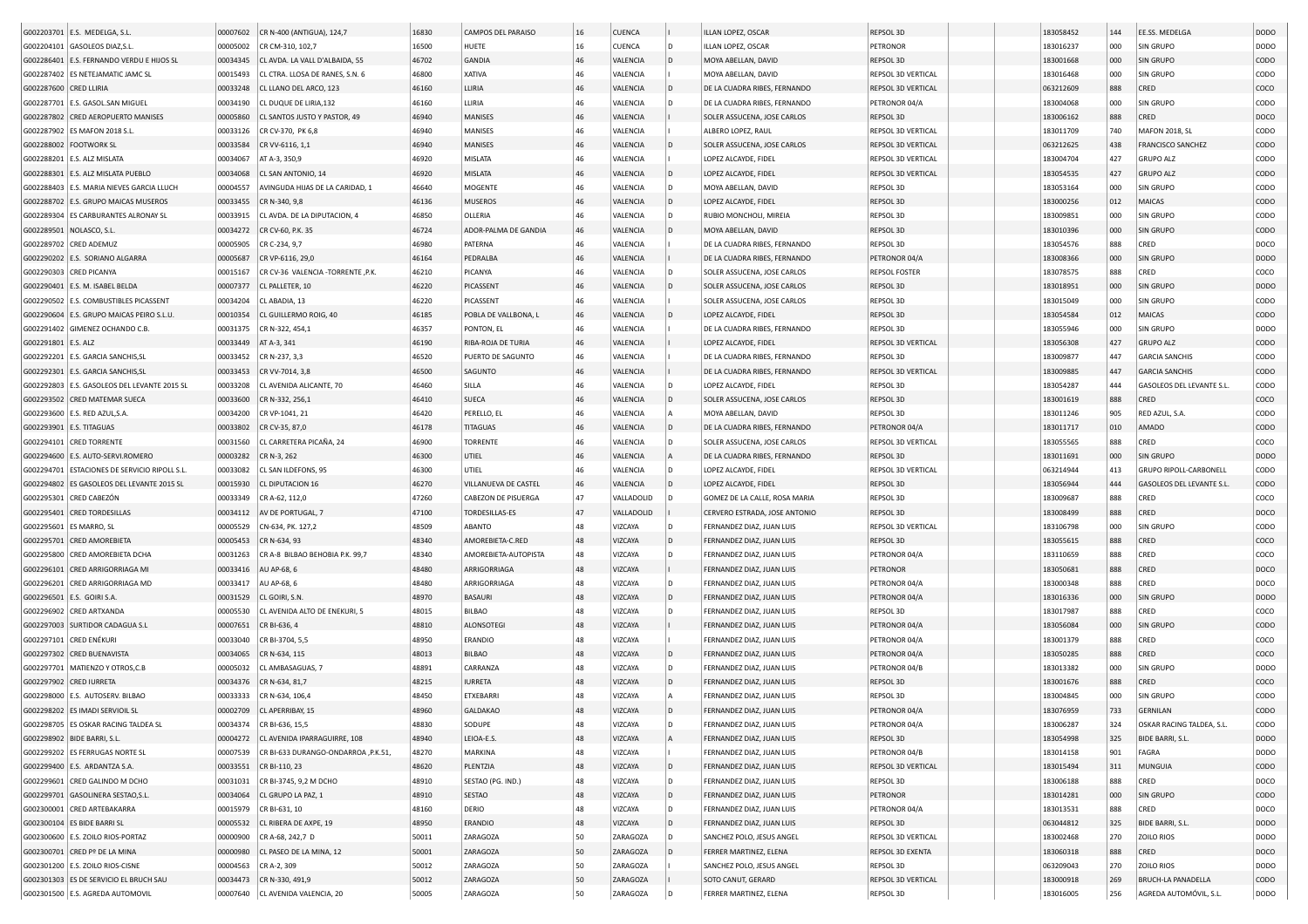|                          | G002203701 E.S. MEDELGA, S.L                                     | 00007602             | CR N-400 (ANTIGUA), 124,7              | 16830          | <b>CAMPOS DEL PARAISO</b> | 16       | <b>CUENCA</b>       |          | ILLAN LOPEZ, OSCAR                                     | REPSOL 3D                       | 183058452              | 144        | EE.SS. MEDELGA                       | <b>DODO</b>                |
|--------------------------|------------------------------------------------------------------|----------------------|----------------------------------------|----------------|---------------------------|----------|---------------------|----------|--------------------------------------------------------|---------------------------------|------------------------|------------|--------------------------------------|----------------------------|
|                          | G002204101 GASOLEOS DIAZ, S.L                                    | 00005002             | CR CM-310, 102,7                       | 16500          | HUETE                     | 16       | CUENCA              | D        | ILLAN LOPEZ, OSCAR                                     | PETRONOR                        | 183016237              | 000        | SIN GRUPO                            | DODO                       |
|                          | G002286401 E.S. FERNANDO VERDU E HIJOS SL                        | 00034345             | CL AVDA. LA VALL D'ALBAIDA, 55         | 46702          | <b>GANDIA</b>             | 46       | VALENCIA            | D        | MOYA ABELLAN, DAVID                                    | REPSOL 3D                       | 183001668              | 000        | <b>SIN GRUPO</b>                     | <b>CODO</b>                |
|                          | G002287402 ES NETEJAMATIC JAMC SL                                | 00015493             | CL CTRA. LLOSA DE RANES, S.N. 6        | 46800          | <b>XATIVA</b>             | 46       | VALENCIA            |          | MOYA ABELLAN, DAVID                                    | REPSOL 3D VERTICAL              | 183016468              | 000        | SIN GRUPO                            | CODO                       |
| G002287600 CRED LLIRIA   |                                                                  | 00033248             | CL LLANO DEL ARCO, 123                 | 46160          | LLIRIA                    | 46       | VALENCIA            |          | DE LA CUADRA RIBES, FERNANDO                           | REPSOL 3D VERTICAL              | 063212609              | 888        | CRED                                 | coco                       |
|                          | G002287701 E.S. GASOL.SAN MIGUEL                                 | 00034190             | CL DUQUE DE LIRIA,132                  | 46160          | LLIRIA                    | 46       | VALENCIA            |          | DE LA CUADRA RIBES, FERNANDO                           | PETRONOR 04/A                   | 183004068              | 000        | SIN GRUPO                            | CODO                       |
|                          | G002287802 CRED AEROPUERTO MANISES                               | 00005860             | CL SANTOS JUSTO Y PASTOR, 49           | 46940          | MANISES                   | 46       | VALENCIA            |          | SOLER ASSUCENA, JOSE CARLOS                            | REPSOL 3D                       | 183006162              | 888        | CRED                                 | DOCO                       |
|                          | G002287902 ES MAFON 2018 S.L.                                    | 00033126             | CR CV-370, PK 6,8                      | 46940          | MANISES                   | 46       | VALENCIA            |          | ALBERO LOPEZ, RAUL                                     | REPSOL 3D VERTICAL              | 183011709              | 740        | <b>MAFON 2018, SL</b>                | CODO                       |
| G002288002   FOOTWORK SL |                                                                  | 00033584             | CR VV-6116, 1,1                        | 46940          | MANISES                   | 46       | VALENCIA            |          | SOLER ASSUCENA, JOSE CARLOS                            | REPSOL 3D VERTICAL              | 063212625              | 438        | <b>FRANCISCO SANCHEZ</b>             | CODO                       |
|                          | G002288201 E.S. ALZ MISLATA                                      | 00034067             | AT A-3, 350,9                          | 46920          | MISLATA                   | 46       | VALENCIA            |          | LOPEZ ALCAYDE, FIDEL                                   | REPSOL 3D VERTICAL              | 183004704              | 427        | <b>GRUPO ALZ</b>                     | CODO                       |
| G002288301               | E.S. ALZ MISLATA PUEBLO                                          | 00034068             | CL SAN ANTONIO, 14                     | 46920          | <b>MISLATA</b>            | 46       | VALENCIA            | l D      | LOPEZ ALCAYDE, FIDEL                                   | REPSOL 3D VERTICAL              | 183054535              | 427        | <b>GRUPO ALZ</b>                     | CODO                       |
|                          | G002288403 E.S. MARIA NIEVES GARCIA LLUCH                        | 00004557             | AVINGUDA HIJAS DE LA CARIDAD. 1        | 46640          | MOGENTE                   | 46       | VALENCIA            | D        | MOYA ABELLAN, DAVID                                    | REPSOL 3D                       | 183053164              | 000        | SIN GRUPO                            | CODO                       |
| G002288702               | E.S. GRUPO MAICAS MUSEROS                                        | 00033455             | CR N-340, 9,8                          | 46136          | <b>MUSEROS</b>            | 46       | VALENCIA            | l D      | LOPEZ ALCAYDE, FIDEL                                   | REPSOL 3D                       | 183000256              | 012        | MAICAS                               | CODO                       |
| G002289304               | ES CARBURANTES ALRONAY SL                                        | 00033915             | CL AVDA. DE LA DIPUTACION, 4           | 46850          | OLLERIA                   | 46       | VALENCIA            | D        | RUBIO MONCHOLI, MIREIA                                 | REPSOL 3D                       | 183009851              | 000        | SIN GRUPO                            | CODO                       |
| G002289501               | NOLASCO, S.L.                                                    | 00034272             | CR CV-60, P.K. 35                      | 46724          | ADOR-PALMA DE GANDIA      | 46       | VALENCIA            |          | MOYA ABELLAN, DAVID                                    | REPSOL 3D                       | 183010396              | 000        | <b>SIN GRUPO</b>                     | CODO                       |
| G002289702               | <b>CRED ADEMUZ</b>                                               | 00005905             | CR C-234, 9,7                          | 46980          | PATERNA                   | 46       | VALENCIA            |          | DE LA CUADRA RIBES, FERNANDO                           | REPSOL 3D                       | 183054576              | 888        | CRED                                 | DOCO                       |
| G002290202               | E.S. SORIANO ALGARRA                                             | 00005687             | CR VP-6116, 29,0                       | 46164          | PEDRALBA                  | 46       | VALENCIA            |          | DE LA CUADRA RIBES, FERNANDO                           | PETRONOR 04/A                   | 183008366              | 000        | SIN GRUPO                            | <b>DODO</b>                |
| G002290303 CRED PICANYA  |                                                                  | 00015167             | CR CV-36 VALENCIA -TORRENTE, P.K.      | 46210          | PICANYA                   | 46       | VALENCIA            |          | SOLER ASSUCENA, JOSE CARLOS                            | <b>REPSOL FOSTER</b>            | 183078575              | 888        | CRED                                 | coco                       |
|                          | G002290401   E.S. M. ISABEL BELDA                                | 00007377             | CL PALLETER, 10                        | 46220          | PICASSENT                 | 46       | VALENCIA            |          | SOLER ASSUCENA, JOSE CARLOS                            | REPSOL 3D                       | 183018951              | 000        | <b>SIN GRUPO</b>                     | DODO                       |
|                          | G002290502 E.S. COMBUSTIBLES PICASSENT                           | 00034204             | CL ABADIA, 13                          | 46220          | PICASSENT                 | 46       | VALENCIA            |          | SOLER ASSUCENA, JOSE CARLOS                            | REPSOL 3D                       | 183015049              | 000        | <b>SIN GRUPO</b>                     | CODO                       |
| G002290604               | E.S. GRUPO MAICAS PEIRO S.L.U                                    | 00010354             | CL GUILLERMO ROIG, 40                  | 46185          | POBLA DE VALLBONA, L      | 46       | VALENCIA            |          | LOPEZ ALCAYDE, FIDEL                                   | REPSOL 3D                       | 183054584              | 012        | MAICAS                               | CODO                       |
|                          | G002291402 GIMENEZ OCHANDO C.B.                                  | 00031375             | CR N-322, 454,1                        | 46357          | PONTON, EL                | 46       | VALENCIA            |          | DE LA CUADRA RIBES, FERNANDO                           | REPSOL 3D                       | 183055946              | 000        | <b>SIN GRUPO</b>                     | DODO                       |
| G002291801 E.S. ALZ      |                                                                  | 00033449             | AT A-3, 341                            | 46190          | RIBA-ROJA DE TURIA        | 46       | VALENCIA            |          | LOPEZ ALCAYDE, FIDEL                                   | REPSOL 3D VERTICAL              | 183056308              | 427        | <b>GRUPO ALZ</b>                     | CODO                       |
|                          | G002292201 E.S. GARCIA SANCHIS, SL                               | 00033452             | CR N-237, 3,3                          | 46520          | PUERTO DE SAGUNTO         | 46       | VALENCIA            |          | DE LA CUADRA RIBES, FERNANDO                           | REPSOL 3D                       | 183009877              | 447        | <b>GARCIA SANCHIS</b>                | CODO                       |
|                          | G002292301 E.S. GARCIA SANCHIS.SL                                | 00033453             | CR VV-7014, 3,8                        | 46500          | SAGUNTO                   | 46       | VALENCIA            |          | DE LA CUADRA RIBES, FERNANDO                           | <b>REPSOL 3D VERTICAL</b>       | 183009885              | 447        | <b>GARCIA SANCHIS</b>                | CODO                       |
| G002292803               | E.S. GASOLEOS DEL LEVANTE 2015 SL                                | 00033208             | CL AVENIDA ALICANTE, 70                | 46460          | SILLA                     | 46       | VALENCIA            |          | LOPEZ ALCAYDE, FIDEL                                   | REPSOL 3D                       | 183054287              | 444        | GASOLEOS DEL LEVANTE S.L.            | CODO                       |
|                          | G002293502 CRED MATEMAR SUECA                                    | 00033600             | CR N-332, 256,1                        | 46410          | <b>SUECA</b>              | 46       | VALENCIA            | l D      | SOLER ASSUCENA, JOSE CARLOS                            | REPSOL 3D                       | 183001619              | 888        | CRED                                 | coco                       |
|                          | G002293600 E.S. RED AZUL, S.A                                    | 00034200             | CR VP-1041, 21                         | 46420          | PERELLO, EL               | 46       | VALENCIA            |          | MOYA ABELLAN, DAVID                                    | REPSOL 3D                       | 183011246              | 905        | RED AZUL, S.A.                       | CODO                       |
| G002293901 E.S. TITAGUAS |                                                                  | 00033802             | CR CV-35, 87,0                         | 46178          | <b>TITAGUAS</b>           | 46       | VALENCIA            | l D      | DE LA CUADRA RIBES, FERNANDO                           | PETRONOR 04/A                   | 183011717              | 010        | <b>AMADO</b>                         | CODO                       |
|                          | G002294101 CRED TORRENTE                                         | 00031560             | CL CARRETERA PICAÑA, 24                | 46900          | <b>TORRENTE</b>           | 46       | VALENCIA            | D        | SOLER ASSUCENA, JOSE CARLOS                            | REPSOL 3D VERTICAL              | 183055565              | 888        | CRED                                 | coco                       |
|                          | G002294600 E.S. AUTO-SERVI.ROMERO                                | 00003282             | CR N-3, 262                            | 46300          | UTIEL                     | 46       | VALENCIA            |          | DE LA CUADRA RIBES, FERNANDO                           | REPSOL 3D                       | 183011691              | 000        | SIN GRUPO                            | <b>DODO</b>                |
|                          | G002294701 ESTACIONES DE SERVICIO RIPOLL S.L                     | 00033082             | CL SAN ILDEFONS, 95                    | 46300          | UTIEL                     | 46       | VALENCIA            | D        | LOPEZ ALCAYDE, FIDEL                                   | REPSOL 3D VERTICAL              | 063214944              | 413        | GRUPO RIPOLL-CARBONELL               | CODO                       |
|                          | G002294802 ES GASOLEOS DEL LEVANTE 2015 SL                       | 00015930             | CL DIPUTACION 16                       | 46270          | VILLANUEVA DE CASTEL      | 46       | VALENCIA            |          | LOPEZ ALCAYDE, FIDEL                                   | REPSOL 3D                       | 183056944              | 444        | GASOLEOS DEL LEVANTE S.L             | CODO                       |
|                          | G002295301 CRED CABEZÓN                                          | 00033349             | CR A-62, 112,0                         | 47260          | CABEZON DE PISUERGA       | 47       | VALLADOLID          |          | GOMEZ DE LA CALLE, ROSA MARIA                          | REPSOL 3D                       | 183009687              | 888        | CRED                                 | COCO                       |
|                          | G002295401 CRED TORDESILLAS                                      | 00034112             | AV DE PORTUGAL, 7                      | 47100          | TORDESILLAS-ES            | 47       | VALLADOLID          |          | CERVERO ESTRADA, JOSE ANTONIO                          | REPSOL 3D                       | 183008499              | 888        | CRED                                 | DOCO                       |
| G002295601 ES MARRO, SL  |                                                                  | 00005529             | CN-634, PK. 127,2                      | 48509          | ABANTO                    | 48       | VIZCAYA             |          | FERNANDEZ DIAZ, JUAN LUIS                              | REPSOL 3D VERTICAL              | 183106798              | 000        | <b>SIN GRUPO</b>                     | CODO                       |
|                          | G002295701 CRED AMOREBIETA                                       | 00005453             | CR N-634, 93                           | 48340          | AMOREBIETA-C.RED          | 48       | VIZCAYA             | D        | FERNANDEZ DIAZ, JUAN LUIS                              | REPSOL 3D                       | 183055615              | 888        | CRED                                 | COCO                       |
|                          | G002295800 CRED AMOREBIETA DCHA                                  | 00031263             | CR A-8 BILBAO BEHOBIA P.K. 99,7        | 48340          | AMOREBIETA-AUTOPISTA      | 48       | VIZCAYA             | D        | FERNANDEZ DIAZ, JUAN LUIS                              | PETRONOR 04/A                   | 183110659              | 888        | CRED                                 | coco                       |
|                          | G002296101 CRED ARRIGORRIAGA MI                                  | 00033416             | AU AP-68, 6                            | 48480          | ARRIGORRIAGA              | 48       | VIZCAYA             |          | FERNANDEZ DIAZ, JUAN LUIS                              | PETRONOR                        | 183050681              | 888        | CRED                                 | DOCO                       |
|                          | G002296201 CRED ARRIGORRIAGA MD                                  | 00033417             | AU AP-68, 6                            | 48480          | ARRIGORRIAGA              | 48       | VIZCAYA             | D        | FERNANDEZ DIAZ, JUAN LUIS                              | PETRONOR 04/A                   | 183000348              | 888        | CRED                                 | DOCO                       |
| G002296501               | E.S. GOIRI S.A.                                                  | 00031529             | CL GOIRI, S.N.                         | 48970          | <b>BASAURI</b>            | 48       | VIZCAYA             | D        | FERNANDEZ DIAZ, JUAN LUIS                              | PETRONOR 04/A                   | 183016336              | 000        | <b>SIN GRUPO</b>                     | DODO                       |
|                          | G002296902 CRED ARTXANDA                                         | 00005530             | CL AVENIDA ALTO DE ENEKURI, 5          | 48015          | BILBAO                    | 48       | VIZCAYA             | D        | FERNANDEZ DIAZ, JUAN LUIS                              | REPSOL 3D                       | 183017987              | 888        | CRED                                 | coco                       |
|                          | G002297003 SURTIDOR CADAGUA S.L                                  | 00007651             | CR BI-636, 4                           | 48810          | <b>ALONSOTEGI</b>         | 48       | VIZCAYA             |          | FERNANDEZ DIAZ, JUAN LUIS                              | PETRONOR 04/A                   | 183056084              | 000        | SIN GRUPO                            | CODO                       |
| G002297101 CRED ENÉKURI  |                                                                  | 00033040             | CR BI-3704, 5,5                        | 48950          | ERANDIO                   | 48       | VIZCAYA             |          | FERNANDEZ DIAZ, JUAN LUIS                              | PETRONOR 04/A                   | 183001379              | 888        | CRED                                 | coco                       |
|                          | G002297302 CRED BUENAVISTA                                       | 00034065             | CR N-634, 115                          | 48013          | <b>BILBAO</b>             | 48       | VIZCAYA             | D        | FERNANDEZ DIAZ, JUAN LUIS                              | PETRONOR 04/A                   | 183050285              | 888        | CRED                                 | COCO                       |
| G002297701               | MATIENZO Y OTROS,C.B                                             | 00005032             | CL AMBASAGUAS, 7                       | 48891          | CARRANZA                  | 48       | VIZCAYA             | l D      | FERNANDEZ DIAZ, JUAN LUIS                              | PETRONOR 04/B                   | 183013382              | 000        | SIN GRUPO                            | <b>DODO</b>                |
|                          | G002297902 CRED IURRETA                                          | 00034376             | CR N-634, 81,7                         | 48215          | <b>IURRETA</b>            | 48       | VIZCAYA             |          | FERNANDEZ DIAZ, JUAN LUIS                              | REPSOL 3D                       | 183001676              | 888        | CRED                                 | COCO                       |
|                          | G002298000 E.S. AUTOSERV, BILBAO                                 | 00033333             | CR N-634, 106,4                        | 48450          | ETXEBARRI                 | 48       | VIZCAYA             |          | FERNANDEZ DIAZ, JUAN LUIS                              | REPSOL 3D                       | 183004845              | 000        | SIN GRUPO                            | CODO                       |
|                          | G002298202 ES IMADI SERVIOIL SL                                  | 00002709             | CL APERRIBAY, 15                       | 48960          | <b>GALDAKAO</b>           | 48       | VIZCAYA             |          | FERNANDEZ DIAZ, JUAN LUIS                              | PETRONOR 04/A                   | 183076959              | 733        | GERNILAN                             | CODO                       |
|                          | G002298705   ES OSKAR RACING TALDEA SL                           |                      | 00034374 CR BI-636, 15,5               | 48830          | SODUPE                    | 48       | VIZCAYA             | l D      | FERNANDEZ DIAZ, JUAN LUIS                              | PETRONOR 04/A                   | 183006287              | 324        | OSKAR RACING TALDEA, S.L.            | CODO                       |
|                          | G002298902 BIDE BARRI, S.L.                                      | 00004272             | CL AVENIDA IPARRAGUIRRE, 108           | 48940          | LEIOA-E.S.                | 48       | VIZCAYA             | l A      | FERNANDEZ DIAZ, JUAN LUIS                              | REPSOL 3D                       | 183054998              | 325        | BIDE BARRI, S.L.                     | <b>DODO</b>                |
|                          | G002299202 ES FERRUGAS NORTE SL                                  | 00007539             | CR BI-633 DURANGO-ONDARROA , P.K.51,   | 48270          | MARKINA                   | 48       | VIZCAYA             |          | FERNANDEZ DIAZ, JUAN LUIS                              | PETRONOR 04/B                   | 183014158              | 901        | FAGRA                                | <b>DODO</b>                |
|                          | G002299400 E.S. ARDANTZA S.A.                                    | 00033551             | CR BI-110, 23                          | 48620          | PLENTZIA                  | 48       | VIZCAYA             | D        | FERNANDEZ DIAZ, JUAN LUIS                              | REPSOL 3D VERTICAL              | 183015494              | 311        | MUNGUIA                              | <b>CODO</b>                |
|                          | G002299601 CRED GALINDO M DCHO                                   | 00031031             | CR BI-3745, 9,2 M DCHO                 | 48910          | SESTAO (PG. IND.)         | 48       | VIZCAYA             | D        | FERNANDEZ DIAZ, JUAN LUIS                              | REPSOL 3D                       | 183006188              | 888        | CRED                                 | DOCO                       |
|                          | G002299701 GASOLINERA SESTAO, S.L.                               | 00034064             | CL GRUPO LA PAZ, 1                     | 48910          | <b>SESTAO</b>             | 48       | VIZCAYA             | D        | FERNANDEZ DIAZ, JUAN LUIS                              | PETRONOR                        | 183014281              | 000        | SIN GRUPO                            | <b>CODO</b>                |
|                          |                                                                  |                      |                                        |                | DERIO                     | 48       |                     | D        |                                                        |                                 |                        | 888        |                                      | DOCO                       |
|                          | G002300001 CRED ARTEBAKARRA                                      | 00015979             | CR BI-631, 10<br>CL RIBERA DE AXPE, 19 | 48160          |                           |          | VIZCAYA             |          | FERNANDEZ DIAZ, JUAN LUIS                              | PETRONOR 04/A                   | 183013531              |            | CRED                                 |                            |
|                          | G002300104 ES BIDE BARRI SL<br>G002300600 E.S. ZOILO RIOS-PORTAZ | 00005532<br>00000900 | CR A-68, 242,7 D                       | 48950<br>50011 | ERANDIO<br>ZARAGOZA       | 48<br>50 | VIZCAYA<br>ZARAGOZA | l D<br>D | FERNANDEZ DIAZ, JUAN LUIS<br>SANCHEZ POLO, JESUS ANGEL | REPSOL 3D<br>REPSOL 3D VERTICAL | 063044812<br>183002468 | 325<br>270 | <b>BIDE BARRI, S.L</b><br>ZOILO RIOS | <b>DODO</b><br><b>DODO</b> |
|                          |                                                                  |                      |                                        |                |                           |          |                     |          |                                                        |                                 |                        |            |                                      |                            |
|                          | G002300701 CRED Pº DE LA MINA                                    | 00000980             | CL PASEO DE LA MINA, 12                | 50001          | ZARAGOZA                  | 50       | ZARAGOZA            |          | FERRER MARTINEZ, ELENA                                 | <b>REPSOL 3D EXENTA</b>         | 183060318              | 888        | CRED                                 | DOCO                       |
|                          | G002301200 E.S. ZOILO RIOS-CISNE                                 | 00004563             | CR A-2, 309                            | 50012          | ZARAGOZA                  | 50       | ZARAGOZA            |          | SANCHEZ POLO, JESUS ANGEL                              | REPSOL 3D                       | 063209043              | 270        | ZOILO RIOS                           | DODO                       |
|                          | G002301303 ES DE SERVICIO EL BRUCH SAU                           | 00034473             | CR N-330, 491,9                        | 50012          | ZARAGOZA                  | 50       | ZARAGOZA            |          | SOTO CANUT, GERARD                                     | <b>REPSOL 3D VERTICAL</b>       | 183000918              | 269        | <b>BRUCH-LA PANADELLA</b>            | CODO                       |
|                          | G002301500 E.S. AGREDA AUTOMOVIL                                 | 00007640             | CL AVENIDA VALENCIA, 20                | 50005          | ZARAGOZA                  | 50       | ZARAGOZA            |          | FERRER MARTINEZ, ELENA                                 | REPSOL 3D                       | 183016005              | 256        | AGREDA AUTOMÓVIL, S.L.               | <b>DODO</b>                |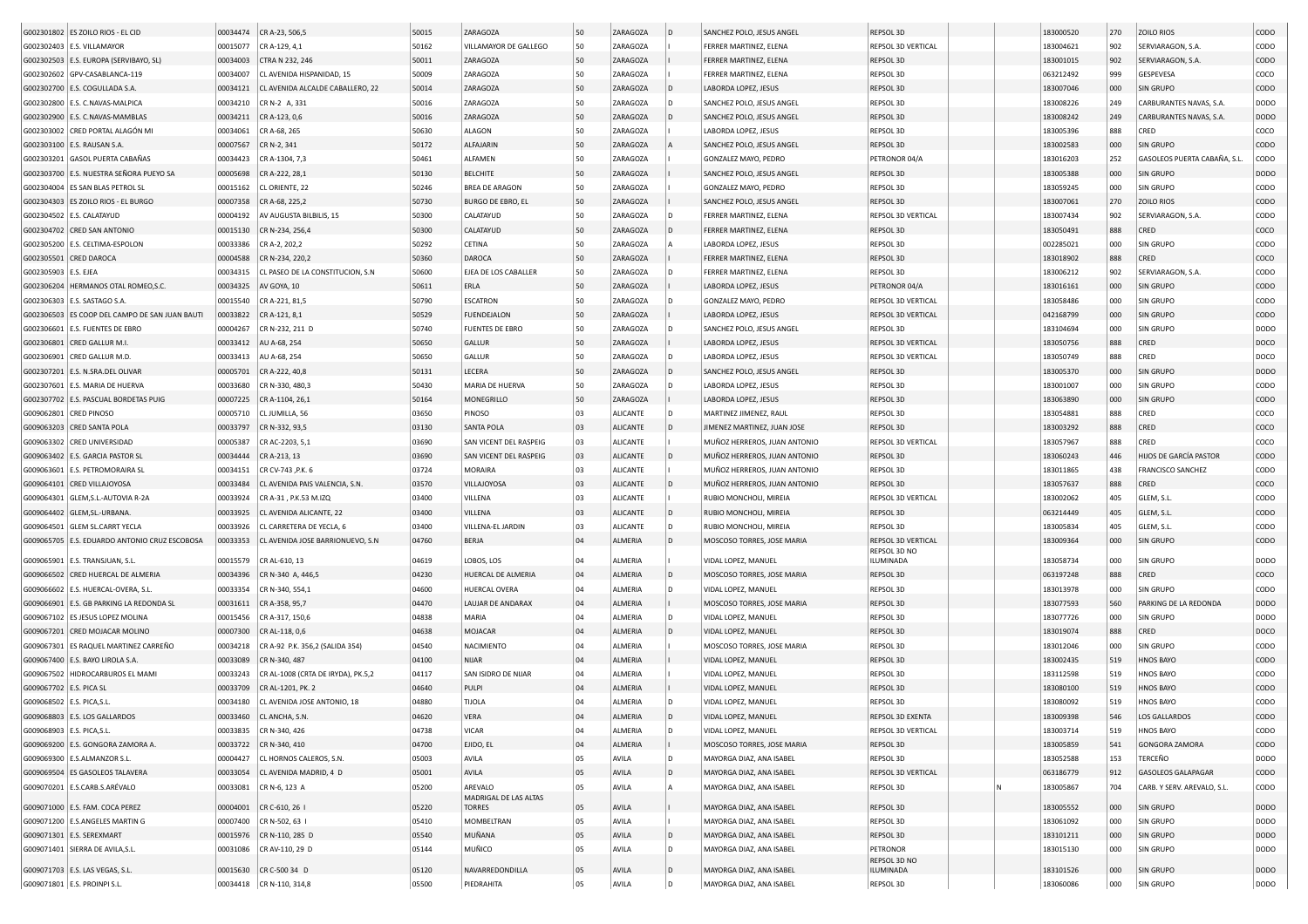|                            | G002301802 ES ZOILO RIOS - EL CID             | 00034474 | CR A-23, 506,5                     | 50015 | ZARAGOZA                         | 50 | ZARAGOZA        | l D | SANCHEZ POLO, JESUS ANGEL    | REPSOL 3D                 | 183000520 | 270 | ZOILO RIOS                    | CODO        |
|----------------------------|-----------------------------------------------|----------|------------------------------------|-------|----------------------------------|----|-----------------|-----|------------------------------|---------------------------|-----------|-----|-------------------------------|-------------|
|                            | G002302403   E.S. VILLAMAYOR                  | 00015077 | CR A-129, 4,1                      | 50162 | VILLAMAYOR DE GALLEGO            | 50 | ZARAGOZA        |     | FERRER MARTINEZ, ELENA       | REPSOL 3D VERTICAL        | 183004621 | 902 | SERVIARAGON, S.A.             | CODO        |
|                            |                                               |          |                                    | 50011 |                                  | 50 |                 |     | FERRER MARTINEZ, ELENA       |                           |           |     | SERVIARAGON, S.A.             | CODO        |
|                            | G002302503   E.S. EUROPA (SERVIBAYO, SL)      | 00034003 | CTRA N 232, 246                    |       | ZARAGOZA                         | 50 | ZARAGOZA        |     |                              | REPSOL 3D                 | 183001015 | 902 |                               |             |
|                            | G002302602 GPV-CASABLANCA-119                 | 00034007 | CL AVENIDA HISPANIDAD, 15          | 50009 | ZARAGOZA                         |    | ZARAGOZA        |     | FERRER MARTINEZ, ELENA       | REPSOL 3D                 | 063212492 | 999 | GESPEVESA                     | coco        |
|                            | G002302700   E.S. COGULLADA S.A               | 00034121 | CL AVENIDA ALCALDE CABALLERO, 22   | 50014 | ZARAGOZA                         | 50 | ZARAGOZA        |     | LABORDA LOPEZ, JESUS         | REPSOL 3D                 | 183007046 | 000 | <b>SIN GRUPO</b>              | CODO        |
|                            | G002302800 E.S. C.NAVAS-MALPICA               | 00034210 | CR N-2 A, 331                      | 50016 | ZARAGOZA                         | 50 | ZARAGOZA        |     | SANCHEZ POLO, JESUS ANGEL    | REPSOL 3D                 | 183008226 | 249 | CARBURANTES NAVAS, S.A.       | <b>DODO</b> |
|                            | G002302900 E.S. C.NAVAS-MAMBLAS               | 00034211 | CR A-123, 0,6                      | 50016 | ZARAGOZA                         | 50 | ZARAGOZA        |     | SANCHEZ POLO, JESUS ANGEL    | REPSOL 3D                 | 183008242 | 249 | CARBURANTES NAVAS, S.A        | <b>DODO</b> |
|                            | G002303002 CRED PORTAL ALAGÓN MI              | 00034061 | CR A-68, 265                       | 50630 | ALAGON                           | 50 | ZARAGOZA        |     | LABORDA LOPEZ, JESUS         | REPSOL 3D                 | 183005396 | 888 | CRED                          | COCO        |
|                            | G002303100 E.S. RAUSAN S.A                    | 00007567 | CR N-2, 341                        | 50172 | ALFAJARIN                        | 50 | ZARAGOZA        |     | SANCHEZ POLO, JESUS ANGEI    | REPSOL 3D                 | 183002583 | 000 | <b>SIN GRUPO</b>              | CODO        |
|                            | G002303201 GASOL PUERTA CABAÑAS               | 00034423 | CR A-1304, 7,3                     | 50461 | ALFAMEN                          | 50 | ZARAGOZA        |     | GONZALEZ MAYO, PEDRO         | PETRONOR 04/A             | 183016203 | 252 | GASOLEOS PUERTA CABAÑA, S.L   | CODO        |
|                            | G002303700 E.S. NUESTRA SEÑORA PUEYO SA       | 00005698 | CR A-222, 28,1                     | 50130 | <b>BELCHITE</b>                  | 50 | ZARAGOZA        |     | SANCHEZ POLO, JESUS ANGEL    | <b>REPSOL 3D</b>          | 183005388 | 000 | <b>SIN GRUPO</b>              | <b>DODO</b> |
|                            | G002304004 ES SAN BLAS PETROL SL              | 00015162 | CL ORIENTE, 22                     | 50246 | <b>BREA DE ARAGON</b>            | 50 | ZARAGOZA        |     | GONZALEZ MAYO, PEDRO         | REPSOL 3D                 | 183059245 | 000 | <b>SIN GRUPO</b>              | CODO        |
|                            | G002304303 ES ZOILO RIOS - EL BURGO           | 00007358 | CR A-68, 225,2                     | 50730 | <b>BURGO DE EBRO, EL</b>         | 50 | ZARAGOZA        |     | SANCHEZ POLO, JESUS ANGEL    | REPSOL 3D                 | 183007061 | 270 | <b>ZOILO RIOS</b>             | CODO        |
|                            | G002304502 E.S. CALATAYUD                     | 00004192 | AV AUGUSTA BILBILIS, 15            | 50300 | CALATAYUD                        | 50 | ZARAGOZA        |     | FERRER MARTINEZ, ELENA       | <b>REPSOL 3D VERTICAL</b> | 183007434 | 902 | SERVIARAGON, S.A.             | CODO        |
|                            | G002304702 CRED SAN ANTONIO                   | 00015130 | CR N-234, 256,4                    | 50300 | CALATAYUD                        | 50 | ZARAGOZA        |     | FERRER MARTINEZ, ELENA       | REPSOL 3D                 | 183050491 | 888 | CRED                          | coco        |
|                            | G002305200 E.S. CELTIMA-ESPOLON               | 00033386 | CR A-2, 202,2                      | 50292 | CETINA                           | 50 | ZARAGOZA        |     | LABORDA LOPEZ, JESUS         | REPSOL 3D                 | 002285021 | 000 | SIN GRUPO                     | CODO        |
| G002305501 CRED DAROCA     |                                               | 00004588 | CR N-234, 220,2                    | 50360 | <b>DAROCA</b>                    | 50 | ZARAGOZA        |     | FERRER MARTINEZ, ELENA       | REPSOL 3D                 | 183018902 | 888 | CRED                          | COCO        |
|                            |                                               |          |                                    |       |                                  |    |                 |     |                              |                           |           |     |                               |             |
| G002305903                 | E.S. EJEA                                     | 00034315 | CL PASEO DE LA CONSTITUCION, S.N   | 50600 | EJEA DE LOS CABALLER             | 50 | ZARAGOZA        |     | FERRER MARTINEZ, ELENA       | REPSOL 3D                 | 183006212 | 902 | SERVIARAGON, S.A.             | CODO        |
| G002306204                 | HERMANOS OTAL ROMEO, S.C.                     | 00034325 | AV GOYA, 10                        | 50611 | ERLA                             | 50 | ZARAGOZA        |     | LABORDA LOPEZ, JESUS         | PETRONOR 04/A             | 183016161 | 000 | <b>SIN GRUPO</b>              | CODO        |
| G002306303                 | E.S. SASTAGO S.A.                             | 00015540 | CR A-221, 81,5                     | 50790 | <b>ESCATRON</b>                  | 50 | ZARAGOZA        |     | GONZALEZ MAYO, PEDRO         | REPSOL 3D VERTICAL        | 183058486 | 000 | <b>SIN GRUPO</b>              | CODO        |
| G002306503                 | ES COOP DEL CAMPO DE SAN JUAN BAUTI           | 00033822 | CR A-121, 8,1                      | 50529 | <b>FUENDEJALON</b>               | 50 | ZARAGOZA        |     | LABORDA LOPEZ, JESUS         | REPSOL 3D VERTICAL        | 042168799 | 000 | <b>SIN GRUPO</b>              | copo        |
| G002306601                 | <b>E.S. FUENTES DE EBRO</b>                   | 00004267 | CR N-232, 211 D                    | 50740 | <b>FUENTES DE EBRO</b>           | 50 | ZARAGOZA        |     | SANCHEZ POLO, JESUS ANGEL    | REPSOL 3D                 | 183104694 | 000 | <b>SIN GRUPO</b>              | <b>DODO</b> |
|                            | G002306801 CRED GALLUR M.I                    | 00033412 | AU A-68, 254                       | 50650 | GALLUR                           | 50 | ZARAGOZA        |     | LABORDA LOPEZ, JESUS         | REPSOL 3D VERTICAL        | 183050756 | 888 | CRED                          | DOCO        |
| G002306901                 | CRED GALLUR M.D.                              | 00033413 | AU A-68, 254                       | 50650 | GALLUR                           | 50 | ZARAGOZA        |     | LABORDA LOPEZ, JESUS         | REPSOL 3D VERTICAL        | 183050749 | 888 | CRED                          | DOCO        |
|                            | G002307201 E.S. N.SRA.DEL OLIVAR              | 00005701 | CR A-222, 40,8                     | 50131 | LECERA                           | 50 | ZARAGOZA        |     | SANCHEZ POLO, JESUS ANGEL    | REPSOL 3D                 | 183005370 | 000 | <b>SIN GRUPO</b>              | <b>DODO</b> |
|                            | G002307601 E.S. MARIA DE HUERVA               | 00033680 | CR N-330, 480,3                    | 50430 | MARIA DE HUERVA                  | 50 | ZARAGOZA        |     | LABORDA LOPEZ, JESUS         | REPSOL 3D                 | 183001007 | 000 | SIN GRUPO                     | CODO        |
|                            | G002307702 E.S. PASCUAL BORDETAS PUIG         | 00007225 | CR A-1104, 26,1                    | 50164 | <b>MONEGRILLO</b>                | 50 | ZARAGOZA        |     | LABORDA LOPEZ, JESUS         | REPSOL 3D                 | 183063890 | 000 | SIN GRUPO                     | CODO        |
| G009062801 CRED PINOSO     |                                               | 00005710 | CL JUMILLA, 56                     | 03650 | PINOSO                           | 03 | ALICANTE        |     | MARTINEZ JIMENEZ, RAUL       | REPSOL 3D                 | 183054881 | 888 | CRED                          | coco        |
|                            | G009063203 CRED SANTA POLA                    | 00033797 | CR N-332, 93,5                     | 03130 | <b>SANTA POLA</b>                | 03 | <b>ALICANTE</b> |     | JIMENEZ MARTINEZ, JUAN JOSE  | REPSOL 3D                 | 183003292 | 888 | CRED                          | coco        |
|                            | G009063302 CRED UNIVERSIDAD                   | 00005387 | CR AC-2203, 5,1                    | 03690 | SAN VICENT DEL RASPEIG           | 03 | <b>ALICANTE</b> |     | MUÑOZ HERREROS, JUAN ANTONIO | REPSOL 3D VERTICAL        | 183057967 | 888 | CRED                          | coco        |
|                            | G009063402 E.S. GARCIA PASTOR SL              | 00034444 | CR A-213, 13                       | 03690 | SAN VICENT DEL RASPEIG           | 03 | <b>ALICANTE</b> |     | MUÑOZ HERREROS, JUAN ANTONIO | REPSOL 3D                 | 183060243 | 446 | <b>HIJOS DE GARCÍA PASTOR</b> | CODO        |
|                            | G009063601 E.S. PETROMORAIRA SL               |          | CR CV-743, P.K. 6                  | 03724 | <b>MORAIRA</b>                   | 03 | <b>ALICANTE</b> |     | MUÑOZ HERREROS, JUAN ANTONIO | REPSOL 3D                 | 183011865 | 438 | <b>FRANCISCO SANCHEZ</b>      | CODO        |
|                            |                                               | 00034151 |                                    |       |                                  |    |                 |     |                              |                           |           |     |                               |             |
|                            | G009064101 CRED VILLAJOYOSA                   | 00033484 | CL AVENIDA PAIS VALENCIA, S.N.     | 03570 | VILLAJOYOSA                      | 03 | <b>ALICANTE</b> |     | MUÑOZ HERREROS, JUAN ANTONIO | REPSOL 3D                 | 183057637 | 888 | CRED                          | COCO        |
|                            | G009064301 GLEM, S.L.-AUTOVIA R-2A            | 00033924 | CR A-31, P.K.53 M.IZQ              | 03400 | VILLENA                          | 03 | <b>ALICANTE</b> |     | RUBIO MONCHOLI, MIREIA       | REPSOL 3D VERTICAL        | 183002062 | 405 | GLEM, S.L.                    | CODO        |
|                            | G009064402 GLEM, SL .- URBANA                 | 00033925 | CL AVENIDA ALICANTE, 22            | 03400 | VILLENA                          | 03 | <b>ALICANTE</b> |     | RUBIO MONCHOLI, MIREIA       | REPSOL 3D                 | 063214449 | 405 | GLEM, S.L.                    | CODO        |
|                            | G009064501 GLEM SL.CARRT YECLA                | 00033926 | CL CARRETERA DE YECLA, 6           | 03400 | VILLENA-EL JARDIN                | 03 | <b>ALICANTE</b> | D   | RUBIO MONCHOLI, MIREIA       | REPSOL 3D                 | 183005834 | 405 | GLEM, S.L.                    | CODO        |
|                            | G009065705 E.S. EDUARDO ANTONIO CRUZ ESCOBOSA | 00033353 | CL AVENIDA JOSE BARRIONUEVO, S.N   | 04760 | BERJA                            | 04 | ALMERIA         |     | MOSCOSO TORRES, JOSE MARIA   | REPSOL 3D VERTICAL        | 183009364 | 000 | <b>SIN GRUPO</b>              | CODO        |
|                            | G009065901   E.S. TRANSJUAN, S.L.             | 00015579 | CR AL-610, 13                      | 04619 | LOBOS, LOS                       | 04 | <b>ALMERIA</b>  |     | VIDAL LOPEZ, MANUEL          | REPSOL 3D NO<br>ILUMINADA | 183058734 | 000 | SIN GRUPO                     | <b>DODO</b> |
|                            |                                               |          |                                    | 04230 |                                  | 04 |                 |     |                              | REPSOL 3D                 |           | 888 |                               | coco        |
|                            | G009066502 CRED HUERCAL DE ALMERIA            | 00034396 | CR N-340 A, 446,5                  |       | HUERCAL DE ALMERIA               |    | ALMERIA         |     | MOSCOSO TORRES, JOSE MARIA   |                           | 063197248 |     | CRED                          |             |
|                            | G009066602   E.S. HUERCAL-OVERA, S.L.         | 00033354 | CR N-340, 554,1                    | 04600 | <b>HUERCAL OVERA</b>             | 04 | ALMERIA         | D   | VIDAL LOPEZ, MANUEL          | REPSOL 3D                 | 183013978 | 000 | SIN GRUPO                     | CODO        |
| G009066901                 | E.S. GB PARKING LA REDONDA SL                 | 00031611 | CR A-358, 95,7                     | 04470 | LAUJAR DE ANDARAX                | 04 | ALMERIA         |     | MOSCOSO TORRES, JOSE MARIA   | REPSOL 3D                 | 183077593 | 560 | PARKING DE LA REDONDA         | <b>DODO</b> |
| G009067102                 | <b>ES JESUS LOPEZ MOLINA</b>                  | 00015456 | CR A-317, 150,6                    | 04838 | MARIA                            | 04 | ALMERIA         |     | VIDAL LOPEZ, MANUEL          | REPSOL 3D                 | 183077726 | 000 | SIN GRUPO                     | <b>DODO</b> |
|                            | G009067201 CRED MOJACAR MOLINO                | 00007300 | CR AL-118, 0,6                     | 04638 | MOJACAR                          | 04 | ALMERIA         |     | VIDAL LOPEZ, MANUEL          | REPSOL 3D                 | 183019074 | 888 | CRED                          | DOCO        |
|                            | G009067301 ES RAQUEL MARTINEZ CARREÑO         | 00034218 | CR A-92 P.K. 356,2 (SALIDA 354)    | 04540 | NACIMIENTO                       | 04 | ALMERIA         |     | MOSCOSO TORRES, JOSE MARIA   | REPSOL 3D                 | 183012046 | 000 | <b>SIN GRUPO</b>              | CODO        |
|                            | G009067400 E.S. BAYO LIROLA S.A.              | 00033089 | CR N-340, 487                      | 04100 | <b>NIJAR</b>                     | 04 | ALMERIA         |     | VIDAL LOPEZ, MANUEL          | REPSOL 3D                 | 183002435 | 519 | HNOS BAYO                     | CODO        |
| G009067502                 | HIDROCARBUROS EL MAMI                         | 00033243 | CR AL-1008 (CRTA DE IRYDA), PK.5,2 | 04117 | SAN ISIDRO DE NIJAR              | 04 | ALMERIA         |     | VIDAL LOPEZ, MANUEL          | REPSOL 3D                 | 183112598 | 519 | HNOS BAYO                     | CODO        |
| G009067702 E.S. PICA SL    |                                               | 00033709 | CR AL-1201, PK. 2                  | 04640 | PULPI                            | 04 | ALMERIA         |     | VIDAL LOPEZ, MANUEL          | REPSOL 3D                 | 183080100 | 519 | <b>HNOS BAYO</b>              | CODO        |
| G009068502 E.S. PICA.S.L.  |                                               | 00034180 | CL AVENIDA JOSE ANTONIO, 18        | 04880 | TIJOLA                           | 04 | ALMERIA         |     | VIDAL LOPEZ, MANUEL          | REPSOL 3D                 | 183080092 | 519 | HNOS BAYO                     | CODO        |
|                            | G009068803 E.S. LOS GALLARDOS                 | 00033460 | CL ANCHA, S.N                      | 04620 | VERA                             | 04 | ALMERIA         |     | VIDAL LOPEZ, MANUEL          | REPSOL 3D EXENTA          | 183009398 | 546 | <b>LOS GALLARDOS</b>          | CODO        |
| G009068903 E.S. PICA, S.L. |                                               | 00033835 | CR N-340, 426                      | 04738 | <b>VICAR</b>                     | 04 | ALMERIA         | l D | VIDAL LOPEZ, MANUEL          | REPSOL 3D VERTICAL        | 183003714 | 519 | HNOS BAYO                     | CODO        |
|                            | G009069200 E.S. GONGORA ZAMORA A              | 00033722 | CR N-340, 410                      | 04700 | EJIDO, EL                        | 04 | ALMERIA         |     | MOSCOSO TORRES, JOSE MARIA   | REPSOL 3D                 | 183005859 | 541 | <b>GONGORA ZAMORA</b>         | <b>CODO</b> |
|                            | G009069300 E.S.ALMANZOR S.L.                  | 00004427 | CL HORNOS CALEROS, S.N.            | 05003 | AVILA                            | 05 | AVILA           |     | MAYORGA DIAZ, ANA ISABEL     | REPSOL 3D                 | 183052588 | 153 | TERCEÑO                       | <b>DODO</b> |
|                            | G009069504 ES GASOLEOS TALAVERA               | 00033054 | CL AVENIDA MADRID, 4 D             | 05001 | AVILA                            | 05 | AVILA           | D   | MAYORGA DIAZ, ANA ISABEL     | REPSOL 3D VERTICAL        | 063186779 |     | <b>GASOLEOS GALAPAGAR</b>     | CODO        |
|                            |                                               |          |                                    |       |                                  |    |                 |     |                              |                           |           | 912 |                               |             |
|                            | G009070201 E.S.CARB.S.ARÉVALO                 | 00033081 | CR N-6, 123 A                      | 05200 | AREVALO<br>MADRIGAL DE LAS ALTAS | 05 | AVILA           |     | MAYORGA DIAZ, ANA ISABEL     | REPSOL 3D                 | 183005867 | 704 | CARB. Y SERV. AREVALO, S.L.   | CODO        |
|                            | G009071000 E.S. FAM. COCA PEREZ               | 00004001 | CR C-610, 26 1                     | 05220 | <b>TORRES</b>                    | 05 | AVILA           |     | MAYORGA DIAZ, ANA ISABEL     | REPSOL 3D                 | 183005552 | 000 | SIN GRUPO                     | <b>DODO</b> |
|                            | G009071200 E.S.ANGELES MARTIN G               | 00007400 | CR N-502, 63 1                     | 05410 | MOMBELTRAN                       | 05 | AVILA           |     | MAYORGA DIAZ, ANA ISABEL     | REPSOL 3D                 | 183061092 | 000 | <b>SIN GRUPO</b>              | <b>DODO</b> |
|                            | G009071301 E.S. SEREXMART                     | 00015976 | CR N-110, 285 D                    | 05540 | MUÑANA                           | 05 | AVILA           | D   | MAYORGA DIAZ, ANA ISABEL     | REPSOL 3D                 | 183101211 | 000 | SIN GRUPO                     | <b>DODO</b> |
|                            | G009071401 SIERRA DE AVILA, S.L.              | 00031086 | CR AV-110, 29 D                    | 05144 | MUÑICO                           | 05 | AVILA           | D   | MAYORGA DIAZ, ANA ISABEL     | PETRONOR                  | 183015130 | 000 | SIN GRUPO                     | <b>DODO</b> |
|                            |                                               |          |                                    |       |                                  |    |                 |     |                              | REPSOL 3D NO              |           |     |                               |             |
|                            | G009071703   E.S. LAS VEGAS, S.L.             | 00015630 | CR C-500 34 D                      | 05120 | NAVARREDONDILLA                  | 05 | AVILA           | D   | MAYORGA DIAZ, ANA ISABEL     | ILUMINADA                 | 183101526 | 000 | SIN GRUPO                     | <b>DODO</b> |
|                            | G009071801 E.S. PROINPI S.L.                  |          | 00034418 CR N-110, 314,8           | 05500 | PIEDRAHITA                       | 05 | AVILA           | D   | MAYORGA DIAZ, ANA ISABEL     | REPSOL 3D                 | 183060086 | 000 | SIN GRUPO                     | DODO        |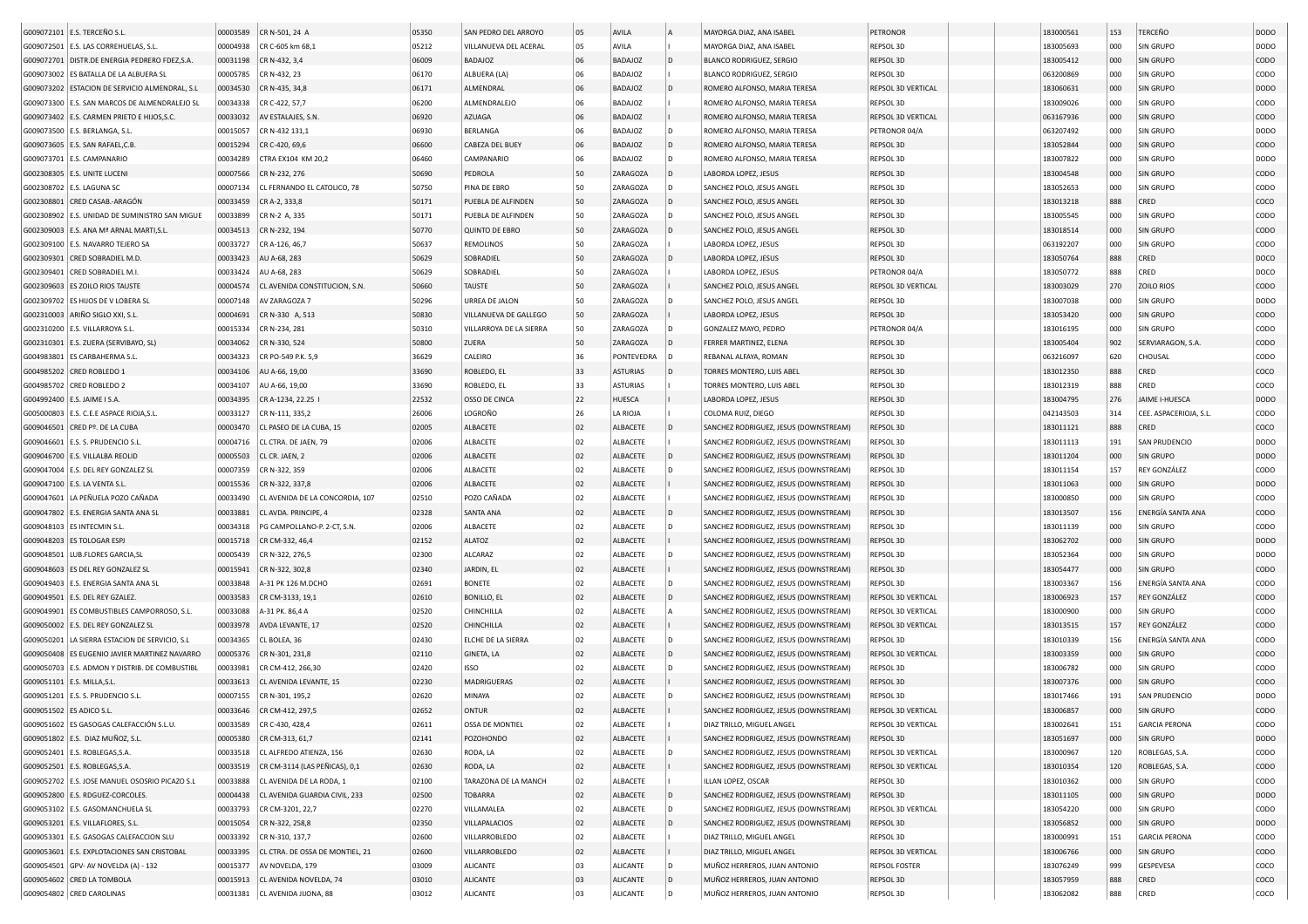|                          | G009072101 E.S. TERCEÑO S.L                    | 00003589 | CR N-501, 24 A                   | 05350 | SAN PEDRO DEL ARROYO    | 05 | AVILA           |                | MAYORGA DIAZ, ANA ISABEL              | PETRONOR             | 183000561 | 153 | TERCEÑO                | <b>DODO</b>      |
|--------------------------|------------------------------------------------|----------|----------------------------------|-------|-------------------------|----|-----------------|----------------|---------------------------------------|----------------------|-----------|-----|------------------------|------------------|
|                          | G009072501 E.S. LAS CORREHUELAS, S.L.          | 00004938 | CR C-605 km 68,1                 | 05212 | VILLANUEVA DEL ACERAL   | 05 | AVILA           |                | MAYORGA DIAZ, ANA ISABEL              | REPSOL 3D            | 183005693 | 000 | SIN GRUPO              | DODO             |
|                          | G009072701 DISTR.DE ENERGIA PEDRERO FDEZ, S.A. | 00031198 | CR N-432, 3,4                    | 06009 | BADAJOZ                 | 06 | BADAJOZ         | l D            | <b>BLANCO RODRIGUEZ, SERGIO</b>       | REPSOL 3D            | 183005412 | 000 | SIN GRUPO              | CODO             |
|                          | G009073002 ES BATALLA DE LA ALBUERA SL         | 00005785 | CR N-432, 23                     | 06170 | ALBUERA (LA)            | 06 | BADAJOZ         |                | <b>BLANCO RODRIGUEZ, SERGIO</b>       | REPSOL 3D            | 063200869 | 000 | SIN GRUPO              | CODO             |
|                          | G009073202 ESTACION DE SERVICIO ALMENDRAL, S.L | 00034530 | CR N-435, 34,8                   | 06171 | ALMENDRAL               | 06 | BADAJOZ         | D              | ROMERO ALFONSO, MARIA TERESA          | REPSOL 3D VERTICAL   | 183060631 | 000 | SIN GRUPO              | DOD <sub>O</sub> |
|                          | G009073300 E.S. SAN MARCOS DE ALMENDRALEJO SL  | 00034338 | CR C-422, 57,7                   | 06200 | ALMENDRALEJO            | 06 | BADAJOZ         |                | ROMERO ALFONSO, MARIA TERESA          | REPSOL 3D            | 183009026 | 000 | SIN GRUPO              | CODO             |
|                          | G009073402 E.S. CARMEN PRIETO E HIJOS, S.C.    | 00033032 | AV ESTALAJES, S.N                | 06920 | <b>AZUAGA</b>           | 06 | BADAJOZ         |                | ROMERO ALFONSO, MARIA TERESA          | REPSOL 3D VERTICAL   | 063167936 | 000 | SIN GRUPO              | CODO             |
|                          | G009073500   E.S. BERLANGA, S.L                | 00015057 | CR N-432 131,1                   | 06930 | BERLANGA                | 06 | BADAJOZ         | D              | ROMERO ALFONSO, MARIA TERESA          | PETRONOR 04/A        | 063207492 | 000 | SIN GRUPO              | DODO             |
|                          | G009073605   E.S. SAN RAFAEL, C.B              | 00015294 | CR C-420, 69,6                   | 06600 | CABEZA DEL BUEY         | 06 | BADAJOZ         | D              | ROMERO ALFONSO, MARIA TERESA          | REPSOL 3D            | 183052844 | 000 | SIN GRUPO              | CODO             |
|                          | G009073701 E.S. CAMPANARIO                     | 00034289 | CTRA EX104 KM 20,2               | 06460 | CAMPANARIO              | 06 | BADAJOZ         | D              | ROMERO ALFONSO, MARIA TERESA          | REPSOL 3D            | 183007822 | 000 | SIN GRUPO              | DODO             |
|                          | G002308305   E.S. UNITE LUCENI                 | 00007566 | CR N-232, 276                    | 50690 | PEDROLA                 | 50 | ZARAGOZA        | D              | LABORDA LOPEZ, JESUS                  | REPSOL 3D            | 183004548 | 000 | SIN GRUPO              | CODO             |
|                          | G002308702 E.S. LAGUNA SC                      | 00007134 | CL FERNANDO EL CATOLICO, 78      | 50750 | PINA DE EBRO            | 50 | ZARAGOZA        | D              | SANCHEZ POLO, JESUS ANGEL             | REPSOL 3D            | 183052653 | 000 | SIN GRUPO              | CODO             |
|                          | G002308801 CRED CASAB .- ARAGÓN                | 00033459 | CR A-2, 333,8                    | 50171 | PUEBLA DE ALFINDEN      | 50 | ZARAGOZA        | D              | SANCHEZ POLO, JESUS ANGEL             | REPSOL 3D            | 183013218 | 888 | CRED                   | coco             |
|                          | G002308902 E.S. UNIDAD DE SUMINISTRO SAN MIGUE | 00033899 | CR N-2 A, 335                    | 50171 | PUEBLA DE ALFINDEN      | 50 | ZARAGOZA        | D              | SANCHEZ POLO, JESUS ANGEL             | REPSOL 3D            | 183005545 | 000 | SIN GRUPO              | CODO             |
|                          | G002309003 E.S. ANA Mª ARNAL MARTI, S.L.       | 00034513 | CR N-232, 194                    | 50770 | <b>QUINTO DE EBRO</b>   | 50 | ZARAGOZA        | D              | SANCHEZ POLO, JESUS ANGEL             | REPSOL 3D            | 183018514 | 000 | SIN GRUPO              | CODO             |
|                          | G002309100 E.S. NAVARRO TEJERO SA              | 00033727 | CR A-126, 46,7                   | 50637 | REMOLINOS               | 50 | ZARAGOZA        |                | LABORDA LOPEZ, JESUS                  | REPSOL 3D            | 063192207 | 000 | SIN GRUPO              | CODO             |
| G002309301               | CRED SOBRADIEL M.D.                            | 00033423 | AU A-68, 283                     | 50629 | SOBRADIEL               | 50 | ZARAGOZA        |                | LABORDA LOPEZ, JESUS                  | REPSOL 3D            | 183050764 | 888 | CRED                   | DOCO             |
| G002309401               | CRED SOBRADIEL M.I                             | 00033424 | AU A-68, 283                     | 50629 | SOBRADIEL               | 50 | ZARAGOZA        |                | LABORDA LOPEZ, JESUS                  | PETRONOR 04/A        | 183050772 | 888 | CRED                   | DOCO             |
| G002309603               | <b>ES ZOILO RIOS TAUSTE</b>                    | 00004574 | CL AVENIDA CONSTITUCION, S.N.    | 50660 | TAUSTE                  | 50 | ZARAGOZA        |                | SANCHEZ POLO, JESUS ANGEL             | REPSOL 3D VERTICAL   | 183003029 | 270 | ZOILO RIOS             | CODO             |
| G002309702               | ES HIJOS DE V LOBERA SL                        | 00007148 | AV ZARAGOZA 7                    | 50296 | URREA DE JALON          | 50 | ZARAGOZA        |                | SANCHEZ POLO, JESUS ANGEL             | REPSOL 3D            | 183007038 | 000 | SIN GRUPO              | <b>DODO</b>      |
| G002310003               | ARIÑO SIGLO XXI, S.L.                          | 00004691 | CR N-330 A, 513                  | 50830 | VILLANUEVA DE GALLEGO   | 50 | ZARAGOZA        |                | LABORDA LOPEZ, JESUS                  | REPSOL 3D            | 183053420 | 000 | SIN GRUPO              | CODO             |
|                          | G002310200 E.S. VILLARROYA S.L.                | 00015334 | CR N-234, 281                    | 50310 | VILLARROYA DE LA SIERRA | 50 | ZARAGOZA        |                | GONZALEZ MAYO, PEDRO                  | PETRONOR 04/A        | 183016195 | 000 | SIN GRUPO              | CODO             |
|                          | G002310301 E.S. ZUERA (SERVIBAYO, SL)          | 00034062 | CR N-330, 524                    | 50800 | ZUERA                   | 50 | ZARAGOZA        | D              | FERRER MARTINEZ, ELENA                | REPSOL 3D            | 183005404 | 902 | SERVIARAGON, S.A.      | CODO             |
|                          | G004983801 ES CARBAHERMA S.L.                  | 00034323 | CR PO-549 P.K. 5,9               | 36629 | CALEIRO                 | 36 | PONTEVEDRA      | D              | REBANAL ALFAYA, ROMAN                 | REPSOL 3D            | 063216097 | 620 | CHOUSAL                | CODO             |
|                          | G004985202 CRED ROBLEDO 1                      | 00034106 | AU A-66, 19,00                   | 33690 | ROBLEDO, EL             | 33 | <b>ASTURIAS</b> | D              | TORRES MONTERO, LUIS ABEL             | REPSOL 3D            | 183012350 | 888 | CRED                   | coco             |
|                          | G004985702 CRED ROBLEDO 2                      | 00034107 | AU A-66, 19,00                   | 33690 | ROBLEDO, EL             | 33 | <b>ASTURIAS</b> |                | TORRES MONTERO, LUIS ABEL             | REPSOL 3D            | 183012319 | 888 | CRED                   | COCO             |
|                          | G004992400   E.S. JAIME I S.A.                 | 00034395 | CR A-1234, 22.25                 | 22532 | OSSO DE CINCA           | 22 | HUESCA          |                | LABORDA LOPEZ, JESUS                  | REPSOL 3D            | 183004795 | 276 | <b>JAIME I-HUESCA</b>  | <b>DODO</b>      |
|                          | G005000803 E.S. C.E.E ASPACE RIOJA, S.L        | 00033127 | CR N-111, 335.2                  | 26006 | LOGROÑO                 | 26 | LA RIOJA        |                | COLOMA RUIZ, DIEGO                    | REPSOL 3D            | 042143503 | 314 | CEE. ASPACERIOJA, S.L. | CODO             |
|                          | G009046501 CRED Pº. DE LA CUBA                 | 00003470 | CL PASEO DE LA CUBA, 15          | 02005 | ALBACETE                | 02 | ALBACETE        | D              | SANCHEZ RODRIGUEZ, JESUS (DOWNSTREAM) | REPSOL 3D            | 183011121 | 888 | CRED                   | coco             |
|                          | G009046601   E.S. S. PRUDENCIO S.L             | 00004716 | CL CTRA. DE JAEN, 79             | 02006 | ALBACETE                | 02 | ALBACETE        |                | SANCHEZ RODRIGUEZ, JESUS (DOWNSTREAM) | REPSOL 3D            | 183011113 | 191 | SAN PRUDENCIO          | DODO             |
|                          | G009046700 E.S. VILLALBA REOLID                | 00005503 | CL CR. JAEN, 2                   | 02006 | ALBACETE                | 02 | ALBACETE        | l D            | SANCHEZ RODRIGUEZ, JESUS (DOWNSTREAM) | REPSOL 3D            | 183011204 | 000 | SIN GRUPO              | <b>DODO</b>      |
|                          | G009047004 E.S. DEL REY GONZALEZ SL            | 00007359 | CR N-322, 359                    | 02006 | ALBACETE                | 02 | ALBACETE        | D              | SANCHEZ RODRIGUEZ, JESUS (DOWNSTREAM) | REPSOL 3D            | 183011154 | 157 | REY GONZÁLEZ           | CODO             |
|                          | G009047100 E.S. LA VENTA S.L                   | 00015536 | CR N-322, 337,8                  | 02006 | ALBACETE                | 02 | ALBACETE        |                | SANCHEZ RODRIGUEZ, JESUS (DOWNSTREAM) | REPSOL 3D            | 183011063 | 000 | SIN GRUPO              | <b>DODO</b>      |
|                          | G009047601 LA PEÑUELA POZO CAÑADA              | 00033490 | CL AVENIDA DE LA CONCORDIA, 107  | 02510 | POZO CAÑADA             | 02 | ALBACETE        |                | SANCHEZ RODRIGUEZ, JESUS (DOWNSTREAM) | REPSOL 3D            | 183000850 | 000 | SIN GRUPO              | CODO             |
|                          | G009047802 E.S. ENERGIA SANTA ANA SL           | 00033881 | CL AVDA. PRINCIPE, 4             | 02328 | SANTA ANA               | 02 | ALBACETE        | $\overline{D}$ | SANCHEZ RODRIGUEZ, JESUS (DOWNSTREAM) | REPSOL 3D            | 183013507 | 156 | ENERGÍA SANTA ANA      | CODO             |
|                          | G009048103   ES INTECMIN S.L.                  | 00034318 | PG CAMPOLLANO-P. 2-CT, S.N.      | 02006 | ALBACETE                | 02 | ALBACETE        | D              | SANCHEZ RODRIGUEZ, JESUS (DOWNSTREAM) | REPSOL 3D            | 183011139 | 000 | SIN GRUPO              | CODO             |
|                          | G009048203 ES TOLOGAR ESPJ                     | 00015718 | CR CM-332, 46,4                  | 02152 | <b>ALATOZ</b>           | 02 | ALBACETE        |                | SANCHEZ RODRIGUEZ, JESUS (DOWNSTREAM) | REPSOL 3D            | 183062702 | 000 | SIN GRUPO              | <b>DODO</b>      |
|                          | G009048501 LUB.FLORES GARCIA, SL               | 00005439 | CR N-322, 276,5                  | 02300 | ALCARAZ                 | 02 | ALBACETE        | D              | SANCHEZ RODRIGUEZ, JESUS (DOWNSTREAM) | REPSOL 3D            | 183052364 | 000 | SIN GRUPO              | DODO             |
|                          | G009048603 ES DEL REY GONZALEZ SL              | 00015941 | CR N-322, 302,8                  | 02340 | JARDIN, EL              | 02 | ALBACETE        |                | SANCHEZ RODRIGUEZ, JESUS (DOWNSTREAM) | REPSOL 3D            | 183054477 | 000 | SIN GRUPO              | CODO             |
|                          | G009049403 E.S. ENERGIA SANTA ANA SL           | 00033848 | A-31 PK 126 M.DCHO               | 02691 | <b>BONETE</b>           | 02 | ALBACETE        | D              | SANCHEZ RODRIGUEZ, JESUS (DOWNSTREAM) | REPSOL 3D            | 183003367 | 156 | ENERGÍA SANTA ANA      | CODO             |
|                          | G009049501 E.S. DEL REY GZALEZ.                | 00033583 | CR CM-3133, 19,1                 | 02610 | <b>BONILLO, EL</b>      | 02 | ALBACETE        | D              | SANCHEZ RODRIGUEZ, JESUS (DOWNSTREAM) | REPSOL 3D VERTICAL   | 183006923 | 157 | REY GONZÁLEZ           | CODO             |
|                          | G009049901 ES COMBUSTIBLES CAMPORROSO, S.L.    | 00033088 | A-31 PK. 86,4 A                  | 02520 | CHINCHILLA              | 02 | ALBACETE        |                | SANCHEZ RODRIGUEZ, JESUS (DOWNSTREAM) | REPSOL 3D VERTICAL   | 183000900 | 000 | SIN GRUPO              | CODO             |
|                          | G009050002   E.S. DEL REY GONZALEZ SL          | 00033978 | AVDA LEVANTE, 17                 | 02520 | CHINCHILLA              | 02 | ALBACETE        |                | SANCHEZ RODRIGUEZ, JESUS (DOWNSTREAM) | REPSOL 3D VERTICAL   | 183013515 | 157 | REY GONZÁLEZ           | CODO             |
| G009050201               | LA SIERRA ESTACION DE SERVICIO, S.L            | 00034365 | CL BOLEA, 36                     | 02430 | ELCHE DE LA SIERRA      | 02 | ALBACETE        | D              | SANCHEZ RODRIGUEZ, JESUS (DOWNSTREAM) | REPSOL 3D            | 183010339 | 156 | ENERGÍA SANTA ANA      | CODO             |
| G009050408               | ES EUGENIO JAVIER MARTINEZ NAVARRO             | 00005376 | CR N-301, 231,8                  | 02110 | GINETA, LA              | 02 | ALBACETE        | D              | SANCHEZ RODRIGUEZ, JESUS (DOWNSTREAM) | REPSOL 3D VERTICAL   | 183003359 | 000 | SIN GRUPO              | CODO             |
|                          | G009050703 E.S. ADMON Y DISTRIB. DE COMBUSTIBL | 00033981 | CR CM-412, 266,30                | 02420 | ISSO                    | 02 | ALBACETE        | D              | SANCHEZ RODRIGUEZ, JESUS (DOWNSTREAM) | REPSOL 3D            | 183006782 | 000 | SIN GRUPO              | CODO             |
|                          | G009051101 E.S. MILLA, S.L                     | 00033613 | CL AVENIDA LEVANTE, 15           | 02230 | <b>MADRIGUERAS</b>      | 02 | ALBACETE        |                | SANCHEZ RODRIGUEZ, JESUS (DOWNSTREAM) | REPSOL 3D            | 183007376 | 000 | SIN GRUPO              | CODO             |
|                          | G009051201   E.S. S. PRUDENCIO S.L             | 00007155 | CR N-301, 195,2                  | 02620 | MINAYA                  | 02 | ALBACETE        | D              | SANCHEZ RODRIGUEZ, JESUS (DOWNSTREAM) | REPSOL 3D            | 183017466 | 191 | SAN PRUDENCIO          | <b>DODO</b>      |
| G009051502 ES ADICO S.L. |                                                | 00033646 | CR CM-412, 297,5                 | 02652 | ONTUR                   | 02 | ALBACETE        |                | SANCHEZ RODRIGUEZ, JESUS (DOWNSTREAM) | REPSOL 3D VERTICAL   | 183006857 | 000 | SIN GRUPO              | CODO             |
|                          | G009051602 ES GASOGAS CALEFACCIÓN S.L.U.       |          | 00033589 CR C-430, 428,4         | 02611 | OSSA DE MONTIEL         | 02 | ALBACETE        |                | DIAZ TRILLO, MIGUEL ANGEL             | REPSOL 3D VERTICAL   | 183002641 | 151 | <b>GARCIA PERONA</b>   | CODO             |
|                          | G009051802 E.S. DIAZ MUÑOZ, S.L.               | 00005380 | CR CM-313, 61,7                  | 02141 | POZOHONDO               | 02 | ALBACETE        |                | SANCHEZ RODRIGUEZ, JESUS (DOWNSTREAM) | REPSOL 3D            | 183051697 | 000 | SIN GRUPO              | <b>DODO</b>      |
|                          | G009052401 E.S. ROBLEGAS, S.A.                 |          | 00033518 CL ALFREDO ATIENZA, 156 | 02630 | RODA, LA                | 02 | ALBACETE        | D              | SANCHEZ RODRIGUEZ, JESUS (DOWNSTREAM) | REPSOL 3D VERTICAL   | 183000967 | 120 | ROBLEGAS, S.A.         | CODO             |
|                          | G009052501 E.S. ROBLEGAS, S.A.                 | 00033519 | CR CM-3114 (LAS PEÑICAS), 0,1    | 02630 | RODA, LA                | 02 | ALBACETE        |                | SANCHEZ RODRIGUEZ, JESUS (DOWNSTREAM) | REPSOL 3D VERTICAL   | 183010354 | 120 | ROBLEGAS, S.A.         | CODO             |
|                          | G009052702 E.S. JOSE MANUEL OSOSRIO PICAZO S.L | 00033888 | CL AVENIDA DE LA RODA, 1         | 02100 | TARAZONA DE LA MANCH    | 02 | ALBACETE        |                | ILLAN LOPEZ, OSCAR                    | REPSOL 3D            | 183010362 | 000 | SIN GRUPO              | CODO             |
|                          | G009052800 E.S. RDGUEZ-CORCOLES.               | 00004438 | CL AVENIDA GUARDIA CIVIL, 233    | 02500 | <b>TOBARRA</b>          | 02 | ALBACETE        | $\mathsf{D}$   | SANCHEZ RODRIGUEZ, JESUS (DOWNSTREAM) | REPSOL 3D            | 183011105 | 000 | SIN GRUPO              | <b>DODO</b>      |
|                          | G009053102 E.S. GASOMANCHUELA SL               | 00033793 | CR CM-3201, 22,7                 | 02270 | VILLAMALEA              | 02 | ALBACETE        | D              | SANCHEZ RODRIGUEZ, JESUS (DOWNSTREAM) | REPSOL 3D VERTICAL   | 183054220 | 000 | SIN GRUPO              | CODO             |
|                          | G009053201 E.S. VILLAFLORES, S.L.              |          | 00015054 CR N-322, 258,8         | 02350 | VILLAPALACIOS           | 02 | ALBACETE        | l D            | SANCHEZ RODRIGUEZ, JESUS (DOWNSTREAM) | REPSOL 3D            | 183056852 | 000 | SIN GRUPO              | DODO             |
|                          | G009053301 E.S. GASOGAS CALEFACCION SLU        | 00033392 | CR N-310, 137,7                  | 02600 | VILLARROBLEDO           | 02 | ALBACETE        |                | DIAZ TRILLO, MIGUEL ANGEL             | REPSOL 3D            | 183000991 | 151 | <b>GARCIA PERONA</b>   | CODO             |
|                          | G009053601 E.S. EXPLOTACIONES SAN CRISTOBAL    | 00033395 | CL CTRA. DE OSSA DE MONTIEL, 21  | 02600 | VILLARROBLEDO           | 02 | ALBACETE        |                | DIAZ TRILLO, MIGUEL ANGEL             | REPSOL 3D VERTICAL   | 183006766 | 000 | SIN GRUPO              | CODO             |
|                          | G009054501 GPV- AV NOVELDA (A) - 132           | 00015377 | AV NOVELDA, 179                  | 03009 | <b>ALICANTE</b>         | 03 | ALICANTE        | D              | MUÑOZ HERREROS, JUAN ANTONIO          | <b>REPSOL FOSTER</b> | 183076249 | 999 | GESPEVESA              | coco             |
|                          | G009054602 CRED LA TOMBOLA                     | 00015913 | CL AVENIDA NOVELDA, 74           | 03010 | <b>ALICANTE</b>         | 03 | <b>ALICANTE</b> | $\mathsf{D}$   | MUÑOZ HERREROS, JUAN ANTONIO          | REPSOL 3D            | 183057959 | 888 | CRED                   | coco             |
|                          | G009054802 CRED CAROLINAS                      |          | 00031381 CL AVENIDA JIJONA, 88   | 03012 | ALICANTE                | 03 | ALICANTE        | l D            | MUÑOZ HERREROS, JUAN ANTONIO          | REPSOL 3D            | 183062082 | 888 | CRED                   | coco             |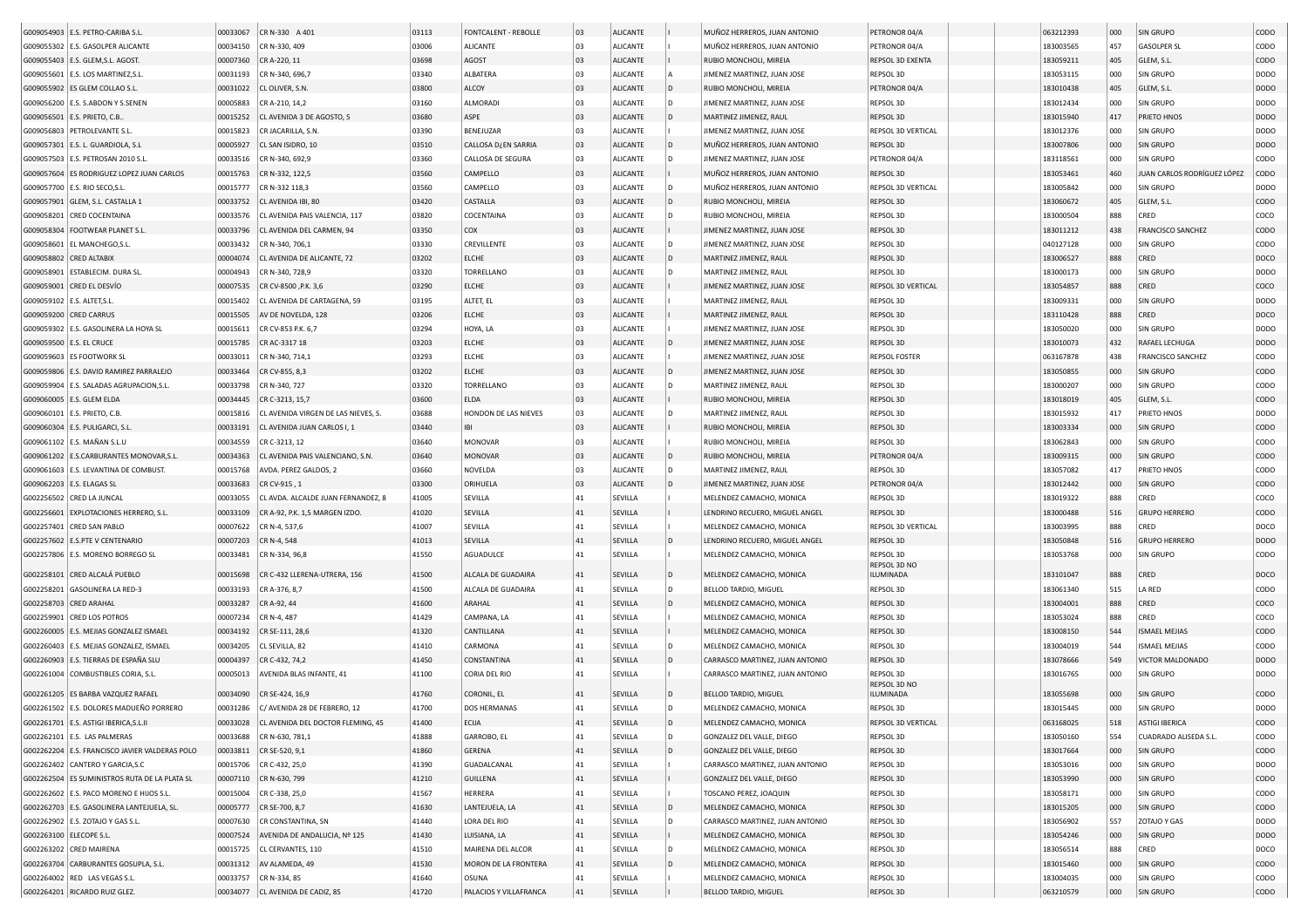| G009054903 E.S. PETRO-CARIBA S.L               | 00033067 | CR N-330 A 401                             | 03113 | <b>FONTCALENT - REBOLLE</b> | 03 | <b>ALICANTE</b> |     | MUÑOZ HERREROS, JUAN ANTONIO    | PETRONOR 04/A        | 063212393 | 000 | SIN GRUPO                   | CODO        |
|------------------------------------------------|----------|--------------------------------------------|-------|-----------------------------|----|-----------------|-----|---------------------------------|----------------------|-----------|-----|-----------------------------|-------------|
| G009055302 E.S. GASOLPER ALICANTE              | 00034150 | CR N-330, 409                              | 03006 | <b>ALICANTE</b>             | 03 | <b>ALICANTE</b> |     | MUÑOZ HERREROS, JUAN ANTONIO    | PETRONOR 04/A        | 183003565 | 457 | <b>GASOLPER SL</b>          | CODO        |
| G009055403 E.S. GLEM, S.L. AGOST               | 00007360 | CR A-220, 11                               | 03698 | AGOST                       | 03 | <b>ALICANTE</b> |     | RUBIO MONCHOLI, MIREIA          | REPSOL 3D EXENTA     | 183059211 | 405 | GLEM, S.L.                  | CODO        |
| G009055601 E.S. LOS MARTINEZ, S.L              | 00031193 | CR N-340, 696,7                            | 03340 | ALBATERA                    | 03 | <b>ALICANTE</b> |     | JIMENEZ MARTINEZ, JUAN JOSE     | REPSOL 3D            | 183053115 | 000 | SIN GRUPO                   | DODO        |
| G009055902   ES GLEM COLLAO S.L                | 00031022 | CL OLIVER, S.N                             | 03800 | ALCOY                       | 03 | <b>ALICANTE</b> | ID. | RUBIO MONCHOLI, MIREIA          | PETRONOR 04/A        | 183010438 | 405 | GLEM, S.L.                  | <b>DODO</b> |
| G009056200 E.S. S.ABDON Y S.SENEN              | 00005883 | CR A-210, 14,2                             | 03160 | ALMORADI                    | 03 | <b>ALICANTE</b> | D   | JIMENEZ MARTINEZ, JUAN JOSE     | REPSOL 3D            | 183012434 | 000 | SIN GRUPO                   | DODO        |
| G009056501 E.S. PRIETO, C.B.                   | 00015252 | CL AVENIDA 3 DE AGOSTO, 5                  | 03680 | ASPE                        | 03 | <b>ALICANTE</b> | D   | MARTINEZ JIMENEZ, RAUL          | REPSOL 3D            | 183015940 | 417 | PRIETO HNOS                 | <b>DODO</b> |
| G009056803 PETROLEVANTE S.L.                   | 00015823 | CR JACARILLA, S.N.                         | 03390 | BENEJUZAR                   | 03 | <b>ALICANTE</b> |     | JIMENEZ MARTINEZ, JUAN JOSE     | REPSOL 3D VERTICAL   | 183012376 | 000 | SIN GRUPO                   | DODO        |
|                                                |          |                                            |       |                             |    |                 | D   |                                 |                      |           |     |                             |             |
| G009057301   E.S. L. GUARDIOLA, S.L            | 00005927 | CL SAN ISIDRO, 10                          | 03510 | <b>CALLOSA D¿EN SARRIA</b>  | 03 | <b>ALICANTE</b> |     | MUÑOZ HERREROS, JUAN ANTONIO    | REPSOL 3D            | 183007806 | 000 | SIN GRUPO                   | <b>DODO</b> |
| G009057503   E.S. PETROSAN 2010 S.L            | 00033516 | CR N-340, 692,9                            | 03360 | CALLOSA DE SEGURA           | 03 | <b>ALICANTE</b> |     | JIMENEZ MARTINEZ, JUAN JOSE     | PETRONOR 04/A        | 183118561 | 000 | SIN GRUPO                   | CODO        |
| G009057604 ES RODRIGUEZ LOPEZ JUAN CARLOS      | 00015763 | CR N-332, 122,5                            | 03560 | CAMPELLO                    | 03 | <b>ALICANTE</b> |     | MUÑOZ HERREROS, JUAN ANTONIO    | REPSOL 3D            | 183053461 | 460 | JUAN CARLOS RODRÍGUEZ LÓPEZ | CODO        |
| G009057700 E.S. RIO SECO, S.L.                 | 00015777 | CR N-332 118,3                             | 03560 | CAMPELLO                    | 03 | <b>ALICANTE</b> | D   | MUÑOZ HERREROS, JUAN ANTONIO    | REPSOL 3D VERTICAL   | 183005842 | 000 | SIN GRUPO                   | DODO        |
| G009057901 GLEM, S.L. CASTALLA 1               | 00033752 | CL AVENIDA IBI, 80                         | 03420 | CASTALLA                    | 03 | <b>ALICANTE</b> | D   | RUBIO MONCHOLI, MIREIA          | REPSOL 3D            | 183060672 | 405 | GLEM, S.L                   | CODO        |
| G009058201 CRED COCENTAINA                     | 00033576 | CL AVENIDA PAIS VALENCIA, 117              | 03820 | COCENTAINA                  | 03 | <b>ALICANTE</b> | D   | RUBIO MONCHOLI, MIREIA          | REPSOL 3D            | 183000504 | 888 | CRED                        | coco        |
| G009058304   FOOTWEAR PLANET S.L.              | 00033796 | CL AVENIDA DEL CARMEN, 94                  | 03350 | COX                         | 03 | <b>ALICANTE</b> |     | JIMENEZ MARTINEZ, JUAN JOSE     | REPSOL 3D            | 183011212 | 438 | <b>FRANCISCO SANCHEZ</b>    | CODO        |
| EL MANCHEGO, S.L<br>G009058601                 | 00033432 | CR N-340, 706,1                            | 03330 | CREVILLENTE                 | 03 | <b>ALICANTE</b> | D   | JIMENEZ MARTINEZ, JUAN JOSE     | REPSOL 3D            | 040127128 | 000 | SIN GRUPO                   | CODO        |
| G009058802 CRED ALTABIX                        | 00004074 | CL AVENIDA DE ALICANTE, 72                 | 03202 | ELCHE                       | 03 | <b>ALICANTE</b> | D   | MARTINEZ JIMENEZ, RAUL          | REPSOL 3D            | 183006527 | 888 | CRED                        | DOCO        |
| G009058901 ESTABLECIM. DURA SL.                | 00004943 | CR N-340, 728,9                            | 03320 | TORRELLANO                  | 03 | <b>ALICANTE</b> |     | MARTINEZ JIMENEZ, RAUL          | REPSOL 3D            | 183000173 | 000 | SIN GRUPO                   | DODO        |
|                                                | 00007535 |                                            | 03290 | ELCHE                       | 03 | <b>ALICANTE</b> |     |                                 | REPSOL 3D VERTICAL   | 183054857 | 888 | CRED                        | coco        |
| G009059001 CRED EL DESVÍO                      |          | CR CV-8500 , P.K. 3,6                      |       |                             |    |                 |     | JIMENEZ MARTINEZ, JUAN JOSE     |                      |           |     |                             |             |
| G009059102   E.S. ALTET, S.L                   | 00015402 | CL AVENIDA DE CARTAGENA, 59                | 03195 | ALTET, EL                   | 03 | <b>ALICANTE</b> |     | MARTINEZ JIMENEZ, RAUL          | REPSOL 3D            | 183009331 | 000 | SIN GRUPO                   | DODO        |
| G009059200 CRED CARRUS                         | 00015505 | AV DE NOVELDA, 128                         | 03206 | ELCHE                       | 03 | <b>ALICANTE</b> |     | MARTINEZ JIMENEZ, RAUL          | REPSOL 3D            | 183110428 | 888 | CRED                        | DOCO        |
| G009059302 E.S. GASOLINERA LA HOYA SL          | 00015611 | CR CV-853 P.K. 6,7                         | 03294 | HOYA, LA                    | 03 | <b>ALICANTE</b> |     | JIMENEZ MARTINEZ, JUAN JOSE     | REPSOL 3D            | 183050020 | 000 | SIN GRUPO                   | DODO        |
| G009059500   E.S. EL CRUCE                     | 00015785 | CR AC-3317 18                              | 03203 | ELCHE                       | 03 | <b>ALICANTE</b> |     | JIMENEZ MARTINEZ, JUAN JOSE     | REPSOL 3D            | 183010073 | 432 | RAFAEL LECHUGA              | <b>DODO</b> |
| G009059603 ES FOOTWORK SL                      | 00033011 | CR N-340, 714,1                            | 03293 | <b>ELCHE</b>                | 03 | <b>ALICANTE</b> |     | JIMENEZ MARTINEZ, JUAN JOSE     | <b>REPSOL FOSTER</b> | 063167878 | 438 | <b>FRANCISCO SANCHEZ</b>    | CODO        |
| G009059806 E.S. DAVID RAMIREZ PARRALEJO        | 00033464 | CR CV-855, 8,3                             | 03202 | ELCHE                       | 03 | <b>ALICANTE</b> |     | JIMENEZ MARTINEZ, JUAN JOSE     | REPSOL 3D            | 183050855 | 000 | SIN GRUPO                   | CODO        |
| G009059904 E.S. SALADAS AGRUPACION.S.L         | 00033798 | CR N-340, 727                              | 03320 | <b>TORRELLANO</b>           | 03 | <b>ALICANTE</b> | D   | MARTINEZ JIMENEZ, RAUL          | REPSOL 3D            | 183000207 | 000 | SIN GRUPO                   | CODO        |
| G009060005 E.S. GLEM ELDA                      | 00034445 | CR C-3213, 15,7                            | 03600 | <b>ELDA</b>                 | 03 | <b>ALICANTE</b> |     | RUBIO MONCHOLI, MIREIA          | REPSOL 3D            | 183018019 | 405 | GLEM, S.L.                  | CODO        |
| G009060101 E.S. PRIETO, C.B.                   | 00015816 | CL AVENIDA VIRGEN DE LAS NIEVES, S.        | 03688 | HONDON DE LAS NIEVES        | 03 | <b>ALICANTE</b> | D   | MARTINEZ JIMENEZ, RAUL          | REPSOL 3D            | 183015932 | 417 | PRIETO HNOS                 | <b>DODO</b> |
| G009060304 E.S. PULIGARCI, S.L                 | 00033191 | CL AVENIDA JUAN CARLOS I, 1                | 03440 | <b>IBI</b>                  | 03 | <b>ALICANTE</b> |     | RUBIO MONCHOLI, MIREIA          | REPSOL 3D            | 183003334 | 000 | SIN GRUPO                   | CODO        |
| G009061102 E.S. MAÑAN S.L.U                    |          | CR C-3213, 12                              | 03640 | MONOVAR                     | 03 | <b>ALICANTE</b> |     | RUBIO MONCHOLI, MIREIA          | REPSOL 3D            | 183062843 |     | SIN GRUPO                   | CODO        |
|                                                | 00034559 |                                            |       |                             |    |                 |     |                                 |                      |           | 000 |                             |             |
| G009061202 E.S.CARBURANTES MONOVAR, S.L        | 00034363 | CL AVENIDA PAIS VALENCIANO, S.N.           | 03640 | <b>MONOVAR</b>              | 03 | <b>ALICANTE</b> | l D | RUBIO MONCHOLI, MIREIA          | PETRONOR 04/A        | 183009315 | 000 | SIN GRUPO                   | CODO        |
| G009061603 E.S. LEVANTINA DE COMBUST.          | 00015768 | AVDA. PEREZ GALDOS, 2                      | 03660 | NOVELDA                     | 03 | <b>ALICANTE</b> | D   | MARTINEZ JIMENEZ, RAUL          | REPSOL 3D            | 183057082 | 417 | PRIETO HNOS                 | CODO        |
| G009062203   E.S. ELAGAS SL                    | 00033683 | CR CV-915, 1                               | 03300 | ORIHUELA                    | 03 | <b>ALICANTE</b> | ID. | JIMENEZ MARTINEZ, JUAN JOSE     | PETRONOR 04/A        | 183012442 | 000 | SIN GRUPO                   | CODO        |
| G002256502 CRED LA JUNCAL                      | 00033055 | CL AVDA. ALCALDE JUAN FERNANDEZ, 8         | 41005 | SEVILLA                     | 41 | SEVILLA         |     | MELENDEZ CAMACHO, MONICA        | REPSOL 3D            | 183019322 | 888 | CRED                        | coco        |
| G002256601 EXPLOTACIONES HERRERO, S.L          | 00033109 | CR A-92, P.K. 1,5 MARGEN IZDO.             | 41020 | SEVILLA                     | 41 | SEVILLA         |     | LENDRINO RECUERO, MIGUEL ANGEL  | REPSOL 3D            | 183000488 | 516 | <b>GRUPO HERRERO</b>        | CODO        |
| G002257401 CRED SAN PABLO                      | 00007622 | CR N-4, 537,6                              | 41007 | SEVILLA                     | 41 | SEVILLA         |     | MELENDEZ CAMACHO, MONICA        | REPSOL 3D VERTICAL   | 183003995 | 888 | CRED                        | DOCO        |
| G002257602 E.S.PTE V CENTENARIO                | 00007203 | CR N-4, 548                                | 41013 | SEVILLA                     | 41 | SEVILLA         | D   | LENDRINO RECUERO, MIGUEL ANGEL  | REPSOL 3D            | 183050848 | 516 | <b>GRUPO HERRERO</b>        | <b>DODO</b> |
| G002257806 E.S. MORENO BORREGO SL              | 00033481 | CR N-334, 96,8                             | 41550 | AGUADULCE                   | 41 | SEVILLA         |     | MELENDEZ CAMACHO, MONICA        | REPSOL 3D            | 183053768 | 000 | SIN GRUPO                   | CODO        |
|                                                |          |                                            |       |                             |    |                 |     |                                 | REPSOL 3D NO         |           |     |                             |             |
| G002258101 CRED ALCALÁ PUEBLO                  | 00015698 | CR C-432 LLERENA-UTRERA, 156               | 41500 | ALCALA DE GUADAIRA          | 41 | SEVILLA         | D   | MELENDEZ CAMACHO, MONICA        | ILUMINADA            | 183101047 | 888 | CRED                        | DOCO        |
| G002258201 GASOLINERA LA RED-3                 | 00033193 | CR A-376, 8,7                              | 41500 | ALCALA DE GUADAIRA          | 41 | SEVILLA         | D   | BELLOD TARDIO, MIGUEL           | REPSOL 3D            | 183061340 | 515 | LA RED                      | CODO        |
| G002258703 CRED ARAHAL                         | 00033287 | CR A-92, 44                                | 41600 | ARAHAL                      | 41 | SEVILLA         | D   | MELENDEZ CAMACHO, MONICA        | REPSOL 3D            | 183004001 | 888 | CRED                        | coco        |
| <b>CRED LOS POTROS</b><br>G002259901           | 00007234 | CR N-4, 487                                | 41429 | CAMPANA, LA                 | 41 | SEVILLA         |     | MELENDEZ CAMACHO, MONICA        | REPSOL 3D            | 183053024 | 888 | CRED                        | coco        |
| G002260005 E.S. MEJIAS GONZALEZ ISMAEL         | 00034192 | CR SE-111, 28,6                            | 41320 | CANTILLANA                  | 41 | SEVILLA         |     | MELENDEZ CAMACHO, MONICA        | REPSOL 3D            | 183008150 | 544 | <b>ISMAEL MEJIAS</b>        | CODO        |
| G002260403   E.S. MEJIAS GONZALEZ, ISMAEL      | 00034205 | CL SEVILLA, 82                             | 41410 | CARMONA                     | 41 | SEVILLA         |     | MELENDEZ CAMACHO, MONICA        | REPSOL 3D            | 183004019 | 544 | <b>ISMAEL MEJIAS</b>        | CODO        |
| G002260903 E.S. TIERRAS DE ESPAÑA SLU          | 00004397 | CR C-432, 74,2                             | 41450 | CONSTANTINA                 | 41 | SEVILLA         | D   | CARRASCO MARTINEZ, JUAN ANTONIO | REPSOL 3D            | 183078666 | 549 | VICTOR MALDONADO            | <b>DODO</b> |
| G002261004 COMBUSTIBLES CORIA, S.L             | 00005013 | AVENIDA BLAS INFANTE, 41                   | 41100 | CORIA DEL RIO               | 41 | SEVILLA         |     | CARRASCO MARTINEZ, JUAN ANTONIO | REPSOL 3D            | 183016765 | 000 | SIN GRUPO                   | DODO        |
|                                                |          |                                            |       |                             |    |                 |     |                                 | REPSOL 3D NO         |           |     |                             |             |
| G002261205 ES BARBA VAZQUEZ RAFAEL             | 00034090 | CR SE-424, 16,9                            | 41760 | CORONIL, EL                 | 41 | SEVILLA         | D   | <b>BELLOD TARDIO, MIGUEL</b>    | ILUMINADA            | 183055698 | 000 | <b>SIN GRUPO</b>            | CODO        |
| G002261502 E.S. DOLORES MADUEÑO PORRERO        | 00031286 | C/ AVENIDA 28 DE FEBRERO, 12               | 41700 | <b>DOS HERMANAS</b>         | 41 | SEVILLA         | D   | MELENDEZ CAMACHO, MONICA        | REPSOL 3D            | 183015445 | 000 | SIN GRUPO                   | DODO        |
| G002261701   E.S. ASTIGI IBERICA, S.L.II       |          | 00033028 CL AVENIDA DEL DOCTOR FLEMING, 45 | 41400 | ECIJA                       | 41 | SEVILLA         |     | MELENDEZ CAMACHO, MONICA        | REPSOL 3D VERTICAL   | 063168025 | 518 | ASTIGI IBERICA              | CODO        |
| G002262101 E.S. LAS PALMERAS                   |          | 00033688 CR N-630, 781,1                   | 41888 | GARROBO, EL                 | 41 | SEVILLA         | D   | GONZALEZ DEL VALLE, DIEGO       | REPSOL 3D            | 183050160 | 554 | CUADRADO ALISEDA S.L.       | CODO        |
| G002262204 E.S. FRANCISCO JAVIER VALDERAS POLO | 00033811 | CR SE-520, 9,1                             | 41860 | GERENA                      | 41 | SEVILLA         | D   | GONZALEZ DEL VALLE, DIEGO       | REPSOL 3D            | 183017664 | 000 | SIN GRUPO                   | <b>CODO</b> |
| G002262402 CANTERO Y GARCIA, S.C               |          | 00015706 CR C-432, 25,0                    | 41390 | GUADALCANAL                 | 41 | SEVILLA         |     | CARRASCO MARTINEZ, JUAN ANTONIO | REPSOL 3D            | 183053016 | 000 | SIN GRUPO                   | <b>DODO</b> |
|                                                |          |                                            |       |                             |    |                 |     |                                 |                      |           |     |                             |             |
| G002262504 ES SUMINISTROS RUTA DE LA PLATA SL  | 00007110 | CR N-630, 799                              | 41210 | GUILLENA                    | 41 | SEVILLA         |     | GONZALEZ DEL VALLE, DIEGO       | REPSOL 3D            | 183053990 | 000 | SIN GRUPO                   | CODO        |
| G002262602 E.S. PACO MORENO E HIJOS S.L.       | 00015004 | CR C-338, 25,0                             | 41567 | HERRERA                     | 41 | SEVILLA         |     | TOSCANO PEREZ, JOAQUIN          | REPSOL 3D            | 183058171 | 000 | SIN GRUPO                   | CODO        |
| G002262703 E.S. GASOLINERA LANTEJUELA, SL.     | 00005777 | CR SE-700, 8,7                             | 41630 | LANTEJUELA, LA              | 41 | SEVILLA         | D   | MELENDEZ CAMACHO, MONICA        | REPSOL 3D            | 183015205 | 000 | SIN GRUPO                   | CODO        |
| G002262902 E.S. ZOTAJO Y GAS S.L.              | 00007630 | CR CONSTANTINA, SN                         | 41440 | LORA DEL RIO                | 41 | SEVILLA         | D   | CARRASCO MARTINEZ, JUAN ANTONIO | REPSOL 3D            | 183056902 | 557 | <b>ZOTAJO Y GAS</b>         | DODO        |
| G002263100 ELECOPE S.L.                        | 00007524 | AVENIDA DE ANDALUCIA, Nº 125               | 41430 | LUISIANA, LA                | 41 | SEVILLA         |     | MELENDEZ CAMACHO, MONICA        | REPSOL 3D            | 183054246 | 000 | SIN GRUPO                   | DODO        |
| G002263202 CRED MAIRENA                        | 00015725 | CL CERVANTES, 110                          | 41510 | MAIRENA DEL ALCOR           | 41 | SEVILLA         | D   | MELENDEZ CAMACHO, MONICA        | REPSOL 3D            | 183056514 | 888 | CRED                        | DOCO        |
| G002263704 CARBURANTES GOSUPLA, S.L.           |          | 00031312   AV ALAMEDA, 49                  | 41530 | MORON DE LA FRONTERA        | 41 | SEVILLA         | D   | MELENDEZ CAMACHO, MONICA        | REPSOL 3D            | 183015460 | 000 | SIN GRUPO                   | <b>CODO</b> |
| G002264002 RED LAS VEGAS S.L.                  | 00033757 | CR N-334, 85                               | 41640 | OSUNA                       | 41 | SEVILLA         |     | MELENDEZ CAMACHO, MONICA        | REPSOL 3D            | 183004035 | 000 | SIN GRUPO                   | CODO        |
| G002264201 RICARDO RUIZ GLEZ.                  |          | 00034077 CL AVENIDA DE CADIZ, 85           | 41720 | PALACIOS Y VILLAFRANCA      | 41 | SEVILLA         |     | BELLOD TARDIO, MIGUEL           | REPSOL 3D            | 063210579 | 000 | SIN GRUPO                   | CODO        |
|                                                |          |                                            |       |                             |    |                 |     |                                 |                      |           |     |                             |             |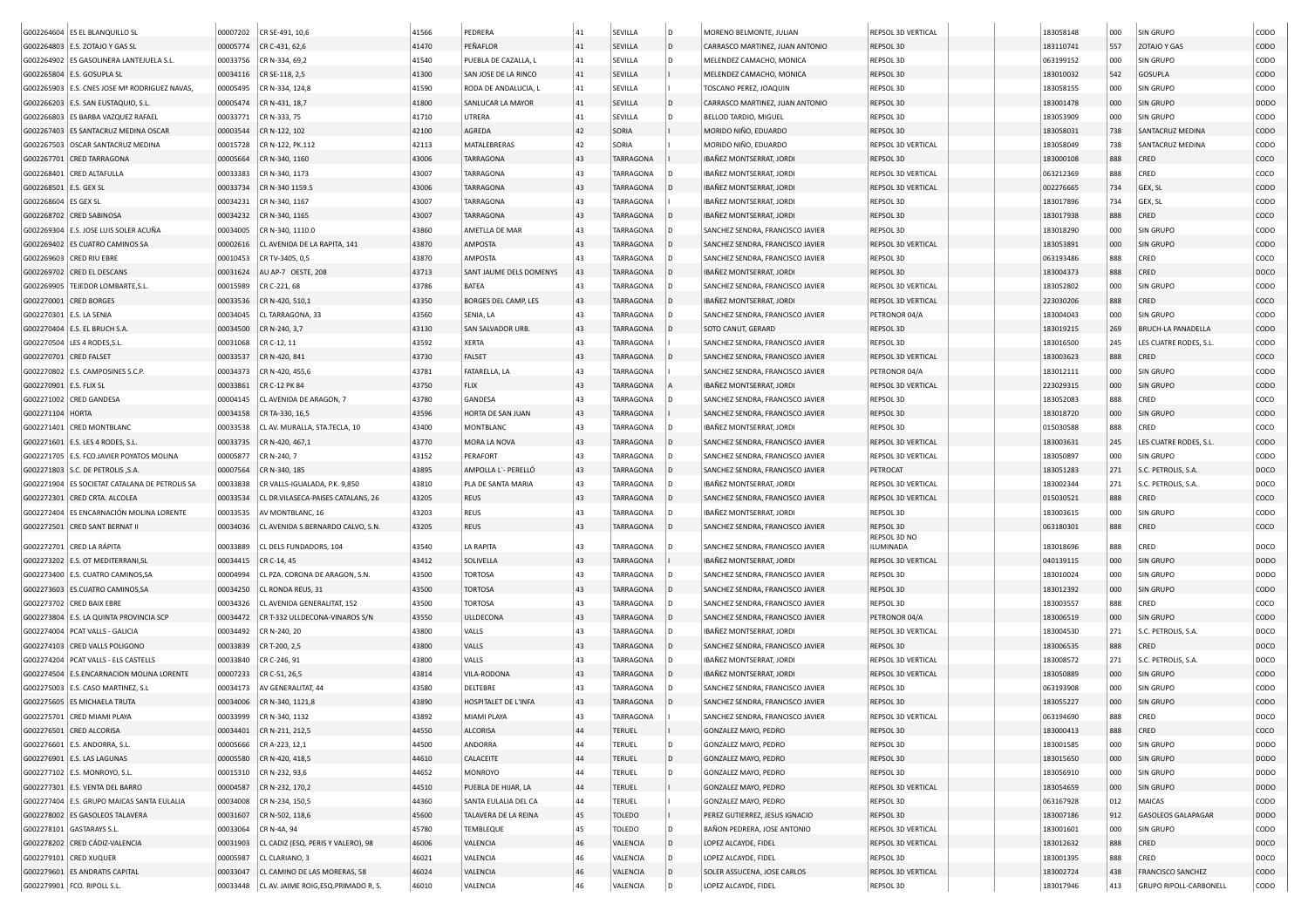|                          | G002264604 ES EL BLANQUILLO SL                 | 00007202 | CR SE-491, 10,6                       | 41566 | PEDRERA                 | 41 | SEVILLA          | D   | MORENO BELMONTE, JULIAN          | REPSOL 3D VERTICAL        | 183058148 | 000 | SIN GRUPO                     | CODO        |
|--------------------------|------------------------------------------------|----------|---------------------------------------|-------|-------------------------|----|------------------|-----|----------------------------------|---------------------------|-----------|-----|-------------------------------|-------------|
|                          | G002264803 E.S. ZOTAJO Y GAS SL                | 00005774 | CR C-431, 62,6                        | 41470 | PEÑAFLOR                | 41 | SEVILLA          | D   | CARRASCO MARTINEZ, JUAN ANTONIO  | REPSOL 3D                 | 183110741 | 557 | <b>ZOTAJO Y GAS</b>           | CODO        |
|                          | G002264902 ES GASOLINERA LANTEJUELA S.L.       | 00033756 | CR N-334, 69,2                        | 41540 | PUEBLA DE CAZALLA, L    | 41 | SEVILLA          |     | MELENDEZ CAMACHO, MONICA         | REPSOL 3D                 | 063199152 | 000 | SIN GRUPO                     | CODO        |
|                          | G002265804 E.S. GOSUPLA SL                     | 00034116 | CR SE-118, 2,5                        | 41300 | SAN JOSE DE LA RINCO    | 41 | SEVILLA          |     | MELENDEZ CAMACHO, MONICA         | REPSOL 3D                 | 183010032 | 542 | GOSUPLA                       | CODO        |
| G002265903               | E.S. CNES JOSE Mª RODRIGUEZ NAVAS              | 00005495 | CR N-334, 124,8                       | 41590 | RODA DE ANDALUCIA, L    | 41 | SEVILLA          |     | TOSCANO PEREZ, JOAQUIN           | REPSOL 3D                 | 183058155 | 000 | <b>SIN GRUPO</b>              | CODO        |
|                          | G002266203 E.S. SAN EUSTAQUIO, S.L.            | 00005474 | CR N-431, 18,7                        | 41800 | SANLUCAR LA MAYOR       | 41 | SEVILLA          | D   | CARRASCO MARTINEZ, JUAN ANTONIO  | REPSOL 3D                 | 183001478 | 000 | SIN GRUPO                     | <b>DODO</b> |
| G002266803               | ES BARBA VAZQUEZ RAFAEL                        | 00033771 | CR N-333, 75                          | 41710 | UTRERA                  | 41 | SEVILLA          |     | BELLOD TARDIO, MIGUEL            | REPSOL 3D                 | 183053909 | 000 | SIN GRUPO                     | CODO        |
|                          | G002267403 ES SANTACRUZ MEDINA OSCAR           | 00003544 | CR N-122, 102                         | 42100 | AGREDA                  | 42 | SORIA            |     | MORIDO NIÑO, EDUARDO             | REPSOL 3D                 | 183058031 | 738 | SANTACRUZ MEDINA              | CODO        |
| G002267503               | OSCAR SANTACRUZ MEDINA                         | 00015728 | CR N-122, PK.112                      | 42113 | MATALEBRERAS            | 42 | SORIA            |     | MORIDO NIÑO, EDUARDO             | REPSOL 3D VERTICAL        | 183058049 | 738 | SANTACRUZ MEDINA              | CODO        |
|                          | G002267701 CRED TARRAGONA                      | 00005664 | CR N-340, 1160                        | 43006 | <b>TARRAGONA</b>        | 43 | <b>TARRAGONA</b> |     | IBAÑEZ MONTSERRAT, JORDI         | REPSOL 3D                 | 183000108 | 888 | CRED                          | coco        |
|                          | G002268401 CRED ALTAFULLA                      | 00033383 | CR N-340, 1173                        | 43007 | <b>TARRAGONA</b>        | 43 | TARRAGONA        |     | IBAÑEZ MONTSERRAT, JORDI         | REPSOL 3D VERTICAL        | 063212369 | 888 | CRED                          | coco        |
| G002268501               | E.S. GEX SL                                    | 00033734 | CR N-340 1159.5                       | 43006 | <b>TARRAGONA</b>        | 43 | TARRAGONA        |     | IBAÑEZ MONTSERRAT, JORDI         | REPSOL 3D VERTICAL        | 002276665 | 734 | GEX, SL                       | CODO        |
| G002268604               | <b>ES GEX SL</b>                               | 00034231 | CR N-340, 1167                        | 43007 | TARRAGONA               | 43 | TARRAGONA        |     | IBAÑEZ MONTSERRAT, JORDI         | REPSOL 3D                 | 183017896 | 734 | GEX, SL                       | CODO        |
|                          | G002268702 CRED SABINOSA                       | 00034232 | CR N-340, 1165                        | 43007 | <b>TARRAGONA</b>        | 43 | TARRAGONA        |     | IBAÑEZ MONTSERRAT, JORDI         | REPSOL 3D                 | 183017938 | 888 | CRED                          | COCO        |
|                          | G002269304 E.S. JOSE LUIS SOLER ACUÑA          | 00034005 | CR N-340, 1110.0                      | 43860 | AMETLLA DE MAR          | 43 | TARRAGONA        |     | SANCHEZ SENDRA, FRANCISCO JAVIER | REPSOL 3D                 | 183018290 | 000 | <b>SIN GRUPO</b>              | CODO        |
|                          | G002269402 ES CUATRO CAMINOS SA                | 00002616 | CL AVENIDA DE LA RAPITA, 141          | 43870 | AMPOSTA                 | 43 | TARRAGONA        |     | SANCHEZ SENDRA, FRANCISCO JAVIER | REPSOL 3D VERTICAL        | 183053891 | 000 | <b>SIN GRUPO</b>              | CODO        |
|                          | G002269603 CRED RIU EBRE                       | 00010453 | CR TV-3405, 0,5                       | 43870 | <b>AMPOSTA</b>          | 43 | TARRAGONA        |     | SANCHEZ SENDRA, FRANCISCO JAVIER | REPSOL 3D                 | 063193486 | 888 | CRED                          | coco        |
|                          | G002269702 CRED EL DESCANS                     | 00031624 | AU AP-7 OESTE, 208                    | 43713 | SANT JAUME DELS DOMENYS | 43 | <b>TARRAGONA</b> |     | IBAÑEZ MONTSERRAT, JORDI         | REPSOL 3D                 | 183004373 | 888 | CRED                          | DOCO        |
|                          | G002269905   TEJEDOR LOMBARTE, S.L             | 00015989 | CR C-221, 68                          | 43786 | BATEA                   | 43 | TARRAGONA        |     | SANCHEZ SENDRA, FRANCISCO JAVIER | REPSOL 3D VERTICAL        | 183052802 | 000 | SIN GRUPO                     | CODO        |
|                          | G002270001 CRED BORGES                         | 00033536 | CR N-420, 510,1                       | 43350 | BORGES DEL CAMP, LES    | 43 | TARRAGONA        |     | IBAÑEZ MONTSERRAT, JORDI         | REPSOL 3D VERTICAL        | 223030206 | 888 | CRED                          | COCO        |
| G002270301 E.S. LA SENIA |                                                | 00034045 | CL TARRAGONA, 33                      | 43560 | SENIA, LA               | 43 | TARRAGONA        |     | SANCHEZ SENDRA, FRANCISCO JAVIER | PETRONOR 04/A             | 183004043 | 000 | SIN GRUPO                     | CODO        |
|                          | G002270404 E.S. EL BRUCH S.A                   | 00034500 | CR N-240, 3,7                         | 43130 | SAN SALVADOR URB        | 43 | TARRAGONA        |     | SOTO CANUT, GERARD               | REPSOL 3D                 | 183019215 | 269 | <b>BRUCH-LA PANADELLA</b>     | CODO        |
|                          | G002270504   LES 4 RODES, S.L.                 | 00031068 | CR C-12, 11                           | 43592 | <b>XERTA</b>            | 43 | TARRAGONA        |     | SANCHEZ SENDRA, FRANCISCO JAVIER | REPSOL 3D                 | 183016500 | 245 | LES CUATRE RODES, S.L.        | CODO        |
| G002270701 CRED FALSET   |                                                | 00033537 | CR N-420, 841                         | 43730 | <b>FALSET</b>           | 43 | TARRAGONA        |     | SANCHEZ SENDRA, FRANCISCO JAVIER | REPSOL 3D VERTICAL        | 183003623 | 888 | CRED                          | COCO        |
|                          | G002270802 E.S. CAMPOSINES S.C.P.              | 00034373 | CR N-420, 455,6                       | 43781 | FATARELLA, LA           | 43 | TARRAGONA        |     | SANCHEZ SENDRA, FRANCISCO JAVIER | PETRONOR 04/A             | 183012111 | 000 | SIN GRUPO                     | CODO        |
| G002270901 E.S. FLIX SL  |                                                | 00033861 | CR C-12 PK 84                         | 43750 | <b>FLIX</b>             | 43 | TARRAGONA        |     | IBAÑEZ MONTSERRAT, JORDI         | REPSOL 3D VERTICAL        | 223029315 | 000 | <b>SIN GRUPO</b>              | CODO        |
|                          | G002271002 CRED GANDESA                        | 00004145 | CL AVENIDA DE ARAGON, 7               | 43780 | GANDESA                 | 43 | TARRAGONA        |     | SANCHEZ SENDRA, FRANCISCO JAVIER | REPSOL 3D                 | 183052083 | 888 | CRED                          | coco        |
| G002271104               | <b>HORTA</b>                                   | 00034158 | CR TA-330, 16,5                       | 43596 | HORTA DE SAN JUAN       | 43 | <b>TARRAGONA</b> |     | SANCHEZ SENDRA, FRANCISCO JAVIER | REPSOL 3D                 | 183018720 | 000 | <b>SIN GRUPO</b>              | CODO        |
|                          | G002271401 CRED MONTBLANC                      | 00033538 | CL AV. MURALLA, STA.TECLA, 10         | 43400 | MONTBLANC               | 43 | TARRAGONA        |     | IBAÑEZ MONTSERRAT, JORDI         | REPSOL 3D                 | 015030588 | 888 | CRED                          | coco        |
|                          | G002271601   E.S. LES 4 RODES, S.L.            | 00033735 | CR N-420, 467,1                       | 43770 | MORA LA NOVA            | 43 | TARRAGONA        |     | SANCHEZ SENDRA, FRANCISCO JAVIER | REPSOL 3D VERTICAL        | 183003631 | 245 | LES CUATRE RODES, S.L.        | CODO        |
|                          | G002271705   E.S. FCO.JAVIER POYATOS MOLINA    | 00005877 | CR N-240, 7                           | 43152 | PERAFORT                | 43 | TARRAGONA        |     | SANCHEZ SENDRA, FRANCISCO JAVIER | REPSOL 3D VERTICAL        | 183050897 | 000 | SIN GRUPO                     | CODO        |
|                          | G002271803   S.C. DE PETROLIS, S.A.            | 00007564 | CR N-340, 185                         | 43895 | AMPOLLA L'- PERELLÓ     | 43 | TARRAGONA        |     | SANCHEZ SENDRA, FRANCISCO JAVIER | PETROCAT                  | 183051283 | 271 | S.C. PETROLIS, S.A.           | DOCO        |
|                          | G002271904 ES SOCIETAT CATALANA DE PETROLIS SA | 00033838 | CR VALLS-IGUALADA, P.K. 9,850         | 43810 | PLA DE SANTA MARIA      | 43 | TARRAGONA        |     | IBAÑEZ MONTSERRAT, JORDI         | REPSOL 3D VERTICAL        | 183002344 | 271 | S.C. PETROLIS, S.A.           | DOCO        |
|                          | G002272301 CRED CRTA. ALCOLEA                  | 00033534 | CL DR.VILASECA-PAISES CATALANS, 26    | 43205 | <b>REUS</b>             | 43 | <b>TARRAGONA</b> |     | SANCHEZ SENDRA, FRANCISCO JAVIER | REPSOL 3D VERTICAL        | 015030521 | 888 | CRED                          | COCO        |
|                          | G002272404 ES ENCARNACIÓN MOLINA LORENTE       | 00033535 | AV MONTBLANC, 16                      | 43203 | <b>REUS</b>             | 43 | TARRAGONA        |     | IBAÑEZ MONTSERRAT, JORDI         | REPSOL 3D                 | 183003615 | 000 | SIN GRUPO                     | CODO        |
|                          | G002272501 CRED SANT BERNAT II                 | 00034036 | CL AVENIDA S.BERNARDO CALVO, S.N      | 43205 | <b>REUS</b>             | 43 | <b>TARRAGONA</b> |     | SANCHEZ SENDRA, FRANCISCO JAVIER | REPSOL 3D                 | 063180301 | 888 | CRED                          | COCO        |
|                          |                                                |          |                                       |       |                         |    |                  |     |                                  | REPSOL 3D NO              |           |     |                               |             |
|                          | G002272701 CRED LA RÁPITA                      | 00033889 | CL DELS FUNDADORS, 104                | 43540 | LA RAPITA               | 43 | TARRAGONA        |     | SANCHEZ SENDRA, FRANCISCO JAVIER | ILUMINADA                 | 183018696 | 888 | CRED                          | DOCO        |
|                          | G002273202 E.S. OT MEDITERRANI, SL             | 00034415 | CR C-14, 45                           | 43412 | SOLIVELLA               | 43 | TARRAGONA        |     | IBAÑEZ MONTSERRAT, JORDI         | REPSOL 3D VERTICAL        | 040139115 | 000 | SIN GRUPO                     | <b>DODO</b> |
|                          | G002273400 E.S. CUATRO CAMINOS, SA             | 00004994 | CL PZA. CORONA DE ARAGON, S.N.        | 43500 | <b>TORTOSA</b>          | 43 | TARRAGONA        |     | SANCHEZ SENDRA, FRANCISCO JAVIER | REPSOL 3D                 | 183010024 | 000 | <b>SIN GRUPO</b>              | <b>DODO</b> |
|                          | G002273603 ES.CUATRO CAMINOS, SA               | 00034250 | CL RONDA REUS, 31                     | 43500 | <b>TORTOSA</b>          | 43 | <b>TARRAGONA</b> |     | SANCHEZ SENDRA, FRANCISCO JAVIER | REPSOL 3D                 | 183012392 | 000 | SIN GRUPO                     | CODO        |
|                          | G002273702 CRED BAIX EBRE                      | 00034326 | CL AVENIDA GENERALITAT, 152           | 43500 | <b>TORTOSA</b>          | 43 | TARRAGONA        |     | SANCHEZ SENDRA, FRANCISCO JAVIER | REPSOL 3D                 | 183003557 | 888 | CRED                          | COCO        |
|                          | G002273804 E.S. LA QUINTA PROVINCIA SCP        | 00034472 | CR T-332 ULLDECONA-VINAROS S/N        | 43550 | ULLDECONA               | 43 | TARRAGONA        |     | SANCHEZ SENDRA, FRANCISCO JAVIER | PETRONOR 04/A             | 183006519 | 000 | <b>SIN GRUPO</b>              | CODO        |
|                          | G002274004 PCAT VALLS - GALICIA                | 00034492 | CR N-240, 20                          | 43800 | VALLS                   | 43 | TARRAGONA        |     | IBAÑEZ MONTSERRAT, JORDI         | REPSOL 3D VERTICAL        | 183004530 | 271 | S.C. PETROLIS, S.A.           | DOCO        |
|                          | G002274103 CRED VALLS POLIGONO                 | 00033839 | CR T-200, 2,5                         | 43800 | VALLS                   | 43 | TARRAGONA        |     | SANCHEZ SENDRA, FRANCISCO JAVIER | REPSOL 3D                 | 183006535 | 888 | CRED                          | DOCO        |
|                          | G002274204 PCAT VALLS - ELS CASTELLS           | 00033840 | CR C-246, 91                          | 43800 | VALLS                   | 43 | TARRAGONA        |     | IBAÑEZ MONTSERRAT, JORDI         | REPSOL 3D VERTICAL        | 183008572 | 271 | S.C. PETROLIS, S.A.           | DOCO        |
|                          | G002274504 E.S.ENCARNACION MOLINA LORENTE      | 00007233 | CR C-51, 26,5                         | 43814 | VILA-RODONA             | 43 | TARRAGONA        |     | IBAÑEZ MONTSERRAT, JORDI         | REPSOL 3D VERTICAL        | 183050889 | 000 | SIN GRUPO                     | CODO        |
|                          | G002275003 E.S. CASO MARTINEZ, S.L             | 00034173 | AV GENERALITAT, 44                    | 43580 | DELTEBRE                | 43 | TARRAGONA        |     | SANCHEZ SENDRA, FRANCISCO JAVIER | REPSOL 3D                 | 063193908 | 000 | SIN GRUPO                     | CODO        |
|                          | G002275605 ES MICHAELA TRUTA                   | 00034006 | CR N-340, 1121,8                      | 43890 | HOSPITALET DE L'INFA    | 43 | <b>TARRAGONA</b> |     | SANCHEZ SENDRA, FRANCISCO JAVIER | REPSOL 3D                 | 183055227 | 000 | <b>SIN GRUPO</b>              | CODO        |
|                          | G002275701 CRED MIAMI PLAYA                    | 00033999 | CR N-340, 1132                        | 43892 | MIAMI PLAYA             | 43 | TARRAGONA        |     | SANCHEZ SENDRA, FRANCISCO JAVIER | REPSOL 3D VERTICAL        | 063194690 | 888 | CRED                          | DOCO        |
|                          | G002276501 CRED ALCORISA                       | 00034401 | CR N-211, 212,5                       | 44550 | ALCORISA                | 44 | <b>TERUEL</b>    |     | GONZALEZ MAYO, PEDRO             | REPSOL 3D                 | 183000413 | 888 | CRED                          | COCO        |
|                          | G002276601   E.S. ANDORRA, S.L.                | 00005666 | CR A-223, 12,1                        | 44500 | ANDORRA                 | 44 | <b>TERUEL</b>    | D   | GONZALEZ MAYO, PEDRO             | REPSOL 3D                 | 183001585 | 000 | <b>SIN GRUPO</b>              | <b>DODO</b> |
|                          | G002276901 E.S. LAS LAGUNAS                    | 00005580 | CR N-420, 418,5                       | 44610 | CALACEITE               | 44 | TERUEL           | D   | GONZALEZ MAYO, PEDRO             | REPSOL 3D                 | 183015650 | 000 | SIN GRUPO                     | <b>DODO</b> |
|                          | G002277102 E.S. MONROYO, S.L.                  | 00015310 | CR N-232, 93,6                        | 44652 | MONROYO                 | 44 | TERUEL           | D   | GONZALEZ MAYO, PEDRO             | REPSOL 3D                 | 183056910 | 000 | SIN GRUPO                     | <b>DODO</b> |
|                          | G002277301 E.S. VENTA DEL BARRO                | 00004587 | CR N-232, 170,2                       | 44510 | PUEBLA DE HIJAR, LA     | 44 | TERUEL           |     | GONZALEZ MAYO, PEDRO             | REPSOL 3D VERTICAL        | 183054659 | 000 | SIN GRUPO                     | <b>DODO</b> |
|                          | G002277404 E.S. GRUPO MAICAS SANTA EULALIA     | 00034008 | CR N-234, 150,5                       | 44360 | SANTA EULALIA DEL CA    | 44 | <b>TERUEL</b>    |     | GONZALEZ MAYO, PEDRO             | REPSOL 3D                 | 063167928 | 012 | MAICAS                        | CODO        |
|                          | G002278002 ES GASOLEOS TALAVERA                | 00031607 | CR N-502, 118,6                       | 45600 | TALAVERA DE LA REINA    | 45 | <b>TOLEDO</b>    |     | PEREZ GUTIERREZ, JESUS IGNACIO   | REPSOL 3D                 | 183007186 | 912 | <b>GASOLEOS GALAPAGAR</b>     | <b>DODO</b> |
|                          | G002278101 GASTARAYS S.L.                      | 00033064 | CR N-4A, 94                           | 45780 | TEMBLEQUE               | 45 | TOLEDO           | D   | BAÑON PEDRERA, JOSE ANTONIO      | REPSOL 3D VERTICAL        | 183001601 | 000 | SIN GRUPO                     | CODO        |
|                          | G002278202 CRED CÁDIZ-VALENCIA                 | 00031903 | CL CADIZ (ESQ. PERIS Y VALERO), 98    | 46006 | VALENCIA                | 46 | VALENCIA         | l D | LOPEZ ALCAYDE, FIDEL             | REPSOL 3D VERTICAL        | 183012632 | 888 | CRED                          | DOCO        |
|                          | G002279101 CRED XUQUER                         | 00005987 | CL CLARIANO, 3                        | 46021 | VALENCIA                | 46 | VALENCIA         | D   | LOPEZ ALCAYDE, FIDEL             | REPSOL 3D                 | 183001395 | 888 | CRED                          | DOCO        |
|                          | G002279601 ES ANDRATIS CAPITAL                 | 00033047 | CL CAMINO DE LAS MORERAS, 58          | 46024 | VALENCIA                | 46 | VALENCIA         | l D | SOLER ASSUCENA, JOSE CARLOS      | <b>REPSOL 3D VERTICAL</b> | 183002724 | 438 | <b>FRANCISCO SANCHEZ</b>      | CODO        |
|                          | G002279901 FCO. RIPOLL S.L.                    | 00033448 | CL AV. JAIME ROIG, ESQ. PRIMADO R, S. | 46010 | VALENCIA                | 46 | VALENCIA         | ۱D  | LOPEZ ALCAYDE, FIDEL             | REPSOL 3D                 | 183017946 | 413 | <b>GRUPO RIPOLL-CARBONELL</b> | CODO        |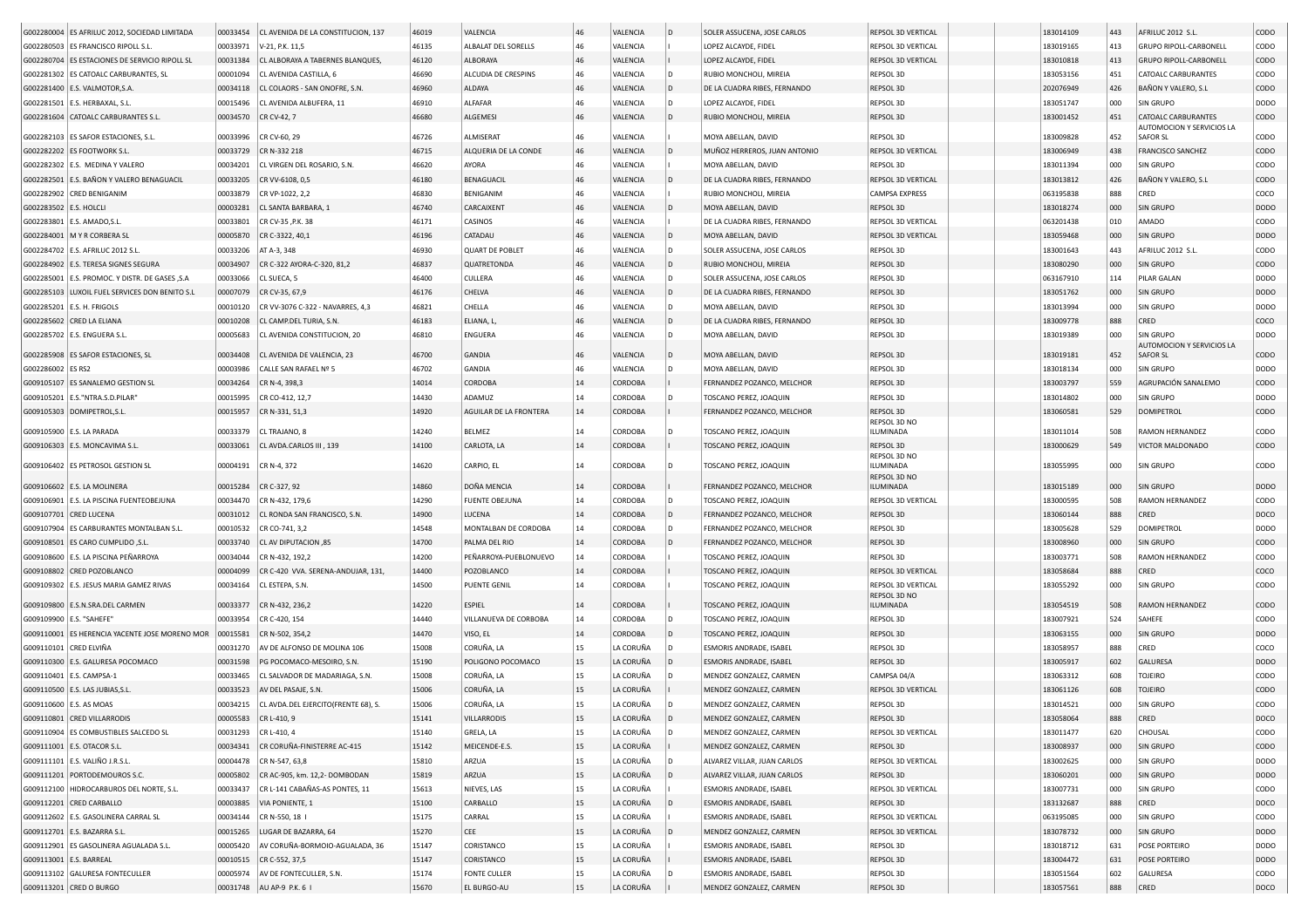|                        | G002280004 ES AFRILUC 2012, SOCIEDAD LIMITADA   | 00033454 | CL AVENIDA DE LA CONSTITUCION, 137  | 46019 | VALENCIA               | 46       | VALENCIA           | $\overline{D}$ | SOLER ASSUCENA, JOSE CARLOS                       | REPSOL 3D VERTICAL        | 183014109 | 443 | AFRILUC 2012 S.L.                     | <b>CODO</b>         |
|------------------------|-------------------------------------------------|----------|-------------------------------------|-------|------------------------|----------|--------------------|----------------|---------------------------------------------------|---------------------------|-----------|-----|---------------------------------------|---------------------|
|                        | G002280503 ES FRANCISCO RIPOLL S.L.             | 00033971 | V-21, P.K. 11,5                     | 46135 | ALBALAT DEL SORELLS    | 46       | VALENCIA           |                | LOPEZ ALCAYDE, FIDEL                              | REPSOL 3D VERTICAL        | 183019165 | 413 | GRUPO RIPOLL-CARBONELL                | CODO                |
|                        | G002280704 ES ESTACIONES DE SERVICIO RIPOLL SL  | 00031384 | CL ALBORAYA A TABERNES BLANQUES,    | 46120 | <b>ALBORAYA</b>        | 46       | VALENCIA           |                | LOPEZ ALCAYDE, FIDEL                              | <b>REPSOL 3D VERTICAL</b> | 183010818 | 413 | <b>GRUPO RIPOLL-CARBONELL</b>         | <b>CODO</b>         |
|                        | G002281302 ES CATOALC CARBURANTES, SL           | 00001094 | CL AVENIDA CASTILLA, 6              | 46690 | ALCUDIA DE CRESPINS    | 46       | VALENCIA           | D              | RUBIO MONCHOLI, MIREIA                            | REPSOL 3D                 | 183053156 | 451 | <b>CATOALC CARBURANTES</b>            | CODO                |
|                        | G002281400 E.S. VALMOTOR, S.A                   | 00034118 | CL COLAORS - SAN ONOFRE, S.N        | 46960 | ALDAYA                 | 46       | VALENCIA           |                | DE LA CUADRA RIBES, FERNANDO                      | <b>REPSOL 3D</b>          | 202076949 | 426 | BAÑON Y VALERO, S.L                   | <b>CODO</b>         |
|                        | G002281501 E.S. HERBAXAL, S.L                   | 00015496 | CL AVENIDA ALBUFERA, 11             | 46910 | ALFAFAR                | 46       | VALENCIA           |                | LOPEZ ALCAYDE, FIDEL                              | REPSOL 3D                 | 183051747 | 000 | SIN GRUPO                             | <b>DODO</b>         |
|                        | G002281604 CATOALC CARBURANTES S.L              | 00034570 | CR CV-42, 7                         | 46680 | ALGEMESI               | 46       | VALENCIA           |                | RUBIO MONCHOLI, MIREIA                            | REPSOL 3D                 | 183001452 | 451 | <b>CATOALC CARBURANTES</b>            | <b>CODO</b>         |
|                        |                                                 |          |                                     |       |                        |          |                    |                |                                                   |                           |           |     | <b>AUTOMOCION Y SERVICIOS LA</b>      |                     |
|                        | G002282103 ES SAFOR ESTACIONES, S.L             | 00033996 | CR CV-60, 29                        | 46726 | ALMISERAT              | 46       | VALENCIA           |                | MOYA ABELLAN, DAVID                               | REPSOL 3D                 | 183009828 | 452 | <b>SAFOR SL</b>                       | CODO                |
|                        | G002282202 ES FOOTWORK S.L                      | 00033729 | CR N-332 218                        | 46715 | ALQUERIA DE LA CONDE   | 46       | VALENCIA           |                | MUÑOZ HERREROS, JUAN ANTONIO                      | <b>REPSOL 3D VERTICAL</b> | 183006949 | 438 | <b>FRANCISCO SANCHEZ</b>              | <b>CODO</b>         |
|                        | G002282302 E.S. MEDINA Y VALERO                 | 00034201 | CL VIRGEN DEL ROSARIO, S.N.         | 46620 | AYORA                  | 46       | VALENCIA           |                | MOYA ABELLAN, DAVID                               | REPSOL 3D                 | 183011394 | 000 | <b>SIN GRUPO</b>                      | CODO                |
|                        | G002282501 E.S. BAÑON Y VALERO BENAGUACIL       | 00033205 | CR VV-6108, 0,5                     | 46180 | BENAGUACIL             | 46       | VALENCIA           |                | DE LA CUADRA RIBES, FERNANDO                      | <b>REPSOL 3D VERTICAL</b> | 183013812 | 426 | BAÑON Y VALERO, S.L                   | <b>CODO</b>         |
|                        | G002282902 CRED BENIGANIM                       | 00033879 | CR VP-1022, 2,2                     | 46830 | BENIGANIM              | 46       | VALENCIA           |                | RUBIO MONCHOLI, MIREIA                            | <b>CAMPSA EXPRESS</b>     | 063195838 | 888 | CRED                                  | coco                |
| G002283502 E.S. HOLCLI |                                                 | 00003281 | CL SANTA BARBARA, 1                 | 46740 | CARCAIXENT             | 46       | VALENCIA           |                | MOYA ABELLAN, DAVID                               | REPSOL 3D                 | 183018274 | 000 | <b>SIN GRUPO</b>                      | <b>DODO</b>         |
|                        | G002283801 E.S. AMADO, S.L                      | 00033801 | CR CV-35 , P.K. 38                  | 46171 | CASINOS                | 46       | VALENCIA           |                | DE LA CUADRA RIBES, FERNANDO                      | REPSOL 3D VERTICAL        | 063201438 | 010 | AMADO                                 | CODO                |
|                        | G002284001   M Y R CORBERA SL                   | 00005870 | CR C-3322, 40,1                     | 46196 | CATADAU                | 46       | VALENCIA           |                | MOYA ABELLAN, DAVID                               | <b>REPSOL 3D VERTICAL</b> | 183059468 | 000 | <b>SIN GRUPO</b>                      | <b>DODO</b>         |
|                        | G002284702 E.S. AFRILUC 2012 S.L.               | 00033206 | AT A-3, 348                         | 46930 | <b>QUART DE POBLET</b> | 46       | VALENCIA           | D              | SOLER ASSUCENA, JOSE CARLOS                       | REPSOL 3D                 | 183001643 | 443 | AFRILUC 2012 S.L                      | CODO                |
|                        | G002284902 E.S. TERESA SIGNES SEGURA            | 00034907 | CR C-322 AYORA-C-320, 81,2          | 46837 | QUATRETONDA            | 46       | VALENCIA           |                | RUBIO MONCHOLI, MIREIA                            | REPSOL 3D                 | 183080290 | 000 | <b>SIN GRUPO</b>                      | <b>CODO</b>         |
|                        | G002285001 E.S. PROMOC. Y DISTR. DE GASES , S.A | 00033066 | CL SUECA, 5                         | 46400 | CULLERA                | 46       | VALENCIA           | D              | SOLER ASSUCENA, JOSE CARLOS                       | REPSOL 3D                 | 063167910 | 114 | PILAR GALAN                           | <b>DODO</b>         |
|                        | G002285103 LUXOIL FUEL SERVICES DON BENITO S.L  | 00007079 | CR CV-35, 67,9                      | 46176 | CHELVA                 | 46       | VALENCIA           | D              | DE LA CUADRA RIBES, FERNANDO                      | REPSOL 3D                 | 183051762 | 000 | <b>SIN GRUPO</b>                      | <b>DODO</b>         |
|                        | G002285201 E.S. H. FRIGOLS                      | 00010120 | CR VV-3076 C-322 - NAVARRES, 4,3    | 46821 | CHELLA                 | 46       | VALENCIA           | D              | MOYA ABELLAN, DAVID                               | REPSOL 3D                 | 183013994 | 000 | SIN GRUPO                             | DOD <sub>O</sub>    |
|                        | G002285602 CRED LA ELIANA                       | 00010208 | CL CAMP.DEL TURIA, S.N.             | 46183 | ELIANA, L              | 46       | VALENCIA           | l D            | DE LA CUADRA RIBES, FERNANDO                      | REPSOL 3D                 | 183009778 | 888 | CRED                                  | coco                |
|                        | G002285702 E.S. ENGUERA S.L.                    | 00005683 | CL AVENIDA CONSTITUCION, 20         | 46810 | <b>ENGUERA</b>         | 46       | VALENCIA           | D              | MOYA ABELLAN, DAVID                               | REPSOL 3D                 | 183019389 | 000 | SIN GRUPO                             | <b>DODO</b>         |
|                        | G002285908 ES SAFOR ESTACIONES, SL              | 00034408 | CL AVENIDA DE VALENCIA, 23          | 46700 | <b>GANDIA</b>          | 46       | VALENCIA           |                | MOYA ABELLAN, DAVID                               | REPSOL 3D                 | 183019181 | 452 | AUTOMOCION Y SERVICIOS LA<br>SAFOR SL | <b>CODO</b>         |
| G002286002 ES RS2      |                                                 | 00003986 | CALLE SAN RAFAEL Nº 5               | 46702 | <b>GANDIA</b>          | 46       | VALENCIA           |                | MOYA ABELLAN, DAVID                               | REPSOL 3D                 | 183018134 | 000 | <b>SIN GRUPO</b>                      | <b>DODO</b>         |
|                        | G009105107 ES SANALEMO GESTION SL               |          |                                     | 14014 | CORDOBA                | 14       | CORDOBA            |                | FERNANDEZ POZANCO, MELCHOR                        | REPSOL 3D                 | 183003797 | 559 | AGRUPACIÓN SANALEMO                   |                     |
|                        |                                                 | 00034264 | CR N-4, 398,3                       |       |                        |          |                    |                |                                                   |                           |           |     |                                       | CODO                |
|                        | G009105201 E.S. "NTRA.S.D.PILAR"                | 00015995 | CR CO-412, 12,7                     | 14430 | ADAMUZ                 | 14       | CORDOBA            |                | TOSCANO PEREZ, JOAQUIN                            | REPSOL 3D                 | 183014802 | 000 | <b>SIN GRUPO</b>                      | <b>DODO</b>         |
|                        | G009105303 DOMIPETROL, S.L                      | 00015957 | CR N-331, 51,3                      | 14920 | AGUILAR DE LA FRONTERA | 14       | CORDOBA            |                | FERNANDEZ POZANCO, MELCHOR                        | REPSOL 3D<br>REPSOL 3D NO | 183060581 | 529 | <b>DOMIPETROL</b>                     | <b>CODO</b>         |
|                        | G009105900 E.S. LA PARADA                       | 00033379 | CL TRAJANO, 8                       | 14240 | BELMEZ                 | 14       | CORDOBA            |                | TOSCANO PEREZ, JOAQUIN                            | ILUMINADA                 | 183011014 | 508 | RAMON HERNANDEZ                       | CODO                |
|                        | G009106303 E.S. MONCAVIMA S.L                   | 00033061 | CL AVDA.CARLOS III, 139             | 14100 | CARLOTA, LA            | 14       | CORDOBA            |                | TOSCANO PEREZ, JOAQUIN                            | REPSOL 3D                 | 183000629 | 549 | VICTOR MALDONADO                      | <b>CODO</b>         |
|                        | G009106402 ES PETROSOL GESTION SL               | 00004191 | CR N-4, 372                         | 14620 | CARPIO, EL             | 14       | CORDOBA            |                | TOSCANO PEREZ, JOAQUIN                            | REPSOL 3D NO<br>ILUMINADA | 183055995 | 000 | SIN GRUPO                             | CODO                |
|                        |                                                 |          |                                     |       |                        |          |                    |                |                                                   | REPSOL 3D NO              |           |     |                                       |                     |
|                        | G009106602 E.S. LA MOLINERA                     | 00015284 | CR C-327, 92                        | 14860 | DOÑA MENCIA            | 14       | CORDOBA            |                | FERNANDEZ POZANCO, MELCHOR                        | ILUMINADA                 | 183015189 | 000 | SIN GRUPO                             | <b>DODO</b>         |
|                        | G009106901 E.S. LA PISCINA FUENTEOBEJUNA        | 00034470 | CR N-432, 179,6                     | 14290 | <b>FUENTE OBEJUNA</b>  | 14       | CORDOBA            | D              | TOSCANO PEREZ, JOAQUIN                            | REPSOL 3D VERTICAL        | 183000595 | 508 | RAMON HERNANDEZ                       | CODO                |
|                        | G009107701 CRED LUCENA                          | 00031012 | CL RONDA SAN FRANCISCO, S.N         | 14900 | LUCENA                 | 14       | CORDOBA            | D              | FERNANDEZ POZANCO, MELCHOR                        | REPSOL 3D                 | 183060144 | 888 | CRED                                  | DOCO                |
|                        | G009107904 ES CARBURANTES MONTALBAN S.L.        | 00010532 | CR CO-741, 3,2                      | 14548 | MONTALBAN DE CORDOBA   | 14       | CORDOBA            |                | FERNANDEZ POZANCO, MELCHOR                        | REPSOL 3D                 | 183005628 | 529 | <b>DOMIPETROL</b>                     | <b>DODO</b>         |
|                        | G009108501   ES CARO CUMPLIDO, S.L              | 00033740 | CL AV DIPUTACION ,85                | 14700 | PALMA DEL RIO          | 14       | CORDOBA            |                | FERNANDEZ POZANCO, MELCHOR                        | REPSOL 3D                 | 183008960 | 000 | <b>SIN GRUPO</b>                      | CODO                |
|                        | G009108600 E.S. LA PISCINA PEÑARROYA            | 00034044 | CR N-432, 192,2                     | 14200 | PEÑARROYA-PUEBLONUEVO  | 14       | CORDOBA            |                | TOSCANO PEREZ, JOAQUIN                            | REPSOL 3D                 | 183003771 | 508 | RAMON HERNANDEZ                       | CODO                |
|                        | G009108802 CRED POZOBLANCO                      | 00004099 | CR C-420 VVA. SERENA-ANDUJAR, 131   | 14400 | POZOBLANCO             | 14       | CORDOBA            |                | TOSCANO PEREZ, JOAQUIN                            | REPSOL 3D VERTICAL        | 183058684 | 888 | CRED                                  | coco                |
|                        | G009109302 E.S. JESUS MARIA GAMEZ RIVAS         | 00034164 | CL ESTEPA, S.N.                     | 14500 | <b>PUENTE GENIL</b>    | 14       | CORDOBA            |                | TOSCANO PEREZ, JOAQUIN                            | REPSOL 3D VERTICAL        | 183055292 | 000 | <b>SIN GRUPO</b>                      | CODO                |
|                        |                                                 |          |                                     | 14220 | <b>ESPIEL</b>          | 14       |                    |                |                                                   | REPSOL 3D NO              | 183054519 |     | RAMON HERNANDEZ                       | <b>CODO</b>         |
|                        | G009109800 E.S.N.SRA.DEL CARMEN                 | 00033377 | CR N-432, 236,2                     | 14440 | VILLANUEVA DE CORBOBA  |          | CORDOBA<br>CORDOBA |                | TOSCANO PEREZ, JOAQUIN                            | ILUMINADA                 |           | 508 |                                       | CODO                |
|                        | G009109900   E.S. "SAHEFE"                      | 00033954 | CR C-420, 154                       | 14470 |                        | 14<br>14 |                    |                | TOSCANO PEREZ, JOAQUIN                            | REPSOL 3D                 | 183007921 | 524 | SAHEFE                                |                     |
|                        | G009110001 ES HERENCIA YACENTE JOSE MORENO MOR  | 00015581 | CR N-502, 354,2                     |       | VISO, EL               |          | CORDOBA            |                | TOSCANO PEREZ, JOAQUIN<br>ESMORIS ANDRADE, ISABEL | <b>REPSOL 3D</b>          | 183063155 | 000 | <b>SIN GRUPO</b>                      | <b>DODO</b><br>coco |
|                        | G009110101 CRED ELVIÑA                          | 00031270 | AV DE ALFONSO DE MOLINA 106         | 15008 | CORUÑA, LA             | 15       | LA CORUÑA          |                |                                                   | REPSOL 3D                 | 183058957 | 888 | CRED                                  |                     |
|                        | G009110300 E.S. GALURESA POCOMACO               | 00031598 | PG POCOMACO-MESOIRO, S.N.           | 15190 | POLIGONO POCOMACO      | 15       | LA CORUÑA          |                | <b>ESMORIS ANDRADE, ISABEL</b>                    | REPSOL 3D                 | 183005917 | 602 | <b>GALURESA</b>                       | <b>DODO</b>         |
|                        | G009110401 E.S. CAMPSA-1                        | 00033465 | CL SALVADOR DE MADARIAGA, S.N.      | 15008 | CORUÑA, LA             | 15       | LA CORUÑA          |                | MENDEZ GONZALEZ, CARMEN                           | CAMPSA 04/A               | 183063312 | 608 | <b>TOJEIRO</b>                        | CODO                |
|                        | G009110500 E.S. LAS JUBIAS, S.L                 | 00033523 | AV DEL PASAJE, S.N.                 | 15006 | CORUÑA, LA             | 15       | LA CORUÑA          |                | MENDEZ GONZALEZ, CARMEN                           | REPSOL 3D VERTICAL        | 183061126 | 608 | <b>TOJEIRO</b>                        | CODO                |
|                        | G009110600 E.S. AS MOAS                         | 00034215 | CL AVDA.DEL EJERCITO(FRENTE 68), S. | 15006 | CORUÑA, LA             | 15       | LA CORUÑA          |                | MENDEZ GONZALEZ, CARMEN                           | REPSOL 3D                 | 183014521 | 000 | <b>SIN GRUPO</b>                      | CODO                |
|                        | G009110801 CRED VILLARRODIS                     | 00005583 | CR L-410.9                          | 15141 | <b>VILLARRODIS</b>     | 15       | A CORUÑA           |                | MENDEZ GONZALEZ, CARMEN                           | REPSOL 3D                 | 183058064 | 888 |                                       | <b>DOCO</b>         |
|                        | G009110904 ES COMBUSTIBLES SALCEDO SL           |          | 00031293 CR L-410, 4                | 15140 | GRELA, LA              | 15       | LA CORUÑA          | D              | MENDEZ GONZALEZ, CARMEN                           | REPSOL 3D VERTICAL        | 183011477 | 620 | CHOUSAL                               | CODO                |
|                        | G009111001 E.S. OTACOR S.L.                     | 00034341 | CR CORUÑA-FINISTERRE AC-415         | 15142 | MEICENDE-E.S           | 15       | LA CORUÑA          |                | MENDEZ GONZALEZ, CARMEN                           | REPSOL 3D                 | 183008937 | 000 | <b>SIN GRUPO</b>                      | CODO                |
|                        | G009111101   E.S. VALIÑO J.R.S.L.               | 00004478 | CR N-547, 63,8                      | 15810 | ARZUA                  | 15       | LA CORUÑA          |                | ALVAREZ VILLAR, JUAN CARLOS                       | REPSOL 3D VERTICAL        | 183002625 | 000 | SIN GRUPO                             | <b>DODO</b>         |
|                        | G009111201 PORTODEMOUROS S.C.                   | 00005802 | CR AC-905, km. 12,2-DOMBODAN        | 15819 | ARZUA                  | 15       | LA CORUÑA          |                | ALVAREZ VILLAR, JUAN CARLOS                       | REPSOL 3D                 | 183060201 | 000 | SIN GRUPO                             | DODO                |
|                        | G009112100 HIDROCARBUROS DEL NORTE, S.L.        | 00033437 | CR L-141 CABAÑAS-AS PONTES, 11      | 15613 | NIEVES, LAS            | 15       | LA CORUÑA          |                | ESMORIS ANDRADE, ISABEL                           | REPSOL 3D VERTICAL        | 183007731 | 000 | SIN GRUPO                             | CODO                |
|                        | G009112201 CRED CARBALLO                        | 00003885 | VIA PONIENTE, 1                     | 15100 | CARBALLO               | $15\,$   | LA CORUÑA          |                | ESMORIS ANDRADE, ISABEL                           | REPSOL 3D                 | 183132687 | 888 | CRED                                  | DOCO                |
|                        | G009112602 E.S. GASOLINERA CARRAL SL            | 00034144 | CR N-550, 18 I                      | 15175 | CARRAL                 | 15       | LA CORUÑA          |                | ESMORIS ANDRADE, ISABEL                           | REPSOL 3D VERTICAL        | 063195085 | 000 | SIN GRUPO                             | CODO                |
|                        | G009112701 E.S. BAZARRA S.L.                    | 00015265 | LUGAR DE BAZARRA, 64                | 15270 | CEE                    | $15\,$   | LA CORUÑA          |                | MENDEZ GONZALEZ, CARMEN                           | <b>REPSOL 3D VERTICAL</b> | 183078732 | 000 | SIN GRUPO                             | <b>DODO</b>         |
|                        | G009112901 ES GASOLINERA AGUALADA S.L.          | 00005420 | AV CORUÑA-BORMOIO-AGUALADA, 36      | 15147 | CORISTANCO             | 15       | LA CORUÑA          |                | <b>ESMORIS ANDRADE, ISABEL</b>                    | REPSOL 3D                 | 183018712 | 631 | POSE PORTEIRO                         | DOD <sub>O</sub>    |
|                        | G009113001 E.S. BARREAL                         | 00010515 | CR C-552, 37,5                      | 15147 | CORISTANCO             | 15       | LA CORUÑA          |                | <b>ESMORIS ANDRADE, ISABEL</b>                    | REPSOL 3D                 | 183004472 | 631 | POSE PORTEIRO                         | <b>DODO</b>         |
|                        | G009113102 GALURESA FONTECULLER                 | 00005974 | AV DE FONTECULLER, S.N.             | 15174 | <b>FONTE CULLER</b>    | 15       | LA CORUÑA          |                | ESMORIS ANDRADE, ISABEL                           | REPSOL 3D                 | 183051564 | 602 | GALURESA                              | CODO                |
|                        | G009113201 CRED O BURGO                         |          | 00031748   AU AP-9 P.K. 6 I         | 15670 | EL BURGO-AU            | 15       | LA CORUÑA          |                | MENDEZ GONZALEZ, CARMEN                           | REPSOL 3D                 | 183057561 | 888 | CRED                                  | DOCO                |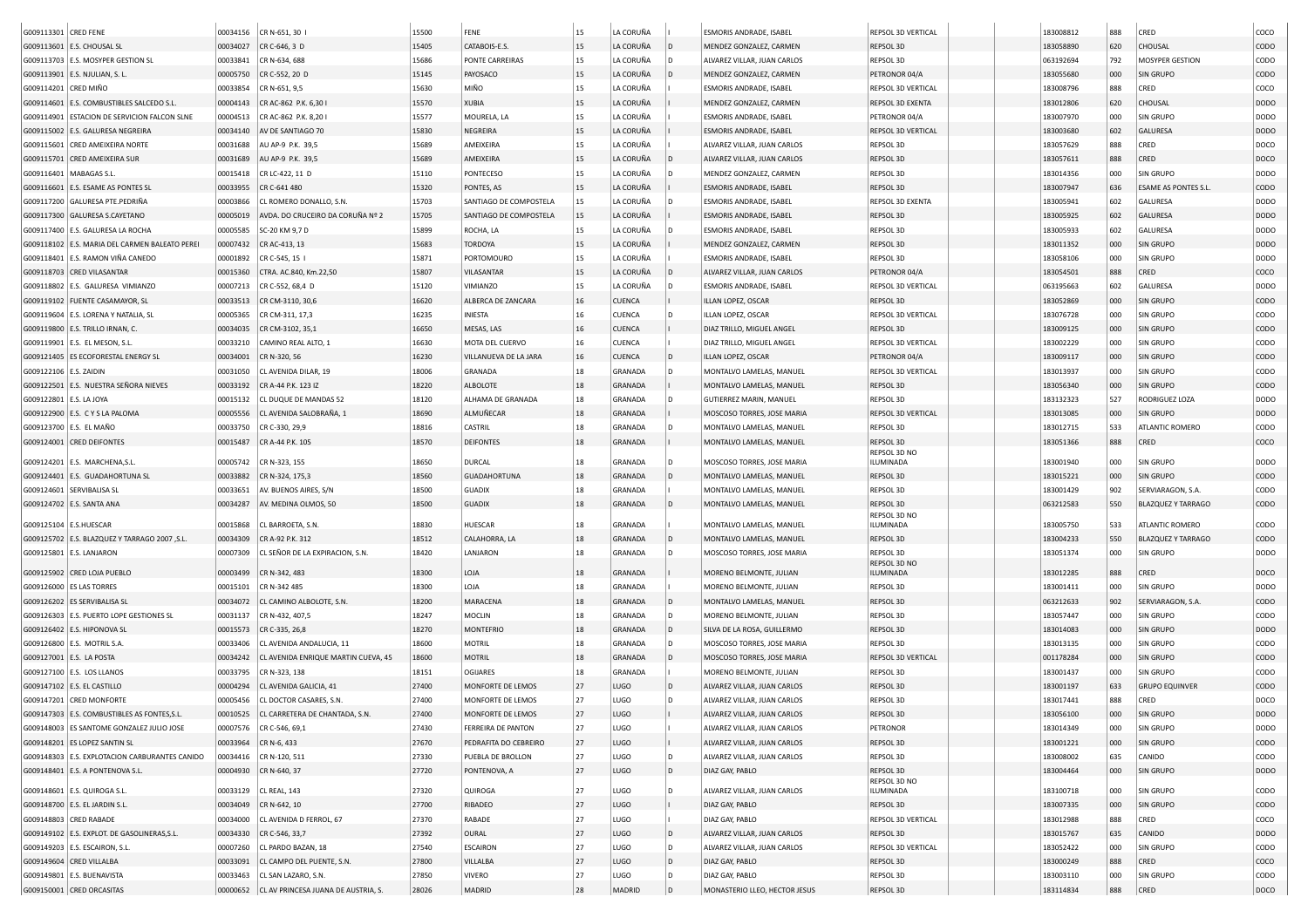| G009113301 CRED FENE    |                                                | 00034156 | CR N-651, 30 I                      | 15500 | FENE                   | 15 | LA CORUÑA     |                | ESMORIS ANDRADE, ISABEL        | REPSOL 3D VERTICAL        | 183008812 | 888 | CRED                      | coco             |
|-------------------------|------------------------------------------------|----------|-------------------------------------|-------|------------------------|----|---------------|----------------|--------------------------------|---------------------------|-----------|-----|---------------------------|------------------|
|                         | G009113601 E.S. CHOUSAL SL                     | 00034027 | CR C-646, 3 D                       | 15405 | CATABOIS-E.S.          | 15 | LA CORUÑA     | D              | MENDEZ GONZALEZ, CARMEN        | REPSOL 3D                 | 183058890 | 620 | CHOUSAL                   | <b>CODO</b>      |
|                         | G009113703 E.S. MOSYPER GESTION SL             | 00033841 | CR N-634, 688                       | 15686 | PONTE CARREIRAS        | 15 | LA CORUÑA     | l D            | ALVAREZ VILLAR, JUAN CARLOS    | REPSOL 3D                 | 063192694 | 792 | MOSYPER GESTION           | CODO             |
|                         | G009113901 E.S. NJULIAN, S. L                  | 00005750 | CR C-552, 20 D                      | 15145 | PAYOSACO               | 15 | LA CORUÑA     | $\overline{D}$ | MENDEZ GONZALEZ, CARMEN        | PETRONOR 04/A             | 183055680 | 000 | <b>SIN GRUPO</b>          | <b>CODO</b>      |
| G009114201 CRED MIÑO    |                                                | 00033854 | CR N-651, 9,5                       | 15630 | MIÑO                   | 15 | LA CORUÑA     |                | ESMORIS ANDRADE, ISABEL        | REPSOL 3D VERTICAL        | 183008796 | 888 | CRED                      | coco             |
|                         | G009114601   E.S. COMBUSTIBLES SALCEDO S.L.    | 00004143 | CR AC-862 P.K. 6,30                 | 15570 | <b>XUBIA</b>           | 15 | LA CORUÑA     |                | MENDEZ GONZALEZ, CARMEN        | REPSOL 3D EXENTA          | 183012806 | 620 | CHOUSAL                   | DOD <sub>O</sub> |
|                         | G009114901 ESTACION DE SERVICION FALCON SLNE   | 00004513 | CR AC-862 P.K. 8,201                | 15577 | MOURELA, LA            | 15 | LA CORUÑA     |                | ESMORIS ANDRADE, ISABEL        | PETRONOR 04/A             | 183007970 | 000 | SIN GRUPO                 | <b>DODO</b>      |
|                         | G009115002 E.S. GALURESA NEGREIRA              | 00034140 | AV DE SANTIAGO 70                   | 15830 | NEGREIRA               | 15 | LA CORUÑA     |                | ESMORIS ANDRADE, ISABEL        | REPSOL 3D VERTICAL        | 183003680 | 602 | <b>GALURESA</b>           | <b>DODO</b>      |
|                         | G009115601 CRED AMEIXEIRA NORTE                | 00031688 | AU AP-9 P.K. 39,5                   | 15689 | AMEIXEIRA              | 15 | LA CORUÑA     |                | ALVAREZ VILLAR, JUAN CARLOS    | REPSOL 3D                 | 183057629 | 888 | CRED                      | DOCO             |
|                         | G009115701 CRED AMEIXEIRA SUR                  | 00031689 | AU AP-9 P.K. 39,5                   | 15689 | AMEIXEIRA              | 15 | LA CORUÑA     |                | ALVAREZ VILLAR, JUAN CARLOS    | REPSOL 3D                 | 183057611 | 888 | CRED                      | DOCO             |
|                         | G009116401   MABAGAS S.L                       | 00015418 | CR LC-422, 11 D                     | 15110 | PONTECESO              | 15 | LA CORUÑA     | l D            | MENDEZ GONZALEZ, CARMEN        | REPSOL 3D                 | 183014356 | 000 | SIN GRUPO                 | <b>DODO</b>      |
|                         |                                                |          |                                     | 15320 |                        | 15 | LA CORUÑA     |                |                                | REPSOL 3D                 | 183007947 |     | ESAME AS PONTES S.L.      |                  |
|                         | G009116601 E.S. ESAME AS PONTES SL             | 00033955 | CR C-641 480                        |       | PONTES, AS             | 15 |               |                | ESMORIS ANDRADE, ISABEL        |                           |           | 636 |                           | CODO             |
|                         | G009117200 GALURESA PTE.PEDRIÑA                | 00003866 | CL ROMERO DONALLO, S.N.             | 15703 | SANTIAGO DE COMPOSTELA |    | LA CORUÑA     |                | ESMORIS ANDRADE, ISABEL        | REPSOL 3D EXENTA          | 183005941 | 602 | <b>GALURESA</b>           | <b>DODO</b>      |
|                         | G009117300 GALURESA S.CAYETANO                 | 00005019 | AVDA. DO CRUCEIRO DA CORUÑA Nº 2    | 15705 | SANTIAGO DE COMPOSTELA | 15 | LA CORUÑA     |                | ESMORIS ANDRADE, ISABEL        | REPSOL 3D                 | 183005925 | 602 | <b>GALURESA</b>           | <b>DODO</b>      |
|                         | G009117400 E.S. GALURESA LA ROCHA              | 00005585 | SC-20 KM 9,7 D                      | 15899 | ROCHA, LA              | 15 | LA CORUÑA     |                | <b>ESMORIS ANDRADE, ISABEL</b> | REPSOL 3D                 | 183005933 | 602 | <b>GALURESA</b>           | DOD <sub>O</sub> |
|                         | G009118102 E.S. MARIA DEL CARMEN BALEATO PEREI | 00007432 | CR AC-413, 13                       | 15683 | <b>TORDOYA</b>         | 15 | LA CORUÑA     |                | MENDEZ GONZALEZ, CARMEN        | REPSOL 3D                 | 183011352 | 000 | <b>SIN GRUPO</b>          | <b>DODO</b>      |
|                         | G009118401 E.S. RAMON VIÑA CANEDO              | 00001892 | CR C-545, 15                        | 15871 | PORTOMOURO             | 15 | LA CORUÑA     |                | ESMORIS ANDRADE, ISABEL        | REPSOL 3D                 | 183058106 | 000 | SIN GRUPO                 | <b>DODO</b>      |
|                         | G009118703 CRED VILASANTAR                     | 00015360 | CTRA. AC.840, Km.22,50              | 15807 | VILASANTAR             | 15 | LA CORUÑA     | ۱D             | ALVAREZ VILLAR, JUAN CARLOS    | PETRONOR 04/A             | 183054501 | 888 | CRED                      | coco             |
|                         | G009118802 E.S. GALURESA VIMIANZO              | 00007213 | CR C-552, 68,4 D                    | 15120 | VIMIANZO               | 15 | LA CORUÑA     | l D            | ESMORIS ANDRADE, ISABEL        | REPSOL 3D VERTICAL        | 063195663 | 602 | <b>GALURESA</b>           | <b>DODO</b>      |
|                         | G009119102 FUENTE CASAMAYOR, SL                | 00033513 | CR CM-3110, 30,6                    | 16620 | ALBERCA DE ZANCARA     | 16 | <b>CUENCA</b> |                | ILLAN LOPEZ, OSCAR             | REPSOL 3D                 | 183052869 | 000 | <b>SIN GRUPO</b>          | <b>CODO</b>      |
|                         | G009119604   E.S. LORENA Y NATALIA, SL         | 00005365 | CR CM-311, 17,3                     | 16235 | INIESTA                | 16 | <b>CUENCA</b> | In.            | ILLAN LOPEZ, OSCAR             | REPSOL 3D VERTICAL        | 183076728 | 000 | <b>SIN GRUPO</b>          | CODO             |
|                         | G009119800   E.S. TRILLO IRNAN, C.             | 00034035 | CR CM-3102, 35,1                    | 16650 | MESAS, LAS             | 16 | <b>CUENCA</b> |                | DIAZ TRILLO, MIGUEL ANGEL      | REPSOL 3D                 | 183009125 | 000 | <b>SIN GRUPO</b>          | <b>CODO</b>      |
|                         | G009119901 E.S. EL MESON, S.L.                 | 00033210 | CAMINO REAL ALTO, 1                 | 16630 | MOTA DEL CUERVO        | 16 | <b>CUENCA</b> |                | DIAZ TRILLO, MIGUEL ANGEL      | REPSOL 3D VERTICAL        | 183002229 | 000 | SIN GRUPO                 | CODO             |
|                         | G009121405 ES ECOFORESTAL ENERGY SI            | 00034001 | CR N-320, 56                        | 16230 | VILLANUEVA DE LA JARA  | 16 | <b>CUENCA</b> |                | ILLAN LOPEZ, OSCAR             | PETRONOR 04/A             | 183009117 | 000 | SIN GRUPO                 | <b>CODO</b>      |
| G009122106 E.S. ZAIDIN  |                                                | 00031050 | CL AVENIDA DILAR, 19                | 18006 | GRANADA                | 18 | GRANADA       |                | MONTALVO LAMELAS, MANUEL       | REPSOL 3D VERTICAL        | 183013937 | 000 | SIN GRUPO                 | CODO             |
|                         | G009122501 E.S. NUESTRA SEÑORA NIEVES          | 00033192 | CR A-44 P.K. 123 IZ                 | 18220 | <b>ALBOLOTE</b>        | 18 | GRANADA       |                | MONTALVO LAMELAS, MANUEL       | REPSOL 3D                 | 183056340 | 000 | <b>SIN GRUPO</b>          | <b>CODO</b>      |
| G009122801 E.S. LA JOYA |                                                | 00015132 | CL DUQUE DE MANDAS 52               | 18120 | ALHAMA DE GRANADA      | 18 | GRANADA       | l D            | GUTIERREZ MARIN, MANUEL        | REPSOL 3D                 | 183132323 | 527 | RODRIGUEZ LOZA            | <b>DODO</b>      |
|                         | G009122900 E.S. C Y S LA PALOMA                | 00005556 | CL AVENIDA SALOBRAÑA, 1             | 18690 | ALMUÑECAR              | 18 | GRANADA       |                | MOSCOSO TORRES, JOSE MARIA     | REPSOL 3D VERTICAL        | 183013085 | 000 | <b>SIN GRUPO</b>          | <b>DODO</b>      |
|                         | G009123700 E.S. EL MAÑO                        | 00033750 | CR C-330, 29,9                      | 18816 | CASTRIL                | 18 | GRANADA       | l D.           | MONTALVO LAMELAS, MANUEL       | REPSOL 3D                 | 183012715 | 533 | ATLANTIC ROMERO           | CODO             |
|                         | G009124001 CRED DEIFONTES                      | 00015487 | CR A-44 P.K. 105                    | 18570 | <b>DEIFONTES</b>       | 18 | GRANADA       |                | MONTALVO LAMELAS, MANUEL       | REPSOL 3D                 | 183051366 | 888 | CRED                      | coco             |
|                         |                                                |          |                                     |       |                        |    |               |                |                                | REPSOL 3D NO              |           |     |                           |                  |
|                         | G009124201 E.S. MARCHENA, S.L                  | 00005742 | CR N-323, 155                       | 18650 | <b>DURCAL</b>          | 18 | GRANADA       |                | MOSCOSO TORRES, JOSE MARIA     | ILUMINADA                 | 183001940 | 000 | <b>SIN GRUPO</b>          | <b>DODO</b>      |
|                         | G009124401 E.S. GUADAHORTUNA SL                | 00033882 | CR N-324, 175,3                     | 18560 | <b>GUADAHORTUNA</b>    | 18 | GRANADA       | l D            | MONTALVO LAMELAS, MANUEL       | REPSOL 3D                 | 183015221 | 000 | SIN GRUPO                 | CODO             |
|                         | G009124601 SERVIBALISA SL                      | 00033651 | AV. BUENOS AIRES, S/N               | 18500 | <b>GUADIX</b>          | 18 | GRANADA       |                | MONTALVO LAMELAS, MANUEL       | REPSOL 3D                 | 183001429 | 902 | SERVIARAGON, S.A.         | CODO             |
|                         | G009124702 E.S. SANTA ANA                      | 00034287 | AV. MEDINA OLMOS, 50                | 18500 | <b>GUADIX</b>          | 18 | GRANADA       | ID.            | MONTALVO LAMELAS, MANUEL       | REPSOL 3D<br>REPSOL 3D NO | 063212583 | 550 | <b>BLAZQUEZ Y TARRAGO</b> | <b>CODO</b>      |
| G009125104 E.S.HUESCAR  |                                                | 00015868 | CL BARROETA, S.N                    | 18830 | <b>HUESCAR</b>         | 18 | GRANADA       |                | MONTALVO LAMELAS, MANUEL       | ILUMINADA                 | 183005750 | 533 | ATLANTIC ROMERO           | CODO             |
|                         | G009125702 E.S. BLAZQUEZ Y TARRAGO 2007, S.L.  | 00034309 | CR A-92 P.K. 312                    | 18512 | CALAHORRA, LA          | 18 | GRANADA       | ID.            | MONTALVO LAMELAS, MANUEL       | REPSOL 3D                 | 183004233 | 550 | <b>BLAZQUEZ Y TARRAGO</b> | <b>CODO</b>      |
|                         | G009125801 E.S. LANJARON                       | 00007309 | CL SEÑOR DE LA EXPIRACION, S.N      | 18420 | LANJARON               | 18 | GRANADA       |                | MOSCOSO TORRES, JOSE MARIA     | REPSOL 3D                 | 183051374 | 000 | SIN GRUPO                 | <b>DODO</b>      |
|                         |                                                |          |                                     |       |                        |    |               |                |                                | REPSOL 3D NO              |           |     |                           |                  |
|                         | G009125902 CRED LOJA PUEBLO                    | 00003499 | CR N-342, 483                       | 18300 | LOJA                   | 18 | GRANADA       |                | MORENO BELMONTE, JULIAN        | ILUMINADA                 | 183012285 | 888 | CRED                      | DOCO             |
|                         | G009126000 ES LAS TORRES                       | 00015101 | CR N-342 485                        | 18300 | LOJA                   | 18 | GRANADA       |                | MORENO BELMONTE, JULIAN        | REPSOL 3D                 | 183001411 | 000 | SIN GRUPO                 | <b>DODO</b>      |
|                         | G009126202 ES SERVIBALISA SL                   | 00034072 | CL CAMINO ALBOLOTE, S.N.            | 18200 | MARACENA               | 18 | GRANADA       | ID.            | MONTALVO LAMELAS, MANUEL       | REPSOL 3D                 | 063212633 | 902 | SERVIARAGON, S.A.         | <b>CODO</b>      |
|                         | G009126303 E.S. PUERTO LOPE GESTIONES SL       | 00031137 | CR N-432, 407,5                     | 18247 | <b>MOCLIN</b>          | 18 | GRANADA       | l D            | MORENO BELMONTE, JULIAN        | REPSOL 3D                 | 183057447 | 000 | <b>SIN GRUPO</b>          | CODO             |
|                         | G009126402 E.S. HIPONOVA SL                    | 00015573 | CR C-335, 26,8                      | 18270 | <b>MONTEFRIO</b>       | 18 | GRANADA       | l D            | SILVA DE LA ROSA, GUILLERMO    | REPSOL 3D                 | 183014083 | 000 | <b>SIN GRUPO</b>          | <b>DODO</b>      |
|                         | G009126800 E.S. MOTRIL S.A.                    | 00033406 | CL AVENIDA ANDALUCIA, 11            | 18600 | <b>MOTRIL</b>          | 18 | GRANADA       |                | MOSCOSO TORRES, JOSE MARIA     | REPSOL 3D                 | 183013135 | 000 | <b>SIN GRUPO</b>          | CODO             |
|                         | G009127001 E.S. LA POSTA                       | 00034242 | CL AVENIDA ENRIQUE MARTIN CUEVA, 45 | 18600 | <b>MOTRIL</b>          | 18 | GRANADA       | l D            | MOSCOSO TORRES, JOSE MARIA     | REPSOL 3D VERTICAL        | 001178284 | 000 | <b>SIN GRUPO</b>          | CODO             |
|                         | G009127100 E.S. LOS LLANOS                     | 00033795 | CR N-323, 138                       | 18151 | OGIJARES               | 18 | GRANADA       |                | MORENO BELMONTE, JULIAN        | REPSOL 3D                 | 183001437 | 000 | <b>SIN GRUPO</b>          | CODO             |
|                         | G009147102   E.S. EL CASTILLO                  | 00004294 | CL AVENIDA GALICIA, 41              | 27400 | MONFORTE DE LEMOS      | 27 | <b>LUGO</b>   | ID.            | ALVAREZ VILLAR, JUAN CARLOS    | REPSOL 3D                 | 183001197 | 633 | <b>GRUPO EQUINVER</b>     | <b>CODO</b>      |
|                         | G009147201 CRED MONFORTE                       | 00005456 | CL DOCTOR CASARES, S.N.             | 27400 | MONFORTE DE LEMOS      | 27 | LUGO          |                | ALVAREZ VILLAR, JUAN CARLOS    | REPSOL 3D                 | 183017441 | 888 | CRED                      | DOCO             |
|                         | G009147303 E.S. COMBUSTIBLES AS FONTES, S.L.   | 00010525 | CL CARRETERA DE CHANTADA, S.N.      | 27400 | MONFORTE DE LEMOS      | 27 | LUGO          |                | ALVAREZ VILLAR, JUAN CARLOS    | REPSOL 3D                 | 183056100 | 000 | <b>SIN GRUPO</b>          | <b>DODO</b>      |
|                         | G009148003 ES SANTOME GONZALEZ JULIO JOSE      |          | 00007576 CR C-546, 69,1             | 27430 | FERREIRA DE PANTON     | 27 | LUGO          |                | ALVAREZ VILLAR, JUAN CARLOS    | PETRONOR                  | 183014349 | 000 | <b>SIN GRUPO</b>          | <b>DODO</b>      |
|                         | G009148201 ES LOPEZ SANTIN SL                  | 00033964 | CR N-6, 433                         | 27670 | PEDRAFITA DO CEBREIRO  | 27 | LUGO          |                | ALVAREZ VILLAR, JUAN CARLOS    | REPSOL 3D                 | 183001221 | 000 | SIN GRUPO                 | <b>CODO</b>      |
|                         | G009148303 E.S. EXPLOTACION CARBURANTES CANIDO | 00034416 | CR N-120, 511                       | 27330 | PUEBLA DE BROLLON      | 27 | LUGO          | l D            | ALVAREZ VILLAR, JUAN CARLOS    | REPSOL 3D                 | 183008002 | 635 | CANIDO                    | CODO             |
|                         | G009148401 E.S. A PONTENOVA S.L.               | 00004930 | CR N-640, 37                        | 27720 | PONTENOVA, A           | 27 | LUGO          | $\vert$ D      | DIAZ GAY, PABLO                | REPSOL 3D                 | 183004464 | 000 | SIN GRUPO                 | DODO             |
|                         |                                                |          |                                     |       |                        |    |               |                |                                | REPSOL 3D NO              |           |     |                           |                  |
|                         | G009148601 E.S. QUIROGA S.L.                   | 00033129 | CL REAL, 143                        | 27320 | QUIROGA                | 27 | LUGO          | l D            | ALVAREZ VILLAR, JUAN CARLOS    | ILUMINADA                 | 183100718 | 000 | <b>SIN GRUPO</b>          | <b>CODO</b>      |
|                         | G009148700 E.S. EL JARDIN S.L.                 | 00034049 | CR N-642, 10                        | 27700 | RIBADEO                | 27 | LUGO          |                | DIAZ GAY, PABLO                | REPSOL 3D                 | 183007335 | 000 | SIN GRUPO                 | <b>CODO</b>      |
|                         | G009148803 CRED RABADE                         | 00034000 | CL AVENIDA D FERROL, 67             | 27370 | RABADE                 | 27 | LUGO          |                | DIAZ GAY, PABLO                | REPSOL 3D VERTICAL        | 183012988 | 888 | CRED                      | coco             |
|                         | G009149102 E.S. EXPLOT. DE GASOLINERAS, S.L.   | 00034330 | CR C-546, 33,7                      | 27392 | OURAL                  | 27 | LUGO          | D              | ALVAREZ VILLAR, JUAN CARLOS    | REPSOL 3D                 | 183015767 | 635 | CANIDO                    | <b>DODO</b>      |
|                         | G009149203 E.S. ESCAIRON, S.L.                 | 00007260 | CL PARDO BAZAN, 18                  | 27540 | <b>ESCAIRON</b>        | 27 | LUGO          | l D            | ALVAREZ VILLAR, JUAN CARLOS    | REPSOL 3D VERTICAL        | 183052422 | 000 | SIN GRUPO                 | <b>CODO</b>      |
|                         | G009149604 CRED VILLALBA                       | 00033091 | CL CAMPO DEL PUENTE, S.N.           | 27800 | VILLALBA               | 27 | LUGO          | D              | DIAZ GAY, PABLO                | REPSOL 3D                 | 183000249 | 888 | CRED                      | coco             |
|                         | G009149801 E.S. BUENAVISTA                     | 00033463 | CL SAN LAZARO, S.N.                 | 27850 | <b>VIVERO</b>          | 27 | LUGO          | l D            | DIAZ GAY, PABLO                | REPSOL 3D                 | 183003110 | 000 | SIN GRUPO                 | CODO             |
|                         | G009150001 CRED ORCASITAS                      | 00000652 | CL AV PRINCESA JUANA DE AUSTRIA, S. | 28026 | MADRID                 | 28 | MADRID        | $\mathsf{D}$   | MONASTERIO LLEO, HECTOR JESUS  | REPSOL 3D                 | 183114834 | 888 | CRED                      | DOCO             |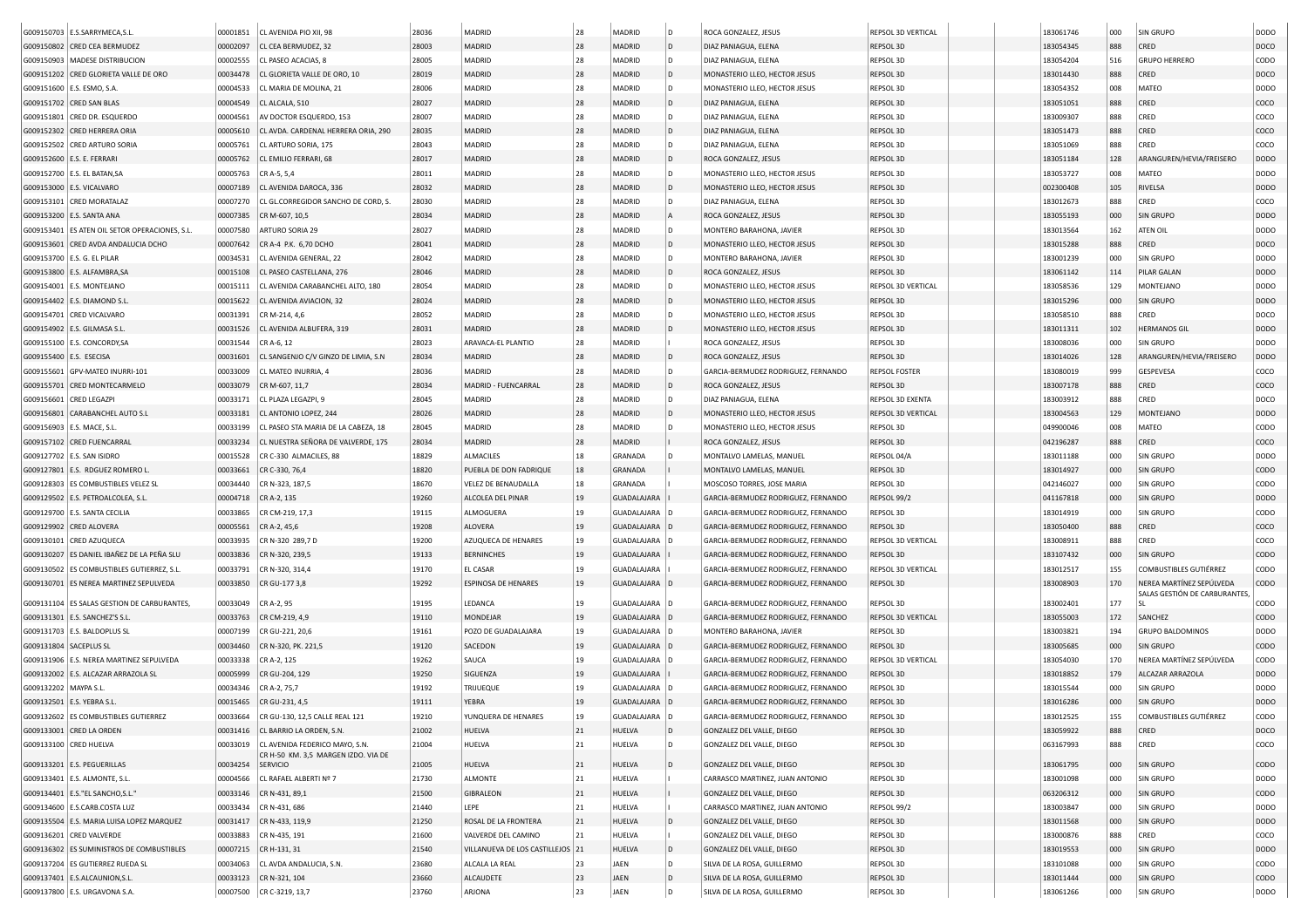|                          | G009150703 E.S.SARRYMECA,S.L                   | 00001851 | CL AVENIDA PIO XII, 98                                                         | 28036 | MADRID                           | 28     | MADRID         | D    | ROCA GONZALEZ, JESUS                | REPSOL 3D VERTICAL   | 183061746 | 000 | SIN GRUPO                             | DODO        |
|--------------------------|------------------------------------------------|----------|--------------------------------------------------------------------------------|-------|----------------------------------|--------|----------------|------|-------------------------------------|----------------------|-----------|-----|---------------------------------------|-------------|
|                          | G009150802 CRED CEA BERMUDEZ                   | 00002097 | CL CEA BERMUDEZ, 32                                                            | 28003 | MADRID                           | 28     | MADRID         | D    | DIAZ PANIAGUA, ELENA                | REPSOL 3D            | 183054345 | 888 | CRED                                  | DOCO        |
|                          | G009150903   MADESE DISTRIBUCION               | 00002555 | CL PASEO ACACIAS, 8                                                            | 28005 | MADRID                           | 28     | MADRID         | D    | DIAZ PANIAGUA, ELENA                | REPSOL 3D            | 183054204 | 516 | <b>GRUPO HERRERO</b>                  | CODO        |
|                          | G009151202 CRED GLORIETA VALLE DE ORO          | 00034478 | CL GLORIETA VALLE DE ORO, 10                                                   | 28019 | MADRID                           | 28     | MADRID         | l D  | MONASTERIO LLEO, HECTOR JESUS       | REPSOL 3D            | 183014430 | 888 | CRED                                  | DOCO        |
|                          | G009151600 E.S. ESMO, S.A.                     | 00004533 | CL MARIA DE MOLINA, 21                                                         | 28006 | MADRID                           | 28     | MADRID         | D    | MONASTERIO LLEO, HECTOR JESUS       | REPSOL 3D            | 183054352 | 008 | MATEO                                 | DODO        |
|                          | G009151702 CRED SAN BLAS                       | 00004549 | CL ALCALA, 510                                                                 | 28027 | MADRID                           | 28     | MADRID         | l D  | DIAZ PANIAGUA, ELENA                | REPSOL 3D            | 183051051 | 888 | CRED                                  | coco        |
|                          | G009151801 CRED DR. ESQUERDO                   | 00004561 | AV DOCTOR ESQUERDO, 153                                                        | 28007 | MADRID                           | 28     | MADRID         | D    | DIAZ PANIAGUA, ELENA                | REPSOL 3D            | 183009307 | 888 | CRED                                  | coco        |
|                          | G009152302 CRED HERRERA ORIA                   | 00005610 | CL AVDA. CARDENAL HERRERA ORIA, 290                                            | 28035 | MADRID                           | 28     | MADRID         | l D  | DIAZ PANIAGUA, ELENA                | REPSOL 3D            | 183051473 | 888 | CRED                                  | coco        |
|                          | G009152502 CRED ARTURO SORIA                   | 00005761 | CL ARTURO SORIA, 175                                                           | 28043 | MADRID                           | 28     | MADRID         | D    | DIAZ PANIAGUA, ELENA                | REPSOL 3D            | 183051069 | 888 | CRED                                  | coco        |
|                          | G009152600 E.S. E. FERRARI                     | 00005762 | CL EMILIO FERRARI, 68                                                          | 28017 | MADRID                           | 28     | MADRID         | l D  | ROCA GONZALEZ, JESUS                | REPSOL 3D            | 183051184 | 128 | ARANGUREN/HEVIA/FREISERO              | <b>DODO</b> |
|                          | G009152700   E.S. EL BATAN, SA                 | 00005763 | CR A-5, 5,4                                                                    | 28011 | MADRID                           | 28     | MADRID         |      | MONASTERIO LLEO, HECTOR JESUS       | REPSOL 3D            | 183053727 | 008 | MATEO                                 | DODO        |
|                          | G009153000 E.S. VICALVARO                      |          |                                                                                | 28032 | MADRID                           | 28     | MADRID         |      | MONASTERIO LLEO, HECTOR JESUS       |                      |           |     |                                       | DODO        |
|                          |                                                | 00007189 | CL AVENIDA DAROCA, 336<br>CL GL.CORREGIDOR SANCHO DE CORD. S.                  |       |                                  | 28     |                | D    |                                     | REPSOL 3D            | 002300408 | 105 | RIVELSA                               | coco        |
|                          | G009153101 CRED MORATALAZ                      | 00007270 |                                                                                | 28030 | MADRID                           |        | MADRID         |      | DIAZ PANIAGUA, ELENA                | REPSOL 3D            | 183012673 | 888 | CRED                                  |             |
|                          | G009153200 E.S. SANTA ANA                      | 00007385 | CR M-607, 10,5                                                                 | 28034 | MADRID                           | 28     | MADRID         |      | ROCA GONZALEZ, JESUS                | REPSOL 3D            | 183055193 | 000 | SIN GRUPO                             | DODO        |
|                          | G009153401 ES ATEN OIL SETOR OPERACIONES, S.L. | 00007580 | ARTURO SORIA 29                                                                | 28027 | MADRID                           | 28     | MADRID         | D    | MONTERO BARAHONA, JAVIER            | REPSOL 3D            | 183013564 | 162 | ATEN OIL                              | DODO        |
|                          | G009153601 CRED AVDA ANDALUCIA DCHO            | 00007642 | CR A-4 P.K. 6,70 DCHO                                                          | 28041 | MADRID                           | 28     | MADRID         | D    | MONASTERIO LLEO, HECTOR JESUS       | REPSOL 3D            | 183015288 | 888 | CRED                                  | DOCO        |
|                          | G009153700   E.S. G. EL PILAR                  | 00034531 | CL AVENIDA GENERAL, 22                                                         | 28042 | MADRID                           | 28     | MADRID         | D    | MONTERO BARAHONA, JAVIER            | REPSOL 3D            | 183001239 | 000 | SIN GRUPO                             | DODO        |
|                          | G009153800 E.S. ALFAMBRA, SA                   | 00015108 | CL PASEO CASTELLANA, 276                                                       | 28046 | MADRID                           | 28     | MADRID         | l D  | ROCA GONZALEZ, JESUS                | REPSOL 3D            | 183061142 | 114 | PILAR GALAN                           | DODO        |
|                          | G009154001 E.S. MONTEJANO                      | 00015111 | CL AVENIDA CARABANCHEL ALTO, 180                                               | 28054 | MADRID                           | 28     | MADRID         | l D. | MONASTERIO LLEO, HECTOR JESUS       | REPSOL 3D VERTICAL   | 183058536 | 129 | MONTEJANO                             | DODO        |
|                          | G009154402 E.S. DIAMOND S.L                    | 00015622 | CL AVENIDA AVIACION, 32                                                        | 28024 | MADRID                           | 28     | MADRID         | l D  | MONASTERIO LLEO, HECTOR JESUS       | REPSOL 3D            | 183015296 | 000 | SIN GRUPO                             | DODO        |
|                          | G009154701 CRED VICALVARO                      | 00031391 | CR M-214, 4,6                                                                  | 28052 | MADRID                           | 28     | MADRID         | l D  | MONASTERIO LLEO, HECTOR JESUS       | REPSOL 3D            | 183058510 | 888 | CRED                                  | DOCO        |
|                          | G009154902 E.S. GILMASA S.L                    | 00031526 | CL AVENIDA ALBUFERA, 319                                                       | 28031 | MADRID                           | 28     | MADRID         |      | MONASTERIO LLEO, HECTOR JESUS       | REPSOL 3D            | 183011311 | 102 | <b>HERMANOS GIL</b>                   | DODO        |
|                          | G009155100   E.S. CONCORDY, SA                 | 00031544 | CR A-6, 12                                                                     | 28023 | ARAVACA-EL PLANTIO               | 28     | MADRID         |      | ROCA GONZALEZ, JESUS                | REPSOL 3D            | 183008036 | 000 | SIN GRUPO                             | <b>DODO</b> |
| G009155400 E.S. ESECISA  |                                                | 00031601 | CL SANGENJO C/V GINZO DE LIMIA, S.N                                            | 28034 | MADRID                           | 28     | MADRID         | l D  | ROCA GONZALEZ, JESUS                | REPSOL 3D            | 183014026 | 128 | ARANGUREN/HEVIA/FREISERO              | <b>DODO</b> |
|                          | G009155601 GPV-MATEO INURRI-101                | 00033009 | CL MATEO INURRIA, 4                                                            | 28036 | MADRID                           | 28     | MADRID         | l D  | GARCIA-BERMUDEZ RODRIGUEZ, FERNANDO | <b>REPSOL FOSTER</b> | 183080019 | 999 | GESPEVESA                             | coco        |
|                          | G009155701 CRED MONTECARMELO                   | 00033079 | CR M-607, 11,7                                                                 | 28034 | MADRID - FUENCARRAL              | 28     | MADRID         | D    | ROCA GONZALEZ, JESUS                | REPSOL 3D            | 183007178 | 888 | CRED                                  | coco        |
|                          | G009156601 CRED LEGAZPI                        | 00033171 | CL PLAZA LEGAZPI, 9                                                            | 28045 | MADRID                           | 28     | MADRID         | ۱D   | DIAZ PANIAGUA, ELENA                | REPSOL 3D EXENTA     | 183003912 | 888 | CRED                                  | DOCO        |
|                          | G009156801 CARABANCHEL AUTO S.L                | 00033181 | CL ANTONIO LOPEZ, 244                                                          | 28026 | MADRID                           | 28     | MADRID         |      | MONASTERIO LLEO, HECTOR JESUS       | REPSOL 3D VERTICAL   | 183004563 | 129 | MONTEJANO                             | <b>DODO</b> |
|                          | G009156903 E.S. MACE, S.L                      | 00033199 | CL PASEO STA MARIA DE LA CABEZA, 18                                            | 28045 | MADRID                           | 28     | MADRID         | D    | MONASTERIO LLEO, HECTOR JESUS       | REPSOL 3D            | 049900046 | 008 | MATEO                                 | CODO        |
|                          | G009157102 CRED FUENCARRAL                     | 00033234 | CL NUESTRA SEÑORA DE VALVERDE, 175                                             | 28034 | MADRID                           | 28     | MADRID         |      | ROCA GONZALEZ, JESUS                | REPSOL 3D            | 042196287 | 888 | CRED                                  | coco        |
|                          | G009127702 E.S. SAN ISIDRO                     | 00015528 | CR C-330 ALMACILES, 88                                                         | 18829 | <b>ALMACILES</b>                 | 18     | GRANADA        |      | MONTALVO LAMELAS, MANUEL            | REPSOL 04/A          | 183011188 | 000 | SIN GRUPO                             | DODO        |
|                          | G009127801 E.S. RDGUEZ ROMERO L                | 00033661 | CR C-330, 76,4                                                                 | 18820 | PUEBLA DE DON FADRIQUE           | 18     | GRANADA        |      | MONTALVO LAMELAS, MANUEL            | REPSOL 3D            | 183014927 | 000 | SIN GRUPO                             | CODO        |
|                          |                                                |          |                                                                                |       |                                  |        |                |      |                                     |                      |           |     |                                       |             |
|                          | G009128303 ES COMBUSTIBLES VELEZ SL            | 00034440 | CR N-323, 187,5                                                                | 18670 | VELEZ DE BENAUDALLA              | 18     | <b>GRANADA</b> |      | MOSCOSO TORRES, JOSE MARIA          | REPSOL 3D            | 042146027 | 000 | SIN GRUPO                             | CODO        |
|                          | G009129502 E.S. PETROALCOLEA, S.L.             | 00004718 | CR A-2, 135                                                                    | 19260 | ALCOLEA DEL PINAR                | 19     | GUADALAJARA    |      | GARCIA-BERMUDEZ RODRIGUEZ, FERNANDO | REPSOL 99/2          | 041167818 | 000 | SIN GRUPO                             | <b>DODO</b> |
|                          | G009129700 E.S. SANTA CECILIA                  | 00033865 | CR CM-219, 17,3                                                                | 19115 | ALMOGUERA                        | 19     | GUADALAJARA    |      | GARCIA-BERMUDEZ RODRIGUEZ, FERNANDO | REPSOL 3D            | 183014919 | 000 | SIN GRUPO                             | CODO        |
|                          | G009129902 CRED ALOVERA                        | 00005561 | CR A-2, 45,6                                                                   | 19208 | ALOVERA                          | 19     | GUADALAJARA    |      | GARCIA-BERMUDEZ RODRIGUEZ, FERNANDO | REPSOL 3D            | 183050400 | 888 | CRED                                  | coco        |
|                          | G009130101 CRED AZUQUECA                       | 00033935 | CR N-320 289,7 D                                                               | 19200 | AZUQUECA DE HENARES              | 19     | GUADALAJARA    |      | GARCIA-BERMUDEZ RODRIGUEZ, FERNANDO | REPSOL 3D VERTICAL   | 183008911 | 888 | CRED                                  | coco        |
|                          | G009130207 ES DANIEL IBAÑEZ DE LA PEÑA SLU     | 00033836 | CR N-320, 239,5                                                                | 19133 | <b>BERNINCHES</b>                | 19     | GUADALAJARA    |      | GARCIA-BERMUDEZ RODRIGUEZ, FERNANDO | REPSOL 3D            | 183107432 | 000 | SIN GRUPO                             | CODO        |
|                          | G009130502 ES COMBUSTIBLES GUTIERREZ, S.L.     | 00033791 | CR N-320, 314,4                                                                | 19170 | <b>EL CASAR</b>                  | 19     | GUADALAJARA    |      | GARCIA-BERMUDEZ RODRIGUEZ, FERNANDO | REPSOL 3D VERTICAL   | 183012517 | 155 | COMBUSTIBLES GUTIÉRREZ                | CODO        |
|                          | G009130701 ES NEREA MARTINEZ SEPULVEDA         | 00033850 | CR GU-177 3,8                                                                  | 19292 | <b>ESPINOSA DE HENARES</b>       | 19     | GUADALAJARA    |      | GARCIA-BERMUDEZ RODRIGUEZ, FERNANDO | REPSOL 3D            | 183008903 | 170 | NEREA MARTÍNEZ SEPÚLVEDA              | CODO        |
|                          | G009131104 ES SALAS GESTION DE CARBURANTES     | 00033049 | CR A-2, 95                                                                     | 19195 | LEDANCA                          | 19     | GUADALAJARA    |      | GARCIA-BERMUDEZ RODRIGUEZ, FERNANDO | REPSOL 3D            | 183002401 | 177 | SALAS GESTIÓN DE CARBURANTES,<br>l si | CODO        |
|                          | G009131301 E.S. SANCHEZ'S S.L                  | 00033763 | CR CM-219, 4,9                                                                 | 19110 | MONDEJAR                         | 19     | GUADALAJARA    |      | GARCIA-BERMUDEZ RODRIGUEZ, FERNANDO | REPSOL 3D VERTICAL   | 183055003 | 172 | SANCHEZ                               | CODO        |
|                          | G009131703   E.S. BALDOPLUS SL                 | 00007199 | CR GU-221, 20,6                                                                | 19161 | POZO DE GUADALAJARA              | 19     | GUADALAJARA    |      | MONTERO BARAHONA, JAVIER            | REPSOL 3D            | 183003821 | 194 | <b>GRUPO BALDOMINOS</b>               | <b>DODO</b> |
| G009131804   SACEPLUS SL |                                                | 00034460 | CR N-320, PK. 221,5                                                            | 19120 | SACEDON                          | 19     | GUADALAJARA    |      | GARCIA-BERMUDEZ RODRIGUEZ, FERNANDO | REPSOL 3D            | 183005685 | 000 | SIN GRUPO                             | CODO        |
|                          | G009131906 E.S. NEREA MARTINEZ SEPULVEDA       | 00033338 | CR A-2, 125                                                                    | 19262 | SAUCA                            | 19     | GUADALAJARA    |      | GARCIA-BERMUDEZ RODRIGUEZ, FERNANDO | REPSOL 3D VERTICAL   | 183054030 | 170 | NEREA MARTÍNEZ SEPÚLVEDA              | CODO        |
|                          |                                                |          |                                                                                |       |                                  |        |                |      |                                     |                      |           |     |                                       | DODO        |
|                          | G009132002 E.S. ALCAZAR ARRAZOLA SL            | 00005999 | CR GU-204, 129                                                                 | 19250 | SIGUENZA                         | 19     | GUADALAJARA    |      | GARCIA-BERMUDEZ RODRIGUEZ, FERNANDO | REPSOL 3D            | 183018852 | 179 | ALCAZAR ARRAZOLA                      |             |
| G009132202 MAYPA S.L.    |                                                | 00034346 | CR A-2, 75,7                                                                   | 19192 | TRIJUEQUE                        | 19     | GUADALAJARA    |      | GARCIA-BERMUDEZ RODRIGUEZ, FERNANDO | REPSOL 3D            | 183015544 | 000 | SIN GRUPO                             | DODO        |
|                          | G009132501 E.S. YEBRA S.L.                     | 00015465 | CR GU-231, 4,5                                                                 | 19111 | YEBRA                            | 19     | GUADALAJARA    |      | GARCIA-BERMUDEZ RODRIGUEZ, FERNANDO | REPSOL 3D            | 183016286 | 000 | SIN GRUPO                             | DODO        |
|                          | G009132602 ES COMBUSTIBLES GUTIERREZ           | 00033664 | CR GU-130, 12,5 CALLE REAL 121                                                 | 19210 | YUNQUERA DE HENARES              | 19     | GUADALAJARA    |      | GARCIA-BERMUDEZ RODRIGUEZ, FERNANDO | REPSOL 3D            | 183012525 | 155 | COMBUSTIBLES GUTIÉRREZ                | CODO        |
|                          | G009133001 CRED LA ORDEN                       |          | 00031416 CL BARRIO LA ORDEN, S.N.                                              | 21002 | <b>HUELVA</b>                    | 21     | HUELVA         | D    | GONZALEZ DEL VALLE, DIEGO           | REPSOL 3D            | 183059922 | 888 | CRED                                  | DOCO        |
|                          | G009133100 CRED HUELVA                         |          | 00033019 CL AVENIDA FEDERICO MAYO, S.N.<br>CR H-50 KM. 3,5 MARGEN IZDO. VIA DE | 21004 | HUELVA                           | $21\,$ | HUELVA         | D    | GONZALEZ DEL VALLE, DIEGO           | REPSOL 3D            | 063167993 | 888 | CRED                                  | COCO        |
|                          | G009133201 E.S. PEGUERILLAS                    | 00034254 | <b>SERVICIO</b>                                                                | 21005 | HUELVA                           | 21     | HUELVA         |      | GONZALEZ DEL VALLE, DIEGO           | REPSOL 3D            | 183061795 | 000 | SIN GRUPO                             | CODO        |
|                          | G009133401   E.S. ALMONTE, S.L.                | 00004566 | CL RAFAEL ALBERTI Nº 7                                                         | 21730 | <b>ALMONTE</b>                   | $21\,$ | HUELVA         |      | CARRASCO MARTINEZ, JUAN ANTONIO     | REPSOL 3D            | 183001098 | 000 | SIN GRUPO                             | <b>DODO</b> |
|                          | G009134401   E.S."EL SANCHO, S.L."             | 00033146 | $CR N-431, 89, 1$                                                              | 21500 | <b>GIBRALEON</b>                 | 21     | HUELVA         |      | GONZALEZ DEL VALLE, DIEGO           | REPSOL 3D            | 063206312 | 000 | SIN GRUPO                             | CODO        |
|                          | G009134600   E.S.CARB.COSTA LUZ                | 00033434 | CR N-431, 686                                                                  | 21440 | LEPE                             | $21\,$ | HUELVA         |      | CARRASCO MARTINEZ, JUAN ANTONIO     | REPSOL 99/2          | 183003847 | 000 | SIN GRUPO                             | <b>DODO</b> |
|                          | G009135504 E.S. MARIA LUISA LOPEZ MARQUEZ      | 00031417 | CR N-433, 119,9                                                                | 21250 | ROSAL DE LA FRONTERA             | 21     | HUELVA         |      | GONZALEZ DEL VALLE, DIEGO           | REPSOL 3D            | 183011568 | 000 | SIN GRUPO                             | DODO        |
|                          | G009136201 CRED VALVERDE                       | 00033883 | CR N-435, 191                                                                  | 21600 | VALVERDE DEL CAMINO              | 21     | HUELVA         |      | GONZALEZ DEL VALLE, DIEGO           | REPSOL 3D            | 183000876 | 888 | CRED                                  | COCO        |
|                          | G009136302 ES SUMINISTROS DE COMBUSTIBLES      |          | CR H-131, 31                                                                   |       | VILLANUEVA DE LOS CASTILLEJOS 21 |        | HUELVA         | D    | GONZALEZ DEL VALLE, DIEGO           | REPSOL 3D            | 183019553 | 000 | SIN GRUPO                             | <b>DODO</b> |
|                          | G009137204 ES GUTIERREZ RUEDA SL               | 00007215 |                                                                                | 21540 |                                  |        |                | D    |                                     |                      |           |     |                                       | CODO        |
|                          |                                                | 00034063 | CL AVDA ANDALUCIA, S.N.                                                        | 23680 | ALCALA LA REAL                   | 23     | JAEN           |      | SILVA DE LA ROSA, GUILLERMO         | REPSOL 3D            | 183101088 | 000 | SIN GRUPO                             |             |
|                          | G009137401 E.S.ALCAUNION, S.L.                 | 00033123 | CR N-321, 104                                                                  | 23660 | ALCAUDETE                        | 23     | JAEN           | l D  | SILVA DE LA ROSA, GUILLERMO         | REPSOL 3D            | 183011444 | 000 | SIN GRUPO                             | CODO        |
|                          | G009137800 E.S. URGAVONA S.A.                  |          | 00007500 CR C-3219, 13,7                                                       | 23760 | ARJONA                           | 23     | JAEN           | D    | SILVA DE LA ROSA, GUILLERMO         | REPSOL 3D            | 183061266 | 000 | SIN GRUPO                             | <b>DODO</b> |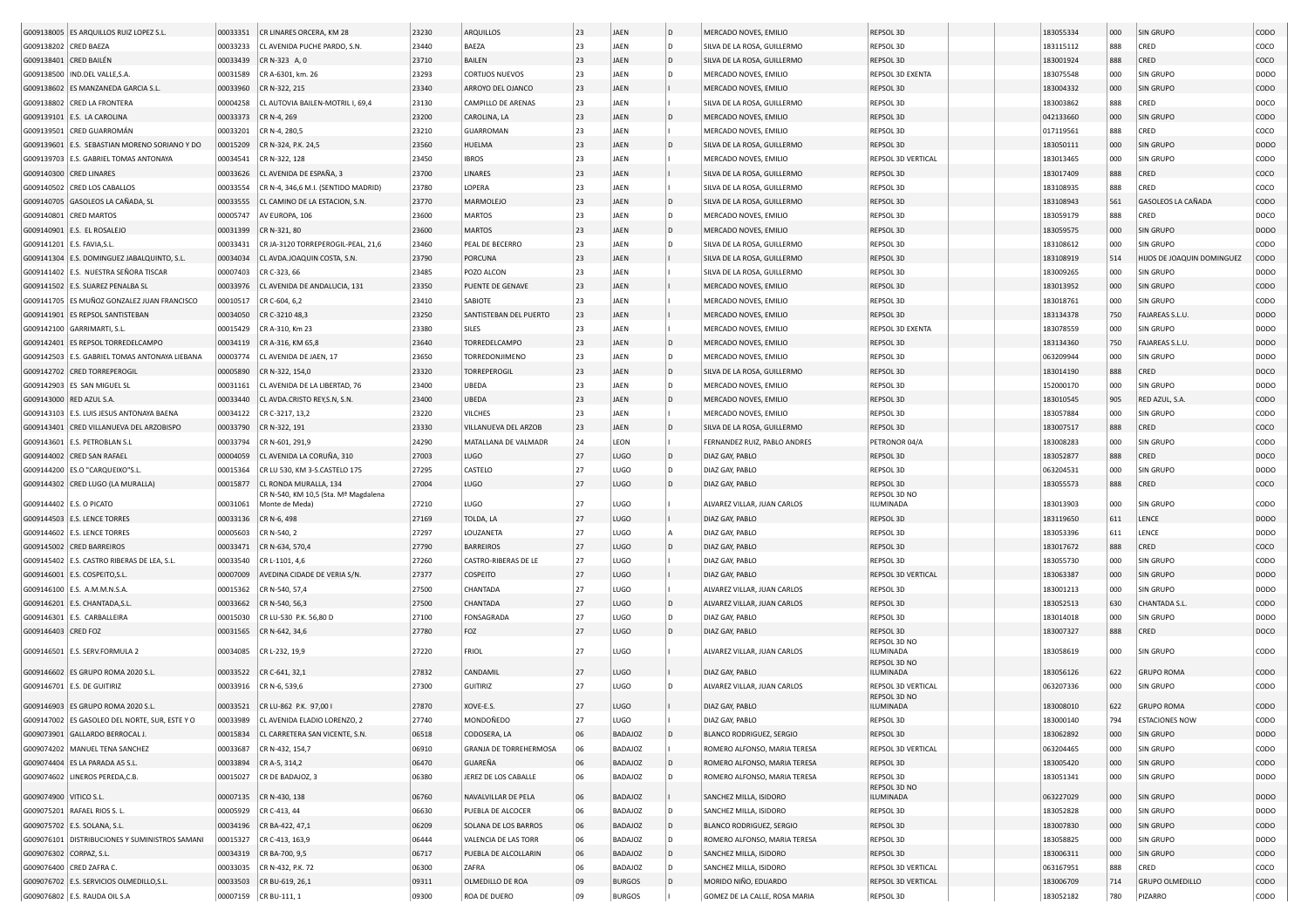|                         | G009138005 ES ARQUILLOS RUIZ LOPEZ S.L.        | 00033351 | CR LINARES ORCERA, KM 28                | 23230 | ARQUILLOS              | 23 | JAEN          | l D | MERCADO NOVES, EMILIO           | REPSOL 3D                 | 183055334 | 000 | <b>SIN GRUPO</b>           | CODO        |
|-------------------------|------------------------------------------------|----------|-----------------------------------------|-------|------------------------|----|---------------|-----|---------------------------------|---------------------------|-----------|-----|----------------------------|-------------|
| G009138202 CRED BAEZA   |                                                | 00033233 | CL AVENIDA PUCHE PARDO, S.N.            | 23440 | BAEZA                  | 23 | JAEN          | D   | SILVA DE LA ROSA, GUILLERMO     | REPSOL 3D                 | 183115112 | 888 | CRED                       | COCO        |
| G009138401 CRED BAILÉN  |                                                | 00033439 | CR N-323 A, 0                           | 23710 | BAILEN                 | 23 | JAEN          | l D | SILVA DE LA ROSA, GUILLERMO     | REPSOL 3D                 | 183001924 | 888 | CRED                       | coco        |
|                         | G009138500   IND.DEL VALLE, S.A.               | 00031589 | CR A-6301, km. 26                       | 23293 | CORTIJOS NUEVOS        | 23 | JAEN          | D   | MERCADO NOVES, EMILIO           | REPSOL 3D EXENTA          | 183075548 | 000 | SIN GRUPO                  | DODO        |
|                         | G009138602 ES MANZANEDA GARCIA S.L             | 00033960 | CR N-322, 215                           | 23340 | ARROYO DEL OJANCO      | 23 | JAEN          |     | MERCADO NOVES, EMILIO           | REPSOL 3D                 | 183004332 | 000 | SIN GRUPO                  | CODO        |
|                         | G009138802 CRED LA FRONTERA                    | 00004258 | CL AUTOVIA BAILEN-MOTRIL I, 69,4        | 23130 | CAMPILLO DE ARENAS     | 23 | JAEN          |     | SILVA DE LA ROSA, GUILLERMO     | REPSOL 3D                 | 183003862 | 888 | CRED                       | DOCO        |
|                         |                                                |          |                                         |       |                        |    |               |     |                                 |                           |           |     |                            |             |
|                         | G009139101 E.S. LA CAROLINA                    | 00033373 | CR N-4, 269                             | 23200 | CAROLINA, LA           | 23 | JAEN          |     | MERCADO NOVES, EMILIO           | REPSOL 3D                 | 042133660 | 000 | SIN GRUPO                  | CODO        |
|                         | G009139501 CRED GUARROMÁN                      | 00033201 | CR N-4, 280,5                           | 23210 | <b>GUARROMAN</b>       | 23 | JAEN          |     | MERCADO NOVES, EMILIO           | REPSOL 3D                 | 017119561 | 888 | CRED                       | coco        |
|                         | G009139601 E.S. SEBASTIAN MORENO SORIANO Y DO  | 00015209 | CR N-324, P.K. 24,5                     | 23560 | HUELMA                 | 23 | JAEN          | D   | SILVA DE LA ROSA, GUILLERMO     | REPSOL 3D                 | 183050111 | 000 | SIN GRUPO                  | <b>DODO</b> |
|                         | G009139703 E.S. GABRIEL TOMAS ANTONAYA         | 00034541 | CR N-322, 128                           | 23450 | <b>IBROS</b>           | 23 | JAEN          |     | MERCADO NOVES, EMILIO           | REPSOL 3D VERTICAL        | 183013465 | 000 | SIN GRUPO                  | CODO        |
|                         | G009140300 CRED LINARES                        | 00033626 | CL AVENIDA DE ESPAÑA, 3                 | 23700 | LINARES                | 23 | JAEN          |     | SILVA DE LA ROSA, GUILLERMO     | <b>REPSOL 3D</b>          | 183017409 | 888 | CRED                       | coco        |
|                         | G009140502 CRED LOS CABALLOS                   | 00033554 | CR N-4, 346.6 M.I. (SENTIDO MADRID)     | 23780 | LOPERA                 | 23 | JAEN          |     | SILVA DE LA ROSA, GUILLERMO     | REPSOL 3D                 | 183108935 | 888 | CRED                       | coco        |
|                         | G009140705 GASOLEOS LA CAÑADA, SL              | 00033555 | CL CAMINO DE LA ESTACION, S.N.          | 23770 | MARMOLEJO              | 23 | JAEN          | D   | SILVA DE LA ROSA, GUILLERMO     | REPSOL 3D                 | 183108943 | 561 | GASOLEOS LA CAÑADA         | CODO        |
|                         | G009140801 CRED MARTOS                         | 00005747 | AV EUROPA, 106                          | 23600 | <b>MARTOS</b>          | 23 | JAEN          | D   | MERCADO NOVES, EMILIO           | REPSOL 3D                 | 183059179 | 888 | CRED                       | DOCO        |
|                         | G009140901 E.S. EL ROSALEJO                    | 00031399 | CR N-321, 80                            | 23600 | <b>MARTOS</b>          | 23 | JAEN          | D   | MERCADO NOVES, EMILIO           | REPSOL 3D                 | 183059575 | 000 | SIN GRUPO                  | <b>DODO</b> |
|                         | G009141201   E.S. FAVIA, S.L                   | 00033431 | CR JA-3120 TORREPEROGIL-PEAL, 21,6      | 23460 | PEAL DE BECERRO        | 23 | JAEN          | D   | SILVA DE LA ROSA, GUILLERMO     | REPSOL 3D                 | 183108612 | 000 | SIN GRUPO                  | CODO        |
|                         | G009141304 E.S. DOMINGUEZ JABALQUINTO, S.L.    | 00034034 | CL AVDA.JOAQUIN COSTA, S.N.             | 23790 | PORCUNA                | 23 | JAEN          |     | SILVA DE LA ROSA, GUILLERMO     | REPSOL 3D                 | 183108919 | 514 | HIJOS DE JOAQUIN DOMINGUEZ | CODO        |
|                         | G009141402 E.S. NUESTRA SEÑORA TISCAR          | 00007403 | CR C-323, 66                            | 23485 | POZO ALCON             | 23 | JAEN          |     | SILVA DE LA ROSA, GUILLERMO     | REPSOL 3D                 | 183009265 | 000 | SIN GRUPO                  | DODO        |
|                         | G009141502 E.S. SUAREZ PENALBA SI              | 00033976 | CL AVENIDA DE ANDALUCIA, 131            | 23350 | PUENTE DE GENAVE       | 23 | JAEN          |     | MERCADO NOVES, EMILIO           | REPSOL 3D                 | 183013952 | 000 | SIN GRUPO                  | <b>CODO</b> |
|                         | G009141705 ES MUÑOZ GONZALEZ JUAN FRANCISCO    | 00010517 | CR C-604, 6,2                           | 23410 | SABIOTE                | 23 | JAEN          |     | MERCADO NOVES, EMILIO           | REPSOL 3D                 | 183018761 | 000 | SIN GRUPO                  | CODO        |
|                         | G009141901 ES REPSOL SANTISTEBAN               | 00034050 | CR C-3210 48,3                          | 23250 | SANTISTEBAN DEL PUERTO | 23 | JAEN          |     | MERCADO NOVES, EMILIO           | REPSOL 3D                 | 183134378 | 750 | FAJAREAS S.L.U.            | <b>DODO</b> |
|                         | G009142100 GARRIMARTI, S.L                     | 00015429 | CR A-310, Km 23                         | 23380 | SILES                  | 23 | JAEN          |     | MERCADO NOVES, EMILIO           | REPSOL 3D EXENTA          | 183078559 | 000 | SIN GRUPO                  | DODO        |
|                         |                                                |          |                                         | 23640 |                        | 23 | JAEN          | D   |                                 |                           |           |     |                            | <b>DODO</b> |
|                         | G009142401 ES REPSOL TORREDELCAMPO             | 00034119 | CR A-316, KM 65,8                       |       | TORREDELCAMPO          |    |               |     | MERCADO NOVES, EMILIO           | REPSOL 3D                 | 183134360 | 750 | FAJAREAS S.L.U.            |             |
|                         | G009142503 E.S. GABRIEL TOMAS ANTONAYA LIEBANA | 00003774 | CL AVENIDA DE JAEN, 17                  | 23650 | TORREDONJIMENO         | 23 | JAEN          |     | MERCADO NOVES, EMILIO           | REPSOL 3D                 | 063209944 | 000 | SIN GRUPO                  | DODO        |
|                         | G009142702 CRED TORREPEROGIL                   | 00005890 | CR N-322, 154,0                         | 23320 | TORREPEROGIL           | 23 | JAEN          | D   | SILVA DE LA ROSA, GUILLERMO     | REPSOL 3D                 | 183014190 | 888 | CRED                       | DOCO        |
|                         | G009142903 ES SAN MIGUEL SL                    | 00031161 | CL AVENIDA DE LA LIBERTAD, 76           | 23400 | UBEDA                  | 23 | JAEN          |     | MERCADO NOVES, EMILIO           | REPSOL 3D                 | 152000170 | 000 | SIN GRUPO                  | DODO        |
|                         | G009143000 RED AZUL S.A                        | 00033440 | CL AVDA.CRISTO REY, S.N, S.N.           | 23400 | <b>UBEDA</b>           | 23 | JAEN          | D   | MERCADO NOVES, EMILIO           | REPSOL 3D                 | 183010545 | 905 | RED AZUL, S.A.             | CODO        |
|                         | G009143103 E.S. LUIS JESUS ANTONAYA BAENA      | 00034122 | CR C-3217, 13.2                         | 23220 | VILCHES                | 23 | JAEN          |     | MERCADO NOVES, EMILIO           | REPSOL 3D                 | 183057884 | 000 | SIN GRUPO                  | CODO        |
|                         | G009143401 CRED VILLANUEVA DEL ARZOBISPO       | 00033790 | CR N-322, 191                           | 23330 | VILLANUEVA DEL ARZOB   | 23 | JAEN          | D   | SILVA DE LA ROSA, GUILLERMO     | REPSOL 3D                 | 183007517 | 888 | CRED                       | coco        |
|                         | G009143601 E.S. PETROBLAN S.L                  | 00033794 | CR N-601, 291,9                         | 24290 | MATALLANA DE VALMADR   | 24 | LEON          |     | FERNANDEZ RUIZ, PABLO ANDRES    | PETRONOR 04/A             | 183008283 | 000 | SIN GRUPO                  | CODO        |
|                         | G009144002 CRED SAN RAFAEL                     | 00004059 | CL AVENIDA LA CORUÑA, 310               | 27003 | LUGO                   | 27 | LUGO          | D   | DIAZ GAY, PABLO                 | REPSOL 3D                 | 183052877 | 888 | CRED                       | DOCO        |
|                         | G009144200 ES.O "CARQUEIXO"S.L                 | 00015364 | CR LU 530, KM 3-S.CASTELO 175           | 27295 | CASTELO                | 27 | LUGO          | D   | DIAZ GAY, PABLO                 | REPSOL 3D                 | 063204531 | 000 | SIN GRUPO                  | DODO        |
|                         | G009144302 CRED LUGO (LA MURALLA)              | 00015877 | CL RONDA MURALLA, 134                   | 27004 | LUGO                   | 27 | LUGO          | l D | DIAZ GAY, PABLO                 | REPSOL 3D                 | 183055573 | 888 | CRED                       | coco        |
|                         |                                                |          | CR N-540, KM 10,5 (Sta. Mª Magdalena    |       |                        |    |               |     |                                 | REPSOL 3D NO              |           |     |                            |             |
|                         | G009144402 E.S. O PICATO                       | 00031061 | Monte de Meda)                          | 27210 | LUGO                   | 27 | LUGO          |     | ALVAREZ VILLAR, JUAN CARLOS     | ILUMINADA                 | 183013903 | 000 | <b>SIN GRUPO</b>           | CODO        |
|                         | G009144503 E.S. LENCE TORRES                   | 00033136 | CR N-6, 498                             | 27169 | TOLDA, LA              | 27 | LUGO          |     | DIAZ GAY, PABLO                 | REPSOL 3D                 | 183119650 | 611 | LENCE                      | <b>DODO</b> |
|                         | G009144602   E.S. LENCE TORRES                 | 00005603 | CR N-540, 2                             | 27297 | LOUZANETA              | 27 | LUGO          |     | DIAZ GAY, PABLO                 | REPSOL 3D                 | 183053396 | 611 | LENCE                      | DODO        |
|                         | G009145002 CRED BARREIROS                      | 00033471 | CR N-634, 570,4                         | 27790 | <b>BARREIROS</b>       | 27 | LUGO          | D   | DIAZ GAY, PABLO                 | REPSOL 3D                 | 183017672 | 888 | CRED                       | coco        |
|                         | G009145402 E.S. CASTRO RIBERAS DE LEA, S.L.    | 00033540 | CR L-1101, 4,6                          | 27260 | CASTRO-RIBERAS DE LE   | 27 | LUGO          |     | DIAZ GAY, PABLO                 | REPSOL 3D                 | 183055730 | 000 | SIN GRUPO                  | CODO        |
|                         | G009146001 E.S. COSPEITO, S.L                  | 00007009 | AVEDINA CIDADE DE VERIA S/N             | 27377 | <b>COSPEITO</b>        | 27 | LUGO          |     | DIAZ GAY, PABLO                 | <b>REPSOL 3D VERTICAL</b> | 183063387 | 000 | SIN GRUPO                  | <b>DODO</b> |
|                         | G009146100   E.S. A.M.M.N.S.A.                 | 00015362 | CR N-540, 57,4                          | 27500 | CHANTADA               | 27 | LUGO          |     | ALVAREZ VILLAR, JUAN CARLOS     | REPSOL 3D                 | 183001213 | 000 | SIN GRUPO                  | DODO        |
|                         | G009146201 E.S. CHANTADA, S.L                  | 00033662 | CR N-540, 56,3                          | 27500 | CHANTADA               | 27 | LUGO          | D   | ALVAREZ VILLAR, JUAN CARLOS     | REPSOL 3D                 | 183052513 | 630 | <b>CHANTADA S.L</b>        | CODO        |
| G009146301              | E.S. CARBALLEIRA                               | 00015030 | CR LU-530 P.K. 56,80 D                  | 27100 | FONSAGRADA             | 27 | LUGO          | D   | DIAZ GAY, PABLO                 | REPSOL 3D                 | 183014018 | 000 | SIN GRUPO                  | DODO        |
| G009146403 CRED FOZ     |                                                | 00031565 | CR N-642, 34,6                          | 27780 | FOZ                    | 27 | LUGO          |     | DIAZ GAY, PABLO                 | REPSOL 3D                 | 183007327 | 888 | CRED                       | DOCO        |
|                         |                                                |          |                                         |       |                        |    |               |     |                                 | REPSOL 3D NO              |           |     |                            |             |
|                         | G009146501 E.S. SERV.FORMULA 2                 | 00034085 | CR L-232, 19,9                          | 27220 | FRIOL                  | 27 | LUGO          |     | ALVAREZ VILLAR, JUAN CARLOS     | ILUMINADA<br>REPSOL 3D NO | 183058619 | 000 | SIN GRUPO                  | CODO        |
|                         | G009146602 ES GRUPO ROMA 2020 S.L.             | 00033522 | CR C-641, 32,1                          | 27832 | CANDAMIL               | 27 | LUGO          |     | DIAZ GAY, PABLO                 | ILUMINADA                 | 183056126 | 622 | <b>GRUPO ROMA</b>          | CODO        |
|                         | G009146701 E.S. DE GUITIRIZ                    | 00033916 | CR N-6, 539,6                           | 27300 | GUITIRIZ               | 27 | LUGO          | D   | ALVAREZ VILLAR, JUAN CARLOS     | REPSOL 3D VERTICAL        | 063207336 | 000 | SIN GRUPO                  | CODO        |
|                         |                                                |          |                                         |       |                        |    |               |     |                                 | REPSOL 3D NO              |           |     |                            |             |
|                         | G009146903 ES GRUPO ROMA 2020 S.L.             |          | 00033521 CR LU-862 P.K. 97,00 I         | 27870 | XOVE-E.S.              | 27 | LUGO          |     | DIAZ GAY, PABLO                 | ILUMINADA                 | 183008010 | 622 | <b>GRUPO ROMA</b>          | CODO        |
|                         | G009147002 ES GASOLEO DEL NORTE, SUR, ESTE Y O |          | 00033989 CL AVENIDA ELADIO LORENZO, 2   | 27740 | MONDOÑEDO              | 27 | LUGO          |     | DIAZ GAY, PABLO                 | REPSOL 3D                 | 183000140 |     | <b>ESTACIONES NOW</b>      | CODO        |
|                         | G009073901 GALLARDO BERROCAL J.                |          | 00015834 CL CARRETERA SAN VICENTE, S.N. | 06518 | CODOSERA, LA           | 06 | BADAJOZ       | D   | BLANCO RODRIGUEZ, SERGIO        | REPSOL 3D                 | 183062892 | 000 | SIN GRUPO                  | DODO        |
|                         | G009074202 MANUEL TENA SANCHEZ                 | 00033687 | CR N-432, 154,7                         | 06910 | GRANJA DE TORREHERMOSA | 06 | BADAJOZ       |     | ROMERO ALFONSO, MARIA TERESA    | <b>REPSOL 3D VERTICAL</b> | 063204465 | 000 | SIN GRUPO                  | CODO        |
|                         | G009074404 ES LA PARADA A5 S.L.                |          | 00033894 CR A-5, 314,2                  | 06470 | GUAREÑA                | 06 | BADAJOZ       | D   | ROMERO ALFONSO, MARIA TERESA    | REPSOL 3D                 | 183005420 | 000 | SIN GRUPO                  | <b>CODO</b> |
|                         | G009074602 LINEROS PEREDA, C.B.                |          | 00015027 CR DE BADAJOZ, 3               | 06380 | JEREZ DE LOS CABALLE   | 06 | BADAJOZ       |     | ROMERO ALFONSO, MARIA TERESA    | REPSOL 3D                 | 183051341 | 000 | SIN GRUPO                  | DODO        |
|                         |                                                |          |                                         |       |                        |    |               |     |                                 | REPSOL 3D NO              |           |     |                            |             |
| G009074900 VITICO S.L.  |                                                |          | 00007135 CR N-430, 138                  | 06760 | NAVALVILLAR DE PELA    | 06 | BADAJOZ       |     | SANCHEZ MILLA, ISIDORO          | ILUMINADA                 | 063227029 | 000 | SIN GRUPO                  | DODO        |
|                         | G009075201 RAFAEL RIOS S. L.                   |          | 00005929 CR C-413, 44                   | 06630 | PUEBLA DE ALCOCER      | 06 | BADAJOZ       | D   | SANCHEZ MILLA, ISIDORO          | REPSOL 3D                 | 183052828 | 000 | SIN GRUPO                  | <b>DODO</b> |
|                         | G009075702   E.S. SOLANA, S.L.                 |          | 00034196   CR BA-422, 47,1              | 06209 | SOLANA DE LOS BARROS   | 06 | BADAJOZ       |     | <b>BLANCO RODRIGUEZ, SERGIO</b> | REPSOL 3D                 | 183007830 | 000 | SIN GRUPO                  | <b>CODO</b> |
|                         | G009076101 DISTRIBUCIONES Y SUMINISTROS SAMANI |          | 00015327 CR C-413, 163,9                | 06444 | VALENCIA DE LAS TORR   | 06 | BADAJOZ       |     | ROMERO ALFONSO, MARIA TERESA    | REPSOL 3D                 | 183058825 | 000 | SIN GRUPO                  | DODO        |
| G009076302 CORPAZ, S.L. |                                                |          | 00034319 CR BA-700, 9,5                 | 06717 | PUEBLA DE ALCOLLARIN   | 06 | BADAJOZ       |     | SANCHEZ MILLA, ISIDORO          | REPSOL 3D                 | 183006311 | 000 | SIN GRUPO                  | <b>CODO</b> |
|                         | G009076400 CRED ZAFRA C.                       |          | 00033035 CR N-432, P.K. 72              | 06300 | ZAFRA                  | 06 | BADAJOZ       | D   | SANCHEZ MILLA, ISIDORO          | REPSOL 3D VERTICAL        | 063167951 | 888 | CRED                       | COCO        |
|                         | G009076702 E.S. SERVICIOS OLMEDILLO, S.L.      |          | 00033503 CR BU-619, 26,1                | 09311 | OLMEDILLO DE ROA       | 09 | <b>BURGOS</b> |     | MORIDO NIÑO, EDUARDO            | <b>REPSOL 3D VERTICAL</b> | 183006709 | 714 | <b>GRUPO OLMEDILLO</b>     | CODO        |
|                         | G009076802 E.S. RAUDA OIL S.A                  |          | 00007159 CR BU-111, 1                   | 09300 | ROA DE DUERO           | 09 | <b>BURGOS</b> |     | GOMEZ DE LA CALLE, ROSA MARIA   | REPSOL 3D                 | 183052182 | 780 | PIZARRO                    | CODO        |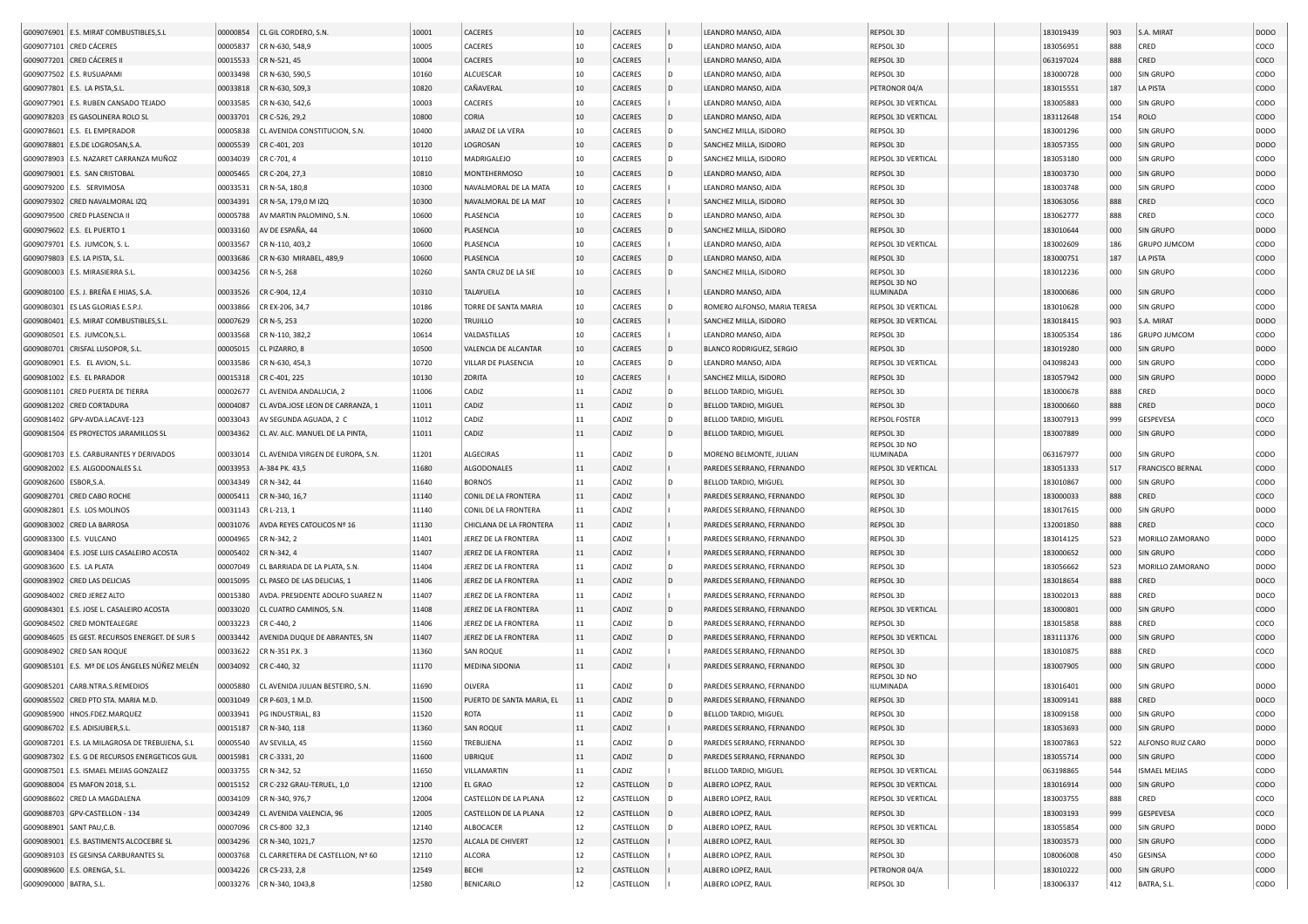|                        | G009076901 E.S. MIRAT COMBUSTIBLES, S.L        | 00000854 | CL GIL CORDERO, S.N.               | 10001 | CACERES                   | 10 | CACERES   |              | LEANDRO MANSO, AIDA          | REPSOL 3D                 | 183019439              | 903 | S.A. MIRAT              | DODO        |
|------------------------|------------------------------------------------|----------|------------------------------------|-------|---------------------------|----|-----------|--------------|------------------------------|---------------------------|------------------------|-----|-------------------------|-------------|
|                        | G009077101 CRED CÁCERES                        | 00005837 | CR N-630, 548,9                    | 10005 | CACERES                   | 10 | CACERES   | D            | LEANDRO MANSO, AIDA          | REPSOL 3D                 | 183056951              | 888 | CRED                    | COCO        |
|                        | G009077201 CRED CÁCERES I                      | 00015533 | CR N-521, 45                       | 10004 | CACERES                   | 10 | CACERES   |              | LEANDRO MANSO, AIDA          | REPSOL 3D                 | 063197024              | 888 | CRED                    | coco        |
|                        | G009077502 E.S. RUSUAPAMI                      | 00033498 | CR N-630, 590,5                    | 10160 | ALCUESCAR                 | 10 | CACERES   | D            | LEANDRO MANSO, AIDA          | REPSOL 3D                 | 183000728              | 000 | SIN GRUPO               | CODO        |
|                        | G009077801   E.S. LA PISTA, S.L                | 00033818 | CR N-630, 509,3                    | 10820 | CAÑAVERAL                 | 10 | CACERES   | l D          | LEANDRO MANSO, AIDA          | PETRONOR 04/A             | 183015551              | 187 | LA PISTA                | CODO        |
|                        | G009077901 E.S. RUBEN CANSADO TEJADO           | 00033585 | CR N-630, 542,6                    | 10003 | CACERES                   | 10 | CACERES   |              | LEANDRO MANSO, AIDA          | REPSOL 3D VERTICAL        | 183005883              | 000 | SIN GRUPO               | CODO        |
|                        | G009078203 ES GASOLINERA ROLO SL               | 00033701 | CR C-526, 29,2                     | 10800 | CORIA                     | 10 | CACERES   | D            | LEANDRO MANSO, AIDA          | <b>REPSOL 3D VERTICAL</b> | 183112648              | 154 | <b>ROLO</b>             | CODO        |
|                        | G009078601 E.S. EL EMPERADOR                   | 00005838 | CL AVENIDA CONSTITUCION, S.N.      | 10400 | JARAIZ DE LA VERA         | 10 | CACERES   | D            | SANCHEZ MILLA, ISIDORO       | REPSOL 3D                 | 183001296              | 000 | SIN GRUPO               | DODO        |
|                        | G009078801 E.S.DE LOGROSAN, S.A                | 00005539 | CR C-401, 203                      | 10120 | LOGROSAN                  | 10 | CACERES   | l D          | SANCHEZ MILLA, ISIDORO       | REPSOL 3D                 | 183057355              | 000 | SIN GRUPO               | <b>DODO</b> |
|                        | G009078903 E.S. NAZARET CARRANZA MUÑOZ         | 00034039 | CR C-701, 4                        | 10110 | MADRIGALEJO               | 10 | CACERES   | D            | SANCHEZ MILLA, ISIDORO       | REPSOL 3D VERTICAL        | 183053180              | 000 | SIN GRUPO               | CODO        |
|                        | G009079001 E.S. SAN CRISTOBAL                  | 00005465 | CR C-204, 27,3                     | 10810 | <b>MONTEHERMOSO</b>       | 10 | CACERES   | D            | LEANDRO MANSO, AIDA          | <b>REPSOL 3D</b>          | 183003730              | 000 | SIN GRUPO               | DODO        |
|                        | G009079200 E.S. SERVIMOSA                      | 00033531 | CR N-5A, 180,8                     | 10300 | NAVALMORAL DE LA MATA     | 10 | CACERES   |              | LEANDRO MANSO, AIDA          | REPSOL 3D                 | 183003748              | 000 | SIN GRUPO               | CODO        |
|                        | G009079302 CRED NAVALMORAL IZQ                 | 00034391 | CR N-5A, 179,0 M IZQ               | 10300 | NAVALMORAL DE LA MAT      | 10 | CACERES   |              | SANCHEZ MILLA, ISIDORO       | REPSOL 3D                 | 183063056              | 888 | CRED                    | coco        |
|                        |                                                | 00005788 | AV MARTIN PALOMINO, S.N.           | 10600 | PLASENCIA                 | 10 | CACERES   | D            | LEANDRO MANSO, AIDA          | REPSOL 3D                 | 183062777              | 888 | CRED                    | coco        |
|                        | G009079500 CRED PLASENCIA I                    |          |                                    |       |                           | 10 |           | D            |                              |                           |                        |     | SIN GRUPO               | <b>DODO</b> |
|                        | G009079602 E.S. EL PUERTO 1                    | 00033160 | AV DE ESPAÑA, 44                   | 10600 | PLASENCIA                 | 10 | CACERES   |              | SANCHEZ MILLA, ISIDORO       | REPSOL 3D                 | 183010644              | 000 |                         |             |
|                        | G009079701 E.S. JUMCON, S. L                   | 00033567 | CR N-110, 403,2                    | 10600 | PLASENCIA                 |    | CACERES   |              | LEANDRO MANSO, AIDA          | REPSOL 3D VERTICAL        | 183002609<br>183000751 | 186 | <b>GRUPO JUMCOM</b>     | CODO        |
|                        | G009079803   E.S. LA PISTA, S.L.               | 00033686 | CR N-630 MIRABEL, 489,9            | 10600 | PLASENCIA                 | 10 | CACERES   | D            | LEANDRO MANSO, AIDA          | REPSOL 3D                 |                        | 187 | <b>LA PISTA</b>         | CODO        |
|                        | G009080003   E.S. MIRASIERRA S.L.              | 00034256 | CR N-5, 268                        | 10260 | SANTA CRUZ DE LA SIE      | 10 | CACERES   | D            | SANCHEZ MILLA, ISIDORO       | REPSOL 3D<br>REPSOL 3D NO | 183012236              | 000 | SIN GRUPO               | CODO        |
|                        | G009080100 E.S. J. BREÑA E HIJAS, S.A.         | 00033526 | CR C-904, 12,4                     | 10310 | TALAYUELA                 | 10 | CACERES   |              | LEANDRO MANSO, AIDA          | ILUMINADA                 | 183000686              | 000 | SIN GRUPO               | CODO        |
|                        | G009080301 ES LAS GLORIAS E.S.P.J              | 00033866 | CR EX-206, 34,7                    | 10186 | TORRE DE SANTA MARIA      | 10 | CACERES   | D            | ROMERO ALFONSO, MARIA TERESA | REPSOL 3D VERTICAL        | 183010628              | 000 | SIN GRUPO               | CODO        |
|                        | G009080401 E.S. MIRAT COMBUSTIBLES, S.L        | 00007629 | CR N-5, 253                        | 10200 | <b>TRUJILLO</b>           | 10 | CACERES   |              | SANCHEZ MILLA, ISIDORO       | REPSOL 3D VERTICAL        | 183018415              | 903 | S.A. MIRAT              | <b>DODO</b> |
|                        | G009080501 E.S. JUMCON, S.L.                   | 00033568 | CR N-110, 382,2                    | 10614 | VALDASTILLAS              | 10 | CACERES   |              | LEANDRO MANSO, AIDA          | REPSOL 3D                 | 183005354              | 186 | <b>GRUPO JUMCOM</b>     | CODO        |
|                        | G009080701 CRISFAL LUSOPOR, S.L                | 00005015 | CL PIZARRO, 8                      | 10500 | VALENCIA DE ALCANTAR      | 10 | CACERES   | ID.          | BLANCO RODRIGUEZ, SERGIO     | REPSOL 3D                 | 183019280              | 000 | SIN GRUPO               | <b>DODO</b> |
|                        | G009080901 E.S. EL AVION, S.L                  | 00033586 | CR N-630, 454,3                    | 10720 | VILLAR DE PLASENCIA       | 10 | CACERES   | D            | LEANDRO MANSO, AIDA          | <b>REPSOL 3D VERTICAL</b> | 043098243              | 000 | SIN GRUPO               | CODO        |
|                        | G009081002   E.S. EL PARADOR                   | 00015318 | CR C-401, 225                      | 10130 | ZORITA                    | 10 | CACERES   |              | SANCHEZ MILLA, ISIDORO       | REPSOL 3D                 | 183057942              | 000 | SIN GRUPO               | <b>DODO</b> |
|                        | G009081101 CRED PUERTA DE TIERRA               | 00002677 | CL AVENIDA ANDALUCIA, 2            | 11006 | CADIZ                     | 11 | CADIZ     | D            | BELLOD TARDIO, MIGUEL        | REPSOL 3D                 | 183000678              | 888 | CRED                    | DOCO        |
|                        | G009081202 CRED CORTADURA                      | 00004087 | CL AVDA.JOSE LEON DE CARRANZA, 1   | 11011 | CADIZ                     | 11 | CADIZ     | l D          | <b>BELLOD TARDIO, MIGUEL</b> | REPSOL 3D                 | 183000660              | 888 | CRED                    | DOCO        |
|                        | G009081402 GPV-AVDA.LACAVE-123                 | 00033043 | AV SEGUNDA AGUADA, 2 C             | 11012 | CADIZ                     | 11 | CADIZ     | D            | BELLOD TARDIO, MIGUEL        | <b>REPSOL FOSTER</b>      | 183007913              | 999 | GESPEVESA               | coco        |
|                        | G009081504 ES PROYECTOS JARAMILLOS SL          | 00034362 | CL AV. ALC. MANUEL DE LA PINTA     | 11011 | CADIZ                     | 11 | CADIZ     | D            | <b>BELLOD TARDIO, MIGUEL</b> | REPSOL 3D                 | 183007889              | 000 | SIN GRUPO               | CODO        |
|                        |                                                |          |                                    |       |                           |    |           |              |                              | REPSOL 3D NO              |                        |     |                         |             |
|                        | G009081703 E.S. CARBURANTES Y DERIVADOS        | 00033014 | CL AVENIDA VIRGEN DE EUROPA, S.N   | 11201 | ALGECIRAS                 | 11 | CADIZ     | D            | MORENO BELMONTE, JULIAN      | ILUMINADA                 | 063167977              | 000 | SIN GRUPO               | CODO        |
|                        | G009082002 E.S. ALGODONALES S.L                | 00033953 | A-384 PK. 43,5                     | 11680 | ALGODONALES               | 11 | CADIZ     |              | PAREDES SERRANO, FERNANDO    | REPSOL 3D VERTICAL        | 183051333              | 517 | <b>FRANCISCO BERNAL</b> | CODO        |
| G009082600 ESBOR, S.A  |                                                | 00034349 | CR N-342, 44                       | 11640 | <b>BORNOS</b>             | 11 | CADIZ     | D            | BELLOD TARDIO, MIGUEL        | REPSOL 3D                 | 183010867              | 000 | SIN GRUPO               | CODO        |
|                        | G009082701 CRED CABO ROCHE                     | 00005411 | CR N-340, 16,7                     | 11140 | CONIL DE LA FRONTERA      | 11 | CADIZ     |              | PAREDES SERRANO, FERNANDO    | REPSOL 3D                 | 183000033              | 888 | CRED                    | coco        |
|                        | G009082801 E.S. LOS MOLINOS                    | 00031143 | CR L-213, 1                        | 11140 | CONIL DE LA FRONTERA      | 11 | CADIZ     |              | PAREDES SERRANO, FERNANDO    | REPSOL 3D                 | 183017615              | 000 | SIN GRUPO               | DODO        |
|                        | G009083002 CRED LA BARROSA                     | 00031076 | AVDA REYES CATOLICOS Nº 16         | 11130 | CHICLANA DE LA FRONTERA   | 11 | CADIZ     |              | PAREDES SERRANO, FERNANDO    | REPSOL 3D                 | 132001850              | 888 | CRED                    | coco        |
|                        | G009083300 E.S. VULCANO                        | 00004965 | CR N-342, 2                        | 11401 | JEREZ DE LA FRONTERA      | 11 | CADIZ     |              | PAREDES SERRANO, FERNANDO    | REPSOL 3D                 | 183014125              | 523 | MORILLO ZAMORANO        | DODO        |
|                        | G009083404 E.S. JOSE LUIS CASALEIRO ACOSTA     | 00005402 | CR N-342, 4                        | 11407 | JEREZ DE LA FRONTERA      | 11 | CADIZ     |              | PAREDES SERRANO, FERNANDO    | REPSOL 3D                 | 183000652              | 000 | SIN GRUPO               | CODO        |
|                        | G009083600 E.S. LA PLATA                       | 00007049 | CL BARRIADA DE LA PLATA, S.N.      | 11404 | JEREZ DE LA FRONTERA      | 11 | CADIZ     | D            | PAREDES SERRANO, FERNANDO    | REPSOL 3D                 | 183056662              | 523 | MORILLO ZAMORANO        | DODO        |
|                        | G009083902 CRED LAS DELICIAS                   | 00015095 | CL PASEO DE LAS DELICIAS, 1        | 11406 | JEREZ DE LA FRONTERA      | 11 | CADIZ     | D            | PAREDES SERRANO, FERNANDO    | REPSOL 3D                 | 183018654              | 888 | CRED                    | DOCO        |
|                        | G009084002 CRED JEREZ ALTO                     | 00015380 | AVDA. PRESIDENTE ADOLFO SUAREZ N   | 11407 | JEREZ DE LA FRONTERA      | 11 | CADIZ     |              | PAREDES SERRANO, FERNANDO    | REPSOL 3D                 | 183002013              | 888 | CRED                    | DOCO        |
|                        | G009084301 E.S. JOSE L. CASALEIRO ACOSTA       | 00033020 | CL CUATRO CAMINOS, S.N.            | 11408 | JEREZ DE LA FRONTERA      | 11 | CADIZ     | D            | PAREDES SERRANO, FERNANDO    | REPSOL 3D VERTICAL        | 183000801              | 000 | <b>SIN GRUPO</b>        | CODO        |
|                        | G009084502 CRED MONTEALEGRE                    | 00033223 | CR C-440, 2                        | 11406 | JEREZ DE LA FRONTERA      | 11 | CADIZ     | D            | PAREDES SERRANO, FERNANDO    | REPSOL 3D                 | 183015858              | 888 | CRED                    | coco        |
|                        | G009084605 ES GEST. RECURSOS ENERGET. DE SUR S | 00033442 | AVENIDA DUQUE DE ABRANTES. SN      | 11407 | JEREZ DE LA FRONTERA      | 11 | CADIZ     | D            | PAREDES SERRANO, FERNANDO    | <b>REPSOL 3D VERTICAL</b> | 183111376              | 000 | SIN GRUPO               | CODO        |
|                        | G009084902 CRED SAN ROQUE                      | 00033622 | CR N-351 P.K. 3                    | 11360 | SAN ROQUE                 | 11 | CADIZ     |              | PAREDES SERRANO, FERNANDO    | REPSOL 3D                 | 183010875              | 888 | CRED                    | coco        |
|                        | G009085101 E.S. Mª DE LOS ÁNGELES NÚÑEZ MELÉN  | 00034092 | CR C-440, 32                       | 11170 | MEDINA SIDONIA            | 11 | CADIZ     |              | PAREDES SERRANO, FERNANDO    | REPSOL 3D                 | 183007905              | 000 | SIN GRUPO               | CODO        |
|                        | G009085201 CARB.NTRA.S.REMEDIOS                |          | CL AVENIDA JULIAN BESTEIRO, S.N.   |       |                           |    |           |              |                              | REPSOL 3D NO              |                        |     |                         |             |
|                        |                                                | 00005880 |                                    | 11690 | OLVERA                    | 11 | CADIZ     | D            | PAREDES SERRANO, FERNANDO    | ILUMINADA                 | 183016401              | 000 | SIN GRUPO               | DODO        |
|                        | G009085502 CRED PTO STA. MARIA M.D             | 00031049 | CR P-603, 1 M.D.                   | 11500 | PUERTO DE SANTA MARIA, EL | 11 | CADIZ     | D            | PAREDES SERRANO, FERNANDO    | REPSOL 3D                 | 183009141              | 888 | CRED                    | DOCO        |
|                        | G009085900 HNOS.FDEZ.MARQUEZ                   | 00033941 | PG INDUSTRIAL, 83                  | 11520 | ROTA                      | 11 | CADIZ     | D            | BELLOD TARDIO, MIGUEL        | REPSOL 3D                 | 183009158              | 000 | SIN GRUPO               | CODO        |
|                        | G009086702 E.S. ADISJUBER, S.L.                |          | 00015187   CR N-340, 118           | 11360 | SAN ROQUE                 | 11 | CADIZ     |              | PAREDES SERRANO, FERNANDO    | REPSOL 3D                 | 183053693              | 000 | SIN GRUPO               | <b>DODO</b> |
|                        | G009087201 E.S. LA MILAGROSA DE TREBUJENA, S.L | 00005540 | AV SEVILLA, 45                     | 11560 | TREBUJENA                 | 11 | CADIZ     | l D          | PAREDES SERRANO, FERNANDO    | REPSOL 3D                 | 183007863              | 522 | ALFONSO RUIZ CARO       | DODO        |
|                        | G009087302 E.S. G DE RECURSOS ENERGETICOS GUIL | 00015981 | CR C-3331, 20                      | 11600 | UBRIQUE                   | 11 | CADIZ     | $\mathsf{D}$ | PAREDES SERRANO, FERNANDO    | REPSOL 3D                 | 183055714              | 000 | SIN GRUPO               | CODO        |
|                        | G009087501 E.S. ISMAEL MEJIAS GONZALEZ         | 00033755 | CR N-342, 52                       | 11650 | VILLAMARTIN               | 11 | CADIZ     |              | BELLOD TARDIO, MIGUEL        | REPSOL 3D VERTICAL        | 063198865              | 544 | <b>ISMAEL MEJIAS</b>    | CODO        |
|                        | G009088004   ES MAFON 2018, S.L.               |          | 00015152 CR C-232 GRAU-TERUEL, 1,0 | 12100 | EL GRAO                   | 12 | CASTELLON | D            | ALBERO LOPEZ, RAUL           | REPSOL 3D VERTICAL        | 183016914              | 000 | SIN GRUPO               | CODO        |
|                        | G009088602 CRED LA MAGDALENA                   | 00034109 | CR N-340, 976,7                    | 12004 | CASTELLON DE LA PLANA     | 12 | CASTELLON | D            | ALBERO LOPEZ, RAUL           | <b>REPSOL 3D VERTICAL</b> | 183003755              | 888 | CRED                    | coco        |
|                        | G009088703 GPV-CASTELLON - 134                 | 00034249 | CL AVENIDA VALENCIA, 96            | 12005 | CASTELLON DE LA PLANA     | 12 | CASTELLON | D            | ALBERO LOPEZ, RAUL           | REPSOL 3D                 | 183003193              | 999 | GESPEVESA               | coco        |
|                        | G009088901   SANT PAU,C.B.                     | 00007096 | CR CS-800 32,3                     | 12140 | ALBOCACER                 | 12 | CASTELLON |              | ALBERO LOPEZ, RAUL           | REPSOL 3D VERTICAL        | 183055854              | 000 | SIN GRUPO               | <b>DODO</b> |
|                        | G009089001 E.S. BASTIMENTS ALCOCEBRE SL        |          | 00034296   CR N-340, 1021,7        | 12570 | ALCALA DE CHIVERT         | 12 | CASTELLON |              | ALBERO LOPEZ, RAUL           | REPSOL 3D                 | 183003573              | 000 | SIN GRUPO               | CODO        |
|                        | G009089103 ES GESINSA CARBURANTES SL           | 00003768 | CL CARRETERA DE CASTELLON, Nº 60   | 12110 | ALCORA                    | 12 | CASTELLON |              | ALBERO LOPEZ, RAUL           | REPSOL 3D                 | 108006008              | 450 | GESINSA                 | CODO        |
|                        | G009089600 E.S. ORENGA, S.L.                   |          | 00034226 CR CS-233, 2,8            | 12549 | BECHI                     | 12 | CASTELLON |              | ALBERO LOPEZ, RAUL           | PETRONOR 04/A             | 183010222              | 000 | SIN GRUPO               | CODO        |
| G009090000 BATRA, S.L. |                                                |          | 00033276 CR N-340, 1043,8          | 12580 | BENICARLO                 | 12 | CASTELLON |              | ALBERO LOPEZ, RAUL           | REPSOL 3D                 | 183006337              | 412 | BATRA, S.L.             | CODO        |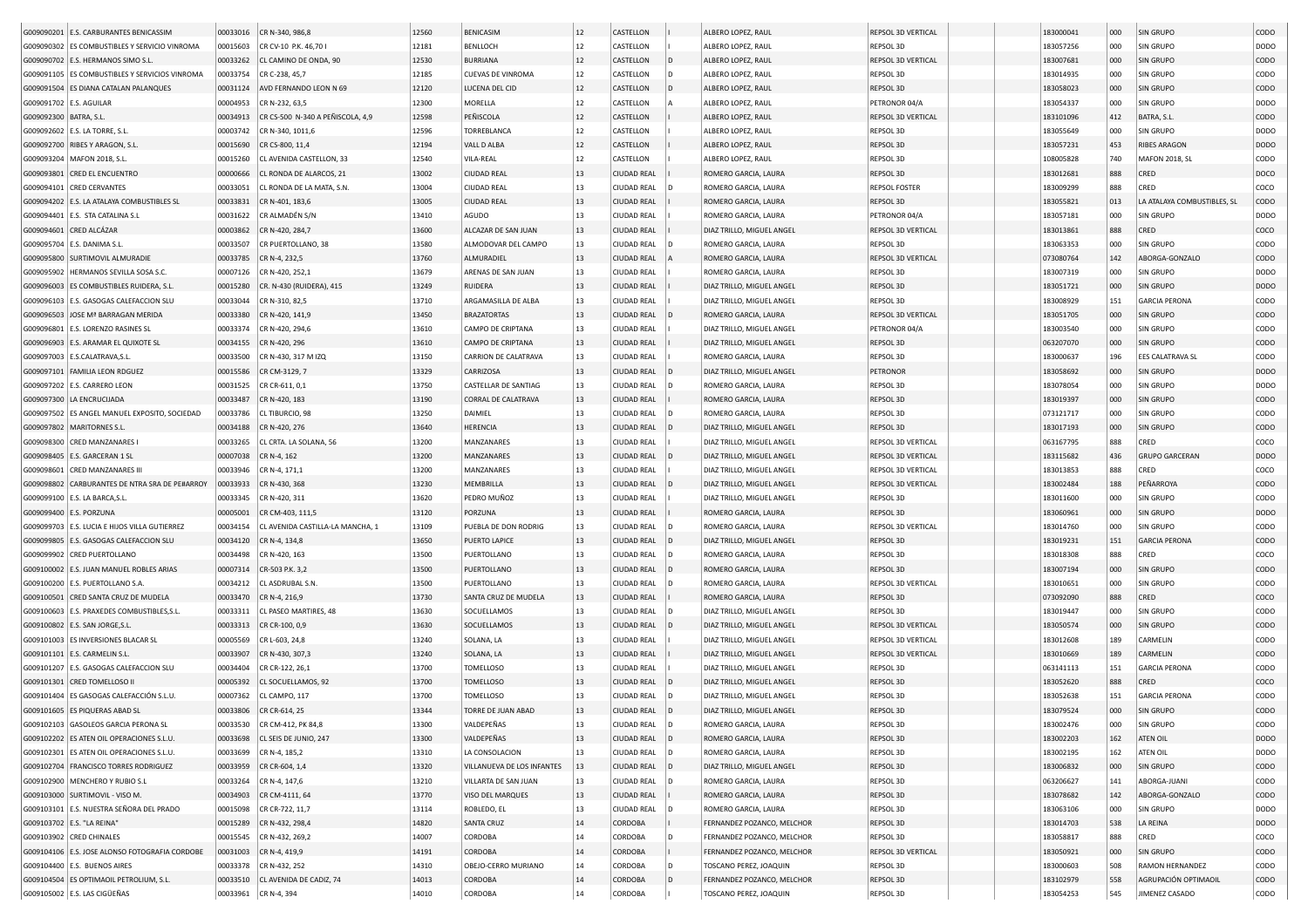|                           | G009090201 E.S. CARBURANTES BENICASSIM                       | 00033016 | CR N-340, 986,8                  | 12560 | <b>BENICASIM</b>           | 12       | CASTELLON          |                | ALBERO LOPEZ, RAUL         | REPSOL 3D VERTICAL                              | 183000041 | 000        | SIN GRUPO                   | CODO                |
|---------------------------|--------------------------------------------------------------|----------|----------------------------------|-------|----------------------------|----------|--------------------|----------------|----------------------------|-------------------------------------------------|-----------|------------|-----------------------------|---------------------|
|                           | G009090302 ES COMBUSTIBLES Y SERVICIO VINROMA                | 00015603 | CR CV-10 P.K. 46,70              | 12181 | BENLLOCH                   | 12       | CASTELLON          |                | ALBERO LOPEZ, RAUL         | REPSOL 3D                                       | 183057256 | 000        | SIN GRUPO                   | DODO                |
|                           | G009090702 E.S. HERMANOS SIMO S.L.                           | 00033262 | CL CAMINO DE ONDA, 90            | 12530 | <b>BURRIANA</b>            | 12       | CASTELLON          |                | ALBERO LOPEZ, RAUL         | REPSOL 3D VERTICAL                              | 183007681 | 000        | <b>SIN GRUPO</b>            | <b>CODO</b>         |
|                           | G009091105 ES COMBUSTIBLES Y SERVICIOS VINROMA               | 00033754 | CR C-238, 45,7                   | 12185 | <b>CUEVAS DE VINROMA</b>   | 12       | CASTELLON          | D              | ALBERO LOPEZ, RAUL         | REPSOL 3D                                       | 183014935 | 000        | SIN GRUPO                   | CODO                |
|                           | G009091504 ES DIANA CATALAN PALANQUES                        | 00031124 | AVD FERNANDO LEON N 69           | 12120 | LUCENA DEL CID             | 12       | CASTELLON          |                | ALBERO LOPEZ, RAUL         | REPSOL 3D                                       | 183058023 | 000        | SIN GRUPO                   | <b>CODO</b>         |
| G009091702   E.S. AGUILAR |                                                              | 00004953 | CR N-232, 63,5                   | 12300 | MORELLA                    | 12       | CASTELLON          |                | ALBERO LOPEZ, RAUL         | PETRONOR 04/A                                   | 183054337 | 000        | <b>SIN GRUPO</b>            | DODO                |
| G009092300   BATRA, S.L   |                                                              | 00034913 | CR CS-500 N-340 A PEÑISCOLA, 4,9 | 12598 | PEÑISCOLA                  | $12\,$   | CASTELLON          |                | ALBERO LOPEZ, RAUL         | REPSOL 3D VERTICAL                              | 183101096 | 412        | BATRA, S.L                  | CODO                |
|                           | G009092602 E.S. LA TORRE, S.L.                               | 00003742 | CR N-340, 1011,6                 | 12596 | TORREBLANCA                | 12       | CASTELLON          |                | ALBERO LOPEZ, RAUL         | REPSOL 3D                                       | 183055649 | 000        | <b>SIN GRUPO</b>            | <b>DODO</b>         |
|                           | G009092700 RIBES Y ARAGON, S.L                               | 00015690 | CR CS-800, 11,4                  | 12194 | VALL D ALBA                | 12       | CASTELLON          |                | ALBERO LOPEZ, RAUL         | REPSOL 3D                                       | 183057231 | 453        | <b>RIBES ARAGON</b>         | DODO                |
|                           | G009093204   MAFON 2018, S.L                                 | 00015260 | CL AVENIDA CASTELLON, 33         | 12540 | VILA-REAL                  | 12       | CASTELLON          |                | ALBERO LOPEZ, RAUL         | REPSOL 3D                                       | 108005828 | 740        | <b>MAFON 2018, SL</b>       | CODO                |
|                           | G009093801 CRED EL ENCUENTRO                                 | 00000666 | CL RONDA DE ALARCOS, 21          | 13002 | <b>CIUDAD REAL</b>         | 13       | <b>CIUDAD REAL</b> |                | ROMERO GARCIA, LAURA       | REPSOL 3D                                       | 183012681 | 888        | CRED                        | DOCO                |
| G009094101                | <b>CRED CERVANTES</b>                                        | 00033051 | CL RONDA DE LA MATA, S.N.        | 13004 | <b>CIUDAD REAL</b>         | 13       | <b>CIUDAD REAL</b> |                | ROMERO GARCIA, LAURA       | <b>REPSOL FOSTER</b>                            | 183009299 | 888        | CRED                        | coco                |
|                           | G009094202 E.S. LA ATALAYA COMBUSTIBLES SL                   | 00033831 | CR N-401, 183,6                  | 13005 | <b>CIUDAD REAL</b>         | 13       | <b>CIUDAD REAL</b> |                | ROMERO GARCIA, LAURA       | REPSOL 3D                                       | 183055821 | 013        | LA ATALAYA COMBUSTIBLES, SL | <b>CODO</b>         |
| G009094401                | E.S. STA CATALINA S.L                                        | 00031622 | CR ALMADÉN S/N                   | 13410 | AGUDO                      | 13       | <b>CIUDAD REAL</b> |                | ROMERO GARCIA, LAURA       | PETRONOR 04/A                                   | 183057181 | 000        | SIN GRUPO                   | DODO                |
| G009094601                | CRED ALCÁZAR                                                 | 00003862 | CR N-420, 284,7                  | 13600 | ALCAZAR DE SAN JUAN        | 13       | <b>CIUDAD REAL</b> |                | DIAZ TRILLO, MIGUEL ANGEL  | <b>REPSOL 3D VERTICAL</b>                       | 183013861 | 888        | CRED                        | coco                |
| G009095704                | E.S. DANIMA S.L                                              | 00033507 | CR PUERTOLLANO, 38               | 13580 | ALMODOVAR DEL CAMPO        | 13       | <b>CIUDAD REAL</b> |                | ROMERO GARCIA, LAURA       | REPSOL 3D                                       | 183063353 | 000        | SIN GRUPO                   | CODO                |
|                           | G009095800 SURTIMOVIL ALMURADIE                              | 00033785 | CR N-4, 232,5                    | 13760 | ALMURADIEL                 | 13       | <b>CIUDAD REAL</b> |                | ROMERO GARCIA, LAURA       | REPSOL 3D VERTICAL                              | 073080764 | 142        | ABORGA-GONZALO              | copo                |
|                           | G009095902   HERMANOS SEVILLA SOSA S.C.                      | 00007126 | CR N-420, 252,1                  | 13679 | ARENAS DE SAN JUAN         | 13       | CIUDAD REAL        |                | ROMERO GARCIA, LAURA       | REPSOL 3D                                       | 183007319 | 000        | SIN GRUPO                   | <b>DODO</b>         |
|                           | G009096003 ES COMBUSTIBLES RUIDERA, S.L                      | 00015280 | CR. N-430 (RUIDERA), 415         | 13249 | <b>RUIDERA</b>             | 13       | <b>CIUDAD REAL</b> |                | DIAZ TRILLO, MIGUEL ANGEL  | REPSOL 3D                                       | 183051721 | 000        | <b>SIN GRUPO</b>            | DODO                |
|                           | G009096103   E.S. GASOGAS CALEFACCION SLU                    | 00033044 | CR N-310, 82,5                   | 13710 | ARGAMASILLA DE ALBA        | 13       | <b>CIUDAD REAL</b> |                | DIAZ TRILLO, MIGUEL ANGEL  | REPSOL 3D                                       | 183008929 | 151        | <b>GARCIA PERONA</b>        | CODO                |
|                           | G009096503 JOSE Mª BARRAGAN MERIDA                           | 00033380 | CR N-420, 141,9                  | 13450 | <b>BRAZATORTAS</b>         | 13       | <b>CIUDAD REAL</b> |                | ROMERO GARCIA, LAURA       | <b>REPSOL 3D VERTICAL</b>                       | 183051705 | 000        | <b>SIN GRUPO</b>            | CODO                |
|                           | G009096801 E.S. LORENZO RASINES SL                           | 00033374 | CR N-420, 294,6                  | 13610 | CAMPO DE CRIPTANA          | 13       | <b>CIUDAD REAL</b> |                | DIAZ TRILLO, MIGUEL ANGEL  | PETRONOR 04/A                                   | 183003540 | 000        | <b>SIN GRUPO</b>            | CODO                |
| G009096903                | E.S. ARAMAR EL QUIXOTE SL                                    | 00034155 | CR N-420, 296                    | 13610 | CAMPO DE CRIPTANA          | 13       | <b>CIUDAD REAL</b> |                | DIAZ TRILLO, MIGUEL ANGEL  | REPSOL 3D                                       | 063207070 | 000        | SIN GRUPO                   | CODO                |
|                           | G009097003 E.S.CALATRAVA, S.L                                | 00033500 | CR N-430, 317 M IZQ              | 13150 | CARRION DE CALATRAVA       | 13       | <b>CIUDAD REAL</b> |                | ROMERO GARCIA, LAURA       | REPSOL 3D                                       | 183000637 | 196        | <b>EES CALATRAVA SL</b>     | CODO                |
|                           | G009097101 FAMILIA LEON RDGUEZ                               | 00015586 | CR CM-3129, 7                    | 13329 | CARRIZOSA                  | 13       | <b>CIUDAD REAL</b> |                | DIAZ TRILLO, MIGUEL ANGEL  | PETRONOR                                        | 183058692 | 000        | SIN GRUPO                   | DODO                |
|                           | G009097202 E.S. CARRERO LEON                                 | 00031525 | CR CR-611, 0,1                   | 13750 | CASTELLAR DE SANTIAG       | 13       | <b>CIUDAD REAL</b> |                | ROMERO GARCIA, LAURA       | REPSOL 3D                                       | 183078054 | 000        | <b>SIN GRUPO</b>            | <b>DODO</b>         |
|                           | G009097300 LA ENCRUCIJADA                                    | 00033487 | CR N-420, 183                    | 13190 | <b>CORRAL DE CALATRAVA</b> | 13       | <b>CIUDAD REAL</b> |                | ROMERO GARCIA, LAURA       | REPSOL 3D                                       | 183019397 | 000        | SIN GRUPO                   | CODO                |
|                           | G009097502 ES ANGEL MANUEL EXPOSITO, SOCIEDAD                | 00033786 | CL TIBURCIO, 98                  | 13250 | DAIMIEL                    | 13       | <b>CIUDAD REAL</b> | D              | ROMERO GARCIA, LAURA       | REPSOL 3D                                       | 073121717 | 000        | <b>SIN GRUPO</b>            | CODO                |
|                           |                                                              |          |                                  | 13640 | <b>HERENCIA</b>            | 13       |                    |                |                            | REPSOL 3D                                       | 183017193 |            | SIN GRUPO                   | CODO                |
|                           | G009097802   MARITORNES S.L.<br>G009098300 CRED MANZANARES I | 00034188 | CR N-420, 276                    | 13200 | MANZANARES                 | 13       | <b>CIUDAD REAL</b> |                | DIAZ TRILLO, MIGUEL ANGEL  | REPSOL 3D VERTICAL                              |           | 000<br>888 | CRED                        | coco                |
|                           |                                                              | 00033265 | CL CRTA. LA SOLANA, 56           |       |                            |          | CIUDAD REAL        |                | DIAZ TRILLO, MIGUEL ANGEL  |                                                 | 063167795 |            |                             |                     |
|                           | G009098405   E.S. GARCERAN 1 SL                              | 00007038 | CR N-4, 162                      | 13200 | MANZANARES                 | 13<br>13 | <b>CIUDAD REAL</b> |                | DIAZ TRILLO, MIGUEL ANGEL  | <b>REPSOL 3D VERTICAL</b><br>REPSOL 3D VERTICAL | 183115682 | 436        | <b>GRUPO GARCERAN</b>       | <b>DODO</b><br>coco |
|                           | G009098601 CRED MANZANARES III                               | 00033946 | CR N-4, 171,1                    | 13200 | MANZANARES                 |          | CIUDAD REAL        |                | DIAZ TRILLO, MIGUEL ANGEL  |                                                 | 183013853 | 888        | CRED                        |                     |
|                           | G009098802 CARBURANTES DE NTRA SRA DE PE#ARROY               | 00033933 | CR N-430, 368                    | 13230 | MEMBRILLA                  | 13       | CIUDAD REAL        |                | DIAZ TRILLO, MIGUEL ANGEL  | <b>REPSOL 3D VERTICAL</b>                       | 183002484 | 188        | PEÑARROYA                   | CODO                |
|                           | G009099100   E.S. LA BARCA, S.L                              | 00033345 | CR N-420, 311                    | 13620 | PEDRO MUÑOZ                | 13       | CIUDAD REAL        |                | DIAZ TRILLO, MIGUEL ANGEL  | REPSOL 3D                                       | 183011600 | 000        | SIN GRUPO                   | CODO                |
|                           | G009099400 E.S. PORZUNA                                      | 00005001 | CR CM-403, 111,5                 | 13120 | PORZUNA                    | 13       | <b>CIUDAD REAL</b> |                | ROMERO GARCIA, LAURA       | REPSOL 3D                                       | 183060961 | 000        | <b>SIN GRUPO</b>            | <b>DODO</b>         |
|                           | G009099703 E.S. LUCIA E HIJOS VILLA GUTIERREZ                | 00034154 | CL AVENIDA CASTILLA-LA MANCHA, 1 | 13109 | PUEBLA DE DON RODRIG       | 13       | <b>CIUDAD REAL</b> |                | ROMERO GARCIA, LAURA       | REPSOL 3D VERTICAL                              | 183014760 | 000        | SIN GRUPO                   | CODO                |
|                           | G009099805 E.S. GASOGAS CALEFACCION SLU                      | 00034120 | CR N-4, 134,8                    | 13650 | PUERTO LAPICE              | 13       | <b>CIUDAD REAL</b> | D              | DIAZ TRILLO, MIGUEL ANGEL  | REPSOL 3D                                       | 183019231 | 151        | <b>GARCIA PERONA</b>        | CODO                |
|                           | G009099902 CRED PUERTOLLANO                                  | 00034498 | CR N-420, 163                    | 13500 | PUERTOLLANO                | 13       | <b>CIUDAD REAL</b> | D              | ROMERO GARCIA, LAURA       | REPSOL 3D                                       | 183018308 | 888        | CRED                        | COCO                |
|                           | G009100002 E.S. JUAN MANUEL ROBLES ARIAS                     | 00007314 | CR-503 P.K. 3,2                  | 13500 | PUERTOLLANO                | 13       | <b>CIUDAD REAL</b> | D              | ROMERO GARCIA, LAURA       | REPSOL 3D                                       | 183007194 | 000        | <b>SIN GRUPO</b>            | CODO                |
|                           | G009100200 E.S. PUERTOLLANO S.A.                             | 00034212 | CL ASDRUBAL S.N.                 | 13500 | PUERTOLLANO                | 13       | <b>CIUDAD REAL</b> |                | ROMERO GARCIA, LAURA       | REPSOL 3D VERTICAL                              | 183010651 | 000        | <b>SIN GRUPO</b>            | CODO                |
| G009100501                | CRED SANTA CRUZ DE MUDELA                                    | 00033470 | CR N-4, 216,9                    | 13730 | SANTA CRUZ DE MUDELA       | 13       | <b>CIUDAD REAL</b> |                | ROMERO GARCIA, LAURA       | REPSOL 3D                                       | 073092090 | 888        | CRED                        | COCO                |
| G009100603                | E.S. PRAXEDES COMBUSTIBLES, S.L.                             | 00033311 | CL PASEO MARTIRES, 48            | 13630 | SOCUELLAMOS                | 13       | CIUDAD REAL        |                | DIAZ TRILLO, MIGUEL ANGEL  | REPSOL 3D                                       | 183019447 | 000        | SIN GRUPO                   | CODO                |
|                           | G009100802 E.S. SAN JORGE, S.L                               | 00033313 | CR CR-100, 0,9                   | 13630 | SOCUELLAMOS                | 13       | <b>CIUDAD REAL</b> |                | DIAZ TRILLO, MIGUEL ANGEL  | REPSOL 3D VERTICAL                              | 183050574 | 000        | SIN GRUPO                   | CODO                |
|                           | G009101003 ES INVERSIONES BLACAR SL                          | 00005569 | CR L-603, 24,8                   | 13240 | SOLANA, LA                 | 13       | <b>CIUDAD REAL</b> |                | DIAZ TRILLO, MIGUEL ANGEL  | REPSOL 3D VERTICAL                              | 183012608 | 189        | CARMELIN                    | CODO                |
| G009101101                | E.S. CARMELIN S.L                                            | 00033907 | CR N-430, 307,3                  | 13240 | SOLANA, LA                 | 13       | <b>CIUDAD REAL</b> |                | DIAZ TRILLO, MIGUEL ANGEL  | REPSOL 3D VERTICAL                              | 183010669 | 189        | CARMELIN                    | CODO                |
|                           | G009101207 E.S. GASOGAS CALEFACCION SLU                      | 00034404 | CR CR-122, 26,1                  | 13700 | TOMELLOSO                  | 13       | <b>CIUDAD REAL</b> |                | DIAZ TRILLO, MIGUEL ANGEL  | REPSOL 3D                                       | 063141113 | 151        | <b>GARCIA PERONA</b>        | CODO                |
|                           | G009101301 CRED TOMELLOSO II                                 | 00005392 | CL SOCUELLAMOS, 92               | 13700 | TOMELLOSO                  | 13       | <b>CIUDAD REAL</b> |                | DIAZ TRILLO, MIGUEL ANGEL  | REPSOL 3D                                       | 183052620 | 888        | CRED                        | COCO                |
|                           | G009101404 ES GASOGAS CALEFACCIÓN S.L.U.                     | 00007362 | CL CAMPO, 117                    | 13700 | TOMELLOSO                  | 13       | <b>CIUDAD REAL</b> |                | DIAZ TRILLO, MIGUEL ANGEL  | REPSOL 3D                                       | 183052638 | 151        | <b>GARCIA PERONA</b>        | CODO                |
|                           | G009101605 ES PIQUERAS ABAD SL                               | 00033806 | CR CR-614, 25                    | 13344 | TORRE DE JUAN ABAD         | 13       | CIUDAD REAL        |                | DIAZ TRILLO, MIGUEL ANGEL  | REPSOL 3D                                       | 183079524 | 000        | <b>SIN GRUPO</b>            | CODO                |
|                           | G009102103 GASOLEOS GARCIA PERONA SL                         |          | 00033530 CR CM-412, PK 84,8      | 13300 | VALDEPEÑAS                 | 13       | CIUDAD REAL        | D              | ROMERO GARCIA, LAURA       | REPSOL 3D                                       | 183002476 | 000        | SIN GRUPO                   | CODO                |
|                           | G009102202 ES ATEN OIL OPERACIONES S.L.U.                    |          | 00033698 CL SEIS DE JUNIO, 247   | 13300 | VALDEPEÑAS                 | 13       | <b>CIUDAD REAL</b> | D              | ROMERO GARCIA, LAURA       | REPSOL 3D                                       | 183002203 | 162        | ATEN OIL                    | <b>DODO</b>         |
|                           | G009102301 ES ATEN OIL OPERACIONES S.L.U.                    | 00033699 | CR N-4, 185,2                    | 13310 | LA CONSOLACION             | 13       | CIUDAD REAL        | D              | ROMERO GARCIA, LAURA       | REPSOL 3D                                       | 183002195 | 162        | ATEN OIL                    | <b>DODO</b>         |
|                           | G009102704 FRANCISCO TORRES RODRIGUEZ                        | 00033959 | CR CR-604, 1,4                   | 13320 | VILLANUEVA DE LOS INFANTES | 13       | <b>CIUDAD REAL</b> | D              | DIAZ TRILLO, MIGUEL ANGEL  | REPSOL 3D                                       | 183006832 | 000        | SIN GRUPO                   | <b>CODO</b>         |
|                           | G009102900 MENCHERO Y RUBIO S.L                              | 00033264 | CR N-4, 147,6                    | 13210 | VILLARTA DE SAN JUAN       | 13       | CIUDAD REAL        | $\mathsf{D}$   | ROMERO GARCIA, LAURA       | REPSOL 3D                                       | 063206627 | 141        | ABORGA-JUANI                | CODO                |
|                           | G009103000 SURTIMOVIL - VISO M.                              | 00034903 | CR CM-4111, 64                   | 13770 | VISO DEL MARQUES           | 13       | <b>CIUDAD REAL</b> |                | ROMERO GARCIA, LAURA       | REPSOL 3D                                       | 183078682 | 142        | ABORGA-GONZALO              | <b>CODO</b>         |
|                           | G009103101 E.S. NUESTRA SEÑORA DEL PRADO                     | 00015098 | CR CR-722, 11,7                  | 13114 | ROBLEDO, EL                | 13       | <b>CIUDAD REAL</b> | $\overline{D}$ | ROMERO GARCIA, LAURA       | REPSOL 3D                                       | 183063106 | 000        | SIN GRUPO                   | <b>DODO</b>         |
|                           | G009103702 E.S. "LA REINA"                                   | 00015289 | CR N-432, 298,4                  | 14820 | <b>SANTA CRUZ</b>          | 14       | CORDOBA            |                | FERNANDEZ POZANCO, MELCHOR | REPSOL 3D                                       | 183014703 | 538        | LA REINA                    | <b>DODO</b>         |
|                           | G009103902 CRED CHINALES                                     |          | 00015545 CR N-432, 269,2         | 14007 | CORDOBA                    | 14       | CORDOBA            | D              | FERNANDEZ POZANCO, MELCHOR | REPSOL 3D                                       | 183058817 | 888        | CRED                        | coco                |
|                           | G009104106 E.S. JOSE ALONSO FOTOGRAFIA CORDOBE               | 00031003 | CR N-4, 419,9                    | 14191 | <b>CORDOBA</b>             | 14       | CORDOBA            |                | FERNANDEZ POZANCO, MELCHOR | REPSOL 3D VERTICAL                              | 183050921 | 000        | SIN GRUPO                   | CODO                |
|                           | G009104400 E.S. BUENOS AIRES                                 |          | 00033378 CR N-432, 252           | 14310 | OBEJO-CERRO MURIANO        | 14       | CORDOBA            | D              | TOSCANO PEREZ, JOAQUIN     | REPSOL 3D                                       | 183000603 | 508        | RAMON HERNANDEZ             | CODO                |
|                           | G009104504 ES OPTIMAOIL PETROLIUM, S.L.                      |          | 00033510 CL AVENIDA DE CADIZ, 74 | 14013 | <b>CORDOBA</b>             | 14       | CORDOBA            | D              | FERNANDEZ POZANCO, MELCHOR | REPSOL 3D                                       | 183102979 | 558        | AGRUPACIÓN OPTIMAOIL        | CODO                |
|                           | G009105002 E.S. LAS CIGÜEÑAS                                 |          | 00033961 CR N-4, 394             | 14010 | CORDOBA                    | 14       | CORDOBA            |                | TOSCANO PEREZ, JOAQUIN     | REPSOL 3D                                       | 183054253 | 545        | JIMENEZ CASADO              | CODO                |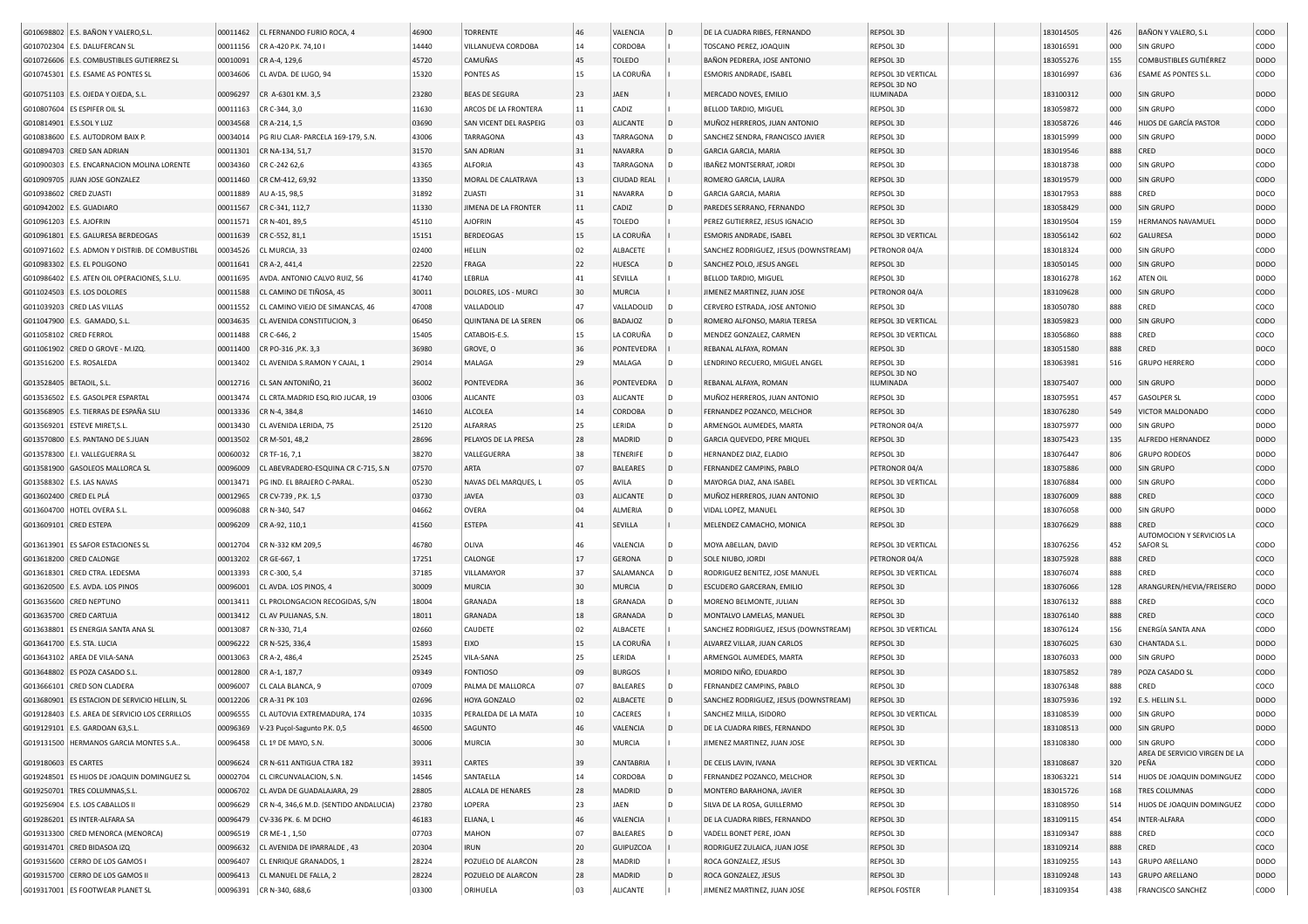|                            | G010698802 E.S. BAÑON Y VALERO, S.L            | 00011462 | CL FERNANDO FURIO ROCA, 4              | 46900 | <b>TORRENTE</b>        | 46       | VALENCIA           | $\overline{D}$ | DE LA CUADRA RIBES, FERNANDO          | REPSOL 3D                 | 183014505 | 426 | BAÑON Y VALERO, S.L.                       | CODO             |
|----------------------------|------------------------------------------------|----------|----------------------------------------|-------|------------------------|----------|--------------------|----------------|---------------------------------------|---------------------------|-----------|-----|--------------------------------------------|------------------|
|                            | G010702304 E.S. DALUFERCAN SL                  | 00011156 | CR A-420 P.K. 74,10 I                  | 14440 | VILLANUEVA CORDOBA     | 14       | <b>CORDOBA</b>     |                | TOSCANO PEREZ, JOAQUIN                | REPSOL 3D                 | 183016591 | 000 | SIN GRUPO                                  | CODO             |
|                            | G010726606 E.S. COMBUSTIBLES GUTIERREZ SL      | 00010091 | CR A-4, 129,6                          | 45720 | CAMUÑAS                | 45       | <b>TOLEDO</b>      |                | BAÑON PEDRERA, JOSE ANTONIO           | REPSOL 3D                 | 183055276 | 155 | COMBUSTIBLES GUTIÉRREZ                     | <b>DODO</b>      |
|                            | G010745301 E.S. ESAME AS PONTES SL             | 00034606 | CL AVDA. DE LUGO, 94                   | 15320 | PONTES AS              | 15       | LA CORUÑA          |                | <b>ESMORIS ANDRADE, ISABEL</b>        | REPSOL 3D VERTICAL        | 183016997 | 636 | ESAME AS PONTES S.L.                       | CODO             |
|                            | G010751103   E.S. OJEDA Y OJEDA, S.L.          | 00096297 | CR A-6301 KM. 3,5                      | 23280 | <b>BEAS DE SEGURA</b>  | 23       | JAEN               |                | MERCADO NOVES, EMILIO                 | REPSOL 3D NO<br>ILUMINADA | 183100312 | 000 | SIN GRUPO                                  | DODO             |
|                            | G010807604 ES ESPIFER OIL SL                   | 00011163 | CR C-344, 3,0                          | 11630 | ARCOS DE LA FRONTERA   | 11       | CADIZ              |                | BELLOD TARDIO, MIGUEL                 | REPSOL 3D                 | 183059872 | 000 | SIN GRUPO                                  | CODO             |
| G010814901   E.S.SOL Y LUZ |                                                | 00034568 | CR A-214, 1,5                          | 03690 | SAN VICENT DEL RASPEIG | 03       | ALICANTE           |                | MUÑOZ HERREROS, JUAN ANTONIO          | REPSOL 3D                 | 183058726 | 446 | HIJOS DE GARCÍA PASTOR                     | CODO             |
|                            | G010838600 E.S. AUTODROM BAIX P.               | 00034014 | PG RIU CLAR- PARCELA 169-179, S.N.     | 43006 | <b>TARRAGONA</b>       | 43       | TARRAGONA          |                | SANCHEZ SENDRA, FRANCISCO JAVIER      | REPSOL 3D                 | 183015999 | 000 | SIN GRUPO                                  | DODO             |
|                            |                                                |          |                                        | 31570 | <b>SAN ADRIAN</b>      |          | NAVARRA            |                |                                       | REPSOL 3D                 | 183019546 | 888 |                                            | DOCO             |
|                            | G010894703 CRED SAN ADRIAN                     | 00011301 | CR NA-134, 51,7                        |       |                        | 31<br>43 |                    |                | GARCIA GARCIA, MARIA                  |                           |           |     | CRED                                       |                  |
| G010900303                 | E.S. ENCARNACION MOLINA LORENTE                | 00034360 | CR C-242 62,6                          | 43365 | ALFORJA                |          | TARRAGONA          |                | IBAÑEZ MONTSERRAT, JORDI              | REPSOL 3D                 | 183018738 | 000 | SIN GRUPO                                  | CODO             |
|                            | G010909705 JUAN JOSE GONZALEZ                  | 00011460 | CR CM-412, 69,92                       | 13350 | MORAL DE CALATRAVA     | 13       | <b>CIUDAD REAL</b> |                | ROMERO GARCIA, LAURA                  | REPSOL 3D                 | 183019579 | 000 | SIN GRUPO                                  | CODO             |
| G010938602                 | <b>CRED ZUASTI</b>                             | 00011889 | AU A-15, 98,5                          | 31892 | ZUASTI                 | 31       | NAVARRA            |                | GARCIA GARCIA, MARIA                  | REPSOL 3D                 | 183017953 | 888 | CRED                                       | DOCO             |
|                            | G010942002 E.S. GUADIARO                       | 00011567 | CR C-341, 112,7                        | 11330 | JIMENA DE LA FRONTER   | 11       | CADIZ              |                | PAREDES SERRANO, FERNANDO             | REPSOL 3D                 | 183058429 | 000 | SIN GRUPO                                  | DODO             |
| G010961203 E.S. AJOFRIN    |                                                | 00011571 | CR N-401, 89,5                         | 45110 | <b>AJOFRIN</b>         | 45       | <b>TOLEDO</b>      |                | PEREZ GUTIERREZ, JESUS IGNACIO        | REPSOL 3D                 | 183019504 | 159 | <b>HERMANOS NAVAMUEL</b>                   | DODO             |
|                            | G010961801 E.S. GALURESA BERDEOGAS             | 00011639 | CR C-552, 81,1                         | 15151 | <b>BERDEOGAS</b>       | 15       | LA CORUÑA          |                | ESMORIS ANDRADE, ISABEL               | REPSOL 3D VERTICAL        | 183056142 | 602 | <b>GALURESA</b>                            | <b>DODO</b>      |
|                            | G010971602 E.S. ADMON Y DISTRIB. DE COMBUSTIBI | 00034526 | CL MURCIA, 33                          | 02400 | HELLIN                 | 02       | ALBACETE           |                | SANCHEZ RODRIGUEZ, JESUS (DOWNSTREAM) | PETRONOR 04/A             | 183018324 | 000 | SIN GRUPO                                  | CODO             |
|                            | G010983302 E.S. EL POLIGONO                    | 00011641 | CR A-2, 441,4                          | 22520 | FRAGA                  | 22       | <b>HUESCA</b>      |                | SANCHEZ POLO, JESUS ANGEL             | REPSOL 3D                 | 183050145 | 000 | SIN GRUPO                                  | <b>DODO</b>      |
|                            | G010986402 E.S. ATEN OIL OPERACIONES, S.L.U.   | 00011695 | AVDA. ANTONIO CALVO RUIZ, 56           | 41740 | LEBRIJA                | 41       | SEVILLA            |                | BELLOD TARDIO, MIGUEL                 | REPSOL 3D                 | 183016278 | 162 | ATEN OIL                                   | DODO             |
|                            | G011024503 E.S. LOS DOLORES                    | 00011588 | CL CAMINO DE TIÑOSA, 45                | 30011 | DOLORES, LOS - MURCI   | 30       | <b>MURCIA</b>      |                | JIMENEZ MARTINEZ, JUAN JOSE           | PETRONOR 04/A             | 183109628 | 000 | SIN GRUPO                                  | CODO             |
|                            | G011039203 CRED LAS VILLAS                     | 00011552 | CL CAMINO VIEJO DE SIMANCAS, 46        | 47008 | VALLADOLID             | 47       | VALLADOLID         |                | CERVERO ESTRADA, JOSE ANTONIO         | REPSOL 3D                 | 183050780 | 888 | CRED                                       | coco             |
|                            | G011047900 E.S. GAMADO, S.L                    | 00034635 | CL AVENIDA CONSTITUCION, 3             | 06450 | QUINTANA DE LA SEREN   | 06       | BADAJOZ            |                | ROMERO ALFONSO, MARIA TERESA          | REPSOL 3D VERTICAL        | 183059823 | 000 | SIN GRUPO                                  | CODO             |
| G011058102 CRED FERROL     |                                                | 00011488 | CR C-646, 2                            | 15405 | CATABOIS-E.S.          | 15       | LA CORUÑA          |                | MENDEZ GONZALEZ, CARMEN               | REPSOL 3D VERTICAL        | 183056860 | 888 | CRED                                       | coco             |
|                            | G011061902 CRED O GROVE - M.IZQ.               | 00011400 | CR PO-316, P.K. 3,3                    | 36980 | GROVE, O               | 36       | PONTEVEDRA         |                | REBANAL ALFAYA, ROMAN                 | REPSOL 3D                 | 183051580 | 888 | CRED                                       | DOCO             |
|                            | G013516200 E.S. ROSALEDA                       | 00013402 | CL AVENIDA S.RAMON Y CAJAL, 1          | 29014 | MALAGA                 | 29       | MALAGA             |                | LENDRINO RECUERO, MIGUEL ANGEL        | REPSOL 3D<br>REPSOL 3D NO | 183063981 | 516 | <b>GRUPO HERRERO</b>                       | CODO             |
| G013528405   BETAOIL, S.L. |                                                | 00012716 | CL SAN ANTONIÑO, 21                    | 36002 | PONTEVEDRA             | 36       | PONTEVEDRA         | $\mathsf{D}$   | REBANAL ALFAYA, ROMAN                 | ILUMINADA                 | 183075407 | 000 | SIN GRUPO                                  | <b>DODO</b>      |
|                            | G013536502 E.S. GASOLPER ESPARTAL              | 00013474 | CL CRTA.MADRID ESQ.RIO JUCAR, 19       | 03006 | <b>ALICANTE</b>        | 03       | <b>ALICANTE</b>    | l D            | MUÑOZ HERREROS, JUAN ANTONIO          | REPSOL 3D                 | 183075951 | 457 | <b>GASOLPER SL</b>                         | CODO             |
|                            | G013568905 E.S. TIERRAS DE ESPAÑA SLU          | 00013336 | CR N-4, 384,8                          | 14610 | <b>ALCOLEA</b>         | 14       | <b>CORDOBA</b>     | ID.            | FERNANDEZ POZANCO, MELCHOR            | REPSOL 3D                 | 183076280 | 549 | VICTOR MALDONADO                           | CODO             |
|                            | G013569201 ESTEVE MIRET, S.L.                  | 00013430 | CL AVENIDA LERIDA, 75                  | 25120 | <b>ALFARRAS</b>        | 25       | LERIDA             | l D            | ARMENGOL AUMEDES, MARTA               | PETRONOR 04/A             | 183075977 | 000 | SIN GRUPO                                  | DODO             |
|                            | G013570800 E.S. PANTANO DE S.JUAN              | 00013502 | CR M-501, 48,2                         | 28696 | PELAYOS DE LA PRESA    | 28       | MADRID             | ID.            | GARCIA QUEVEDO, PERE MIQUEL           | REPSOL 3D                 | 183075423 | 135 | ALFREDO HERNANDEZ                          | DODO             |
|                            | G013578300   E.I. VALLEGUERRA SL               | 00060032 | CR TF-16, 7,1                          | 38270 | VALLEGUERRA            | 38       | <b>TENERIFE</b>    | ID.            | HERNANDEZ DIAZ, ELADIO                | REPSOL 3D                 | 183076447 | 806 | <b>GRUPO RODEOS</b>                        | DODO             |
|                            | G013581900 GASOLEOS MALLORCA SL                | 00096009 | CL ABEVRADERO-ESQUINA CR C-715, S.N    | 07570 | ARTA                   | 07       | <b>BALEARES</b>    |                | FERNANDEZ CAMPINS, PABLO              | PETRONOR 04/A             | 183075886 | 000 | <b>SIN GRUPO</b>                           | CODO             |
| G013588302                 | E.S. LAS NAVAS                                 | 00013471 | PG IND. EL BRAJERO C-PARAL             | 05230 | NAVAS DEL MARQUES, L   | 05       | AVILA              | l D            |                                       | REPSOL 3D VERTICAL        | 183076884 | 000 | SIN GRUPO                                  | CODO             |
|                            |                                                |          |                                        |       |                        |          |                    |                | MAYORGA DIAZ, ANA ISABEL              |                           |           |     |                                            |                  |
| G013602400 CRED EL PLÁ     |                                                | 00012965 | CR CV-739, P.K. 1,5                    | 03730 | <b>JAVEA</b>           | 03       | <b>ALICANTE</b>    | I D            | MUÑOZ HERREROS, JUAN ANTONIC          | REPSOL 3D                 | 183076009 | 888 | CRED                                       | coco             |
|                            | G013604700   HOTEL OVERA S.L                   | 00096088 | CR N-340, 547                          | 04662 | OVERA                  | 04       | ALMERIA            |                | VIDAL LOPEZ, MANUEL                   | REPSOL 3D                 | 183076058 | 000 | SIN GRUPO                                  | DODO             |
| G013609101 CRED ESTEPA     |                                                | 00096209 | CR A-92, 110,1                         | 41560 | <b>ESTEPA</b>          | 41       | <b>SEVILLA</b>     |                | MELENDEZ CAMACHO, MONICA              | REPSOL 3D                 | 183076629 | 888 | CRED<br>AUTOMOCION Y SERVICIOS LA          | coco             |
|                            | G013613901 ES SAFOR ESTACIONES SL              | 00012704 | CR N-332 KM 209,5                      | 46780 | OLIVA                  | 46       | VALENCIA           |                | MOYA ABELLAN, DAVID                   | REPSOL 3D VERTICAL        | 183076256 | 452 | <b>SAFOR SL</b>                            | CODO             |
|                            | G013618200 CRED CALONGE                        | 00013202 | CR GE-667, 1                           | 17251 | CALONGE                | 17       | <b>GERONA</b>      | D              | SOLE NIUBO, JORDI                     | PETRONOR 04/A             | 183075928 | 888 | CRED                                       | coco             |
|                            | G013618301 CRED CTRA. LEDESMA                  | 00013393 | CR C-300, 5,4                          | 37185 | VILLAMAYOR             | 37       | SALAMANCA          |                | RODRIGUEZ BENITEZ, JOSE MANUEL        | REPSOL 3D VERTICAL        | 183076074 | 888 | CRED                                       | coco             |
|                            | G013620500 E.S. AVDA. LOS PINOS                | 00096001 | CL AVDA. LOS PINOS, 4                  | 30009 | <b>MURCIA</b>          | 30       | <b>MURCIA</b>      | I D            | ESCUDERO GARCERAN, EMILIO             | REPSOL 3D                 | 183076066 | 128 | ARANGUREN/HEVIA/FREISERO                   | DOD <sub>O</sub> |
|                            | G013635600 CRED NEPTUNO                        | 00013411 | CL PROLONGACION RECOGIDAS, S/N         | 18004 | <b>GRANADA</b>         | 18       | GRANADA            |                | MORENO BELMONTE, JULIAN               | REPSOL 3D                 | 183076132 | 888 | CRED                                       | coco             |
|                            | G013635700 CRED CARTUJA                        | 00013412 | CL AV PULIANAS, S.N                    | 18011 | GRANADA                | 18       | GRANADA            |                | MONTALVO LAMELAS, MANUEL              | REPSOL 3D                 | 183076140 | 888 | CRED                                       | COCO             |
|                            | G013638801 ES ENERGIA SANTA ANA SL             | 00013087 | CR N-330, 71,4                         | 02660 | CAUDETE                | 02       | ALBACETE           |                | SANCHEZ RODRIGUEZ, JESUS (DOWNSTREAM) | REPSOL 3D VERTICAL        | 183076124 | 156 | ENERGÍA SANTA ANA                          | CODO             |
|                            | G013641700   E.S. STA. LUCIA                   | 00096222 | CR N-525, 336,4                        | 15893 | EIXO                   | 15       | LA CORUÑA          |                | ALVAREZ VILLAR, JUAN CARLOS           | REPSOL 3D                 | 183076025 | 630 | CHANTADA S.L                               | DODO             |
|                            | G013643102 AREA DE VILA-SANA                   | 00013063 | CR A-2, 486,4                          | 25245 | VILA-SANA              | 25       | LERIDA             |                | ARMENGOL AUMEDES, MARTA               | REPSOL 3D                 | 183076033 | 000 | SIN GRUPO                                  | DODO             |
|                            | G013648802 ES POZA CASADO S.L                  | 00012800 | CR A-1, 187,7                          | 09349 | <b>FONTIOSO</b>        | 09       | <b>BURGOS</b>      |                | MORIDO NIÑO, EDUARDO                  | REPSOL 3D                 | 183075852 | 789 | POZA CASADO SL                             | CODO             |
|                            | G013666101 CRED SON CLADERA                    | 00096007 | CL CALA BLANCA, 9                      | 07009 | PALMA DE MALLORCA      | 07       | <b>BALEARES</b>    |                | FERNANDEZ CAMPINS, PABLO              | REPSOL 3D                 | 183076348 | 888 | CRED                                       | COCO             |
|                            | G013680901 ES ESTACION DE SERVICIO HELLIN, SL  | 00012206 | CR A-31 PK 103                         | 02696 | HOYA GONZALO           | 02       | ALBACETE           |                | SANCHEZ RODRIGUEZ, JESUS (DOWNSTREAM) | REPSOL 3D                 | 183075936 | 192 | E.S. HELLIN S.L.                           | DODO             |
|                            | G019128403 E.S. AREA DE SERVICIO LOS CERRILLOS | 00096555 | CL AUTOVIA EXTREMADURA, 174            | 10335 | PERALEDA DE LA MATA    | 10       | CACERES            |                | SANCHEZ MILLA, ISIDORO                | REPSOL 3D VERTICAL        | 183108539 | 000 | SIN GRUPO                                  | DODO             |
|                            | G019129101 E.S. GARDOAN 63, S.L.               | 00096369 |                                        | 46500 | SAGUNTO                | 46       | VALENCIA           | D              | DE LA CUADRA RIBES, FERNANDO          | REPSOL 3D                 | 183108513 | 000 | SIN GRUPO                                  | <b>DODO</b>      |
|                            |                                                |          | V-23 Puçol-Sagunto P.K. 0,5            |       |                        |          |                    |                |                                       |                           |           |     |                                            |                  |
|                            | G019131500 HERMANOS GARCIA MONTES S.A.         | 00096458 | CL 1º DE MAYO, S.N.                    | 30006 | MURCIA                 | 30       | MURCIA             |                | JIMENEZ MARTINEZ, JUAN JOSE           | REPSOL 3D                 | 183108380 | 000 | SIN GRUPO<br>AREA DE SERVICIO VIRGEN DE LA | CODO             |
| G019180603 ES CARTES       |                                                | 00096624 | CR N-611 ANTIGUA CTRA 182              | 39311 | CARTES                 | 39       | <b>CANTABRIA</b>   |                | DE CELIS LAVIN, IVANA                 | REPSOL 3D VERTICAL        | 183108687 | 320 | PEÑA                                       | CODO             |
|                            | G019248501 ES HIJOS DE JOAQUIN DOMINGUEZ SL    | 00002704 | CL CIRCUNVALACION, S.N.                | 14546 | SANTAELLA              | 14       | CORDOBA            | l D            | FERNANDEZ POZANCO, MELCHOR            | REPSOL 3D                 | 183063221 | 514 | HIJOS DE JOAQUIN DOMINGUEZ                 | CODO             |
|                            | G019250701 TRES COLUMNAS, S.L.                 | 00006702 | CL AVDA DE GUADALAJARA, 29             | 28805 | ALCALA DE HENARES      | 28       | MADRID             | ID.            | MONTERO BARAHONA, JAVIER              | REPSOL 3D                 | 183015726 | 168 | TRES COLUMNAS                              | CODO             |
|                            | G019256904 E.S. LOS CABALLOS II                | 00096629 | CR N-4, 346,6 M.D. (SENTIDO ANDALUCIA) | 23780 | LOPERA                 | 23       | JAEN               |                | SILVA DE LA ROSA, GUILLERMO           | REPSOL 3D                 | 183108950 | 514 | HIJOS DE JOAQUIN DOMINGUEZ                 | CODO             |
|                            | G019286201 ES INTER-ALFARA SA                  | 00096479 | CV-336 PK. 6. M DCHO                   | 46183 | ELIANA, L              | 46       | VALENCIA           |                | DE LA CUADRA RIBES, FERNANDO          | REPSOL 3D                 | 183109115 | 454 | INTER-ALFARA                               | CODO             |
|                            | G019313300 CRED MENORCA (MENORCA)              | 00096519 | CR ME-1, 1,50                          | 07703 | MAHON                  | 07       | <b>BALEARES</b>    |                | VADELL BONET PERE, JOAN               | REPSOL 3D                 | 183109347 | 888 | CRED                                       | COCO             |
|                            | G019314701 CRED BIDASOA IZQ                    | 00096632 | CL AVENIDA DE IPARRALDE, 43            | 20304 | <b>IRUN</b>            | 20       | <b>GUIPUZCOA</b>   |                | RODRIGUEZ ZULAICA, JUAN JOSE          | REPSOL 3D                 | 183109214 | 888 | CRED                                       | coco             |
|                            | G019315600 CERRO DE LOS GAMOS I                | 00096407 | CL ENRIQUE GRANADOS, 1                 | 28224 | POZUELO DE ALARCON     | 28       | MADRID             |                | ROCA GONZALEZ, JESUS                  | REPSOL 3D                 | 183109255 | 143 | <b>GRUPO ARELLANO</b>                      | DODO             |
|                            | G019315700 CERRO DE LOS GAMOS II               | 00096413 | CL MANUEL DE FALLA, 2                  | 28224 | POZUELO DE ALARCON     | 28       | MADRID             |                | ROCA GONZALEZ, JESUS                  | REPSOL 3D                 | 183109248 | 143 | <b>GRUPO ARELLANO</b>                      | DODO             |
|                            | G019317001 ES FOOTWEAR PLANET SL               | 00096391 | CR N-340, 688,6                        | 03300 | ORIHUELA               | 03       | ALICANTE           |                | JIMENEZ MARTINEZ, JUAN JOSE           | <b>REPSOL FOSTER</b>      | 183109354 | 438 | <b>FRANCISCO SANCHEZ</b>                   | CODO             |
|                            |                                                |          |                                        |       |                        |          |                    |                |                                       |                           |           |     |                                            |                  |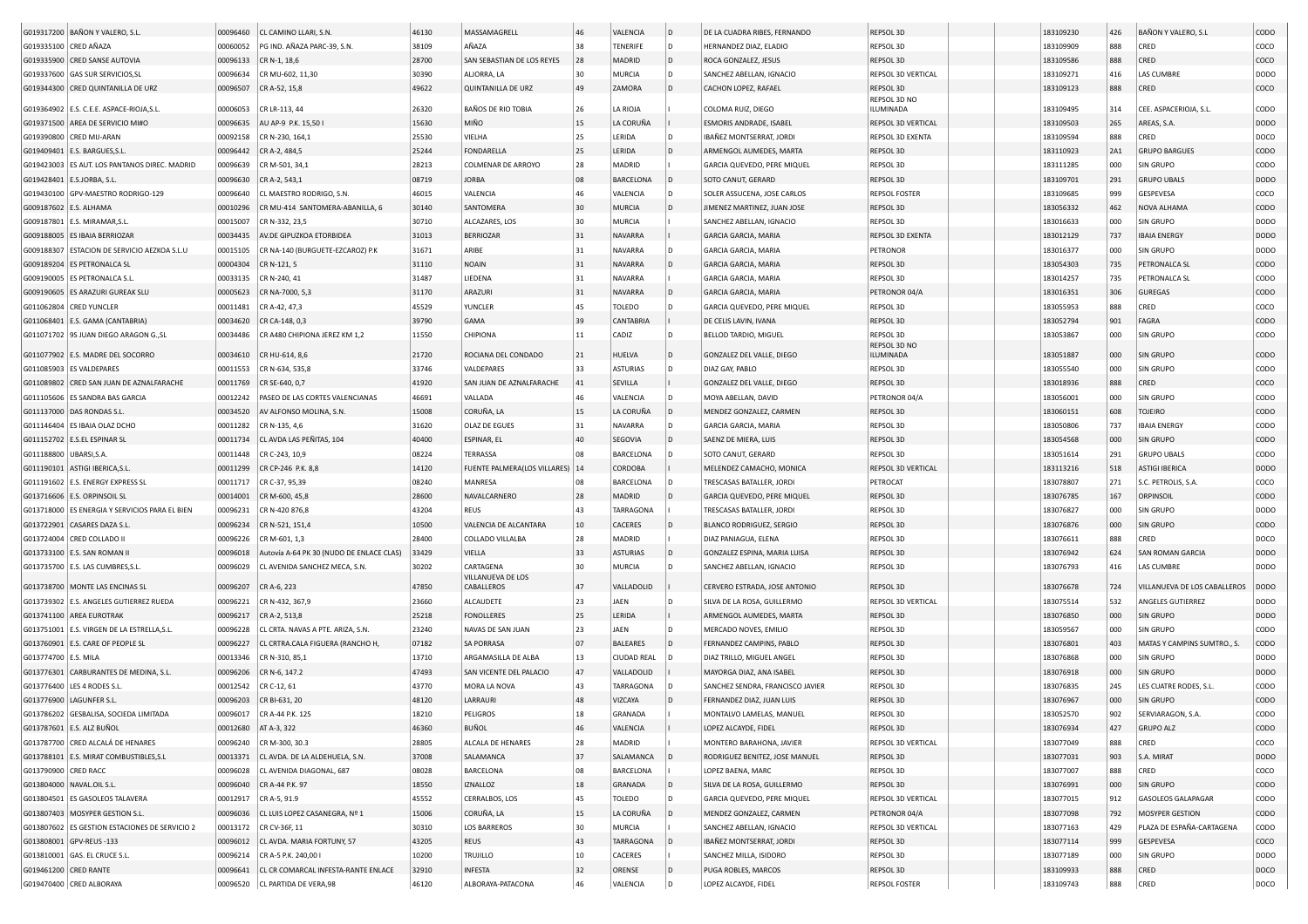|                        | G019317200 BAÑON Y VALERO, S.L                                          | 00096460 | CL CAMINO LLARI, S.N                               | 46130 | MASSAMAGRELL                    | 46 | VALENCIA           | D            | DE LA CUADRA RIBES, FERNANDO     | <b>REPSOL 3D</b>     | 183109230 | 426        | BAÑON Y VALERO, S.L          | CODO        |
|------------------------|-------------------------------------------------------------------------|----------|----------------------------------------------------|-------|---------------------------------|----|--------------------|--------------|----------------------------------|----------------------|-----------|------------|------------------------------|-------------|
| G019335100 CRED AÑAZA  |                                                                         | 00060052 | PG IND. AÑAZA PARC-39, S.N.                        | 38109 | AÑAZA                           | 38 | <b>TENERIFE</b>    |              | HERNANDEZ DIAZ, ELADIO           | REPSOL 3D            | 183109909 | 888        | CRED                         | coco        |
|                        | G019335900 CRED SANSE AUTOVIA                                           | 00096133 | CR N-1, 18,6                                       | 28700 | SAN SEBASTIAN DE LOS REYES      | 28 | MADRID             | ID.          | ROCA GONZALEZ, JESUS             | REPSOL 3D            | 183109586 | 888        | CRED                         | coco        |
|                        | G019337600 GAS SUR SERVICIOS.SL                                         | 00096634 | CR MU-602, 11.30                                   | 30390 | ALJORRA, LA                     | 30 | <b>MURCIA</b>      |              | SANCHEZ ABELLAN, IGNACIO         | REPSOL 3D VERTICAL   | 183109271 | 416        | <b>LAS CUMBRE</b>            | DODO        |
|                        | G019344300 CRED QUINTANILLA DE URZ                                      | 00096507 | CR A-52, 15,8                                      | 49622 | <b>QUINTANILLA DE URZ</b>       | 49 | ZAMORA             | l D          | CACHON LOPEZ, RAFAEL             | REPSOL 3D            | 183109123 | 888        | CRED                         | COCO        |
|                        |                                                                         |          |                                                    |       |                                 |    |                    |              |                                  | REPSOL 3D NO         |           |            |                              |             |
|                        | G019364902 E.S. C.E.E. ASPACE-RIOJA, S.L.                               | 00006053 | CR LR-113, 44                                      | 26320 | BAÑOS DE RIO TOBIA              | 26 | LA RIOJA           |              | COLOMA RUIZ, DIEGO               | ILUMINADA            | 183109495 | 314        | CEE. ASPACERIOJA, S.L.       | CODO        |
|                        | G019371500 AREA DE SERVICIO MI#O                                        | 00096635 | AU AP-9 P.K. 15,50                                 | 15630 | MIÑO                            | 15 | LA CORUÑA          |              | ESMORIS ANDRADE, ISABEL          | REPSOL 3D VERTICAL   | 183109503 | 265        | AREAS, S.A.                  | <b>DODO</b> |
|                        | G019390800 CRED MIJ-ARAN                                                | 00092158 | CR N-230, 164,1                                    | 25530 | VIELHA                          | 25 | LERIDA             |              | IBAÑEZ MONTSERRAT, JORDI         | REPSOL 3D EXENTA     | 183109594 | 888        | CRED                         | DOCO        |
|                        | G019409401   E.S. BARGUES, S.L                                          | 00096442 | CR A-2, 484,5                                      | 25244 | <b>FONDARELLA</b>               | 25 | LERIDA             |              | ARMENGOL AUMEDES, MARTA          | REPSOL 3D            | 183110923 | <b>2A1</b> | <b>GRUPO BARGUES</b>         | CODO        |
|                        | G019423003 ES AUT. LOS PANTANOS DIREC. MADRID                           | 00096639 | CR M-501, 34,1                                     | 28213 | COLMENAR DE ARROYO              | 28 | MADRID             |              | GARCIA QUEVEDO, PERE MIQUEL      | REPSOL 3D            | 183111285 | 000        | SIN GRUPO                    | CODO        |
|                        | G019428401 E.S.JORBA, S.L.                                              | 00096630 | CR A-2, 543,1                                      | 08719 | <b>JORBA</b>                    | 08 | <b>BARCELONA</b>   |              | SOTO CANUT, GERARD               | REPSOL 3D            | 183109701 | 291        | <b>GRUPO UBALS</b>           | <b>DODO</b> |
|                        | G019430100 GPV-MAESTRO RODRIGO-129                                      | 00096640 | CL MAESTRO RODRIGO, S.N.                           | 46015 | VALENCIA                        | 46 | VALENCIA           |              | SOLER ASSUCENA, JOSE CARLOS      | <b>REPSOL FOSTER</b> | 183109685 | 999        | GESPEVESA                    | coco        |
| G009187602 E.S. ALHAMA |                                                                         | 00010296 | CR MU-414 SANTOMERA-ABANILLA, 6                    | 30140 | SANTOMERA                       | 30 | <b>MURCIA</b>      | l D          | JIMENEZ MARTINEZ, JUAN JOSE      | REPSOL 3D            | 183056332 | 462        | NOVA ALHAMA                  | CODO        |
|                        | G009187801 E.S. MIRAMAR, S.L                                            | 00015007 | CR N-332, 23,5                                     | 30710 | ALCAZARES, LOS                  | 30 | <b>MURCIA</b>      |              | SANCHEZ ABELLAN, IGNACIO         | REPSOL 3D            | 183016633 | 000        | SIN GRUPO                    | DODO        |
|                        | G009188005 ES IBAIA BERRIOZAR                                           | 00034435 | AV.DE GIPUZKOA ETORBIDEA                           | 31013 | <b>BERRIOZAR</b>                | 31 | NAVARRA            |              | <b>GARCIA GARCIA, MARIA</b>      | REPSOL 3D EXENTA     | 183012129 | 737        | <b>IBAIA ENERGY</b>          | <b>DODO</b> |
|                        | G009188307 ESTACION DE SERVICIO AEZKOA S.L.U                            | 00015105 | CR NA-140 (BURGUETE-EZCAROZ) P.K                   | 31671 | ARIBE                           | 31 | <b>NAVARRA</b>     |              | GARCIA GARCIA, MARIA             | PETRONOR             | 183016377 | 000        | SIN GRUPO                    | DODO        |
|                        | G009189204 ES PETRONALCA SL                                             | 00004304 | CR N-121, 5                                        | 31110 | <b>NOAIN</b>                    | 31 | NAVARRA            | l D          | GARCIA GARCIA, MARIA             | <b>REPSOL 3D</b>     | 183054303 | 735        | PETRONALCA SL                | CODO        |
|                        | G009190005   ES PETRONALCA S.L.                                         | 00033135 | CR N-240, 41                                       | 31487 | LIEDENA                         | 31 | <b>NAVARRA</b>     |              | GARCIA GARCIA, MARIA             | REPSOL 3D            | 183014257 | 735        | PETRONALCA SL                | CODO        |
|                        | G009190605   ES ARAZURI GUREAK SLU                                      | 00005623 | CR NA-7000, 5,                                     | 31170 | ARAZURI                         | 31 | NAVARRA            | ID.          | GARCIA GARCIA, MARIA             | PETRONOR 04/A        | 183016351 | 306        | <b>GUREGAS</b>               | CODO        |
|                        | G011062804 CRED YUNCLER                                                 | 00011481 | CR A-42, 47,3                                      | 45529 | YUNCLER                         | 45 | <b>TOLEDO</b>      |              | GARCIA QUEVEDO, PERE MIQUEL      | REPSOL 3D            | 183055953 | 888        | CRED                         | coco        |
|                        | G011068401 E.S. GAMA (CANTABRIA)                                        | 00034620 | CR CA-148, 0,3                                     | 39790 | GAMA                            | 39 | <b>CANTABRIA</b>   |              | DE CELIS LAVIN, IVANA            | <b>REPSOL 3D</b>     | 183052794 | 901        | FAGRA                        | CODO        |
|                        | G011071702 9S JUAN DIEGO ARAGON GSL                                     | 00034486 | CR A480 CHIPIONA JEREZ KM 1,2                      | 11550 | CHIPIONA                        | 11 | CADIZ              |              | BELLOD TARDIO, MIGUEL            | REPSOL 3D            | 183053867 | 000        | SIN GRUPO                    | CODO        |
|                        |                                                                         |          |                                                    |       |                                 |    |                    |              |                                  | REPSOL 3D NO         |           |            |                              |             |
|                        | G011077902 E.S. MADRE DEL SOCORRO                                       | 00034610 | CR HU-614, 8,6                                     | 21720 | ROCIANA DEL CONDADO             | 21 | HUELVA             | l D          | GONZALEZ DEL VALLE, DIEGO        | ILUMINADA            | 183051887 | 000        | SIN GRUPO                    | CODO        |
|                        | G011085903 ES VALDEPARES                                                | 00011553 | CR N-634, 535,8                                    | 33746 | VALDEPARES                      | 33 | <b>ASTURIAS</b>    | l D          | DIAZ GAY, PABLO                  | REPSOL 3D            | 183055540 | 000        | SIN GRUPO                    | CODO        |
|                        | G011089802 CRED SAN JUAN DE AZNALFARACHE                                | 00011769 | CR SE-640, 0,7                                     | 41920 | SAN JUAN DE AZNALFARACHE        | 41 | SEVILLA            |              | GONZALEZ DEL VALLE, DIEGO        | REPSOL 3D            | 183018936 | 888        | CRED                         | coco        |
|                        | G011105606 ES SANDRA BAS GARCIA                                         | 00012242 | PASEO DE LAS CORTES VALENCIANAS                    | 46691 | VALLADA                         | 46 | VALENCIA           |              | MOYA ABELLAN, DAVID              | PETRONOR 04/A        | 183056001 | 000        | SIN GRUPO                    | CODO        |
|                        | G011137000 DAS RONDAS S.L                                               | 00034520 | AV ALFONSO MOLINA, S.N.                            | 15008 | CORUÑA, LA                      | 15 | LA CORUÑA          |              | MENDEZ GONZALEZ, CARMEN          | <b>REPSOL 3D</b>     | 183060151 | 608        | TOJEIRO                      | CODO        |
|                        | G011146404 ES IBAIA OLAZ DCHO                                           | 00011282 | CR N-135, 4,6                                      | 31620 | OLAZ DE EGUES                   | 31 | NAVARRA            |              | GARCIA GARCIA, MARIA             | REPSOL 3D            | 183050806 | 737        | <b>IBAIA ENERGY</b>          | CODO        |
|                        | G011152702 E.S.EL ESPINAR SL                                            | 00011734 | CL AVDA LAS PEÑITAS, 104                           | 40400 | ESPINAR, EL                     | 40 | SEGOVIA            | $\mathsf{D}$ | SAENZ DE MIERA, LUIS             | REPSOL 3D            | 183054568 | 000        | SIN GRUPO                    | CODO        |
| G011188800 UBARSI, S.A |                                                                         | 00011448 | CR C-243, 10,9                                     | 08224 | TERRASSA                        |    | BARCELONA          |              | SOTO CANUT, GERARD               | REPSOL 3D            | 183051614 | 291        | <b>GRUPO UBALS</b>           | CODO        |
|                        | G011190101 ASTIGI IBERICA, S.L                                          | 00011299 | CR CP-246 P.K. 8,8                                 | 14120 | FUENTE PALMERA(LOS VILLARES)    |    | CORDOBA            |              | MELENDEZ CAMACHO, MONICA         | REPSOL 3D VERTICAL   | 183113216 | 518        | <b>ASTIGI IBERICA</b>        | <b>DODO</b> |
|                        | G011191602 E.S. ENERGY EXPRESS SL                                       | 00011717 | CR C-37, 95,39                                     | 08240 | MANRESA                         | 08 | <b>BARCELONA</b>   |              | TRESCASAS BATALLER, JORDI        | PETROCAT             | 183078807 | 271        | S.C. PETROLIS, S.A.          | coco        |
|                        | G013716606 E.S. ORPINSOIL SL                                            | 00014001 | CR M-600, 45,8                                     | 28600 | NAVALCARNERO                    | 28 | MADRID             | ID.          | GARCIA QUEVEDO, PERE MIQUEL      | REPSOL 3D            | 183076785 | 167        | ORPINSOIL                    | CODO        |
|                        | G013718000 ES ENERGIA Y SERVICIOS PARA EL BIEN                          | 00096231 | CR N-420 876,8                                     | 43204 | <b>REUS</b>                     | 43 | TARRAGONA          |              | TRESCASAS BATALLER, JORDI        | REPSOL 3D            | 183076827 | 000        | SIN GRUPO                    | DODO        |
|                        | G013722901 CASARES DAZA S.L                                             | 00096234 | CR N-521, 151,4                                    | 10500 | VALENCIA DE ALCANTARA           | 10 | CACERES            | l D          | <b>BLANCO RODRIGUEZ, SERGIO</b>  | REPSOL 3D            | 183076876 | 000        | SIN GRUPO                    | CODO        |
|                        | G013724004 CRED COLLADO II                                              | 00096226 | CR M-601, 1,3                                      | 28400 | COLLADO VILLALBA                | 28 | <b>MADRID</b>      |              | DIAZ PANIAGUA, ELENA             | REPSOL 3D            | 183076611 | 888        | CRED                         | DOCO        |
|                        | G013733100 E.S. SAN ROMAN II                                            | 00096018 | Autovía A-64 PK 30 (NUDO DE ENLACE CLAS)           | 33429 | VIELLA                          | 33 | <b>ASTURIAS</b>    |              | GONZALEZ ESPINA, MARIA LUISA     | REPSOL 3D            | 183076942 | 624        | <b>SAN ROMAN GARCIA</b>      | <b>DODO</b> |
|                        | G013735700   E.S. LAS CUMBRES, S.L                                      | 00096029 | CL AVENIDA SANCHEZ MECA, S.N                       | 30202 | CARTAGENA                       | 30 | MURCIA             |              | SANCHEZ ABELLAN, IGNACIO         | REPSOL 3D            | 183076793 | 416        | LAS CUMBRE                   | DODO        |
|                        | G013738700   MONTE LAS ENCINAS SL                                       | 00096207 | CR A-6, 223                                        | 47850 | VILLANUEVA DE LOS<br>CABALLEROS | 47 | VALLADOLID         |              | CERVERO ESTRADA, JOSE ANTONIO    | REPSOL 3D            | 183076678 | 724        | VILLANUEVA DE LOS CABALLEROS | <b>DODO</b> |
|                        |                                                                         |          |                                                    |       |                                 |    |                    |              |                                  |                      |           |            |                              |             |
|                        | G013739302 E.S. ANGELES GUTIERREZ RUEDA                                 | 00096221 | CR N-432, 367,9                                    | 23660 | ALCAUDETE                       | 23 | JAEN<br>LERIDA     | l D          | SILVA DE LA ROSA, GUILLERMO      | REPSOL 3D VERTICAL   | 183075514 | 532        | ANGELES GUTIERREZ            | DODO        |
|                        | G013741100 AREA EUROTRAK<br>G013751001 E.S. VIRGEN DE LA ESTRELLA, S.L. | 00096217 | CR A-2, 513,8<br>CL CRTA. NAVAS A PTE. ARIZA, S.N. | 25218 | <b>FONOLLERES</b>               | 25 |                    |              | ARMENGOL AUMEDES, MARTA          | REPSOL 3D            | 183076850 | 000        | <b>SIN GRUPO</b>             | DODO        |
|                        |                                                                         | 00096228 |                                                    | 23240 | NAVAS DE SAN JUAN               | 23 | JAEN               | l D          | MERCADO NOVES, EMILIO            | REPSOL 3D            | 183059567 | 000        | SIN GRUPO                    | CODO        |
|                        | G013760901 E.S. CARE OF PEOPLE SL                                       | 00096227 | CL CRTRA.CALA FIGUERA (RANCHO H                    | 07182 | <b>SA PORRASA</b>               | 07 | <b>BALEARES</b>    | ID.          | FERNANDEZ CAMPINS, PABLO         | REPSOL 3D            | 183076801 | 403        | MATAS Y CAMPINS SUMTRO., S   | CODO        |
| G013774700   E.S. MILA |                                                                         | 00013346 | CR N-310, 85,1                                     | 13710 | ARGAMASILLA DE ALBA             | 13 | <b>CIUDAD REAL</b> |              | DIAZ TRILLO, MIGUEL ANGEL        | REPSOL 3D            | 183076868 | 000        | SIN GRUPO                    | DODO        |
|                        | G013776301 CARBURANTES DE MEDINA, S.L                                   | 00096206 | CR N-6, 147.2                                      | 47493 | SAN VICENTE DEL PALACIO         | 47 | VALLADOLID         |              | MAYORGA DIAZ, ANA ISABEI         | REPSOL 3D            | 183076918 | 000        | SIN GRUPO                    | DODO        |
|                        | G013776400   LES 4 RODES S.L                                            | 00012542 | CR C-12, 61                                        | 43770 | MORA LA NOVA                    | 43 | TARRAGONA          |              | SANCHEZ SENDRA, FRANCISCO JAVIER | REPSOL 3D            | 183076835 | 245        | LES CUATRE RODES, S.L.       | CODO        |
|                        | G013776900 LAGUNFER S.L.                                                | 00096203 | CR BI-631, 20                                      | 48120 | LARRAURI                        | 48 | VIZCAYA            |              | FERNANDEZ DIAZ, JUAN LUIS        | REPSOL 3D            | 183076967 | 000        | SIN GRUPO                    | CODO        |
|                        | G013786202 GESBALISA, SOCIEDA LIMITADA                                  | 00096017 | CR A-44 P.K. 125                                   | 18210 | PELIGROS                        | 18 | GRANADA            |              | MONTALVO LAMELAS, MANUEL         | REPSOL 3D            | 183052570 | 902        | SERVIARAGON, S.A             | CODO        |
|                        | G013787601 E.S. ALZ BUÑOL                                               |          | 00012680   AT A-3, 322                             | 46360 | BUÑOL                           | 46 | VALENCIA           |              | LOPEZ ALCAYDE, FIDEL             | REPSOL 3D            | 183076934 | 427        | <b>GRUPO ALZ</b>             | CODO        |
|                        | G013787700 CRED ALCALÁ DE HENARES                                       | 00096240 | CR M-300, 30.3                                     | 28805 | ALCALA DE HENARES               | 28 | MADRID             |              | MONTERO BARAHONA, JAVIER         | REPSOL 3D VERTICAL   | 183077049 | 888        | CRED                         | coco        |
|                        | G013788101 E.S. MIRAT COMBUSTIBLES, S.L                                 | 00013371 | CL AVDA. DE LA ALDEHUELA, S.N.                     | 37008 | SALAMANCA                       | 37 | SALAMANCA          |              | RODRIGUEZ BENITEZ, JOSE MANUEL   | REPSOL 3D            | 183077031 | 903        | S.A. MIRAT                   | <b>DODO</b> |
| G013790900 CRED RACC   |                                                                         | 00096028 | CL AVENIDA DIAGONAL, 687                           | 08028 | BARCELONA                       | 08 | BARCELONA          |              | LOPEZ BAENA, MARC                | REPSOL 3D            | 183077007 | 888        | CRED                         | coco        |
|                        | G013804000 NAVAL.OIL S.L.                                               | 00096040 | CR A-44 P.K. 97                                    | 18550 | IZNALLOZ                        | 18 | GRANADA            | ID.          | SILVA DE LA ROSA, GUILLERMO      | REPSOL 3D            | 183076991 | 000        | SIN GRUPO                    | <b>CODO</b> |
|                        | G013804501 ES GASOLEOS TALAVERA                                         | 00012917 | CR A-5, 91.9                                       | 45552 | CERRALBOS, LOS                  | 45 | TOLEDO             | l D          | GARCIA QUEVEDO, PERE MIQUEL      | REPSOL 3D VERTICAL   | 183077015 | 912        | GASOLEOS GALAPAGAR           | CODO        |
|                        | G013807403 MOSYPER GESTION S.L.                                         | 00096036 | CL LUIS LOPEZ CASANEGRA, Nº 1                      | 15006 | CORUÑA, LA                      | 15 | LA CORUÑA          |              | MENDEZ GONZALEZ, CARMEN          | PETRONOR 04/A        | 183077098 | 792        | MOSYPER GESTION              | <b>CODO</b> |
|                        | G013807602 ES GESTION ESTACIONES DE SERVICIO 2                          | 00013172 | CR CV-36F, 11                                      | 30310 | <b>LOS BARREROS</b>             | 30 | <b>MURCIA</b>      |              | SANCHEZ ABELLAN, IGNACIO         | REPSOL 3D VERTICAL   | 183077163 | 429        | PLAZA DE ESPAÑA-CARTAGENA    | CODO        |
|                        | G013808001 GPV-REUS-133                                                 | 00096012 | CL AVDA. MARIA FORTUNY, 57                         | 43205 | REUS                            | 43 | <b>TARRAGONA</b>   |              | IBAÑEZ MONTSERRAT, JORDI         | REPSOL 3D            | 183077114 | 999        | GESPEVESA                    | coco        |
|                        | G013810001 GAS. EL CRUCE S.L.                                           | 00096214 | CR A-5 P.K. 240,00 I                               | 10200 | TRUJILLO                        | 10 | CACERES            |              | SANCHEZ MILLA, ISIDORO           | REPSOL 3D            | 183077189 | 000        | SIN GRUPO                    | <b>DODO</b> |
| G019461200 CRED RANTE  |                                                                         | 00096641 | CL CR COMARCAL INFESTA-RANTE ENLACE                | 32910 | <b>INFESTA</b>                  | 32 | ORENSE             | ۱D           | PUGA ROBLES, MARCOS              | REPSOL 3D            | 183109933 | 888        | CRED                         | DOCO        |
|                        | G019470400 CRED ALBORAYA                                                | 00096520 | CL PARTIDA DE VERA, 98                             | 46120 | ALBORAYA-PATACONA               | 46 | VALENCIA           |              | LOPEZ ALCAYDE, FIDEL             | <b>REPSOL FOSTER</b> | 183109743 | 888        | CRED                         | DOCO        |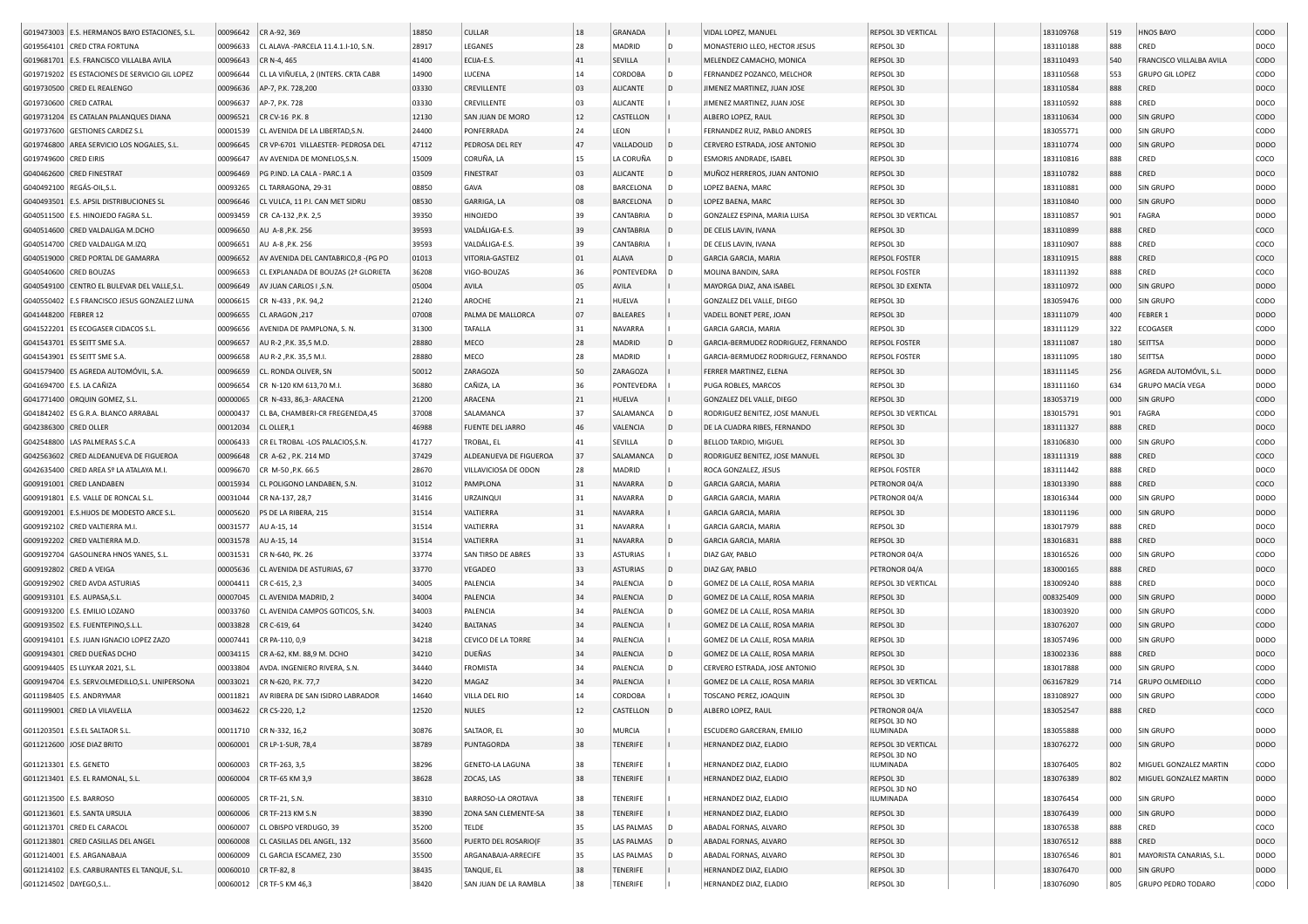|                        | G019473003 E.S. HERMANOS BAYO ESTACIONES, S.L.  | 00096642 | CR A-92, 369                              | 18850 | <b>CULLAR</b>           | 18 | <b>GRANADA</b>   |                | VIDAL LOPEZ, MANUEL                 | REPSOL 3D VERTICAL               | 183109768 | 519        | <b>HNOS BAYO</b>         | CODO                |
|------------------------|-------------------------------------------------|----------|-------------------------------------------|-------|-------------------------|----|------------------|----------------|-------------------------------------|----------------------------------|-----------|------------|--------------------------|---------------------|
|                        | G019564101 CRED CTRA FORTUNA                    | 00096633 | CL ALAVA -PARCELA 11.4.1.I-10, S.N.       | 28917 | LEGANES                 | 28 | MADRID           | D              | MONASTERIO LLEO, HECTOR JESUS       | REPSOL 3D                        | 183110188 | 888        | CRED                     | DOCO                |
|                        | G019681701 E.S. FRANCISCO VILLALBA AVILA        | 00096643 | CR N-4, 465                               | 41400 | ECIJA-E.S               | 41 | SEVILLA          |                | MELENDEZ CAMACHO, MONICA            | REPSOL 3D                        | 183110493 | 540        | FRANCISCO VILLALBA AVILA | CODO                |
|                        | G019719202 ES ESTACIONES DE SERVICIO GIL LOPEZ  | 00096644 | CL LA VIÑUELA, 2 (INTERS. CRTA CABR       | 14900 | LUCENA                  | 14 | CORDOBA          | D              | FERNANDEZ POZANCO, MELCHOR          | REPSOL 3D                        | 183110568 | 553        | <b>GRUPO GIL LOPEZ</b>   | CODO                |
|                        | G019730500 CRED EL REALENGO                     | 00096636 | AP-7, P.K. 728,200                        | 03330 | CREVILLENTE             | 03 | <b>ALICANTE</b>  | D              | JIMENEZ MARTINEZ, JUAN JOSE         | REPSOL 3D                        | 183110584 | 888        | CRED                     | DOCO                |
| G019730600 CRED CATRAL |                                                 | 00096637 | AP-7, P.K. 728                            | 03330 | CREVILLENTE             | 03 | <b>ALICANTE</b>  |                | JIMENEZ MARTINEZ, JUAN JOSE         | REPSOL 3D                        | 183110592 | 888        | CRED                     | DOCO                |
|                        | G019731204 ES CATALAN PALANQUES DIANA           | 00096521 | CR CV-16 P.K. 8                           | 12130 | SAN JUAN DE MORO        | 12 | CASTELLON        |                | ALBERO LOPEZ, RAUL                  | REPSOL 3D                        | 183110634 | 000        | SIN GRUPO                | CODO                |
|                        | G019737600 GESTIONES CARDEZ S.L                 | 00001539 | CL AVENIDA DE LA LIBERTAD.S.N.            | 24400 | PONFERRADA              | 24 | LEON             |                | FERNANDEZ RUIZ, PABLO ANDRES        | REPSOL 3D                        | 183055771 | 000        | SIN GRUPO                | CODO                |
|                        | G019746800 AREA SERVICIO LOS NOGALES, S.L.      | 00096645 | CR VP-6701 VILLAESTER- PEDROSA DEL        | 47112 | PEDROSA DEL REY         | 47 | VALLADOLID       |                | CERVERO ESTRADA, JOSE ANTONIO       | REPSOL 3D                        | 183110774 | 000        | <b>SIN GRUPO</b>         | <b>DODO</b>         |
| G019749600 CRED EIRIS  |                                                 | 00096647 | AV AVENIDA DE MONELOS, S.N.               | 15009 | CORUÑA, LA              | 15 | LA CORUÑA        | D              | ESMORIS ANDRADE, ISABEL             | REPSOL 3D                        | 183110816 | 888        | CRED                     | coco                |
|                        |                                                 |          |                                           |       |                         |    |                  |                |                                     |                                  |           |            |                          |                     |
|                        | G040462600 CRED FINESTRAT                       | 00096469 | PG P.IND. LA CALA - PARC.1 A              | 03509 | <b>FINESTRAT</b>        | 03 | ALICANTE         | l D            | MUÑOZ HERREROS, JUAN ANTONIO        | REPSOL 3D                        | 183110782 | 888        | CRED                     | DOCO                |
|                        | G040492100 REGÁS-OIL, S.L.                      | 00093265 | CL TARRAGONA, 29-31                       | 08850 | GAVA                    | 08 | BARCELONA        | D              | LOPEZ BAENA, MARC                   | REPSOL 3D                        | 183110881 | 000        | SIN GRUPO                | DODO                |
|                        | G040493501 E.S. APSIL DISTRIBUCIONES SL         | 00096646 | CL VULCA, 11 P.I. CAN MET SIDRU           | 08530 | GARRIGA, LA             | 08 | <b>BARCELONA</b> | D              | LOPEZ BAENA, MARC                   | REPSOL 3D                        | 183110840 | 000        | SIN GRUPO                | <b>DODO</b>         |
|                        | G040511500 E.S. HINOJEDO FAGRA S.L.             | 00093459 | CR CA-132 , P.K. 2,5                      | 39350 | HINOJEDO                | 39 | CANTABRIA        | D              | GONZALEZ ESPINA, MARIA LUISA        | REPSOL 3D VERTICAL               | 183110857 | 901        | FAGRA                    | DODO                |
|                        | G040514600 CRED VALDALIGA M.DCHO                | 00096650 | AU A-8, P.K. 256                          | 39593 | VALDÁLIGA-E.S.          | 39 | CANTABRIA        | D              | DE CELIS LAVIN, IVANA               | REPSOL 3D                        | 183110899 | 888        | CRED                     | coco                |
|                        | G040514700 CRED VALDALIGA M.IZQ                 | 00096651 | AU A-8, P.K. 256                          | 39593 | VALDÁLIGA-E.S.          | 39 | CANTABRIA        |                | DE CELIS LAVIN, IVANA               | REPSOL 3D                        | 183110907 | 888        | CRED                     | coco                |
|                        | G040519000 CRED PORTAL DE GAMARRA               | 00096652 | AV AVENIDA DEL CANTABRICO,8 -(PG PO       | 01013 | VITORIA-GASTEIZ         | 01 | ALAVA            | D              | GARCIA GARCIA, MARIA                | REPSOL FOSTER                    | 183110915 | 888        | CRED                     | coco                |
|                        | G040540600 CRED BOUZAS                          | 00096653 | CL EXPLANADA DE BOUZAS (2ª GLORIETA       | 36208 | VIGO-BOUZAS             | 36 | PONTEVEDRA       | D              | MOLINA BANDIN, SARA                 | REPSOL FOSTER                    | 183111392 | 888        | CRED                     | coco                |
|                        | G040549100 CENTRO EL BULEVAR DEL VALLE, S.L.    | 00096649 | AV JUAN CARLOS I , S.N                    | 05004 | AVILA                   | 05 | AVILA            |                | MAYORGA DIAZ, ANA ISABEL            | REPSOL 3D EXENTA                 | 183110972 | 000        | SIN GRUPO                | <b>DODO</b>         |
| G040550402             | E.S FRANCISCO JESUS GONZALEZ LUNA               | 00006615 | CR N-433, P.K. 94,2                       | 21240 | AROCHE                  | 21 | HUELVA           |                | GONZALEZ DEL VALLE, DIEGO           | REPSOL 3D                        | 183059476 | 000        | SIN GRUPO                | CODO                |
| G041448200             | FEBRER 12                                       | 00096655 | CL ARAGON, 217                            | 07008 | PALMA DE MALLORCA       | 07 | <b>BALEARES</b>  |                | VADELL BONET PERE, JOAN             | REPSOL 3D                        | 183111079 | 400        | FEBRER 1                 | DODO                |
|                        | G041522201 ES ECOGASER CIDACOS S.L              | 00096656 | AVENIDA DE PAMPLONA, S. N.                | 31300 | TAFALLA                 | 31 | NAVARRA          |                | GARCIA GARCIA, MARIA                | REPSOL 3D                        | 183111129 | 322        | ECOGASER                 | CODO                |
|                        | G041543701 ES SEITT SME S.A.                    | 00096657 | AU R-2, P.K. 35,5 M.D.                    | 28880 | MECO                    | 28 | MADRID           |                | GARCIA-BERMUDEZ RODRIGUEZ, FERNANDO | REPSOL FOSTER                    | 183111087 | 180        | SEITTSA                  | <b>DODO</b>         |
| G041543901             | ES SEITT SME S.A.                               | 00096658 | AU R-2, P.K. 35,5 M.I.                    | 28880 | MECO                    | 28 | MADRID           |                | GARCIA-BERMUDEZ RODRIGUEZ, FERNANDO | REPSOL FOSTER                    | 183111095 | 180        | <b>SEITTSA</b>           | DODO                |
|                        | G041579400 ES AGREDA AUTOMÓVIL, S.A             | 00096659 | CL. RONDA OLIVER, SN                      | 50012 | ZARAGOZA                | 50 | ZARAGOZA         |                | FERRER MARTINEZ, ELENA              | REPSOL 3D                        | 183111145 | 256        | AGREDA AUTOMÓVIL, S.L.   | <b>DODO</b>         |
|                        | G041694700 E.S. LA CAÑIZA                       | 00096654 | CR N-120 KM 613,70 M.I                    | 36880 | CAÑIZA, LA              | 36 | PONTEVEDRA       |                | PUGA ROBLES, MARCOS                 | REPSOL 3D                        | 183111160 | 634        | <b>GRUPO MACÍA VEGA</b>  | DODO                |
|                        | G041771400 ORQUIN GOMEZ, S.L.                   | 00000065 | CR N-433, 86,3- ARACENA                   | 21200 | ARACENA                 | 21 | HUELVA           |                | GONZALEZ DEL VALLE, DIEGO           | REPSOL 3D                        | 183053719 | 000        | SIN GRUPO                | CODO                |
|                        | G041842402 ES G.R.A. BLANCO ARRABAL             | 00000437 | CL BA, CHAMBERI-CR FREGENEDA, 45          | 37008 | SALAMANCA               | 37 | SALAMANCA        | D              | RODRIGUEZ BENITEZ, JOSE MANUEL      | REPSOL 3D VERTICAL               | 183015791 | 901        | FAGRA                    | CODO                |
| G042386300 CRED OLLER  |                                                 | 00012034 | CL OLLER,1                                | 46988 | <b>FUENTE DEL JARRO</b> | 46 | VALENCIA         | l D            | DE LA CUADRA RIBES, FERNANDO        | REPSOL 3D                        | 183111327 | 888        | CRED                     | DOCO                |
|                        | G042548800 LAS PALMERAS S.C.A                   | 00006433 | CR EL TROBAL - LOS PALACIOS, S.N          | 41727 | TROBAL, EL              | 41 | SEVILLA          | D              | BELLOD TARDIO, MIGUEL               | REPSOL 3D                        | 183106830 | 000        | SIN GRUPO                | CODO                |
|                        | G042563602 CRED ALDEANUEVA DE FIGUEROA          | 00096648 | CR A-62, P.K. 214 MD                      | 37429 | ALDEANUEVA DE FIGUEROA  | 37 | SALAMANCA        | D              | RODRIGUEZ BENITEZ, JOSE MANUEL      | REPSOL 3D                        | 183111319 | 888        | CRED                     | coco                |
|                        | G042635400 CRED AREA Sº LA ATALAYA M.I.         | 00096670 | CR M-50, P.K. 66.5                        | 28670 | VILLAVICIOSA DE ODON    | 28 | MADRID           |                | ROCA GONZALEZ, JESUS                | REPSOL FOSTER                    | 183111442 | 888        | CRED                     | DOCO                |
|                        | G009191001 CRED LANDABEN                        | 00015934 | CL POLIGONO LANDABEN, S.N.                | 31012 | PAMPLONA                | 31 | NAVARRA          | $\overline{D}$ | <b>GARCIA GARCIA, MARIA</b>         | PETRONOR 04/A                    | 183013390 | 888        | CRED                     | coco                |
|                        | G009191801   E.S. VALLE DE RONCAL S.L.          | 00031044 | CR NA-137, 28,7                           | 31416 | URZAINQUI               | 31 | NAVARRA          | D              | GARCIA GARCIA, MARIA                | PETRONOR 04/A                    | 183016344 | 000        | SIN GRUPO                | <b>DODO</b>         |
|                        | G009192001 E.S.HIJOS DE MODESTO ARCE S.L        | 00005620 | PS DE LA RIBERA, 215                      | 31514 | VALTIERRA               | 31 | NAVARRA          |                | <b>GARCIA GARCIA, MARIA</b>         | REPSOL 3D                        | 183011196 | 000        | SIN GRUPO                | <b>DODO</b>         |
|                        | G009192102 CRED VALTIERRA M.I.                  | 00031577 | AU A-15, 14                               | 31514 | VALTIERRA               | 31 | NAVARRA          |                | GARCIA GARCIA, MARIA                | REPSOL 3D                        | 183017979 | 888        | CRED                     | DOCO                |
|                        | G009192202 CRED VALTIERRA M.D.                  | 00031578 | AU A-15, 14                               | 31514 | VALTIERRA               | 31 | NAVARRA          | D              | <b>GARCIA GARCIA, MARIA</b>         | REPSOL 3D                        | 183016831 | 888        | CRED                     | DOCO                |
|                        |                                                 |          |                                           | 33774 |                         | 33 |                  |                |                                     |                                  |           |            |                          | CODO                |
|                        | G009192704 GASOLINERA HNOS YANES, S.L.          | 00031531 | CR N-640, PK. 26                          |       | SAN TIRSO DE ABRES      |    | ASTURIAS         |                | DIAZ GAY, PABLO                     | PETRONOR 04/A                    | 183016526 | 000        | SIN GRUPO                |                     |
|                        | G009192802 CRED A VEIGA                         | 00005636 | CL AVENIDA DE ASTURIAS, 67                | 33770 | VEGADEO                 | 33 | <b>ASTURIAS</b>  | l D            | DIAZ GAY, PABLO                     | PETRONOR 04/A                    | 183000165 | 888        | CRED                     | DOCO                |
|                        | G009192902 CRED AVDA ASTURIAS                   | 00004411 | CR C-615, 2,3                             | 34005 | PALENCIA                | 34 | PALENCIA         | D              | GOMEZ DE LA CALLE, ROSA MARIA       | REPSOL 3D VERTICAL               | 183009240 | 888        | CRED                     | DOCO                |
|                        | G009193101 E.S. AUPASA, S.L.                    | 00007045 | CL AVENIDA MADRID, 2                      | 34004 | PALENCIA                | 34 | PALENCIA         | l D            | GOMEZ DE LA CALLE, ROSA MARIA       | REPSOL 3D                        | 008325409 | 000        | SIN GRUPO                | <b>DODO</b>         |
|                        | G009193200 E.S. EMILIO LOZANO                   | 00033760 | CL AVENIDA CAMPOS GOTICOS, S.N.           | 34003 | PALENCIA                | 34 | PALENCIA         | D              | GOMEZ DE LA CALLE, ROSA MARIA       | REPSOL 3D                        | 183003920 | 000        | SIN GRUPO                | CODO                |
|                        | G009193502 E.S. FUENTEPINO.S.L.L                | 00033828 | CR C-619, 64                              | 34240 | <b>BALTANAS</b>         | 34 | PALENCIA         |                | GOMEZ DE LA CALLE, ROSA MARIA       | REPSOL 3D                        | 183076207 | 000        | SIN GRUPO                | CODO                |
|                        | G009194101 E.S. JUAN IGNACIO LOPEZ ZAZO         | 00007441 | CR PA-110, 0,9                            | 34218 | CEVICO DE LA TORRE      | 34 | PALENCIA         |                | GOMEZ DE LA CALLE, ROSA MARIA       | REPSOL 3D                        | 183057496 | 000        | SIN GRUPO                | <b>DODO</b>         |
|                        | G009194301 CRED DUEÑAS DCHO                     | 00034115 | CR A-62, KM. 88,9 M. DCHO                 | 34210 | DUEÑAS                  | 34 | PALENCIA         | D              | GOMEZ DE LA CALLE, ROSA MARIA       | REPSOL 3D                        | 183002336 | 888        | CRED                     | DOCO                |
|                        | G009194405 ES LUYKAR 2021, S.L                  | 00033804 | AVDA. INGENIERO RIVERA, S.N               | 34440 | FROMISTA                | 34 | PALENCIA         | D              | CERVERO ESTRADA, JOSE ANTONIO       | REPSOL 3D                        | 183017888 | 000        | SIN GRUPO                | CODO                |
|                        | G009194704 E.S. SERV.OLMEDILLO, S.L. UNIPERSONA | 00033021 | CR N-620, P.K. 77,7                       | 34220 | MAGAZ                   | 34 | PALENCIA         |                | GOMEZ DE LA CALLE, ROSA MARIA       | REPSOL 3D VERTICAL               | 063167829 | 714        | <b>GRUPO OLMEDILLO</b>   | CODO                |
|                        | G011198405   E.S. ANDRYMAR                      | 00011821 | AV RIBERA DE SAN ISIDRO LABRADOR          | 14640 | VILLA DEL RIO           | 14 | CORDOBA          |                | TOSCANO PEREZ, JOAQUIN              | REPSOL 3D                        | 183108927 | 000        | SIN GRUPO                | CODO                |
|                        | G011199001 CRED LA VILAVELLA                    | 00034622 | CR CS-220, 1,2                            | 12520 | <b>NULES</b>            | 12 | CASTELLON        | D              | ALBERO LOPEZ, RAUL                  | PETRONOR 04/A                    | 183052547 | 888        | CRED                     | coco                |
|                        | G011203501 E.S.EL SALTAOR S.L                   |          | 00011710 CR N-332, 16,2                   | 30876 | SALTAOR, EL             | 30 | <b>MURCIA</b>    |                | ESCUDERO GARCERAN, EMILIO           | REPSOL 3D NO<br><b>ILUMINADA</b> | 183055888 | 000        | SIN GRUPO                | <b>DODO</b>         |
|                        | G011212600 JOSE DIAZ BRITO                      |          | 00060001 CR LP-1-SUR, 78,4                | 38789 | PUNTAGORDA              | 38 | <b>TENERIFE</b>  |                | HERNANDEZ DIAZ, ELADIO              | REPSOL 3D VERTICAL               | 183076272 | 000        | SIN GRUPO                | DODO                |
|                        |                                                 |          |                                           |       |                         |    |                  |                |                                     | REPSOL 3D NO                     |           |            |                          |                     |
| G011213301 E.S. GENETO |                                                 |          | 00060003 CR TF-263, 3,5                   | 38296 | <b>GENETO-LA LAGUNA</b> | 38 | TENERIFE         |                | HERNANDEZ DIAZ, ELADIO              | ILUMINADA                        | 183076405 | 802        | MIGUEL GONZALEZ MARTIN   | CODO                |
|                        | G011213401 E.S. EL RAMONAL, S.L.                |          | 00060004 CR TF-65 KM 3,9                  | 38628 | ZOCAS, LAS              | 38 | <b>TENERIFE</b>  |                | HERNANDEZ DIAZ, ELADIO              | REPSOL 3D                        | 183076389 | 802        | MIGUEL GONZALEZ MARTIN   | DODO                |
|                        | G011213500 E.S. BARROSO                         | 00060005 | CR TF-21, S.N.                            | 38310 | BARROSO-LA OROTAVA      | 38 | TENERIFE         |                | HERNANDEZ DIAZ, ELADIO              | REPSOL 3D NO<br>ILUMINADA        | 183076454 | 000        | SIN GRUPO                | DODO                |
|                        | G011213601 E.S. SANTA URSULA                    |          |                                           |       |                         | 38 |                  |                |                                     |                                  |           |            |                          |                     |
|                        |                                                 | 00060006 | CR TF-213 KM S.N<br>CL OBISPO VERDUGO, 39 | 38390 | ZONA SAN CLEMENTE-SA    | 35 | TENERIFE         |                | HERNANDEZ DIAZ, ELADIO              | REPSOL 3D                        | 183076439 | 000<br>888 | SIN GRUPO                | <b>DODO</b><br>coco |
|                        | G011213701 CRED EL CARACOL                      | 00060007 |                                           | 35200 | <b>TELDE</b>            |    | LAS PALMAS       | D              | ABADAL FORNAS, ALVARO               | REPSOL 3D                        | 183076538 |            | CRED                     |                     |
|                        | G011213801 CRED CASILLAS DEL ANGEL              | 00060008 | CL CASILLAS DEL ANGEL, 132                | 35600 | PUERTO DEL ROSARIO(F    | 35 | LAS PALMAS       | l D            | ABADAL FORNAS, ALVARO               | REPSOL 3D                        | 183076512 | 888        | CRED                     | DOCO                |
|                        | G011214001 E.S. ARGANABAJA                      | 00060009 | CL GARCIA ESCAMEZ, 230                    | 35500 | ARGANABAJA-ARRECIFE     | 35 | LAS PALMAS       |                | ABADAL FORNAS, ALVARO               | REPSOL 3D                        | 183076546 | 801        | MAYORISTA CANARIAS, S.L. | <b>DODO</b>         |
|                        | G011214102 E.S. CARBURANTES EL TANQUE, S.L.     | 00060010 | CR TF-82, 8                               | 38435 | TANQUE, EL              | 38 | <b>TENERIFE</b>  |                | HERNANDEZ DIAZ, ELADIO              | REPSOL 3D                        | 183076470 | 000        | SIN GRUPO                | DODO                |
| G011214502 DAYEGO, S.L |                                                 |          | 00060012 CR TF-5 KM 46,3                  | 38420 | SAN JUAN DE LA RAMBLA   | 38 | <b>TENERIFE</b>  |                | HERNANDEZ DIAZ, ELADIO              | REPSOL 3D                        | 183076090 | 805        | GRUPO PEDRO TODARO       | CODO                |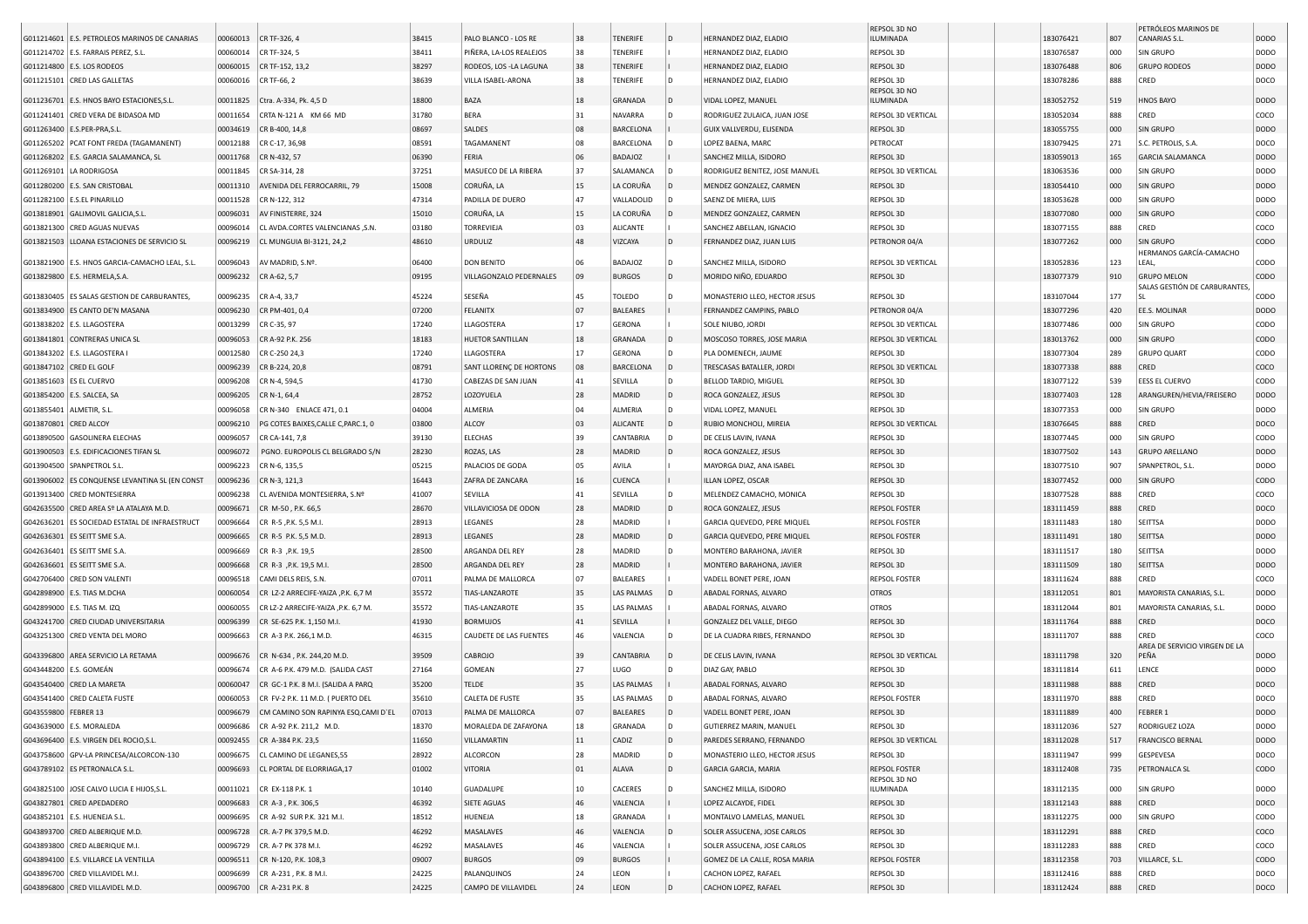|                          | G011214601 E.S. PETROLEOS MARINOS DE CANARIAS                                    | 00060013 | CR TF-326, 4                        | 38415 | PALO BLANCO - LOS RE    | 38     | <b>TENERIFE</b>   |      | HERNANDEZ DIAZ, ELADIO         | REPSOL 3D NO<br>ILUMINADA       | 183076421 | 807 | PETRÓLEOS MARINOS DE<br>CANARIAS S.L. | <b>DODO</b>      |
|--------------------------|----------------------------------------------------------------------------------|----------|-------------------------------------|-------|-------------------------|--------|-------------------|------|--------------------------------|---------------------------------|-----------|-----|---------------------------------------|------------------|
|                          | G011214702 E.S. FARRAIS PEREZ, S.L.                                              | 00060014 | CR TF-324, 5                        | 38411 | PIÑERA, LA-LOS REALEJOS | 38     | <b>TENERIFE</b>   |      | HERNANDEZ DIAZ, ELADIO         | REPSOL 3D                       | 183076587 | 000 | SIN GRUPO                             | <b>DODO</b>      |
|                          | G011214800 E.S. LOS RODEOS                                                       | 00060015 | CR TF-152, 13,2                     | 38297 | RODEOS, LOS -LA LAGUNA  | 38     | <b>TENERIFE</b>   |      | HERNANDEZ DIAZ, ELADIO         | REPSOL 3D                       | 183076488 | 806 | <b>GRUPO RODEOS</b>                   | <b>DODO</b>      |
|                          | G011215101 CRED LAS GALLETAS                                                     | 00060016 | CR TF-66, 2                         | 38639 | VILLA ISABEL-ARONA      | 38     | TENERIFE          |      | HERNANDEZ DIAZ, ELADIO         | REPSOL 3D                       | 183078286 | 888 | CRED                                  | DOCO             |
|                          |                                                                                  |          |                                     |       |                         |        |                   |      |                                | REPSOL 3D NO                    |           |     |                                       |                  |
|                          | G011236701 E.S. HNOS BAYO ESTACIONES, S.L.<br>G011241401 CRED VERA DE BIDASOA MD | 00011825 | Ctra. A-334, Pk. 4,5 D              | 18800 | BAZA                    | 18     | GRANADA           |      | VIDAL LOPEZ, MANUEL            | ILUMINADA<br>REPSOL 3D VERTICAL | 183052752 | 519 | HNOS BAYO                             | <b>DODO</b>      |
|                          |                                                                                  | 00011654 | CRTA N-121 A KM 66 MD               | 31780 | <b>BERA</b>             | 31     | NAVARRA           |      | RODRIGUEZ ZULAICA, JUAN JOSE   |                                 | 183052034 | 888 | CRED                                  | coco             |
|                          | G011263400 E.S.PER-PRA, S.L.                                                     | 00034619 | CR B-400, 14,8                      | 08697 | SALDES                  | 08     | <b>BARCELONA</b>  |      | GUIX VALLVERDU, ELISENDA       | REPSOL 3D                       | 183055755 | 000 | SIN GRUPO                             | <b>DODO</b>      |
|                          | G011265202 PCAT FONT FREDA (TAGAMANENT)                                          | 00012188 | CR C-17, 36,98                      | 08591 | TAGAMANENT              | 08     | BARCELONA         |      | LOPEZ BAENA, MARC              | PETROCAT                        | 183079425 | 271 | S.C. PETROLIS, S.A.                   | DOCO             |
|                          | G011268202 E.S. GARCIA SALAMANCA, SL                                             | 00011768 | CR N-432, 57                        | 06390 | FERIA                   | 06     | BADAJOZ           |      | SANCHEZ MILLA, ISIDORO         | REPSOL 3D                       | 183059013 | 165 | <b>GARCIA SALAMANCA</b>               | <b>DODO</b>      |
|                          | G011269101 LA RODRIGOSA                                                          | 00011845 | CR SA-314, 28                       | 37251 | MASUECO DE LA RIBERA    | 37     | SALAMANCA         |      | RODRIGUEZ BENITEZ, JOSE MANUEL | REPSOL 3D VERTICAL              | 183063536 | 000 | SIN GRUPO                             | DODO             |
|                          | G011280200 E.S. SAN CRISTOBAL                                                    | 00011310 | AVENIDA DEL FERROCARRIL, 79         | 15008 | CORUÑA, LA              | 15     | LA CORUÑA         |      | MENDEZ GONZALEZ, CARMEN        | REPSOL 3D                       | 183054410 | 000 | SIN GRUPO                             | <b>DODO</b>      |
|                          | G011282100   E.S.EL PINARILLO                                                    | 00011528 | CR N-122, 312                       | 47314 | PADILLA DE DUERO        | 47     | VALLADOLID        |      | SAENZ DE MIERA, LUIS           | REPSOL 3D                       | 183053628 | 000 | SIN GRUPO                             | <b>DODO</b>      |
|                          | G013818901 GALIMOVIL GALICIA, S.L.                                               | 00096031 | AV FINISTERRE, 324                  | 15010 | CORUÑA, LA              | 15     | LA CORUÑA         |      | MENDEZ GONZALEZ, CARMEN        | REPSOL 3D                       | 183077080 | 000 | SIN GRUPO                             | CODO             |
|                          | G013821300 CRED AGUAS NUEVAS                                                     | 00096014 | CL AVDA.CORTES VALENCIANAS ,S.N     | 03180 | TORREVIEJA              | 03     | <b>ALICANTE</b>   |      | SANCHEZ ABELLAN, IGNACIO       | REPSOL 3D                       | 183077155 | 888 | CRED                                  | coco             |
|                          | G013821503 LLOANA ESTACIONES DE SERVICIO SL                                      | 00096219 | CL MUNGUIA BI-3121, 24,2            | 48610 | <b>URDULIZ</b>          | 48     | VIZCAYA           |      | FERNANDEZ DIAZ, JUAN LUIS      | PETRONOR 04/A                   | 183077262 | 000 | SIN GRUPO<br>HERMANOS GARCÍA-CAMACHO  | CODO             |
|                          | G013821900 E.S. HNOS GARCIA-CAMACHO LEAL, S.L                                    | 00096043 | AV MADRID, S.Nº.                    | 06400 | <b>DON BENITO</b>       | 06     | <b>BADAJOZ</b>    | I D. | SANCHEZ MILLA, ISIDORO         | REPSOL 3D VERTICAL              | 183052836 | 123 | LEAL,                                 | CODO             |
|                          | G013829800 E.S. HERMELA, S.A.                                                    | 00096232 | CR A-62, 5,7                        | 09195 | VILLAGONZALO PEDERNALES | 09     | <b>BURGOS</b>     | D    | MORIDO NIÑO, EDUARDO           | REPSOL 3D                       | 183077379 | 910 | <b>GRUPO MELON</b>                    | CODO             |
|                          | G013830405 ES SALAS GESTION DE CARBURANTES,                                      | 00096235 | CR A-4, 33,7                        | 45224 | SESEÑA                  | 45     | TOLEDO            |      | MONASTERIO LLEO, HECTOR JESUS  | REPSOL 3D                       | 183107044 | 177 | SALAS GESTIÓN DE CARBURANTES          | CODO             |
|                          | G013834900 ES CANTO DE'N MASANA                                                  | 00096230 | CR PM-401, 0,4                      | 07200 | <b>FELANITX</b>         | 07     | <b>BALEARES</b>   |      | FERNANDEZ CAMPINS, PABLO       | PETRONOR 04/A                   | 183077296 | 420 | EE.S. MOLINAR                         | DOD <sub>O</sub> |
|                          | G013838202 E.S. LLAGOSTERA                                                       | 00013299 | CR C-35, 97                         | 17240 | LLAGOSTERA              | 17     | GERONA            |      | SOLE NIUBO, JORDI              | REPSOL 3D VERTICAL              | 183077486 | 000 | SIN GRUPO                             | CODO             |
|                          | G013841801 CONTRERAS UNICA SL                                                    | 00096053 | CR A-92 P.K. 256                    | 18183 | <b>HUETOR SANTILLAN</b> | 18     | GRANADA           |      | MOSCOSO TORRES, JOSE MARIA     | REPSOL 3D VERTICAL              | 183013762 | 000 | SIN GRUPO                             | CODO             |
|                          | G013843202 E.S. LLAGOSTERA I                                                     | 00012580 | CR C-250 24,3                       | 17240 | LLAGOSTERA              | 17     | <b>GERONA</b>     |      | PLA DOMENECH, JAUME            | REPSOL 3D                       | 183077304 | 289 | <b>GRUPO QUART</b>                    | CODO             |
| G013847102 CRED EL GOLF  |                                                                                  | 00096239 | CR B-224, 20,8                      | 08791 | SANT LLORENC DE HORTONS | 08     | <b>BARCELONA</b>  |      | TRESCASAS BATALLER, JORD       | REPSOL 3D VERTICAL              | 183077338 | 888 | CRED                                  | coco             |
| G013851603 ES EL CUERVO  |                                                                                  | 00096208 | CR N-4, 594,5                       | 41730 | CABEZAS DE SAN JUAN     | 41     | SEVILLA           |      | BELLOD TARDIO, MIGUEL          | REPSOL 3D                       | 183077122 | 539 | EESS EL CUERVO                        | CODO             |
|                          | G013854200   E.S. SALCEA, SA                                                     | 00096205 | CR N-1, 64,4                        | 28752 | LOZOYUELA               | 28     | MADRID            |      | ROCA GONZALEZ, JESUS           | REPSOL 3D                       | 183077403 | 128 | ARANGUREN/HEVIA/FREISERO              | DOD <sub>O</sub> |
| G013855401 ALMETIR, S.L. |                                                                                  | 00096058 | CR N-340 ENLACE 471, 0.1            | 04004 | ALMERIA                 | 04     | ALMERIA           | D    | VIDAL LOPEZ, MANUEL            | REPSOL 3D                       | 183077353 | 000 | SIN GRUPO                             | <b>DODO</b>      |
| G013870801 CRED ALCOY    |                                                                                  | 00096210 | PG COTES BAIXES, CALLE C, PARC.1, 0 | 03800 | ALCOY                   | 03     | <b>ALICANTE</b>   |      | RUBIO MONCHOLI, MIREIA         | REPSOL 3D VERTICAL              | 183076645 | 888 | CRED                                  | DOCO             |
|                          | G013890500 GASOLINERA ELECHAS                                                    | 00096057 | CR CA-141, 7,8                      | 39130 | <b>ELECHAS</b>          | 39     | <b>CANTABRIA</b>  |      | DE CELIS LAVIN, IVANA          | REPSOL 3D                       | 183077445 | 000 | SIN GRUPO                             | CODO             |
|                          | G013900503   E.S. EDIFICACIONES TIFAN SL                                         | 00096072 | PGNO. EUROPOLIS CL BELGRADO S/N     | 28230 | ROZAS, LAS              | 28     | MADRID            |      | ROCA GONZALEZ, JESUS           | REPSOL 3D                       | 183077502 | 143 | <b>GRUPO ARELLANO</b>                 | <b>DODO</b>      |
|                          | G013904500 SPANPETROL S.L                                                        | 00096223 | CR N-6, 135,5                       | 05215 | PALACIOS DE GODA        | 05     | AVILA             |      | MAYORGA DIAZ, ANA ISABEL       | REPSOL 3D                       | 183077510 | 907 | SPANPETROL, S.L.                      | DODO             |
|                          | G013906002 ES CONQUENSE LEVANTINA SL (EN CONST                                   | 00096236 | CR N-3, 121,3                       | 16443 | ZAFRA DE ZANCARA        | 16     | <b>CUENCA</b>     |      | ILLAN LOPEZ, OSCAR             | REPSOL 3D                       | 183077452 | 000 | <b>SIN GRUPO</b>                      | CODO             |
|                          | G013913400 CRED MONTESIERRA                                                      | 00096238 | CL AVENIDA MONTESIERRA, S.Nº        | 41007 | SEVILLA                 | 41     | SEVILLA           |      | MELENDEZ CAMACHO, MONICA       | REPSOL 3D                       | 183077528 | 888 | CRED                                  | coco             |
|                          | G042635500 CRED AREA Sº LA ATALAYA M.D.                                          | 00096671 | CR M-50, P.K. 66,5                  | 28670 | VILLAVICIOSA DE ODON    | 28     | MADRID            |      | ROCA GONZALEZ, JESUS           | <b>REPSOL FOSTER</b>            | 183111459 | 888 | CRED                                  | DOCO             |
|                          | G042636201 ES SOCIEDAD ESTATAL DE INFRAESTRUCT                                   | 00096664 | CR R-5, P.K. 5,5 M.I.               | 28913 | LEGANES                 | 28     | MADRID            |      | GARCIA QUEVEDO, PERE MIQUEL    | <b>REPSOL FOSTER</b>            | 183111483 | 180 | <b>SEITTSA</b>                        | DODO             |
|                          | G042636301 ES SEITT SME S.A                                                      | 00096665 | CR R-5 P.K. 5,5 M.D.                | 28913 | LEGANES                 | 28     | <b>MADRID</b>     |      | GARCIA QUEVEDO, PERE MIQUEL    | <b>REPSOL FOSTER</b>            | 183111491 | 180 | <b>SEITTSA</b>                        | <b>DODO</b>      |
|                          | G042636401   ES SEITT SME S.A.                                                   | 00096669 | CR R-3, P.K. 19,5                   | 28500 | ARGANDA DEL REY         | 28     | MADRID            |      | MONTERO BARAHONA, JAVIER       | REPSOL 3D                       | 183111517 | 180 | <b>SEITTSA</b>                        | <b>DODO</b>      |
|                          | G042636601 ES SEITT SME S.A                                                      | 00096668 | CR R-3 , P.K. 19,5 M.I.             | 28500 | ARGANDA DEL REY         | 28     | MADRID            |      | MONTERO BARAHONA, JAVIER       | REPSOL 3D                       | 183111509 | 180 | <b>SEITTSA</b>                        | <b>DODO</b>      |
|                          | G042706400 CRED SON VALENTI                                                      | 00096518 | CAMI DELS REIS, S.N.                | 07011 | PALMA DE MALLORCA       | 07     | <b>BALEARES</b>   |      | VADELL BONET PERE, JOAN        | <b>REPSOL FOSTER</b>            | 183111624 | 888 | CRED                                  | coco             |
|                          | G042898900   E.S. TIAS M.DCHA                                                    | 00060054 | CR LZ-2 ARRECIFE-YAIZA , P.K. 6,7 M | 35572 | TIAS-LANZAROTE          | 35     | <b>LAS PALMAS</b> |      | ABADAL FORNAS, ALVARO          | <b>OTROS</b>                    | 183112051 | 801 | MAYORISTA CANARIAS, S.L.              | <b>DODO</b>      |
|                          | G042899000   E.S. TIAS M. IZQ                                                    | 00060055 | CR LZ-2 ARRECIFE-YAIZA, P.K. 6,7 M. | 35572 | TIAS-LANZAROTE          | 35     | <b>LAS PALMAS</b> |      | ABADAL FORNAS, ALVARO          | <b>OTROS</b>                    | 183112044 | 801 | MAYORISTA CANARIAS, S.L               | DODO             |
|                          | G043241700 CRED CIUDAD UNIVERSITARIA                                             | 00096399 | CR SE-625 P.K. 1,150 M.I            | 41930 | <b>BORMUJOS</b>         | 41     | SEVILLA           |      | GONZALEZ DEL VALLE, DIEGO      | REPSOL 3D                       | 183111764 | 888 | CRED                                  | DOCO             |
|                          | G043251300 CRED VENTA DEL MORO                                                   | 00096663 | CR A-3 P.K. 266.1 M.D.              | 46315 | CAUDETE DE LAS FUENTES  | 46     | VALENCIA          |      | DE LA CUADRA RIBES, FERNANDO   | REPSOL 3D                       | 183111707 | 888 | CRED                                  | COCO             |
|                          |                                                                                  |          |                                     |       |                         |        |                   |      |                                |                                 |           |     | AREA DE SERVICIO VIRGEN DE LA         |                  |
|                          | G043396800 AREA SERVICIO LA RETAMA                                               | 00096676 | CR N-634, P.K. 244,20 M.D.          | 39509 | CABROJO                 | 39     | <b>CANTABRIA</b>  |      | DE CELIS LAVIN, IVANA          | REPSOL 3D VERTICAL              | 183111798 | 320 | PEÑA                                  | <b>DODO</b>      |
| G043448200   E.S. GOMEÁN |                                                                                  | 00096674 | CR A-6 P.K. 479 M.D. (SALIDA CAST   | 27164 | GOMEAN                  | 27     | LUGO              |      | DIAZ GAY, PABLO                | REPSOL 3D                       | 183111814 | 611 | LENCE                                 | <b>DODO</b>      |
|                          | G043540400 CRED LA MARETA                                                        | 00060047 | CR GC-1 P.K. 8 M.I. (SALIDA A PARQ  | 35200 | <b>TELDE</b>            | 35     | <b>LAS PALMAS</b> |      | ABADAL FORNAS, ALVARO          | REPSOL 3D                       | 183111988 | 888 | CRED                                  | DOCO             |
|                          | G043541400 CRED CALETA FUSTE                                                     | 00060053 | CR FV-2 P.K. 11 M.D. ( PUERTO DEL   | 35610 | <b>CALETA DE FUSTE</b>  | 35     | <b>LAS PALMAS</b> |      | ABADAL FORNAS, ALVARO          | <b>REPSOL FOSTER</b>            | 183111970 | 888 | CRED                                  | DOCO             |
| G043559800 FEBRER 13     |                                                                                  | 00096679 | CM CAMINO SON RAPINYA ESO.CAMI D'EL | 07013 | PALMA DE MALLORCA       | 07     | <b>BALEARES</b>   |      | VADELL BONET PERE, JOAN        | REPSOL 3D                       | 183111889 | 400 | FEBRER                                | <b>DODO</b>      |
|                          | G043639000 E.S. MORALEDA                                                         | 00096686 | CR A-92 P.K. 211,2 M.D.             | 18370 | MORALEDA DE ZAFAYONA    | 18     | GRANADA           | ID.  | GUTIERREZ MARIN, MANUEL        | REPSOL 3D                       | 183112036 | 527 | RODRIGUEZ LOZA                        | <b>DODO</b>      |
|                          | G043696400 E.S. VIRGEN DEL ROCIO, S.L.                                           | 00092455 | CR A-384 P.K. 23,5                  | 11650 | VILLAMARTIN             | 11     | CADIZ             | D    | PAREDES SERRANO, FERNANDO      | REPSOL 3D VERTICAL              | 183112028 | 517 | <b>FRANCISCO BERNAL</b>               | DODO             |
|                          | G043758600 GPV-LA PRINCESA/ALCORCON-130                                          | 00096675 | CL CAMINO DE LEGANES,55             | 28922 | ALCORCON                | 28     | MADRID            |      | MONASTERIO LLEO, HECTOR JESUS  | REPSOL 3D                       | 183111947 | 999 | GESPEVESA                             | DOCO             |
|                          | G043789102 ES PETRONALCA S.L.                                                    | 00096693 | CL PORTAL DE ELORRIAGA,17           | 01002 | VITORIA                 | 01     | ALAVA             | D    | GARCIA GARCIA, MARIA           | <b>REPSOL FOSTER</b>            | 183112408 | 735 | PETRONALCA SL                         | CODO             |
|                          | G043825100 JOSE CALVO LUCIA E HIJOS, S.L.                                        | 00011021 | CR EX-118 P.K. 1                    | 10140 | <b>GUADALUPE</b>        | $10\,$ | CACERES           |      | SANCHEZ MILLA, ISIDORO         | REPSOL 3D NO<br>ILUMINADA       | 183112135 | 000 | SIN GRUPO                             | <b>DODO</b>      |
|                          | G043827801 CRED APEDADERO                                                        | 00096683 | CR A-3, P.K. 306,5                  | 46392 | SIETE AGUAS             | 46     | VALENCIA          |      | LOPEZ ALCAYDE, FIDEL           | REPSOL 3D                       | 183112143 | 888 | CRED                                  | DOCO             |
|                          | G043852101   E.S. HUENEJA S.L.                                                   | 00096695 | CR A-92 SUR P.K. 321 M.I.           | 18512 | HUENEJA                 | 18     | <b>GRANADA</b>    |      | MONTALVO LAMELAS, MANUEL       | REPSOL 3D                       | 183112275 | 000 | SIN GRUPO                             | CODO             |
|                          | G043893700 CRED ALBERIQUE M.D.                                                   | 00096728 | CR. A-7 PK 379,5 M.D.               | 46292 | MASALAVES               | 46     | VALENCIA          |      | SOLER ASSUCENA, JOSE CARLOS    | REPSOL 3D                       | 183112291 | 888 | CRED                                  | COCO             |
|                          | G043893800 CRED ALBERIQUE M.I.                                                   | 00096729 | CR. A-7 PK 378 M.I.                 | 46292 | MASALAVES               | 46     | VALENCIA          |      | SOLER ASSUCENA, JOSE CARLOS    | REPSOL 3D                       | 183112283 | 888 | CRED                                  | coco             |
|                          | G043894100 E.S. VILLARCE LA VENTILLA                                             | 00096511 | CR N-120, P.K. 108,3                | 09007 | <b>BURGOS</b>           | 09     | <b>BURGOS</b>     |      | GOMEZ DE LA CALLE, ROSA MARIA  | <b>REPSOL FOSTER</b>            | 183112358 | 703 | VILLARCE, S.L.                        | CODO             |
|                          | G043896700 CRED VILLAVIDEL M.I.                                                  | 00096699 | CR A-231, P.K. 8 M.I.               | 24225 | PALANQUINOS             | 24     | LEON              |      | CACHON LOPEZ, RAFAEL           | REPSOL 3D                       | 183112416 | 888 | CRED                                  | DOCO             |
|                          | G043896800 CRED VILLAVIDEL M.D.                                                  |          | 00096700 CR A-231 P.K. 8            | 24225 | CAMPO DE VILLAVIDEL     | 24     | LEON              |      | CACHON LOPEZ, RAFAEL           | REPSOL 3D                       | 183112424 | 888 | CRED                                  | DOCO             |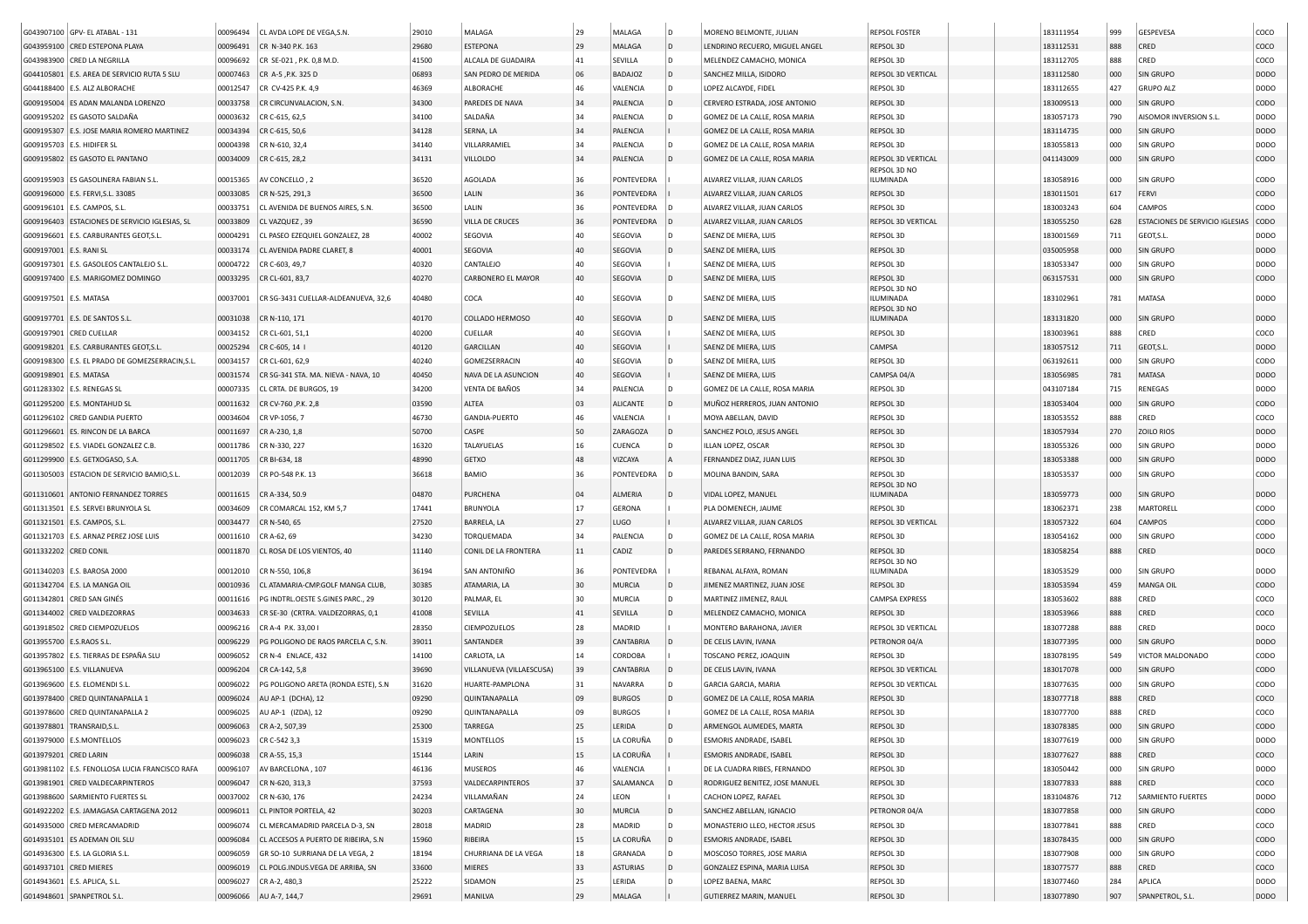|                          | G043907100 GPV- EL ATABAL - 131                  | 00096494 | CL AVDA LOPE DE VEGA, S.N.           | 29010 | MALAGA                   | 29 | MALAGA         | ID.          | MORENO BELMONTE, JULIAN        | <b>REPSOL FOSTER</b>      | 183111954 | 999 | GESPEVESA                       | coco             |
|--------------------------|--------------------------------------------------|----------|--------------------------------------|-------|--------------------------|----|----------------|--------------|--------------------------------|---------------------------|-----------|-----|---------------------------------|------------------|
|                          | G043959100 CRED ESTEPONA PLAYA                   | 00096491 | CR N-340 P.K. 163                    | 29680 | <b>ESTEPONA</b>          | 29 | MALAGA         | D            | LENDRINO RECUERO, MIGUEL ANGEL | REPSOL 3D                 | 183112531 | 888 | CRED                            | coco             |
|                          |                                                  |          |                                      |       |                          |    |                |              |                                |                           |           |     |                                 |                  |
|                          | G043983900 CRED LA NEGRILLA                      | 00096692 | CR SE-021, P.K. 0,8 M.D.             | 41500 | ALCALA DE GUADAIRA       | 41 | SEVILLA        |              | MELENDEZ CAMACHO, MONICA       | REPSOL 3D                 | 183112705 | 888 | CRED                            | coco             |
|                          | G044105801 E.S. AREA DE SERVICIO RUTA 5 SLU      | 00007463 | CR A-5, P.K. 325 D                   | 06893 | SAN PEDRO DE MERIDA      | 06 | <b>BADAJOZ</b> | ID.          | SANCHEZ MILLA, ISIDORO         | REPSOL 3D VERTICAL        | 183112580 | 000 | SIN GRUPO                       | <b>DODO</b>      |
|                          | G044188400   E.S. ALZ ALBORACHE                  | 00012547 | CR CV-425 P.K. 4,9                   | 46369 | ALBORACHE                | 46 | VALENCIA       | ID.          | LOPEZ ALCAYDE, FIDEL           | REPSOL 3D                 | 183112655 | 427 | <b>GRUPO ALZ</b>                | <b>DODO</b>      |
|                          | G009195004 ES ADAN MALANDA LORENZO               | 00033758 | CR CIRCUNVALACION, S.N.              | 34300 | PAREDES DE NAVA          | 34 | PALENCIA       | ID.          | CERVERO ESTRADA, JOSE ANTONIO  | REPSOL 3D                 | 183009513 | 000 | SIN GRUPO                       | CODO             |
|                          | G009195202 ES GASOTO SALDAÑA                     | 00003632 | CR C-615, 62,5                       | 34100 | SALDAÑA                  | 34 | PALENCIA       | l D          | GOMEZ DE LA CALLE, ROSA MARIA  | REPSOL 3D                 | 183057173 | 790 | AISOMOR INVERSION S.L.          | <b>DODO</b>      |
|                          | G009195307 E.S. JOSE MARIA ROMERO MARTINEZ       | 00034394 | CR C-615, 50,6                       | 34128 | SERNA, LA                | 34 | PALENCIA       |              | GOMEZ DE LA CALLE, ROSA MARIA  | REPSOL 3D                 | 183114735 | 000 | SIN GRUPO                       | <b>DODO</b>      |
|                          | G009195703 E.S. HIDIFER SL                       | 00004398 | CR N-610, 32,4                       | 34140 | VILLARRAMIEL             | 34 | PALENCIA       | l D          | GOMEZ DE LA CALLE, ROSA MARIA  | REPSOL 3D                 | 183055813 | 000 | SIN GRUPO                       | <b>DODO</b>      |
|                          | G009195802 ES GASOTO EL PANTANO                  | 00034009 | CR C-615, 28,2                       | 34131 | <b>VILLOLDO</b>          | 34 | PALENCIA       | $\mathsf{D}$ | GOMEZ DE LA CALLE, ROSA MARIA  | REPSOL 3D VERTICAL        | 041143009 | 000 | SIN GRUPO                       | CODO             |
|                          | G009195903 ES GASOLINERA FABIAN S.L              | 00015365 | AV CONCELLO, 2                       | 36520 | AGOLADA                  | 36 | PONTEVEDRA     |              | ALVAREZ VILLAR, JUAN CARLOS    | REPSOL 3D NO<br>ILUMINADA | 183058916 | 000 | SIN GRUPO                       | CODO             |
|                          | G009196000 E.S. FERVI, S.L. 33085                | 00033085 | CR N-525, 291,3                      | 36500 | LALIN                    | 36 | PONTEVEDRA     |              | ALVAREZ VILLAR, JUAN CARLOS    | REPSOL 3D                 | 183011501 | 617 | FERVI                           | <b>CODO</b>      |
|                          | G009196101   E.S. CAMPOS, S.L.                   | 00033751 | CL AVENIDA DE BUENOS AIRES, S.N.     | 36500 | LALIN                    | 36 | PONTEVEDRA     |              | ALVAREZ VILLAR, JUAN CARLOS    | REPSOL 3D                 | 183003243 | 604 | CAMPOS                          | CODO             |
|                          | G009196403 ESTACIONES DE SERVICIO IGLESIAS, SL   | 00033809 |                                      | 36590 | <b>VILLA DE CRUCES</b>   | 36 | PONTEVEDRA     |              |                                |                           |           |     | ESTACIONES DE SERVICIO IGLESIAS | <b>CODO</b>      |
|                          |                                                  |          | CL VAZQUEZ, 39                       |       |                          |    |                |              | ALVAREZ VILLAR, JUAN CARLOS    | REPSOL 3D VERTICAL        | 183055250 | 628 |                                 |                  |
|                          | G009196601 E.S. CARBURANTES GEOT, S.L            | 00004291 | CL PASEO EZEQUIEL GONZALEZ, 28       | 40002 | SEGOVIA                  | 40 | SEGOVIA        |              | SAENZ DE MIERA, LUIS           | REPSOL 3D                 | 183001569 | 711 | GEOT, S.L.                      | <b>DODO</b>      |
| G009197001 E.S. RANI SL  |                                                  | 00033174 | CL AVENIDA PADRE CLARET, 8           | 40001 | SEGOVIA                  | 40 | <b>SEGOVIA</b> | $\mathsf{D}$ | SAENZ DE MIERA, LUIS           | REPSOL 3D                 | 035005958 | 000 | SIN GRUPO                       | <b>DODO</b>      |
|                          | G009197301 E.S. GASOLEOS CANTALEJO S.L.          | 00004722 | CR C-603, 49,7                       | 40320 | CANTALEJO                | 40 | SEGOVIA        |              | SAENZ DE MIERA, LUIS           | REPSOL 3D                 | 183053347 | 000 | SIN GRUPO                       | <b>DODO</b>      |
|                          | G009197400 E.S. MARIGOMEZ DOMINGO                | 00033295 | CR CL-601, 83,7                      | 40270 | CARBONERO EL MAYOR       | 40 | <b>SEGOVIA</b> | ID.          | SAENZ DE MIERA, LUIS           | REPSOL 3D                 | 063157531 | 000 | SIN GRUPO                       | <b>CODO</b>      |
| G009197501   E.S. MATASA |                                                  | 00037001 | CR SG-3431 CUELLAR-ALDEANUEVA, 32,6  | 40480 | COCA                     | 40 | SEGOVIA        | l D          | SAENZ DE MIERA, LUIS           | REPSOL 3D NO<br>ILUMINADA | 183102961 | 781 | MATASA                          | <b>DODO</b>      |
|                          |                                                  |          |                                      |       |                          |    |                |              |                                | REPSOL 3D NO              |           |     |                                 |                  |
|                          | G009197701 E.S. DE SANTOS S.L                    | 00031038 | CR N-110, 171                        | 40170 | <b>COLLADO HERMOSO</b>   | 40 | <b>SEGOVIA</b> | l D          | SAENZ DE MIERA, LUIS           | ILUMINADA                 | 183131820 | 000 | <b>SIN GRUPO</b>                | <b>DODO</b>      |
|                          | G009197901 CRED CUELLAR                          | 00034152 | CR CL-601, 51,1                      | 40200 | CUELLAR                  | 40 | SEGOVIA        |              | SAENZ DE MIERA, LUIS           | REPSOL 3D                 | 183003961 | 888 | CRED                            | coco             |
|                          | G009198201 E.S. CARBURANTES GEOT, S.L            | 00025294 | CR C-605, 14                         | 40120 | <b>GARCILLAN</b>         | 40 | SEGOVIA        |              | SAENZ DE MIERA, LUIS           | CAMPSA                    | 183057512 | 711 | GEOT, S.L.                      | <b>DODO</b>      |
|                          | G009198300   E.S. EL PRADO DE GOMEZSERRACIN, S.L | 00034157 | CR CL-601, 62,9                      | 40240 | GOMEZSERRACIN            | 40 | SEGOVIA        |              | SAENZ DE MIERA, LUIS           | REPSOL 3D                 | 063192611 | 000 | SIN GRUPO                       | CODO             |
| G009198901 E.S. MATASA   |                                                  | 00031574 | CR SG-341 STA. MA. NIEVA - NAVA, 10  | 40450 | NAVA DE LA ASUNCION      | 40 | SEGOVIA        |              | SAENZ DE MIERA, LUIS           | CAMPSA 04/A               | 183056985 | 781 | MATASA                          | <b>DODO</b>      |
|                          | G011283302 E.S. RENEGAS SL                       | 00007335 | CL CRTA. DE BURGOS, 19               | 34200 | VENTA DE BAÑOS           | 34 | PALENCIA       | l D          | GOMEZ DE LA CALLE, ROSA MARIA  | REPSOL 3D                 | 043107184 | 715 | RENEGAS                         | <b>DODO</b>      |
|                          | G011295200 E.S. MONTAHUD SL                      | 00011632 | CR CV-760, P.K. 2,8                  | 03590 | ALTEA                    | 03 | ALICANTE       | ID.          | MUÑOZ HERREROS, JUAN ANTONIO   | REPSOL 3D                 | 183053404 | 000 | SIN GRUPO                       | CODO             |
|                          | G011296102 CRED GANDIA PUERTO                    | 00034604 | CR VP-1056, 7                        | 46730 | <b>GANDIA-PUERTO</b>     | 46 | VALENCIA       |              | MOYA ABELLAN, DAVID            | REPSOL 3D                 | 183053552 | 888 | CRED                            | coco             |
|                          | G011296601 ES. RINCON DE LA BARCA                | 00011697 | CR A-230, 1,8                        | 50700 | CASPE                    | 50 | ZARAGOZA       |              | SANCHEZ POLO, JESUS ANGEL      | REPSOL 3D                 | 183057934 | 270 | ZOILO RIOS                      | <b>DODO</b>      |
|                          | G011298502 E.S. VIADEL GONZALEZ C.B              | 00011786 | CR N-330, 227                        | 16320 | TALAYUELAS               | 16 | CUENCA         |              | ILLAN LOPEZ, OSCAR             | REPSOL 3D                 | 183055326 | 000 | SIN GRUPO                       | <b>DODO</b>      |
|                          | G011299900 E.S. GETXOGASO, S.A.                  | 00011705 | CR BI-634, 18                        | 48990 | <b>GETXO</b>             | 48 | VIZCAYA        |              | FERNANDEZ DIAZ, JUAN LUIS      | REPSOL 3D                 | 183053388 | 000 | SIN GRUPO                       | <b>DODO</b>      |
|                          | G011305003 ESTACION DE SERVICIO BAMIO, S.L.      | 00012039 | CR PO-548 P.K. 13                    | 36618 | BAMIO                    | 36 | PONTEVEDRA     |              | MOLINA BANDIN, SARA            | REPSOL 3D                 | 183053537 | 000 | SIN GRUPO                       | CODO             |
|                          |                                                  |          |                                      |       |                          |    |                |              |                                | REPSOL 3D NO              |           |     |                                 |                  |
|                          | G011310601 ANTONIO FERNANDEZ TORRES              | 00011615 | CR A-334, 50.9                       | 04870 | PURCHENA                 | 04 | ALMERIA        | $\mathsf{D}$ | VIDAL LOPEZ, MANUEL            | ILUMINADA                 | 183059773 | 000 | SIN GRUPO                       | <b>DODO</b>      |
|                          | G011313501 E.S. SERVEI BRUNYOLA SL               | 00034609 | CR COMARCAL 152, KM 5,7              | 17441 | BRUNYOLA                 | 17 | <b>GERONA</b>  |              | PLA DOMENECH, JAUME            | REPSOL 3D                 | 183062371 | 238 | MARTORELL                       | CODO             |
|                          | G011321501 E.S. CAMPOS, S.L.                     | 00034477 | CR N-540, 65                         | 27520 | BARRELA, LA              | 27 | LUGO           |              | ALVAREZ VILLAR, JUAN CARLOS    | REPSOL 3D VERTICAL        | 183057322 | 604 | CAMPOS                          | CODO             |
|                          | G011321703 E.S. ARNAZ PEREZ JOSE LUIS            | 00011610 | CR A-62, 69                          | 34230 | TORQUEMADA               | 34 | PALENCIA       | l D          | GOMEZ DE LA CALLE, ROSA MARIA  | REPSOL 3D                 | 183054162 | 000 | SIN GRUPO                       | copo             |
| G011332202 CRED CONIL    |                                                  | 00011870 | CL ROSA DE LOS VIENTOS, 40           | 11140 | CONIL DE LA FRONTERA     | 11 | CADIZ          | l D          | PAREDES SERRANO, FERNANDO      | REPSOL 3D                 | 183058254 | 888 | CRED                            | DOCO             |
|                          |                                                  |          |                                      |       |                          |    |                |              |                                | REPSOL 3D NO              |           |     |                                 |                  |
|                          | G011340203   E.S. BAROSA 2000                    | 00012010 | CR N-550, 106,8                      | 36194 | SAN ANTONIÑO             | 36 | PONTEVEDRA     |              | REBANAL ALFAYA, ROMAN          | ILUMINADA                 | 183053529 | 000 | SIN GRUPO                       | <b>DODO</b>      |
|                          | G011342704 E.S. LA MANGA OIL                     | 00010936 | CL ATAMARIA-CMP.GOLF MANGA CLUB,     | 30385 | ATAMARIA, LA             | 30 | MURCIA         | D            | JIMENEZ MARTINEZ, JUAN JOSE    | REPSOL 3D                 | 183053594 | 459 | MANGA OIL                       | CODO             |
|                          | G011342801 CRED SAN GINÉS                        | 00011616 | PG INDTRL.OESTE S.GINES PARC., 29    | 30120 | PALMAR, EL               | 30 | <b>MURCIA</b>  |              | MARTINEZ JIMENEZ, RAUL         | <b>CAMPSA EXPRESS</b>     | 183053602 | 888 | CRED                            | coco             |
|                          | G011344002 CRED VALDEZORRAS                      | 00034633 | CR SE-30 (CRTRA. VALDEZORRAS, 0,1    | 41008 | SEVILLA                  | 41 | SEVILLA        | ID.          | MELENDEZ CAMACHO, MONICA       | REPSOL 3D                 | 183053966 | 888 | CRED                            | coco             |
|                          | G013918502 CRED CIEMPOZUELOS                     | 00096216 | CR A-4 P.K. 33,00 I                  | 28350 | CIEMPOZUELOS             | 28 | <b>MADRID</b>  |              | MONTERO BARAHONA, JAVIER       | REPSOL 3D VERTICAL        | 183077288 | 888 | CRED                            | DOCO             |
| G013955700 E.S.RAOS S.L. |                                                  | 00096229 | PG POLIGONO DE RAOS PARCELA C, S.N.  | 39011 | SANTANDER                | 39 | CANTABRIA      |              | DE CELIS LAVIN, IVANA          | PETRONOR 04/A             | 183077395 | 000 | SIN GRUPO                       | DOD <sub>O</sub> |
|                          | G013957802 E.S. TIERRAS DE ESPAÑA SLU            | 00096052 | CR N-4 ENLACE, 432                   | 14100 | CARLOTA, LA              | 14 | CORDOBA        |              | TOSCANO PEREZ, JOAQUIN         | REPSOL 3D                 | 183078195 | 549 | VICTOR MALDONADO                | CODO             |
|                          | G013965100 E.S. VILLANUEVA                       | 00096204 | CR CA-142, 5,8                       | 39690 | VILLANUEVA (VILLAESCUSA) | 39 | CANTABRIA      |              | DE CELIS LAVIN, IVANA          | REPSOL 3D VERTICAL        | 183017078 | 000 | SIN GRUPO                       | <b>CODO</b>      |
|                          | G013969600 E.S. ELOMENDI S.L                     | 00096022 | PG POLIGONO ARETA (RONDA ESTE), S.N  | 31620 | HUARTE-PAMPLONA          | 31 | NAVARRA        |              | GARCIA GARCIA, MARIA           | REPSOL 3D VERTICAL        | 183077635 | 000 | SIN GRUPO                       | CODO             |
|                          | G013978400 CRED QUINTANAPALLA 1                  | 00096024 | AU AP-1 (DCHA), 12                   | 09290 | QUINTANAPALLA            | 09 | <b>BURGOS</b>  | ۱D           | GOMEZ DE LA CALLE, ROSA MARIA  | REPSOL 3D                 | 183077718 | 888 | CRED                            | coco             |
|                          | G013978600 CRED QUINTANAPALLA 2                  | 00096025 | AU AP-1 (IZDA), 12                   | 09290 | QUINTANAPALLA            | 09 | <b>BURGOS</b>  |              | GOMEZ DE LA CALLE, ROSA MARIA  | REPSOL 3D                 | 183077700 | 888 | CRED                            | coco             |
|                          | G013978801 TRANSRAID, S.L.                       |          | 00096063   CR A-2, 507,39            | 25300 | <b>TARREGA</b>           | 25 | LERIDA         | D            | ARMENGOL AUMEDES, MARTA        | REPSOL 3D                 | 183078385 | 000 | <b>SIN GRUPO</b>                | CODO             |
|                          | G013979000 E.S.MONTELLOS                         | 00096023 | CR C-542 3,3                         | 15319 | MONTELLOS                | 15 | LA CORUÑA      |              | ESMORIS ANDRADE, ISABEL        | REPSOL 3D                 | 183077619 | 000 | SIN GRUPO                       | <b>DODO</b>      |
| G013979201 CRED LARIN    |                                                  | 00096038 | CR A-55, 15,3                        | 15144 | LARIN                    | 15 | LA CORUÑA      |              | ESMORIS ANDRADE, ISABEL        | REPSOL 3D                 | 183077627 | 888 | CRED                            | coco             |
|                          | G013981102 E.S. FENOLLOSA LUCIA FRANCISCO RAFA   | 00096107 | AV BARCELONA, 107                    | 46136 | <b>MUSEROS</b>           | 46 | VALENCIA       |              | DE LA CUADRA RIBES, FERNANDO   | REPSOL 3D                 | 183050442 | 000 | SIN GRUPO                       | <b>DODO</b>      |
|                          | G013981901 CRED VALDECARPINTEROS                 | 00096047 | CR N-620, 313,3                      | 37593 | VALDECARPINTEROS         | 37 | SALAMANCA      |              | RODRIGUEZ BENITEZ, JOSE MANUEL | REPSOL 3D                 | 183077833 | 888 | CRED                            | COCO             |
|                          | G013988600 SARMIENTO FUERTES SL                  | 00037002 | CR N-630, 176                        | 24234 | VILLAMAÑAN               | 24 | LEON           |              | CACHON LOPEZ, RAFAEL           | REPSOL 3D                 | 183104876 |     | SARMIENTO FUERTES               | <b>DODO</b>      |
|                          |                                                  |          |                                      |       | CARTAGENA                | 30 |                |              | SANCHEZ ABELLAN, IGNACIO       |                           |           | 712 |                                 |                  |
|                          | G014922202 E.S. JAMAGASA CARTAGENA 2012          | 00096011 | CL PINTOR PORTELA, 42                | 30203 |                          |    | MURCIA         | $\mathsf{D}$ |                                | PETRONOR 04/A             | 183077858 | 000 | <b>SIN GRUPO</b>                | CODO             |
|                          | G014935000 CRED MERCAMADRID                      | 00096074 | CL MERCAMADRID PARCELA D-3, SN       | 28018 | MADRID                   | 28 | MADRID         | l D          | MONASTERIO LLEO, HECTOR JESUS  | REPSOL 3D                 | 183077841 | 888 | CRED                            | COCO             |
|                          | G014935101 ES ADEMAN OIL SLU                     | 00096084 | CL ACCESOS A PUERTO DE RIBEIRA, S.N. | 15960 | RIBEIRA                  | 15 | LA CORUÑA      | $\mathsf{D}$ | ESMORIS ANDRADE, ISABEL        | REPSOL 3D                 | 183078435 | 000 | SIN GRUPO                       | <b>CODO</b>      |
|                          | G014936300 E.S. LA GLORIA S.L.                   | 00096059 | GR SO-10 SURRIANA DE LA VEGA, 2      | 18194 | CHURRIANA DE LA VEGA     | 18 | GRANADA        | ID.          | MOSCOSO TORRES, JOSE MARIA     | REPSOL 3D                 | 183077908 | 000 | SIN GRUPO                       | CODO             |
| G014937101 CRED MIERES   |                                                  | 00096019 | CL POLG.INDUS.VEGA DE ARRIBA, SN     | 33600 | <b>MIERES</b>            | 33 | ASTURIAS       | $\mathsf{D}$ | GONZALEZ ESPINA, MARIA LUISA   | REPSOL 3D                 | 183077577 | 888 | CRED                            | coco             |
|                          | G014943601   E.S. APLICA, S.L.                   | 00096027 | CR A-2, 480,3                        | 25222 | SIDAMON                  | 25 | LERIDA         | l D          | LOPEZ BAENA, MARC              | REPSOL 3D                 | 183077460 | 284 | APLICA                          | <b>DODO</b>      |
|                          | G014948601 SPANPETROL S.L                        |          | 00096066 AU A-7, 144,7               | 29691 | MANILVA                  | 29 | MALAGA         |              | <b>GUTIERREZ MARIN, MANUEL</b> | REPSOL 3D                 | 183077890 | 907 | SPANPETROL, S.L.                | DODO             |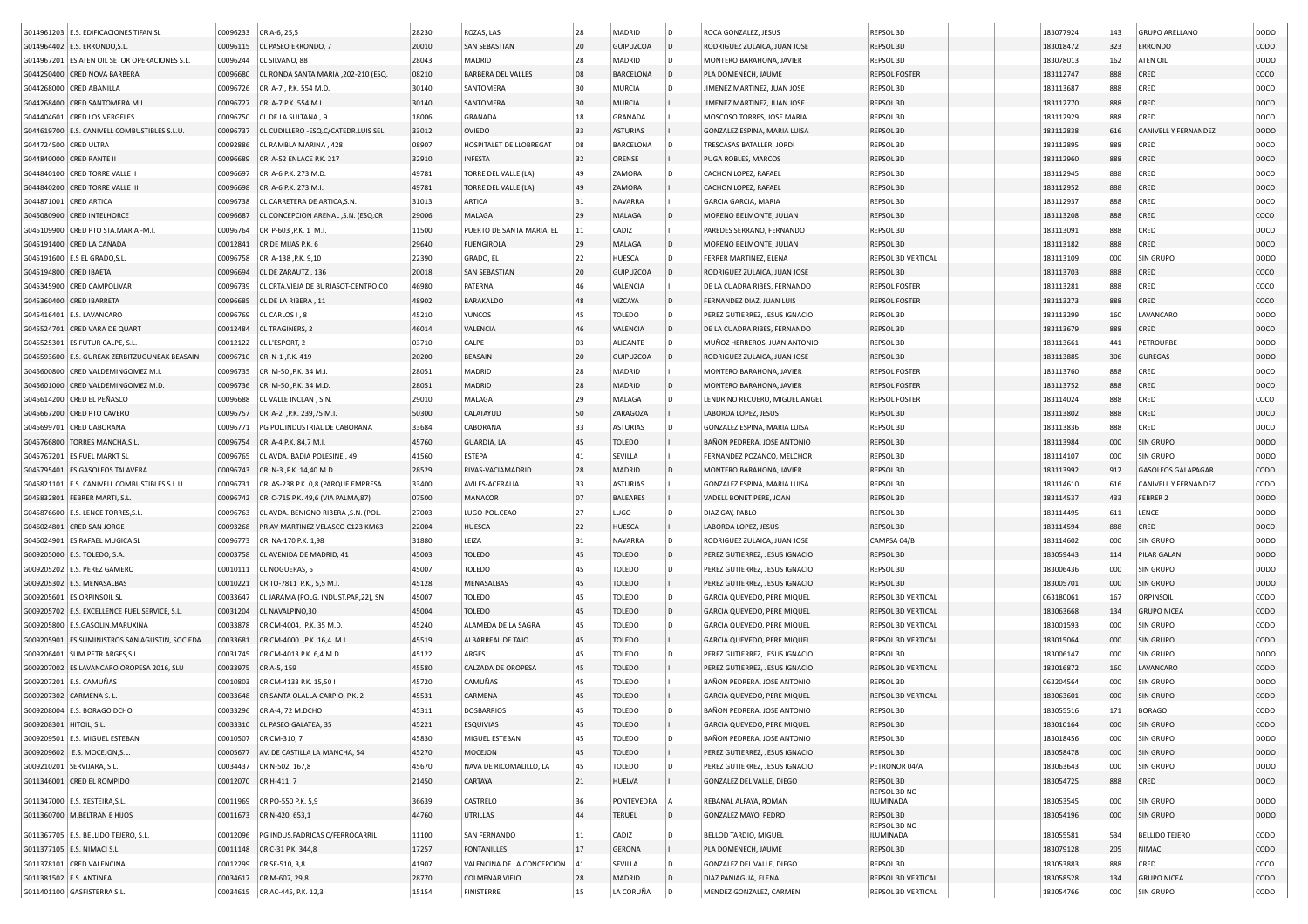|                         | G014961203 E.S. EDIFICACIONES TIFAN SL          | 00096233 | CR A-6, 25,5                                    | 28230          | ROZAS, LAS                                 | 28       | MADRID              | l D          | ROCA GONZALEZ, JESUS                            | REPSOL 3D                                | 183077924              | 143        | <b>GRUPO ARELLANO</b>           | DODO                       |
|-------------------------|-------------------------------------------------|----------|-------------------------------------------------|----------------|--------------------------------------------|----------|---------------------|--------------|-------------------------------------------------|------------------------------------------|------------------------|------------|---------------------------------|----------------------------|
|                         |                                                 | 00096115 | CL PASEO ERRONDO, 7                             | 20010          | <b>SAN SEBASTIAN</b>                       |          | <b>GUIPUZCOA</b>    |              |                                                 | REPSOL 3D                                |                        | 323        | <b>ERRONDO</b>                  | CODO                       |
|                         | G014964402   E.S. ERRONDO,S.L                   |          |                                                 |                |                                            | 20       |                     | D            | RODRIGUEZ ZULAICA, JUAN JOSE                    |                                          | 183018472              |            |                                 |                            |
|                         | G014967201 ES ATEN OIL SETOR OPERACIONES S.L.   | 00096244 | CL SILVANO, 88                                  | 28043          | MADRID                                     | 28       | MADRID              |              | MONTERO BARAHONA, JAVIER                        | REPSOL 3D                                | 183078013              | 162        | ATEN OIL                        | DODO                       |
|                         | G044250400 CRED NOVA BARBERA                    | 00096680 | CL RONDA SANTA MARIA , 202-210 (ESQ.            | 08210          | <b>BARBERA DEL VALLES</b>                  | 08       | <b>BARCELONA</b>    | D            | PLA DOMENECH, JAUME                             | <b>REPSOL FOSTER</b>                     | 183112747              | 888        | CRED                            | coco                       |
|                         | G044268000 CRED ABANILLA                        | 00096726 | CR A-7, P.K. 554 M.D.                           | 30140          | SANTOMERA                                  | 30       | <b>MURCIA</b>       |              | JIMENEZ MARTINEZ, JUAN JOSE                     | REPSOL 3D                                | 183113687              | 888        | CRED                            | DOCO                       |
|                         | G044268400 CRED SANTOMERA M.I                   | 00096727 | CR A-7 P.K. 554 M.I.                            | 30140          | SANTOMERA                                  | 30       | MURCIA              |              | JIMENEZ MARTINEZ, JUAN JOSE                     | REPSOL 3D                                | 183112770              | 888        | CRED                            | DOCO                       |
|                         | G044404601 CRED LOS VERGELES                    | 00096750 | CL DE LA SULTANA, 9                             | 18006          | GRANADA                                    | 18       | GRANADA             |              | MOSCOSO TORRES, JOSE MARIA                      | REPSOL 3D                                | 183112929              | 888        | CRED                            | DOCO                       |
|                         | G044619700 E.S. CANIVELL COMBUSTIBLES S.L.U.    | 00096737 | CL CUDILLERO - ESQ.C/CATEDR.LUIS SEL            | 33012          | OVIEDO                                     | 33       | <b>ASTURIAS</b>     |              | GONZALEZ ESPINA, MARIA LUISA                    | REPSOL 3D                                | 183112838              | 616        | CANIVELL Y FERNANDEZ            | <b>DODO</b>                |
| G044724500 CRED ULTRA   |                                                 | 00092886 | CL RAMBLA MARINA, 428                           | 08907          | HOSPITALET DE LLOBREGAT                    | 08       | BARCELONA           |              | TRESCASAS BATALLER, JORD                        | REPSOL 3D                                | 183112895              | 888        | CRED                            | DOCO                       |
| G044840000 CRED RANTE   |                                                 | 00096689 | CR A-52 ENLACE P.K. 217                         | 32910          | <b>INFESTA</b>                             | 32       | ORENSE              |              | PUGA ROBLES, MARCOS                             | REPSOL 3D                                | 183112960              | 888        | CRED                            | DOCO                       |
|                         | G044840100 CRED TORRE VALLE I                   | 00096697 | CR A-6 P.K. 273 M.D.                            | 49781          | <b>TORRE DEL VALLE (LA)</b>                | 49       | ZAMORA              |              | CACHON LOPEZ, RAFAEL                            | REPSOL 3D                                | 183112945              | 888        | CRED                            | DOCO                       |
|                         | G044840200 CRED TORRE VALLE II                  | 00096698 | CR A-6 P.K. 273 M.I.                            | 49781          | TORRE DEL VALLE (LA)                       | 49       | ZAMORA              |              | CACHON LOPEZ, RAFAEL                            | REPSOL 3D                                | 183112952              | 888        | CRED                            | DOCO                       |
| G044871001 CRED ARTICA  |                                                 | 00096738 | CL CARRETERA DE ARTICA, S.N.                    | 31013          | ARTICA                                     | 31       | NAVARRA             |              | GARCIA GARCIA, MARIA                            | REPSOL 3D                                | 183112937              | 888        | CRED                            | DOCO                       |
|                         | G045080900 CRED INTELHORCE                      | 00096687 | CL CONCEPCION ARENAL , S.N. (ESQ.CR             | 29006          | MALAGA                                     | 29       | MALAGA              | ID.          | MORENO BELMONTE, JULIAN                         | REPSOL 3D                                | 183113208              | 888        | CRED                            | coco                       |
|                         | G045109900 CRED PTO STA.MARIA -M.I.             |          | CR P-603 .P.K. 1 M.I                            | 11500          | PUERTO DE SANTA MARIA, EL                  | 11       | CADIZ               |              | PAREDES SERRANO, FERNANDO                       | REPSOL 3D                                | 183113091              | 888        | CRED                            | DOCO                       |
|                         |                                                 | 00096764 |                                                 |                |                                            |          |                     |              |                                                 |                                          |                        |            |                                 |                            |
|                         | G045191400 CRED LA CAÑADA                       | 00012841 | CR DE MIJAS P.K. 6                              | 29640          | <b>FUENGIROLA</b>                          | 29       | MALAGA              | l D          | MORENO BELMONTE, JULIAN                         | REPSOL 3D                                | 183113182              | 888        | CRED                            | DOCO                       |
|                         | G045191600   E.S EL GRADO, S.L.                 | 00096758 | CR A-138 , P.K. 9, 10                           | 22390          | GRADO, EL                                  | 22       | <b>HUESCA</b>       | l D          | FERRER MARTINEZ, ELENA                          | REPSOL 3D VERTICAL                       | 183113109              | 000        | SIN GRUPO                       | <b>DODO</b>                |
| G045194800 CRED IBAETA  |                                                 | 00096694 | CL DE ZARAUTZ, 136                              | 20018          | <b>SAN SEBASTIAN</b>                       | 20       | <b>GUIPUZCOA</b>    |              | RODRIGUEZ ZULAICA, JUAN JOSE                    | REPSOL 3D                                | 183113703              | 888        | CRED                            | coco                       |
|                         | G045345900 CRED CAMPOLIVAR                      | 00096739 | CL CRTA.VIEJA DE BURJASOT-CENTRO CO             | 46980          | PATERNA                                    | 46       | VALENCIA            |              | DE LA CUADRA RIBES, FERNANDO                    | <b>REPSOL FOSTER</b>                     | 183113281              | 888        | CRED                            | coco                       |
|                         | G045360400 CRED IBARRETA                        | 00096685 | CL DE LA RIBERA, 11                             | 48902          | BARAKALDO                                  | 48       | VIZCAYA             | ID.          | FERNANDEZ DIAZ, JUAN LUIS                       | <b>REPSOL FOSTER</b>                     | 183113273              | 888        | CRED                            | coco                       |
|                         | G045416401   E.S. LAVANCARO                     | 00096769 | CL CARLOS I, 8                                  | 45210          | <b>YUNCOS</b>                              | 45       | TOLEDO              | l D          | PEREZ GUTIERREZ, JESUS IGNACIO                  | REPSOL 3D                                | 183113299              | 160        | LAVANCARO                       | DODO                       |
|                         | G045524701 CRED VARA DE QUART                   | 00012484 | CL TRAGINERS, 2                                 | 46014          | VALENCIA                                   | 46       | VALENCIA            | $\mathsf{D}$ | DE LA CUADRA RIBES, FERNANDO                    | REPSOL 3D                                | 183113679              | 888        | CRED                            | DOCO                       |
|                         | G045525301   ES FUTUR CALPE, S.L.               | 00012122 | CL L'ESPORT, 2                                  | 03710          | CALPE                                      | 03       | ALICANTE            | l D          | MUÑOZ HERREROS, JUAN ANTONIO                    | REPSOL 3D                                | 183113661              | 441        | PETROURBE                       | DODO                       |
|                         | G045593600 E.S. GUREAK ZERBITZUGUNEAK BEASAIN   | 00096710 | CR N-1, P.K. 419                                | 20200          | BEASAIN                                    | 20       | GUIPUZCO/           |              | RODRIGUEZ ZULAICA, JUAN JOSE                    | REPSOL 3D                                | 183113885              | 306        | <b>GUREGAS</b>                  | <b>DODO</b>                |
|                         | G045600800 CRED VALDEMINGOMEZ M.I               | 00096735 | CR M-50 , P.K. 34 M.I                           | 28051          | MADRID                                     | 28       | MADRID              |              | MONTERO BARAHONA, JAVIER                        | <b>REPSOL FOSTER</b>                     | 183113760              | 888        | CRED                            | DOCO                       |
|                         | G045601000 CRED VALDEMINGOMEZ M.D.              | 00096736 | CR M-50, P.K. 34 M.D.                           | 28051          | MADRID                                     | 28       | MADRID              |              | MONTERO BARAHONA, JAVIER                        | <b>REPSOL FOSTER</b>                     | 183113752              | 888        | CRED                            | DOCO                       |
|                         | G045614200 CRED EL PEÑASCO                      | 00096688 | CL VALLE INCLAN, S.N.                           | 29010          | MALAGA                                     | 29       | MALAGA              |              | LENDRINO RECUERO, MIGUEL ANGEL                  | <b>REPSOL FOSTER</b>                     | 183114024              | 888        | CRED                            | coco                       |
|                         | G045667200 CRED PTO CAVERO                      | 00096757 | CR A-2 , P.K. 239, 75 M.I.                      | 50300          | CALATAYUD                                  | 50       | ZARAGOZA            |              | LABORDA LOPEZ, JESUS                            | <b>REPSOL 3D</b>                         | 183113802              | 888        | CRED                            | DOCO                       |
|                         | G045699701 CRED CABORANA                        | 00096771 | PG POL.INDUSTRIAL DE CABORANA                   | 33684          | CABORANA                                   | 33       | <b>ASTURIAS</b>     | l D          | GONZALEZ ESPINA, MARIA LUISA                    | REPSOL 3D                                | 183113836              | 888        | CRED                            | DOCO                       |
|                         |                                                 |          |                                                 |                |                                            |          |                     |              |                                                 |                                          |                        |            |                                 |                            |
|                         | G045766800 TORRES MANCHA, S.L.                  | 00096754 | CR A-4 P.K. 84,7 M.I.                           | 45760          | <b>GUARDIA, LA</b>                         | 45       | <b>TOLEDO</b>       |              | BAÑON PEDRERA, JOSE ANTONIO                     | REPSOL 3D                                | 183113984              | 000        | <b>SIN GRUPO</b>                | <b>DODO</b>                |
|                         | G045767201 ES FUEL MARKT SL                     | 00096765 | CL AVDA, BADIA POLESINE, 49                     | 41560          | <b>ESTEPA</b>                              | 41       | SEVILLA             |              | FERNANDEZ POZANCO, MELCHOR                      | REPSOL 3D                                | 183114107              | 000        | SIN GRUPO                       | DODO                       |
|                         | G045795401 ES GASOLEOS TALAVERA                 | 00096743 | CR N-3 , P.K. 14, 40 M.D.                       | 28529          | RIVAS-VACIAMADRID                          | 28       | MADRID              |              | MONTERO BARAHONA, JAVIER                        | REPSOL 3D                                | 183113992              | 912        | <b>GASOLEOS GALAPAGAR</b>       | CODO                       |
|                         | G045821101 E.S. CANIVELL COMBUSTIBLES S.L.U.    | 00096731 | CR AS-238 P.K. 0,8 (PARQUE EMPRESA              | 33400          | AVILES-ACERALIA                            | 33       | <b>ASTURIAS</b>     |              | GONZALEZ ESPINA, MARIA LUISA                    | REPSOL 3D                                | 183114610              | 616        | CANIVELL Y FERNANDEZ            | CODO                       |
|                         | G045832801 FEBRER MARTI, S.L.                   | 00096742 | CR C-715 P.K. 49,6 (VIA PALMA,87)               | 07500          | MANACOR                                    | 07       | <b>BALEARES</b>     |              | VADELL BONET PERE, JOAN                         | REPSOL 3D                                | 183114537              | 433        | <b>FEBRER 2</b>                 | <b>DODO</b>                |
|                         | G045876600 E.S. LENCE TORRES, S.L               | 00096763 | CL AVDA. BENIGNO RIBERA , S.N. (POL             | 27003          | LUGO-POL.CEAO                              | 27       | LUGO                | D            | DIAZ GAY, PABLO                                 | REPSOL 3D                                | 183114495              | 611        | LENCE                           | DODO                       |
|                         | G046024801 CRED SAN JORGE                       | 00093268 | PR AV MARTINEZ VELASCO C123 KM63                | 22004          | HUESCA                                     | 22       | HUESCA              |              | LABORDA LOPEZ, JESUS                            | REPSOL 3D                                | 183114594              | 888        | CRED                            | DOCO                       |
|                         | G046024901 ES RAFAEL MUGICA SL                  | 00096773 | CR NA-170 P.K. 1,98                             | 31880          | LEIZA                                      | 31       | NAVARRA             | ID.          | RODRIGUEZ ZULAICA, JUAN JOSE                    | CAMPSA 04/B                              | 183114602              | 000        | SIN GRUPO                       | DODO                       |
|                         | G009205000   E.S. TOLEDO, S.A.                  | 00003758 | CL AVENIDA DE MADRID, 41                        | 45003          | <b>TOLEDO</b>                              | 45       | TOLEDO              | ID.          | PEREZ GUTIERREZ, JESUS IGNACIO                  | REPSOL 3D                                | 183059443              | 114        | PILAR GALAN                     | <b>DODO</b>                |
|                         | G009205202   E.S. PEREZ GAMERO                  | 00010111 | CL NOGUERAS, 5                                  | 45007          | <b>TOLEDO</b>                              | 45       | <b>TOLEDO</b>       |              | PEREZ GUTIERREZ, JESUS IGNACIO                  | REPSOL 3D                                | 183006436              | 000        | SIN GRUPO                       | DODO                       |
|                         | G009205302   E.S. MENASALBAS                    | 00010221 | CR TO-7811 P.K., 5,5 M.I.                       | 45128          | MENASALBAS                                 | 45       | <b>TOLEDO</b>       |              | PEREZ GUTIERREZ, JESUS IGNACIO                  | <b>REPSOL 3D</b>                         | 183005701              | 000        | <b>SIN GRUPO</b>                | <b>DODO</b>                |
|                         | G009205601 ES ORPINSOIL SL                      | 00033647 | CL JARAMA (POLG. INDUST.PAR,22), SN             | 45007          | <b>TOLEDO</b>                              | 45       | TOLEDO              |              | GARCIA QUEVEDO, PERE MIQUEL                     | REPSOL 3D VERTICAL                       | 063180061              | 167        | ORPINSOIL                       | CODO                       |
|                         | G009205702   E.S. EXCELLENCE FUEL SERVICE, S.L. | 00031204 | CL NAVALPINO, 30                                | 45004          | <b>TOLEDO</b>                              | 45       | <b>TOLEDO</b>       | ID.          | GARCIA QUEVEDO, PERE MIQUEL                     | REPSOL 3D VERTICAL                       | 183063668              | 134        | <b>GRUPO NICEA</b>              | CODO                       |
|                         | G009205800 E.S.GASOLIN.MARUXIÑA                 | 00033878 | CR CM-4004, P.K. 35 M.D.                        | 45240          | ALAMEDA DE LA SAGRA                        | 45       | TOLEDO              |              | GARCIA QUEVEDO, PERE MIQUEL                     | REPSOL 3D VERTICAL                       | 183001593              | 000        | SIN GRUPO                       | CODO                       |
|                         | G009205901 ES SUMINISTROS SAN AGUSTIN, SOCIEDA  |          |                                                 | 45519          | ALBARREAL DE TAJO                          | 45       | <b>TOLEDO</b>       |              | GARCIA QUEVEDO, PERE MIQUEL                     | <b>REPSOL 3D VERTICAL</b>                |                        |            | SIN GRUPO                       | CODO                       |
|                         |                                                 | 00033681 | CR CM-4000 , P.K. 16,4 M.I                      |                |                                            |          |                     |              |                                                 |                                          | 183015064              | 000        |                                 |                            |
|                         | G009206401 SUM.PETR.ARGES,S.L.                  | 00031745 | CR CM-4013 P.K. 6,4 M.D.                        | 45122          | ARGES                                      | 45       | TOLEDO              | l D          | PEREZ GUTIERREZ, JESUS IGNACIO                  | REPSOL 3D                                | 183006147              | 000        | SIN GRUPO                       | DODO                       |
|                         | G009207002 ES LAVANCARO OROPESA 2016, SLU       | 00033975 | CR A-5, 159                                     | 45580          | CALZADA DE OROPESA                         | 45       | <b>TOLEDO</b>       |              | PEREZ GUTIERREZ, JESUS IGNACIO                  | REPSOL 3D VERTICAL                       | 183016872              | 160        | LAVANCARO                       | CODO                       |
|                         | G009207201 E.S. CAMUÑAS                         | 00010803 | CR CM-4133 P.K. 15,50                           | 45720          | CAMUÑAS                                    | 45       | <b>TOLEDO</b>       |              | BAÑON PEDRERA, JOSE ANTONIO                     | REPSOL 3D                                | 063204564              | 000        | SIN GRUPO                       | DODO                       |
|                         | G009207302 CARMENA S. L.                        | 00033648 | CR SANTA OLALLA-CARPIO, P.K. 2                  | 45531          | CARMENA                                    | 45       | <b>TOLEDO</b>       |              | GARCIA QUEVEDO, PERE MIQUEL                     | <b>REPSOL 3D VERTICAL</b>                | 183063601              | 000        | SIN GRUPO                       | CODO                       |
|                         | G009208004 E.S. BORAGO DCHO                     | 00033296 | CR A-4, 72 M.DCHO                               | 45311          | <b>DOSBARRIOS</b>                          | 45       | <b>TOLEDO</b>       |              | BAÑON PEDRERA, JOSE ANTONIO                     | REPSOL 3D                                | 183055516              | 171        | <b>BORAGO</b>                   | CODO                       |
| G009208301 HITOIL, S.L. |                                                 |          | 00033310 CL PASEO GALATEA, 35                   | 45221          | ESQUIVIAS                                  | 45       | TOLEDO              |              | GARCIA QUEVEDO, PERE MIQUEL                     | REPSOL 3D                                | 183010164              | 000        | SIN GRUPO                       | CODO                       |
|                         | G009209501 E.S. MIGUEL ESTEBAN                  | 00010507 | CR CM-310, 7                                    | 45830          | MIGUEL ESTEBAN                             | 45       | <b>TOLEDO</b>       | l D          | BAÑON PEDRERA, JOSE ANTONIO                     | REPSOL 3D                                | 183018456              | 000        | SIN GRUPO                       | DODO                       |
|                         | G009209602 E.S. MOCEJON, S.L.                   | 00005677 | AV. DE CASTILLA LA MANCHA, 54                   | 45270          | MOCEJON                                    | 45       | <b>TOLEDO</b>       |              | PEREZ GUTIERREZ, JESUS IGNACIO                  | REPSOL 3D                                | 183058478              | 000        | SIN GRUPO                       | DODO                       |
|                         | G009210201 SERVIJARA, S.L.                      | 00034437 | CR N-502, 167,8                                 | 45670          | NAVA DE RICOMALILLO, LA                    | 45       | <b>TOLEDO</b>       |              | PEREZ GUTIERREZ, JESUS IGNACIO                  | PETRONOR 04/A                            | 183063643              | 000        | SIN GRUPO                       | <b>DODO</b>                |
|                         | G011346001 CRED EL ROMPIDO                      | 00012070 | CR H-411, 7                                     | 21450          | CARTAYA                                    | 21       | HUELVA              |              | GONZALEZ DEL VALLE, DIEGO                       | REPSOL 3D                                | 183054725              | 888        | CRED                            | DOCO                       |
|                         |                                                 |          |                                                 |                |                                            |          |                     |              |                                                 | REPSOL 3D NO                             |                        |            |                                 |                            |
|                         | G011347000 E.S. XESTEIRA, S.L.                  | 00011969 | CR PO-550 P.K. 5,9                              | 36639          | CASTRELO                                   | 36       | PONTEVEDRA          |              | REBANAL ALFAYA, ROMAN                           | ILUMINADA                                | 183053545              | 000        | SIN GRUPO                       | <b>DODO</b>                |
|                         | G011360700 M.BELTRAN E HIJOS                    |          | 00011673 CR N-420, 653,1                        | 44760          | <b>UTRILLAS</b>                            | 44       | <b>TERUEL</b>       | ID.          | GONZALEZ MAYO, PEDRO                            | REPSOL 3D                                | 183054196              | 000        | SIN GRUPO                       | DODO                       |
|                         | G011367705   E.S. BELLIDO TEJERO, S.L.          | 00012096 | PG INDUS.FADRICAS C/FERROCARRIL                 | 11100          | SAN FERNANDO                               | 11       | CADIZ               | ID.          | BELLOD TARDIO, MIGUEL                           | REPSOL 3D NO<br>ILUMINADA                | 183055581              | 534        | <b>BELLIDO TEJERO</b>           | CODO                       |
|                         |                                                 |          | CR C-31 P.K. 344,8                              | 17257          | <b>FONTANILLES</b>                         | 17       | <b>GERONA</b>       |              | PLA DOMENECH, JAUME                             | REPSOL 3D                                | 183079128              |            | NIMACI                          | CODO                       |
|                         |                                                 |          |                                                 |                |                                            |          |                     |              |                                                 |                                          |                        | 205        |                                 |                            |
|                         | G011377105 E.S. NIMACI S.L.                     | 00011148 |                                                 |                |                                            |          |                     |              |                                                 |                                          |                        |            |                                 |                            |
|                         | G011378101 CRED VALENCINA                       | 00012299 | CR SE-510, 3,8                                  | 41907          | VALENCINA DE LA CONCEPCION                 | 41       | SEVILLA             | l D          | GONZALEZ DEL VALLE, DIEGO                       | REPSOL 3D                                | 183053883              | 888        | CRED                            | coco                       |
| G011381502 E.S. ANTINEA | G011401100 GASFISTERRA S.L                      | 00034617 | CR M-607, 29,8<br>00034615 CR AC-445, P.K. 12,3 | 28770<br>15154 | <b>COLMENAR VIEJO</b><br><b>FINISTERRE</b> | 28<br>15 | MADRID<br>LA CORUÑA | ID.<br>ID.   | DIAZ PANIAGUA, ELENA<br>MENDEZ GONZALEZ, CARMEN | REPSOL 3D VERTICAL<br>REPSOL 3D VERTICAL | 183058528<br>183054766 | 134<br>000 | <b>GRUPO NICEA</b><br>SIN GRUPO | <b>CODO</b><br><b>CODO</b> |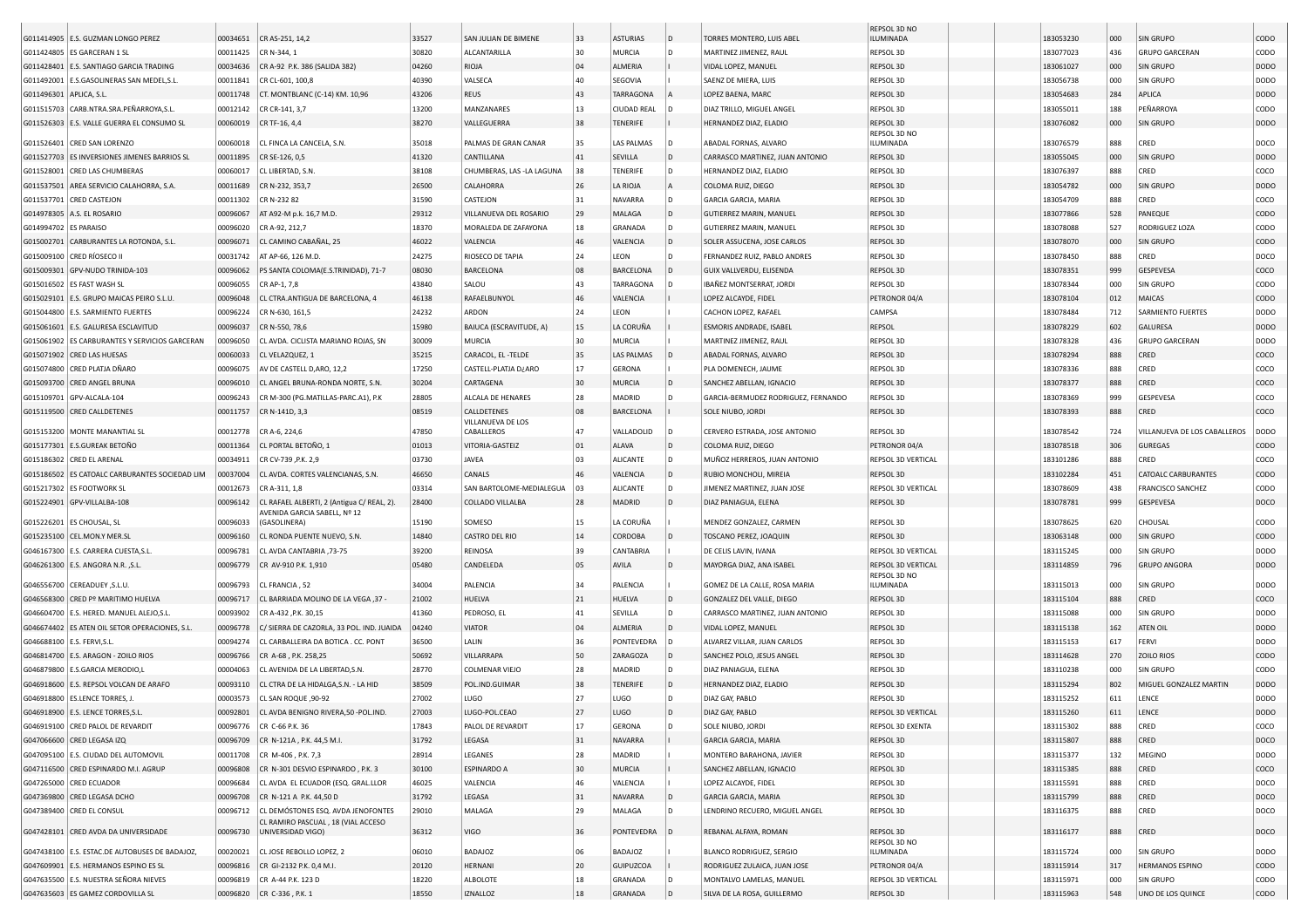| G011414905 E.S. GUZMAN LONGO PEREZ<br>G011424805 ES GARCERAN 1 SL<br>G011428401 E.S. SANTIAGO GARCIA TRADING<br>G011492001 E.S.GASOLINERAS SAN MEDEL,S.L<br>G011496301 APLICA, S.L<br>G011515703 CARB.NTRA.SRA.PEÑARROYA,S.L<br>G011526303 E.S. VALLE GUERRA EL CONSUMO SL<br>G011526401 CRED SAN LORENZO<br>G011527703 ES INVERSIONES JIMENES BARRIOS SL<br>G011528001 CRED LAS CHUMBERAS<br>G011537501 AREA SERVICIO CALAHORRA, S.A<br>G011537701 CRED CASTEJON<br>G014978305 A.S. EL ROSARIO<br>G014994702 ES PARAISO<br>G015002701 CARBURANTES LA ROTONDA, S.L.<br>G015009100 CRED RÍOSECO II<br>G015009301 GPV-NUDO TRINIDA-103<br>G015016502   ES FAST WASH SL<br>G015029101 E.S. GRUPO MAICAS PEIRO S.L.U<br>G015044800 E.S. SARMIENTO FUERTES<br>G015061601   E.S. GALURESA ESCLAVITUD<br>G015061902 ES CARBURANTES Y SERVICIOS GARCERAN<br>G015071902 CRED LAS HUESAS<br>G015074800 CRED PLATJA DÑARO<br>G015093700 CRED ANGEL BRUNA<br>G015109701 GPV-ALCALA-104<br>G015119500 CRED CALLDETENES<br>G015153200   MONTE MANANTIAL SL<br>G015177301 E.S.GUREAK BETOÑO<br>G015186302 CRED EL ARENAL<br>G015186502 ES CATOALC CARBURANTES SOCIEDAD LIM<br>G015217302 ES FOOTWORK SL<br>G015224901 GPV-VILLALBA-108 | 00034651<br>00011425<br>00034636<br>00011841<br>00011748<br>00012142<br>00060019<br>00060018<br>00011895<br>00060017<br>00011689<br>00011302<br>00096067<br>00096020<br>00096071<br>00031742<br>00096062<br>00096055<br>00096048<br>00096224<br>00096037<br>00096050<br>00060033<br>00096075<br>00096010<br>00096243<br>00011757<br>00012778<br>00011364<br>00034911<br>00037004 | CR AS-251, 14,2<br>CR N-344, 1<br>CR A-92 P.K. 386 (SALIDA 382)<br>CR CL-601, 100,8<br>CT. MONTBLANC (C-14) KM. 10,96<br>CR CR-141, 3,7<br>CR TF-16, 4,4<br>CL FINCA LA CANCELA, S.N.<br>CR SE-126, 0,5<br>CL LIBERTAD, S.N.<br>CR N-232, 353,7<br>CR N-232 82<br>AT A92-M p.k. 16,7 M.D.<br>CR A-92, 212,7<br>CL CAMINO CABAÑAL, 25<br>AT AP-66, 126 M.D.<br>PS SANTA COLOMA(E.S.TRINIDAD), 71-7<br>CR AP-1, 7,8<br>CL CTRA.ANTIGUA DE BARCELONA, 4<br>CR N-630, 161,5<br>CR N-550, 78,6<br>CL AVDA. CICLISTA MARIANO ROJAS, SN<br>CL VELAZQUEZ, 1<br>AV DE CASTELL D, ARO, 12, 2<br>CL ANGEL BRUNA-RONDA NORTE, S.N.<br>CR M-300 (PG.MATILLAS-PARC.A1), P.K<br>CR N-141D, 3,3<br>CR A-6, 224,6<br>CL PORTAL BETOÑO, 1<br>CR CV-739 .P.K. 2.9 | 33527<br>30820<br>04260<br>40390<br>43206<br>13200<br>38270<br>35018<br>41320<br>38108<br>26500<br>31590<br>29312<br>18370<br>46022<br>24275<br>08030<br>43840<br>46138<br>24232<br>15980<br>30009<br>35215<br>17250<br>30204<br>28805<br>08519<br>47850                               | SAN JULIAN DE BIMENE<br>ALCANTARILLA<br>RIOJA<br>VALSECA<br>REUS<br>MANZANARES<br>VALLEGUERRA<br>PALMAS DE GRAN CANAR<br>CANTILLANA<br>CHUMBERAS, LAS -LA LAGUNA<br>CALAHORRA<br>CASTEJON<br>VILLANUEVA DEL ROSARIO<br>MORALEDA DE ZAFAYONA<br>VALENCIA<br>RIOSECO DE TAPIA<br>BARCELONA<br>SALOU<br>RAFAELBUNYOL<br>ARDON<br>BAIUCA (ESCRAVITUDE, A)<br>MURCIA<br>CARACOL, EL -TELDE<br>CASTELL-PLATJA D¿ARO<br>CARTAGENA<br>ALCALA DE HENARES<br>CALLDETENES<br>VILLANUEVA DE LOS | 33<br>30<br>04<br>40<br>43<br>13<br>38<br>35<br>41<br>38<br>26<br>31<br>29<br>18<br>46<br>24<br>08<br>43<br>46<br>24<br>15<br>30<br>35<br>17<br>30<br>28 | <b>ASTURIAS</b><br>MURCIA<br>ALMERIA<br>SEGOVIA<br><b>TARRAGONA</b><br><b>CIUDAD REAL</b><br><b>TENERIFE</b><br>LAS PALMAS<br><b>SEVILLA</b><br>TENERIFE<br>LA RIOJA<br><b>NAVARRA</b><br>MALAGA<br>GRANADA<br>VALENCIA<br>LEON<br><b>BARCELONA</b><br><b>TARRAGONA</b><br>VALENCIA<br>LEON<br>LA CORUÑA<br><b>MURCIA</b><br><b>LAS PALMAS</b><br><b>GERONA</b><br><b>MURCIA</b><br>MADRID | ID.<br>ID.<br>ID.<br>ID.<br>ID.                                                               | TORRES MONTERO, LUIS ABEI<br>MARTINEZ JIMENEZ, RAUL<br>VIDAL LOPEZ, MANUEL<br>SAENZ DE MIERA, LUIS<br>LOPEZ BAENA, MARC<br>DIAZ TRILLO, MIGUEL ANGEL<br>HERNANDEZ DIAZ, ELADIO<br>ABADAL FORNAS, ALVARO<br>CARRASCO MARTINEZ, JUAN ANTONIO<br>HERNANDEZ DIAZ, ELADIO<br>COLOMA RUIZ, DIEGO<br>GARCIA GARCIA, MARIA<br>GUTIERREZ MARIN, MANUEL<br>GUTIERREZ MARIN, MANUEL<br>SOLER ASSUCENA, JOSE CARLOS<br>FERNANDEZ RUIZ, PABLO ANDRES<br>GUIX VALLVERDU, ELISENDA<br>IBAÑEZ MONTSERRAT, JORD<br>LOPEZ ALCAYDE, FIDEL<br>CACHON LOPEZ, RAFAEL<br>ESMORIS ANDRADE, ISABEL<br>MARTINEZ JIMENEZ, RAUL<br>ABADAL FORNAS, ALVARO<br>PLA DOMENECH, JAUME | REPSOL 3D NO<br>ILUMINADA<br>REPSOL 3D<br>REPSOL 3D<br>REPSOL 3D<br>REPSOL 3D<br>REPSOL 3D<br>REPSOL 3D<br>REPSOL 3D NO<br>ILUMINADA<br>REPSOL 3D<br>REPSOL 3D<br>REPSOL 3D<br>REPSOL 3D<br>REPSOL 3D<br>REPSOL 3D<br><b>REPSOL 3D</b><br>REPSOL 3D<br><b>REPSOL 3D</b><br><b>REPSOL 3D</b><br>PETRONOR 04/A<br><b>CAMPSA</b><br>REPSOL<br>REPSOL 3D<br>REPSOL 3D<br>REPSOL 3D |                                                                                                                                   | 183053230<br>183077023<br>183061027<br>183056738<br>183054683<br>183055011<br>183076082<br>183076579<br>183055045<br>183076397<br>183054782<br>183054709<br>183077866<br>183078088<br>183078070<br>183078450<br>183078351<br>183078344<br>183078104<br>183078484<br>183078229<br>183078328<br>183078294<br>183078336 | 000<br>436<br>000<br>000<br>284<br>188<br>000<br>888<br>000<br>888<br>000<br>888<br>528<br>527<br>000<br>888<br>999<br>000<br>012<br>712<br>602<br>436<br>888<br>888 | <b>SIN GRUPO</b><br><b>GRUPO GARCERAN</b><br>SIN GRUPO<br>SIN GRUPO<br>APLICA<br>PEÑARROYA<br>SIN GRUPO<br>CRED<br><b>SIN GRUPO</b><br>CRED<br>SIN GRUPO<br>CRED<br>PANEQUE<br>RODRIGUEZ LOZA<br><b>SIN GRUPO</b><br>CRED<br>GESPEVESA<br>SIN GRUPO<br>MAICAS<br><b>SARMIENTO FUERTES</b><br>GALURESA<br><b>GRUPO GARCERAN</b><br>CRED | CODO<br>CODO<br>DODO<br>DODO<br>DODO<br>CODO<br>DODO<br>DOCO<br><b>DODO</b><br>coco<br><b>DODO</b><br>coco<br>CODO<br>CODO<br>CODO<br>DOCO<br>coco<br>CODO<br>CODO<br>DODO<br>DODO<br>DODO |
|-------------------------------------------------------------------------------------------------------------------------------------------------------------------------------------------------------------------------------------------------------------------------------------------------------------------------------------------------------------------------------------------------------------------------------------------------------------------------------------------------------------------------------------------------------------------------------------------------------------------------------------------------------------------------------------------------------------------------------------------------------------------------------------------------------------------------------------------------------------------------------------------------------------------------------------------------------------------------------------------------------------------------------------------------------------------------------------------------------------------------------------------------------------------------------------------------------------------------|----------------------------------------------------------------------------------------------------------------------------------------------------------------------------------------------------------------------------------------------------------------------------------------------------------------------------------------------------------------------------------|------------------------------------------------------------------------------------------------------------------------------------------------------------------------------------------------------------------------------------------------------------------------------------------------------------------------------------------------------------------------------------------------------------------------------------------------------------------------------------------------------------------------------------------------------------------------------------------------------------------------------------------------------------------------------------------------------------------------------------------------|----------------------------------------------------------------------------------------------------------------------------------------------------------------------------------------------------------------------------------------------------------------------------------------|-------------------------------------------------------------------------------------------------------------------------------------------------------------------------------------------------------------------------------------------------------------------------------------------------------------------------------------------------------------------------------------------------------------------------------------------------------------------------------------|----------------------------------------------------------------------------------------------------------------------------------------------------------|--------------------------------------------------------------------------------------------------------------------------------------------------------------------------------------------------------------------------------------------------------------------------------------------------------------------------------------------------------------------------------------------|-----------------------------------------------------------------------------------------------|-----------------------------------------------------------------------------------------------------------------------------------------------------------------------------------------------------------------------------------------------------------------------------------------------------------------------------------------------------------------------------------------------------------------------------------------------------------------------------------------------------------------------------------------------------------------------------------------------------------------------------------------------------|--------------------------------------------------------------------------------------------------------------------------------------------------------------------------------------------------------------------------------------------------------------------------------------------------------------------------------------------------------------------------------|-----------------------------------------------------------------------------------------------------------------------------------|----------------------------------------------------------------------------------------------------------------------------------------------------------------------------------------------------------------------------------------------------------------------------------------------------------------------|----------------------------------------------------------------------------------------------------------------------------------------------------------------------|----------------------------------------------------------------------------------------------------------------------------------------------------------------------------------------------------------------------------------------------------------------------------------------------------------------------------------------|--------------------------------------------------------------------------------------------------------------------------------------------------------------------------------------------|
|                                                                                                                                                                                                                                                                                                                                                                                                                                                                                                                                                                                                                                                                                                                                                                                                                                                                                                                                                                                                                                                                                                                                                                                                                         |                                                                                                                                                                                                                                                                                                                                                                                  |                                                                                                                                                                                                                                                                                                                                                                                                                                                                                                                                                                                                                                                                                                                                                |                                                                                                                                                                                                                                                                                        |                                                                                                                                                                                                                                                                                                                                                                                                                                                                                     |                                                                                                                                                          |                                                                                                                                                                                                                                                                                                                                                                                            |                                                                                               |                                                                                                                                                                                                                                                                                                                                                                                                                                                                                                                                                                                                                                                     |                                                                                                                                                                                                                                                                                                                                                                                |                                                                                                                                   |                                                                                                                                                                                                                                                                                                                      |                                                                                                                                                                      |                                                                                                                                                                                                                                                                                                                                        |                                                                                                                                                                                            |
|                                                                                                                                                                                                                                                                                                                                                                                                                                                                                                                                                                                                                                                                                                                                                                                                                                                                                                                                                                                                                                                                                                                                                                                                                         |                                                                                                                                                                                                                                                                                                                                                                                  |                                                                                                                                                                                                                                                                                                                                                                                                                                                                                                                                                                                                                                                                                                                                                |                                                                                                                                                                                                                                                                                        |                                                                                                                                                                                                                                                                                                                                                                                                                                                                                     |                                                                                                                                                          |                                                                                                                                                                                                                                                                                                                                                                                            |                                                                                               |                                                                                                                                                                                                                                                                                                                                                                                                                                                                                                                                                                                                                                                     |                                                                                                                                                                                                                                                                                                                                                                                |                                                                                                                                   |                                                                                                                                                                                                                                                                                                                      |                                                                                                                                                                      |                                                                                                                                                                                                                                                                                                                                        |                                                                                                                                                                                            |
|                                                                                                                                                                                                                                                                                                                                                                                                                                                                                                                                                                                                                                                                                                                                                                                                                                                                                                                                                                                                                                                                                                                                                                                                                         |                                                                                                                                                                                                                                                                                                                                                                                  |                                                                                                                                                                                                                                                                                                                                                                                                                                                                                                                                                                                                                                                                                                                                                |                                                                                                                                                                                                                                                                                        |                                                                                                                                                                                                                                                                                                                                                                                                                                                                                     |                                                                                                                                                          |                                                                                                                                                                                                                                                                                                                                                                                            |                                                                                               |                                                                                                                                                                                                                                                                                                                                                                                                                                                                                                                                                                                                                                                     |                                                                                                                                                                                                                                                                                                                                                                                |                                                                                                                                   |                                                                                                                                                                                                                                                                                                                      |                                                                                                                                                                      |                                                                                                                                                                                                                                                                                                                                        |                                                                                                                                                                                            |
|                                                                                                                                                                                                                                                                                                                                                                                                                                                                                                                                                                                                                                                                                                                                                                                                                                                                                                                                                                                                                                                                                                                                                                                                                         |                                                                                                                                                                                                                                                                                                                                                                                  |                                                                                                                                                                                                                                                                                                                                                                                                                                                                                                                                                                                                                                                                                                                                                |                                                                                                                                                                                                                                                                                        |                                                                                                                                                                                                                                                                                                                                                                                                                                                                                     |                                                                                                                                                          |                                                                                                                                                                                                                                                                                                                                                                                            |                                                                                               |                                                                                                                                                                                                                                                                                                                                                                                                                                                                                                                                                                                                                                                     |                                                                                                                                                                                                                                                                                                                                                                                |                                                                                                                                   |                                                                                                                                                                                                                                                                                                                      |                                                                                                                                                                      |                                                                                                                                                                                                                                                                                                                                        |                                                                                                                                                                                            |
|                                                                                                                                                                                                                                                                                                                                                                                                                                                                                                                                                                                                                                                                                                                                                                                                                                                                                                                                                                                                                                                                                                                                                                                                                         |                                                                                                                                                                                                                                                                                                                                                                                  |                                                                                                                                                                                                                                                                                                                                                                                                                                                                                                                                                                                                                                                                                                                                                |                                                                                                                                                                                                                                                                                        |                                                                                                                                                                                                                                                                                                                                                                                                                                                                                     |                                                                                                                                                          |                                                                                                                                                                                                                                                                                                                                                                                            |                                                                                               |                                                                                                                                                                                                                                                                                                                                                                                                                                                                                                                                                                                                                                                     |                                                                                                                                                                                                                                                                                                                                                                                |                                                                                                                                   |                                                                                                                                                                                                                                                                                                                      |                                                                                                                                                                      |                                                                                                                                                                                                                                                                                                                                        |                                                                                                                                                                                            |
|                                                                                                                                                                                                                                                                                                                                                                                                                                                                                                                                                                                                                                                                                                                                                                                                                                                                                                                                                                                                                                                                                                                                                                                                                         |                                                                                                                                                                                                                                                                                                                                                                                  |                                                                                                                                                                                                                                                                                                                                                                                                                                                                                                                                                                                                                                                                                                                                                |                                                                                                                                                                                                                                                                                        |                                                                                                                                                                                                                                                                                                                                                                                                                                                                                     |                                                                                                                                                          |                                                                                                                                                                                                                                                                                                                                                                                            |                                                                                               |                                                                                                                                                                                                                                                                                                                                                                                                                                                                                                                                                                                                                                                     |                                                                                                                                                                                                                                                                                                                                                                                |                                                                                                                                   |                                                                                                                                                                                                                                                                                                                      |                                                                                                                                                                      |                                                                                                                                                                                                                                                                                                                                        |                                                                                                                                                                                            |
|                                                                                                                                                                                                                                                                                                                                                                                                                                                                                                                                                                                                                                                                                                                                                                                                                                                                                                                                                                                                                                                                                                                                                                                                                         |                                                                                                                                                                                                                                                                                                                                                                                  |                                                                                                                                                                                                                                                                                                                                                                                                                                                                                                                                                                                                                                                                                                                                                |                                                                                                                                                                                                                                                                                        |                                                                                                                                                                                                                                                                                                                                                                                                                                                                                     |                                                                                                                                                          |                                                                                                                                                                                                                                                                                                                                                                                            |                                                                                               |                                                                                                                                                                                                                                                                                                                                                                                                                                                                                                                                                                                                                                                     |                                                                                                                                                                                                                                                                                                                                                                                |                                                                                                                                   |                                                                                                                                                                                                                                                                                                                      |                                                                                                                                                                      |                                                                                                                                                                                                                                                                                                                                        |                                                                                                                                                                                            |
|                                                                                                                                                                                                                                                                                                                                                                                                                                                                                                                                                                                                                                                                                                                                                                                                                                                                                                                                                                                                                                                                                                                                                                                                                         |                                                                                                                                                                                                                                                                                                                                                                                  |                                                                                                                                                                                                                                                                                                                                                                                                                                                                                                                                                                                                                                                                                                                                                |                                                                                                                                                                                                                                                                                        |                                                                                                                                                                                                                                                                                                                                                                                                                                                                                     |                                                                                                                                                          |                                                                                                                                                                                                                                                                                                                                                                                            |                                                                                               |                                                                                                                                                                                                                                                                                                                                                                                                                                                                                                                                                                                                                                                     |                                                                                                                                                                                                                                                                                                                                                                                |                                                                                                                                   |                                                                                                                                                                                                                                                                                                                      |                                                                                                                                                                      |                                                                                                                                                                                                                                                                                                                                        |                                                                                                                                                                                            |
|                                                                                                                                                                                                                                                                                                                                                                                                                                                                                                                                                                                                                                                                                                                                                                                                                                                                                                                                                                                                                                                                                                                                                                                                                         |                                                                                                                                                                                                                                                                                                                                                                                  |                                                                                                                                                                                                                                                                                                                                                                                                                                                                                                                                                                                                                                                                                                                                                |                                                                                                                                                                                                                                                                                        |                                                                                                                                                                                                                                                                                                                                                                                                                                                                                     |                                                                                                                                                          |                                                                                                                                                                                                                                                                                                                                                                                            |                                                                                               |                                                                                                                                                                                                                                                                                                                                                                                                                                                                                                                                                                                                                                                     |                                                                                                                                                                                                                                                                                                                                                                                |                                                                                                                                   |                                                                                                                                                                                                                                                                                                                      |                                                                                                                                                                      |                                                                                                                                                                                                                                                                                                                                        |                                                                                                                                                                                            |
|                                                                                                                                                                                                                                                                                                                                                                                                                                                                                                                                                                                                                                                                                                                                                                                                                                                                                                                                                                                                                                                                                                                                                                                                                         |                                                                                                                                                                                                                                                                                                                                                                                  |                                                                                                                                                                                                                                                                                                                                                                                                                                                                                                                                                                                                                                                                                                                                                |                                                                                                                                                                                                                                                                                        |                                                                                                                                                                                                                                                                                                                                                                                                                                                                                     |                                                                                                                                                          |                                                                                                                                                                                                                                                                                                                                                                                            |                                                                                               |                                                                                                                                                                                                                                                                                                                                                                                                                                                                                                                                                                                                                                                     |                                                                                                                                                                                                                                                                                                                                                                                |                                                                                                                                   |                                                                                                                                                                                                                                                                                                                      |                                                                                                                                                                      |                                                                                                                                                                                                                                                                                                                                        |                                                                                                                                                                                            |
|                                                                                                                                                                                                                                                                                                                                                                                                                                                                                                                                                                                                                                                                                                                                                                                                                                                                                                                                                                                                                                                                                                                                                                                                                         |                                                                                                                                                                                                                                                                                                                                                                                  |                                                                                                                                                                                                                                                                                                                                                                                                                                                                                                                                                                                                                                                                                                                                                |                                                                                                                                                                                                                                                                                        |                                                                                                                                                                                                                                                                                                                                                                                                                                                                                     |                                                                                                                                                          |                                                                                                                                                                                                                                                                                                                                                                                            |                                                                                               |                                                                                                                                                                                                                                                                                                                                                                                                                                                                                                                                                                                                                                                     |                                                                                                                                                                                                                                                                                                                                                                                |                                                                                                                                   |                                                                                                                                                                                                                                                                                                                      |                                                                                                                                                                      |                                                                                                                                                                                                                                                                                                                                        |                                                                                                                                                                                            |
|                                                                                                                                                                                                                                                                                                                                                                                                                                                                                                                                                                                                                                                                                                                                                                                                                                                                                                                                                                                                                                                                                                                                                                                                                         |                                                                                                                                                                                                                                                                                                                                                                                  |                                                                                                                                                                                                                                                                                                                                                                                                                                                                                                                                                                                                                                                                                                                                                |                                                                                                                                                                                                                                                                                        |                                                                                                                                                                                                                                                                                                                                                                                                                                                                                     |                                                                                                                                                          |                                                                                                                                                                                                                                                                                                                                                                                            |                                                                                               |                                                                                                                                                                                                                                                                                                                                                                                                                                                                                                                                                                                                                                                     |                                                                                                                                                                                                                                                                                                                                                                                |                                                                                                                                   |                                                                                                                                                                                                                                                                                                                      |                                                                                                                                                                      |                                                                                                                                                                                                                                                                                                                                        |                                                                                                                                                                                            |
|                                                                                                                                                                                                                                                                                                                                                                                                                                                                                                                                                                                                                                                                                                                                                                                                                                                                                                                                                                                                                                                                                                                                                                                                                         |                                                                                                                                                                                                                                                                                                                                                                                  |                                                                                                                                                                                                                                                                                                                                                                                                                                                                                                                                                                                                                                                                                                                                                |                                                                                                                                                                                                                                                                                        |                                                                                                                                                                                                                                                                                                                                                                                                                                                                                     |                                                                                                                                                          |                                                                                                                                                                                                                                                                                                                                                                                            |                                                                                               |                                                                                                                                                                                                                                                                                                                                                                                                                                                                                                                                                                                                                                                     |                                                                                                                                                                                                                                                                                                                                                                                |                                                                                                                                   |                                                                                                                                                                                                                                                                                                                      |                                                                                                                                                                      |                                                                                                                                                                                                                                                                                                                                        |                                                                                                                                                                                            |
|                                                                                                                                                                                                                                                                                                                                                                                                                                                                                                                                                                                                                                                                                                                                                                                                                                                                                                                                                                                                                                                                                                                                                                                                                         |                                                                                                                                                                                                                                                                                                                                                                                  |                                                                                                                                                                                                                                                                                                                                                                                                                                                                                                                                                                                                                                                                                                                                                |                                                                                                                                                                                                                                                                                        |                                                                                                                                                                                                                                                                                                                                                                                                                                                                                     |                                                                                                                                                          |                                                                                                                                                                                                                                                                                                                                                                                            |                                                                                               |                                                                                                                                                                                                                                                                                                                                                                                                                                                                                                                                                                                                                                                     |                                                                                                                                                                                                                                                                                                                                                                                |                                                                                                                                   |                                                                                                                                                                                                                                                                                                                      |                                                                                                                                                                      |                                                                                                                                                                                                                                                                                                                                        |                                                                                                                                                                                            |
|                                                                                                                                                                                                                                                                                                                                                                                                                                                                                                                                                                                                                                                                                                                                                                                                                                                                                                                                                                                                                                                                                                                                                                                                                         |                                                                                                                                                                                                                                                                                                                                                                                  |                                                                                                                                                                                                                                                                                                                                                                                                                                                                                                                                                                                                                                                                                                                                                |                                                                                                                                                                                                                                                                                        |                                                                                                                                                                                                                                                                                                                                                                                                                                                                                     |                                                                                                                                                          |                                                                                                                                                                                                                                                                                                                                                                                            |                                                                                               |                                                                                                                                                                                                                                                                                                                                                                                                                                                                                                                                                                                                                                                     |                                                                                                                                                                                                                                                                                                                                                                                |                                                                                                                                   |                                                                                                                                                                                                                                                                                                                      |                                                                                                                                                                      |                                                                                                                                                                                                                                                                                                                                        |                                                                                                                                                                                            |
|                                                                                                                                                                                                                                                                                                                                                                                                                                                                                                                                                                                                                                                                                                                                                                                                                                                                                                                                                                                                                                                                                                                                                                                                                         |                                                                                                                                                                                                                                                                                                                                                                                  |                                                                                                                                                                                                                                                                                                                                                                                                                                                                                                                                                                                                                                                                                                                                                |                                                                                                                                                                                                                                                                                        |                                                                                                                                                                                                                                                                                                                                                                                                                                                                                     |                                                                                                                                                          |                                                                                                                                                                                                                                                                                                                                                                                            |                                                                                               |                                                                                                                                                                                                                                                                                                                                                                                                                                                                                                                                                                                                                                                     |                                                                                                                                                                                                                                                                                                                                                                                |                                                                                                                                   |                                                                                                                                                                                                                                                                                                                      |                                                                                                                                                                      |                                                                                                                                                                                                                                                                                                                                        |                                                                                                                                                                                            |
|                                                                                                                                                                                                                                                                                                                                                                                                                                                                                                                                                                                                                                                                                                                                                                                                                                                                                                                                                                                                                                                                                                                                                                                                                         |                                                                                                                                                                                                                                                                                                                                                                                  |                                                                                                                                                                                                                                                                                                                                                                                                                                                                                                                                                                                                                                                                                                                                                |                                                                                                                                                                                                                                                                                        |                                                                                                                                                                                                                                                                                                                                                                                                                                                                                     |                                                                                                                                                          |                                                                                                                                                                                                                                                                                                                                                                                            |                                                                                               |                                                                                                                                                                                                                                                                                                                                                                                                                                                                                                                                                                                                                                                     |                                                                                                                                                                                                                                                                                                                                                                                |                                                                                                                                   |                                                                                                                                                                                                                                                                                                                      |                                                                                                                                                                      |                                                                                                                                                                                                                                                                                                                                        |                                                                                                                                                                                            |
|                                                                                                                                                                                                                                                                                                                                                                                                                                                                                                                                                                                                                                                                                                                                                                                                                                                                                                                                                                                                                                                                                                                                                                                                                         |                                                                                                                                                                                                                                                                                                                                                                                  |                                                                                                                                                                                                                                                                                                                                                                                                                                                                                                                                                                                                                                                                                                                                                |                                                                                                                                                                                                                                                                                        |                                                                                                                                                                                                                                                                                                                                                                                                                                                                                     |                                                                                                                                                          |                                                                                                                                                                                                                                                                                                                                                                                            |                                                                                               |                                                                                                                                                                                                                                                                                                                                                                                                                                                                                                                                                                                                                                                     |                                                                                                                                                                                                                                                                                                                                                                                |                                                                                                                                   |                                                                                                                                                                                                                                                                                                                      |                                                                                                                                                                      |                                                                                                                                                                                                                                                                                                                                        |                                                                                                                                                                                            |
|                                                                                                                                                                                                                                                                                                                                                                                                                                                                                                                                                                                                                                                                                                                                                                                                                                                                                                                                                                                                                                                                                                                                                                                                                         |                                                                                                                                                                                                                                                                                                                                                                                  |                                                                                                                                                                                                                                                                                                                                                                                                                                                                                                                                                                                                                                                                                                                                                |                                                                                                                                                                                                                                                                                        |                                                                                                                                                                                                                                                                                                                                                                                                                                                                                     |                                                                                                                                                          |                                                                                                                                                                                                                                                                                                                                                                                            |                                                                                               |                                                                                                                                                                                                                                                                                                                                                                                                                                                                                                                                                                                                                                                     |                                                                                                                                                                                                                                                                                                                                                                                |                                                                                                                                   |                                                                                                                                                                                                                                                                                                                      |                                                                                                                                                                      |                                                                                                                                                                                                                                                                                                                                        |                                                                                                                                                                                            |
|                                                                                                                                                                                                                                                                                                                                                                                                                                                                                                                                                                                                                                                                                                                                                                                                                                                                                                                                                                                                                                                                                                                                                                                                                         |                                                                                                                                                                                                                                                                                                                                                                                  |                                                                                                                                                                                                                                                                                                                                                                                                                                                                                                                                                                                                                                                                                                                                                |                                                                                                                                                                                                                                                                                        |                                                                                                                                                                                                                                                                                                                                                                                                                                                                                     |                                                                                                                                                          |                                                                                                                                                                                                                                                                                                                                                                                            |                                                                                               |                                                                                                                                                                                                                                                                                                                                                                                                                                                                                                                                                                                                                                                     |                                                                                                                                                                                                                                                                                                                                                                                |                                                                                                                                   |                                                                                                                                                                                                                                                                                                                      |                                                                                                                                                                      |                                                                                                                                                                                                                                                                                                                                        |                                                                                                                                                                                            |
|                                                                                                                                                                                                                                                                                                                                                                                                                                                                                                                                                                                                                                                                                                                                                                                                                                                                                                                                                                                                                                                                                                                                                                                                                         |                                                                                                                                                                                                                                                                                                                                                                                  |                                                                                                                                                                                                                                                                                                                                                                                                                                                                                                                                                                                                                                                                                                                                                |                                                                                                                                                                                                                                                                                        |                                                                                                                                                                                                                                                                                                                                                                                                                                                                                     |                                                                                                                                                          |                                                                                                                                                                                                                                                                                                                                                                                            |                                                                                               |                                                                                                                                                                                                                                                                                                                                                                                                                                                                                                                                                                                                                                                     |                                                                                                                                                                                                                                                                                                                                                                                |                                                                                                                                   |                                                                                                                                                                                                                                                                                                                      |                                                                                                                                                                      |                                                                                                                                                                                                                                                                                                                                        |                                                                                                                                                                                            |
|                                                                                                                                                                                                                                                                                                                                                                                                                                                                                                                                                                                                                                                                                                                                                                                                                                                                                                                                                                                                                                                                                                                                                                                                                         |                                                                                                                                                                                                                                                                                                                                                                                  |                                                                                                                                                                                                                                                                                                                                                                                                                                                                                                                                                                                                                                                                                                                                                |                                                                                                                                                                                                                                                                                        |                                                                                                                                                                                                                                                                                                                                                                                                                                                                                     |                                                                                                                                                          |                                                                                                                                                                                                                                                                                                                                                                                            |                                                                                               |                                                                                                                                                                                                                                                                                                                                                                                                                                                                                                                                                                                                                                                     |                                                                                                                                                                                                                                                                                                                                                                                |                                                                                                                                   |                                                                                                                                                                                                                                                                                                                      |                                                                                                                                                                      |                                                                                                                                                                                                                                                                                                                                        |                                                                                                                                                                                            |
|                                                                                                                                                                                                                                                                                                                                                                                                                                                                                                                                                                                                                                                                                                                                                                                                                                                                                                                                                                                                                                                                                                                                                                                                                         |                                                                                                                                                                                                                                                                                                                                                                                  |                                                                                                                                                                                                                                                                                                                                                                                                                                                                                                                                                                                                                                                                                                                                                |                                                                                                                                                                                                                                                                                        |                                                                                                                                                                                                                                                                                                                                                                                                                                                                                     |                                                                                                                                                          |                                                                                                                                                                                                                                                                                                                                                                                            |                                                                                               |                                                                                                                                                                                                                                                                                                                                                                                                                                                                                                                                                                                                                                                     |                                                                                                                                                                                                                                                                                                                                                                                |                                                                                                                                   |                                                                                                                                                                                                                                                                                                                      |                                                                                                                                                                      |                                                                                                                                                                                                                                                                                                                                        | coco                                                                                                                                                                                       |
|                                                                                                                                                                                                                                                                                                                                                                                                                                                                                                                                                                                                                                                                                                                                                                                                                                                                                                                                                                                                                                                                                                                                                                                                                         |                                                                                                                                                                                                                                                                                                                                                                                  |                                                                                                                                                                                                                                                                                                                                                                                                                                                                                                                                                                                                                                                                                                                                                |                                                                                                                                                                                                                                                                                        |                                                                                                                                                                                                                                                                                                                                                                                                                                                                                     |                                                                                                                                                          |                                                                                                                                                                                                                                                                                                                                                                                            |                                                                                               |                                                                                                                                                                                                                                                                                                                                                                                                                                                                                                                                                                                                                                                     |                                                                                                                                                                                                                                                                                                                                                                                |                                                                                                                                   |                                                                                                                                                                                                                                                                                                                      |                                                                                                                                                                      | CRED                                                                                                                                                                                                                                                                                                                                   | COCO                                                                                                                                                                                       |
|                                                                                                                                                                                                                                                                                                                                                                                                                                                                                                                                                                                                                                                                                                                                                                                                                                                                                                                                                                                                                                                                                                                                                                                                                         |                                                                                                                                                                                                                                                                                                                                                                                  |                                                                                                                                                                                                                                                                                                                                                                                                                                                                                                                                                                                                                                                                                                                                                |                                                                                                                                                                                                                                                                                        |                                                                                                                                                                                                                                                                                                                                                                                                                                                                                     |                                                                                                                                                          |                                                                                                                                                                                                                                                                                                                                                                                            |                                                                                               | SANCHEZ ABELLAN, IGNACIO                                                                                                                                                                                                                                                                                                                                                                                                                                                                                                                                                                                                                            | REPSOL 3D                                                                                                                                                                                                                                                                                                                                                                      |                                                                                                                                   | 183078377                                                                                                                                                                                                                                                                                                            | 888                                                                                                                                                                  | CRED                                                                                                                                                                                                                                                                                                                                   | coco                                                                                                                                                                                       |
|                                                                                                                                                                                                                                                                                                                                                                                                                                                                                                                                                                                                                                                                                                                                                                                                                                                                                                                                                                                                                                                                                                                                                                                                                         |                                                                                                                                                                                                                                                                                                                                                                                  |                                                                                                                                                                                                                                                                                                                                                                                                                                                                                                                                                                                                                                                                                                                                                |                                                                                                                                                                                                                                                                                        |                                                                                                                                                                                                                                                                                                                                                                                                                                                                                     |                                                                                                                                                          |                                                                                                                                                                                                                                                                                                                                                                                            |                                                                                               | GARCIA-BERMUDEZ RODRIGUEZ, FERNANDO                                                                                                                                                                                                                                                                                                                                                                                                                                                                                                                                                                                                                 | REPSOL 3D                                                                                                                                                                                                                                                                                                                                                                      |                                                                                                                                   | 183078369                                                                                                                                                                                                                                                                                                            | 999                                                                                                                                                                  | GESPEVESA                                                                                                                                                                                                                                                                                                                              | coco                                                                                                                                                                                       |
|                                                                                                                                                                                                                                                                                                                                                                                                                                                                                                                                                                                                                                                                                                                                                                                                                                                                                                                                                                                                                                                                                                                                                                                                                         |                                                                                                                                                                                                                                                                                                                                                                                  |                                                                                                                                                                                                                                                                                                                                                                                                                                                                                                                                                                                                                                                                                                                                                |                                                                                                                                                                                                                                                                                        |                                                                                                                                                                                                                                                                                                                                                                                                                                                                                     | 08                                                                                                                                                       | <b>BARCELONA</b>                                                                                                                                                                                                                                                                                                                                                                           |                                                                                               | SOLE NIUBO, JORDI                                                                                                                                                                                                                                                                                                                                                                                                                                                                                                                                                                                                                                   | REPSOL 3D                                                                                                                                                                                                                                                                                                                                                                      |                                                                                                                                   | 183078393                                                                                                                                                                                                                                                                                                            | 888                                                                                                                                                                  | CRED                                                                                                                                                                                                                                                                                                                                   | COCO                                                                                                                                                                                       |
|                                                                                                                                                                                                                                                                                                                                                                                                                                                                                                                                                                                                                                                                                                                                                                                                                                                                                                                                                                                                                                                                                                                                                                                                                         |                                                                                                                                                                                                                                                                                                                                                                                  |                                                                                                                                                                                                                                                                                                                                                                                                                                                                                                                                                                                                                                                                                                                                                |                                                                                                                                                                                                                                                                                        | CABALLEROS                                                                                                                                                                                                                                                                                                                                                                                                                                                                          | 47                                                                                                                                                       | VALLADOLID                                                                                                                                                                                                                                                                                                                                                                                 |                                                                                               | CERVERO ESTRADA, JOSE ANTONIO                                                                                                                                                                                                                                                                                                                                                                                                                                                                                                                                                                                                                       | REPSOL 3D                                                                                                                                                                                                                                                                                                                                                                      |                                                                                                                                   | 183078542                                                                                                                                                                                                                                                                                                            | 724                                                                                                                                                                  | VILLANUEVA DE LOS CABALLEROS                                                                                                                                                                                                                                                                                                           | DODO                                                                                                                                                                                       |
|                                                                                                                                                                                                                                                                                                                                                                                                                                                                                                                                                                                                                                                                                                                                                                                                                                                                                                                                                                                                                                                                                                                                                                                                                         |                                                                                                                                                                                                                                                                                                                                                                                  |                                                                                                                                                                                                                                                                                                                                                                                                                                                                                                                                                                                                                                                                                                                                                | 01013                                                                                                                                                                                                                                                                                  | VITORIA-GASTEIZ                                                                                                                                                                                                                                                                                                                                                                                                                                                                     | 01                                                                                                                                                       | ALAVA                                                                                                                                                                                                                                                                                                                                                                                      | $\mathsf{D}$                                                                                  | COLOMA RUIZ, DIEGO                                                                                                                                                                                                                                                                                                                                                                                                                                                                                                                                                                                                                                  | PETRONOR 04/A                                                                                                                                                                                                                                                                                                                                                                  |                                                                                                                                   | 183078518                                                                                                                                                                                                                                                                                                            | 306                                                                                                                                                                  | <b>GUREGAS</b>                                                                                                                                                                                                                                                                                                                         | CODO                                                                                                                                                                                       |
|                                                                                                                                                                                                                                                                                                                                                                                                                                                                                                                                                                                                                                                                                                                                                                                                                                                                                                                                                                                                                                                                                                                                                                                                                         |                                                                                                                                                                                                                                                                                                                                                                                  |                                                                                                                                                                                                                                                                                                                                                                                                                                                                                                                                                                                                                                                                                                                                                | 03730                                                                                                                                                                                                                                                                                  | JAVEA                                                                                                                                                                                                                                                                                                                                                                                                                                                                               | 03                                                                                                                                                       | <b>ALICANTE</b>                                                                                                                                                                                                                                                                                                                                                                            |                                                                                               | MUÑOZ HERREROS, JUAN ANTONIO                                                                                                                                                                                                                                                                                                                                                                                                                                                                                                                                                                                                                        | REPSOL 3D VERTICAL                                                                                                                                                                                                                                                                                                                                                             |                                                                                                                                   | 183101286                                                                                                                                                                                                                                                                                                            | 888                                                                                                                                                                  | CRED                                                                                                                                                                                                                                                                                                                                   | coco                                                                                                                                                                                       |
|                                                                                                                                                                                                                                                                                                                                                                                                                                                                                                                                                                                                                                                                                                                                                                                                                                                                                                                                                                                                                                                                                                                                                                                                                         |                                                                                                                                                                                                                                                                                                                                                                                  | CL AVDA. CORTES VALENCIANAS, S.N.                                                                                                                                                                                                                                                                                                                                                                                                                                                                                                                                                                                                                                                                                                              | 46650                                                                                                                                                                                                                                                                                  | CANALS                                                                                                                                                                                                                                                                                                                                                                                                                                                                              | 46                                                                                                                                                       | VALENCIA                                                                                                                                                                                                                                                                                                                                                                                   | ID.                                                                                           | RUBIO MONCHOLI, MIREIA                                                                                                                                                                                                                                                                                                                                                                                                                                                                                                                                                                                                                              | REPSOL 3D                                                                                                                                                                                                                                                                                                                                                                      |                                                                                                                                   | 183102284                                                                                                                                                                                                                                                                                                            | 451                                                                                                                                                                  | CATOALC CARBURANTES                                                                                                                                                                                                                                                                                                                    | CODO                                                                                                                                                                                       |
|                                                                                                                                                                                                                                                                                                                                                                                                                                                                                                                                                                                                                                                                                                                                                                                                                                                                                                                                                                                                                                                                                                                                                                                                                         | 00012673                                                                                                                                                                                                                                                                                                                                                                         | CR A-311, 1,8                                                                                                                                                                                                                                                                                                                                                                                                                                                                                                                                                                                                                                                                                                                                  | 03314                                                                                                                                                                                                                                                                                  | SAN BARTOLOME-MEDIALEGUA                                                                                                                                                                                                                                                                                                                                                                                                                                                            | 03                                                                                                                                                       | <b>ALICANTE</b>                                                                                                                                                                                                                                                                                                                                                                            |                                                                                               | JIMENEZ MARTINEZ, JUAN JOSE                                                                                                                                                                                                                                                                                                                                                                                                                                                                                                                                                                                                                         | REPSOL 3D VERTICAL                                                                                                                                                                                                                                                                                                                                                             |                                                                                                                                   | 183078609                                                                                                                                                                                                                                                                                                            | 438                                                                                                                                                                  | FRANCISCO SANCHEZ                                                                                                                                                                                                                                                                                                                      | CODO                                                                                                                                                                                       |
|                                                                                                                                                                                                                                                                                                                                                                                                                                                                                                                                                                                                                                                                                                                                                                                                                                                                                                                                                                                                                                                                                                                                                                                                                         | 00096142                                                                                                                                                                                                                                                                                                                                                                         | CL RAFAEL ALBERTI, 2 (Antigua C/ REAL, 2).                                                                                                                                                                                                                                                                                                                                                                                                                                                                                                                                                                                                                                                                                                     | 28400                                                                                                                                                                                                                                                                                  | COLLADO VILLALBA                                                                                                                                                                                                                                                                                                                                                                                                                                                                    | 28                                                                                                                                                       | <b>MADRID</b>                                                                                                                                                                                                                                                                                                                                                                              | ID.                                                                                           | DIAZ PANIAGUA, ELENA                                                                                                                                                                                                                                                                                                                                                                                                                                                                                                                                                                                                                                | REPSOL 3D                                                                                                                                                                                                                                                                                                                                                                      |                                                                                                                                   | 183078781                                                                                                                                                                                                                                                                                                            | 999                                                                                                                                                                  | GESPEVESA                                                                                                                                                                                                                                                                                                                              | DOCO                                                                                                                                                                                       |
|                                                                                                                                                                                                                                                                                                                                                                                                                                                                                                                                                                                                                                                                                                                                                                                                                                                                                                                                                                                                                                                                                                                                                                                                                         |                                                                                                                                                                                                                                                                                                                                                                                  | AVENIDA GARCIA SABELL, Nº 12                                                                                                                                                                                                                                                                                                                                                                                                                                                                                                                                                                                                                                                                                                                   |                                                                                                                                                                                                                                                                                        |                                                                                                                                                                                                                                                                                                                                                                                                                                                                                     |                                                                                                                                                          |                                                                                                                                                                                                                                                                                                                                                                                            |                                                                                               |                                                                                                                                                                                                                                                                                                                                                                                                                                                                                                                                                                                                                                                     |                                                                                                                                                                                                                                                                                                                                                                                |                                                                                                                                   |                                                                                                                                                                                                                                                                                                                      |                                                                                                                                                                      |                                                                                                                                                                                                                                                                                                                                        |                                                                                                                                                                                            |
| G015226201 ES CHOUSAL, SL                                                                                                                                                                                                                                                                                                                                                                                                                                                                                                                                                                                                                                                                                                                                                                                                                                                                                                                                                                                                                                                                                                                                                                                               | 00096033                                                                                                                                                                                                                                                                                                                                                                         | (GASOLINERA)                                                                                                                                                                                                                                                                                                                                                                                                                                                                                                                                                                                                                                                                                                                                   | 15190                                                                                                                                                                                                                                                                                  | SOMESO                                                                                                                                                                                                                                                                                                                                                                                                                                                                              | 15                                                                                                                                                       | LA CORUÑA                                                                                                                                                                                                                                                                                                                                                                                  |                                                                                               | MENDEZ GONZALEZ, CARMEN                                                                                                                                                                                                                                                                                                                                                                                                                                                                                                                                                                                                                             | <b>REPSOL 3D</b>                                                                                                                                                                                                                                                                                                                                                               |                                                                                                                                   | 183078625                                                                                                                                                                                                                                                                                                            | 620                                                                                                                                                                  | CHOUSAL                                                                                                                                                                                                                                                                                                                                | CODO                                                                                                                                                                                       |
| G015235100 CEL.MON.Y MER.SL                                                                                                                                                                                                                                                                                                                                                                                                                                                                                                                                                                                                                                                                                                                                                                                                                                                                                                                                                                                                                                                                                                                                                                                             | 00096160                                                                                                                                                                                                                                                                                                                                                                         | CL RONDA PUENTE NUEVO, S.N                                                                                                                                                                                                                                                                                                                                                                                                                                                                                                                                                                                                                                                                                                                     | 14840                                                                                                                                                                                                                                                                                  | CASTRO DEL RIO                                                                                                                                                                                                                                                                                                                                                                                                                                                                      | 14                                                                                                                                                       | CORDOBA                                                                                                                                                                                                                                                                                                                                                                                    |                                                                                               | TOSCANO PEREZ, JOAQUIN                                                                                                                                                                                                                                                                                                                                                                                                                                                                                                                                                                                                                              | REPSOL 3D                                                                                                                                                                                                                                                                                                                                                                      |                                                                                                                                   | 183063148                                                                                                                                                                                                                                                                                                            | 000                                                                                                                                                                  | SIN GRUPO                                                                                                                                                                                                                                                                                                                              | CODO                                                                                                                                                                                       |
| G046167300   E.S. CARRERA CUESTA, S.L.                                                                                                                                                                                                                                                                                                                                                                                                                                                                                                                                                                                                                                                                                                                                                                                                                                                                                                                                                                                                                                                                                                                                                                                  | 00096781                                                                                                                                                                                                                                                                                                                                                                         | CL AVDA CANTABRIA, 73-75                                                                                                                                                                                                                                                                                                                                                                                                                                                                                                                                                                                                                                                                                                                       | 39200                                                                                                                                                                                                                                                                                  | REINOSA                                                                                                                                                                                                                                                                                                                                                                                                                                                                             | 39                                                                                                                                                       | CANTABRIA                                                                                                                                                                                                                                                                                                                                                                                  |                                                                                               | DE CELIS LAVIN, IVANA                                                                                                                                                                                                                                                                                                                                                                                                                                                                                                                                                                                                                               | REPSOL 3D VERTICAL                                                                                                                                                                                                                                                                                                                                                             |                                                                                                                                   | 183115245                                                                                                                                                                                                                                                                                                            | 000                                                                                                                                                                  | SIN GRUPO                                                                                                                                                                                                                                                                                                                              | DODO                                                                                                                                                                                       |
| G046261300   E.S. ANGORA N.R. , S.L                                                                                                                                                                                                                                                                                                                                                                                                                                                                                                                                                                                                                                                                                                                                                                                                                                                                                                                                                                                                                                                                                                                                                                                     | 00096779                                                                                                                                                                                                                                                                                                                                                                         | CR AV-910 P.K. 1,910                                                                                                                                                                                                                                                                                                                                                                                                                                                                                                                                                                                                                                                                                                                           | 05480                                                                                                                                                                                                                                                                                  | CANDELEDA                                                                                                                                                                                                                                                                                                                                                                                                                                                                           | 05                                                                                                                                                       | AVILA                                                                                                                                                                                                                                                                                                                                                                                      | ID.                                                                                           | MAYORGA DIAZ, ANA ISABEL                                                                                                                                                                                                                                                                                                                                                                                                                                                                                                                                                                                                                            | REPSOL 3D VERTICAL<br>REPSOL 3D NO                                                                                                                                                                                                                                                                                                                                             |                                                                                                                                   | 183114859                                                                                                                                                                                                                                                                                                            | 796                                                                                                                                                                  | <b>GRUPO ANGORA</b>                                                                                                                                                                                                                                                                                                                    | <b>DODO</b>                                                                                                                                                                                |
| G046556700 CEREADUEY, S.L.U.                                                                                                                                                                                                                                                                                                                                                                                                                                                                                                                                                                                                                                                                                                                                                                                                                                                                                                                                                                                                                                                                                                                                                                                            | 00096793                                                                                                                                                                                                                                                                                                                                                                         | CL FRANCIA, 52                                                                                                                                                                                                                                                                                                                                                                                                                                                                                                                                                                                                                                                                                                                                 | 34004                                                                                                                                                                                                                                                                                  | PALENCIA                                                                                                                                                                                                                                                                                                                                                                                                                                                                            | 34                                                                                                                                                       | PALENCIA                                                                                                                                                                                                                                                                                                                                                                                   |                                                                                               | GOMEZ DE LA CALLE, ROSA MARIA                                                                                                                                                                                                                                                                                                                                                                                                                                                                                                                                                                                                                       | ILUMINADA                                                                                                                                                                                                                                                                                                                                                                      |                                                                                                                                   | 183115013                                                                                                                                                                                                                                                                                                            | 000                                                                                                                                                                  | <b>SIN GRUPO</b>                                                                                                                                                                                                                                                                                                                       | DODO                                                                                                                                                                                       |
| G046568300 CRED Pº MARITIMO HUELVA                                                                                                                                                                                                                                                                                                                                                                                                                                                                                                                                                                                                                                                                                                                                                                                                                                                                                                                                                                                                                                                                                                                                                                                      |                                                                                                                                                                                                                                                                                                                                                                                  | CL BARRIADA MOLINO DE LA VEGA, 37 -                                                                                                                                                                                                                                                                                                                                                                                                                                                                                                                                                                                                                                                                                                            | 21002                                                                                                                                                                                                                                                                                  | HUELVA                                                                                                                                                                                                                                                                                                                                                                                                                                                                              | 21                                                                                                                                                       | HUELVA                                                                                                                                                                                                                                                                                                                                                                                     |                                                                                               | GONZALEZ DEL VALLE, DIEGO                                                                                                                                                                                                                                                                                                                                                                                                                                                                                                                                                                                                                           | <b>REPSOL 3D</b>                                                                                                                                                                                                                                                                                                                                                               |                                                                                                                                   | 183115104                                                                                                                                                                                                                                                                                                            | 888                                                                                                                                                                  | CRED                                                                                                                                                                                                                                                                                                                                   | coco                                                                                                                                                                                       |
| G046604700   E.S. HERED. MANUEL ALEJO,S.L                                                                                                                                                                                                                                                                                                                                                                                                                                                                                                                                                                                                                                                                                                                                                                                                                                                                                                                                                                                                                                                                                                                                                                               | 00093902                                                                                                                                                                                                                                                                                                                                                                         | CR A-432, P.K. 30,15                                                                                                                                                                                                                                                                                                                                                                                                                                                                                                                                                                                                                                                                                                                           | 41360                                                                                                                                                                                                                                                                                  | PEDROSO, EL                                                                                                                                                                                                                                                                                                                                                                                                                                                                         | 41                                                                                                                                                       | SEVILLA                                                                                                                                                                                                                                                                                                                                                                                    |                                                                                               | CARRASCO MARTINEZ, JUAN ANTONIO                                                                                                                                                                                                                                                                                                                                                                                                                                                                                                                                                                                                                     | <b>REPSOL 3D</b>                                                                                                                                                                                                                                                                                                                                                               |                                                                                                                                   | 183115088                                                                                                                                                                                                                                                                                                            | 000                                                                                                                                                                  | SIN GRUPO                                                                                                                                                                                                                                                                                                                              | DODO                                                                                                                                                                                       |
| G046674402 ES ATEN OIL SETOR OPERACIONES, S.L                                                                                                                                                                                                                                                                                                                                                                                                                                                                                                                                                                                                                                                                                                                                                                                                                                                                                                                                                                                                                                                                                                                                                                           |                                                                                                                                                                                                                                                                                                                                                                                  | C/ SIERRA DE CAZORLA, 33 POL. IND. JUAIDA                                                                                                                                                                                                                                                                                                                                                                                                                                                                                                                                                                                                                                                                                                      | 04240                                                                                                                                                                                                                                                                                  | <b>VIATOR</b>                                                                                                                                                                                                                                                                                                                                                                                                                                                                       | 04                                                                                                                                                       | ALMERIA                                                                                                                                                                                                                                                                                                                                                                                    |                                                                                               | VIDAL LOPEZ, MANUEL                                                                                                                                                                                                                                                                                                                                                                                                                                                                                                                                                                                                                                 | REPSOL 3D                                                                                                                                                                                                                                                                                                                                                                      |                                                                                                                                   | 183115138                                                                                                                                                                                                                                                                                                            | 162                                                                                                                                                                  | ATEN OIL                                                                                                                                                                                                                                                                                                                               | <b>DODO</b>                                                                                                                                                                                |
| G046688100   E.S. FERVI,S.L.                                                                                                                                                                                                                                                                                                                                                                                                                                                                                                                                                                                                                                                                                                                                                                                                                                                                                                                                                                                                                                                                                                                                                                                            | 00094274                                                                                                                                                                                                                                                                                                                                                                         | CL CARBALLEIRA DA BOTICA. CC. PONT                                                                                                                                                                                                                                                                                                                                                                                                                                                                                                                                                                                                                                                                                                             | 36500                                                                                                                                                                                                                                                                                  | LALIN                                                                                                                                                                                                                                                                                                                                                                                                                                                                               | 36                                                                                                                                                       | PONTEVEDRA                                                                                                                                                                                                                                                                                                                                                                                 |                                                                                               | ALVAREZ VILLAR, JUAN CARLOS                                                                                                                                                                                                                                                                                                                                                                                                                                                                                                                                                                                                                         | REPSOL 3D                                                                                                                                                                                                                                                                                                                                                                      |                                                                                                                                   | 183115153                                                                                                                                                                                                                                                                                                            | 617                                                                                                                                                                  | FERVI                                                                                                                                                                                                                                                                                                                                  | <b>DODO</b>                                                                                                                                                                                |
| G046814700 E.S. ARAGON - ZOILO RIOS                                                                                                                                                                                                                                                                                                                                                                                                                                                                                                                                                                                                                                                                                                                                                                                                                                                                                                                                                                                                                                                                                                                                                                                     |                                                                                                                                                                                                                                                                                                                                                                                  | CR A-68, P.K. 258,25                                                                                                                                                                                                                                                                                                                                                                                                                                                                                                                                                                                                                                                                                                                           | 50692                                                                                                                                                                                                                                                                                  | VILLARRAPA                                                                                                                                                                                                                                                                                                                                                                                                                                                                          | 50                                                                                                                                                       | ZARAGOZA                                                                                                                                                                                                                                                                                                                                                                                   |                                                                                               | SANCHEZ POLO, JESUS ANGEL                                                                                                                                                                                                                                                                                                                                                                                                                                                                                                                                                                                                                           | REPSOL 3D                                                                                                                                                                                                                                                                                                                                                                      |                                                                                                                                   | 183114628                                                                                                                                                                                                                                                                                                            | 270                                                                                                                                                                  | <b>ZOILO RIOS</b>                                                                                                                                                                                                                                                                                                                      | CODO                                                                                                                                                                                       |
| G046879800 E.S.GARCIA MERODIO,L                                                                                                                                                                                                                                                                                                                                                                                                                                                                                                                                                                                                                                                                                                                                                                                                                                                                                                                                                                                                                                                                                                                                                                                         | 00004063                                                                                                                                                                                                                                                                                                                                                                         | CL AVENIDA DE LA LIBERTAD, S.N                                                                                                                                                                                                                                                                                                                                                                                                                                                                                                                                                                                                                                                                                                                 | 28770                                                                                                                                                                                                                                                                                  | <b>COLMENAR VIEJO</b>                                                                                                                                                                                                                                                                                                                                                                                                                                                               | 28                                                                                                                                                       | <b>MADRID</b>                                                                                                                                                                                                                                                                                                                                                                              |                                                                                               | DIAZ PANIAGUA, ELENA                                                                                                                                                                                                                                                                                                                                                                                                                                                                                                                                                                                                                                | REPSOL 3D                                                                                                                                                                                                                                                                                                                                                                      |                                                                                                                                   | 183110238                                                                                                                                                                                                                                                                                                            | 000                                                                                                                                                                  | SIN GRUPO                                                                                                                                                                                                                                                                                                                              | CODO                                                                                                                                                                                       |
| G046918600 E.S. REPSOL VOLCAN DE ARAFO                                                                                                                                                                                                                                                                                                                                                                                                                                                                                                                                                                                                                                                                                                                                                                                                                                                                                                                                                                                                                                                                                                                                                                                  |                                                                                                                                                                                                                                                                                                                                                                                  | CL CTRA DE LA HIDALGA, S.N. - LA HID                                                                                                                                                                                                                                                                                                                                                                                                                                                                                                                                                                                                                                                                                                           | 38509                                                                                                                                                                                                                                                                                  | POL.IND.GUIMAR                                                                                                                                                                                                                                                                                                                                                                                                                                                                      | 38                                                                                                                                                       | <b>TENERIFE</b>                                                                                                                                                                                                                                                                                                                                                                            |                                                                                               | HERNANDEZ DIAZ, ELADIO                                                                                                                                                                                                                                                                                                                                                                                                                                                                                                                                                                                                                              | REPSOL 3D                                                                                                                                                                                                                                                                                                                                                                      |                                                                                                                                   | 183115294                                                                                                                                                                                                                                                                                                            | 802                                                                                                                                                                  |                                                                                                                                                                                                                                                                                                                                        | <b>DODO</b>                                                                                                                                                                                |
| G046918800 ES.LENCE TORRES, J.                                                                                                                                                                                                                                                                                                                                                                                                                                                                                                                                                                                                                                                                                                                                                                                                                                                                                                                                                                                                                                                                                                                                                                                          |                                                                                                                                                                                                                                                                                                                                                                                  |                                                                                                                                                                                                                                                                                                                                                                                                                                                                                                                                                                                                                                                                                                                                                |                                                                                                                                                                                                                                                                                        |                                                                                                                                                                                                                                                                                                                                                                                                                                                                                     |                                                                                                                                                          |                                                                                                                                                                                                                                                                                                                                                                                            |                                                                                               |                                                                                                                                                                                                                                                                                                                                                                                                                                                                                                                                                                                                                                                     |                                                                                                                                                                                                                                                                                                                                                                                |                                                                                                                                   |                                                                                                                                                                                                                                                                                                                      |                                                                                                                                                                      |                                                                                                                                                                                                                                                                                                                                        | DODO                                                                                                                                                                                       |
|                                                                                                                                                                                                                                                                                                                                                                                                                                                                                                                                                                                                                                                                                                                                                                                                                                                                                                                                                                                                                                                                                                                                                                                                                         |                                                                                                                                                                                                                                                                                                                                                                                  |                                                                                                                                                                                                                                                                                                                                                                                                                                                                                                                                                                                                                                                                                                                                                |                                                                                                                                                                                                                                                                                        |                                                                                                                                                                                                                                                                                                                                                                                                                                                                                     |                                                                                                                                                          |                                                                                                                                                                                                                                                                                                                                                                                            |                                                                                               |                                                                                                                                                                                                                                                                                                                                                                                                                                                                                                                                                                                                                                                     |                                                                                                                                                                                                                                                                                                                                                                                |                                                                                                                                   |                                                                                                                                                                                                                                                                                                                      |                                                                                                                                                                      |                                                                                                                                                                                                                                                                                                                                        | <b>DODO</b>                                                                                                                                                                                |
|                                                                                                                                                                                                                                                                                                                                                                                                                                                                                                                                                                                                                                                                                                                                                                                                                                                                                                                                                                                                                                                                                                                                                                                                                         |                                                                                                                                                                                                                                                                                                                                                                                  |                                                                                                                                                                                                                                                                                                                                                                                                                                                                                                                                                                                                                                                                                                                                                |                                                                                                                                                                                                                                                                                        |                                                                                                                                                                                                                                                                                                                                                                                                                                                                                     |                                                                                                                                                          |                                                                                                                                                                                                                                                                                                                                                                                            |                                                                                               |                                                                                                                                                                                                                                                                                                                                                                                                                                                                                                                                                                                                                                                     |                                                                                                                                                                                                                                                                                                                                                                                |                                                                                                                                   |                                                                                                                                                                                                                                                                                                                      |                                                                                                                                                                      |                                                                                                                                                                                                                                                                                                                                        | COCO                                                                                                                                                                                       |
| G047066600 CRED LEGASA IZQ                                                                                                                                                                                                                                                                                                                                                                                                                                                                                                                                                                                                                                                                                                                                                                                                                                                                                                                                                                                                                                                                                                                                                                                              |                                                                                                                                                                                                                                                                                                                                                                                  |                                                                                                                                                                                                                                                                                                                                                                                                                                                                                                                                                                                                                                                                                                                                                |                                                                                                                                                                                                                                                                                        |                                                                                                                                                                                                                                                                                                                                                                                                                                                                                     |                                                                                                                                                          |                                                                                                                                                                                                                                                                                                                                                                                            |                                                                                               |                                                                                                                                                                                                                                                                                                                                                                                                                                                                                                                                                                                                                                                     |                                                                                                                                                                                                                                                                                                                                                                                |                                                                                                                                   |                                                                                                                                                                                                                                                                                                                      |                                                                                                                                                                      |                                                                                                                                                                                                                                                                                                                                        | DOCO                                                                                                                                                                                       |
|                                                                                                                                                                                                                                                                                                                                                                                                                                                                                                                                                                                                                                                                                                                                                                                                                                                                                                                                                                                                                                                                                                                                                                                                                         |                                                                                                                                                                                                                                                                                                                                                                                  |                                                                                                                                                                                                                                                                                                                                                                                                                                                                                                                                                                                                                                                                                                                                                |                                                                                                                                                                                                                                                                                        |                                                                                                                                                                                                                                                                                                                                                                                                                                                                                     |                                                                                                                                                          |                                                                                                                                                                                                                                                                                                                                                                                            |                                                                                               |                                                                                                                                                                                                                                                                                                                                                                                                                                                                                                                                                                                                                                                     |                                                                                                                                                                                                                                                                                                                                                                                |                                                                                                                                   |                                                                                                                                                                                                                                                                                                                      |                                                                                                                                                                      |                                                                                                                                                                                                                                                                                                                                        | <b>DODO</b>                                                                                                                                                                                |
|                                                                                                                                                                                                                                                                                                                                                                                                                                                                                                                                                                                                                                                                                                                                                                                                                                                                                                                                                                                                                                                                                                                                                                                                                         |                                                                                                                                                                                                                                                                                                                                                                                  |                                                                                                                                                                                                                                                                                                                                                                                                                                                                                                                                                                                                                                                                                                                                                |                                                                                                                                                                                                                                                                                        |                                                                                                                                                                                                                                                                                                                                                                                                                                                                                     |                                                                                                                                                          |                                                                                                                                                                                                                                                                                                                                                                                            |                                                                                               |                                                                                                                                                                                                                                                                                                                                                                                                                                                                                                                                                                                                                                                     |                                                                                                                                                                                                                                                                                                                                                                                |                                                                                                                                   |                                                                                                                                                                                                                                                                                                                      |                                                                                                                                                                      |                                                                                                                                                                                                                                                                                                                                        | coco                                                                                                                                                                                       |
|                                                                                                                                                                                                                                                                                                                                                                                                                                                                                                                                                                                                                                                                                                                                                                                                                                                                                                                                                                                                                                                                                                                                                                                                                         |                                                                                                                                                                                                                                                                                                                                                                                  |                                                                                                                                                                                                                                                                                                                                                                                                                                                                                                                                                                                                                                                                                                                                                |                                                                                                                                                                                                                                                                                        |                                                                                                                                                                                                                                                                                                                                                                                                                                                                                     |                                                                                                                                                          |                                                                                                                                                                                                                                                                                                                                                                                            |                                                                                               |                                                                                                                                                                                                                                                                                                                                                                                                                                                                                                                                                                                                                                                     |                                                                                                                                                                                                                                                                                                                                                                                |                                                                                                                                   |                                                                                                                                                                                                                                                                                                                      |                                                                                                                                                                      |                                                                                                                                                                                                                                                                                                                                        | DOCO                                                                                                                                                                                       |
|                                                                                                                                                                                                                                                                                                                                                                                                                                                                                                                                                                                                                                                                                                                                                                                                                                                                                                                                                                                                                                                                                                                                                                                                                         |                                                                                                                                                                                                                                                                                                                                                                                  |                                                                                                                                                                                                                                                                                                                                                                                                                                                                                                                                                                                                                                                                                                                                                |                                                                                                                                                                                                                                                                                        |                                                                                                                                                                                                                                                                                                                                                                                                                                                                                     |                                                                                                                                                          |                                                                                                                                                                                                                                                                                                                                                                                            |                                                                                               |                                                                                                                                                                                                                                                                                                                                                                                                                                                                                                                                                                                                                                                     |                                                                                                                                                                                                                                                                                                                                                                                |                                                                                                                                   |                                                                                                                                                                                                                                                                                                                      |                                                                                                                                                                      |                                                                                                                                                                                                                                                                                                                                        | DOCO<br>DOCO                                                                                                                                                                               |
|                                                                                                                                                                                                                                                                                                                                                                                                                                                                                                                                                                                                                                                                                                                                                                                                                                                                                                                                                                                                                                                                                                                                                                                                                         |                                                                                                                                                                                                                                                                                                                                                                                  | CL RAMIRO PASCUAL, 18 (VIAL ACCESO                                                                                                                                                                                                                                                                                                                                                                                                                                                                                                                                                                                                                                                                                                             |                                                                                                                                                                                                                                                                                        |                                                                                                                                                                                                                                                                                                                                                                                                                                                                                     |                                                                                                                                                          |                                                                                                                                                                                                                                                                                                                                                                                            |                                                                                               |                                                                                                                                                                                                                                                                                                                                                                                                                                                                                                                                                                                                                                                     |                                                                                                                                                                                                                                                                                                                                                                                |                                                                                                                                   |                                                                                                                                                                                                                                                                                                                      |                                                                                                                                                                      |                                                                                                                                                                                                                                                                                                                                        |                                                                                                                                                                                            |
| G047389400 CRED EL CONSUL                                                                                                                                                                                                                                                                                                                                                                                                                                                                                                                                                                                                                                                                                                                                                                                                                                                                                                                                                                                                                                                                                                                                                                                               | 00096730                                                                                                                                                                                                                                                                                                                                                                         | UNIVERSIDAD VIGO)                                                                                                                                                                                                                                                                                                                                                                                                                                                                                                                                                                                                                                                                                                                              | 36312                                                                                                                                                                                                                                                                                  | VIGO                                                                                                                                                                                                                                                                                                                                                                                                                                                                                | 36                                                                                                                                                       | PONTEVEDRA                                                                                                                                                                                                                                                                                                                                                                                 |                                                                                               | REBANAL ALFAYA, ROMAN                                                                                                                                                                                                                                                                                                                                                                                                                                                                                                                                                                                                                               | REPSOL 3D                                                                                                                                                                                                                                                                                                                                                                      |                                                                                                                                   | 183116177                                                                                                                                                                                                                                                                                                            | 888                                                                                                                                                                  | CRED                                                                                                                                                                                                                                                                                                                                   | DOCO                                                                                                                                                                                       |
| G047428101 CRED AVDA DA UNIVERSIDADE                                                                                                                                                                                                                                                                                                                                                                                                                                                                                                                                                                                                                                                                                                                                                                                                                                                                                                                                                                                                                                                                                                                                                                                    |                                                                                                                                                                                                                                                                                                                                                                                  |                                                                                                                                                                                                                                                                                                                                                                                                                                                                                                                                                                                                                                                                                                                                                |                                                                                                                                                                                                                                                                                        |                                                                                                                                                                                                                                                                                                                                                                                                                                                                                     | 06                                                                                                                                                       | BADAJOZ                                                                                                                                                                                                                                                                                                                                                                                    |                                                                                               | BLANCO RODRIGUEZ, SERGIO                                                                                                                                                                                                                                                                                                                                                                                                                                                                                                                                                                                                                            | REPSOL 3D NO<br>ILUMINADA                                                                                                                                                                                                                                                                                                                                                      |                                                                                                                                   | 183115724                                                                                                                                                                                                                                                                                                            | 000                                                                                                                                                                  | SIN GRUPO                                                                                                                                                                                                                                                                                                                              | DODO                                                                                                                                                                                       |
| G047438100 E.S. ESTAC.DE AUTOBUSES DE BADAJOZ,                                                                                                                                                                                                                                                                                                                                                                                                                                                                                                                                                                                                                                                                                                                                                                                                                                                                                                                                                                                                                                                                                                                                                                          | 00020021                                                                                                                                                                                                                                                                                                                                                                         | CL JOSE REBOLLO LOPEZ, 2                                                                                                                                                                                                                                                                                                                                                                                                                                                                                                                                                                                                                                                                                                                       | 06010                                                                                                                                                                                                                                                                                  | BADAJOZ                                                                                                                                                                                                                                                                                                                                                                                                                                                                             |                                                                                                                                                          |                                                                                                                                                                                                                                                                                                                                                                                            |                                                                                               |                                                                                                                                                                                                                                                                                                                                                                                                                                                                                                                                                                                                                                                     | PETRONOR 04/A                                                                                                                                                                                                                                                                                                                                                                  |                                                                                                                                   |                                                                                                                                                                                                                                                                                                                      |                                                                                                                                                                      |                                                                                                                                                                                                                                                                                                                                        |                                                                                                                                                                                            |
| G047609901 E.S. HERMANOS ESPINO ES SL                                                                                                                                                                                                                                                                                                                                                                                                                                                                                                                                                                                                                                                                                                                                                                                                                                                                                                                                                                                                                                                                                                                                                                                   | 00096816                                                                                                                                                                                                                                                                                                                                                                         | CR GI-2132 P.K. 0,4 M.I.                                                                                                                                                                                                                                                                                                                                                                                                                                                                                                                                                                                                                                                                                                                       | 20120                                                                                                                                                                                                                                                                                  | HERNANI                                                                                                                                                                                                                                                                                                                                                                                                                                                                             | 20                                                                                                                                                       | <b>GUIPUZCOA</b>                                                                                                                                                                                                                                                                                                                                                                           |                                                                                               | RODRIGUEZ ZULAICA, JUAN JOSE                                                                                                                                                                                                                                                                                                                                                                                                                                                                                                                                                                                                                        |                                                                                                                                                                                                                                                                                                                                                                                |                                                                                                                                   | 183115914                                                                                                                                                                                                                                                                                                            | 317                                                                                                                                                                  | <b>HERMANOS ESPINO</b>                                                                                                                                                                                                                                                                                                                 | <b>CODO</b>                                                                                                                                                                                |
| G047635500 E.S. NUESTRA SEÑORA NIEVES                                                                                                                                                                                                                                                                                                                                                                                                                                                                                                                                                                                                                                                                                                                                                                                                                                                                                                                                                                                                                                                                                                                                                                                   | 00096819                                                                                                                                                                                                                                                                                                                                                                         | CR A-44 P.K. 123 D                                                                                                                                                                                                                                                                                                                                                                                                                                                                                                                                                                                                                                                                                                                             | 18220                                                                                                                                                                                                                                                                                  | <b>ALBOLOTE</b>                                                                                                                                                                                                                                                                                                                                                                                                                                                                     | 18                                                                                                                                                       | GRANADA                                                                                                                                                                                                                                                                                                                                                                                    |                                                                                               | MONTALVO LAMELAS, MANUEL                                                                                                                                                                                                                                                                                                                                                                                                                                                                                                                                                                                                                            | REPSOL 3D VERTICAL                                                                                                                                                                                                                                                                                                                                                             |                                                                                                                                   | 183115971                                                                                                                                                                                                                                                                                                            | 000                                                                                                                                                                  | SIN GRUPO                                                                                                                                                                                                                                                                                                                              | CODO                                                                                                                                                                                       |
|                                                                                                                                                                                                                                                                                                                                                                                                                                                                                                                                                                                                                                                                                                                                                                                                                                                                                                                                                                                                                                                                                                                                                                                                                         | G046918900 E.S. LENCE TORRES, S.<br>G046919100 CRED PALOL DE REVARDIT<br>G047095100 E.S. CIUDAD DEL AUTOMOVIL<br>G047116500 CRED ESPINARDO M.I. AGRUP<br>G047265000 CRED ECUADOR<br>G047369800 CRED LEGASA DCHO                                                                                                                                                                  | 00096717<br>00096778<br>00096766<br>00093110<br>00003573<br>00092801<br>00096709<br>00011708<br>00096808<br>00096684<br>00096708<br>00096712                                                                                                                                                                                                                                                                                                                                                                                                                                                                                                                                                                                                   | CL SAN ROQUE, 90-92<br>CL AVDA BENIGNO RIVERA,50 - POL. IND<br>00096776 CR C-66 P.K. 36<br>CR N-121A, P.K. 44,5 M.I.<br>CR M-406, P.K. 7,3<br>CR N-301 DESVIO ESPINARDO, P.K. 3<br>CL AVDA EL ECUADOR (ESQ. GRAL.LLOR<br>CR N-121 A P.K. 44,50 D<br>CL DEMÓSTONES ESQ. AVDA JENOFONTES | 27002<br>27003<br>17843<br>31792<br>28914<br>30100<br>46025<br>31792<br>29010                                                                                                                                                                                                                                                                                                                                                                                                       | LUGO<br>LUGO-POL.CEAO<br>PALOL DE REVARDIT<br>LEGASA<br>LEGANES<br>ESPINARDO A<br>VALENCIA<br>LEGASA<br>MALAGA                                           | 27<br>27<br>17<br>31<br>28<br>30<br>46<br>31<br>29                                                                                                                                                                                                                                                                                                                                         | LUGO<br>LUGO<br><b>GERONA</b><br>NAVARRA<br>MADRID<br>MURCIA<br>VALENCIA<br>NAVARRA<br>MALAGA | ID.<br>ID.<br>ID.<br>$\vert$ D<br>ID.                                                                                                                                                                                                                                                                                                                                                                                                                                                                                                                                                                                                               | DIAZ GAY, PABLO<br>DIAZ GAY, PABLO<br>SOLE NIUBO, JORDI<br>GARCIA GARCIA, MARIA<br>MONTERO BARAHONA, JAVIER<br>SANCHEZ ABELLAN, IGNACIO<br>LOPEZ ALCAYDE, FIDEL<br>GARCIA GARCIA, MARIA<br>LENDRINO RECUERO, MIGUEL ANGEL                                                                                                                                                      | REPSOL 3D<br>REPSOL 3D VERTICAL<br>REPSOL 3D EXENTA<br>REPSOL 3D<br>REPSOL 3D<br>REPSOL 3D<br>REPSOL 3D<br>REPSOL 3D<br>REPSOL 3D |                                                                                                                                                                                                                                                                                                                      | 183115252<br>183115260<br>183115302<br>183115807<br>183115377<br>183115385<br>183115591<br>183115799<br>183116375                                                    | 611<br>611<br>888<br>888<br>132<br>888<br>888<br>888<br>888                                                                                                                                                                                                                                                                            | MIGUEL GONZALEZ MARTIN<br>LENCE<br>LENCE<br>CRED<br>CRED<br>MEGINO<br>CRED<br>CRED<br>CRED<br>CRED                                                                                         |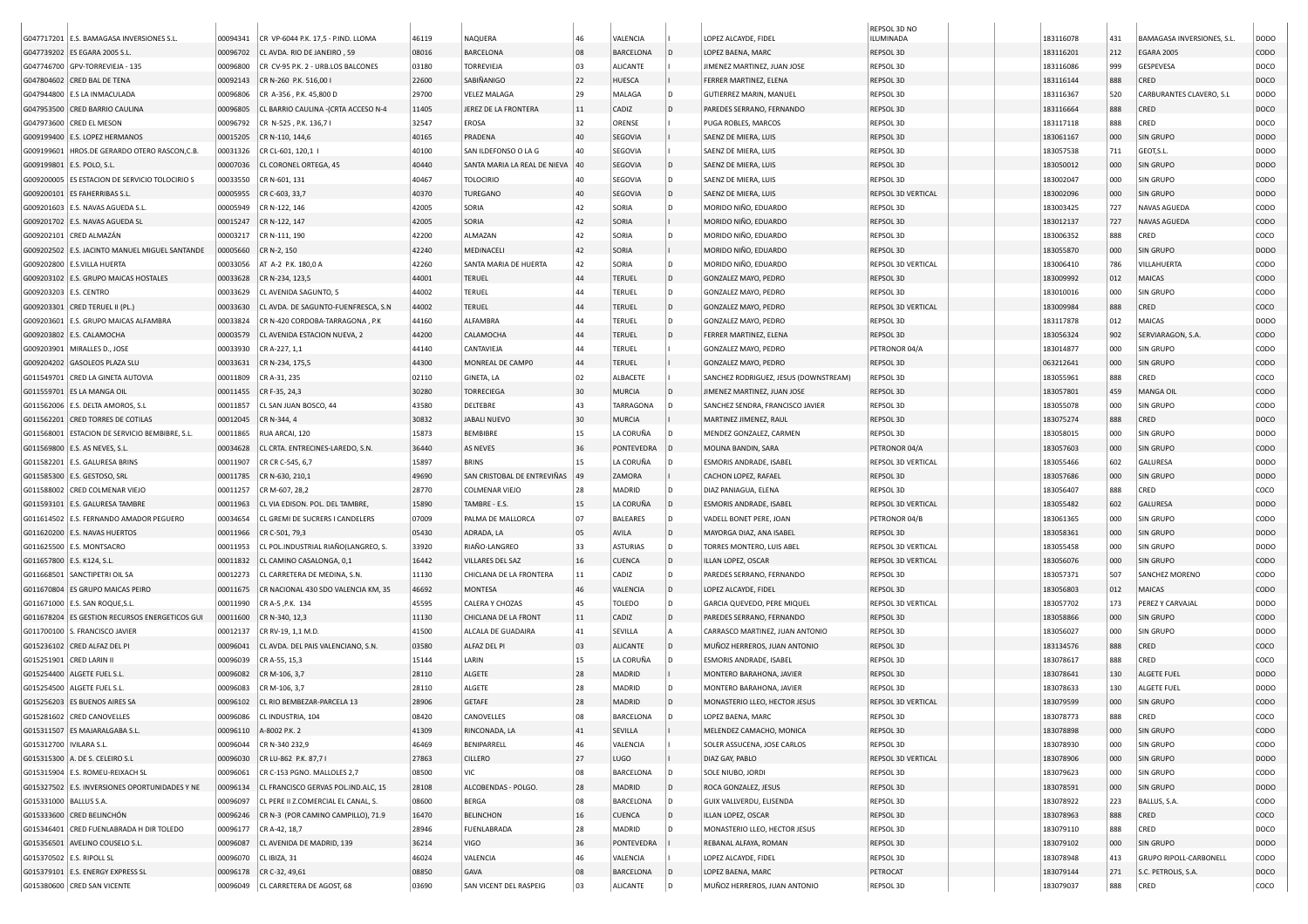|                              |                                                |          |                                       |       |                              |        |                  |     |                                       | REPSOL 3D NO       |           |     |                           |                  |
|------------------------------|------------------------------------------------|----------|---------------------------------------|-------|------------------------------|--------|------------------|-----|---------------------------------------|--------------------|-----------|-----|---------------------------|------------------|
|                              | G047717201 E.S. BAMAGASA INVERSIONES S.L       | 00094341 | CR VP-6044 P.K. 17,5 - P.IND. LLOMA   | 46119 | NAQUERA                      | 46     | VALENCIA         |     | LOPEZ ALCAYDE, FIDEL                  | ILUMINADA          | 183116078 | 431 | BAMAGASA INVERSIONES, S.L | DODO             |
|                              | G047739202 ES EGARA 2005 S.L                   | 00096702 | CL AVDA. RIO DE JANEIRO, 59           | 08016 | BARCELONA                    | 08     | <b>BARCELONA</b> |     | LOPEZ BAENA, MARC                     | REPSOL 3D          | 183116201 | 212 | <b>EGARA 2005</b>         | <b>CODO</b>      |
|                              | G047746700 GPV-TORREVIEJA - 135                | 00096800 | CR CV-95 P.K. 2 - URB.LOS BALCONES    | 03180 | TORREVIEJA                   | 03     | ALICANTE         |     | JIMENEZ MARTINEZ, JUAN JOSE           | REPSOL 3D          | 183116086 | 999 | GESPEVESA                 | DOCO             |
|                              | G047804602 CRED BAL DE TENA                    | 00092143 | CR N-260 P.K. 516,00 I                | 22600 | SABIÑANIGO                   | 22     | <b>HUESCA</b>    |     | FERRER MARTINEZ, ELENA                | REPSOL 3D          | 183116144 | 888 | CRED                      | DOCO             |
|                              | G047944800 E.S LA INMACULADA                   | 00096806 | CR A-356, P.K. 45,800 D               | 29700 | VELEZ MALAGA                 | 29     | MALAGA           | D   | <b>GUTIERREZ MARIN, MANUEL</b>        | REPSOL 3D          | 183116367 | 520 | CARBURANTES CLAVERO, S.L  | <b>DODO</b>      |
|                              | G047953500 CRED BARRIO CAULINA                 | 00096805 | CL BARRIO CAULINA - (CRTA ACCESO N-4  | 11405 | JEREZ DE LA FRONTERA         | 11     | CADIZ            | D   | PAREDES SERRANO, FERNANDO             | REPSOL 3D          | 183116664 | 888 | CRED                      | DOCO             |
|                              | G047973600 CRED EL MESON                       | 00096792 | CR N-525, P.K. 136,71                 | 32547 | EROSA                        | 32     | ORENSE           |     | PUGA ROBLES, MARCOS                   | REPSOL 3D          | 183117118 | 888 | CRED                      | DOCO             |
|                              | G009199400 E.S. LOPEZ HERMANOS                 | 00015205 | CR N-110, 144,6                       | 40165 | PRADENA                      | 40     | SEGOVIA          |     | SAENZ DE MIERA, LUIS                  | REPSOL 3D          | 183061167 | 000 | <b>SIN GRUPO</b>          | <b>DODO</b>      |
| G009199601                   | HROS.DE GERARDO OTERO RASCON,C.B               | 00031326 | CR CL-601, 120,1                      | 40100 | SAN ILDEFONSO O LA G         | 40     | SEGOVIA          |     | SAENZ DE MIERA, LUIS                  | REPSOL 3D          | 183057538 | 711 | GEOT, S.L.                | <b>DODO</b>      |
| G009199801                   | E.S. POLO, S.L.                                | 00007036 | CL CORONEL ORTEGA, 45                 | 40440 | SANTA MARIA LA REAL DE NIEVA | 40     | SEGOVIA          | D   | SAENZ DE MIERA, LUIS                  | REPSOL 3D          | 183050012 | 000 | <b>SIN GRUPO</b>          | <b>DODO</b>      |
|                              | G009200005 ES ESTACION DE SERVICIO TOLOCIRIO S | 00033550 | CR N-601, 131                         | 40467 | <b>TOLOCIRIO</b>             | 40     | SEGOVIA          | D   | SAENZ DE MIERA, LUIS                  | REPSOL 3D          | 183002047 | 000 | <b>SIN GRUPO</b>          | copo             |
|                              | G009200101 ES FAHERRIBAS S.L                   | 00005955 | CR C-603, 33,7                        | 40370 | TUREGANO                     | 40     | SEGOVIA          | D   | SAENZ DE MIERA, LUIS                  | REPSOL 3D VERTICAL | 183002096 | 000 | <b>SIN GRUPO</b>          | DOD <sub>O</sub> |
|                              | G009201603   E.S. NAVAS AGUEDA S.L.            | 00005949 | CR N-122, 146                         | 42005 | SORIA                        | 42     | SORIA            | D   | MORIDO NIÑO, EDUARDO                  | REPSOL 3D          | 183003425 | 727 | NAVAS AGUEDA              | CODO             |
|                              | G009201702 E.S. NAVAS AGUEDA SL                | 00015247 | CR N-122, 147                         | 42005 | SORIA                        | 42     | SORIA            |     | MORIDO NIÑO, EDUARDO                  | REPSOL 3D          | 183012137 | 727 | NAVAS AGUEDA              | <b>CODO</b>      |
|                              | G009202101 CRED ALMAZÁN                        | 00003217 | CR N-111, 190                         | 42200 | ALMAZAN                      | 42     | SORIA            | D   | MORIDO NIÑO, EDUARDO                  | REPSOL 3D          | 183006352 | 888 | CRED                      | coco             |
|                              | G009202502 E.S. JACINTO MANUEL MIGUEL SANTANDE | 00005660 | CR N-2, 150                           | 42240 | MEDINACELI                   | 42     | SORIA            |     | MORIDO NIÑO, EDUARDO                  | REPSOL 3D          | 183055870 | 000 | <b>SIN GRUPO</b>          | <b>DODO</b>      |
|                              | G009202800 E.S.VILLA HUERTA                    | 00033056 | AT A-2 P.K. 180,0 A                   | 42260 | SANTA MARIA DE HUERTA        | 42     | SORIA            | D   | MORIDO NIÑO, EDUARDO                  | REPSOL 3D VERTICAL | 183006410 | 786 | VILLAHUERTA               | CODO             |
|                              | G009203102 E.S. GRUPO MAICAS HOSTALES          | 00033628 | CR N-234, 123,5                       | 44001 | <b>TERUEL</b>                | 44     | <b>TERUEL</b>    | D   | GONZALEZ MAYO, PEDRO                  | REPSOL 3D          | 183009992 | 012 | MAICAS                    | CODO             |
| G009203203 E.S. CENTRO       |                                                | 00033629 | CL AVENIDA SAGUNTO, 5                 | 44002 | TERUEL                       | 44     | <b>TERUEL</b>    | D   | GONZALEZ MAYO, PEDRO                  | REPSOL 3D          | 183010016 | 000 | <b>SIN GRUPO</b>          | CODO             |
|                              | G009203301 CRED TERUEL II (PL.)                | 00033630 | CL AVDA. DE SAGUNTO-FUENFRESCA, S.N   | 44002 | <b>TERUEL</b>                | 44     | TERUEL           | D   | GONZALEZ MAYO, PEDRO                  | REPSOL 3D VERTICAL | 183009984 | 888 | CRED                      | coco             |
|                              | G009203601 E.S. GRUPO MAICAS ALFAMBRA          | 00033824 | CR N-420 CORDOBA-TARRAGONA, P.K.      | 44160 | ALFAMBRA                     | 44     | <b>TERUEL</b>    | D   | GONZALEZ MAYO, PEDRO                  | REPSOL 3D          | 183117878 | 012 | MAICAS                    | <b>DODO</b>      |
|                              | G009203802 E.S. CALAMOCHA                      | 00003579 | CL AVENIDA ESTACION NUEVA, 2          | 44200 | CALAMOCHA                    | 44     | <b>TERUEL</b>    | D   | FERRER MARTINEZ, ELENA                | REPSOL 3D          | 183056324 | 902 | SERVIARAGON, S.A.         | <b>CODO</b>      |
|                              | G009203901 MIRALLES D., JOSE                   | 00033930 | CR A-227, 1,1                         | 44140 | CANTAVIEJA                   | 44     | <b>TERUEL</b>    |     | GONZALEZ MAYO, PEDRO                  | PETRONOR 04/A      | 183014877 | 000 | <b>SIN GRUPO</b>          | CODO             |
|                              | G009204202 GASOLEOS PLAZA SLU                  | 00033631 | CR N-234, 175,5                       | 44300 | MONREAL DE CAMPO             | 44     | <b>TERUEL</b>    |     | GONZALEZ MAYO, PEDRO                  | REPSOL 3D          | 063212641 | 000 | <b>SIN GRUPO</b>          | <b>CODO</b>      |
|                              | G011549701 CRED LA GINETA AUTOVIA              | 00011809 | CR A-31, 235                          | 02110 | GINETA, LA                   | 02     | ALBACETE         |     | SANCHEZ RODRIGUEZ, JESUS (DOWNSTREAM) | REPSOL 3D          | 183055961 | 888 | CRED                      | coco             |
|                              | G011559701 ES LA MANGA OIL                     | 00011455 | CR F-35, 24,3                         | 30280 | <b>TORRECIEGA</b>            | 30     | <b>MURCIA</b>    | D   | JIMENEZ MARTINEZ, JUAN JOSE           | REPSOL 3D          | 183057801 | 459 | MANGA OIL                 | <b>CODO</b>      |
|                              | G011562006   E.S. DELTA AMOROS, S.L            | 00011857 | CL SAN JUAN BOSCO, 44                 | 43580 | DELTEBRE                     | 43     | TARRAGONA        | D   | SANCHEZ SENDRA, FRANCISCO JAVIER      | REPSOL 3D          | 183055078 | 000 | <b>SIN GRUPO</b>          | CODO             |
|                              | G011562201 CRED TORRES DE COTILAS              | 00012045 | CR N-344, 4                           | 30832 | <b>JABALI NUEVO</b>          | 30     | <b>MURCIA</b>    |     | MARTINEZ JIMENEZ, RAUL                | REPSOL 3D          | 183075274 | 888 | CRED                      | DOCO             |
|                              | G011568001 ESTACION DE SERVICIO BEMBIBRE, S.L. | 00011865 | RUA ARCAI, 120                        | 15873 | BEMBIBRE                     | 15     | LA CORUÑA        |     | MENDEZ GONZALEZ, CARMEN               | REPSOL 3D          | 183058015 | 000 | SIN GRUPO                 | <b>DODO</b>      |
|                              | G011569800 E.S. AS NEVES, S.L.                 | 00034628 | CL CRTA. ENTRECINES-LAREDO, S.N.      | 36440 | AS NEVES                     | 36     | PONTEVEDRA       | D   | MOLINA BANDIN, SARA                   | PETRONOR 04/A      | 183057603 | 000 | <b>SIN GRUPO</b>          | CODO             |
|                              |                                                | 00011907 |                                       | 15897 | <b>BRINS</b>                 | 15     | LA CORUÑA        |     | ESMORIS ANDRADE, ISABEL               | REPSOL 3D VERTICAL |           | 602 | GALURESA                  | <b>DODO</b>      |
|                              | G011582201 E.S. GALURESA BRINS                 |          | CR CR C-545, 6,7                      |       |                              |        |                  |     |                                       |                    | 183055466 |     |                           |                  |
|                              | G011585300 E.S. GESTOSO, SRL                   | 00011785 | CR N-630, 210,1                       | 49690 | SAN CRISTOBAL DE ENTREVIÑAS  | 49     | ZAMORA           |     | CACHON LOPEZ, RAFAEL                  | REPSOL 3D          | 183057686 | 000 | <b>SIN GRUPO</b>          | <b>DODO</b>      |
|                              | G011588002 CRED COLMENAR VIEJO                 | 00011257 | CR M-607, 28,2                        | 28770 | <b>COLMENAR VIEJO</b>        | 28     | MADRID           | D   | DIAZ PANIAGUA, ELENA                  | REPSOL 3D          | 183056407 | 888 | CRED                      | COCO             |
|                              | G011593101 E.S. GALURESA TAMBRE                | 00011963 | CL VIA EDISON. POL. DEL TAMBRE        | 15890 | TAMBRE - E.S.                | 15     | LA CORUÑA        | D   | <b>ESMORIS ANDRADE, ISABEL</b>        | REPSOL 3D VERTICAL | 183055482 | 602 | <b>GALURESA</b>           | <b>DODO</b>      |
|                              | G011614502 E.S. FERNANDO AMADOR PEGUERO        | 00034654 | CL GREMI DE SUCRERS I CANDELERS       | 07009 | PALMA DE MALLORCA            | 07     | <b>BALEARES</b>  | D   | VADELL BONET PERE, JOAN               | PETRONOR 04/B      | 183061365 | 000 | <b>SIN GRUPO</b>          | <b>CODO</b>      |
|                              | G011620200 E.S. NAVAS HUERTOS                  | 00011966 | CR C-501, 79,3                        | 05430 | ADRADA, LA                   | 05     | AVILA            | D   | MAYORGA DIAZ, ANA ISABEL              | REPSOL 3D          | 183058361 | 000 | <b>SIN GRUPO</b>          | <b>DODO</b>      |
|                              | G011625500 E.S. MONTSACRO                      | 00011953 | CL POL. INDUSTRIAL RIAÑO (LANGREO, S. | 33920 | RIAÑO-LANGREO                | 33     | <b>ASTURIAS</b>  | D   | TORRES MONTERO, LUIS ABEL             | REPSOL 3D VERTICAL | 183055458 | 000 | <b>SIN GRUPO</b>          | <b>DODO</b>      |
| G011657800   E.S. K124, S.L. |                                                | 00011832 | CL CAMINO CASALONGA, 0,1              | 16442 | <b>VILLARES DEL SAZ</b>      | 16     | CUENCA           | l D | ILLAN LOPEZ, OSCAR                    | REPSOL 3D VERTICAL | 183056076 | 000 | <b>SIN GRUPO</b>          | CODO             |
|                              | G011668501   SANCTIPETRI OIL SA                | 00012273 | CL CARRETERA DE MEDINA, S.N           | 11130 | CHICLANA DE LA FRONTERA      | $11\,$ | CADIZ            | D   | PAREDES SERRANO, FERNANDO             | REPSOL 3D          | 183057371 | 507 | SANCHEZ MORENO            | copo             |
|                              | G011670804 ES GRUPO MAICAS PEIRO               | 00011675 | CR NACIONAL 430 SDO VALENCIA KM, 35   | 46692 | MONTESA                      | 46     | VALENCIA         | l D | LOPEZ ALCAYDE, FIDEL                  | REPSOL 3D          | 183056803 | 012 | MAICAS                    | <b>CODO</b>      |
|                              | G011671000 E.S. SAN ROQUE, S.L                 | 00011990 | CR A-5 , P.K. 134                     | 45595 | CALERA Y CHOZAS              | 45     | <b>TOLEDO</b>    | ۱D  | GARCIA QUEVEDO, PERE MIQUEL           | REPSOL 3D VERTICAL | 183057702 | 173 | PEREZ Y CARVAJAL          | <b>DODO</b>      |
|                              | G011678204 ES GESTION RECURSOS ENERGETICOS GUI | 00011600 | CR N-340, 12,3                        | 11130 | CHICLANA DE LA FRONT         | 11     | CADIZ            | D   | PAREDES SERRANO, FERNANDO             | REPSOL 3D          | 183058866 | 000 | <b>SIN GRUPO</b>          | <b>CODO</b>      |
|                              | G011700100 S. FRANCISCO JAVIER                 | 00012137 | CR RV-19, 1,1 M.D.                    | 41500 | ALCALA DE GUADAIRA           | 41     | SEVILLA          |     | CARRASCO MARTINEZ, JUAN ANTONIO       | REPSOL 3D          | 183056027 | 000 | SIN GRUPO                 | <b>DODO</b>      |
|                              | G015236102 CRED ALFAZ DEL PI                   | 00096041 | CL AVDA. DEL PAIS VALENCIANO, S.N     | 03580 | ALFAZ DEL PI                 | 03     | <b>ALICANTE</b>  | D   | MUÑOZ HERREROS, JUAN ANTONIO          | REPSOL 3D          | 183134576 | 888 | CRED                      | COCO             |
| G015251901 CRED LARIN II     |                                                | 00096039 | CR A-55, 15,3                         | 15144 | LARIN                        | 15     | LA CORUÑA        |     | ESMORIS ANDRADE, ISABEL               | REPSOL 3D          | 183078617 | 888 | CRED                      | coco             |
|                              | G015254400 ALGETE FUEL S.L                     | 00096082 | CR M-106, 3,7                         | 28110 | ALGETE                       | 28     | MADRID           |     | MONTERO BARAHONA, JAVIER              | REPSOL 3D          | 183078641 | 130 | ALGETE FUEL               | <b>DODO</b>      |
|                              | G015254500 ALGETE FUEL S.L                     | 00096083 | CR M-106, 3,7                         | 28110 | ALGETE                       | 28     | MADRID           | D   | MONTERO BARAHONA, JAVIER              | REPSOL 3D          | 183078633 | 130 | ALGETE FUEL               | <b>DODO</b>      |
|                              | G015256203 ES BUENOS AIRES SA                  | 00096102 | CL RIO BEMBEZAR-PARCELA 13            | 28906 | <b>GETAFE</b>                | 28     | <b>MADRID</b>    | D   | MONASTERIO LLEO, HECTOR JESUS         | REPSOL 3D VERTICAL | 183079599 | 000 | SIN GRUPO                 | CODO             |
|                              | G015281602 CRED CANOVELLES                     | 00096086 | CL INDUSTRIA, 104                     | 08420 | CANOVELLES                   | 08     | BARCELONA        | ID  | LOPEZ BAENA, MARC                     | REPSOL 3D          | 183078773 | 888 | CRED                      | coco             |
|                              | G015311507 ES MAJARALGABA S.L.                 |          | 00096110 A-8002 P.K. 2                | 41309 | RINCONADA, LA                | 41     | SEVILLA          |     | MELENDEZ CAMACHO, MONICA              | REPSOL 3D          | 183078898 | 000 | <b>SIN GRUPO</b>          | <b>CODO</b>      |
| G015312700   IVILARA S.L.    |                                                | 00096044 | CR N-340 232,9                        | 46469 | BENIPARRELL                  | 46     | VALENCIA         |     | SOLER ASSUCENA, JOSE CARLOS           | REPSOL 3D          | 183078930 | 000 | <b>SIN GRUPO</b>          | <b>CODO</b>      |
|                              | G015315300 A. DE S. CELEIRO S.L                | 00096030 | CR LU-862 P.K. 87,71                  | 27863 | CILLERO                      | 27     | LUGO             |     | DIAZ GAY, PABLO                       | REPSOL 3D VERTICAL | 183078906 | 000 | SIN GRUPO                 | <b>DODO</b>      |
|                              | G015315904 E.S. ROMEU-REIXACH SL               | 00096061 | CR C-153 PGNO. MALLOLES 2,7           | 08500 | VIC                          | 08     | BARCELONA        | D   | SOLE NIUBO, JORDI                     | REPSOL 3D          | 183079623 | 000 | <b>SIN GRUPO</b>          | CODO             |
|                              | G015327502 E.S. INVERSIONES OPORTUNIDADES Y NE | 00096134 | CL FRANCISCO GERVAS POL.IND.ALC, 15   | 28108 | ALCOBENDAS - POLGO.          | 28     | MADRID           | D   | ROCA GONZALEZ, JESUS                  | REPSOL 3D          | 183078591 | 000 | <b>SIN GRUPO</b>          | <b>DODO</b>      |
| G015331000   BALLUS S.A.     |                                                | 00096097 | CL PERE II Z.COMERCIAL EL CANAL, S.   | 08600 | BERGA                        | 08     | BARCELONA        | ۱D  | GUIX VALLVERDU, ELISENDA              | REPSOL 3D          | 183078922 | 223 | BALLUS, S.A.              | copo             |
|                              | G015333600 CRED BELINCHÓN                      | 00096246 | CR N-3 (POR CAMINO CAMPILLO), 71.9    | 16470 | <b>BELINCHON</b>             | 16     | CUENCA           | D   | ILLAN LOPEZ, OSCAR                    | REPSOL 3D          | 183078963 | 888 | CRED                      | coco             |
|                              | G015346401 CRED FUENLABRADA H DIR TOLEDO       | 00096177 | CR A-42, 18,7                         | 28946 | <b>FUENLABRADA</b>           | 28     | MADRID           | D   | MONASTERIO LLEO, HECTOR JESUS         | REPSOL 3D          | 183079110 | 888 | CRED                      | DOCO             |
|                              | G015356501 AVELINO COUSELO S.L.                | 00096087 | CL AVENIDA DE MADRID, 139             | 36214 | VIGO                         | 36     | PONTEVEDRA       |     | REBANAL ALFAYA, ROMAN                 | REPSOL 3D          | 183079102 | 000 | SIN GRUPO                 | <b>DODO</b>      |
| G015370502   E.S. RIPOLL SL  |                                                | 00096070 | CL IBIZA, 31                          | 46024 | VALENCIA                     | 46     | VALENCIA         |     | LOPEZ ALCAYDE, FIDEL                  | REPSOL 3D          | 183078948 | 413 | GRUPO RIPOLL-CARBONELL    | CODO             |
|                              | G015379101 E.S. ENERGY EXPRESS SL              | 00096178 | CR C-32, 49,61                        | 08850 | GAVA                         | 08     | BARCELONA        | l D | LOPEZ BAENA, MARC                     | PETROCAT           | 183079144 | 271 | S.C. PETROLIS, S.A.       | DOCO             |
|                              | G015380600 CRED SAN VICENTE                    |          | 00096049 CL CARRETERA DE AGOST, 68    | 03690 | SAN VICENT DEL RASPEIG       | 03     | ALICANTE         | D   | MUÑOZ HERREROS, JUAN ANTONIO          | REPSOL 3D          | 183079037 | 888 | CRED                      | coco             |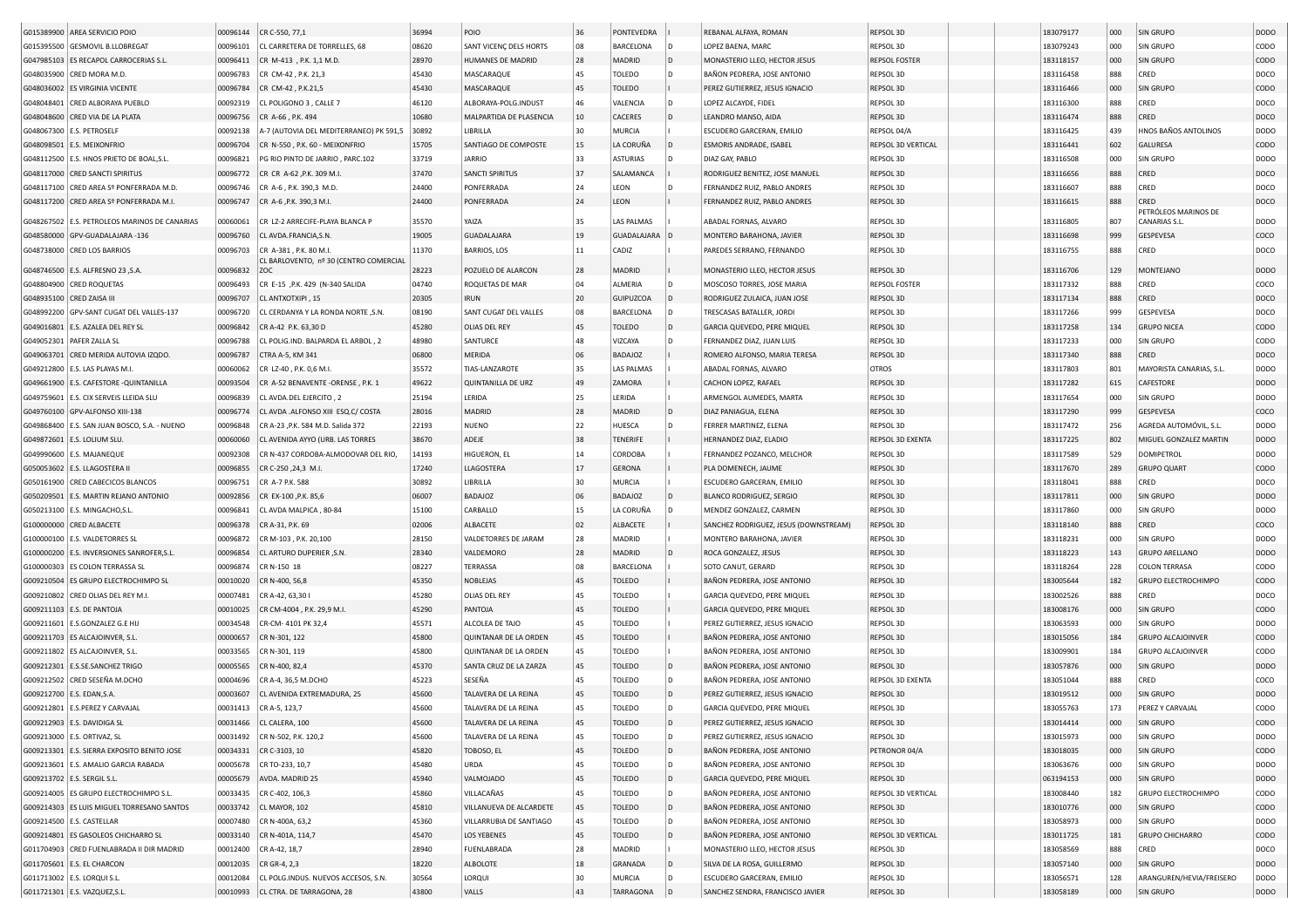| G015389900 AREA SERVICIO POIO                                      | 00096144             | CR C-550, 77,1                                   | 36994          | POIO                                           | 36       | PONTEVEDRA              |      | REBANAL ALFAYA, ROMAN                                      | REPSOL 3D              | 183079177              | 000        | SIN GRUPO                                            | <b>DODO</b>  |
|--------------------------------------------------------------------|----------------------|--------------------------------------------------|----------------|------------------------------------------------|----------|-------------------------|------|------------------------------------------------------------|------------------------|------------------------|------------|------------------------------------------------------|--------------|
| G015395500 GESMOVIL B.LLOBREGAT                                    | 00096101             | CL CARRETERA DE TORRELLES, 68                    | 08620          | SANT VICENC DELS HORTS                         | 08       | BARCELONA               | D    | LOPEZ BAENA, MARC                                          | REPSOL 3D              | 183079243              | 000        | SIN GRUPO                                            | CODO         |
| G047985103 ES RECAPOL CARROCERIAS S.L.                             | 00096411             | CR M-413, P.K. 1,1 M.D.                          | 28970          | HUMANES DE MADRID                              | 28       | MADRID                  | l D  | MONASTERIO LLEO, HECTOR JESUS                              | <b>REPSOL FOSTER</b>   | 183118157              | 000        | SIN GRUPO                                            | CODO         |
| G048035900 CRED MORA M.D.                                          | 00096783             | CR CM-42, P.K. 21,3                              | 45430          | MASCARAQUE                                     | 45       | TOLEDO                  | D    | BAÑON PEDRERA, JOSE ANTONIO                                | REPSOL 3D              | 183116458              | 888        | CRED                                                 | DOCO         |
| G048036002 ES VIRGINIA VICENTE                                     | 00096784             | CR CM-42, P.K.21,5                               | 45430          | MASCARAQUE                                     | 45       | TOLEDO                  |      | PEREZ GUTIERREZ, JESUS IGNACIO                             | REPSOL 3D              | 183116466              | 000        | SIN GRUPO                                            | CODO         |
| G048048401 CRED ALBORAYA PUEBLO                                    | 00092319             | CL POLIGONO 3, CALLE 7                           | 46120          | ALBORAYA-POLG.INDUST                           | 46       | VALENCIA                | D    | LOPEZ ALCAYDE, FIDEL                                       | REPSOL 3D              | 183116300              | 888        | CRED                                                 | DOCO         |
| G048048600 CRED VIA DE LA PLATA                                    | 00096756             | CR A-66, P.K. 494                                | 10680          | MALPARTIDA DE PLASENCIA                        | 10       | CACERES                 | D    | LEANDRO MANSO, AIDA                                        | REPSOL 3D              | 183116474              | 888        | CRED                                                 | DOCO         |
| G048067300 E.S. PETROSELF                                          | 00092138             | A-7 (AUTOVIA DEL MEDITERRANEO) PK 591,5          | 30892          | LIBRILLA                                       | 30       | MURCIA                  |      | ESCUDERO GARCERAN, EMILIO                                  | REPSOL 04/A            | 183116425              | 439        | HNOS BAÑOS ANTOLINOS                                 | DODO         |
| G048098501 E.S. MEIXONFRIO                                         | 00096704             | CR N-550, P.K. 60 - MEIXONFRIO                   | 15705          | SANTIAGO DE COMPOSTE                           | 15       | LA CORUÑA               |      | ESMORIS ANDRADE, ISABEL                                    | REPSOL 3D VERTICAL     | 183116441              | 602        | <b>GALURESA</b>                                      | CODO         |
| G048112500 E.S. HNOS PRIETO DE BOAL, S.L.                          | 00096821             | PG RIO PINTO DE JARRIO, PARC.102                 | 33719          | <b>JARRIO</b>                                  | 33       | <b>ASTURIAS</b>         | D    | DIAZ GAY, PABLO                                            | REPSOL 3D              | 183116508              | 000        | SIN GRUPO                                            | DODO         |
| G048117000 CRED SANCTI SPIRITUS                                    | 00096772             | CR CR A-62, P.K. 309 M.I                         | 37470          | <b>SANCTI SPIRITUS</b>                         | 37       | SALAMANCA               |      | RODRIGUEZ BENITEZ, JOSE MANUEL                             | REPSOL 3D              | 183116656              | 888        | CRED                                                 | DOCO         |
| G048117100 CRED AREA Sº PONFERRADA M.D.                            | 00096746             | CR A-6, P.K. 390,3 M.D                           | 24400          | PONFERRADA                                     | 24       | LEON                    | D    | FERNANDEZ RUIZ, PABLO ANDRES                               | REPSOL 3D              | 183116607              | 888        | CRED                                                 | DOCO         |
| G048117200 CRED AREA Sº PONFERRADA M.I.                            | 00096747             | CR A-6 , P.K. 390, 3 M.I.                        | 24400          | PONFERRADA                                     | 24       | LEON                    |      | FERNANDEZ RUIZ, PABLO ANDRES                               | REPSOL 3D              | 183116615              | 888        | CRED                                                 | DOCO         |
|                                                                    |                      |                                                  |                |                                                |          |                         |      |                                                            |                        |                        |            | PETRÓLEOS MARINOS DE                                 |              |
| G048267502 E.S. PETROLEOS MARINOS DE CANARIAS                      | 00060061             | CR LZ-2 ARRECIFE-PLAYA BLANCA P                  | 35570          | YAIZA                                          | 35       | LAS PALMAS              |      | ABADAL FORNAS, ALVARO                                      | REPSOL 3D              | 183116805              | 807        | CANARIAS S.L.                                        | DODO         |
| G048580000 GPV-GUADALAJARA -136                                    | 00096760             | CL AVDA.FRANCIA,S.N.                             | 19005          | <b>GUADALAJARA</b>                             | 19       | GUADALAJARA             |      | MONTERO BARAHONA, JAVIER                                   | REPSOL 3D              | 183116698              | 999        | GESPEVESA                                            | coco         |
| G048738000 CRED LOS BARRIOS                                        | 00096703             | CR A-381, P.K. 80 M.I                            | 11370          | <b>BARRIOS, LOS</b>                            | 11       | CADIZ                   |      | PAREDES SERRANO, FERNANDO                                  | REPSOL 3D              | 183116755              | 888        | CRED                                                 | DOCO         |
|                                                                    |                      | CL BARLOVENTO, nº 30 (CENTRO COMERCIAL           |                |                                                |          | MADRID                  |      |                                                            |                        |                        |            | MONTEJANO                                            |              |
| G048746500 E.S. ALFRESNO 23 , S.A.                                 | 00096832             | ZOC                                              | 28223          | POZUELO DE ALARCON                             | 28       |                         |      | MONASTERIO LLEO, HECTOR JESUS                              | REPSOL 3D              | 183116706              | 129        |                                                      | <b>DODO</b>  |
| G048804900 CRED ROQUETAS                                           | 00096493             | CR E-15 , P.K. 429 (N-340 SALIDA                 | 04740          | ROQUETAS DE MAR                                | 04       | ALMERIA                 | D    | MOSCOSO TORRES, JOSE MARIA                                 | <b>REPSOL FOSTER</b>   | 183117332              | 888        | CRED                                                 | coco         |
| G048935100 CRED ZAISA III                                          | 00096707             | CL ANTXOTXIPI, 15                                | 20305          | <b>IRUN</b>                                    | 20       | <b>GUIPUZCOA</b>        | D    | RODRIGUEZ ZULAICA, JUAN JOSE                               | REPSOL 3D              | 183117134              | 888        | CRED                                                 | DOCO         |
| G048992200 GPV-SANT CUGAT DEL VALLES-137                           | 00096720             | CL CERDANYA Y LA RONDA NORTE , S.N.              | 08190          | SANT CUGAT DEL VALLES                          | 08       | BARCELONA               | D    | TRESCASAS BATALLER, JORDI                                  | REPSOL 3D              | 183117266              | 999        | GESPEVESA                                            | DOCO         |
| G049016801 E.S. AZALEA DEL REY SL                                  | 00096842             | CR A-42 P.K. 63,30 D                             | 45280          | OLIAS DEL REY                                  | 45       | TOLEDO                  | D    | GARCIA QUEVEDO, PERE MIQUEI                                | REPSOL 3D              | 183117258              | 134        | <b>GRUPO NICEA</b>                                   | CODO         |
| G049052301 PAFER ZALLA SL                                          | 00096788             | CL POLIG.IND. BALPARDA EL ARBOL, 2               | 48980          | SANTURCE                                       | 48       | VIZCAYA                 | D    | FERNANDEZ DIAZ, JUAN LUIS                                  | REPSOL 3D              | 183117233              | 000        | SIN GRUPO                                            | CODO         |
| G049063701 CRED MERIDA AUTOVIA IZQDO.                              | 00096787             | CTRA A-5, KM 341                                 | 06800          | MERIDA                                         | 06       | <b>BADAJOZ</b>          |      | ROMERO ALFONSO, MARIA TERESA                               | REPSOL 3D              | 183117340              | 888        | CRED                                                 | DOCO         |
| G049212800   E.S. LAS PLAYAS M.I.                                  | 00060062             | CR LZ-40, P.K. 0,6 M.I.                          | 35572          | <b>TIAS-LANZAROTE</b>                          | 35       | LAS PALMAS              |      | ABADAL FORNAS, ALVARO                                      | <b>OTROS</b>           | 183117803              | 801        | MAYORISTA CANARIAS, S.L.                             | DODO         |
| G049661900 E.S. CAFESTORE - QUINTANILLA                            | 00093504             | CR A-52 BENAVENTE -ORENSE, P.K. 1                | 49622          | <b>QUINTANILLA DE URZ</b>                      | 49       | ZAMORA                  |      | CACHON LOPEZ, RAFAEL                                       | REPSOL 3D              | 183117282              | 615        | CAFESTORE                                            | <b>DODO</b>  |
| G049759601 E.S. CIX SERVEIS LLEIDA SLU                             | 00096839             | CL AVDA.DEL EJERCITO. 2                          | 25194          | LERIDA                                         | 25       | LERIDA                  |      | ARMENGOL AUMEDES, MARTA                                    | REPSOL 3D              | 183117654              | 000        | SIN GRUPO                                            | DODO         |
| G049760100 GPV-ALFONSO XIII-138                                    | 00096774             | CL AVDA , ALFONSO XIII ESQ.C/ COSTA              | 28016          | MADRID                                         | 28       | MADRID                  | D    | DIAZ PANIAGUA, ELENA                                       | REPSOL 3D              | 183117290              | 999        | GESPEVESA                                            | COCO         |
| G049868400 E.S. SAN JUAN BOSCO, S.A. - NUENO                       | 00096848             | CR A-23 , P.K. 584 M.D. Salida 372               | 22193          | <b>NUENO</b>                                   | 22       | HUESCA                  | D    | FERRER MARTINEZ, ELENA                                     | REPSOL 3D              | 183117472              | 256        | AGREDA AUTOMÓVIL, S.L.                               | <b>DODO</b>  |
| G049872601 E.S. LOLIUM SLU.                                        | 00060060             | CL AVENIDA AYYO (URB. LAS TORRES                 | 38670          | ADEJE                                          | 38       | <b>TENERIFE</b>         |      | HERNANDEZ DIAZ, ELADIO                                     | REPSOL 3D EXENTA       | 183117225              | 802        | MIGUEL GONZALEZ MARTIN                               | <b>DODO</b>  |
| G049990600 E.S. MAJANEQUE                                          | 00092308             | CR N-437 CORDOBA-ALMODOVAR DEL RIO               | 14193          | HIGUERON, EL                                   | 14       | CORDOBA                 |      | FERNANDEZ POZANCO, MELCHOR                                 | REPSOL 3D              | 183117589              | 529        | <b>DOMIPETROL</b>                                    | DODO         |
| G050053602 E.S. LLAGOSTERA II                                      | 00096855             | CR C-250, 24, 3 M.I.                             | 17240          | LLAGOSTERA                                     | 17       | <b>GERONA</b>           |      | PLA DOMENECH, JAUME                                        | REPSOL 3D              | 183117670              | 289        | <b>GRUPO QUART</b>                                   | CODO         |
| G050161900 CRED CABECICOS BLANCOS                                  | 00096751             | CR A-7 P.K. 588                                  | 30892          | LIBRILLA                                       | 30       | MURCIA                  |      | ESCUDERO GARCERAN, EMILIO                                  | REPSOL 3D              | 183118041              | 888        | CRED                                                 | DOCO         |
| G050209501 E.S. MARTIN REJANO ANTONIO                              | 00092856             | CR EX-100 , P.K. 85, 6                           | 06007          | <b>BADAJOZ</b>                                 | 06       | BADAJOZ                 | D    | BLANCO RODRIGUEZ, SERGIO                                   | REPSOL 3D              | 183117811              | 000        | SIN GRUPO                                            | <b>DODO</b>  |
| G050213100 E.S. MINGACHO, S.L.                                     | 00096841             | CL AVDA MALPICA, 80-84                           | 15100          | CARBALLO                                       | 15       | LA CORUÑA               |      | MENDEZ GONZALEZ, CARMEN                                    | REPSOL 3D              | 183117860              | 000        | SIN GRUPO                                            | DODO         |
| G100000000 CRED ALBACETE                                           | 00096378             | CR A-31, P.K. 69                                 | 02006          | <b>ALBACETE</b>                                | 02       | ALBACETE                |      | SANCHEZ RODRIGUEZ, JESUS (DOWNSTREAM)                      | REPSOL 3D              | 183118140              | 888        | CRED                                                 | coco         |
| G100000100 E.S. VALDETORRES SL                                     | 00096872             | CR M-103, P.K. 20,100                            | 28150          | VALDETORRES DE JARAM                           | 28       | MADRID                  |      | MONTERO BARAHONA, JAVIER                                   | REPSOL 3D              | 183118231              | 000        | SIN GRUPO                                            | DODO         |
| G100000200 E.S. INVERSIONES SANROFER, S.L                          | 00096854             | CL ARTURO DUPERIER, S.N                          | 28340          | VALDEMORC                                      | 28       | MADRID                  |      | ROCA GONZALEZ, JESUS                                       | REPSOL 3D              | 183118223              | 143        | <b>GRUPO ARELLANO</b>                                | <b>DODO</b>  |
| G100000303 ES COLON TERRASSA SL                                    | 00096874             | CR N-150 18                                      | 08227          | TERRASSA                                       | 08       | <b>BARCELONA</b>        |      | SOTO CANUT, GERARD                                         | REPSOL 3D              | 183118264              | 228        | <b>COLON TERRASA</b>                                 | CODO         |
| G009210504 ES GRUPO ELECTROCHIMPO SL                               | 00010020             | CR N-400, 56,8                                   | 45350          | NOBLEJAS                                       | 45       | TOLEDO                  |      | BAÑON PEDRERA, JOSE ANTONIO                                | REPSOL 3D              | 183005644              | 182        | <b>GRUPO ELECTROCHIMPO</b>                           | CODO         |
| G009210802 CRED OLIAS DEL REY M.I.                                 | 00007481             | CR A-42, 63,30                                   | 45280          | OLIAS DEL REY                                  | 45       | TOLEDO                  |      | GARCIA QUEVEDO, PERE MIQUEL                                | REPSOL 3D              | 183002526              | 888        | CRED                                                 | DOCO         |
|                                                                    | 00010025             |                                                  | 45290          | PANTOJA                                        | 45       |                         |      | GARCIA QUEVEDO, PERE MIQUEL                                | REPSOL 3D              | 183008176              | 000        | SIN GRUPO                                            | CODO         |
| G009211103 E.S. DE PANTOJA                                         | 00034548             | CR CM-4004, P.K. 29,9 M.I.<br>CR-CM-4101 PK 32,4 | 45571          | ALCOLEA DE TAJO                                | 45       | TOLEDO<br>TOLEDO        |      |                                                            | REPSOL 3D              | 183063593              | 000        | SIN GRUPO                                            |              |
| G009211601 E.S.GONZALEZ G.E HIJ                                    |                      |                                                  |                |                                                |          |                         |      | PEREZ GUTIERREZ, JESUS IGNACIO                             |                        |                        |            |                                                      | DODO         |
| G009211703 ES ALCAJOINVER, S.L.<br>G009211802 ES ALCAJOINVER, S.L. | 00000657<br>00033565 | CR N-301, 122<br>CR N-301, 119                   | 45800<br>45800 | QUINTANAR DE LA ORDEN<br>QUINTANAR DE LA ORDEN | 45<br>45 | <b>TOLEDO</b><br>TOLEDO |      | BAÑON PEDRERA, JOSE ANTONIO<br>BAÑON PEDRERA, JOSE ANTONIO | REPSOL 3D<br>REPSOL 3D | 183015056<br>183009901 | 184<br>184 | <b>GRUPO ALCAJOINVER</b><br><b>GRUPO ALCAJOINVER</b> | CODO<br>CODO |
|                                                                    |                      |                                                  |                |                                                |          |                         |      |                                                            |                        |                        |            |                                                      |              |
| G009212301 E.S.SE.SANCHEZ TRIGO                                    | 00005565             | CR N-400, 82,4                                   | 45370          | SANTA CRUZ DE LA ZARZA                         | 45       | TOLEDO                  | D    | BAÑON PEDRERA, JOSE ANTONIO                                | REPSOL 3D              | 183057876              | 000        | SIN GRUPO                                            | <b>DODO</b>  |
| G009212502 CRED SESEÑA M.DCHO                                      | 00004696             | CR A-4, 36,5 M.DCHO                              | 45223          | SESEÑA                                         | 45       | TOLEDO                  | D    | BAÑON PEDRERA, JOSE ANTONIO                                | REPSOL 3D EXENTA       | 183051044              | 888        | CRED                                                 | COCO         |
| G009212700 E.S. EDAN, S.A.                                         | 00003607             | CL AVENIDA EXTREMADURA, 25                       | 45600          | TALAVERA DE LA REINA                           | 45       | TOLEDO                  | D    | PEREZ GUTIERREZ, JESUS IGNACIO                             | REPSOL 3D              | 183019512              | 000        | SIN GRUPO                                            | DODO         |
| G009212801 E.S.PEREZ Y CARVAJAL                                    | 00031413             | CR A-5, 123,7                                    | 45600          | TALAVERA DE LA REINA                           | 45       | TOLEDO                  | D    | GARCIA QUEVEDO, PERE MIQUEL                                | REPSOL 3D              | 183055763              | 173        | PEREZ Y CARVAJAL                                     | CODO         |
| G009212903   E.S. DAVIDIGA SL                                      |                      | 00031466 CL CALERA, 100                          | 45600          | TALAVERA DE LA REINA                           | 45       | TOLEDO                  | D    | PEREZ GUTIERREZ, JESUS IGNACIO                             | REPSOL 3D              | 183014414              | 000        | SIN GRUPO                                            | CODO         |
| G009213000 E.S. ORTIVAZ, SL                                        |                      | 00031492 CR N-502, P.K. 120,2                    | 45600          | TALAVERA DE LA REINA                           | 45       | TOLEDO                  | l D  | PEREZ GUTIERREZ, JESUS IGNACIO                             | REPSOL 3D              | 183015973              | 000        | SIN GRUPO                                            | <b>DODO</b>  |
| G009213301 E.S. SIERRA EXPOSITO BENITO JOSE                        | 00034331             | CR C-3103, 10                                    | 45820          | TOBOSO, EL                                     | 45       | <b>TOLEDO</b>           | D    | BAÑON PEDRERA, JOSE ANTONIO                                | PETRONOR 04/A          | 183018035              | 000        | SIN GRUPO                                            | <b>CODO</b>  |
| G009213601 E.S. AMALIO GARCIA RABADA                               | 00005678             | CR TO-233, 10,7                                  | 45480          | URDA                                           | 45       | TOLEDO                  | l D. | BAÑON PEDRERA, JOSE ANTONIO                                | REPSOL 3D              | 183063676              | 000        | SIN GRUPO                                            | <b>DODO</b>  |
| G009213702 E.S. SERGIL S.L.                                        | 00005679             | AVDA. MADRID 25                                  | 45940          | VALMOJADO                                      | 45       | TOLEDO                  | D    | GARCIA QUEVEDO, PERE MIQUEL                                | REPSOL 3D              | 063194153              | 000        | SIN GRUPO                                            | DODO         |
| G009214005 ES GRUPO ELECTROCHIMPO S.L.                             |                      | 00033435 CR C-402, 106,3                         | 45860          | VILLACAÑAS                                     | 45       | TOLEDO                  | D    | BAÑON PEDRERA, JOSE ANTONIO                                | REPSOL 3D VERTICAL     | 183008440              | 182        | <b>GRUPO ELECTROCHIMPO</b>                           | CODO         |
| G009214303 ES LUIS MIGUEL TORRESANO SANTOS                         |                      | 00033742 CL MAYOR, 102                           | 45810          | VILLANUEVA DE ALCARDETE                        | 45       | TOLEDO                  | D    | BAÑON PEDRERA, JOSE ANTONIO                                | REPSOL 3D              | 183010776              | 000        | SIN GRUPO                                            | CODO         |
| G009214500 E.S. CASTELLAR                                          |                      | 00007480 CR N-400A, 63,2                         | 45360          | VILLARRUBIA DE SANTIAGO                        | 45       | TOLEDO                  | D    | BAÑON PEDRERA, JOSE ANTONIO                                | REPSOL 3D              | 183058973              | 000        | SIN GRUPO                                            | DODO         |
| G009214801 ES GASOLEOS CHICHARRO SL                                |                      | 00033140 CR N-401A, 114,7                        | 45470          | LOS YEBENES                                    | 45       | TOLEDO                  | ID.  | BAÑON PEDRERA, JOSE ANTONIO                                | REPSOL 3D VERTICAL     | 183011725              | 181        | <b>GRUPO CHICHARRO</b>                               | CODO         |
| G011704903 CRED FUENLABRADA II DIR MADRID                          |                      | 00012400 CR A-42, 18,7                           | 28940          | <b>FUENLABRADA</b>                             | 28       | MADRID                  |      | MONASTERIO LLEO, HECTOR JESUS                              | REPSOL 3D              | 183058569              | 888        | CRED                                                 | DOCO         |
| G011705601 E.S. EL CHARCON                                         |                      | 00012035 CR GR-4, 2,3                            | 18220          | <b>ALBOLOTE</b>                                | 18       | GRANADA                 | D    | SILVA DE LA ROSA, GUILLERMO                                | REPSOL 3D              | 183057140              | 000        | SIN GRUPO                                            | DODO         |
| G011713002 E.S. LORQUI S.L.                                        | 00012084             | CL POLG.INDUS. NUEVOS ACCESOS, S.N.              | 30564          | LORQUI                                         | 30       | MURCIA                  | D    | ESCUDERO GARCERAN, EMILIO                                  | REPSOL 3D              | 183056571              | 128        | ARANGUREN/HEVIA/FREISERO                             | <b>DODO</b>  |
| G011721301 E.S. VAZQUEZ, S.L                                       |                      | 00010993 CL CTRA. DE TARRAGONA, 28               | 43800          | VALLS                                          | 43       | TARRAGONA               | ID.  | SANCHEZ SENDRA, FRANCISCO JAVIER                           | REPSOL 3D              | 183058189              | 000        | SIN GRUPO                                            | DODO         |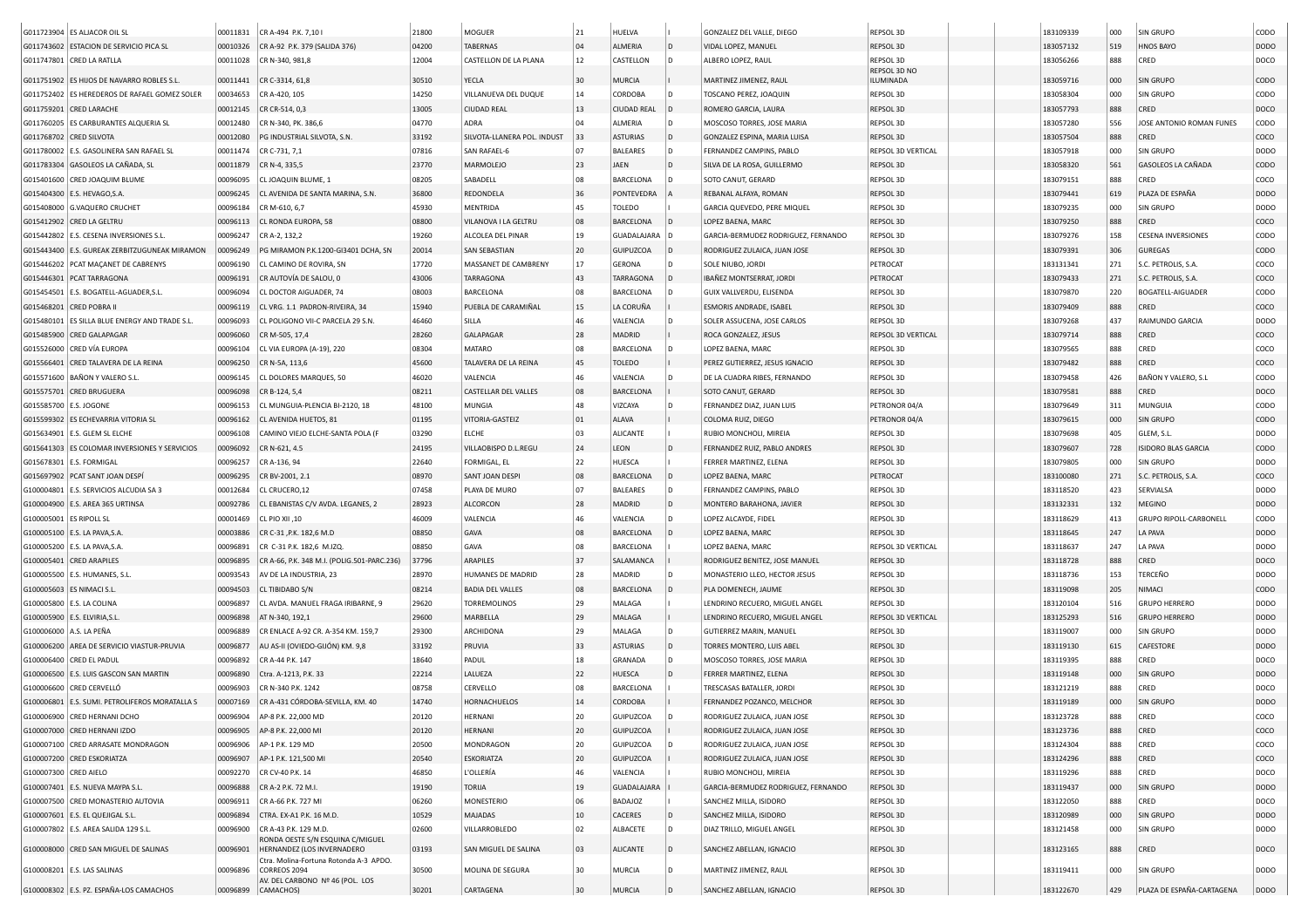|                         | G011723904 ES ALJACOR OIL SL                     | 00011831 | CR A-494 P.K. 7,101                                            | 21800 | <b>MOGUER</b>               | 21       | HUELVA             |              | GONZALEZ DEL VALLE, DIEGO           | REPSOL 3D          | 183109339 | 000        | SIN GRUPO                  | CODO        |
|-------------------------|--------------------------------------------------|----------|----------------------------------------------------------------|-------|-----------------------------|----------|--------------------|--------------|-------------------------------------|--------------------|-----------|------------|----------------------------|-------------|
|                         | G011743602 ESTACION DE SERVICIO PICA SL          | 00010326 | CR A-92 P.K. 379 (SALIDA 376)                                  | 04200 | <b>TABERNAS</b>             | 04       | ALMERIA            |              | VIDAL LOPEZ, MANUEI                 | REPSOL 3D          | 183057132 | 519        | <b>HNOS BAYO</b>           | <b>DODO</b> |
|                         | G011747801 CRED LA RATLLA                        | 00011028 | CR N-340, 981,8                                                | 12004 | CASTELLON DE LA PLANA       | 12       | CASTELLON          |              | ALBERO LOPEZ, RAUL                  | REPSOL 3D          | 183056266 | 888        | CRED                       | DOCO        |
|                         |                                                  |          |                                                                |       |                             |          |                    |              |                                     | REPSOL 3D NO       |           |            |                            |             |
|                         | G011751902 ES HIJOS DE NAVARRO ROBLES S.L.       | 00011441 | CR C-3314, 61,8                                                | 30510 | YECLA                       | 30<br>14 | MURCIA             |              | MARTINEZ JIMENEZ, RAUL              | ILUMINADA          | 183059716 | 000        | <b>SIN GRUPO</b>           | CODO        |
|                         | G011752402 ES HEREDEROS DE RAFAEL GOMEZ SOLER    | 00034653 | CR A-420, 105                                                  | 14250 | VILLANUEVA DEL DUQUE        |          | <b>CORDOBA</b>     |              | TOSCANO PEREZ, JOAQUIN              | REPSOL 3D          | 183058304 | 000        | SIN GRUPO                  | CODO        |
|                         | G011759201 CRED LARACHE                          | 00012145 | CR CR-514, 0,3                                                 | 13005 | <b>CIUDAD REAL</b>          | 13       | <b>CIUDAD REAL</b> |              | ROMERO GARCIA, LAURA                | REPSOL 3D          | 183057793 | 888        | CRED                       | DOCO        |
|                         | G011760205 ES CARBURANTES ALQUERIA SL            | 00012480 | CR N-340, PK. 386,6                                            | 04770 | ADRA                        | 04       | ALMERIA            |              | MOSCOSO TORRES, JOSE MARIA          | REPSOL 3D          | 183057280 | 556        | JOSE ANTONIO ROMAN FUNES   | CODO        |
| G011768702 CRED SILVOTA |                                                  | 00012080 | PG INDUSTRIAL SILVOTA, S.N.                                    | 33192 | SILVOTA-LLANERA POL. INDUST | 33       | <b>ASTURIAS</b>    | D            | GONZALEZ ESPINA, MARIA LUISA        | REPSOL 3D          | 183057504 | 888        | CRED                       | coco        |
|                         | G011780002 E.S. GASOLINERA SAN RAFAEL SL         | 00011474 | CR C-731, 7,1                                                  | 07816 | SAN RAFAEL-6                | 07       | <b>BALEARES</b>    |              | FERNANDEZ CAMPINS, PABLO            | REPSOL 3D VERTICAL | 183057918 | 000        | SIN GRUPO                  | DODO        |
|                         | G011783304 GASOLEOS LA CAÑADA, SL                | 00011879 | CR N-4, 335,5                                                  | 23770 | MARMOLEJO                   | 23       | JAEN               | D            | SILVA DE LA ROSA, GUILLERMO         | REPSOL 3D          | 183058320 | 561        | GASOLEOS LA CAÑADA         | CODO        |
|                         | G015401600 CRED JOAQUIM BLUME                    | 00096095 | CL JOAQUIN BLUME. 1                                            | 08205 | SABADELL                    | 08       | <b>BARCELONA</b>   |              | SOTO CANUT, GERARD                  | REPSOL 3D          | 183079151 | 888        | CRED                       | COCO        |
|                         | G015404300 E.S. HEVAGO, S.A.                     | 00096245 | CL AVENIDA DE SANTA MARINA, S.N.                               | 36800 | <b>REDONDELA</b>            | 36       | PONTEVEDRA         |              | REBANAL ALFAYA, ROMAN               | REPSOL 3D          | 183079441 | 619        | PLAZA DE ESPAÑA            | <b>DODO</b> |
|                         | G015408000 G.VAQUERO CRUCHET                     | 00096184 | CR M-610, 6,7                                                  | 45930 | MENTRIDA                    | 45       | TOLEDO             |              | GARCIA QUEVEDO, PERE MIQUEL         | REPSOL 3D          | 183079235 | 000        | SIN GRUPO                  | DODO        |
|                         | G015412902 CRED LA GELTRU                        | 00096113 | CL RONDA EUROPA, 58                                            | 08800 | VILANOVA I LA GELTRU        | 08       | <b>BARCELONA</b>   |              | LOPEZ BAENA, MARC                   | REPSOL 3D          | 183079250 | 888        | CRED                       | coco        |
|                         | G015442802 E.S. CESENA INVERSIONES S.L.          | 00096247 | CR A-2, 132,2                                                  | 19260 | ALCOLEA DEL PINAR           | 19       | GUADALAJARA        |              | GARCIA-BERMUDEZ RODRIGUEZ, FERNANDO | REPSOL 3D          | 183079276 | 158        | <b>CESENA INVERSIONES</b>  | CODO        |
|                         | G015443400 E.S. GUREAK ZERBITZUGUNEAK MIRAMON    | 00096249 | PG MIRAMON P.K.1200-GI3401 DCHA, SN                            | 20014 | <b>SAN SEBASTIAN</b>        | 20       | GUIPUZCOA          |              | RODRIGUEZ ZULAICA, JUAN JOSE        | REPSOL 3D          | 183079391 | 306        | <b>GUREGAS</b>             | CODO        |
|                         | G015446202 PCAT MAÇANET DE CABRENYS              | 00096190 | CL CAMINO DE ROVIRA, SN                                        | 17720 | MASSANET DE CAMBRENY        | 17       | <b>GERONA</b>      |              | SOLE NIUBO, JORDI                   | PETROCAT           | 183131341 | 271        | S.C. PETROLIS, S.A.        | COCO        |
|                         | G015446301 PCAT TARRAGONA                        | 00096191 | CR AUTOVÍA DE SALOU, 0                                         | 43006 | <b>TARRAGONA</b>            | 43       | <b>TARRAGONA</b>   |              | IBAÑEZ MONTSERRAT, JORDI            | PETROCAT           | 183079433 | 271        | S.C. PETROLIS, S.A.        | coco        |
|                         | G015454501 E.S. BOGATELL-AGUADER, S.L.           | 00096094 | CL DOCTOR AIGUADER, 74                                         | 08003 | BARCELONA                   | 08       | <b>BARCELONA</b>   |              | GUIX VALLVERDU, ELISENDA            | REPSOL 3D          | 183079870 | 220        | <b>BOGATELL-AIGUADER</b>   | CODO        |
|                         | G015468201 CRED POBRA II                         | 00096119 | CL VRG. 1.1 PADRON-RIVEIRA, 34                                 | 15940 | PUEBLA DE CARAMIÑAL         | 15       | LA CORUÑA          |              | ESMORIS ANDRADE, ISABEL             | REPSOL 3D          | 183079409 | 888        | CRED                       | coco        |
|                         | G015480101   ES SILLA BLUE ENERGY AND TRADE S.L. | 00096093 | CL POLIGONO VII-C PARCELA 29 S.N.                              | 46460 | SILLA                       | 46       | VALENCIA           |              | SOLER ASSUCENA, JOSE CARLOS         | REPSOL 3D          | 183079268 | 437        | RAIMUNDO GARCIA            | DODO        |
|                         | G015485900 CRED GALAPAGAR                        | 00096060 | CR M-505, 17,4                                                 | 28260 | GALAPAGAR                   | 28       | MADRID             |              | ROCA GONZALEZ, JESUS                | REPSOL 3D VERTICAL | 183079714 | 888        | CRED                       | coco        |
|                         | G015526000 CRED VÍA EUROPA                       | 00096104 | CL VIA EUROPA (A-19), 220                                      | 08304 | MATARO                      | 08       | <b>BARCELONA</b>   |              | LOPEZ BAENA, MARC                   | REPSOL 3D          | 183079565 | 888        | CRED                       | coco        |
|                         | G015566401 CRED TALAVERA DE LA REINA             | 00096250 | CR N-5A, 113,6                                                 | 45600 | TALAVERA DE LA REINA        | 45       | <b>TOLEDO</b>      |              | PEREZ GUTIERREZ, JESUS IGNACIO      | REPSOL 3D          | 183079482 | 888        | CRED                       | coco        |
|                         | G015571600 BAÑON Y VALERO S.L.                   | 00096145 | CL DOLORES MARQUES, 50                                         | 46020 | VALENCIA                    | 46       | VALENCIA           |              | DE LA CUADRA RIBES, FERNANDO        | REPSOL 3D          | 183079458 | 426        | BAÑON Y VALERO, S.L        | CODO        |
|                         | G015575701 CRED BRUGUERA                         | 00096098 | CR B-124, 5,4                                                  | 08211 | CASTELLAR DEL VALLES        | 08       | <b>BARCELONA</b>   |              | SOTO CANUT, GERARD                  | REPSOL 3D          | 183079581 | 888        | CRED                       | DOCO        |
| G015585700 E.S. JOGONE  |                                                  | 00096153 | CL MUNGUIA-PLENCIA BI-2120, 18                                 | 48100 | MUNGIA                      | 48       | VIZCAYA            |              | FERNANDEZ DIAZ, JUAN LUIS           | PETRONOR 04/A      | 183079649 | 311        | MUNGUIA                    | CODO        |
|                         | G015599302 ES ECHEVARRIA VITORIA SL              | 00096162 | CL AVENIDA HUETOS, 81                                          | 01195 | VITORIA-GASTEIZ             | 01       | ALAVA              |              | COLOMA RUIZ, DIEGO                  | PETRONOR 04/A      | 183079615 | 000        | SIN GRUPO                  | CODO        |
|                         | G015634901 E.S. GLEM SL ELCHE                    | 00096108 | CAMINO VIEJO ELCHE-SANTA POLA (F                               | 03290 | <b>ELCHE</b>                | 03       | <b>ALICANTE</b>    |              | RUBIO MONCHOLI, MIREIA              | REPSOL 3D          | 183079698 | 405        | GLEM, S.L.                 | <b>DODO</b> |
|                         | G015641303 ES COLOMAR INVERSIONES Y SERVICIOS    | 00096092 | CR N-621, 4.5                                                  | 24195 | VILLAOBISPO D.L.REGU        | 24       | LEON               |              | FERNANDEZ RUIZ, PABLO ANDRES        | REPSOL 3D          | 183079607 | 728        | <b>ISIDORO BLAS GARCIA</b> | CODO        |
|                         | G015678301 E.S. FORMIGAL                         | 00096257 | CR A-136, 94                                                   | 22640 | FORMIGAL, EL                | 22       | HUESCA             |              | FERRER MARTINEZ, ELENA              | REPSOL 3D          | 183079805 | 000        | SIN GRUPO                  | <b>DODO</b> |
|                         | G015697902 PCAT SANT JOAN DESPÍ                  | 00096295 | CR BV-2001, 2.1                                                | 08970 | SANT JOAN DESPI             | 08       | <b>BARCELONA</b>   |              | LOPEZ BAENA, MARC                   | PETROCAT           | 183100080 | 271        | S.C. PETROLIS, S.A.        | coco        |
|                         | G100004801   E.S. SERVICIOS ALCUDIA SA 3         | 00012684 | CL CRUCERO,12                                                  | 07458 | PLAYA DE MURO               | 07       | <b>BALEARES</b>    | l D          | FERNANDEZ CAMPINS, PABLO            | REPSOL 3D          | 183118520 | 423        | SERVIALSA                  | <b>DODO</b> |
|                         | G100004900   E.S. AREA 365 URTINSA               | 00092786 | CL EBANISTAS C/V AVDA. LEGANES, 2                              | 28923 | <b>ALCORCON</b>             | 28       | MADRID             |              | MONTERO BARAHONA, JAVIER            | REPSOL 3D          | 183132331 | 132        | MEGINO                     | <b>DODO</b> |
| G100005001 ES RIPOLL SL |                                                  | 00001469 | CL PIO XII, 10                                                 | 46009 | VALENCIA                    | 46       | VALENCIA           |              | LOPEZ ALCAYDE, FIDEL                | REPSOL 3D          | 183118629 | 413        | GRUPO RIPOLL-CARBONELL     | CODO        |
|                         | G100005100 E.S. LA PAVA, S.A.                    | 00003886 | CR C-31, P.K. 182, 6 M.D                                       | 08850 | GAVA                        | 08       | <b>BARCELONA</b>   |              | LOPEZ BAENA, MARC                   | REPSOL 3D          | 183118645 | 247        | LA PAVA                    | <b>DODO</b> |
|                         | G100005200   E.S. LA PAVA,S.A.                   | 00096891 | CR C-31 P.K. 182,6 M.IZQ                                       | 08850 | GAVA                        | 08       | BARCELONA          |              | LOPEZ BAENA, MARC                   | REPSOL 3D VERTICAL | 183118637 | 247        | LA PAVA                    | <b>DODO</b> |
|                         | G100005401 CRED ARAPILES                         | 00096895 | CR A-66, P.K. 348 M.I. (POLIG.501-PARC.236)                    | 37796 | ARAPILES                    | 37       | SALAMANCA          |              | RODRIGUEZ BENITEZ, JOSE MANUEI      | REPSOL 3D          | 183118728 | 888        | CRED                       | DOCO        |
|                         | G100005500 E.S. HUMANES, S.L                     | 00093543 | AV DE LA INDUSTRIA, 23                                         | 28970 | HUMANES DE MADRID           | 28       | MADRID             |              | MONASTERIO LLEO, HECTOR JESUS       | REPSOL 3D          | 183118736 | 153        | TERCEÑO                    | <b>DODO</b> |
|                         | G100005603 ES NIMACI S.L                         | 00094503 | CL TIBIDABO S/N                                                | 08214 | <b>BADIA DEL VALLES</b>     | 08       | <b>BARCELONA</b>   |              | PLA DOMENECH, JAUME                 | REPSOL 3D          | 183119098 | 205        | NIMACI                     | CODO        |
|                         | G100005800   E.S. LA COLINA                      | 00096897 | CL AVDA. MANUEL FRAGA IRIBARNE, 9                              | 29620 | <b>TORREMOLINOS</b>         | 29       | MALAGA             |              | LENDRINO RECUERO, MIGUEL ANGEL      | REPSOL 3D          | 183120104 | 516        | <b>GRUPO HERRERO</b>       | DODO        |
|                         | G100005900   E.S. ELVIRIA, S.L                   | 00096898 | AT N-340, 192,1                                                | 29600 | MARBELLA                    | 29       | MALAGA             |              | LENDRINO RECUERO, MIGUEL ANGEL      | REPSOL 3D VERTICAL | 183125293 | 516        | <b>GRUPO HERRERO</b>       | <b>DODO</b> |
| G100006000 A.S. LA PEÑA |                                                  | 00096889 | CR ENLACE A-92 CR. A-354 KM. 159,7                             | 29300 | ARCHIDONA                   | 29       | MALAGA             |              | GUTIERREZ MARIN, MANUEL             | REPSOL 3D          | 183119007 | 000        | SIN GRUPO                  | DODO        |
|                         | G100006200 AREA DE SERVICIO VIASTUR-PRUVIA       | 00096877 | AU AS-II (OVIEDO-GIJÓN) KM. 9,8                                | 33192 | PRUVIA                      | 33       | <b>ASTURIAS</b>    |              | TORRES MONTERO, LUIS ABEI           | REPSOL 3D          | 183119130 | 615        | CAFESTORE                  | <b>DODO</b> |
|                         | G100006400 CRED EL PADUL                         | 00096892 | CR A-44 P.K. 147                                               | 18640 | PADUL                       | 18       | GRANADA            |              | MOSCOSO TORRES, JOSE MARIA          | REPSOL 3D          | 183119395 | 888        | CRED                       | DOCO        |
|                         | G100006500 E.S. LUIS GASCON SAN MARTIN           | 00096890 | Ctra. A-1213, P.K. 33                                          | 22214 | LALUEZA                     | 22       | <b>HUESCA</b>      |              | FERRER MARTINEZ, ELENA              | REPSOL 3D          | 183119148 | 000        | SIN GRUPO                  | <b>DODO</b> |
|                         | G100006600 CRED CERVELLÓ                         |          |                                                                | 08758 |                             | 08       |                    |              |                                     | REPSOL 3D          |           | 888        | CRED                       |             |
|                         |                                                  | 00096903 | CR N-340 P.K. 1242<br>CR A-431 CÓRDOBA-SEVILLA, KM. 40         |       | CERVELLO                    |          | <b>BARCELONA</b>   |              | TRESCASAS BATALLER, JORDI           |                    | 183121219 |            |                            | DOCO        |
|                         | G100006801 E.S. SUMI. PETROLIFEROS MORATALLA S   | 00007169 |                                                                | 14740 | HORNACHUELOS                | 14       | <b>CORDOBA</b>     |              | FERNANDEZ POZANCO, MELCHOR          | REPSOL 3D          | 183119189 | 000<br>888 | SIN GRUPO                  | <b>DODO</b> |
|                         | G100006900 CRED HERNANI DCHO                     | 00096904 | AP-8 P.K. 22,000 MD                                            | 20120 | HERNANI                     | 20       | GUIPUZCOA          |              | RODRIGUEZ ZULAICA, JUAN JOSE        | REPSOL 3D          | 183123728 |            | CRED                       | COCO        |
|                         | G100007000 CRED HERNANI IZDO                     | 00096905 | AP-8 P.K. 22,000 MI                                            | 20120 | <b>HERNANI</b>              | 20       | <b>GUIPUZCOA</b>   |              | RODRIGUEZ ZULAICA, JUAN JOSE        | REPSOL 3D          | 183123736 | 888        | CRED                       | coco        |
|                         | G100007100 CRED ARRASATE MONDRAGON               | 00096906 | AP-1 P.K. 129 MD                                               | 20500 | MONDRAGON                   | 20       | GUIPUZCOA          |              | RODRIGUEZ ZULAICA, JUAN JOSE        | REPSOL 3D          | 183124304 | 888        | CRED                       | coco        |
|                         | G100007200 CRED ESKORIATZA                       | 00096907 | AP-1 P.K. 121,500 MI                                           | 20540 | <b>ESKORIATZA</b>           | 20       | <b>GUIPUZCOA</b>   |              | RODRIGUEZ ZULAICA, JUAN JOSE        | REPSOL 3D          | 183124296 | 888        | CRED                       | coco        |
| G100007300 CRED AIELO   |                                                  | 00092270 | CR CV-40 P.K. 14                                               | 46850 | L'OLLERÍA                   | 46       | VALENCIA           |              | RUBIO MONCHOLI, MIREIA              | REPSOL 3D          | 183119296 | 888        | CRED                       | DOCO        |
|                         | G100007401 E.S. NUEVA MAYPA S.L.                 | 00096888 | CR A-2 P.K. 72 M.I.                                            | 19190 | <b>TORIJA</b>               | 19       | <b>GUADALAJARA</b> |              | GARCIA-BERMUDEZ RODRIGUEZ, FERNANDO | REPSOL 3D          | 183119437 | 000        | SIN GRUPO                  | DODO        |
|                         | G100007500 CRED MONASTERIO AUTOVIA               | 00096911 | CR A-66 P.K. 727 MI                                            | 06260 | <b>MONESTERIO</b>           | 06       | <b>BADAJOZ</b>     |              | SANCHEZ MILLA, ISIDORO              | REPSOL 3D          | 183122050 | 888        | CRED                       | DOCO        |
|                         | G100007601   E.S. EL QUEJIGAL S.L.               | 00096894 | CTRA. EX-A1 P.K. 16 M.D.                                       | 10529 | MAJADAS                     | 10       | CACERES            |              | SANCHEZ MILLA, ISIDORO              | REPSOL 3D          | 183120989 | 000        | SIN GRUPO                  | DODO        |
|                         | G100007802 E.S. AREA SALIDA 129 S.L.             | 00096900 | CR A-43 P.K. 129 M.D.                                          | 02600 | VILLARROBLEDO               | 02       | ALBACETE           | l D          | DIAZ TRILLO, MIGUEL ANGEL           | REPSOL 3D          | 183121458 | 000        | SIN GRUPO                  | <b>DODO</b> |
|                         | G100008000 CRED SAN MIGUEL DE SALINAS            | 00096901 | RONDA OESTE S/N ESQUINA C/MIGUEL<br>HERNANDEZ (LOS INVERNADERO | 03193 | SAN MIGUEL DE SALINA        | 03       | ALICANTE           | $\mathsf{D}$ | SANCHEZ ABELLAN, IGNACIO            | REPSOL 3D          | 183123165 | 888        | CRED                       | DOCO        |
|                         |                                                  |          | Ctra. Molina-Fortuna Rotonda A-3 APDO.                         |       |                             |          |                    |              |                                     |                    |           |            |                            |             |
|                         | G100008201   E.S. LAS SALINAS                    | 00096896 | CORREOS 2094                                                   | 30500 | MOLINA DE SEGURA            | 30       | MURCIA             |              | MARTINEZ JIMENEZ, RAUL              | REPSOL 3D          | 183119411 | 000        | <b>SIN GRUPO</b>           | <b>DODO</b> |
|                         | G100008302 E.S. PZ. ESPAÑA-LOS CAMACHOS          | 00096899 | AV. DEL CARBONO Nº 46 (POL. LOS<br>CAMACHOS)                   | 30201 | CARTAGENA                   | 30       | <b>MURCIA</b>      |              | SANCHEZ ABELLAN, IGNACIO            | REPSOL 3D          | 183122670 | 429        | PLAZA DE ESPAÑA-CARTAGENA  | DODO        |
|                         |                                                  |          |                                                                |       |                             |          |                    |              |                                     |                    |           |            |                            |             |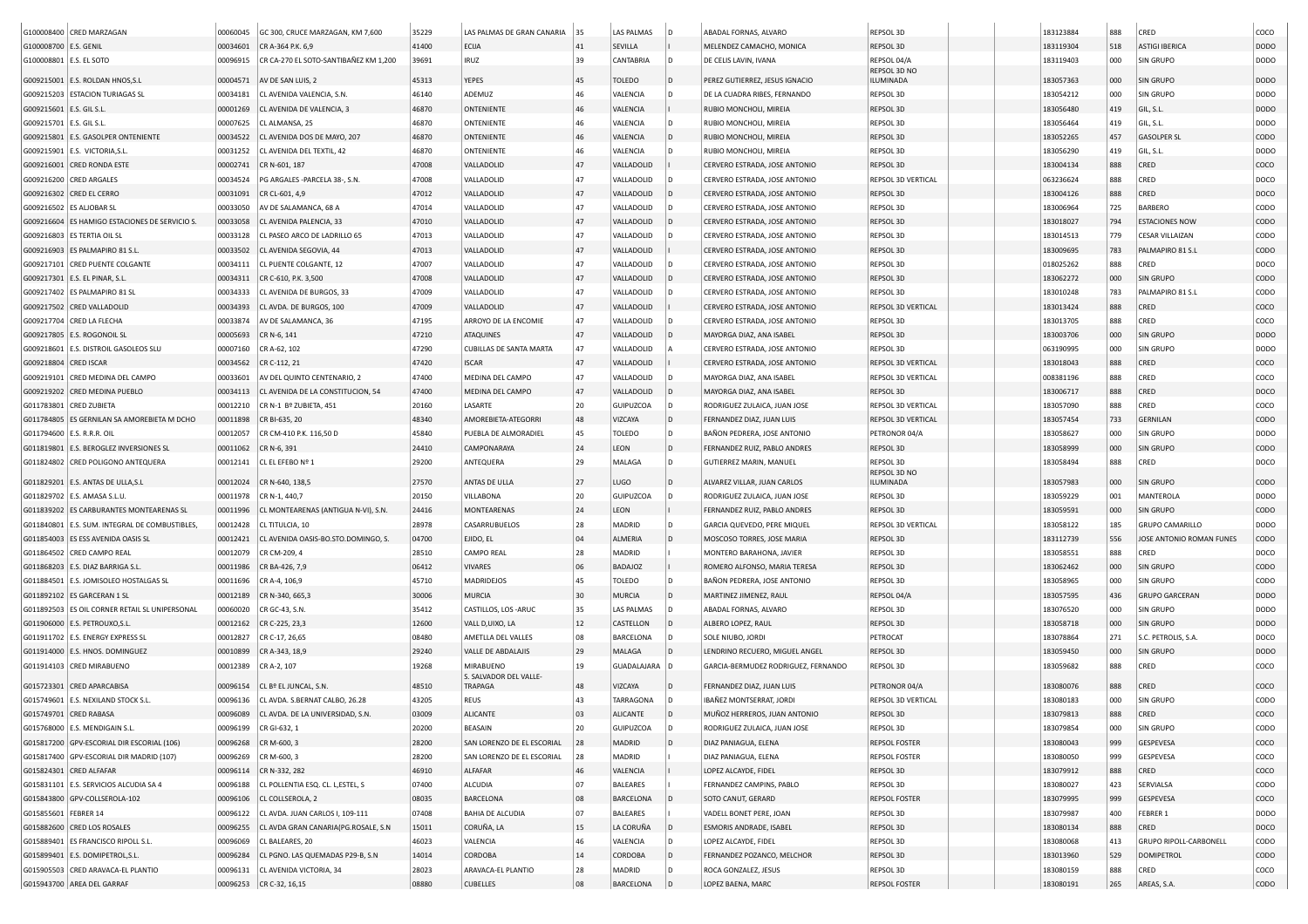|                         | G100008400 CRED MARZAGAN                       | 00060045 | GC 300, CRUCE MARZAGAN, KM 7,600      | 35229 | LAS PALMAS DE GRAN CANARIA               | 35 | LAS PALMAS      | l D            | ABADAL FORNAS, ALVARO               | REPSOL 3D                 | 183123884 | 888 | CRED                          | coco        |
|-------------------------|------------------------------------------------|----------|---------------------------------------|-------|------------------------------------------|----|-----------------|----------------|-------------------------------------|---------------------------|-----------|-----|-------------------------------|-------------|
| G100008700 E.S. GENIL   |                                                | 00034601 | CR A-364 P.K. 6,9                     | 41400 | <b>ECIJA</b>                             | 41 | SEVILLA         |                | MELENDEZ CAMACHO, MONICA            | REPSOL 3D                 | 183119304 | 518 | <b>ASTIGI IBERICA</b>         | <b>DODO</b> |
| G100008801 E.S. EL SOTO |                                                | 00096915 | CR CA-270 EL SOTO-SANTIBAÑEZ KM 1,200 | 39691 | IRUZ                                     | 39 | CANTABRIA       | l D            | DE CELIS LAVIN, IVANA               | REPSOL 04/A               | 183119403 | 000 | SIN GRUPO                     | <b>DODO</b> |
|                         |                                                |          |                                       |       |                                          |    |                 |                |                                     | REPSOL 3D NO              |           |     |                               |             |
|                         | G009215001 E.S. ROLDAN HNOS, S.L               | 00004571 | AV DE SAN LUIS, 2                     | 45313 | <b>YEPES</b>                             | 45 | <b>TOLEDO</b>   | l D            | PEREZ GUTIERREZ, JESUS IGNACIO      | ILUMINADA                 | 183057363 | 000 | SIN GRUPO                     | <b>DODO</b> |
|                         | G009215203 ESTACION TURIAGAS SL                | 00034181 | CL AVENIDA VALENCIA, S.N.             | 46140 | ADEMUZ                                   | 46 | VALENCIA        | D              | DE LA CUADRA RIBES, FERNANDO        | REPSOL 3D                 | 183054212 | 000 | SIN GRUPO                     | <b>DODO</b> |
| G009215601              | E.S. GIL S.L                                   | 00001269 | CL AVENIDA DE VALENCIA, 3             | 46870 | ONTENIENTE                               | 46 | VALENCIA        |                | RUBIO MONCHOLI, MIREIA              | REPSOL 3D                 | 183056480 | 419 | GIL, S.L.                     | <b>DODO</b> |
| G009215701 E.S. GIL S.L |                                                | 00007625 | CL ALMANSA, 25                        | 46870 | ONTENIENTE                               | 46 | VALENCIA        | D              | RUBIO MONCHOLI, MIREIA              | REPSOL 3D                 | 183056464 | 419 | GIL, S.L.                     | <b>DODO</b> |
| G009215801              | <b>E.S. GASOLPER ONTENIENTE</b>                | 00034522 | CL AVENIDA DOS DE MAYO, 207           | 46870 | ONTENIENTE                               | 46 | VALENCIA        | D              | RUBIO MONCHOLI, MIREIA              | REPSOL 3D                 | 183052265 | 457 | <b>GASOLPER SL</b>            | CODO        |
| G009215901              | E.S. VICTORIA, S.L                             | 00031252 | CL AVENIDA DEL TEXTIL, 42             | 46870 | ONTENIENTE                               | 46 | VALENCIA        | D              | RUBIO MONCHOLI, MIREIA              | REPSOL 3D                 | 183056290 | 419 | GIL, S.L.                     | DODO        |
|                         | G009216001 CRED RONDA ESTE                     | 00002741 | CR N-601, 187                         | 47008 | VALLADOLID                               | 47 | VALLADOLID      |                | CERVERO ESTRADA, JOSE ANTONIO       | REPSOL 3D                 | 183004134 | 888 | CRED                          | coco        |
|                         | G009216200 CRED ARGALES                        | 00034524 | PG ARGALES -PARCELA 38-, S.N.         | 47008 | VALLADOLID                               | 47 | VALLADOLID      | D              | CERVERO ESTRADA, JOSE ANTONIO       | REPSOL 3D VERTICAL        | 063236624 | 888 | CRED                          | DOCO        |
|                         | G009216302 CRED EL CERRO                       | 00031091 | CR CL-601, 4,9                        | 47012 | VALLADOLID                               | 47 | VALLADOLID      | D              | CERVERO ESTRADA, JOSE ANTONIO       | REPSOL 3D                 | 183004126 | 888 | CRED                          | DOCO        |
|                         | G009216502 ES ALJOBAR SL                       | 00033050 | AV DE SALAMANCA, 68 A                 | 47014 | VALLADOLID                               | 47 | VALLADOLID      |                | CERVERO ESTRADA, JOSE ANTONIO       | REPSOL 3D                 | 183006964 | 725 | <b>BARBERO</b>                | CODO        |
|                         | G009216604 ES HAMIGO ESTACIONES DE SERVICIO S. | 00033058 | CL AVENIDA PALENCIA, 33               | 47010 | VALLADOLID                               | 47 | VALLADOLID      |                | CERVERO ESTRADA, JOSE ANTONIO       | REPSOL 3D                 | 183018027 | 794 | <b>ESTACIONES NOW</b>         | CODO        |
|                         | G009216803 ES TERTIA OIL SL                    | 00033128 | CL PASEO ARCO DE LADRILLO 65          | 47013 | VALLADOLID                               | 47 | VALLADOLID      |                | CERVERO ESTRADA, JOSE ANTONIO       | REPSOL 3D                 | 183014513 | 779 | <b>CESAR VILLAIZAN</b>        | CODO        |
|                         | G009216903 ES PALMAPIRO 81 S.L                 | 00033502 | CL AVENIDA SEGOVIA, 44                | 47013 | VALLADOLID                               | 47 | VALLADOLID      |                | CERVERO ESTRADA, JOSE ANTONIO       | REPSOL 3D                 | 183009695 | 783 | PALMAPIRO 81 S.L              | CODO        |
|                         | G009217101 CRED PUENTE COLGANTE                | 00034111 | CL PUENTE COLGANTE, 12                | 47007 | VALLADOLID                               | 47 | VALLADOLID      |                | CERVERO ESTRADA, JOSE ANTONIO       | REPSOL 3D                 | 018025262 | 888 | CRED                          | DOCO        |
|                         | G009217301 E.S. EL PINAR, S.L.                 | 00034311 | CR C-610, P.K. 3,500                  | 47008 | VALLADOLID                               | 47 | VALLADOLID      | D              | CERVERO ESTRADA, JOSE ANTONIO       | REPSOL 3D                 | 183062272 | 000 | SIN GRUPO                     | CODO        |
|                         | G009217402 ES PALMAPIRO 81 SL                  | 00034333 | CL AVENIDA DE BURGOS, 33              | 47009 | VALLADOLID                               | 47 | VALLADOLID      |                | CERVERO ESTRADA, JOSE ANTONIO       | REPSOL 3D                 | 183010248 | 783 | PALMAPIRO 81 S.L              | CODO        |
|                         | G009217502 CRED VALLADOLID                     | 00034393 | CL AVDA. DE BURGOS, 100               | 47009 | VALLADOLID                               | 47 | VALLADOLID      |                |                                     | REPSOL 3D VERTICAL        | 183013424 | 888 |                               | coco        |
|                         |                                                |          |                                       |       |                                          | 47 |                 |                | CERVERO ESTRADA, JOSE ANTONIO       |                           |           |     | CRED                          |             |
|                         | G009217704 CRED LA FLECHA                      | 00033874 | AV DE SALAMANCA, 36                   | 47195 | ARROYO DE LA ENCOMIE                     |    | VALLADOLID      | D              | CERVERO ESTRADA, JOSE ANTONIO       | REPSOL 3D                 | 183013705 | 888 | CRED                          | coco        |
|                         | G009217805 E.S. ROGONOIL SL                    | 00005693 | CR N-6, 141                           | 47210 | <b>ATAQUINES</b>                         | 47 | VALLADOLID      | l D            | MAYORGA DIAZ, ANA ISABEL            | REPSOL 3D                 | 183003706 | 000 | SIN GRUPO                     | <b>DODO</b> |
|                         | G009218601 E.S. DISTROIL GASOLEOS SLU          | 00007160 | CR A-62, 102                          | 47290 | <b>CUBILLAS DE SANTA MARTA</b>           | 47 | VALLADOLID      |                | CERVERO ESTRADA, JOSE ANTONIO       | REPSOL 3D                 | 063190995 | 000 | SIN GRUPO                     | DODO        |
| G009218804 CRED ISCAR   |                                                | 00034562 | CR C-112, 21                          | 47420 | <b>ISCAR</b>                             | 47 | VALLADOLID      |                | CERVERO ESTRADA, JOSE ANTONIO       | REPSOL 3D VERTICAL        | 183018043 | 888 | CRED                          | coco        |
|                         | G009219101 CRED MEDINA DEL CAMPO               | 00033601 | AV DEL QUINTO CENTENARIO, 2           | 47400 | MEDINA DEL CAMPO                         | 47 | VALLADOLID      |                | MAYORGA DIAZ, ANA ISABEL            | REPSOL 3D VERTICAL        | 008381196 | 888 | CRED                          | coco        |
|                         | G009219202 CRED MEDINA PUEBLO                  | 00034113 | CL AVENIDA DE LA CONSTITUCION, 54     | 47400 | MEDINA DEL CAMPO                         | 47 | VALLADOLID      | D              | MAYORGA DIAZ, ANA ISABEL            | REPSOL 3D                 | 183006717 | 888 | CRED                          | DOCO        |
|                         | G011783801 CRED ZUBIETA                        | 00012210 | CR N-1 Bº ZUBIETA, 451                | 20160 | LASARTE                                  | 20 | GUIPUZCOA       | D              | RODRIGUEZ ZULAICA, JUAN JOSE        | REPSOL 3D VERTICAL        | 183057090 | 888 | CRED                          | coco        |
|                         | G011784805   ES GERNILAN SA AMOREBIETA M DCHO  | 00011898 | CR BI-635, 20                         | 48340 | AMOREBIETA-ATEGORRI                      | 48 | VIZCAYA         | D              | FERNANDEZ DIAZ, JUAN LUIS           | REPSOL 3D VERTICAL        | 183057454 | 733 | <b>GERNILAN</b>               | CODO        |
|                         | G011794600 E.S. R.R.R. OIL                     | 00012057 | CR CM-410 P.K. 116,50 D               | 45840 | PUEBLA DE ALMORADIEL                     | 45 | TOLEDO          | D              | BAÑON PEDRERA, JOSE ANTONIO         | PETRONOR 04/A             | 183058627 | 000 | SIN GRUPO                     | <b>DODO</b> |
|                         | G011819801 E.S. BEROGLEZ INVERSIONES SL        | 00011062 | CR N-6, 391                           | 24410 | CAMPONARAYA                              | 24 | LEON            | D              | FERNANDEZ RUIZ, PABLO ANDRES        | REPSOL 3D                 | 183058999 | 000 | SIN GRUPO                     | CODO        |
|                         | G011824802 CRED POLIGONO ANTEQUERA             | 00012141 | CL EL EFEBO Nº 1                      | 29200 | ANTEQUERA                                | 29 | MALAGA          | D              | <b>GUTIERREZ MARIN, MANUEL</b>      | REPSOL 3D                 | 183058494 | 888 | CRED                          | DOCO        |
|                         | G011829201 E.S. ANTAS DE ULLA, S.L             | 00012024 | CR N-640, 138,5                       | 27570 | ANTAS DE ULLA                            | 27 | LUGO            | D              | ALVAREZ VILLAR, JUAN CARLOS         | REPSOL 3D NO<br>ILUMINADA | 183057983 | 000 | SIN GRUPO                     | CODO        |
|                         |                                                |          |                                       | 20150 | VILLABONA                                | 20 | GUIPUZCOA       | D              |                                     | REPSOL 3D                 | 183059229 | 001 | MANTEROLA                     | <b>DODO</b> |
|                         | G011829702   E.S. AMASA S.L.U.                 | 00011978 | CR N-1, 440,7                         |       |                                          |    |                 |                | RODRIGUEZ ZULAICA, JUAN JOSE        |                           |           |     |                               |             |
|                         | G011839202 ES CARBURANTES MONTEARENAS SL       | 00011996 | CL MONTEARENAS (ANTIGUA N-VI), S.N.   | 24416 | MONTEARENAS                              | 24 | LEON            |                | FERNANDEZ RUIZ, PABLO ANDRES        | REPSOL 3D                 | 183059591 | 000 | SIN GRUPO                     | CODO        |
| G011840801              | E.S. SUM. INTEGRAL DE COMBUSTIBLES,            | 00012428 | CL TITULCIA, 10                       | 28978 | CASARRUBUELOS                            | 28 | MADRID          | D              | GARCIA QUEVEDO, PERE MIQUEL         | REPSOL 3D VERTICAL        | 183058122 | 185 | <b>GRUPO CAMARILLO</b>        | DODO        |
|                         | G011854003 ES ESS AVENIDA OASIS SL             | 00012421 | CL AVENIDA OASIS-BO.STO.DOMINGO, S.   | 04700 | EJIDO, EL                                | 04 | ALMERIA         | D              | MOSCOSO TORRES, JOSE MARIA          | REPSOL 3D                 | 183112739 | 556 | JOSE ANTONIO ROMAN FUNES      | CODO        |
|                         | G011864502 CRED CAMPO REAL                     | 00012079 | CR CM-209, 4                          | 28510 | CAMPO REAL                               | 28 | MADRID          |                | MONTERO BARAHONA, JAVIER            | REPSOL 3D                 | 183058551 | 888 | CRED                          | DOCO        |
|                         | G011868203 E.S. DIAZ BARRIGA S.L               | 00011986 | CR BA-426, 7,9                        | 06412 | <b>VIVARES</b>                           | 06 | BADAJOZ         |                | ROMERO ALFONSO, MARIA TERESA        | REPSOL 3D                 | 183062462 | 000 | SIN GRUPO                     | CODO        |
|                         | G011884501 E.S. JOMISOLEO HOSTALGAS SL         | 00011696 | CR A-4, 106,9                         | 45710 | MADRIDEJOS                               | 45 | TOLEDO          | D              | BAÑON PEDRERA, JOSE ANTONIO         | REPSOL 3D                 | 183058965 | 000 | SIN GRUPO                     | CODO        |
|                         | G011892102 ES GARCERAN 1 SL                    | 00012189 | CR N-340, 665,3                       | 30006 | <b>MURCIA</b>                            | 30 | <b>MURCIA</b>   | D              | MARTINEZ JIMENEZ, RAUL              | REPSOL 04/A               | 183057595 | 436 | <b>GRUPO GARCERAN</b>         | <b>DODO</b> |
|                         | G011892503 ES OIL CORNER RETAIL SL UNIPERSONAL | 00060020 | CR GC-43, S.N.                        | 35412 | CASTILLOS, LOS - ARUC                    | 35 | LAS PALMAS      | Ð              | ABADAL FORNAS, ALVARO               | REPSOL 3D                 | 183076520 | 000 | SIN GRUPO                     | DODO        |
|                         | G011906000 E.S. PETROUXO, S.L                  | 00012162 | CR C-225, 23,3                        | 12600 | VALL D, UIXO, LA                         | 12 | CASTELLON       | l D            | ALBERO LOPEZ, RAUL                  | REPSOL 3D                 | 183058718 | 000 | SIN GRUPO                     | <b>DODO</b> |
|                         | G011911702 E.S. ENERGY EXPRESS SL              | 00012827 | CR C-17, 26,65                        | 08480 | AMETLLA DEL VALLES                       | 08 | BARCELONA       | D              | SOLE NIUBO, JORDI                   | PETROCAT                  | 183078864 | 271 | S.C. PETROLIS, S.A.           | DOCO        |
|                         | G011914000 E.S. HNOS. DOMINGUEZ                | 00010899 | CR A-343, 18,9                        | 29240 | VALLE DE ABDALAJIS                       | 29 | MALAGA          | l D            | LENDRINO RECUERO, MIGUEL ANGEL      | REPSOL 3D                 | 183059450 | 000 | SIN GRUPO                     | <b>DODO</b> |
|                         | G011914103 CRED MIRABUENO                      | 00012389 | CR A-2, 107                           | 19268 | MIRABUENO                                | 19 | GUADALAJARA     | $\overline{D}$ | GARCIA-BERMUDEZ RODRIGUEZ, FERNANDO | REPSOL 3D                 | 183059682 | 888 | CRED                          | coco        |
|                         | G015723301 CRED APARCABISA                     | 00096154 | CL Bº EL JUNCAL, S.N.                 |       | S. SALVADOR DEL VALLE-<br><b>TRAPAGA</b> | 48 | VIZCAYA         | D              |                                     | PETRONOR 04/A             | 183080076 | 888 | CRED                          | coco        |
|                         |                                                |          |                                       | 48510 |                                          | 43 |                 |                | FERNANDEZ DIAZ, JUAN LUIS           |                           |           |     |                               |             |
|                         | G015749601 E.S. NEXILAND STOCK S.L             | 00096136 | CL AVDA. S.BERNAT CALBO, 26.28        | 43205 | REUS                                     |    | TARRAGONA       | D              | IBAÑEZ MONTSERRAT, JORDI            | REPSOL 3D VERTICAL        | 183080183 | 000 | SIN GRUPO                     | CODO        |
|                         | G015749701 CRED RABASA                         | 00096089 | CL AVDA. DE LA UNIVERSIDAD, S.N.      | 03009 | <b>ALICANTE</b>                          | 03 | <b>ALICANTE</b> | D              | MUÑOZ HERREROS, JUAN ANTONIO        | REPSOL 3D                 | 183079813 | 888 | CRED                          | coco        |
|                         | G015768000 E.S. MENDIGAIN S.L.                 |          | 00096199 CR GI-632, 1                 | 20200 | <b>BEASAIN</b>                           | 20 | GUIPUZCOA       | $\overline{D}$ | RODRIGUEZ ZULAICA, JUAN JOSE        | REPSOL 3D                 | 183079854 | 000 | SIN GRUPO                     | CODO        |
|                         |                                                | 00096268 | CR M-600, 3                           | 28200 | SAN LORENZO DE EL ESCORIAL               | 28 | MADRID          | D              | DIAZ PANIAGUA, ELENA                | REPSOL FOSTER             | 183080043 | 999 | GESPEVESA                     | coco        |
|                         | G015817200 GPV-ESCORIAL DIR ESCORIAL (106)     |          |                                       |       |                                          |    |                 |                | DIAZ PANIAGUA, ELENA                | REPSOL FOSTER             | 183080050 | 999 | GESPEVESA                     | coco        |
|                         | G015817400 GPV-ESCORIAL DIR MADRID (107)       | 00096269 | CR M-600, 3                           | 28200 | SAN LORENZO DE EL ESCORIAL               | 28 | MADRID          |                |                                     |                           |           |     |                               |             |
|                         | G015824301 CRED ALFAFAR                        | 00096114 | CR N-332, 282                         | 46910 | ALFAFAR                                  | 46 | VALENCIA        |                | LOPEZ ALCAYDE, FIDEL                | REPSOL 3D                 | 183079912 | 888 | CRED                          | coco        |
|                         | G015831101 E.S. SERVICIOS ALCUDIA SA 4         | 00096188 | CL POLLENTIA ESQ. CL. L, ESTEL, S     | 07400 | ALCUDIA                                  | 07 | BALEARES        |                | FERNANDEZ CAMPINS, PABLO            | REPSOL 3D                 | 183080027 | 423 | SERVIALSA                     | CODO        |
|                         | G015843800 GPV-COLLSEROLA-102                  | 00096106 | CL COLLSEROLA, 2                      | 08035 | <b>BARCELONA</b>                         | 08 | BARCELONA       | D              | SOTO CANUT, GERARD                  | <b>REPSOL FOSTER</b>      | 183079995 | 999 | GESPEVESA                     | coco        |
| G015855601 FEBRER 14    |                                                | 00096122 | CL AVDA. JUAN CARLOS I, 109-111       | 07408 | BAHIA DE ALCUDIA                         | 07 | BALEARES        |                | VADELL BONET PERE, JOAN             | REPSOL 3D                 | 183079987 | 400 | FEBRER 1                      | <b>DODO</b> |
|                         | G015882600 CRED LOS ROSALES                    | 00096255 | CL AVDA GRAN CANARIA(PG.ROSALE, S.N   | 15011 | CORUÑA, LA                               | 15 | LA CORUÑA       | ID.            | <b>ESMORIS ANDRADE, ISABEL</b>      | REPSOL 3D                 | 183080134 | 888 | CRED                          | DOCO        |
|                         | G015889401 ES FRANCISCO RIPOLL S.L.            | 00096069 | CL BALEARES, 20                       | 46023 | VALENCIA                                 | 46 | VALENCIA        | ۱D             | LOPEZ ALCAYDE, FIDEL                | REPSOL 3D                 | 183080068 | 413 | <b>GRUPO RIPOLL-CARBONELL</b> | CODO        |
|                         | G015899401 E.S. DOMIPETROL, S.L.               | 00096284 | CL PGNO. LAS QUEMADAS P29-B, S.N      | 14014 | CORDOBA                                  | 14 | CORDOBA         | ID.            | FERNANDEZ POZANCO, MELCHOR          | REPSOL 3D                 | 183013960 | 529 | <b>DOMIPETROL</b>             | CODO        |
|                         | G015905503 CRED ARAVACA-EL PLANTIO             | 00096131 | CL AVENIDA VICTORIA, 34               | 28023 | ARAVACA-EL PLANTIO                       | 28 | MADRID          | D              | ROCA GONZALEZ, JESUS                | REPSOL 3D                 | 183080159 | 888 | CRED                          | COCO        |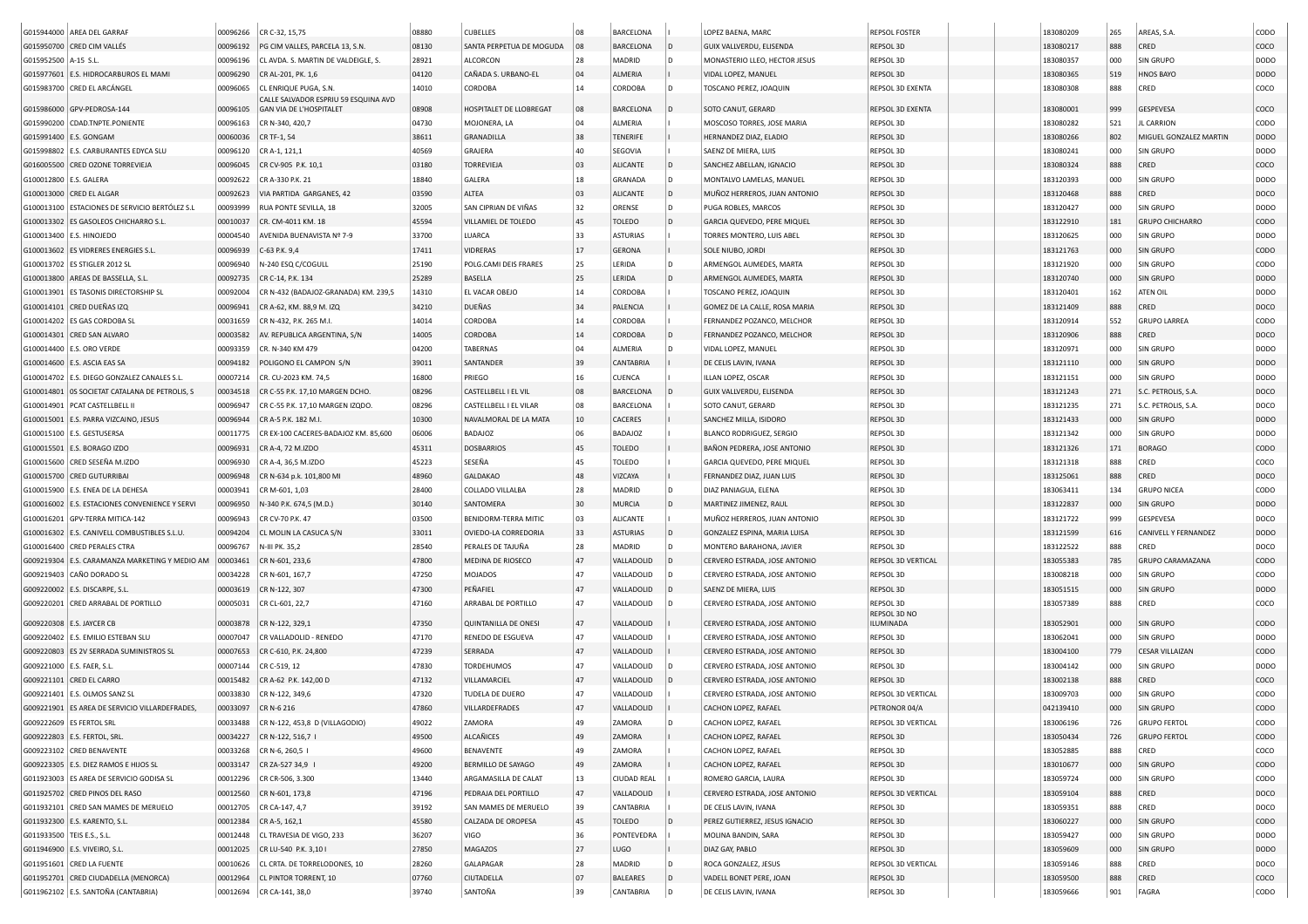|                              | G015944000 AREA DEL GARRAF                       | 00096266             | CR C-32, 15,75                          | 08880 | <b>CUBELLES</b>                              | 08       | <b>BARCELONA</b>               |     | LOPEZ BAENA, MARC                                              | <b>REPSOL FOSTER</b>      | 183080209              | 265        | AREAS, S.A.             | CODO             |
|------------------------------|--------------------------------------------------|----------------------|-----------------------------------------|-------|----------------------------------------------|----------|--------------------------------|-----|----------------------------------------------------------------|---------------------------|------------------------|------------|-------------------------|------------------|
|                              | G015950700 CRED CIM VALLÉS                       | 00096192             | PG CIM VALLES, PARCELA 13, S.N.         | 08130 | SANTA PERPETUA DE MOGUDA                     | 08       | BARCELONA                      | ID. | GUIX VALLVERDU, ELISENDA                                       | REPSOL 3D                 | 183080217              | 888        | CRED                    | coco             |
| G015952500 A-15 S.L.         |                                                  | 00096196             | CL AVDA. S. MARTIN DE VALDEIGLE, S.     | 28921 | <b>ALCORCON</b>                              | 28       | MADRID                         |     | MONASTERIO LLEO, HECTOR JESUS                                  | REPSOL 3D                 | 183080357              | 000        | SIN GRUPO               | DODO             |
|                              | G015977601 E.S. HIDROCARBUROS EL MAMI            | 00096290             | CR AL-201, PK. 1,6                      | 04120 | CAÑADA S. URBANO-EL                          | 04       | <b>ALMERIA</b>                 |     | VIDAL LOPEZ, MANUEL                                            | REPSOL 3D                 | 183080365              | 519        | <b>HNOS BAYO</b>        | <b>DODO</b>      |
|                              | G015983700 CRED EL ARCÁNGEL                      | 00096065             | CL ENRIQUE PUGA, S.N.                   | 14010 | CORDOBA                                      | 14       | CORDOBA                        |     | TOSCANO PEREZ, JOAQUIN                                         | <b>REPSOL 3D EXENTA</b>   | 183080308              | 888        | CRED                    | coco             |
|                              |                                                  |                      | CALLE SALVADOR ESPRIU 59 ESQUINA AVD    |       |                                              |          |                                |     |                                                                |                           |                        |            |                         |                  |
|                              | G015986000 GPV-PEDROSA-144                       | 00096105             | <b>GAN VIA DE L'HOSPITALET</b>          | 08908 | HOSPITALET DE LLOBREGAT                      | 08       | BARCELONA                      |     | SOTO CANUT, GERARD                                             | REPSOL 3D EXENTA          | 183080001              | 999        | GESPEVESA               | coco             |
|                              | G015990200 CDAD.TNPTE.PONIENTE                   | 00096163             | CR N-340, 420,7                         | 04730 | MOJONERA, LA                                 | 04       | ALMERIA                        |     | MOSCOSO TORRES, JOSE MARIA                                     | REPSOL 3D                 | 183080282              | 521        | <b>JL CARRION</b>       | CODO             |
| G015991400   E.S. GONGAM     |                                                  | 00060036             | CR TF-1, 54                             | 38611 | GRANADILLA                                   | 38       | <b>TENERIFE</b>                |     | HERNANDEZ DIAZ, ELADIO                                         | REPSOL 3D                 | 183080266              | 802        | MIGUEL GONZALEZ MARTIN  | DOD <sub>O</sub> |
|                              | G015998802 E.S. CARBURANTES EDYCA SLU            | 00096120             | CR A-1, 121,1                           | 40569 | GRAJERA                                      | 40       | <b>SEGOVIA</b>                 |     | SAENZ DE MIERA, LUIS                                           | REPSOL 3D                 | 183080241              | 000        | <b>SIN GRUPO</b>        | DODO             |
|                              | G016005500 CRED OZONE TORREVIEJA                 | 00096045             | CR CV-905 P.K. 10,1                     | 03180 | <b>TORREVIEJA</b>                            | 03       | <b>ALICANTE</b>                |     | SANCHEZ ABELLAN, IGNACIO                                       | REPSOL 3D                 | 183080324              | 888        | CRED                    | coco             |
| G100012800 E.S. GALERA       |                                                  | 00092622             | CR A-330 P.K. 21                        | 18840 | GALERA                                       | 18       | GRANADA                        |     | MONTALVO LAMELAS, MANUEL                                       | REPSOL 3D                 | 183120393              | 000        | SIN GRUPO               | DODO             |
|                              | G100013000 CRED EL ALGAR                         | 00092623             | VIA PARTIDA GARGANES, 42                | 03590 | ALTEA                                        | 03       | <b>ALICANTE</b>                | D   | MUÑOZ HERREROS, JUAN ANTONIO                                   | REPSOL 3D                 | 183120468              | 888        | CRED                    | DOCO             |
|                              | G100013100 ESTACIONES DE SERVICIO BERTÓLEZ S.L   | 00093999             | RUA PONTE SEVILLA, 18                   | 32005 | SAN CIPRIAN DE VIÑAS                         | 32       | ORENSE                         |     | PUGA ROBLES, MARCOS                                            | REPSOL 3D                 | 183120427              | 000        | SIN GRUPO               | DODO             |
|                              | G100013302 ES GASOLEOS CHICHARRO S.L             | 00010037             | CR. CM-4011 KM. 18                      | 45594 | VILLAMIEL DE TOLEDO                          | 45       | <b>TOLEDO</b>                  |     | GARCIA QUEVEDO, PERE MIQUEL                                    | REPSOL 3D                 | 183122910              | 181        | <b>GRUPO CHICHARRO</b>  | CODO             |
|                              | G100013400 E.S. HINOJEDO                         | 00004540             | AVENIDA BUENAVISTA Nº 7-9               | 33700 | LUARCA                                       | 33       | <b>ASTURIAS</b>                |     | TORRES MONTERO, LUIS ABEL                                      | REPSOL 3D                 | 183120625              | 000        | SIN GRUPO               | DODO             |
|                              | G100013602 ES VIDRERES ENERGIES S.L.             | 00096939             | C-63 P.K. 9,4                           | 17411 | VIDRERAS                                     | 17       | <b>GERONA</b>                  |     | SOLE NIUBO, JORDI                                              | REPSOL 3D                 | 183121763              | 000        | SIN GRUPO               | CODO             |
|                              | G100013702 ES STIGLER 2012 SL                    | 00096940             | N-240 ESQ C/COGULL                      | 25190 | POLG.CAMI DEIS FRARES                        | 25       | LERIDA                         |     | ARMENGOL AUMEDES, MARTA                                        | REPSOL 3D                 | 183121920              | 000        | SIN GRUPO               | CODO             |
|                              | G100013800 AREAS DE BASSELLA, S.L                | 00092735             | CR C-14, P.K. 134                       | 25289 | BASELLA                                      | 25       | LERIDA                         |     | ARMENGOL AUMEDES, MARTA                                        | REPSOL 3D                 | 183120740              | 000        | SIN GRUPO               | <b>DODO</b>      |
| G100013901                   | ES TASONIS DIRECTORSHIP SL                       | 00092004             | CR N-432 (BADAJOZ-GRANADA) KM. 239,5    | 14310 | EL VACAR OBEJO                               | 14       | CORDOBA                        |     | TOSCANO PEREZ, JOAQUIN                                         | REPSOL 3D                 | 183120401              | 162        | ATEN OIL                | DODO             |
|                              | G100014101 CRED DUEÑAS IZQ                       | 00096941             | CR A-62, KM. 88,9 M. IZQ                | 34210 | DUEÑAS                                       | 34       | PALENCIA                       |     | GOMEZ DE LA CALLE, ROSA MARIA                                  | REPSOL 3D                 | 183121409              | 888        | CRED                    | DOCO             |
|                              | G100014202 ES GAS CORDOBA SL                     | 00031659             | CR N-432, P.K. 265 M.I.                 | 14014 | CORDOBA                                      | $14\,$   | CORDOBA                        |     | FERNANDEZ POZANCO, MELCHOR                                     | REPSOL 3D                 | 183120914              | 552        | <b>GRUPO LARREA</b>     | CODO             |
|                              | G100014301 CRED SAN ALVARO                       | 00003582             | AV. REPUBLICA ARGENTINA, S/N            | 14005 | CORDOBA                                      | 14       | <b>CORDOBA</b>                 |     | FERNANDEZ POZANCO, MELCHOR                                     | REPSOL 3D                 | 183120906              | 888        | CRED                    | DOCO             |
|                              | G100014400   E.S. ORO VERDE                      | 00093359             | CR. N-340 KM 479                        | 04200 | <b>TABERNAS</b>                              | 04       | ALMERIA                        |     | VIDAL LOPEZ, MANUEL                                            | REPSOL 3D                 | 183120971              | 000        | SIN GRUPO               | DODO             |
|                              | G100014600 E.S. ASCIA EAS SA                     | 00094182             | POLIGONO EL CAMPON S/N                  | 39011 | SANTANDEF                                    | 39       | <b>CANTABRIA</b>               |     | DE CELIS LAVIN, IVANA                                          | REPSOL 3D                 | 183121110              | 000        | SIN GRUPO               | DODO             |
|                              | G100014702 E.S. DIEGO GONZALEZ CANALES S.L.      | 00007214             | CR. CU-2023 KM. 74,5                    | 16800 | PRIEGO                                       | 16       | <b>CUENCA</b>                  |     | ILLAN LOPEZ, OSCAR                                             | REPSOL 3D                 | 183121151              | 000        | SIN GRUPO               | DODO             |
|                              | G100014801   OS SOCIETAT CATALANA DE PETROLIS, S | 00034518             | CR C-55 P.K. 17,10 MARGEN DCHO.         | 08296 | CASTELLBELL I EL VIL                         | 08       | <b>BARCELONA</b>               |     | GUIX VALLVERDU, ELISENDA                                       | REPSOL 3D                 | 183121243              | 271        | S.C. PETROLIS, S.A.     | DOCO             |
|                              | G100014901 PCAT CASTELLBELL II                   | 00096947             | CR C-55 P.K. 17,10 MARGEN IZQDO.        | 08296 | CASTELLBELL I EL VILAR                       | 08       | <b>BARCELONA</b>               |     | SOTO CANUT, GERARD                                             | REPSOL 3D                 | 183121235              | 271        | S.C. PETROLIS, S.A.     | DOCO             |
|                              | G100015001 E.S. PARRA VIZCAINO, JESUS            | 00096944             | CR A-5 P.K. 182 M.I.                    | 10300 | NAVALMORAL DE LA MATA                        | 10       | <b>CACERES</b>                 |     | SANCHEZ MILLA, ISIDORO                                         | REPSOL 3D                 | 183121433              | 000        | SIN GRUPO               | DODO             |
|                              | G100015100   E.S. GESTUSERSA                     | 00011775             | CR EX-100 CACERES-BADAJOZ KM. 85,600    | 06006 | <b>BADAJOZ</b>                               | 06       | <b>BADAJOZ</b>                 |     | BLANCO RODRIGUEZ, SERGIO                                       | REPSOL 3D                 | 183121342              | 000        | SIN GRUPO               | DODO             |
|                              | G100015501 E.S. BORAGO IZDO                      | 00096931             | CR A-4, 72 M.IZDO                       | 45311 | <b>DOSBARRIOS</b>                            | 45       | <b>TOLEDO</b>                  |     | BAÑON PEDRERA, JOSE ANTONIO                                    | REPSOL 3D                 | 183121326              | 171        | <b>BORAGO</b>           | CODO             |
|                              | G100015600 CRED SESEÑA M.IZDO                    | 00096930             | CR A-4, 36.5 M.IZDO                     | 45223 | SESEÑA                                       | 45       | TOLEDO                         |     | GARCIA QUEVEDO, PERE MIQUEL                                    | REPSOL 3D                 | 183121318              | 888        | CRED                    | COCO             |
|                              | G100015700 CRED GUTURRIBAI                       | 00096948             | CR N-634 p.k. 101,800 MI                | 48960 | <b>GALDAKAO</b>                              | 48       | VIZCAYA                        |     | FERNANDEZ DIAZ, JUAN LUIS                                      | REPSOL 3D                 | 183125061              | 888        | CRED                    | DOCO             |
|                              | G100015900 E.S. ENEA DE LA DEHESA                | 00003941             | CR M-601, 1,03                          | 28400 | COLLADO VILLALBA                             | 28       | MADRID                         | ID. | DIAZ PANIAGUA, ELENA                                           | REPSOL 3D                 | 183063411              | 134        | <b>GRUPO NICEA</b>      | CODO             |
|                              | G100016002 E.S. ESTACIONES CONVENIENCE Y SERVI   | 00096950             | N-340 P.K. 674,5 (M.D.)                 | 30140 | SANTOMERA                                    | 30       | <b>MURCIA</b>                  |     | MARTINEZ JIMENEZ, RAUL                                         | REPSOL 3D                 | 183122837              | 000        | SIN GRUPO               | DODO             |
|                              | G100016201 GPV-TERRA MITICA-142                  | 00096943             | CR CV-70 P.K. 47                        | 03500 | BENIDORM-TERRA MITIC                         | 03       | <b>ALICANTE</b>                |     | MUÑOZ HERREROS, JUAN ANTONIO                                   | REPSOL 3D                 | 183121722              | 999        | GESPEVESA               | DOCO             |
|                              | G100016302   E.S. CANIVELL COMBUSTIBLES S.L.U.   | 00094204             | CL MOLIN LA CASUCA S/N                  | 33011 | OVIEDO-LA CORREDORIA                         | 33       | <b>ASTURIAS</b>                |     | GONZALEZ ESPINA, MARIA LUISA                                   | REPSOL 3D                 | 183121599              | 616        | CANIVELL Y FERNANDEZ    | <b>DODO</b>      |
| G100016400                   | <b>CRED PERALES CTRA</b>                         | 00096767             | N-III PK. 35,2                          | 28540 | PERALES DE TAJUÑA                            | 28       | MADRID                         |     | MONTERO BARAHONA, JAVIER                                       | REPSOL 3D                 | 183122522              | 888        | CRED                    | DOCO             |
| G009219304                   | E.S. CARAMANZA MARKETING Y MEDIO AM              | 00003461             | CR N-601, 233,6                         | 47800 | MEDINA DE RIOSECO                            | 47       | VALLADOLID                     |     | CERVERO ESTRADA, JOSE ANTONIO                                  | REPSOL 3D VERTICAL        | 183055383              | 785        | <b>GRUPO CARAMAZANA</b> | CODO             |
|                              | G009219403 CAÑO DORADO SL                        | 00034228             | CR N-601, 167,7                         | 47250 | <b>MOJADOS</b>                               | 47       | VALLADOLID                     |     | CERVERO ESTRADA, JOSE ANTONIO                                  | REPSOL 3D                 | 183008218              | 000        | SIN GRUPO               | CODO             |
|                              | G009220002 E.S. DISCARPE, S.L                    | 00003619             | CR N-122, 307                           | 47300 | PEÑAFIEL                                     | 47       | VALLADOLID                     |     | SAENZ DE MIERA, LUIS                                           | REPSOL 3D                 | 183051515              | 000        | SIN GRUPO               | <b>DODO</b>      |
|                              | G009220201 CRED ARRABAL DE PORTILLO              | 00005031             | CR CL-601, 22,7                         | 47160 | ARRABAL DE PORTILLO                          | 47       | VALLADOLID                     |     | CERVERO ESTRADA, JOSE ANTONIO                                  | REPSOL 3D                 | 183057389              | 888        | CRED                    | coco             |
| G009220308 E.S. JAYCER CB    |                                                  | 00003878             | CR N-122, 329,1                         | 47350 | <b>QUINTANILLA DE ONESI</b>                  | 47       | VALLADOLID                     |     | CERVERO ESTRADA, JOSE ANTONIO                                  | REPSOL 3D NO<br>ILUMINADA | 183052901              | 000        | SIN GRUPO               | CODO             |
|                              | G009220402   E.S. EMILIO ESTEBAN SLU             | 00007047             | CR VALLADOLID - RENEDO                  | 47170 | RENEDO DE ESGUEVA                            | 47       | VALLADOLID                     |     | CERVERO ESTRADA, JOSE ANTONIO                                  | REPSOL 3D                 | 183062041              | 000        | SIN GRUPO               | DODO             |
|                              | G009220803 ES 2V SERRADA SUMINISTROS SL          | 00007653             | CR C-610, P.K. 24,800                   | 47239 | SERRADA                                      | 47       | VALLADOLID                     |     | CERVERO ESTRADA, JOSE ANTONIO                                  | REPSOL 3D                 | 183004100              | 779        | <b>CESAR VILLAIZAN</b>  | CODO             |
|                              |                                                  |                      |                                         | 47830 |                                              | 47       |                                |     |                                                                |                           |                        |            |                         | DODO             |
| G009221000   E.S. FAER, S.L. | G009221101 CRED EL CARRO                         | 00007144<br>00015482 | CR C-519, 12<br>CR A-62 P.K. 142,00 D   | 47132 | <b>TORDEHUMOS</b><br>VILLAMARCIEL            | 47       | VALLADOLID<br>VALLADOLID       |     | CERVERO ESTRADA, JOSE ANTONIO<br>CERVERO ESTRADA, JOSE ANTONIO | REPSOL 3D<br>REPSOL 3D    | 183004142<br>183002138 | 000<br>888 | SIN GRUPO<br>CRED       | COCO             |
|                              | G009221401   E.S. OLMOS SANZ SL                  | 00033830             | CR N-122, 349,6                         | 47320 | TUDELA DE DUERO                              | 47       | VALLADOLID                     |     | CERVERO ESTRADA, JOSE ANTONIO                                  | REPSOL 3D VERTICAL        | 183009703              | 000        | SIN GRUPO               | CODO             |
|                              | G009221901 ES AREA DE SERVICIO VILLARDEFRADES,   | 00033097             | CR N-6 216                              | 47860 | VILLARDEFRADES                               | 47       | VALLADOLID                     |     | CACHON LOPEZ, RAFAEL                                           | PETRONOR 04/A             | 042139410              | 000        | SIN GRUPO               | CODO             |
|                              | G009222609 ES FERTOL SRL                         |                      | 00033488 CR N-122, 453,8 D (VILLAGODIO) | 49022 | ZAMORA                                       | 49       | ZAMORA                         |     | CACHON LOPEZ, RAFAEL                                           | REPSOL 3D VERTICAL        | 183006196              | 726        | <b>GRUPO FERTOL</b>     | CODO             |
|                              | G009222803 E.S. FERTOL, SRL.                     |                      | 00034227 CR N-122, 516,7 I              | 49500 | ALCAÑICES                                    | 49       | ZAMORA                         |     | CACHON LOPEZ, RAFAEL                                           | REPSOL 3D                 | 183050434              | 726        | <b>GRUPO FERTOL</b>     | CODO             |
|                              | G009223102 CRED BENAVENTE                        | 00033268             | CR N-6, 260,5 1                         | 49600 | BENAVENTE                                    | 49       | ZAMORA                         |     | CACHON LOPEZ, RAFAEL                                           | REPSOL 3D                 | 183052885              | 888        | CRED                    | coco             |
|                              | G009223305 E.S. DIEZ RAMOS E HIJOS SL            | 00033147             | CR ZA-527 34,9                          | 49200 | BERMILLO DE SAYAGO                           | 49       | ZAMORA                         |     | CACHON LOPEZ, RAFAEL                                           | REPSOL 3D                 | 183010677              | 000        | SIN GRUPO               | CODO             |
|                              | G011923003 ES AREA DE SERVICIO GODISA SL         |                      |                                         |       |                                              |          |                                |     |                                                                |                           |                        |            |                         | CODO             |
|                              | G011925702 CRED PINOS DEL RASO                   | 00012296             | CR CR-506, 3.300                        | 13440 | ARGAMASILLA DE CALAT                         | 13<br>47 | <b>CIUDAD REAL</b>             |     | ROMERO GARCIA, LAURA                                           | REPSOL 3D                 | 183059724              | 000        | SIN GRUPO               |                  |
|                              |                                                  | 00012560             | CR N-601, 173,8                         | 47196 | PEDRAJA DEL PORTILLO<br>SAN MAMES DE MERUELO | 39       | VALLADOLID<br><b>CANTABRIA</b> |     | CERVERO ESTRADA, JOSE ANTONIO                                  | REPSOL 3D VERTICAL        | 183059104              | 888        | CRED                    | DOCO<br>DOCO     |
|                              | G011932101 CRED SAN MAMES DE MERUELO             | 00012705             | CR CA-147, 4,7                          | 39192 |                                              |          |                                |     | DE CELIS LAVIN, IVANA                                          | REPSOL 3D                 | 183059351              | 888        | CRED                    |                  |
|                              | G011932300 E.S. KARENTO, S.L.                    | 00012384             | CR A-5, 162,1                           | 45580 | CALZADA DE OROPESA                           | 45       | <b>TOLEDO</b>                  |     | PEREZ GUTIERREZ, JESUS IGNACIO                                 | REPSOL 3D                 | 183060227              | 000        | SIN GRUPO               | CODO             |
| G011933500   TEIS E.S., S.L. |                                                  | 00012448             | CL TRAVESIA DE VIGO, 233                | 36207 | VIGO                                         | 36       | PONTEVEDRA                     |     | MOLINA BANDIN, SARA                                            | REPSOL 3D                 | 183059427              | 000        | SIN GRUPO               | DODO             |
|                              | G011946900   E.S. VIVEIRO, S.L.                  | 00012025             | CR LU-540 P.K. 3,101                    | 27850 | MAGAZOS                                      | 27       | LUGO                           |     | DIAZ GAY, PABLO<br>ROCA GONZALEZ, JESUS                        | REPSOL 3D                 | 183059609              | 000        | SIN GRUPO               | <b>DODO</b>      |
|                              | G011951601 CRED LA FUENTE                        | 00010626             | CL CRTA. DE TORRELODONES, 10            | 28260 | GALAPAGAR                                    | 28       | MADRID                         |     |                                                                | REPSOL 3D VERTICAL        | 183059146              | 888        | CRED                    | DOCO             |
|                              | G011952701 CRED CIUDADELLA (MENORCA)             | 00012964             | CL PINTOR TORRENT, 10                   | 07760 | CIUTADELLA                                   | 07       | <b>BALEARES</b>                |     | VADELL BONET PERE, JOAN                                        | REPSOL 3D                 | 183059500              | 888        | CRED                    | coco             |
|                              | G011962102 E.S. SANTOÑA (CANTABRIA)              |                      | 00012694 CR CA-141, 38,0                | 39740 | SANTOÑA                                      | 39       | <b>CANTABRIA</b>               |     | DE CELIS LAVIN, IVANA                                          | REPSOL 3D                 | 183059666              | 901        | FAGRA                   | CODO             |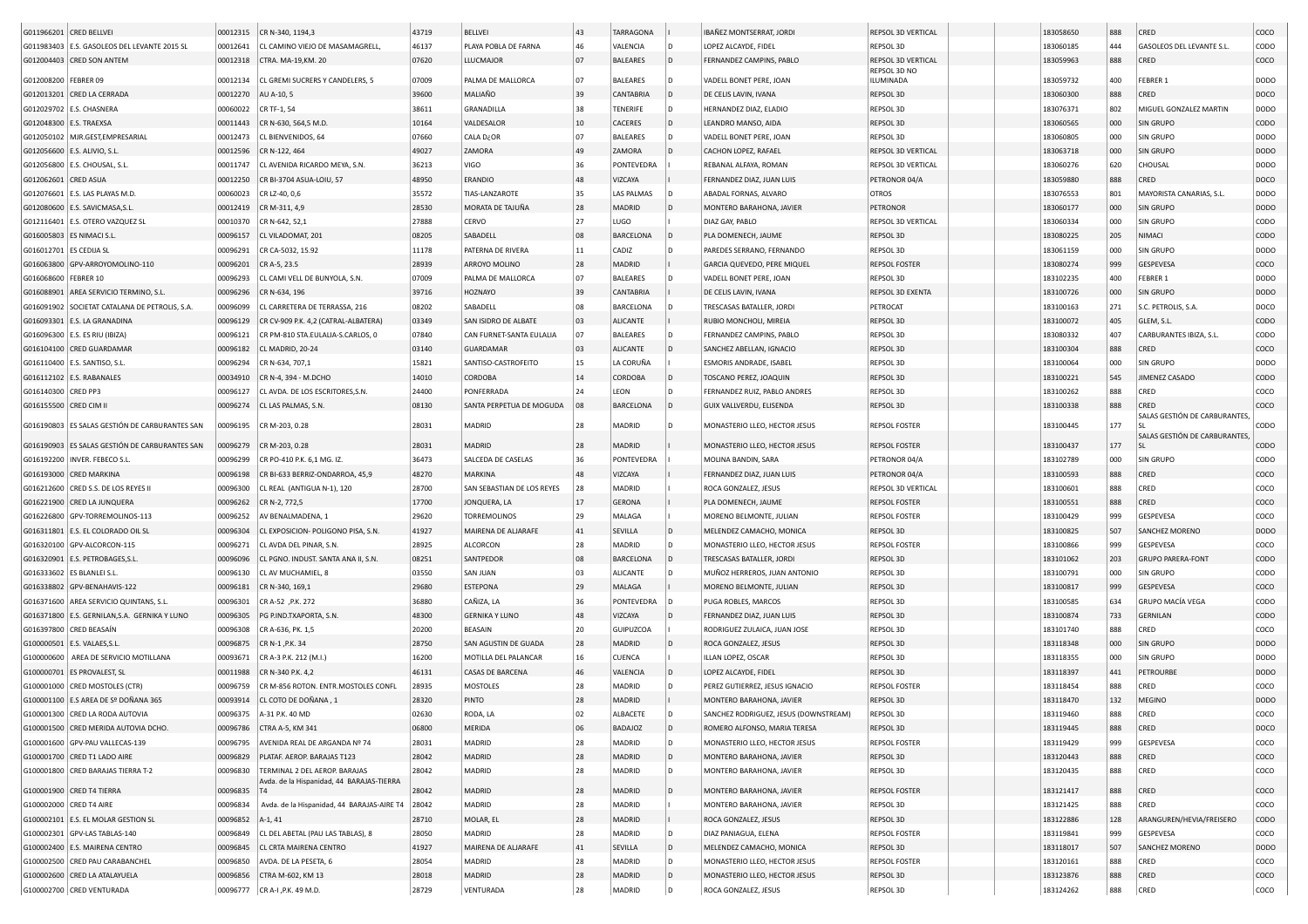| G011966201 CRED BELLVEI  |                                                | 00012315 | CR N-340, 1194,3                           | 43719 | BELLVEI                    | 43       | <b>TARRAGONA</b> |              | IBAÑEZ MONTSERRAT, JORDI              | REPSOL 3D VERTICAL        | 183058650 | 888 | CRED                         | coco        |
|--------------------------|------------------------------------------------|----------|--------------------------------------------|-------|----------------------------|----------|------------------|--------------|---------------------------------------|---------------------------|-----------|-----|------------------------------|-------------|
|                          | G011983403   E.S. GASOLEOS DEL LEVANTE 2015 SL | 00012641 | CL CAMINO VIEJO DE MASAMAGRELL             | 46137 | PLAYA POBLA DE FARNA       | 46       | VALENCIA         |              | LOPEZ ALCAYDE, FIDEL                  | REPSOL 3D                 | 183060185 | 444 | GASOLEOS DEL LEVANTE S.L     | CODO        |
|                          | G012004403 CRED SON ANTEM                      | 00012318 | CTRA. MA-19, KM. 20                        | 07620 | LLUCMAJOR                  | 07       | <b>BALEARES</b>  | l D          | FERNANDEZ CAMPINS, PABLO              | REPSOL 3D VERTICAL        | 183059963 | 888 | CRED                         | coco        |
| G012008200 FEBRER 09     |                                                | 00012134 | CL GREMI SUCRERS Y CANDELERS, 5            | 07009 | PALMA DE MALLORCA          | 07       | <b>BALEARES</b>  | l D          | VADELL BONET PERE, JOAN               | REPSOL 3D NO<br>ILUMINADA | 183059732 | 400 | FEBRER 1                     | DODO        |
|                          | G012013201 CRED LA CERRADA                     | 00012270 |                                            | 39600 | MALIAÑO                    |          | CANTABRIA        | l D          |                                       |                           | 183060300 |     |                              | DOCO        |
|                          |                                                |          | AU A-10, 5                                 |       |                            | 39       |                  |              | DE CELIS LAVIN, IVANA                 | REPSOL 3D                 |           | 888 | CRED                         |             |
|                          | G012029702 E.S. CHASNERA                       | 00060022 | CR TF-1, 54                                | 38611 | GRANADILLA                 | 38       | <b>TENERIFE</b>  |              | HERNANDEZ DIAZ, ELADIO                | REPSOL 3D                 | 183076371 | 802 | MIGUEL GONZALEZ MARTIN       | DODO        |
| G012048300 E.S. TRAEXSA  |                                                | 00011443 | CR N-630, 564,5 M.D.                       | 10164 | VALDESALOR                 | 10       | CACERES          |              | LEANDRO MANSO, AIDA                   | REPSOL 3D                 | 183060565 | 000 | <b>SIN GRUPO</b>             | CODO        |
|                          | G012050102 MJR.GEST,EMPRESARIAL                | 00012473 | CL BIENVENIDOS, 64                         | 07660 | CALA D¿OR                  | 07       | <b>BALEARES</b>  |              | VADELL BONET PERE, JOAN               | REPSOL 3D                 | 183060805 | 000 | SIN GRUPO                    | DODO        |
|                          | G012056600   E.S. ALIVIO, S.L.                 | 00012596 | CR N-122, 464                              | 49027 | ZAMORA                     | 49       | ZAMORA           |              | CACHON LOPEZ, RAFAEL                  | REPSOL 3D VERTICAL        | 183063718 | 000 | <b>SIN GRUPO</b>             | DODO        |
|                          | G012056800 E.S. CHOUSAL, S.L                   | 00011747 | CL AVENIDA RICARDO MEYA, S.N.              | 36213 | VIGO                       | 36       | PONTEVEDRA       |              | REBANAL ALFAYA, ROMAN                 | REPSOL 3D VERTICAL        | 183060276 | 620 | CHOUSAL                      | DODO        |
| G012062601 CRED ASUA     |                                                | 00012250 | CR BI-3704 ASUA-LOIU, 57                   | 48950 | ERANDIO                    | 48       | VIZCAYA          |              | FERNANDEZ DIAZ, JUAN LUIS             | PETRONOR 04/A             | 183059880 | 888 | CRED                         | DOCO        |
|                          | G012076601 E.S. LAS PLAYAS M.D.                | 00060023 | CR LZ-40, 0,6                              | 35572 | TIAS-LANZAROTE             | 35       | LAS PALMAS       |              | ABADAL FORNAS, ALVARO                 | <b>OTROS</b>              | 183076553 | 801 | MAYORISTA CANARIAS, S.L.     | DODO        |
|                          | G012080600 E.S. SAVICMASA, S.L                 | 00012419 | CR M-311, 4,9                              | 28530 | MORATA DE TAJUÑA           | 28       | <b>MADRID</b>    | l D          | MONTERO BARAHONA, JAVIER              | PETRONOR                  | 183060177 | 000 | SIN GRUPO                    | <b>DODO</b> |
|                          | G012116401 E.S. OTERO VAZQUEZ SL               | 00010370 | CR N-642, 52,1                             | 27888 | CERVO                      | 27       | LUGO             |              | DIAZ GAY, PABLO                       | REPSOL 3D VERTICAL        | 183060334 | 000 | SIN GRUPO                    | CODO        |
| G016005803 ES NIMACI S.L |                                                | 00096157 | CL VILADOMAT, 201                          | 08205 | SABADELL                   | 08       | <b>BARCELONA</b> |              | PLA DOMENECH, JAUME                   | REPSOL 3D                 | 183080225 | 205 | NIMACI                       | CODO        |
| G016012701 ES CEDIJA SL  |                                                | 00096291 | CR CA-5032, 15.92                          | 11178 | PATERNA DE RIVERA          | 11       | CADIZ            |              | PAREDES SERRANO, FERNANDO             | REPSOL 3D                 | 183061159 | 000 | SIN GRUPO                    | DODO        |
|                          | G016063800 GPV-ARROYOMOLINO-110                | 00096201 | CR A-5, 23.5                               | 28939 | ARROYO MOLINO              | 28       | MADRID           |              | GARCIA QUEVEDO, PERE MIQUEL           | <b>REPSOL FOSTER</b>      | 183080274 | 999 | GESPEVESA                    | coco        |
|                          |                                                |          |                                            | 07009 |                            | 07       |                  |              |                                       | REPSOL 3D                 | 183102235 | 400 | FEBRER 1                     | DODO        |
| G016068600 FEBRER 10     |                                                | 00096293 | CL CAMI VELL DE BUNYOLA, S.N.              |       | PALMA DE MALLORCA          |          | <b>BALEARES</b>  |              | VADELL BONET PERE, JOAN               |                           |           |     |                              |             |
|                          | G016088901 AREA SERVICIO TERMINO, S.L          | 00096296 | CR N-634, 196                              | 39716 | <b>HOZNAYO</b>             | 39       | CANTABRIA        |              | DE CELIS LAVIN, IVANA                 | REPSOL 3D EXENTA          | 183100726 | 000 | <b>SIN GRUPO</b>             | <b>DODO</b> |
|                          | G016091902 SOCIETAT CATALANA DE PETROLIS, S.A  | 00096099 | CL CARRETERA DE TERRASSA, 216              | 08202 | SABADELL                   |          | BARCELONA        |              | TRESCASAS BATALLER, JORD              | PETROCAT                  | 183100163 | 271 | S.C. PETROLIS, S.A.          | DOCO        |
|                          | G016093301 E.S. LA GRANADINA                   | 00096129 | CR CV-909 P.K. 4,2 (CATRAL-ALBATERA)       | 03349 | SAN ISIDRO DE ALBATE       | 03       | ALICANTE         |              | RUBIO MONCHOLI, MIREIA                | REPSOL 3D                 | 183100072 | 405 | GLEM, S.L                    | CODO        |
|                          | G016096300   E.S. ES RIU (IBIZA)               | 00096121 | CR PM-810 STA.EULALIA-S.CARLOS, 0          | 07840 | CAN FURNET-SANTA EULALIA   | 07       | <b>BALEARES</b>  |              | FERNANDEZ CAMPINS, PABLO              | REPSOL 3D                 | 183080332 | 407 | CARBURANTES IBIZA, S.L.      | CODO        |
|                          | G016104100 CRED GUARDAMAR                      | 00096182 | CL MADRID, 20-24                           | 03140 | <b>GUARDAMAR</b>           | 03       | ALICANTE         |              | SANCHEZ ABELLAN, IGNACIO              | REPSOL 3D                 | 183100304 | 888 | CRED                         | coco        |
|                          | G016110400   E.S. SANTISO, S.L                 | 00096294 | CR N-634, 707,1                            | 15821 | SANTISO-CASTROFEITO        | 15       | LA CORUÑA        |              | ESMORIS ANDRADE, ISABEL               | REPSOL 3D                 | 183100064 | 000 | SIN GRUPO                    | DODO        |
|                          | G016112102 E.S. RABANALES                      | 00034910 | CR N-4, 394 - M.DCHO                       | 14010 | CORDOBA                    | 14       | CORDOBA          | $\mathsf{D}$ | TOSCANO PEREZ, JOAQUIN                | REPSOL 3D                 | 183100221 | 545 | JIMENEZ CASADO               | CODO        |
| G016140300 CRED PP3      |                                                | 00096127 | CL AVDA. DE LOS ESCRITORES, S.N.           | 24400 | PONFERRADA                 | 24       | LEON             |              | FERNANDEZ RUIZ, PABLO ANDRES          | REPSOL 3D                 | 183100262 | 888 | CRED                         | COCO        |
| G016155500 CRED CIM I    |                                                | 00096274 | CL LAS PALMAS, S.N.                        | 08130 | SANTA PERPETUA DE MOGUDA   | 08       | <b>BARCELONA</b> | l D          | GUIX VALLVERDU, ELISENDA              | REPSOL 3D                 | 183100338 | 888 | CRED                         | COCO        |
|                          |                                                |          |                                            |       |                            |          |                  |              |                                       |                           |           |     | SALAS GESTIÓN DE CARBURANTES |             |
|                          | G016190803 ES SALAS GESTIÓN DE CARBURANTES SAN | 00096195 | CR M-203, 0.28                             | 28031 | MADRID                     | 28       | MADRID           |              | MONASTERIO LLEO, HECTOR JESUS         | <b>REPSOL FOSTER</b>      | 183100445 | 177 |                              | CODO        |
|                          | G016190903 ES SALAS GESTIÓN DE CARBURANTES SAN | 00096279 | CR M-203, 0.28                             | 28031 | MADRID                     | 28       | MADRID           |              | MONASTERIO LLEO, HECTOR JESUS         | <b>REPSOL FOSTER</b>      | 183100437 | 177 | SALAS GESTIÓN DE CARBURANTES | CODO        |
|                          | G016192200   INVER. FEBECO S.L.                | 00096299 | CR PO-410 P.K. 6,1 MG. IZ.                 | 36473 | SALCEDA DE CASELAS         | 36       | PONTEVEDRA       |              | MOLINA BANDIN, SARA                   | PETRONOR 04/A             | 183102789 | 000 | SIN GRUPO                    | CODO        |
|                          | G016193000 CRED MARKINA                        | 00096198 | CR BI-633 BERRIZ-ONDARROA, 45,9            | 48270 | MARKINA                    | 48       | VIZCAYA          |              | FERNANDEZ DIAZ, JUAN LUIS             | PETRONOR 04/A             | 183100593 | 888 | CRED                         | coco        |
|                          |                                                |          |                                            | 28700 |                            | 28       |                  |              |                                       |                           |           |     |                              |             |
|                          | G016212600 CRED S.S. DE LOS REYES II           | 00096300 | CL REAL (ANTIGUA N-1), 120                 |       | SAN SEBASTIAN DE LOS REYES |          | MADRID           |              | ROCA GONZALEZ, JESUS                  | REPSOL 3D VERTICAL        | 183100601 | 888 | CRED                         | coco        |
|                          | G016221900 CRED LA JUNQUERA                    | 00096262 | CR N-2, 772,5                              | 17700 | JONQUERA, LA               | 17       | <b>GERONA</b>    |              | PLA DOMENECH, JAUME                   | <b>REPSOL FOSTER</b>      | 183100551 | 888 | CRED                         | coco        |
|                          | G016226800 GPV-TORREMOLINOS-113                | 00096252 | AV BENALMADENA, 1                          | 29620 | <b>TORREMOLINOS</b>        | 29       | MALAGA           |              | MORENO BELMONTE, JULIAN               | <b>REPSOL FOSTER</b>      | 183100429 | 999 | GESPEVESA                    | coco        |
|                          | G016311801 E.S. EL COLORADO OIL SL             | 00096304 | CL EXPOSICION- POLIGONO PISA, S.N.         | 41927 | MAIRENA DE ALJARAFE        | 41       | SEVILLA          |              | MELENDEZ CAMACHO, MONICA              | REPSOL 3D                 | 183100825 | 507 | SANCHEZ MORENO               | <b>DODO</b> |
|                          | G016320100 GPV-ALCORCON-115                    | 00096271 | CL AVDA DEL PINAR, S.N.                    | 28925 | <b>ALCORCON</b>            | 28       | MADRID           |              | MONASTERIO LLEO, HECTOR JESUS         | <b>REPSOL FOSTER</b>      | 183100866 | 999 | <b>GESPEVESA</b>             | coco        |
|                          | G016320901 E.S. PETROBAGES, S.L                | 00096096 | CL PGNO. INDUST. SANTA ANA II, S.N.        | 08251 | SANTPEDOF                  | 08       | BARCELONA        |              | TRESCASAS BATALLER, JORD              | REPSOL 3D                 | 183101062 | 203 | <b>GRUPO PARERA-FONT</b>     | CODO        |
|                          | G016333602 ES BLANLEI S.L.                     | 00096130 | CL AV MUCHAMIEL, 8                         | 03550 | <b>SAN JUAN</b>            | 03       | <b>ALICANTE</b>  | l D          | MUÑOZ HERREROS, JUAN ANTONIO          | REPSOL 3D                 | 183100791 | 000 | SIN GRUPO                    | CODO        |
|                          | G016338802 GPV-BENAHAVIS-122                   | 00096181 | CR N-340, 169,1                            | 29680 | <b>ESTEPONA</b>            | 29       | MALAGA           |              | MORENO BELMONTE, JULIAN               | REPSOL 3D                 | 183100817 | 999 | GESPEVESA                    | coco        |
|                          | G016371600 AREA SERVICIO QUINTANS, S.L         | 00096301 | CR A-52 , P.K. 272                         | 36880 | CAÑIZA, LA                 | 36       | PONTEVEDRA       | I D          | PUGA ROBLES, MARCOS                   | REPSOL 3D                 | 183100585 | 634 | <b>GRUPO MACÍA VEGA</b>      | CODO        |
|                          | G016371800 E.S. GERNILAN, S.A. GERNIKA Y LUNO  | 00096305 | PG P.IND.TXAPORTA, S.N.                    | 48300 | <b>GERNIKA Y LUNO</b>      | 48       | VIZCAYA          | l D          | FERNANDEZ DIAZ, JUAN LUIS             | REPSOL 3D                 | 183100874 | 733 | <b>GERNILAN</b>              | CODO        |
| G016397800 CRED BEASAÍN  |                                                | 00096308 | CR A-636, PK. 1,5                          | 20200 | BEASAIN                    | 20       | GUIPUZCOA        |              | RODRIGUEZ ZULAICA, JUAN JOSE          | REPSOL 3D                 | 183101740 | 888 | CRED                         | coco        |
|                          | G100000501 E.S. VALAES, S.L                    | 00096875 | CR N-1, P.K. 34                            | 28750 | SAN AGUSTIN DE GUADA       | 28       | MADRID           |              | ROCA GONZALEZ, JESUS                  | REPSOL 3D                 | 183118348 | 000 | SIN GRUPO                    | DODO        |
| G100000600               | AREA DE SERVICIO MOTILLANA                     | 00093671 | CR A-3 P.K. 212 (M.I.)                     | 16200 | MOTILLA DEL PALANCAR       | 16       | CUENCA           |              | ILLAN LOPEZ, OSCAR                    | REPSOL 3D                 | 183118355 | 000 | SIN GRUPO                    | DODO        |
|                          | G100000701 ES PROVALEST, SL                    | 00011988 | CR N-340 P.K. 4,2                          | 46131 | CASAS DE BARCENA           | 46       | VALENCIA         |              | LOPEZ ALCAYDE, FIDEL                  | REPSOL 3D                 | 183118397 | 441 | PETROURBE                    | <b>DODO</b> |
|                          | G100001000 CRED MOSTOLES (CTR)                 | 00096759 | CR M-856 ROTON. ENTR.MOSTOLES CONFL        | 28935 | MOSTOLES                   | 28       | MADRID           |              | PEREZ GUTIERREZ, JESUS IGNACIO        | <b>REPSOL FOSTER</b>      | 183118454 | 888 | CRED                         | coco        |
|                          |                                                |          |                                            |       |                            |          |                  |              |                                       |                           |           |     |                              |             |
|                          | G100001100 E.S AREA DE Sº DOÑANA 365           | 00093914 | CL COTO DE DOÑANA, 1                       | 28320 | PINTO                      | 28<br>02 | MADRID           |              | MONTERO BARAHONA, JAVIER              | REPSOL 3D                 | 183118470 | 132 | MEGINO                       | DODO        |
|                          | G100001300 CRED LA RODA AUTOVIA                | 00096375 | A-31 P.K. 40 MD                            | 02630 | RODA, LA                   |          | ALBACETE         |              | SANCHEZ RODRIGUEZ, JESUS (DOWNSTREAM) | REPSOL 3D                 | 183119460 | 888 | CRED                         | coco        |
|                          | G100001500 CRED MERIDA AUTOVIA DCHO.           | 00096786 | CTRA A-5, KM 341                           | 06800 | MERIDA                     | 06       | BADAJOZ          | D            | ROMERO ALFONSO, MARIA TERESA          | REPSOL 3D                 | 183119445 | 888 | CRED                         | DOCO        |
|                          | G100001600 GPV-PAU VALLECAS-139                | 00096795 | AVENIDA REAL DE ARGANDA Nº 74              | 28031 | MADRID                     | 28       | MADRID           | l D          | MONASTERIO LLEO, HECTOR JESUS         | <b>REPSOL FOSTER</b>      | 183119429 | 999 | GESPEVESA                    | coco        |
|                          | G100001700 CRED T1 LADO AIRE                   | 00096829 | PLATAF. AEROP. BARAJAS T123                | 28042 | MADRID                     | 28       | MADRID           | $\mathsf{D}$ | MONTERO BARAHONA, JAVIER              | REPSOL 3D                 | 183120443 | 888 | CRED                         | coco        |
|                          | G100001800 CRED BARAJAS TIERRA T-2             | 00096830 | TERMINAL 2 DEL AEROP. BARAJAS              | 28042 | MADRID                     | 28       | MADRID           | l D          | MONTERO BARAHONA, JAVIER              | REPSOL 3D                 | 183120435 | 888 | CRED                         | coco        |
|                          | G100001900 CRED T4 TIERRA                      | 00096835 | Avda. de la Hispanidad, 44 BARAJAS-TIERRA  | 28042 | MADRID                     | 28       | MADRID           |              | MONTERO BARAHONA, JAVIER              | <b>REPSOL FOSTER</b>      | 183121417 | 888 | CRED                         | coco        |
|                          |                                                |          |                                            |       |                            | 28       |                  |              | MONTERO BARAHONA, JAVIER              |                           |           |     |                              | coco        |
| G100002000 CRED T4 AIRE  |                                                | 00096834 | Avda. de la Hispanidad, 44 BARAJAS-AIRE T4 | 28042 | MADRID                     |          | MADRID           |              |                                       | REPSOL 3D                 | 183121425 | 888 | CRED                         |             |
|                          | G100002101 E.S. EL MOLAR GESTION SL            | 00096852 | $A-1, 41$                                  | 28710 | MOLAR, EL                  | 28       | MADRID           |              | ROCA GONZALEZ, JESUS                  | REPSOL 3D                 | 183122886 | 128 | ARANGUREN/HEVIA/FREISERO     | <b>CODO</b> |
|                          | G100002301 GPV-LAS TABLAS-140                  | 00096849 | CL DEL ABETAL (PAU LAS TABLAS), 8          | 28050 | MADRID                     | 28       | MADRID           |              | DIAZ PANIAGUA, ELENA                  | <b>REPSOL FOSTER</b>      | 183119841 | 999 | GESPEVESA                    | COCO        |
|                          | G100002400 E.S. MAIRENA CENTRO                 | 00096845 | CL CRTA MAIRENA CENTRO                     | 41927 | MAIRENA DE ALJARAFE        | 41       | SEVILLA          | ID.          | MELENDEZ CAMACHO, MONICA              | REPSOL 3D                 | 183118017 | 507 | SANCHEZ MORENO               | <b>DODO</b> |
|                          | G100002500 CRED PAU CARABANCHEL                | 00096850 | AVDA. DE LA PESETA, 6                      | 28054 | MADRID                     | 28       | MADRID           | l D          | MONASTERIO LLEO, HECTOR JESUS         | <b>REPSOL FOSTER</b>      | 183120161 | 888 | CRED                         | COCO        |
|                          | G100002600 CRED LA ATALAYUELA                  | 00096856 | CTRA M-602, KM 13                          | 28018 | MADRID                     | 28       | MADRID           | ID.          | MONASTERIO LLEO, HECTOR JESUS         | REPSOL 3D                 | 183123876 | 888 | CRED                         | coco        |
|                          | G100002700 CRED VENTURADA                      |          | 00096777 CR A-I , P.K. 49 M.D.             | 28729 | VENTURADA                  | 28       | MADRID           | ID.          | ROCA GONZALEZ, JESUS                  | REPSOL 3D                 | 183124262 | 888 | CRED                         | coco        |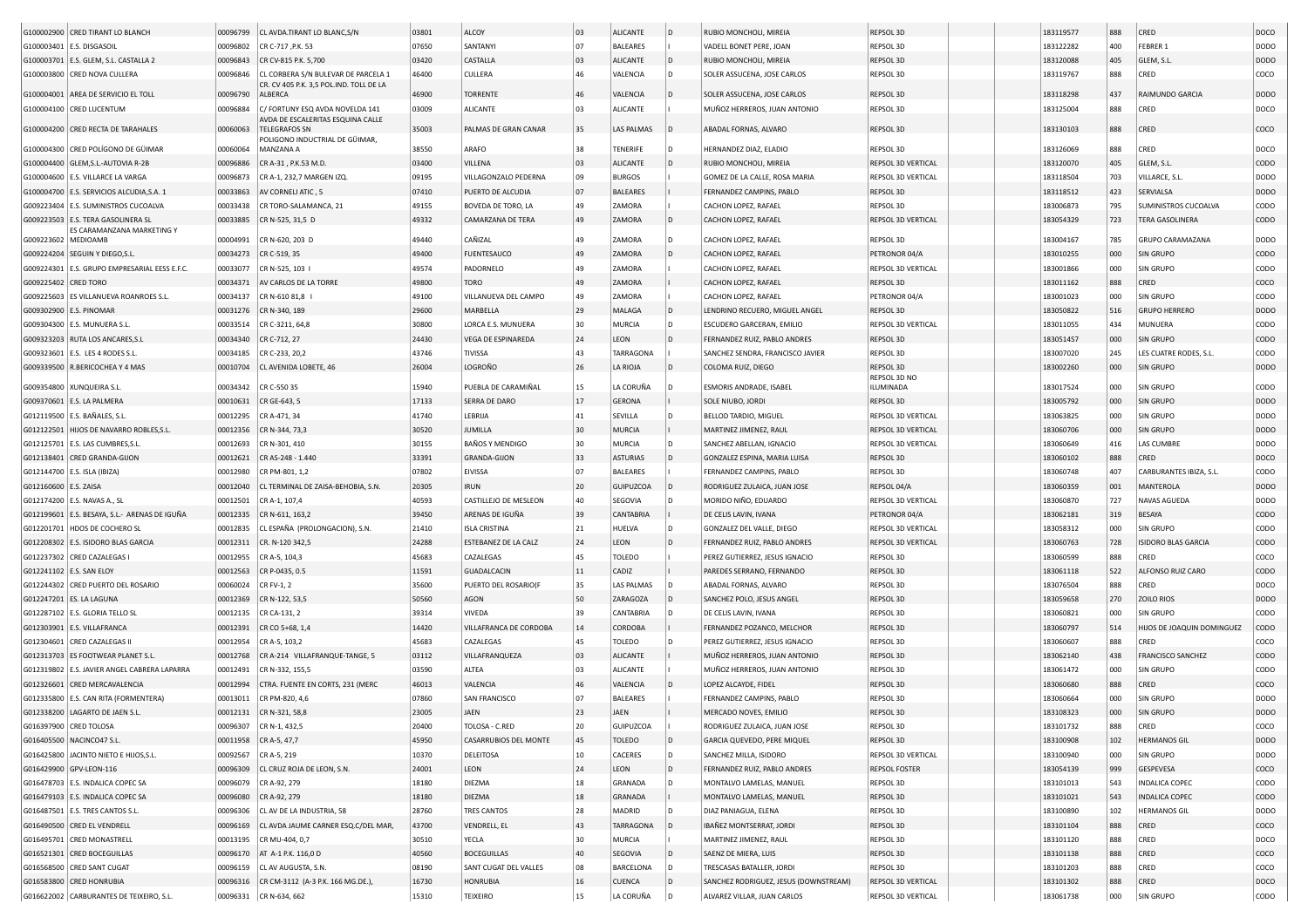|                          | G100002900 CRED TIRANT LO BLANCH              | 00096799 | CL AVDA.TIRANT LO BLANC, S/N                                                   | 03801 | ALCOY                        | 03     | ALICANTE          | $\overline{D}$ | RUBIO MONCHOLI, MIREIA                | REPSOL 3D                 | 183119577 | 888        | CRED                       | DOCO        |
|--------------------------|-----------------------------------------------|----------|--------------------------------------------------------------------------------|-------|------------------------------|--------|-------------------|----------------|---------------------------------------|---------------------------|-----------|------------|----------------------------|-------------|
|                          | G100003401 E.S. DISGASOIL                     | 00096802 | CR C-717, P.K. 53                                                              | 07650 | SANTANYI                     | 07     | <b>BALEARES</b>   |                | VADELL BONET PERE, JOAN               | REPSOL 3D                 | 183122282 | 400        | FEBRER 1                   | DODO        |
|                          | G100003701   E.S. GLEM, S.L. CASTALLA 2       | 00096843 | CR CV-815 P.K. 5,700                                                           | 03420 | CASTALLA                     | 03     | <b>ALICANTE</b>   |                | RUBIO MONCHOLI, MIREIA                | REPSOL 3D                 | 183120088 | 405        | GLEM, S.L                  | <b>DODO</b> |
|                          |                                               |          |                                                                                | 46400 | CULLERA                      | 46     |                   |                |                                       | REPSOL 3D                 |           | 888        | CRED                       | coco        |
|                          | G100003800 CRED NOVA CULLERA                  | 00096846 | CL CORBERA S/N BULEVAR DE PARCELA 1<br>CR. CV 405 P.K. 3,5 POL.IND. TOLL DE LA |       |                              |        | VALENCIA          |                | SOLER ASSUCENA, JOSE CARLOS           |                           | 183119767 |            |                            |             |
|                          | G100004001 AREA DE SERVICIO EL TOLL           | 00096790 | <b>ALBERCA</b>                                                                 | 46900 | <b>TORRENTE</b>              | 46     | VALENCIA          |                | SOLER ASSUCENA, JOSE CARLOS           | REPSOL 3D                 | 183118298 | 437        | RAIMUNDO GARCIA            | <b>DODO</b> |
|                          | G100004100 CRED LUCENTUM                      | 00096884 | C/ FORTUNY ESQ AVDA NOVELDA 141                                                | 03009 | <b>ALICANTE</b>              | 03     | ALICANTE          |                | MUÑOZ HERREROS, JUAN ANTONIO          | REPSOL 3D                 | 183125004 | 888        | CRED                       | DOCO        |
|                          | G100004200 CRED RECTA DE TARAHALES            | 00060063 | AVDA DE ESCALERITAS ESQUINA CALLE<br><b>TELEGRAFOS SN</b>                      | 35003 | PALMAS DE GRAN CANAR         | 35     | LAS PALMAS        |                | ABADAL FORNAS, ALVARO                 | REPSOL 3D                 | 183130103 | 888        | CRED                       | COCO        |
|                          |                                               |          | POLIGONO INDUCTRIAL DE GÜIMAR                                                  |       |                              |        |                   |                |                                       |                           |           |            |                            |             |
|                          | G100004300 CRED POLÍGONO DE GÜIMAR            | 00060064 | MANZANA A                                                                      | 38550 | ARAFO                        | 38     | TENERIFE          |                | HERNANDEZ DIAZ, ELADIO                | REPSOL 3D                 | 183126069 | 888        | CRED                       | DOCO        |
|                          | G100004400 GLEM, S.L.-AUTOVIA R-2B            | 00096886 | CR A-31, P.K.53 M.D.                                                           | 03400 | VILLENA                      | 03     | <b>ALICANTE</b>   |                | RUBIO MONCHOLI, MIREIA                | REPSOL 3D VERTICAL        | 183120070 | 405        | GLEM, S.L                  | CODO        |
|                          | G100004600 E.S. VILLARCE LA VARGA             | 00096873 | CR A-1, 232,7 MARGEN IZQ.                                                      | 09195 | VILLAGONZALO PEDERNA         | 09     | <b>BURGOS</b>     |                | GOMEZ DE LA CALLE, ROSA MARIA         | REPSOL 3D VERTICAL        | 183118504 | 703        | VILLARCE, S.L              | DODO        |
|                          | G100004700 E.S. SERVICIOS ALCUDIA, S.A. :     | 00033863 | AV CORNELI ATIC, 5                                                             | 07410 | PUERTO DE ALCUDIA            | 07     | <b>BALEARES</b>   |                | FERNANDEZ CAMPINS, PABLO              | REPSOL 3D                 | 183118512 | 423        | SERVIALSA                  | <b>DODO</b> |
|                          | G009223404   E.S. SUMINISTROS CUCOALVA        | 00033438 | CR TORO-SALAMANCA, 21                                                          | 49155 | BOVEDA DE TORO, LA           | 49     | ZAMORA            |                | CACHON LOPEZ, RAFAEL                  | REPSOL 3D                 | 183006873 | 795        | SUMINISTROS CUCOALVA       | CODO        |
|                          | G009223503 E.S. TERA GASOLINERA SL            | 00033885 | CR N-525, 31,5 D                                                               | 49332 | CAMARZANA DE TERA            | 49     | ZAMORA            |                | CACHON LOPEZ, RAFAEL                  | REPSOL 3D VERTICAL        | 183054329 | 723        | <b>TERA GASOLINERA</b>     | CODO        |
|                          | ES CARAMANZANA MARKETING Y                    |          |                                                                                |       |                              |        |                   |                |                                       |                           |           |            |                            |             |
| G009223602 MEDIOAMB      |                                               | 00004991 | CR N-620, 203 D                                                                | 49440 | CAÑIZAL                      | 49     | ZAMORA            | D              | CACHON LOPEZ, RAFAEL                  | REPSOL 3D                 | 183004167 | 785        | GRUPO CARAMAZANA           | <b>DODO</b> |
|                          | G009224204   SEGUIN Y DIEGO,S.L               | 00034273 | CR C-519, 35                                                                   | 49400 | <b>FUENTESAUCO</b>           | 49     | ZAMORA            |                | CACHON LOPEZ, RAFAEL                  | PETRONOR 04/A             | 183010255 | 000        | SIN GRUPO                  | CODO        |
|                          | G009224301 E.S. GRUPO EMPRESARIAL EESS E.F.C. | 00033077 | CR N-525, 103                                                                  | 49574 | PADORNELO                    | 49     | ZAMORA            |                | CACHON LOPEZ, RAFAEL                  | REPSOL 3D VERTICAL        | 183001866 | 000        | <b>SIN GRUPO</b>           | CODO        |
| G009225402               | <b>CRED TORO</b>                              | 00034371 | AV CARLOS DE LA TORRE                                                          | 49800 | TORO                         | 49     | ZAMORA            |                | CACHON LOPEZ, RAFAEL                  | REPSOL 3D                 | 183011162 | 888        | CRED                       | COCO        |
| G009225603               | <b>ES VILLANUEVA ROANROES S.L</b>             | 00034137 | CR N-610 81,8                                                                  | 49100 | VILLANUEVA DEL CAMPO         | 49     | ZAMORA            |                | CACHON LOPEZ, RAFAEL                  | PETRONOR 04/A             | 183001023 | 000        | <b>SIN GRUPO</b>           | CODO        |
| G009302900 E.S. PINOMAR  |                                               | 00031276 | CR N-340, 189                                                                  | 29600 | MARBELLA                     | 29     | MALAGA            |                | LENDRINO RECUERO, MIGUEL ANGEL        | REPSOL 3D                 | 183050822 | 516        | <b>GRUPO HERRERO</b>       | <b>DODO</b> |
|                          | G009304300   E.S. MUNUERA S.L.                | 00033514 | CR C-3211, 64,8                                                                | 30800 | LORCA E.S. MUNUERA           | 30     | MURCIA            |                | ESCUDERO GARCERAN, EMILIO             | REPSOL 3D VERTICAL        | 183011055 | 434        | MUNUERA                    | CODO        |
|                          | G009323203 RUTA LOS ANCARES, S.I              | 00034340 | CR C-712, 27                                                                   | 24430 | VEGA DE ESPINAREDA           | 24     | LEON              |                | FERNANDEZ RUIZ, PABLO ANDRES          | REPSOL 3D                 | 183051457 | 000        | SIN GRUPO                  | CODO        |
|                          | G009323601 E.S. LES 4 RODES S.L.              | 00034185 | CR C-233, 20,2                                                                 | 43746 | TIVISSA                      | 43     | TARRAGONA         |                | SANCHEZ SENDRA, FRANCISCO JAVIER      | REPSOL 3D                 | 183007020 | 245        | LES CUATRE RODES, S.L.     | CODO        |
|                          | G009339500 R.BERICOCHEA Y 4 MAS               | 00010704 | CL AVENIDA LOBETE, 46                                                          | 26004 | LOGROÑO                      | 26     | LA RIOJA          |                | COLOMA RUIZ, DIEGO                    | REPSOL 3D                 | 183002260 | 000        | SIN GRUPO                  | <b>DODO</b> |
|                          |                                               |          |                                                                                |       |                              |        |                   |                |                                       | REPSOL 3D NO              |           |            |                            |             |
|                          | G009354800 XUNQUEIRA S.L.                     | 00034342 | CR C-550 35                                                                    | 15940 | PUEBLA DE CARAMIÑAL          | 15     | LA CORUÑA         |                | ESMORIS ANDRADE, ISABEL               | ILUMINADA                 | 183017524 | 000        | <b>SIN GRUPO</b>           | CODO        |
|                          | G009370601 E.S. LA PALMERA                    | 00010631 | CR GE-643, 5                                                                   | 17133 | SERRA DE DARO                | 17     | <b>GERONA</b>     |                | SOLE NIUBO, JORDI                     | REPSOL 3D                 | 183005792 | 000        | <b>SIN GRUPO</b>           | <b>DODO</b> |
|                          | G012119500   E.S. BAÑALES, S.L.               | 00012295 | CR A-471, 34                                                                   | 41740 | LEBRIJA                      | 41     | SEVILLA           |                | BELLOD TARDIO, MIGUEL                 | REPSOL 3D VERTICAL        | 183063825 | 000        | <b>SIN GRUPO</b>           | <b>DODO</b> |
|                          | G012122501 HIJOS DE NAVARRO ROBLES, S.L.      | 00012356 | CR N-344, 73,3                                                                 | 30520 | JUMILLA                      | 30     | <b>MURCIA</b>     |                | MARTINEZ JIMENEZ, RAUL                | <b>REPSOL 3D VERTICAL</b> | 183060706 | 000        | SIN GRUPO                  | DODO        |
|                          | G012125701 E.S. LAS CUMBRES, S.L              | 00012693 | CR N-301, 410                                                                  | 30155 | BAÑOS Y MENDIGO              | 30     | MURCIA            | D              | SANCHEZ ABELLAN, IGNACIO              | REPSOL 3D VERTICAL        | 183060649 | 416        | LAS CUMBRE                 | <b>DODO</b> |
|                          | G012138401 CRED GRANDA-GIJON                  | 00012621 | CR AS-248 - 1.440                                                              | 33391 | <b>GRANDA-GIJON</b>          | 33     | <b>ASTURIAS</b>   |                | GONZALEZ ESPINA, MARIA LUISA          | REPSOL 3D                 | 183060102 | 888        | CRED                       | DOCO        |
|                          | G012144700   E.S. ISLA (IBIZA)                | 00012980 | CR PM-801, 1,2                                                                 | 07802 | EIVISSA                      | 07     | <b>BALEARES</b>   |                | FERNANDEZ CAMPINS, PABLO              | REPSOL 3D                 | 183060748 | 407        | CARBURANTES IBIZA, S.L.    | CODO        |
| G012160600 E.S. ZAISA    |                                               | 00012040 | CL TERMINAL DE ZAISA-BEHOBIA, S.N                                              | 20305 | <b>IRUN</b>                  | 20     | GUIPUZCOA         |                | RODRIGUEZ ZULAICA, JUAN JOSE          | REPSOL 04/A               | 183060359 | 001        | MANTEROLA                  | <b>DODO</b> |
|                          | G012174200   E.S. NAVAS A., SL                | 00012501 | CR A-1, 107,4                                                                  | 40593 | CASTILLEJO DE MESLEON        | 40     | SEGOVIA           | D              | MORIDO NIÑO, EDUARDO                  | REPSOL 3D VERTICAL        | 183060870 | 727        | NAVAS AGUEDA               | <b>DODO</b> |
|                          | G012199601 E.S. BESAYA, S.L.- ARENAS DE IGUÑA | 00012335 | CR N-611, 163,2                                                                | 39450 | ARENAS DE IGUÑA              | 39     | <b>CANTABRIA</b>  |                | DE CELIS LAVIN, IVANA                 | PETRONOR 04/A             | 183062181 | 319        | BESAYA                     | CODO        |
| G012201701               | HDOS DE COCHERO SL                            | 00012835 | CL ESPAÑA (PROLONGACION), S.N.                                                 | 21410 | <b>ISLA CRISTINA</b>         | $21\,$ | HUELVA            | D              | GONZALEZ DEL VALLE, DIEGO             | REPSOL 3D VERTICAL        | 183058312 | 000        | <b>SIN GRUPO</b>           | CODO        |
|                          |                                               | 00012311 |                                                                                | 24288 |                              | 24     | LEON              |                |                                       |                           | 183060763 |            | <b>ISIDORO BLAS GARCIA</b> | CODO        |
|                          | G012208302 E.S. ISIDORO BLAS GARCIA           |          | CR. N-120 342,5                                                                | 45683 | ESTEBANEZ DE LA CALZ         | 45     |                   |                | FERNANDEZ RUIZ, PABLO ANDRES          | REPSOL 3D VERTICAL        |           | 728<br>888 | CRED                       | coco        |
|                          | G012237302 CRED CAZALEGAS                     | 00012955 | CR A-5, 104,3                                                                  |       | CAZALEGAS                    |        | TOLEDO            |                | PEREZ GUTIERREZ, JESUS IGNACIO        | REPSOL 3D                 | 183060599 |            |                            |             |
| G012241102 E.S. SAN ELOY |                                               | 00012563 | CR P-0435, 0.5                                                                 | 11591 | <b>GUADALCACIN</b>           | 11     | CADIZ             |                | PAREDES SERRANO, FERNANDO             | REPSOL 3D                 | 183061118 | 522        | ALFONSO RUIZ CARO          | CODO        |
|                          | G012244302 CRED PUERTO DEL ROSARIO            | 00060024 | CR FV-1, 2                                                                     | 35600 | PUERTO DEL ROSARIO(F         | 35     | <b>LAS PALMAS</b> |                | ABADAL FORNAS, ALVARO                 | REPSOL 3D                 | 183076504 | 888        | CRED                       | DOCO        |
|                          | G012247201 ES. LA LAGUNA                      | 00012369 | CR N-122, 53,5                                                                 | 50560 | AGON                         | 50     | ZARAGOZA          |                | SANCHEZ POLO, JESUS ANGEI             | REPSOL 3D                 | 183059658 | 270        | ZOILO RIOS                 | <b>DODO</b> |
|                          | G012287102   E.S. GLORIA TELLO SL             | 00012135 | CR CA-131, 2                                                                   | 39314 | VIVEDA                       | 39     | CANTABRIA         |                | DE CELIS LAVIN, IVANA                 | REPSOL 3D                 | 183060821 | 000        | <b>SIN GRUPO</b>           | CODO        |
|                          | G012303901 E.S. VILLAFRANCA                   | 00012391 | CR CO 5+68, 1,4                                                                | 14420 | VILLAFRANCA DE CORDOBA       | 14     | CORDOBA           |                | FERNANDEZ POZANCO, MELCHOR            | REPSOL 3D                 | 183060797 | 514        | HIJOS DE JOAQUIN DOMINGUEZ | CODO        |
|                          | G012304601 CRED CAZALEGAS I                   | 00012954 | CR A-5, 103,2                                                                  | 45683 | CAZALEGAS                    | 45     | TOLEDO            |                | PEREZ GUTIERREZ, JESUS IGNACIO        | REPSOL 3D                 | 183060607 | 888        | CRED                       | COCO        |
|                          | G012313703 ES FOOTWEAR PLANET S.L             | 00012768 | CR A-214 VILLAFRANQUE-TANGE, 5                                                 | 03112 | VILLAFRANQUEZA               | 03     | <b>ALICANTE</b>   |                | MUÑOZ HERREROS, JUAN ANTONIO          | REPSOL 3D                 | 183062140 | 438        | <b>FRANCISCO SANCHEZ</b>   | CODO        |
|                          | G012319802 E.S. JAVIER ANGEL CABRERA LAPARRA  | 00012491 | CR N-332, 155,5                                                                | 03590 | ALTEA                        | 03     | <b>ALICANTE</b>   |                | MUÑOZ HERREROS, JUAN ANTONIO          | REPSOL 3D                 | 183061472 | 000        | SIN GRUPO                  | CODO        |
|                          | G012326601 CRED MERCAVALENCIA                 | 00012994 | CTRA. FUENTE EN CORTS, 231 (MERC                                               | 46013 | VALENCIA                     | 46     | VALENCIA          |                | LOPEZ ALCAYDE, FIDEL                  | REPSOL 3D                 | 183060680 | 888        | CRED                       | COCO        |
|                          | G012335800 E.S. CAN RITA (FORMENTERA)         | 00013011 | CR PM-820, 4,6                                                                 | 07860 | SAN FRANCISCO                | 07     | <b>BALEARES</b>   |                | FERNANDEZ CAMPINS, PABLO              | REPSOL 3D                 | 183060664 | 000        | <b>SIN GRUPO</b>           | <b>DODO</b> |
|                          | G012338200 LAGARTO DE JAEN S.L                | 00012131 | CR N-321, 58,8                                                                 | 23005 | JAEN                         | 23     | <b>JAEN</b>       |                | MERCADO NOVES, EMILIO                 | REPSOL 3D                 | 183108323 | 000        | SIN GRUPO                  | <b>DODO</b> |
| G016397900 CRED TOLOSA   |                                               |          | 00096307   CR N-1, 432,5                                                       | 20400 | TOLOSA - C.RED               | 20     | GUIPUZCOA         |                | RODRIGUEZ ZULAICA, JUAN JOSE          | REPSOL 3D                 | 183101732 | 888        | CRED                       | COCO        |
|                          | G016405500 NACINCO47 S.L.                     | 00011958 | CR A-5, 47,7                                                                   | 45950 | <b>CASARRUBIOS DEL MONTE</b> | 45     | <b>TOLEDO</b>     | D              | GARCIA QUEVEDO, PERE MIQUEL           | REPSOL 3D                 | 183100908 | 102        | <b>HERMANOS GIL</b>        | DODO        |
|                          | G016425800 JACINTO NIETO E HIJOS, S.L.        | 00092567 | CR A-5, 219                                                                    | 10370 | DELEITOSA                    | 10     | CACERES           | D              | SANCHEZ MILLA, ISIDORO                | REPSOL 3D VERTICAL        | 183100940 | 000        | SIN GRUPO                  | <b>DODO</b> |
|                          | G016429900 GPV-LEON-116                       | 00096309 | CL CRUZ ROJA DE LEON, S.N.                                                     | 24001 | LEON                         | 24     | LEON              | l D            | FERNANDEZ RUIZ, PABLO ANDRES          | <b>REPSOL FOSTER</b>      | 183054139 | 999        | GESPEVESA                  | coco        |
|                          | G016478703 E.S. INDALICA COPEC SA             | 00096079 | CR A-92, 279                                                                   | 18180 | DIEZMA                       | 18     | GRANADA           |                | MONTALVO LAMELAS, MANUEL              | REPSOL 3D                 | 183101013 | 543        | INDALICA COPEC             | CODO        |
|                          | G016479103 E.S. INDALICA COPEC SA             | 00096080 | CR A-92, 279                                                                   | 18180 | DIEZMA                       | 18     | GRANADA           |                | MONTALVO LAMELAS, MANUEL              | REPSOL 3D                 | 183101021 | 543        | <b>INDALICA COPEC</b>      | <b>CODO</b> |
|                          |                                               |          | CL AV DE LA INDUSTRIA, 58                                                      | 28760 | TRES CANTOS                  | 28     | MADRID            |                |                                       | REPSOL 3D                 |           | 102        | <b>HERMANOS GIL</b>        | DODO        |
|                          | G016487501   E.S. TRES CANTOS S.L.            | 00096306 | CL AVDA JAUME CARNER ESQ.C/DEL MAR,                                            |       |                              | 43     |                   |                | DIAZ PANIAGUA, ELENA                  |                           | 183100890 |            |                            |             |
|                          | G016490500 CRED EL VENDRELL                   | 00096169 |                                                                                | 43700 | VENDRELL, EL                 |        | TARRAGONA         |                | IBAÑEZ MONTSERRAT, JORDI              | REPSOL 3D                 | 183101104 | 888        | CRED                       | coco        |
|                          | G016495701 CRED MONASTRELL                    | 00013195 | CR MU-404, 0,7                                                                 | 30510 | YECLA                        | 30     | <b>MURCIA</b>     |                | MARTINEZ JIMENEZ, RAUL                | REPSOL 3D                 | 183101120 | 888        | CRED                       | DOCO        |
|                          | G016521301 CRED BOCEGUILLAS                   | 00096170 | AT A-1 P.K. 116,0 D                                                            | 40560 | <b>BOCEGUILLAS</b>           | 40     | SEGOVIA           | l D            | SAENZ DE MIERA, LUIS                  | REPSOL 3D                 | 183101138 | 888        | CRED                       | coco        |
|                          | G016568500 CRED SANT CUGAT                    | 00096159 | CL AV AUGUSTA, S.N.                                                            | 08190 | SANT CUGAT DEL VALLES        | 08     | BARCELONA         | D              | TRESCASAS BATALLER, JORDI             | REPSOL 3D                 | 183101203 | 888        | CRED                       | COCO        |
|                          | G016583800 CRED HONRUBIA                      | 00096316 | CR CM-3112 (A-3 P.K. 166 MG.DE.),                                              | 16730 | <b>HONRUBIA</b>              | 16     | <b>CUENCA</b>     | D              | SANCHEZ RODRIGUEZ, JESUS (DOWNSTREAM) | REPSOL 3D VERTICAL        | 183101302 | 888        | CRED                       | DOCO        |
|                          | G016622002 CARBURANTES DE TEIXEIRO, S.L.      | 00096331 | CR N-634, 662                                                                  | 15310 | <b>TEIXEIRO</b>              | 15     | LA CORUÑA         | D              | ALVAREZ VILLAR, JUAN CARLOS           | REPSOL 3D VERTICAL        | 183061738 | 000        | SIN GRUPO                  | CODO        |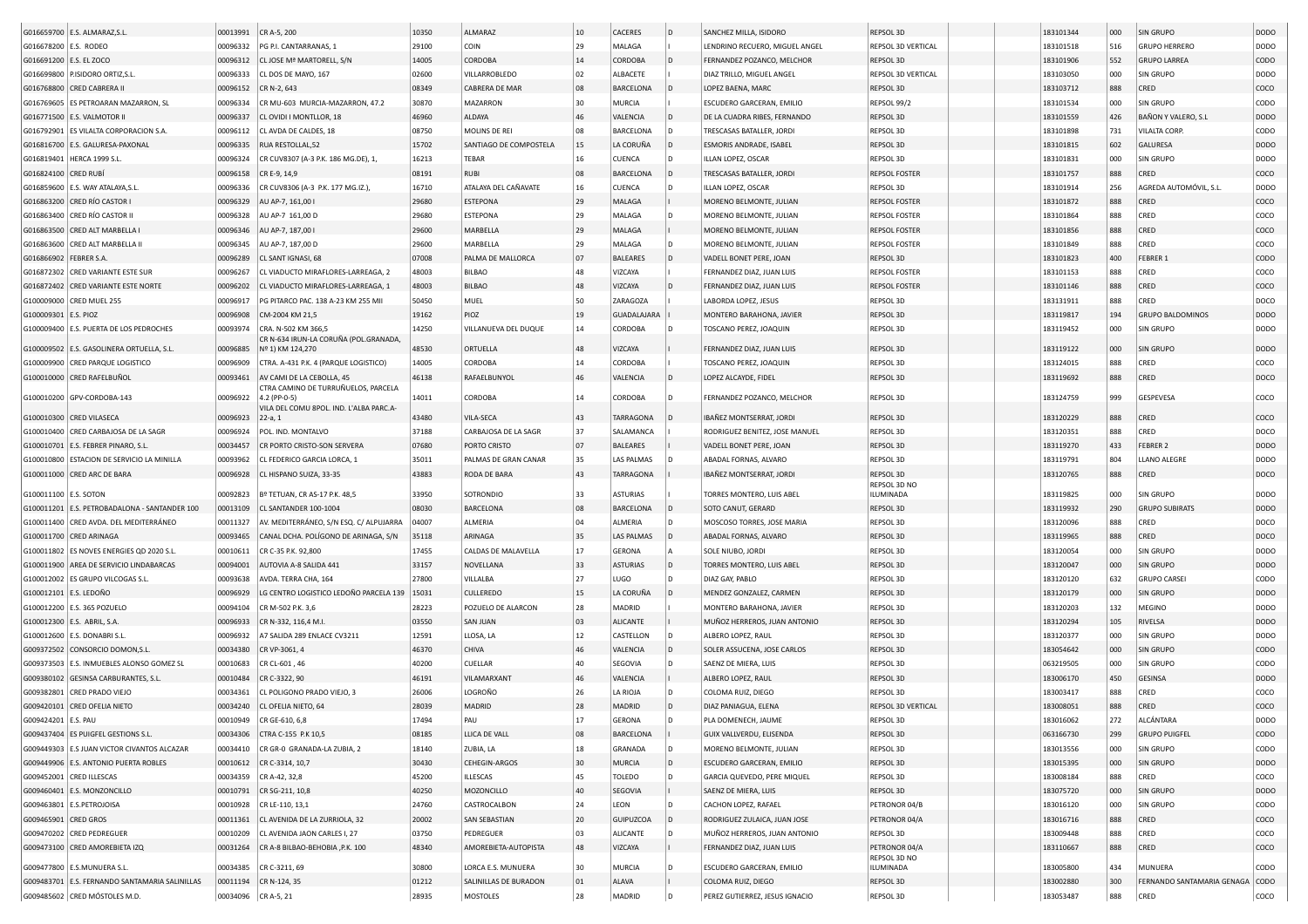|                           | G016659700 E.S. ALMARAZ, S.L                   | 00013991 | CR A-5, 200                                                  | 10350 | ALMARAZ                | 10       | <b>CACERES</b>   | D                   | SANCHEZ MILLA, ISIDORO         | REPSOL 3D                     | 183101344 | 000 | <b>SIN GRUPO</b>                | <b>DODO</b>      |
|---------------------------|------------------------------------------------|----------|--------------------------------------------------------------|-------|------------------------|----------|------------------|---------------------|--------------------------------|-------------------------------|-----------|-----|---------------------------------|------------------|
| G016678200 E.S. RODEO     |                                                | 00096332 | PG P.I. CANTARRANAS, 1                                       | 29100 | COIN                   | 29       | MALAGA           |                     | LENDRINO RECUERO, MIGUEL ANGEL | REPSOL 3D VERTICAL            | 183101518 | 516 | <b>GRUPO HERRERO</b>            | DODO             |
| G016691200   E.S. EL ZOCO |                                                | 00096312 | CL JOSE Mª MARTORELL, S/N                                    | 14005 | CORDOBA                | 14       | <b>CORDOBA</b>   | l D                 | FERNANDEZ POZANCO, MELCHOR     | <b>REPSOL 3D</b>              | 183101906 | 552 | <b>GRUPO LARREA</b>             | CODO             |
|                           | G016699800 P.ISIDORO ORTIZ, S.L                | 00096333 | CL DOS DE MAYO, 167                                          | 02600 | VILLARROBLEDO          | 02       | ALBACETE         |                     | DIAZ TRILLO, MIGUEL ANGEL      | <b>REPSOL 3D VERTICAL</b>     | 183103050 | 000 | SIN GRUPO                       | DODO             |
|                           | G016768800 CRED CABRERA                        | 00096152 | CR N-2, 643                                                  | 08349 | CABRERA DE MAR         | 08       | <b>BARCELONA</b> |                     | LOPEZ BAENA, MARC              | REPSOL 3D                     | 183103712 | 888 | CRED                            | coco             |
|                           | G016769605   ES PETROARAN MAZARRON, SL         | 00096334 | CR MU-603 MURCIA-MAZARRON, 47.2                              | 30870 | <b>MAZARRON</b>        | 30       | <b>MURCIA</b>    |                     | ESCUDERO GARCERAN, EMILIO      | REPSOL 99/2                   | 183101534 | 000 | SIN GRUPO                       | CODO             |
|                           | G016771500   E.S. VALMOTOR II                  | 00096337 | CL OVIDI I MONTLLOR, 18                                      | 46960 | ALDAYA                 | 46       | VALENCIA         |                     | DE LA CUADRA RIBES, FERNANDO   | <b>REPSOL 3D</b>              | 183101559 | 426 | BAÑON Y VALERO, S.L             | <b>DODO</b>      |
|                           | G016792901 ES VILALTA CORPORACION S.A          | 00096112 | CL AVDA DE CALDES, 18                                        | 08750 | MOLINS DE REI          | 08       | <b>BARCELONA</b> |                     | TRESCASAS BATALLER, JORDI      | REPSOL 3D                     | 183101898 | 731 | VILALTA CORP.                   | CODO             |
|                           | G016816700 E.S. GALURESA-PAXONAL               | 00096335 | RUA RESTOLLAL,52                                             | 15702 | SANTIAGO DE COMPOSTELA | 15       | LA CORUÑA        | l D                 | ESMORIS ANDRADE, ISABEL        | REPSOL 3D                     | 183101815 | 602 | GALURESA                        | DOD <sub>O</sub> |
|                           | G016819401   HERCA 1999 S.L.                   | 00096324 | CR CUV8307 (A-3 P.K. 186 MG.DE), 1                           | 16213 | TEBAR                  | 16       | CUENCA           | In.                 | ILLAN LOPEZ, OSCAR             | REPSOL 3D                     | 183101831 | 000 | SIN GRUPO                       | DODO             |
| G016824100 CRED RUBÍ      |                                                | 00096158 | CR E-9, 14,9                                                 | 08191 | <b>RUBI</b>            | 08       | <b>BARCELONA</b> | ID.                 | TRESCASAS BATALLER, JORDI      | <b>REPSOL FOSTER</b>          | 183101757 | 888 | CRED                            | coco             |
|                           | G016859600 E.S. WAY ATALAYA, S.L.              | 00096336 | CR CUV8306 (A-3 P.K. 177 MG.IZ.),                            | 16710 | ATALAYA DEL CAÑAVATE   | 16       | CUENCA           |                     | ILLAN LOPEZ, OSCAR             | REPSOL 3D                     | 183101914 | 256 | AGREDA AUTOMÓVIL, S.L           | DODO             |
|                           | G016863200 CRED RÍO CASTOR I                   | 00096329 | AU AP-7, 161,00 I                                            | 29680 | <b>ESTEPONA</b>        | 29       | MALAGA           |                     | MORENO BELMONTE, JULIAN        | <b>REPSOL FOSTER</b>          | 183101872 | 888 | CRED                            | coco             |
|                           | G016863400 CRED RÍO CASTOR II                  | 00096328 | AU AP-7 161,00 D                                             | 29680 | <b>ESTEPONA</b>        | 29       | MALAGA           |                     | MORENO BELMONTE, JULIAN        | <b>REPSOL FOSTER</b>          | 183101864 | 888 | CRED                            | coco             |
|                           |                                                |          |                                                              | 29600 | MARBELLA               | 29       |                  |                     |                                |                               |           |     | CRED                            | coco             |
|                           | G016863500 CRED ALT MARBELLA                   | 00096346 | AU AP-7, 187,00 I                                            |       |                        |          | MALAGA           |                     | MORENO BELMONTE, JULIAN        | <b>REPSOL FOSTER</b>          | 183101856 | 888 |                                 |                  |
|                           | G016863600 CRED ALT MARBELLA II                | 00096345 | AU AP-7, 187,00 D                                            | 29600 | MARBELLA               | 29       | MALAGA           |                     | MORENO BELMONTE, JULIAN        | <b>REPSOL FOSTER</b>          | 183101849 | 888 | CRED                            | coco             |
| G016866902 FEBRER S.A.    |                                                | 00096289 | CL SANT IGNASI, 68                                           | 07008 | PALMA DE MALLORCA      | 07       | <b>BALEARES</b>  | ID.                 | VADELL BONET PERE, JOAN        | REPSOL 3D                     | 183101823 | 400 | FEBRER                          | CODO             |
|                           | G016872302 CRED VARIANTE ESTE SUR              | 00096267 | CL VIADUCTO MIRAFLORES-LARREAGA, 2                           | 48003 | <b>BILBAO</b>          | 48       | VIZCAYA          |                     | FERNANDEZ DIAZ, JUAN LUIS      | <b>REPSOL FOSTER</b>          | 183101153 | 888 | CRED                            | coco             |
|                           | G016872402 CRED VARIANTE ESTE NORTE            | 00096202 | CL VIADUCTO MIRAFLORES-LARREAGA, 1                           | 48003 | <b>BILBAO</b>          | 48       | VIZCAYA          | l D                 | FERNANDEZ DIAZ, JUAN LUIS      | <b>REPSOL FOSTER</b>          | 183101146 | 888 | CRED                            | coco             |
|                           | G100009000 CRED MUEL 255                       | 00096917 | PG PITARCO PAC. 138 A-23 KM 255 MII                          | 50450 | MUEL                   | 50       | ZARAGOZA         |                     | LABORDA LOPEZ, JESUS           | REPSOL 3D                     | 183131911 | 888 | CRED                            | DOCO             |
| G100009301 E.S. PIOZ      |                                                | 00096908 | CM-2004 KM 21,5                                              | 19162 | PIOZ                   | 19       | GUADALAJARA      |                     | MONTERO BARAHONA, JAVIER       | REPSOL 3D                     | 183119817 | 194 | <b>GRUPO BALDOMINOS</b>         | <b>DODO</b>      |
|                           | G100009400 E.S. PUERTA DE LOS PEDROCHES        | 00093974 | CRA. N-502 KM 366.5<br>CR N-634 IRUN-LA CORUÑA (POL.GRANADA, | 14250 | VILLANUEVA DEL DUQUE   | 14       | CORDOBA          |                     | TOSCANO PEREZ, JOAQUIN         | REPSOL 3D                     | 183119452 | 000 | SIN GRUPO                       | DODO             |
|                           | G100009502 E.S. GASOLINERA ORTUELLA, S.L.      | 00096885 | Nº 1) KM 124,270                                             | 48530 | ORTUELLA               | 48       | VIZCAYA          |                     | FERNANDEZ DIAZ, JUAN LUIS      | REPSOL 3D                     | 183119122 | 000 | <b>SIN GRUPO</b>                | <b>DODO</b>      |
|                           | G100009900 CRED PARQUE LOGISTICO               | 00096909 | CTRA. A-431 P.K. 4 (PARQUE LOGISTICO)                        | 14005 | CORDOBA                | 14       | CORDOBA          |                     | TOSCANO PEREZ, JOAQUIN         | REPSOL 3D                     | 183124015 | 888 | CRED                            | coco             |
|                           | G100010000 CRED RAFELBUÑOL                     | 00093461 | AV CAMI DE LA CEBOLLA, 45                                    | 46138 | RAFAELBUNYOL           | 46       | VALENCIA         | l D                 | LOPEZ ALCAYDE, FIDEL           | REPSOL 3D                     | 183119692 | 888 | CRED                            | DOCO             |
|                           |                                                |          | CTRA CAMINO DE TURRUÑUELOS, PARCELA                          |       |                        |          |                  |                     |                                |                               |           |     |                                 |                  |
|                           | G100010200 GPV-CORDOBA-143                     | 00096922 | 4.2 (PP-0-5)                                                 | 14011 | CORDOBA                | 14       | CORDOBA          |                     | FERNANDEZ POZANCO, MELCHOR     | REPSOL 3D                     | 183124759 | 999 | <b>GESPEVESA</b>                | coco             |
|                           | G100010300 CRED VILASECA                       | 00096923 | VILA DEL COMU 8POL. IND. L'ALBA PARC.A<br>$22-a, 1$          | 43480 | VILA-SECA              | 43       | TARRAGONA        |                     | IBAÑEZ MONTSERRAT, JORDI       | <b>REPSOL 3D</b>              | 183120229 | 888 | CRED                            | coco             |
|                           | G100010400 CRED CARBAJOSA DE LA SAGR           | 00096924 | POL. IND. MONTALVO                                           | 37188 | CARBAJOSA DE LA SAGR   | 37       | SALAMANCA        |                     | RODRIGUEZ BENITEZ, JOSE MANUEL | REPSOL 3D                     | 183120351 | 888 | CRED                            | DOCO             |
|                           | G100010701 E.S. FEBRER PINARO, S.L             | 00034457 | CR PORTO CRISTO-SON SERVERA                                  | 07680 | PORTO CRISTO           | 07       | <b>BALEARES</b>  |                     | VADELL BONET PERE, JOAN        | <b>REPSOL 3D</b>              | 183119270 | 433 | FEBRER 2                        | <b>DODO</b>      |
|                           | G100010800   ESTACION DE SERVICIO LA MINILLA   | 00093962 | CL FEDERICO GARCIA LORCA, 1                                  | 35011 | PALMAS DE GRAN CANAR   | 35       | LAS PALMAS       |                     | ABADAL FORNAS, ALVARO          | <b>REPSOL 3D</b>              | 183119791 | 804 | LLANO ALEGRE                    | DODO             |
|                           | G100011000 CRED ARC DE BARA                    | 00096928 | CL HISPANO SUIZA, 33-35                                      | 43883 | RODA DE BARA           | 43       | TARRAGONA        |                     | IBAÑEZ MONTSERRAT, JORD        | REPSOL 3D                     | 183120765 | 888 | CRED                            | DOCO             |
|                           |                                                |          |                                                              |       |                        |          |                  |                     |                                | REPSOL 3D NO                  |           |     |                                 |                  |
| G100011100   E.S. SOTON   |                                                | 00092823 | Bº TETUAN, CR AS-17 P.K. 48,5                                | 33950 | SOTRONDIO              | 33       | <b>ASTURIAS</b>  |                     | TORRES MONTERO, LUIS ABEL      | ILUMINADA                     | 183119825 | 000 | SIN GRUPO                       | DODO             |
|                           | G100011201 E.S. PETROBADALONA - SANTANDER 100  | 00013109 | CL SANTANDER 100-1004                                        | 08030 | BARCELONA              | 08       | BARCELONA        |                     | SOTO CANUT, GERARD             | REPSOL 3D                     | 183119932 | 290 | <b>GRUPO SUBIRATS</b>           | <b>DODO</b>      |
|                           | G100011400 CRED AVDA. DEL MEDITERRÁNEO         | 00011327 | AV. MEDITERRÁNEO, S/N ESQ. C/ ALPUJARRA                      | 04007 | ALMERIA                | 04       | ALMERIA          |                     | MOSCOSO TORRES, JOSE MARIA     | REPSOL 3D                     | 183120096 | 888 | CRED                            | DOCO             |
|                           | G100011700 CRED ARINAGA                        | 00093465 | CANAL DCHA. POLÍGONO DE ARINAGA, S/N                         | 35118 | ARINAGA                | 35       | LAS PALMAS       |                     | ABADAL FORNAS, ALVARO          | <b>REPSOL 3D</b>              | 183119965 | 888 | CRED                            | DOCO             |
|                           | G100011802   ES NOVES ENERGIES QD 2020 S.L     | 00010611 | CR C-35 P.K. 92,800                                          | 17455 | CALDAS DE MALAVELLA    | 17       | <b>GERONA</b>    |                     | SOLE NIUBO, JORD               | REPSOL 3D                     | 183120054 | 000 | SIN GRUPO                       | DODO             |
|                           | G100011900 AREA DE SERVICIO LINDABARCAS        | 00094001 | AUTOVIA A-8 SALIDA 441                                       | 33157 | <b>NOVELLANA</b>       | 33       | <b>ASTURIAS</b>  | ID.                 | TORRES MONTERO, LUIS ABEI      | <b>REPSOL 3D</b>              | 183120047 | 000 | SIN GRUPO                       | <b>DODO</b>      |
|                           | G100012002 ES GRUPO VILCOGAS S.L.              | 00093638 | AVDA. TERRA CHA, 164                                         | 27800 | VILLALBA               | 27       | LUGO             |                     | DIAZ GAY, PABLO                | REPSOL 3D                     | 183120120 | 632 | <b>GRUPO CARSEI</b>             | CODO             |
| G100012101 E.S. LEDOÑO    |                                                | 00096929 | LG CENTRO LOGISTICO LEDOÑO PARCELA 139                       | 15031 | CULLEREDO              | 15       | LA CORUÑA        |                     | MENDEZ GONZALEZ, CARMEN        | REPSOL 3D                     | 183120179 | 000 | SIN GRUPO                       | <b>DODO</b>      |
|                           | G100012200 E.S. 365 POZUELO                    | 00094104 | CR M-502 P.K. 3,6                                            | 28223 | POZUELO DE ALARCON     | 28       | MADRID           |                     | MONTERO BARAHONA, JAVIER       | REPSOL 3D                     | 183120203 | 132 | <b>MEGINO</b>                   | DODO             |
|                           | G100012300 E.S. ABRIL, S.A.                    | 00096933 | CR N-332, 116,4 M.I.                                         | 03550 | <b>SAN JUAN</b>        | 03       | ALICANTE         |                     | MUÑOZ HERREROS, JUAN ANTONIO   | REPSOL 3D                     | 183120294 | 105 | <b>RIVELSA</b>                  | <b>DODO</b>      |
|                           | G100012600   E.S. DONABRI S.L.                 | 00096932 | A7 SALIDA 289 ENLACE CV3211                                  | 12591 | LLOSA, LA              | 12       | CASTELLON        |                     | ALBERO LOPEZ, RAUL             | REPSOL 3D                     | 183120377 | 000 | SIN GRUPO                       | DODO             |
|                           | G009372502 CONSORCIO DOMON, S.L.               | 00034380 | CR VP-3061, 4                                                | 46370 | CHIVA                  | 46       | VALENCIA         | ID.                 | SOLER ASSUCENA, JOSE CARLOS    | REPSOL 3D                     | 183054642 | 000 | SIN GRUPO                       | CODO             |
|                           | G009373503   E.S. INMUEBLES ALONSO GOMEZ SL    | 00010683 | CR CL-601, 46                                                | 40200 | CUELLAR                | 40       | SEGOVIA          |                     | SAENZ DE MIERA, LUIS           | REPSOL 3D                     | 063219505 | 000 | SIN GRUPO                       | CODO             |
|                           | G009380102 GESINSA CARBURANTES, S.L            | 00010484 | CR C-3322, 90                                                | 46191 | VILAMARXANT            | 46       | VALENCIA         |                     | ALBERO LOPEZ, RAUL             | REPSOL 3D                     | 183006170 | 450 | GESINSA                         | <b>DODO</b>      |
|                           | G009382801 CRED PRADO VIEJO                    | 00034361 | CL POLIGONO PRADO VIEJO, 3                                   | 26006 | LOGROÑO                | 26       | LA RIOJA         |                     | COLOMA RUIZ, DIEGO             | REPSOL 3D                     | 183003417 | 888 | CRED                            | coco             |
|                           | G009420101 CRED OFELIA NIETO                   | 00034240 | CL OFELIA NIETO, 64                                          | 28039 | MADRID                 | 28       | MADRID           | ID.                 | DIAZ PANIAGUA, ELENA           | REPSOL 3D VERTICAL            | 183008051 | 888 | CRED                            | coco             |
| G009424201   E.S. PAU     |                                                |          | 00010949   CR GE-610, 6,8                                    | 17494 |                        | 17       | GERONA           |                     | PLA DOMENECH, JAUME            | REPSOL 3D                     | 183016062 | 272 | ALCANTARA                       | DODO             |
|                           | G009437404 ES PUIGFEL GESTIONS S.L.            |          | 00034306 CTRA C-155 P.K 10,5                                 | 08185 | LLICA DE VALL          | 08       | BARCELONA        |                     | GUIX VALLVERDU, ELISENDA       | REPSOL 3D                     | 063166730 | 299 | <b>GRUPO PUIGFEL</b>            | <b>CODO</b>      |
|                           | G009449303 E.S JUAN VICTOR CIVANTOS ALCAZAR    | 00034410 | CR GR-0 GRANADA-LA ZUBIA, 2                                  | 18140 | ZUBIA, LA              | 18       | GRANADA          | ID.                 | MORENO BELMONTE, JULIAN        | REPSOL 3D                     | 183013556 | 000 | SIN GRUPO                       | CODO             |
|                           | G009449906 E.S. ANTONIO PUERTA ROBLES          | 00010612 | CR C-3314, 10,7                                              | 30430 | CEHEGIN-ARGOS          | 30       | MURCIA           | D                   | ESCUDERO GARCERAN, EMILIO      | REPSOL 3D                     | 183015395 | 000 | SIN GRUPO                       | DODO             |
|                           | G009452001 CRED ILLESCAS                       | 00034359 | CR A-42, 32,8                                                | 45200 | ILLESCAS               | 45       | TOLEDO           |                     | GARCIA QUEVEDO, PERE MIQUEL    | REPSOL 3D                     | 183008184 | 888 | CRED                            | coco             |
|                           | G009460401 E.S. MONZONCILLO                    | 00010791 | CR SG-211, 10,8                                              | 40250 | MOZONCILLO             | 40       | SEGOVIA          |                     | SAENZ DE MIERA, LUIS           | REPSOL 3D                     | 183075720 | 000 | SIN GRUPO                       | <b>DODO</b>      |
|                           | G009463801 E.S.PETROJOISA                      | 00010928 | CR LE-110, 13,1                                              | 24760 | CASTROCALBON           | 24       | LEON             | l D                 | CACHON LOPEZ, RAFAEL           | PETRONOR 04/B                 | 183016120 | 000 | SIN GRUPO                       | CODO             |
|                           |                                                |          |                                                              |       |                        |          |                  |                     |                                |                               |           |     |                                 |                  |
| G009465901 CRED GROS      |                                                | 00011361 | CL AVENIDA DE LA ZURRIOLA, 32                                | 20002 | SAN SEBASTIAN          | 20<br>03 | GUIPUZCOA        | $\mathsf{D}$<br>l D | RODRIGUEZ ZULAICA, JUAN JOSE   | PETRONOR 04/A                 | 183016716 | 888 | CRED                            | COCO<br>coco     |
|                           | G009470202 CRED PEDREGUER                      | 00010209 | CL AVENIDA JAON CARLES I, 27                                 | 03750 | PEDREGUER              |          | ALICANTE         |                     | MUÑOZ HERREROS, JUAN ANTONIO   | REPSOL 3D                     | 183009448 | 888 | CRED                            |                  |
|                           | G009473100 CRED AMOREBIETA IZQ                 | 00031264 | CR A-8 BILBAO-BEHOBIA , P.K. 100                             | 48340 | AMOREBIETA-AUTOPISTA   | 48       | VIZCAYA          |                     | FERNANDEZ DIAZ, JUAN LUIS      | PETRONOR 04/A<br>REPSOL 3D NO | 183110667 | 888 | CRED                            | coco             |
|                           | G009477800   E.S.MUNUERA S.L.                  |          | 00034385 CR C-3211, 69                                       | 30800 | LORCA E.S. MUNUERA     | 30       | MURCIA           |                     | ESCUDERO GARCERAN, EMILIO      | ILUMINADA                     | 183005800 | 434 | MUNUERA                         | CODO             |
|                           | G009483701 E.S. FERNANDO SANTAMARIA SALINILLAS |          | 00011194 CR N-124, 35                                        | 01212 | SALINILLAS DE BURADON  | 01       | ALAVA            |                     | COLOMA RUIZ, DIEGO             | REPSOL 3D                     | 183002880 | 300 | FERNANDO SANTAMARIA GENAGA CODO |                  |
|                           | G009485602 CRED MÓSTOLES M.D.                  |          | 00034096 CR A-5, 21                                          | 28935 | MOSTOLES               | 28       | MADRID           |                     | PEREZ GUTIERREZ, JESUS IGNACIO | REPSOL 3D                     | 183053487 | 888 | CRED                            | COCO             |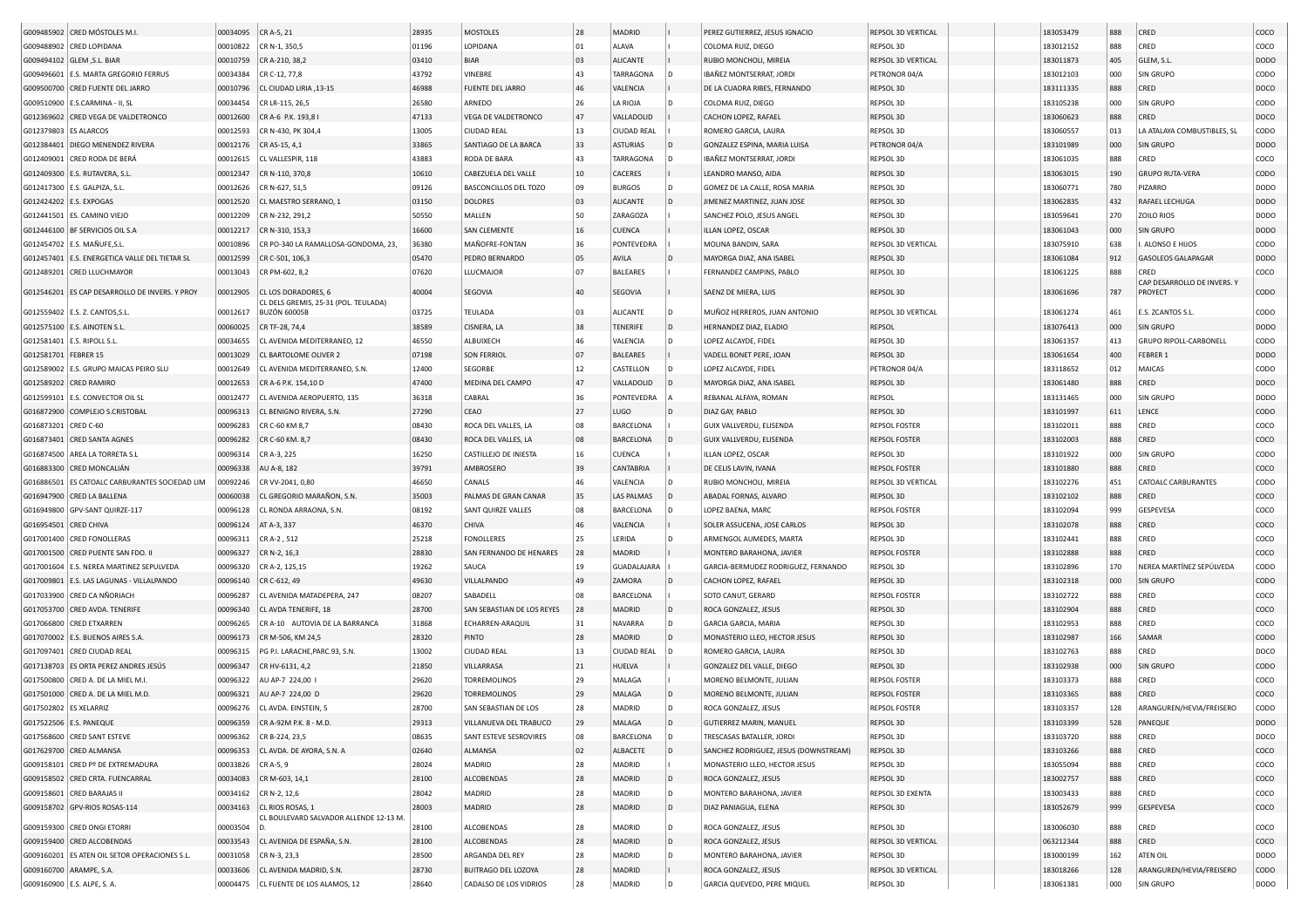|                         | G009485902 CRED MÓSTOLES M.I.                  | 00034095 | CR A-5, 21                                                      | 28935          | <b>MOSTOLES</b>                               | 28       | MADRID             |                | PEREZ GUTIERREZ, JESUS IGNACIO                      | REPSOL 3D VERTICAL              | 183053479              | 888        | CRED                                         | coco                       |
|-------------------------|------------------------------------------------|----------|-----------------------------------------------------------------|----------------|-----------------------------------------------|----------|--------------------|----------------|-----------------------------------------------------|---------------------------------|------------------------|------------|----------------------------------------------|----------------------------|
|                         | G009488902 CRED LOPIDANA                       | 00010822 | CR N-1, 350,5                                                   | 01196          | LOPIDANA                                      | 01       | ALAVA              |                | COLOMA RUIZ, DIEGO                                  | REPSOL 3D                       | 183012152              | 888        | CRED                                         | coco                       |
|                         |                                                |          |                                                                 |                | <b>BIAR</b>                                   | 03       | <b>ALICANTE</b>    |                |                                                     |                                 |                        |            |                                              | <b>DODO</b>                |
|                         | G009494102 GLEM , S.L. BIAR                    | 00010759 | CR A-210, 38,2                                                  | 03410          |                                               |          |                    |                | RUBIO MONCHOLI, MIREIA<br>IBAÑEZ MONTSERRAT, JORDI  | REPSOL 3D VERTICAL              | 183011873              | 405        | GLEM, S.L                                    |                            |
|                         | G009496601 E.S. MARTA GREGORIO FERRUS          | 00034384 | CR C-12, 77,8                                                   | 43792          | VINEBRE                                       | 43       | TARRAGONA          |                |                                                     | PETRONOR 04/A                   | 183012103              | 000        | SIN GRUPO                                    | CODO                       |
|                         | G009500700 CRED FUENTE DEL JARRO               | 00010796 | CL CIUDAD LIRIA, 13-15                                          | 46988          | FUENTE DEL JARRO                              | 46       | VALENCIA           |                | DE LA CUADRA RIBES, FERNANDO                        | REPSOL 3D                       | 183111335              | 888        | CRED                                         | DOCO                       |
|                         | G009510900   E.S.CARMINA - II, SL              | 00034454 | CR LR-115, 26,5                                                 | 26580          | ARNEDO                                        | 26       | LA RIOJA           |                | COLOMA RUIZ, DIEGO                                  | REPSOL 3D                       | 183105238              | 000        | SIN GRUPO                                    | CODO                       |
|                         | G012369602 CRED VEGA DE VALDETRONCO            | 00012600 | CR A-6 P.K. 193,8 I                                             | 47133          | VEGA DE VALDETRONCO                           | 47       | VALLADOLID         |                | CACHON LOPEZ, RAFAEL                                | REPSOL 3D                       | 183060623              | 888        | CRED                                         | DOCO                       |
| G012379803 ES ALARCOS   |                                                | 00012593 | CR N-430, PK 304.4                                              | 13005          | <b>CIUDAD REAL</b>                            | 13       | <b>CIUDAD REAL</b> |                | ROMERO GARCIA, LAURA                                | REPSOL 3D                       | 183060557              | 013        | LA ATALAYA COMBUSTIBLES, SL                  | CODO                       |
|                         | G012384401 DIEGO MENENDEZ RIVERA               | 00012176 | CR AS-15, 4,1                                                   | 33865          | SANTIAGO DE LA BARCA                          | 33       | <b>ASTURIAS</b>    | l D            | GONZALEZ ESPINA, MARIA LUISA                        | PETRONOR 04/A                   | 183101989              | 000        | SIN GRUPO                                    | <b>DODO</b>                |
|                         | G012409001 CRED RODA DE BERÁ                   | 00012615 | CL VALLESPIR, 118                                               | 43883          | RODA DE BARA                                  | 43       | TARRAGONA          |                | IBAÑEZ MONTSERRAT, JORDI                            | REPSOL 3D                       | 183061035              | 888        | CRED                                         | coco                       |
|                         | G012409300   E.S. RUTAVERA, S.L                | 00012347 | CR N-110, 370,8                                                 | 10610          | CABEZUELA DEL VALLE                           | 10       | CACERES            |                | LEANDRO MANSO, AIDA                                 | REPSOL 3D                       | 183063015              | 190        | <b>GRUPO RUTA-VERA</b>                       | <b>CODO</b>                |
|                         | G012417300   E.S. GALPIZA, S.L.                | 00012626 | CR N-627, 51,5                                                  | 09126          | BASCONCILLOS DEL TOZO                         | 09       | <b>BURGOS</b>      |                | GOMEZ DE LA CALLE, ROSA MARIA                       | REPSOL 3D                       | 183060771              | 780        | PIZARRO                                      | <b>DODO</b>                |
| G012424202 E.S. EXPOGAS |                                                | 00012520 | CL MAESTRO SERRANO, 1                                           | 03150          | <b>DOLORES</b>                                | 03       | ALICANTE           | I D            | JIMENEZ MARTINEZ, JUAN JOSE                         | REPSOL 3D                       | 183062835              | 432        | RAFAEL LECHUGA                               | <b>DODO</b>                |
|                         | G012441501   ES. CAMINO VIEJO                  | 00012209 | CR N-232, 291,2                                                 | 50550          | MALLEN                                        | 50       | ZARAGOZA           |                | SANCHEZ POLO, JESUS ANGEL                           | REPSOL 3D                       | 183059641              | 270        | <b>ZOILO RIOS</b>                            | <b>DODO</b>                |
|                         | G012446100   BF SERVICIOS OIL S.A              | 00012217 | CR N-310, 153,3                                                 | 16600          | <b>SAN CLEMENTE</b>                           | 16       | <b>CUENCA</b>      |                | ILLAN LOPEZ, OSCAR                                  | REPSOL 3D                       | 183061043              | 000        | SIN GRUPO                                    | <b>DODO</b>                |
|                         | G012454702 E.S. MAÑUFE, S.L                    | 00010896 | CR PO-340 LA RAMALLOSA-GONDOMA, 23                              | 36380          | MAÑOFRE-FONTAN                                | 36       | PONTEVEDRA         |                | MOLINA BANDIN, SARA                                 | REPSOL 3D VERTICAL              | 183075910              | 638        | ALONSO E HIJOS                               | CODO                       |
|                         | G012457401 E.S. ENERGETICA VALLE DEL TIETAR SL | 00012599 | CR C-501, 106,3                                                 | 05470          | PEDRO BERNARDO                                | 05       | AVILA              | ID.            | MAYORGA DIAZ, ANA ISABEL                            | REPSOL 3D                       | 183061084              | 912        | GASOLEOS GALAPAGAR                           | <b>DODO</b>                |
|                         |                                                |          |                                                                 | 07620          |                                               | 07       |                    |                |                                                     |                                 |                        |            |                                              |                            |
|                         | G012489201 CRED LLUCHMAYOR                     | 00013043 | CR PM-602, 8,2                                                  |                | LLUCMAJOR                                     |          | <b>BALEARES</b>    |                | FERNANDEZ CAMPINS, PABLO                            | REPSOL 3D                       | 183061225              | 888        | CRED<br>CAP DESARROLLO DE INVERS. Y          | coco                       |
|                         | G012546201 ES CAP DESARROLLO DE INVERS. Y PROY | 00012905 | CL LOS DORADORES, 6<br>CL DELS GREMIS, 25-31 (POL. TEULADA)     | 40004          | SEGOVIA                                       | 40       | <b>SEGOVIA</b>     |                | SAENZ DE MIERA, LUIS                                | REPSOL 3D                       | 183061696              | 787        | PROYECT                                      | <b>CODO</b>                |
|                         | G012559402   E.S. Z. CANTOS, S.L.              | 00012617 | <b>BUZÓN 60005B</b>                                             | 03725          | TEULADA                                       | 03       | <b>ALICANTE</b>    | l D            | MUÑOZ HERREROS, JUAN ANTONIO                        | REPSOL 3D VERTICAL              | 183061274              | 461        | E.S. ZCANTOS S.L.                            | CODO                       |
|                         | G012575100 E.S. AINOTEN S.L                    | 00060025 | CR TF-28, 74,4                                                  | 38589          | CISNERA, LA                                   | 38       | <b>TENERIFE</b>    | l D            | HERNANDEZ DIAZ, ELADIO                              | REPSOL                          | 183076413              | 000        | <b>SIN GRUPO</b>                             | <b>DODO</b>                |
|                         | G012581401 E.S. RIPOLL S.L.                    | 00034655 | CL AVENIDA MEDITERRANEO, 12                                     | 46550          | ALBUIXECH                                     | 46       | VALENCIA           | l D            | LOPEZ ALCAYDE, FIDEL                                | REPSOL 3D                       | 183061357              | 413        | GRUPO RIPOLL-CARBONELL                       | CODO                       |
| G012581701              | FEBRER 15                                      | 00013029 | CL BARTOLOME OLIVER 2                                           | 07198          | <b>SON FERRIOL</b>                            | 07       | <b>BALEARES</b>    |                | VADELL BONET PERE, JOAN                             | REPSOL 3D                       | 183061654              | 400        | FEBRER 1                                     | <b>DODO</b>                |
|                         | G012589002 E.S. GRUPO MAICAS PEIRO SLU         | 00012649 | CL AVENIDA MEDITERRANEO, S.N.                                   | 12400          | SEGORBE                                       | 12       | CASTELLON          |                | LOPEZ ALCAYDE, FIDEL                                | PETRONOR 04/A                   | 183118652              | 012        | MAICAS                                       | copo                       |
|                         | G012589202 CRED RAMIRO                         |          |                                                                 | 47400          | MEDINA DEL CAMPO                              | 47       | VALLADOLID         |                |                                                     |                                 | 183061480              | 888        | CRED                                         |                            |
|                         |                                                | 00012653 | CR A-6 P.K. 154,10 D                                            |                |                                               |          |                    |                | MAYORGA DIAZ, ANA ISABEL                            | REPSOL 3D                       |                        |            |                                              | DOCO                       |
| G012599101              | <b>E.S. CONVECTOR OIL SL</b>                   | 00012477 | CL AVENIDA AEROPUERTO, 135                                      | 36318          | CABRAL                                        | 36       | PONTEVEDRA         |                | REBANAL ALFAYA, ROMAN                               | REPSOL                          | 183131465              | 000        | SIN GRUPO                                    | <b>DODO</b>                |
|                         | G016872900 COMPLEJO S.CRISTOBAL                | 00096313 | CL BENIGNO RIVERA, S.N.                                         | 27290          | CEAO                                          | 27       | LUGO               | $\overline{D}$ | DIAZ GAY, PABLO                                     | REPSOL 3D                       | 183101997              | 611        | LENCE                                        | <b>CODO</b>                |
| G016873201              | CRED C-60                                      | 00096283 | CR C-60 KM 8,7                                                  | 08430          | ROCA DEL VALLES, LA                           | 08       | BARCELONA          |                | GUIX VALLVERDU, ELISENDA                            | <b>REPSOL FOSTER</b>            | 183102011              | 888        | CRED                                         | coco                       |
|                         | G016873401 CRED SANTA AGNES                    | 00096282 | CR C-60 KM. 8,7                                                 | 08430          | ROCA DEL VALLES, LA                           | 08       | BARCELONA          |                | GUIX VALLVERDU, ELISENDA                            | <b>REPSOL FOSTER</b>            | 183102003              | 888        | CRED                                         | coco                       |
|                         | G016874500 AREA LA TORRETA S.L                 | 00096314 | CR A-3, 225                                                     | 16250          | CASTILLEJO DE INIESTA                         | 16       | CUENCA             |                | ILLAN LOPEZ, OSCAR                                  | REPSOL 3D                       | 183101922              | 000        | SIN GRUPO                                    | CODO                       |
| G016883300              | CRED MONCALIÁN                                 | 00096338 | AU A-8, 182                                                     | 39791          | AMBROSERO                                     | 39       | CANTABRIA          |                | DE CELIS LAVIN, IVANA                               | <b>REPSOL FOSTER</b>            | 183101880              | 888        | CRED                                         | coco                       |
| G016886501              | ES CATOALC CARBURANTES SOCIEDAD LIM            | 00092246 | CR VV-2041, 0,80                                                | 46650          | CANALS                                        | 46       | VALENCIA           |                | RUBIO MONCHOLI, MIREIA                              | REPSOL 3D VERTICAL              | 183102276              | 451        | CATOALC CARBURANTES                          | CODO                       |
|                         | G016947900 CRED LA BALLENA                     | 00060038 | CL GREGORIO MARAÑON, S.N                                        | 35003          | PALMAS DE GRAN CANAF                          | 35       | LAS PALMAS         |                | ABADAL FORNAS, ALVARO                               | REPSOL 3D                       | 183102102              | 888        | CRED                                         | coco                       |
|                         | G016949800 GPV-SANT QUIRZE-117                 | 00096128 | CL RONDA ARRAONA, S.N.                                          | 08192          | SANT QUIRZE VALLES                            | 08       | BARCELONA          |                | LOPEZ BAENA, MARC                                   | <b>REPSOL FOSTER</b>            | 183102094              | 999        | <b>GESPEVESA</b>                             | coco                       |
| G016954501 CRED CHIVA   |                                                | 00096124 | AT A-3, 337                                                     | 46370          | CHIVA                                         | 46       | VALENCIA           |                | SOLER ASSUCENA, JOSE CARLOS                         | REPSOL 3D                       | 183102078              | 888        | CRED                                         | coco                       |
|                         | G017001400 CRED FONOLLERAS                     | 00096311 | CR A-2, 512                                                     | 25218          | <b>FONOLLERES</b>                             | 25       | LERIDA             |                | ARMENGOL AUMEDES, MARTA                             | REPSOL 3D                       | 183102441              | 888        | CRED                                         | COCO                       |
|                         | G017001500 CRED PUENTE SAN FDO. II             | 00096327 | $CR N-2, 16, 3$                                                 | 28830          | SAN FERNANDO DE HENARES                       | 28       | MADRID             |                | MONTERO BARAHONA, JAVIER                            | <b>REPSOL FOSTER</b>            | 183102888              | 888        | CRED                                         | coco                       |
|                         | G017001604 E.S. NEREA MARTINEZ SEPULVEDA       | 00096320 | CR A-2, 125,15                                                  | 19262          | SAUCA                                         | 19       | <b>GUADALAJARA</b> |                | GARCIA-BERMUDEZ RODRIGUEZ, FERNANDO                 |                                 |                        |            | NEREA MARTÍNEZ SEPÚLVEDA                     | CODO                       |
|                         | G017009801 E.S. LAS LAGUNAS - VILLALPANDO      |          |                                                                 |                |                                               |          |                    |                |                                                     |                                 |                        |            |                                              | <b>CODO</b>                |
|                         |                                                |          |                                                                 |                |                                               |          |                    |                |                                                     | REPSOL 3D                       | 183102896              | 170        |                                              |                            |
|                         |                                                | 00096140 | CR C-612, 49                                                    | 49630          | VILLALPANDO                                   | 49       | ZAMORA             | $\overline{D}$ | CACHON LOPEZ, RAFAEL                                | REPSOL 3D                       | 183102318              | 000        | SIN GRUPC                                    |                            |
|                         | G017033900 CRED CA NÑORIACH                    | 00096287 | CL AVENIDA MATADEPERA, 247                                      | 08207          | SABADELL                                      | 08       | BARCELONA          |                | SOTO CANUT, GERARD                                  | <b>REPSOL FOSTER</b>            | 183102722              | 888        | CRED                                         | coco                       |
|                         | G017053700 CRED AVDA. TENERIFE                 | 00096340 | CL AVDA TENERIFE, 18                                            | 28700          | SAN SEBASTIAN DE LOS REYES                    | 28       | MADRID             | l D            | ROCA GONZALEZ, JESUS                                | REPSOL 3D                       | 183102904              | 888        | CRED                                         | coco                       |
|                         | G017066800 CRED ETXARREN                       | 00096265 | CR A-10 AUTOVIA DE LA BARRANCA                                  | 31868          | ECHARREN-ARAQUIL                              | 31       | NAVARRA            |                | GARCIA GARCIA, MARIA                                | REPSOL 3D                       | 183102953              | 888        | CRED                                         | coco                       |
|                         | G017070002   E.S. BUENOS AIRES S.A             | 00096173 | CR M-506, KM 24,5                                               | 28320          | PINTO                                         | 28       | MADRID             | $\mathsf{D}$   | MONASTERIO LLEO, HECTOR JESUS                       | REPSOL 3D                       | 183102987              | 166        | SAMAR                                        | <b>CODO</b>                |
|                         | G017097401 CRED CIUDAD REAL                    | 00096315 | PG P.I. LARACHE, PARC.93, S.N.                                  | 13002          | <b>CIUDAD REAL</b>                            | 13       | <b>CIUDAD REAI</b> |                | ROMERO GARCIA, LAURA                                | REPSOL 3D                       | 183102763              | 888        | CRED                                         | DOCO                       |
|                         | G017138703 ES ORTA PEREZ ANDRES JESÚS          | 00096347 | CR HV-6131, 4,2                                                 | 21850          | VILLARRASA                                    | 21       | HUELVA             |                | GONZALEZ DEL VALLE, DIEGO                           | REPSOL 3D                       | 183102938              | 000        | SIN GRUPC                                    | <b>CODO</b>                |
|                         | G017500800 CRED A. DE LA MIEL M.I              | 00096322 | AU AP-7 224,00                                                  | 29620          | TORREMOLINOS                                  | 29       | MALAGA             |                | MORENO BELMONTE, JULIAN                             | <b>REPSOL FOSTER</b>            | 183103373              | 888        | CRED                                         | coco                       |
|                         | G017501000 CRED A. DE LA MIEL M.D.             | 00096321 | AU AP-7 224,00 D                                                | 29620          | <b>TORREMOLINOS</b>                           | 29       | MALAGA             |                | MORENO BELMONTE, JULIAN                             | <b>REPSOL FOSTER</b>            | 183103365              | 888        | CRED                                         | coco                       |
| G017502802 ES XELARRIZ  |                                                | 00096276 | CL AVDA. EINSTEIN, 5                                            | 28700          | SAN SEBASTIAN DE LOS                          | 28       | MADRID             |                | ROCA GONZALEZ, JESUS                                | <b>REPSOL FOSTER</b>            | 183103357              | 128        | ARANGUREN/HEVIA/FREISERO                     | CODO                       |
|                         |                                                |          |                                                                 |                | VILLANUEVA DEL TRABUCO                        | 29       | MALAGA             | D              | GUTIERREZ MARIN, MANUEL                             | REPSOL 3D                       | 183103399              | 528        | PANEQUE                                      |                            |
|                         | G017522506 E.S. PANEQUE                        |          | 00096359 CR A-92M P.K. 8 - M.D.                                 | 29313          |                                               | 08       |                    |                |                                                     |                                 |                        | 888        |                                              | <b>DODO</b>                |
|                         | G017568600 CRED SANT ESTEVE                    |          | 00096362 CR B-224, 23,5                                         | 08635          | SANT ESTEVE SESROVIRES                        |          | BARCELONA          | $\mathsf{D}$   | TRESCASAS BATALLER, JORDI                           | REPSOL 3D                       | 183103720              |            | CRED                                         | DOCO                       |
|                         | G017629700 CRED ALMANSA                        | 00096353 | CL AVDA. DE AYORA, S.N. A                                       | 02640          | ALMANSA                                       | 02       | ALBACETE           |                | SANCHEZ RODRIGUEZ, JESUS (DOWNSTREAM)               | REPSOL 3D                       | 183103266              | 888        | CRED                                         | coco                       |
|                         | G009158101 CRED Pº DE EXTREMADURA              |          | 00033826 CR A-5, 9                                              | 28024          | MADRID                                        | 28       | MADRID             |                | MONASTERIO LLEO, HECTOR JESUS                       | REPSOL 3D                       | 183055094              | 888        | CRED                                         | coco                       |
|                         | G009158502 CRED CRTA. FUENCARRAL               | 00034083 | CR M-603, 14,1                                                  | 28100          | ALCOBENDAS                                    | 28       | MADRID             | ID.            | ROCA GONZALEZ, JESUS                                | REPSOL 3D                       | 183002757              | 888        | CRED                                         | coco                       |
|                         | G009158601 CRED BARAJAS II                     | 00034162 | CR N-2, 12,6                                                    | 28042          | MADRID                                        | 28       | MADRID             | l D            | MONTERO BARAHONA, JAVIER                            | REPSOL 3D EXENTA                | 183003433              | 888        | CRED                                         | coco                       |
|                         | G009158702 GPV-RIOS ROSAS-114                  | 00034163 | CL RIOS ROSAS, 1                                                | 28003          | MADRID                                        | 28       | MADRID             | ID.            | DIAZ PANIAGUA, ELENA                                | REPSOL 3D                       | 183052679              | 999        | GESPEVESA                                    | coco                       |
|                         | G009159300 CRED ONGI ETORRI                    | 00003504 | CL BOULEVARD SALVADOR ALLENDE 12-13 M.                          | 28100          | ALCOBENDAS                                    | 28       | MADRID             | l D            | ROCA GONZALEZ, JESUS                                | REPSOL 3D                       | 183006030              | 888        | CRED                                         | coco                       |
|                         | G009159400 CRED ALCOBENDAS                     | 00033543 | CL AVENIDA DE ESPAÑA, S.N.                                      | 28100          | ALCOBENDAS                                    | 28       | MADRID             | $\mathsf{D}$   | ROCA GONZALEZ, JESUS                                | REPSOL 3D VERTICAL              | 063212344              | 888        | CRED                                         | coco                       |
|                         |                                                |          |                                                                 |                |                                               | 28       |                    | l D            |                                                     |                                 |                        |            |                                              |                            |
|                         | G009160201 ES ATEN OIL SETOR OPERACIONES S.L.  | 00031058 | CR N-3, 23,3                                                    | 28500          | ARGANDA DEL REY                               |          | MADRID             |                | MONTERO BARAHONA, JAVIER                            | REPSOL 3D                       | 183000199              | 162        | ATEN OIL                                     | <b>DODO</b>                |
| G009160700 ARAMPE, S.A. | G009160900 E.S. ALPE, S. A.                    | 00033606 | CL AVENIDA MADRID, S.N.<br>00004475 CL FUENTE DE LOS ALAMOS, 12 | 28730<br>28640 | BUITRAGO DEL LOZOYA<br>CADALSO DE LOS VIDRIOS | 28<br>28 | MADRID<br>MADRID   | ۱D             | ROCA GONZALEZ, JESUS<br>GARCIA QUEVEDO, PERE MIQUEL | REPSOL 3D VERTICAL<br>REPSOL 3D | 183018266<br>183061381 | 128<br>000 | ARANGUREN/HEVIA/FREISERO<br><b>SIN GRUPO</b> | <b>CODO</b><br><b>DODO</b> |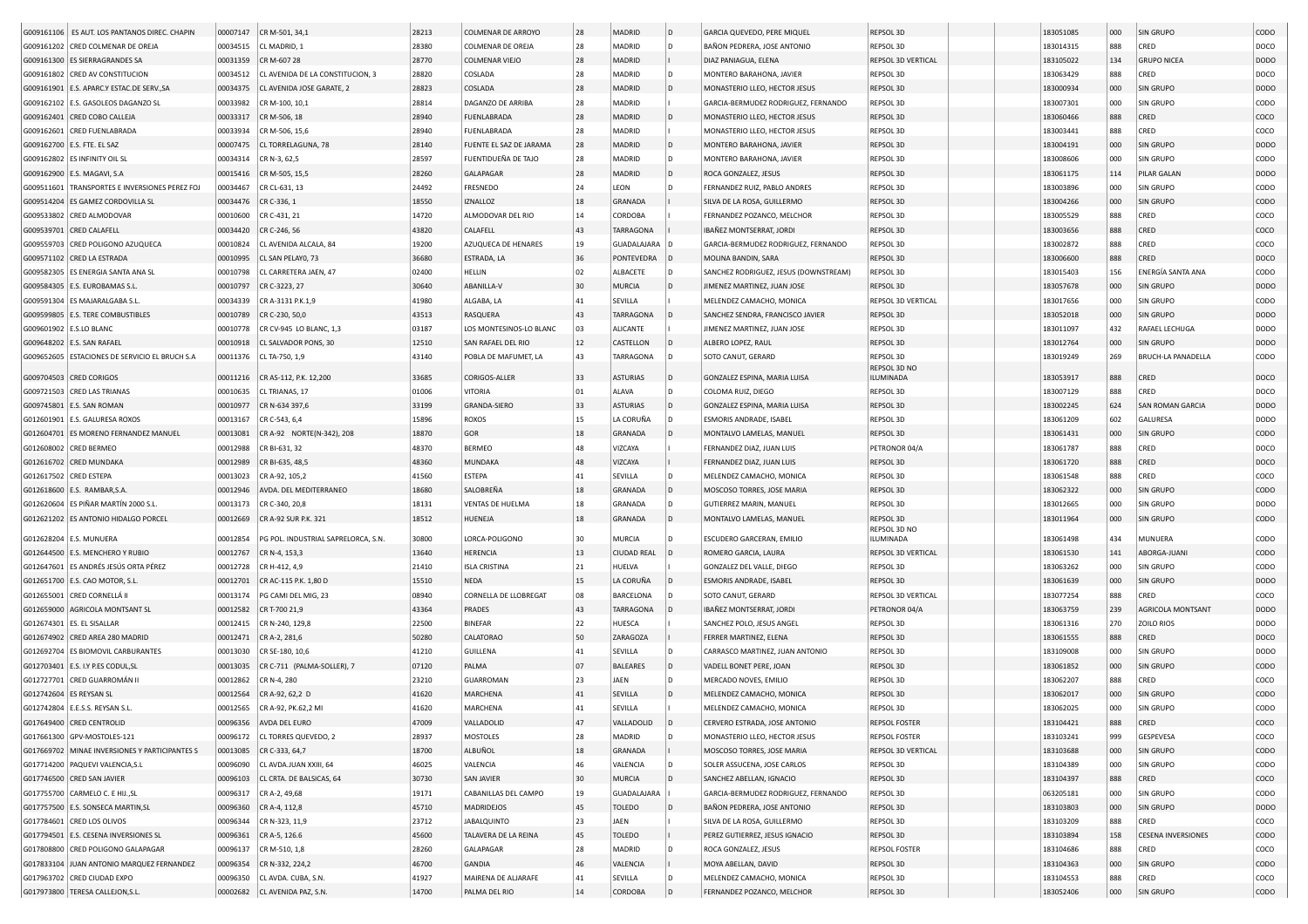| G009161106   ES AUT. LOS PANTANOS DIREC. CHAPIN | 00007147 | CR M-501, 34,1                      | 28213 | COLMENAR DE ARROYO      | 28     | <b>MADRID</b>      | l D            | GARCIA QUEVEDO, PERE MIQUEL           | REPSOL 3D          | 183051085 | 000 | SIN GRUPO                 | CODO        |
|-------------------------------------------------|----------|-------------------------------------|-------|-------------------------|--------|--------------------|----------------|---------------------------------------|--------------------|-----------|-----|---------------------------|-------------|
| G009161202 CRED COLMENAR DE OREJA               | 00034515 | CL MADRID, 1                        | 28380 | COLMENAR DE OREJA       | 28     | <b>MADRID</b>      | D              | BAÑON PEDRERA, JOSE ANTONIO           | REPSOL 3D          | 183014315 | 888 | CRED                      | DOCO        |
| G009161300 ES SIERRAGRANDES SA                  | 00031359 | CR M-607 28                         | 28770 | <b>COLMENAR VIEJO</b>   | 28     | MADRID             |                | DIAZ PANIAGUA, ELENA                  | REPSOL 3D VERTICAL | 183105022 | 134 | <b>GRUPO NICEA</b>        | <b>DODO</b> |
| G009161802 CRED AV CONSTITUCION                 | 00034512 | CL AVENIDA DE LA CONSTITUCION, 3    | 28820 | COSLADA                 | 28     | MADRID             | D              | MONTERO BARAHONA, JAVIER              | REPSOL 3D          | 183063429 | 888 | CRED                      | DOCO        |
| G009161901 E.S. APARC.Y ESTAC.DE SERV., SA      | 00034375 | CL AVENIDA JOSE GARATE, 2           | 28823 | COSLADA                 | 28     | MADRID             | D              | MONASTERIO LLEO, HECTOR JESUS         | REPSOL 3D          | 183000934 | 000 | SIN GRUPO                 | <b>DODO</b> |
| G009162102 E.S. GASOLEOS DAGANZO SL             | 00033982 | CR M-100, 10,1                      | 28814 | DAGANZO DE ARRIBA       | 28     | MADRID             |                | GARCIA-BERMUDEZ RODRIGUEZ, FERNANDO   | REPSOL 3D          | 183007301 | 000 | SIN GRUPO                 | CODO        |
|                                                 |          |                                     |       |                         |        |                    |                |                                       |                    |           |     |                           |             |
| G009162401 CRED COBO CALLEJA                    | 00033317 | CR M-506, 18                        | 28940 | <b>FUENLABRADA</b>      | 28     | MADRID             | D              | MONASTERIO LLEO, HECTOR JESUS         | REPSOL 3D          | 183060466 | 888 | CRED                      | coco        |
| G009162601 CRED FUENLABRADA                     | 00033934 | CR M-506, 15,6                      | 28940 | <b>FUENLABRADA</b>      | 28     | MADRID             |                | MONASTERIO LLEO, HECTOR JESUS         | REPSOL 3D          | 183003441 | 888 | CRED                      | coco        |
| G009162700   E.S. FTE. EL SAZ                   | 00007475 | CL TORRELAGUNA, 78                  | 28140 | FUENTE EL SAZ DE JARAMA | 28     | MADRID             | D              | MONTERO BARAHONA, JAVIER              | REPSOL 3D          | 183004191 | 000 | SIN GRUPO                 | <b>DODO</b> |
| G009162802 ES INFINITY OIL SL                   | 00034314 | CR N-3, 62,5                        | 28597 | FUENTIDUEÑA DE TAJO     | 28     | MADRID             | D              | MONTERO BARAHONA, JAVIER              | REPSOL 3D          | 183008606 | 000 | SIN GRUPO                 | CODO        |
| G009162900 E.S. MAGAVI, S.A                     | 00015416 | CR M-505, 15,5                      | 28260 | GALAPAGAR               | 28     | MADRID             | l D            | ROCA GONZALEZ, JESUS                  | REPSOL 3D          | 183061175 | 114 | PILAR GALAN               | <b>DODO</b> |
| G009511601 TRANSPORTES E INVERSIONES PEREZ FOJ  | 00034467 | CR CL-631, 13                       | 24492 | FRESNEDO                | 24     | LEON               | D              | FERNANDEZ RUIZ, PABLO ANDRES          | REPSOL 3D          | 183003896 | 000 | SIN GRUPO                 | CODO        |
| G009514204 ES GAMEZ CORDOVILLA SL               | 00034476 | CR C-336, 1                         | 18550 | <b>IZNALLOZ</b>         | 18     | <b>GRANADA</b>     |                | SILVA DE LA ROSA, GUILLERMO           | REPSOL 3D          | 183004266 | 000 | SIN GRUPO                 | CODO        |
|                                                 |          |                                     |       |                         |        |                    |                |                                       |                    |           |     |                           |             |
| G009533802 CRED ALMODOVAR                       | 00010600 | CR C-431, 21                        | 14720 | ALMODOVAR DEL RIO       | 14     | CORDOBA            |                | FERNANDEZ POZANCO, MELCHOR            | REPSOL 3D          | 183005529 | 888 | CRED                      | coco        |
| G009539701 CRED CALAFELL                        | 00034420 | CR C-246, 56                        | 43820 | CALAFELL                | 43     | <b>TARRAGONA</b>   |                | IBAÑEZ MONTSERRAT, JORDI              | REPSOL 3D          | 183003656 | 888 | CRED                      | coco        |
| G009559703 CRED POLIGONO AZUQUECA               | 00010824 | CL AVENIDA ALCALA, 84               | 19200 | AZUQUECA DE HENARES     | 19     | <b>GUADALAJARA</b> | l D            | GARCIA-BERMUDEZ RODRIGUEZ, FERNANDO   | REPSOL 3D          | 183002872 | 888 | CRED                      | coco        |
| G009571102 CRED LA ESTRADA                      | 00010995 | CL SAN PELAYO, 73                   | 36680 | ESTRADA, LA             | 36     | PONTEVEDRA         | ۱D             | MOLINA BANDIN, SARA                   | REPSOL 3D          | 183006600 | 888 | CRED                      | DOCO        |
| G009582305 ES ENERGIA SANTA ANA SL              | 00010798 | CL CARRETERA JAEN, 47               | 02400 | HELLIN                  | 02     | ALBACETE           | D              | SANCHEZ RODRIGUEZ, JESUS (DOWNSTREAM) | REPSOL 3D          | 183015403 | 156 | ENERGÍA SANTA ANA         | CODO        |
| G009584305   E.S. EUROBAMAS S.L                 | 00010797 | CR C-3223, 27                       | 30640 | ABANILLA-V              | 30     | <b>MURCIA</b>      | D              | JIMENEZ MARTINEZ, JUAN JOSE           | REPSOL 3D          | 183057678 | 000 | SIN GRUPO                 | DODO        |
| G009591304 ES MAJARALGABA S.L                   | 00034339 | CR A-3131 P.K.1,9                   | 41980 | ALGABA, LA              | 41     | SEVILLA            |                | MELENDEZ CAMACHO, MONICA              | REPSOL 3D VERTICAL | 183017656 | 000 | SIN GRUPO                 | CODO        |
|                                                 |          |                                     |       |                         |        |                    |                |                                       |                    |           |     |                           |             |
| G009599805   E.S. TERE COMBUSTIBLES             | 00010789 | CR C-230, 50,0                      | 43513 | RASQUERA                | 43     | <b>TARRAGONA</b>   |                | SANCHEZ SENDRA, FRANCISCO JAVIER      | REPSOL 3D          | 183052018 | 000 | SIN GRUPO                 | <b>DODO</b> |
| G009601902 E.S.LO BLANC                         | 00010778 | CR CV-945 LO BLANC, 1,3             | 03187 | LOS MONTESINOS-LO BLANC | 03     | ALICANTE           |                | JIMENEZ MARTINEZ, JUAN JOSE           | REPSOL 3D          | 183011097 | 432 | RAFAEL LECHUGA            | DODO        |
| G009648202 E.S. SAN RAFAEL                      | 00010918 | CL SALVADOR PONS, 30                | 12510 | SAN RAFAEL DEL RIO      | 12     | CASTELLON          |                | ALBERO LOPEZ, RAUL                    | REPSOL 3D          | 183012764 | 000 | SIN GRUPO                 | <b>DODO</b> |
| G009652605 ESTACIONES DE SERVICIO EL BRUCH S.A  | 00011376 | CL TA-750, 1,9                      | 43140 | POBLA DE MAFUMET, LA    | 43     | TARRAGONA          |                | SOTO CANUT, GERARD                    | REPSOL 3D          | 183019249 | 269 | BRUCH-LA PANADELLA        | CODO        |
|                                                 |          |                                     |       |                         |        |                    |                |                                       | REPSOL 3D NO       |           |     |                           |             |
| G009704503 CRED CORIGOS                         | 00011216 | CR AS-112, P.K. 12,200              | 33685 | CORIGOS-ALLER           | 33     | <b>ASTURIAS</b>    | $\mathsf{D}$   | GONZALEZ ESPINA, MARIA LUISA          | <b>ILUMINADA</b>   | 183053917 | 888 | CRED                      | DOCO        |
| G009721503 CRED LAS TRIANAS                     | 00010635 | CL TRIANAS, 17                      | 01006 | VITORIA                 | 01     | ALAVA              | D              | COLOMA RUIZ, DIEGO                    | REPSOL 3D          | 183007129 | 888 | CRED                      | DOCO        |
| G009745801   E.S. SAN ROMAN                     | 00010977 | CR N-634 397,6                      | 33199 | <b>GRANDA-SIERO</b>     | 33     | <b>ASTURIAS</b>    | $\overline{D}$ | GONZALEZ ESPINA, MARIA LUISA          | REPSOL 3D          | 183002245 | 624 | <b>SAN ROMAN GARCIA</b>   | <b>DODO</b> |
| G012601901 E.S. GALURESA ROXOS                  | 00013167 | CR C-543, 6,4                       | 15896 | ROXOS                   | 15     | LA CORUÑA          | D              | ESMORIS ANDRADE, ISABEL               | REPSOL 3D          | 183061209 | 602 | <b>GALURESA</b>           | DODO        |
| G012604701 ES MORENO FERNANDEZ MANUEL           | 00013081 | CR A-92 NORTE(N-342), 208           | 18870 | GOR                     | 18     | <b>GRANADA</b>     | D              | MONTALVO LAMELAS, MANUEL              | REPSOL 3D          | 183061431 | 000 | <b>SIN GRUPO</b>          | CODO        |
| G012608002 CRED BERMEO                          | 00012988 | CR BI-631, 32                       | 48370 | BERMEO                  | 48     | VIZCAYA            |                | FERNANDEZ DIAZ, JUAN LUIS             | PETRONOR 04/A      | 183061787 | 888 | CRED                      | DOCO        |
| G012616702 CRED MUNDAKA                         | 00012989 | CR BI-635, 48,5                     | 48360 | MUNDAKA                 | 48     | VIZCAYA            |                | FERNANDEZ DIAZ, JUAN LUIS             | REPSOL 3D          | 183061720 | 888 | CRED                      | DOCO        |
|                                                 |          |                                     |       |                         |        |                    |                |                                       |                    |           |     |                           |             |
| G012617502 CRED ESTEPA                          | 00013023 | CR A-92, 105,2                      | 41560 | ESTEPA                  | 41     | SEVILLA            | D              | MELENDEZ CAMACHO, MONICA              | REPSOL 3D          | 183061548 | 888 | CRED                      | coco        |
| G012618600 E.S. RAMBAR, S.A.                    | 00012946 | AVDA. DEL MEDITERRANEO              | 18680 | SALOBREÑA               | 18     | <b>GRANADA</b>     | D              | MOSCOSO TORRES, JOSE MARIA            | REPSOL 3D          | 183062322 | 000 | SIN GRUPO                 | CODO        |
| G012620604 ES PIÑAR MARTÍN 2000 S.L             | 00013173 | CR C-340, 20,8                      | 18131 | VENTAS DE HUELMA        | 18     | GRANADA            | D              | <b>GUTIERREZ MARIN, MANUEL</b>        | REPSOL 3D          | 183012665 | 000 | SIN GRUPO                 | DODO        |
| G012621202 ES ANTONIO HIDALGO PORCEL            | 00012669 | CR A-92 SUR P.K. 321                | 18512 | HUENEJA                 | 18     | GRANADA            | D              | MONTALVO LAMELAS, MANUEL              | REPSOL 3D          | 183011964 | 000 | SIN GRUPO                 | CODO        |
|                                                 |          |                                     |       |                         |        |                    |                |                                       | REPSOL 3D NO       |           |     |                           |             |
| G012628204 E.S. MUNUERA                         | 00012854 | PG POL. INDUSTRIAL SAPRELORCA, S.N. | 30800 | LORCA-POLIGONO          | 30     | <b>MURCIA</b>      | D              | ESCUDERO GARCERAN, EMILIO             | ILUMINADA          | 183061498 | 434 | MUNUERA                   | CODO        |
| G012644500 E.S. MENCHERO Y RUBIO                | 00012767 | CR N-4, 153,3                       | 13640 | HERENCIA                | 13     | <b>CIUDAD REAL</b> |                | ROMERO GARCIA, LAURA                  | REPSOL 3D VERTICAL | 183061530 | 141 | ABORGA-JUANI              | CODO        |
| G012647601 ES ANDRÉS JESÚS ORTA PÉREZ           | 00012728 | CR H-412, 4,9                       | 21410 | <b>ISLA CRISTINA</b>    | 21     | HUELVA             |                | GONZALEZ DEL VALLE, DIEGO             | REPSOL 3D          | 183063262 | 000 | SIN GRUPO                 | CODO        |
| G012651700 E.S. CAO MOTOR, S.L                  | 00012701 | CR AC-115 P.K. 1,80 D               | 15510 | NEDA                    | 15     | LA CORUÑA          |                | ESMORIS ANDRADE, ISABEL               | REPSOL 3D          | 183061639 | 000 | SIN GRUPO                 | <b>DODO</b> |
| G012655001 CRED CORNELLÁ II                     | 00013174 | PG CAMI DEL MIG, 23                 | 08940 | CORNELLA DE LLOBREGAT   | 08     | <b>BARCELONA</b>   | D              | SOTO CANUT, GERARD                    | REPSOL 3D VERTICAL | 183077254 | 888 | CRED                      | coco        |
| G012659000 AGRICOLA MONTSANT SL                 | 00012582 | CR T-700 21,9                       | 43364 | PRADES                  | 43     | <b>TARRAGONA</b>   |                | IBAÑEZ MONTSERRAT, JORDI              | PETRONOR 04/A      | 183063759 | 239 | AGRICOLA MONTSANT         | <b>DODO</b> |
| G012674301 ES. EL SISALLAR                      |          |                                     |       |                         | 22     |                    |                |                                       |                    |           |     |                           |             |
|                                                 | 00012415 | CR N-240, 129,8                     | 22500 | <b>BINEFAR</b>          |        | <b>HUESCA</b>      |                | SANCHEZ POLO, JESUS ANGEL             | REPSOL 3D          | 183061316 | 270 | <b>ZOILO RIOS</b>         | DODO        |
| G012674902 CRED AREA 280 MADRID                 | 00012471 | CR A-2, 281,6                       | 50280 | CALATORAO               | 50     | ZARAGOZA           |                | FERRER MARTINEZ, ELENA                | REPSOL 3D          | 183061555 | 888 | CRED                      | DOCO        |
| G012692704 ES BIOMOVIL CARBURANTES              | 00013030 | CR SE-180, 10,6                     | 41210 | GUILLENA                | 41     | SEVILLA            | D              | CARRASCO MARTINEZ, JUAN ANTONIO       | REPSOL 3D          | 183109008 | 000 | SIN GRUPO                 | DODO        |
| G012703401 E.S. I.Y P.ES CODUL, SL              | 00013035 | CR C-711 (PALMA-SOLLER), 7          | 07120 | PALMA                   | 07     | <b>BALEARES</b>    | $\overline{D}$ | VADELL BONET PERE, JOAN               | REPSOL 3D          | 183061852 | 000 | SIN GRUPO                 | CODO        |
| G012727701 CRED GUARROMÁN II                    | 00012862 | CR N-4, 280                         | 23210 | <b>GUARROMAN</b>        | 23     | JAEN               | D              | MERCADO NOVES, EMILIO                 | REPSOL 3D          | 183062207 | 888 | CRED                      | coco        |
| G012742604 ES REYSAN SI                         | 00012564 | CR A-92, 62,2 D                     | 41620 | MARCHENA                | 41     | SEVILLA            | D              | MELENDEZ CAMACHO, MONICA              | REPSOL 3D          | 183062017 | 000 | <b>SIN GRUPO</b>          | CODO        |
| G012742804 E.E.S.S. REYSAN S.L.                 | 00012565 | CR A-92, PK.62,2 MI                 | 41620 | MARCHENA                | 41     | SEVILLA            |                | MELENDEZ CAMACHO, MONICA              | REPSOL 3D          | 183062025 | 000 | SIN GRUPO                 | CODO        |
|                                                 |          |                                     |       |                         | 47     |                    |                | CERVERO ESTRADA, JOSE ANTONIO         |                    |           |     |                           |             |
| G017649400 CRED CENTROLID                       |          | 00096356 AVDA DEL EURO              | 47009 | VALLADOLID              |        | VALLADOLID         |                |                                       | REPSOL FOSTER      | 183104421 |     | CRED                      | COCO        |
| G017661300 GPV-MOSTOLES-121                     |          | 00096172 CL TORRES QUEVEDO, 2       | 28937 | MOSTOLES                | 28     | MADRID             | D              | MONASTERIO LLEO, HECTOR JESUS         | REPSOL FOSTER      | 183103241 | 999 | GESPEVESA                 | COCO        |
| G017669702 MINAE INVERSIONES Y PARTICIPANTES S  |          | 00013085 CR C-333, 64,7             | 18700 | ALBUÑOL                 | 18     | GRANADA            |                | MOSCOSO TORRES, JOSE MARIA            | REPSOL 3D VERTICAL | 183103688 | 000 | SIN GRUPO                 | <b>CODO</b> |
| G017714200 PAQUEVI VALENCIA, S.L                | 00096090 | CL AVDA.JUAN XXIII, 64              | 46025 | VALENCIA                | 46     | VALENCIA           | D              | SOLER ASSUCENA, JOSE CARLOS           | REPSOL 3D          | 183104389 | 000 | SIN GRUPO                 | CODO        |
| G017746500 CRED SAN JAVIER                      |          | 00096103 CL CRTA. DE BALSICAS, 64   | 30730 | SAN JAVIER              | 30     | MURCIA             | $\overline{D}$ | SANCHEZ ABELLAN, IGNACIO              | REPSOL 3D          | 183104397 | 888 | CRED                      | COCO        |
| G017755700 CARMELO C. E HIJ., SL                |          | 00096317 CR A-2, 49,68              | 19171 | CABANILLAS DEL CAMPO    | $19\,$ | GUADALAJARA        |                | GARCIA-BERMUDEZ RODRIGUEZ, FERNANDO   | REPSOL 3D          | 063205181 | 000 | SIN GRUPO                 | CODO        |
| G017757500 E.S. SONSECA MARTIN, SL              |          | 00096360   CR A-4, 112,8            | 45710 | MADRIDEJOS              | 45     | TOLEDO             | D              | BAÑON PEDRERA, JOSE ANTONIO           | REPSOL 3D          | 183103803 | 000 | SIN GRUPO                 | <b>DODO</b> |
| G017784601 CRED LOS OLIVOS                      | 00096344 | CR N-323, 11,9                      | 23712 | <b>JABALQUINTO</b>      | 23     | JAEN               |                | SILVA DE LA ROSA, GUILLERMO           | REPSOL 3D          | 183103209 | 888 | CRED                      | COCO        |
|                                                 |          |                                     |       |                         |        |                    |                |                                       |                    |           |     |                           |             |
| G017794501 E.S. CESENA INVERSIONES SL           | 00096361 | CR A-5, 126.6                       | 45600 | TALAVERA DE LA REINA    | 45     | <b>TOLEDO</b>      |                | PEREZ GUTIERREZ, JESUS IGNACIO        | REPSOL 3D          | 183103894 | 158 | <b>CESENA INVERSIONES</b> | CODO        |
| G017808800 CRED POLIGONO GALAPAGAR              | 00096137 | CR M-510, 1,8                       | 28260 | GALAPAGAR               | 28     | MADRID             | D              | ROCA GONZALEZ, JESUS                  | REPSOL FOSTER      | 183104686 | 888 | CRED                      | COCO        |
| G017833104 JUAN ANTONIO MARQUEZ FERNANDEZ       |          | 00096354 CR N-332, 224,2            | 46700 | GANDIA                  | 46     | VALENCIA           |                | MOYA ABELLAN, DAVID                   | REPSOL 3D          | 183104363 | 000 | SIN GRUPO                 | <b>CODO</b> |
| G017963702 CRED CIUDAD EXPO                     | 00096350 | CL AVDA. CUBA, S.N.                 | 41927 | MAIRENA DE ALJARAFE     | 41     | SEVILLA            |                | MELENDEZ CAMACHO, MONICA              | REPSOL 3D          | 183104553 | 888 | CRED                      | COCO        |
| G017973800 TERESA CALLEJON, S.L.                |          | 00002682 CL AVENIDA PAZ, S.N.       | 14700 | PALMA DEL RIO           | 14     | CORDOBA            |                | FERNANDEZ POZANCO, MELCHOR            | REPSOL 3D          | 183052406 | 000 | SIN GRUPO                 | CODO        |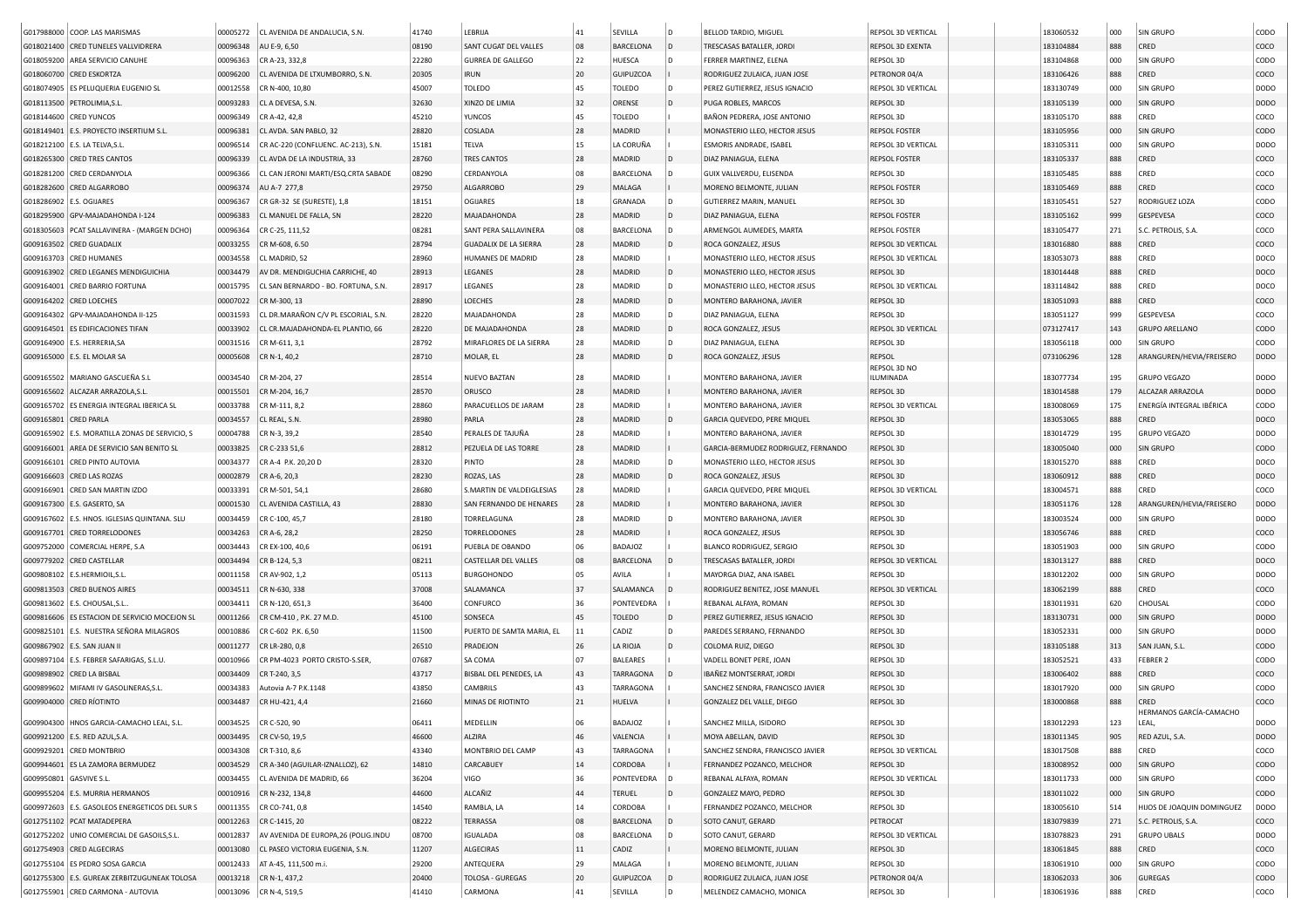|                         | G017988000 COOP. LAS MARISMAS                    | 00005272             | CL AVENIDA DE ANDALUCIA, S.N.                               | 41740 | LEBRIJA                      | 41 | SEVILLA          | l D | BELLOD TARDIO, MIGUEL               | REPSOL 3D VERTICAL                           | 183060532 | 000        | SIN GRUPO                        | CODO         |
|-------------------------|--------------------------------------------------|----------------------|-------------------------------------------------------------|-------|------------------------------|----|------------------|-----|-------------------------------------|----------------------------------------------|-----------|------------|----------------------------------|--------------|
|                         | G018021400 CRED TUNELES VALLVIDRERA              | 00096348             | AU E-9, 6,50                                                | 08190 | SANT CUGAT DEL VALLES        | 08 | BARCELONA        | l D | TRESCASAS BATALLER, JORDI           | REPSOL 3D EXENTA                             | 183104884 | 888        | CRED                             | coco         |
|                         | G018059200 AREA SERVICIO CANUHE                  | 00096363             | CR A-23, 332,8                                              | 22280 | GURREA DE GALLEGO            | 22 | HUESCA           | D   | FERRER MARTINEZ, ELENA              | REPSOL 3D                                    | 183104868 | 000        | SIN GRUPO                        | CODO         |
|                         | G018060700 CRED ESKORTZA                         | 00096200             | CL AVENIDA DE LTXUMBORRO, S.N                               | 20305 | <b>IRUN</b>                  | 20 | GUIPUZCOA        |     | RODRIGUEZ ZULAICA, JUAN JOSE        | PETRONOR 04/A                                | 183106426 | 888        | CRED                             | coco         |
|                         | G018074905 ES PELUQUERIA EUGENIO SL              | 00012558             | CR N-400, 10,80                                             | 45007 | TOLEDO                       | 45 | TOLEDO           | D   | PEREZ GUTIERREZ, JESUS IGNACIO      | REPSOL 3D VERTICAL                           | 183130749 | 000        | SIN GRUPO                        | <b>DODO</b>  |
|                         | G018113500 PETROLIMIA, S.L                       | 00093283             | CL A DEVESA, S.N                                            | 32630 | XINZO DE LIMIA               | 32 | ORENSE           | ID. | PUGA ROBLES, MARCOS                 | REPSOL 3D                                    | 183105139 | 000        | SIN GRUPO                        | <b>DODO</b>  |
|                         | G018144600 CRED YUNCOS                           | 00096349             | CR A-42, 42,8                                               | 45210 | <b>YUNCOS</b>                | 45 | TOLEDO           |     | BAÑON PEDRERA, JOSE ANTONIO         | REPSOL 3D                                    | 183105170 | 888        | CRED                             | COCO         |
|                         | G018149401 E.S. PROYECTO INSERTIUM S.L.          | 00096381             | CL AVDA. SAN PABLO, 32                                      | 28820 | COSLADA                      | 28 | MADRID           |     | MONASTERIO LLEO, HECTOR JESUS       | REPSOL FOSTER                                | 183105956 | 000        | <b>SIN GRUPO</b>                 | CODO         |
|                         | G018212100   E.S. LA TELVA, S.L.                 | 00096514             | CR AC-220 (CONFLUENC. AC-213), S.N.                         | 15181 | TELVA                        | 15 | LA CORUÑA        |     | ESMORIS ANDRADE, ISABEL             | REPSOL 3D VERTICAL                           | 183105311 | 000        | SIN GRUPO                        | <b>DODO</b>  |
|                         | G018265300 CRED TRES CANTOS                      | 00096339             | CL AVDA DE LA INDUSTRIA, 33                                 | 28760 | <b>TRES CANTOS</b>           | 28 | MADRID           | D   | DIAZ PANIAGUA, ELENA                | <b>REPSOL FOSTER</b>                         | 183105337 | 888        | CRED                             | COCO         |
|                         | G018281200 CRED CERDANYOLA                       | 00096366             | CL CAN JERONI MARTI/ESQ.CRTA SABADE                         | 08290 | CERDANYOLA                   | 08 | BARCELONA        | D   | GUIX VALLVERDU, ELISENDA            | REPSOL 3D                                    | 183105485 | 888        | CRED                             | coco         |
|                         | G018282600 CRED ALGARROBO                        | 00096374             | AU A-7 277,8                                                | 29750 | <b>ALGARROBO</b>             | 29 | MALAGA           |     | MORENO BELMONTE, JULIAN             | <b>REPSOL FOSTER</b>                         | 183105469 | 888        | CRED                             | COCO         |
|                         | G018286902 E.S. OGIJARES                         | 00096367             | CR GR-32 SE (SURESTE), 1.8                                  | 18151 | <b>OGIJARES</b>              | 18 | GRANADA          | D   | GUTIERREZ MARIN, MANUEL             | REPSOL 3D                                    | 183105451 | 527        | RODRIGUEZ LOZA                   | CODO         |
|                         | G018295900 GPV-MAJADAHONDA I-124                 |                      | CL MANUEL DE FALLA, SN                                      |       | MAJADAHONDA                  | 28 | MADRID           | D   |                                     |                                              |           |            | GESPEVESA                        |              |
|                         |                                                  | 00096383<br>00096364 | CR C-25, 111,52                                             | 28220 | SANT PERA SALLAVINERA        | 08 | BARCELONA        | D   | DIAZ PANIAGUA, ELENA                | <b>REPSOL FOSTER</b><br><b>REPSOL FOSTER</b> | 183105162 | 999<br>271 | S.C. PETROLIS, S.A.              | COCO<br>coco |
|                         | G018305603 PCAT SALLAVINERA - (MARGEN DCHO)      |                      |                                                             | 08281 | <b>GUADALIX DE LA SIERRA</b> | 28 |                  |     | ARMENGOL AUMEDES, MARTA             |                                              | 183105477 |            |                                  |              |
|                         | G009163502 CRED GUADALIX                         | 00033255             | CR M-608, 6.50                                              | 28794 |                              | 28 | MADRID           | D   | ROCA GONZALEZ, JESUS                | REPSOL 3D VERTICAL                           | 183016880 | 888<br>888 | CRED                             | COCO         |
|                         | G009163703 CRED HUMANES                          | 00034558             | CL MADRID, 52                                               | 28960 | HUMANES DE MADRID            |    | MADRID           |     | MONASTERIO LLEO, HECTOR JESUS       | REPSOL 3D VERTICAL                           | 183053073 |            | CRED                             | DOCO         |
|                         | G009163902 CRED LEGANES MENDIGUICHIA             | 00034479             | AV DR. MENDIGUCHIA CARRICHE, 40                             | 28913 | LEGANES                      | 28 | MADRID           | ID. | MONASTERIO LLEO, HECTOR JESUS       | REPSOL 3D                                    | 183014448 | 888        | CRED                             | DOCO         |
|                         | G009164001 CRED BARRIO FORTUNA                   | 00015795             | CL SAN BERNARDO - BO. FORTUNA, S.N.                         | 28917 | LEGANES                      | 28 | MADRID           | D   | MONASTERIO LLEO, HECTOR JESUS       | REPSOL 3D VERTICAL                           | 183114842 | 888        | CRED                             | DOCO         |
|                         | G009164202 CRED LOECHES                          | 00007022             | CR M-300, 13                                                | 28890 | LOECHES                      | 28 | MADRID           | D   | MONTERO BARAHONA, JAVIER            | REPSOL 3D                                    | 183051093 | 888        | CRED                             | COCO         |
|                         | G009164302 GPV-MAJADAHONDA II-125                | 00031593             | CL DR.MARAÑON C/V PL ESCORIAL, S.N.                         | 28220 | MAJADAHONDA                  | 28 | MADRID           | l D | DIAZ PANIAGUA, ELENA                | REPSOL 3D                                    | 183051127 | 999        | GESPEVESA                        | coco         |
|                         | G009164501 ES EDIFICACIONES TIFAN                | 00033902             | CL CR.MAJADAHONDA-EL PLANTIO, 66                            | 28220 | DE MAJADAHONDA               | 28 | MADRID           | D   | ROCA GONZALEZ, JESUS                | REPSOL 3D VERTICAL                           | 073127417 | 143        | <b>GRUPO ARELLANO</b>            | CODO         |
|                         | G009164900   E.S. HERRERIA, SA                   | 00031516             | CR M-611, 3,1                                               | 28792 | MIRAFLORES DE LA SIERRA      | 28 | MADRID           | D   | DIAZ PANIAGUA, ELENA                | REPSOL 3D                                    | 183056118 | 000        | SIN GRUPO                        | CODO         |
|                         | G009165000 E.S. EL MOLAR SA                      | 00005608             | CR N-1, 40,2                                                | 28710 | MOLAR, EL                    | 28 | MADRID           | D   | ROCA GONZALEZ, JESUS                | REPSOL                                       | 073106296 | 128        | ARANGUREN/HEVIA/FREISERO         | <b>DODO</b>  |
|                         | G009165502 MARIANO GASCUEÑA S.L                  | 00034540             | CR M-204, 27                                                | 28514 | NUEVO BAZTAN                 | 28 | MADRID           |     | MONTERO BARAHONA, JAVIER            | REPSOL 3D NO<br>ILUMINADA                    | 183077734 | 195        | <b>GRUPO VEGAZO</b>              | <b>DODO</b>  |
|                         | G009165602 ALCAZAR ARRAZOLA,S.L                  | 00015501             | CR M-204, 16,7                                              | 28570 | ORUSCO                       | 28 | MADRID           |     | MONTERO BARAHONA, JAVIER            | REPSOL 3D                                    | 183014588 | 179        | ALCAZAR ARRAZOLA                 | <b>DODO</b>  |
|                         | G009165702 ES ENERGIA INTEGRAL IBERICA SL        | 00033788             | CR M-111, 8,2                                               | 28860 | PARACUELLOS DE JARAM         | 28 | MADRID           |     | MONTERO BARAHONA, JAVIER            | <b>REPSOL 3D VERTICAL</b>                    | 183008069 | 175        | ENERGÍA INTEGRAL IBÉRICA         | CODO         |
| G009165801 CRED PARLA   |                                                  | 00034557             | CL REAL, S.N.                                               | 28980 | PARLA                        | 28 | MADRID           | D   | GARCIA QUEVEDO, PERE MIQUEL         | REPSOL 3D                                    | 183053065 | 888        | CRED                             | DOCO         |
|                         | G009165902   E.S. MORATILLA ZONAS DE SERVICIO, S | 00004788             | CR N-3, 39,2                                                | 28540 | PERALES DE TAJUÑA            | 28 | MADRID           |     | MONTERO BARAHONA, JAVIER            | REPSOL 3D                                    | 183014729 | 195        | <b>GRUPO VEGAZO</b>              | DODO         |
|                         | G009166001 AREA DE SERVICIO SAN BENITO SL        | 00033825             | CR C-233 51,6                                               | 28812 | PEZUELA DE LAS TORRE         | 28 | MADRID           |     | GARCIA-BERMUDEZ RODRIGUEZ, FERNANDO | REPSOL 3D                                    | 183005040 | 000        | <b>SIN GRUPO</b>                 | CODO         |
|                         | G009166101 CRED PINTO AUTOVIA                    | 00034377             | CR A-4 P.K. 20,20 D                                         | 28320 | PINTO                        | 28 | MADRID           | D   | MONASTERIO LLEO, HECTOR JESUS       | REPSOL 3D                                    | 183015270 | 888        | CRED                             | DOCO         |
|                         | G009166603 CRED LAS ROZAS                        | 00002879             |                                                             | 28230 |                              | 28 | MADRID           | D   | ROCA GONZALEZ, JESUS                | REPSOL 3D                                    | 183060912 | 888        | CRED                             |              |
|                         | G009166901 CRED SAN MARTIN IZDO                  |                      | CR A-6, 20,3                                                | 28680 | ROZAS, LAS                   | 28 | MADRID           |     |                                     | REPSOL 3D VERTICAL                           |           |            | CRED                             | DOCO         |
|                         |                                                  | 00033391             | CR M-501, 54,1                                              |       | S.MARTIN DE VALDEIGLESIAS    | 28 |                  |     | GARCIA QUEVEDO, PERE MIQUEL         |                                              | 183004571 | 888        |                                  | COCO         |
|                         | G009167300 E.S. GASERTO, SA                      | 00001530             | CL AVENIDA CASTILLA, 43                                     | 28830 | SAN FERNANDO DE HENARES      |    | MADRID           |     | MONTERO BARAHONA, JAVIER            | REPSOL 3D                                    | 183051176 | 128        | ARANGUREN/HEVIA/FREISERO         | <b>DODO</b>  |
|                         | G009167602 E.S. HNOS. IGLESIAS QUINTANA. SLU     | 00034459             | CR C-100, 45,7                                              | 28180 | TORRELAGUNA                  | 28 | MADRID           | D   | MONTERO BARAHONA, JAVIER            | REPSOL 3D                                    | 183003524 | 000        | <b>SIN GRUPO</b>                 | <b>DODO</b>  |
|                         | G009167701 CRED TORRELODONES                     | 00034263             | CR A-6, 28,2                                                | 28250 | <b>TORRELODONES</b>          | 28 | MADRID           |     | ROCA GONZALEZ, JESUS                | REPSOL 3D                                    | 183056746 | 888        | CRED                             | COCO         |
|                         | G009752000 COMERCIAL HERPE, S.A                  | 00034443             | CR EX-100, 40,6                                             | 06191 | PUEBLA DE OBANDO             | 06 | BADAJOZ          |     | <b>BLANCO RODRIGUEZ, SERGIO</b>     | REPSOL 3D                                    | 183051903 | 000        | SIN GRUPO                        | CODO         |
|                         | G009779202 CRED CASTELLAR                        | 00034494             | CR B-124, 5,3                                               | 08211 | <b>CASTELLAR DEL VALLES</b>  | 08 | <b>BARCELONA</b> |     | TRESCASAS BATALLER, JORDI           | REPSOL 3D VERTICAL                           | 183013127 | 888        | CRED                             | DOCO         |
|                         | G009808102 E.S.HERMIOIL,S.L.                     | 00011158             | CR AV-902, 1,2                                              | 05113 | <b>BURGOHONDO</b>            | 05 | AVILA            |     | MAYORGA DIAZ, ANA ISABEL            | REPSOL 3D                                    | 183012202 | 000        | SIN GRUPO                        | <b>DODO</b>  |
|                         | G009813503 CRED BUENOS AIRES                     | 00034511             | CR N-630, 338                                               | 37008 | SALAMANCA                    | 37 | SALAMANCA        |     | RODRIGUEZ BENITEZ, JOSE MANUEL      | REPSOL 3D VERTICAL                           | 183062199 | 888        | CRED                             | COCO         |
|                         | G009813602   E.S. CHOUSAL, S.L.                  | 00034411             | CR N-120, 651,3                                             | 36400 | CONFURCO                     | 36 | PONTEVEDRA       |     | REBANAL ALFAYA, ROMAN               | REPSOL 3D                                    | 183011931 | 620        | CHOUSAL                          | CODO         |
|                         | G009816606 ES ESTACION DE SERVICIO MOCEJON SL    | 00011266             | CR CM-410, P.K. 27 M.D.                                     | 45100 | SONSECA                      | 45 | TOLEDO           | ID. | PEREZ GUTIERREZ, JESUS IGNACIO      | REPSOL 3D                                    | 183130731 | 000        | <b>SIN GRUPO</b>                 | <b>DODO</b>  |
|                         | G009825101 E.S. NUESTRA SEÑORA MILAGROS          | 00010886             | CR C-602 P.K. 6,50                                          | 11500 | PUERTO DE SAMTA MARIA, EL    | 11 | CADIZ            | D   | PAREDES SERRANO, FERNANDO           | REPSOL 3D                                    | 183052331 | 000        | SIN GRUPO                        | <b>DODO</b>  |
|                         | G009867902 E.S. SAN JUAN II                      | 00011277             | CR LR-280, 0,8                                              | 26510 | PRADEJON                     | 26 | LA RIOJA         |     | COLOMA RUIZ, DIEGO                  | REPSOL 3D                                    | 183105188 | 313        | SAN JUAN, S.L.                   | CODO         |
|                         | G009897104   E.S. FEBRER SAFARIGAS, S.L.U.       | 00010966             | CR PM-4023 PORTO CRISTO-S.SER                               | 07687 | SA COMA                      | 07 | <b>BALEARES</b>  |     | VADELL BONET PERE, JOAN             | REPSOL 3D                                    | 183052521 | 433        | <b>FEBRER 2</b>                  | CODO         |
|                         | G009898902 CRED LA BISBAL                        | 00034409             | CR T-240, 3,5                                               | 43717 | BISBAL DEL PENEDES, LA       | 43 | <b>TARRAGONA</b> |     | IBAÑEZ MONTSERRAT, JORDI            | REPSOL 3D                                    | 183006402 | 888        | CRED                             | COCO         |
|                         | G009899602 MIFAMI IV GASOLINERAS.S.L.            | 00034383             | Autovia A-7 P.K.1148                                        | 43850 | CAMBRILS                     | 43 | TARRAGONA        |     | SANCHEZ SENDRA, FRANCISCO JAVIER    | REPSOL 3D                                    | 183017920 | 000        | SIN GRUPO                        | CODO         |
|                         | G009904000 CRED RÍOTINTO                         | 00034487             | CR HU-421, 4,4                                              | 21660 | MINAS DE RIOTINTO            | 21 | HUELVA           |     | GONZALEZ DEL VALLE, DIEGO           | REPSOL 3D                                    | 183000868 | 888        | CRED                             | COCO         |
|                         | G009904300   HNOS GARCIA-CAMACHO LEAL, S.L.      |                      | 00034525   CR C-520, 90                                     | 06411 | MEDELLIN                     | 06 | BADAJOZ          |     | SANCHEZ MILLA, ISIDORO              | REPSOL 3D                                    | 183012293 | 123        | HERMANOS GARCÍA-CAMACHO<br>LEAL, | DODO         |
|                         | G009921200 E.S. RED AZUL, S.A.                   |                      | 00034495   CR CV-50, 19,5                                   | 46600 | ALZIRA                       | 46 | VALENCIA         |     | MOYA ABELLAN, DAVID                 | REPSOL 3D                                    | 183011345 | 905        | RED AZUL, S.A.                   | <b>DODO</b>  |
|                         | G009929201 CRED MONTBRIO                         |                      | 00034308 CR T-310, 8,6                                      | 43340 | MONTBRIO DEL CAMP            | 43 | TARRAGONA        |     | SANCHEZ SENDRA, FRANCISCO JAVIER    | REPSOL 3D VERTICAL                           | 183017508 | 888        | CRED                             | coco         |
|                         |                                                  |                      |                                                             |       |                              |    |                  |     |                                     |                                              |           |            |                                  |              |
|                         | G009944601 ES LA ZAMORA BERMUDEZ                 | 00034529             | CR A-340 (AGUILAR-IZNALLOZ), 62<br>CL AVENIDA DE MADRID, 66 | 14810 | CARCABUEY                    | 14 | CORDOBA          |     | FERNANDEZ POZANCO, MELCHOR          | REPSOL 3D                                    | 183008952 | 000        | SIN GRUPO                        | <b>CODO</b>  |
| G009950801 GASVIVE S.L. |                                                  | 00034455             |                                                             | 36204 | VIGO                         | 36 | PONTEVEDRA       | ١D  | REBANAL ALFAYA, ROMAN               | REPSOL 3D VERTICAL                           | 183011733 | 000        | SIN GRUPO                        | CODO         |
|                         | G009955204 E.S. MURRIA HERMANOS                  | 00010916             | CR N-232, 134,8                                             | 44600 | ALCAÑIZ                      | 44 | <b>TERUEL</b>    | D   | GONZALEZ MAYO, PEDRO                | REPSOL 3D                                    | 183011022 | 000        | SIN GRUPO                        | CODO         |
|                         | G009972603 E.S. GASOLEOS ENERGETICOS DEL SUR S   | 00011355             | CR CO-741, 0,8                                              | 14540 | RAMBLA, LA                   | 14 | CORDOBA          |     | FERNANDEZ POZANCO, MELCHOR          | REPSOL 3D                                    | 183005610 | 514        | HIJOS DE JOAQUIN DOMINGUEZ       | <b>DODO</b>  |
|                         | G012751102 PCAT MATADEPERA                       | 00012263             | CR C-1415, 20                                               | 08222 | TERRASSA                     | 08 | BARCELONA        |     | SOTO CANUT, GERARD                  | PETROCAT                                     | 183079839 | 271        | S.C. PETROLIS, S.A.              | COCO         |
|                         | G012752202 UNIO COMERCIAL DE GASOILS, S.L.       | 00012837             | AV AVENIDA DE EUROPA, 26 (POLIG.INDU                        | 08700 | <b>IGUALADA</b>              | 08 | BARCELONA        |     | SOTO CANUT, GERARD                  | REPSOL 3D VERTICAL                           | 183078823 | 291        | <b>GRUPO UBALS</b>               | <b>DODO</b>  |
|                         | G012754903 CRED ALGECIRAS                        | 00013080             | CL PASEO VICTORIA EUGENIA, S.N.                             | 11207 | ALGECIRAS                    | 11 | CADIZ            |     | MORENO BELMONTE, JULIAN             | REPSOL 3D                                    | 183061845 | 888        | CRED                             | coco         |
|                         | G012755104 ES PEDRO SOSA GARCIA                  | 00012433             | AT A-45, 111,500 m.i.                                       | 29200 | ANTEQUERA                    | 29 | MALAGA           |     | MORENO BELMONTE, JULIAN             | REPSOL 3D                                    | 183061910 | 000        | SIN GRUPO                        | <b>CODO</b>  |
|                         | G012755300 E.S. GUREAK ZERBITZUGUNEAK TOLOSA     | 00013218             | CR N-1, 437,2                                               | 20400 | TOLOSA - GUREGAS             | 20 | <b>GUIPUZCOA</b> |     | RODRIGUEZ ZULAICA, JUAN JOSE        | PETRONOR 04/A                                | 183062033 | 306        | <b>GUREGAS</b>                   | <b>CODO</b>  |
|                         | G012755901 CRED CARMONA - AUTOVIA                |                      | 00013096 CR N-4, 519,5                                      | 41410 | CARMONA                      | 41 | SEVILLA          | l D | MELENDEZ CAMACHO, MONICA            | REPSOL 3D                                    | 183061936 | 888        | CRED                             | coco         |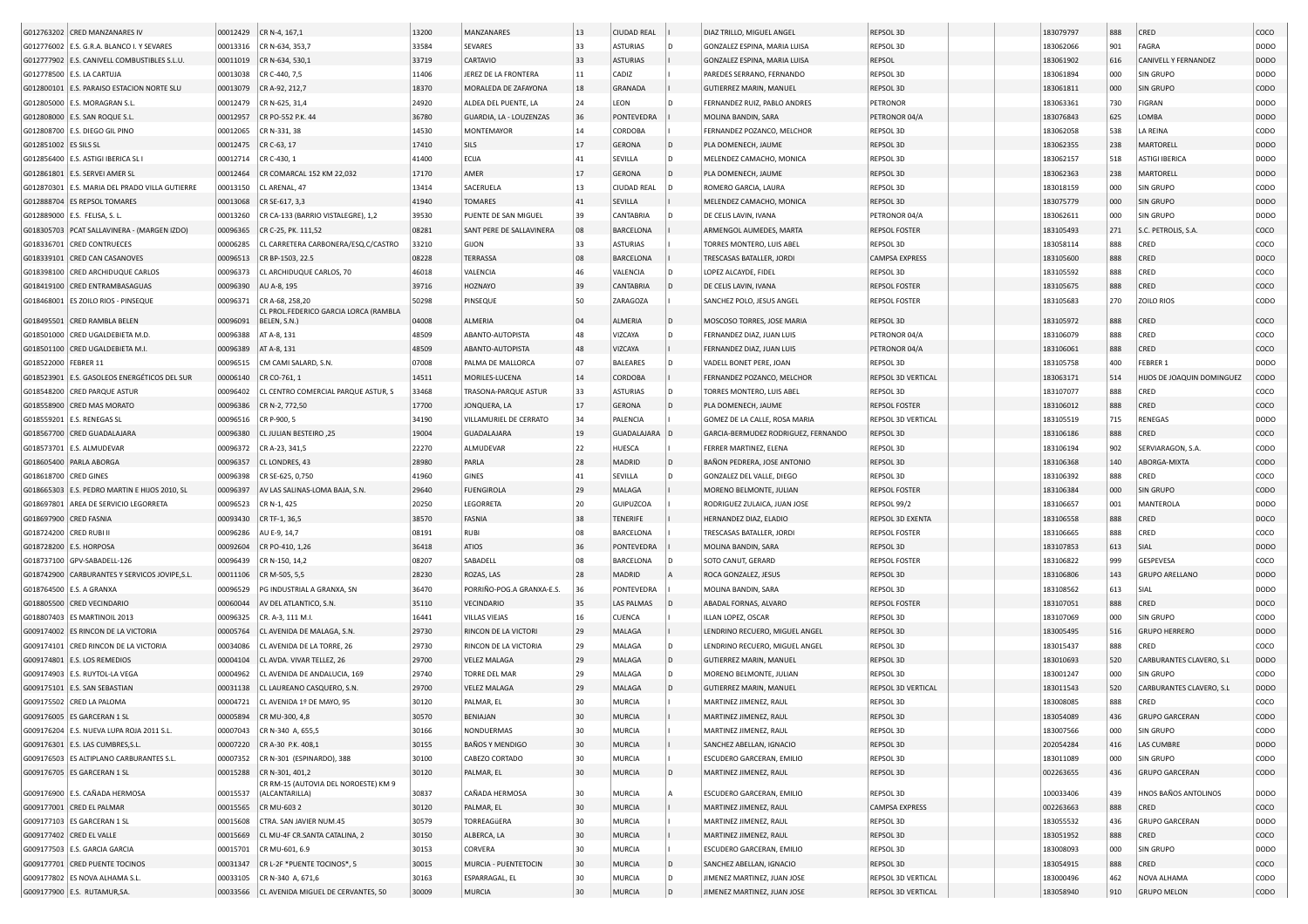|                         | G012763202 CRED MANZANARES IV                  | 00012429 | CR N-4, 167,1                         | 13200 | MANZANARES                  | 13 | <b>CIUDAD REAL</b> |     | DIAZ TRILLO, MIGUEL ANGEL           | REPSOL 3D                 | 183079797 | 888 | CRED                       | coco             |
|-------------------------|------------------------------------------------|----------|---------------------------------------|-------|-----------------------------|----|--------------------|-----|-------------------------------------|---------------------------|-----------|-----|----------------------------|------------------|
|                         |                                                |          |                                       |       |                             |    |                    |     |                                     |                           |           |     |                            |                  |
|                         | G012776002   E.S. G.R.A. BLANCO I. Y SEVARES   | 00013316 | CR N-634, 353,7                       | 33584 | SEVARES                     | 33 | <b>ASTURIAS</b>    | l D | GONZALEZ ESPINA, MARIA LUISA        | REPSOL 3D                 | 183062066 | 901 | FAGRA                      | <b>DODO</b>      |
|                         | G012777902 E.S. CANIVELL COMBUSTIBLES S.L.U.   | 00011019 | CR N-634, 530,1                       | 33719 | CARTAVIO                    | 33 | <b>ASTURIAS</b>    |     | GONZALEZ ESPINA, MARIA LUISA        | REPSOL                    | 183061902 | 616 | CANIVELL Y FERNANDEZ       | <b>DODO</b>      |
|                         | G012778500   E.S. LA CARTUJA                   | 00013038 | CR C-440, 7,5                         | 11406 | JEREZ DE LA FRONTERA        | 11 | CADIZ              |     | PAREDES SERRANO, FERNANDO           | REPSOL 3D                 | 183061894 | 000 | SIN GRUPO                  | <b>DODO</b>      |
|                         | G012800101 E.S. PARAISO ESTACION NORTE SLU     | 00013079 | CR A-92, 212,7                        | 18370 | MORALEDA DE ZAFAYONA        | 18 | GRANADA            |     | GUTIERREZ MARIN, MANUEL             | <b>REPSOL 3D</b>          | 183061811 | 000 | <b>SIN GRUPO</b>           | <b>CODO</b>      |
|                         | G012805000 E.S. MORAGRAN S.L                   | 00012479 | CR N-625, 31,4                        | 24920 | ALDEA DEL PUENTE, LA        | 24 | LEON               |     | FERNANDEZ RUIZ, PABLO ANDRES        | PETRONOR                  | 183063361 | 730 | FIGRAN                     | <b>DODO</b>      |
|                         | G012808000 E.S. SAN ROQUE S.L.                 | 00012957 | CR PO-552 P.K. 44                     | 36780 | GUARDIA, LA - LOUZENZAS     | 36 | PONTEVEDRA         |     | MOLINA BANDIN, SARA                 | PETRONOR 04/A             | 183076843 | 625 | LOMBA                      | <b>DODO</b>      |
|                         | G012808700 E.S. DIEGO GIL PINO                 | 00012065 | CR N-331, 38                          | 14530 | <b>MONTEMAYOR</b>           | 14 | CORDOBA            |     | FERNANDEZ POZANCO, MELCHOR          | REPSOL 3D                 | 183062058 | 538 | LA REINA                   | CODO             |
| G012851002 ES SILS SL   |                                                | 00012475 | CR C-63, 17                           | 17410 | SILS                        | 17 | <b>GERONA</b>      |     | PLA DOMENECH, JAUME                 | REPSOL 3D                 | 183062355 | 238 | MARTORELL                  | <b>DODO</b>      |
|                         | G012856400 E.S. ASTIGI IBERICA SL I            | 00012714 | CR C-430, 1                           | 41400 | ECIJA                       | 41 | SEVILLA            |     | MELENDEZ CAMACHO, MONICA            | REPSOL 3D                 | 183062157 | 518 | <b>ASTIGI IBERICA</b>      | <b>DODO</b>      |
|                         |                                                |          |                                       |       |                             |    |                    |     |                                     |                           |           |     |                            |                  |
| G012861801              | <b>E.S. SERVEI AMER SL</b>                     | 00012464 | CR COMARCAL 152 KM 22,032             | 17170 | AMER                        | 17 | <b>GERONA</b>      | ID. | PLA DOMENECH, JAUME                 | REPSOL 3D                 | 183062363 | 238 | MARTORELL                  | DOD <sub>O</sub> |
| G012870301              | E.S. MARIA DEL PRADO VILLA GUTIERRE            | 00013150 | CL ARENAL, 47                         | 13414 | SACERUELA                   | 13 | <b>CIUDAD REAL</b> |     | ROMERO GARCIA, LAURA                | REPSOL 3D                 | 183018159 | 000 | <b>SIN GRUPO</b>           | copo             |
|                         | G012888704 ES REPSOL TOMARES                   | 00013068 | CR SE-617, 3,3                        | 41940 | <b>TOMARES</b>              | 41 | SEVILLA            |     | MELENDEZ CAMACHO, MONICA            | REPSOL 3D                 | 183075779 | 000 | <b>SIN GRUPO</b>           | DOD <sub>O</sub> |
|                         | G012889000   E.S. FELISA, S. L.                | 00013260 | CR CA-133 (BARRIO VISTALEGRE), 1,2    | 39530 | PUENTE DE SAN MIGUEL        | 39 | <b>CANTABRIA</b>   |     | DE CELIS LAVIN, IVANA               | PETRONOR 04/A             | 183062611 | 000 | <b>SIN GRUPO</b>           | <b>DODO</b>      |
|                         | G018305703 PCAT SALLAVINERA - (MARGEN IZDO)    | 00096365 | CR C-25, PK. 111,52                   | 08281 | SANT PERE DE SALLAVINERA    | 08 | <b>BARCELONA</b>   |     | ARMENGOL AUMEDES, MARTA             | <b>REPSOL FOSTER</b>      | 183105493 | 271 | S.C. PETROLIS, S.A.        | coco             |
|                         | G018336701 CRED CONTRUECES                     | 00006285 | CL CARRETERA CARBONERA/ESQ.C/CASTRO   | 33210 | GIJON                       | 33 | <b>ASTURIAS</b>    |     | TORRES MONTERO, LUIS ABEL           | REPSOL 3D                 | 183058114 | 888 | CRED                       | coco             |
| G018339101              | <b>CRED CAN CASANOVES</b>                      | 00096513 | CR BP-1503, 22.5                      | 08228 | TERRASSA                    | 08 | <b>BARCELONA</b>   |     | TRESCASAS BATALLER, JORDI           | <b>CAMPSA EXPRESS</b>     | 183105600 | 888 | CRED                       | DOCO             |
|                         | G018398100 CRED ARCHIDUQUE CARLOS              | 00096373 | CL ARCHIDUQUE CARLOS, 70              | 46018 | VALENCIA                    | 46 | VALENCIA           |     | LOPEZ ALCAYDE, FIDEL                | REPSOL 3D                 | 183105592 | 888 | CRED                       | coco             |
|                         | G018419100 CRED ENTRAMBASAGUAS                 | 00096390 | AU A-8, 195                           | 39716 | HOZNAYO                     | 39 | CANTABRIA          |     | DE CELIS LAVIN, IVANA               | <b>REPSOL FOSTER</b>      | 183105675 | 888 | CRED                       | coco             |
|                         |                                                | 00096371 | CR A-68, 258, 20                      | 50298 | PINSEQUE                    | 50 |                    |     | SANCHEZ POLO, JESUS ANGEL           | <b>REPSOL FOSTER</b>      |           | 270 | ZOILO RIOS                 | CODO             |
|                         | G018468001 ES ZOILO RIOS - PINSEQUE            |          | CL PROL.FEDERICO GARCIA LORCA (RAMBLA |       |                             |    | ZARAGOZA           |     |                                     |                           | 183105683 |     |                            |                  |
|                         | G018495501 CRED RAMBLA BELEN                   | 00096091 | BELEN, S.N.                           | 04008 | ALMERIA                     | 04 | <b>ALMERIA</b>     |     | MOSCOSO TORRES, JOSE MARIA          | <b>REPSOL 3D</b>          | 183105972 | 888 | CRED                       | coco             |
|                         | G018501000 CRED UGALDEBIETA M.D.               | 00096388 | AT A-8, 131                           | 48509 | ABANTO-AUTOPISTA            | 48 | VIZCAYA            |     | FERNANDEZ DIAZ, JUAN LUIS           | PETRONOR 04/A             | 183106079 | 888 | CRED                       | coco             |
|                         | G018501100 CRED UGALDEBIETA M.I                | 00096389 | AT A-8, 131                           | 48509 | ABANTO-AUTOPISTA            | 48 | VIZCAYA            |     | FERNANDEZ DIAZ, JUAN LUIS           | PETRONOR 04/A             | 183106061 | 888 | CRED                       | coco             |
| G018522000 FEBRER 11    |                                                | 00096515 | CM CAMI SALARD, S.N.                  | 07008 | PALMA DE MALLORCA           | 07 | <b>BALEARES</b>    |     | VADELL BONET PERE, JOAN             | REPSOL 3D                 | 183105758 | 400 | FEBRER 1                   | <b>DODO</b>      |
|                         |                                                |          |                                       |       |                             |    |                    |     |                                     |                           |           |     | HIJOS DE JOAQUIN DOMINGUEZ |                  |
|                         | G018523901 E.S. GASOLEOS ENERGÉTICOS DEL SUR   | 00006140 | CR CO-761, 1                          | 14511 | MORILES-LUCENA              | 14 | CORDOBA            |     | FERNANDEZ POZANCO, MELCHOR          | <b>REPSOL 3D VERTICAL</b> | 183063171 | 514 |                            | CODO             |
|                         | G018548200 CRED PARQUE ASTUR                   | 00096402 | CL CENTRO COMERCIAL PARQUE ASTUR. S   | 33468 | TRASONA-PARQUE ASTUR        | 33 | <b>ASTURIAS</b>    |     | TORRES MONTERO, LUIS ABEL           | REPSOL 3D                 | 183107077 | 888 | CRED                       | COCO             |
|                         | G018558900 CRED MAS MORATO                     | 00096386 | CR N-2, 772,50                        | 17700 | JONQUERA, LA                | 17 | <b>GERONA</b>      |     | PLA DOMENECH, JAUME                 | <b>REPSOL FOSTER</b>      | 183106012 | 888 | CRED                       | coco             |
|                         | G018559201 E.S. RENEGAS SL                     | 00096516 | CR P-900, 5                           | 34190 | VILLAMURIEL DE CERRATO      | 34 | PALENCIA           |     | GOMEZ DE LA CALLE, ROSA MARIA       | REPSOL 3D VERTICAL        | 183105519 | 715 | RENEGAS                    | <b>DODO</b>      |
|                         | G018567700 CRED GUADALAJARA                    | 00096380 | CL JULIAN BESTEIRO, 25                | 19004 | <b>GUADALAJARA</b>          | 19 | GUADALAJARA        |     | GARCIA-BERMUDEZ RODRIGUEZ, FERNANDO | <b>REPSOL 3D</b>          | 183106186 | 888 | CRED                       | coco             |
|                         | G018573701 E.S. ALMUDEVAR                      | 00096372 | CR A-23, 341,5                        | 22270 | ALMUDEVAR                   | 22 | HUESCA             |     | FERRER MARTINEZ, ELENA              | REPSOL 3D                 | 183106194 | 902 | SERVIARAGON, S.A.          | CODO             |
|                         | G018605400   PARLA ABORGA                      | 00096357 | CL LONDRES, 43                        | 28980 | PARLA                       | 28 | MADRID             |     | BAÑON PEDRERA, JOSE ANTONIO         | REPSOL 3D                 | 183106368 | 140 | ABORGA-MIXTA               | <b>CODO</b>      |
| G018618700 CRED GINES   |                                                | 00096398 | CR SE-625, 0,750                      | 41960 | <b>GINES</b>                | 41 | SEVILLA            |     | GONZALEZ DEL VALLE, DIEGO           | REPSOL 3D                 | 183106392 | 888 | CRED                       | coco             |
|                         | G018665303 E.S. PEDRO MARTIN E HIJOS 2010, SL  | 00096397 | AV LAS SALINAS-LOMA BAJA, S.N.        | 29640 | <b>FUENGIROLA</b>           | 29 | MALAGA             |     | MORENO BELMONTE, JULIAN             | <b>REPSOL FOSTER</b>      | 183106384 | 000 | <b>SIN GRUPO</b>           | <b>CODO</b>      |
|                         | G018697801 AREA DE SERVICIO LEGORRETA          | 00096523 | CR N-1, 425                           | 20250 | LEGORRETA                   | 20 | <b>GUIPUZCOA</b>   |     | RODRIGUEZ ZULAICA, JUAN JOSE        | REPSOL 99/2               | 183106657 | 001 | MANTEROLA                  | <b>DODO</b>      |
|                         |                                                |          |                                       |       |                             |    |                    |     |                                     |                           |           |     |                            | DOCO             |
| G018697900              | <b>CRED FASNIA</b>                             | 00093430 | CR TF-1, 36,5                         | 38570 | FASNIA                      | 38 | <b>TENERIFE</b>    |     | HERNANDEZ DIAZ, ELADIO              | REPSOL 3D EXENTA          | 183106558 | 888 | CRED                       |                  |
| G018724200 CRED RUBI II |                                                | 00096286 | AU E-9, 14,7                          | 08191 | <b>RUBI</b>                 | 08 | BARCELONA          |     | TRESCASAS BATALLER, JORDI           | <b>REPSOL FOSTER</b>      | 183106665 | 888 | CRED                       | coco             |
| G018728200 E.S. HORPOSA |                                                | 00092604 | CR PO-410, 1,26                       | 36418 | <b>ATIOS</b>                | 36 | PONTEVEDRA         |     | MOLINA BANDIN, SARA                 | REPSOL 3D                 | 183107853 | 613 | SIAL                       | DOD <sub>O</sub> |
|                         | G018737100 GPV-SABADELL-126                    | 00096439 | CR N-150, 14,2                        | 08207 | SABADELL                    | 08 | <b>BARCELONA</b>   |     | SOTO CANUT, GERARD                  | <b>REPSOL FOSTER</b>      | 183106822 | 999 | GESPEVESA                  | coco             |
|                         | G018742900 CARBURANTES Y SERVICOS JOVIPE, S.L. | 00011106 | CR M-505, 5,5                         | 28230 | ROZAS, LAS                  | 28 | MADRID             |     | ROCA GONZALEZ, JESUS                | <b>REPSOL 3D</b>          | 183106806 | 143 | <b>GRUPO ARELLANO</b>      | <b>DODO</b>      |
|                         | G018764500 E.S. A GRANXA                       | 00096529 | PG INDUSTRIAL A GRANXA, SN            | 36470 | PORRIÑO-POG.A GRANXA-E.S.   | 36 | PONTEVEDRA         |     | MOLINA BANDIN, SARA                 | REPSOL 3D                 | 183108562 | 613 | SIAL                       | <b>DODO</b>      |
|                         | G018805500 CRED VECINDARIO                     | 00060044 | AV DEL ATLANTICO, S.N.                | 35110 | VECINDARIO                  | 35 | <b>LAS PALMAS</b>  |     | ABADAL FORNAS, ALVARO               | <b>REPSOL FOSTER</b>      | 183107051 | 888 | CRED                       | DOCO             |
|                         | G018807403 ES MARTINOIL 2013                   | 00096325 | CR. A-3, 111 M.I                      | 16441 | VILLAS VIEJAS               | 16 | <b>CUENCA</b>      |     | ILLAN LOPEZ, OSCAR                  | REPSOL 3D                 | 183107069 | 000 | SIN GRUPO                  | CODO             |
|                         | G009174002 ES RINCON DE LA VICTORIA            | 00005764 | CL AVENIDA DE MALAGA, S.N.            | 29730 | <b>RINCON DE LA VICTORI</b> | 29 | MALAGA             |     | LENDRINO RECUERO, MIGUEL ANGEL      | REPSOL 3D                 | 183005495 | 516 | <b>GRUPO HERRERO</b>       | <b>DODO</b>      |
|                         | G009174101 CRED RINCON DE LA VICTORIA          | 00034086 | CL AVENIDA DE LA TORRE, 26            | 29730 | RINCON DE LA VICTORIA       | 29 | MALAGA             |     | LENDRINO RECUERO, MIGUEL ANGEL      | REPSOL 3D                 | 183015437 | 888 | CRED                       | COCO             |
|                         | G009174801 E.S. LOS REMEDIOS                   | 00004104 | CL AVDA. VIVAR TELLEZ, 26             | 29700 | <b>VELEZ MALAGA</b>         | 29 | MALAGA             | I D | GUTIERREZ MARIN, MANUEL             | REPSOL 3D                 | 183010693 | 520 | CARBURANTES CLAVERO, S.L   | <b>DODO</b>      |
|                         |                                                |          |                                       |       |                             |    |                    |     |                                     |                           |           |     |                            |                  |
|                         | G009174903 E.S. RUYTOL-LA VEGA                 | 00004962 | CL AVENIDA DE ANDALUCIA, 169          | 29740 | <b>TORRE DEL MAR</b>        | 29 | MALAGA             |     | MORENO BELMONTE, JULIAN             | REPSOL 3D                 | 183001247 | 000 | SIN GRUPO                  | CODO             |
|                         | G009175101 E.S. SAN SEBASTIAN                  | 00031138 | CL LAUREANO CASQUERO, S.N             | 29700 | <b>VELEZ MALAGA</b>         | 29 | MALAGA             |     | GUTIERREZ MARIN, MANUEL             | REPSOL 3D VERTICAL        | 183011543 | 520 | CARBURANTES CLAVERO, S.L   | <b>DODO</b>      |
|                         | G009175502 CRED LA PALOMA                      | 00004721 | CL AVENIDA 1º DE MAYO, 95             | 30120 | PALMAR, EL                  | 30 | <b>MURCIA</b>      |     | MARTINEZ JIMENEZ, RAUL              | REPSOL 3D                 | 183008085 | 888 | CRED                       | coco             |
|                         | G009176005 ES GARCERAN 1 SL                    | 00005894 | CR MU-300, 4,8                        | 30570 | <b>BENIAJAN</b>             | 30 | <b>MURCIA</b>      |     | MARTINEZ JIMENEZ, RAUL              | REPSOL 3D                 | 183054089 | 436 | <b>GRUPO GARCERAN</b>      | CODO             |
|                         | G009176204 E.S. NUEVA LUPA ROJA 2011 S.L.      |          | 00007043 CR N-340 A, 655,5            | 30166 | NONDUERMAS                  | 30 | MURCIA             |     | MARTINEZ JIMENEZ, RAUL              | REPSOL 3D                 | 183007566 | 000 | SIN GRUPO                  | <b>CODO</b>      |
|                         | G009176301 E.S. LAS CUMBRES, S.L.              | 00007220 | CR A-30 P.K. 408,1                    | 30155 | <b>BAÑOS Y MENDIGO</b>      | 30 | MURCIA             |     | SANCHEZ ABELLAN, IGNACIO            | REPSOL 3D                 | 202054284 | 416 | <b>LAS CUMBRE</b>          | DODO             |
|                         | G009176503 ES ALTIPLANO CARBURANTES S.L.       | 00007352 | CR N-301 (ESPINARDO), 388             | 30100 | CABEZO CORTADO              | 30 | MURCIA             |     | ESCUDERO GARCERAN, EMILIO           | REPSOL 3D                 | 183011089 | 000 | SIN GRUPO                  | CODO             |
|                         | G009176705 ES GARCERAN 1 SL                    | 00015288 | CR N-301, 401,2                       | 30120 | PALMAR, EL                  | 30 | MURCIA             |     | MARTINEZ JIMENEZ, RAUL              | REPSOL 3D                 | 002263655 | 436 | <b>GRUPO GARCERAN</b>      | CODO             |
|                         |                                                |          | CR RM-15 (AUTOVIA DEL NOROESTE) KM 9  |       |                             |    |                    |     |                                     |                           |           |     |                            |                  |
|                         | G009176900 E.S. CAÑADA HERMOSA                 | 00015537 | (ALCANTARILLA)                        | 30837 | CAÑADA HERMOSA              | 30 | MURCIA             |     | ESCUDERO GARCERAN, EMILIO           | REPSOL 3D                 | 100033406 | 439 | HNOS BAÑOS ANTOLINOS       | <b>DODO</b>      |
|                         | G009177001 CRED EL PALMAR                      | 00015565 | CR MU-603 2                           | 30120 | PALMAR, EL                  | 30 | MURCIA             |     | MARTINEZ JIMENEZ, RAUL              | <b>CAMPSA EXPRESS</b>     | 002263663 | 888 | CRED                       | coco             |
|                         | G009177103 ES GARCERAN 1 SL                    | 00015608 | CTRA. SAN JAVIER NUM.45               | 30579 | TORREAGÜERA                 | 30 | MURCIA             |     | MARTINEZ JIMENEZ, RAUL              | REPSOL 3D                 | 183055532 | 436 | <b>GRUPO GARCERAN</b>      | <b>DODO</b>      |
|                         | G009177402 CRED EL VALLE                       | 00015669 | CL MU-4F CR.SANTA CATALINA, 2         | 30150 | ALBERCA, LA                 | 30 | MURCIA             |     | MARTINEZ JIMENEZ, RAUL              | REPSOL 3D                 | 183051952 | 888 | CRED                       | coco             |
|                         | G009177503 E.S. GARCIA GARCIA                  | 00015701 | CR MU-601, 6.9                        | 30153 | CORVERA                     | 30 | MURCIA             |     | ESCUDERO GARCERAN, EMILIO           | REPSOL 3D                 | 183008093 | 000 | <b>SIN GRUPO</b>           | <b>DODO</b>      |
|                         | G009177701 CRED PUENTE TOCINOS                 | 00031347 | CR L-2F *PUENTE TOCINOS*, 5           | 30015 | MURCIA - PUENTETOCIN        | 30 | MURCIA             |     | SANCHEZ ABELLAN, IGNACIO            | REPSOL 3D                 | 183054915 | 888 | CRED                       | coco             |
|                         | G009177802 ES NOVA ALHAMA S.L.                 | 00033105 | CR N-340 A, 671,6                     | 30163 | ESPARRAGAL, EL              | 30 | <b>MURCIA</b>      |     | JIMENEZ MARTINEZ, JUAN JOSE         | REPSOL 3D VERTICAL        | 183000496 | 462 | NOVA ALHAMA                | CODO             |
|                         | G009177900 E.S. RUTAMUR, SA.                   | 00033566 | CL AVENIDA MIGUEL DE CERVANTES, 50    | 30009 | <b>MURCIA</b>               | 30 | MURCIA             |     | JIMENEZ MARTINEZ, JUAN JOSE         | REPSOL 3D VERTICAL        | 183058940 | 910 | <b>GRUPO MELON</b>         | CODO             |
|                         |                                                |          |                                       |       |                             |    |                    |     |                                     |                           |           |     |                            |                  |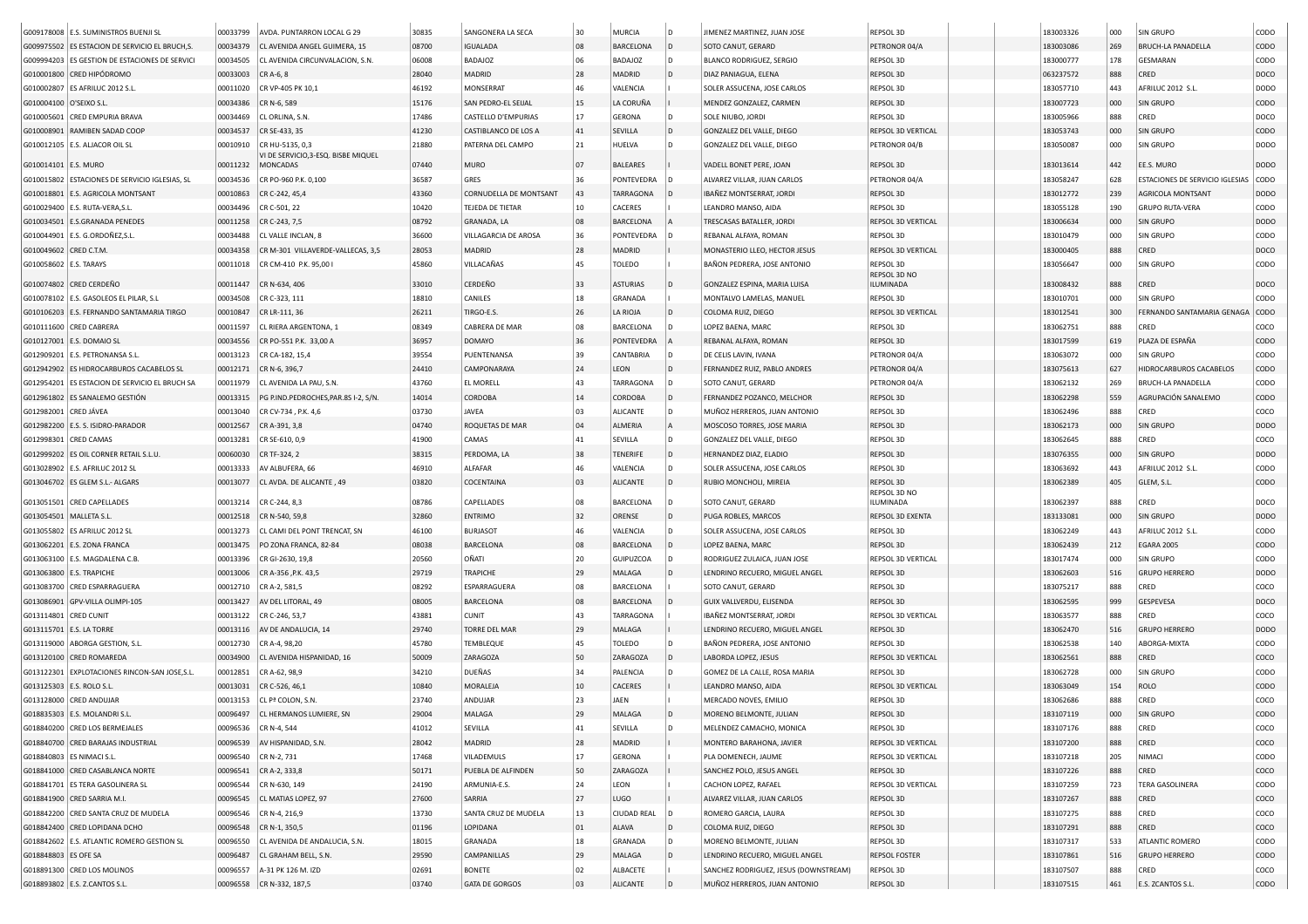|                           | G009178008 E.S. SUMINISTROS BUENJI SL           | 00033799 | AVDA, PUNTARRON LOCAL G 29                             | 30835 | SANGONERA LA SECA      | 30     | <b>MURCIA</b>      | ۱D  | JIMENEZ MARTINEZ, JUAN JOSE           | REPSOL 3D                 | 183003326 | 000 | <b>SIN GRUPO</b>                | CODO        |
|---------------------------|-------------------------------------------------|----------|--------------------------------------------------------|-------|------------------------|--------|--------------------|-----|---------------------------------------|---------------------------|-----------|-----|---------------------------------|-------------|
|                           | G009975502 ES ESTACION DE SERVICIO EL BRUCH, S. | 00034379 | CL AVENIDA ANGEL GUIMERA, 15                           | 08700 | <b>IGUALADA</b>        | 08     | <b>BARCELONA</b>   | ۱D  | SOTO CANUT, GERARD                    | PETRONOR 04/A             | 183003086 | 269 | <b>BRUCH-LA PANADELLA</b>       | CODO        |
|                           | G009994203 ES GESTION DE ESTACIONES DE SERVICI  | 00034505 | CL AVENIDA CIRCUNVALACION, S.N.                        | 06008 | BADAJOZ                | 06     | <b>BADAJOZ</b>     | l D | <b>BLANCO RODRIGUEZ, SERGIO</b>       | REPSOL 3D                 | 183000777 | 178 | <b>GESMARAN</b>                 | CODO        |
|                           | G010001800 CRED HIPÓDROMO                       | 00033003 | CR A-6, 8                                              | 28040 | MADRID                 | 28     | <b>MADRID</b>      | l D | DIAZ PANIAGUA, ELENA                  | REPSOL 3D                 | 063237572 | 888 | CRED                            | DOCO        |
|                           | G010002807 ES AFRILUC 2012 S.L.                 | 00011020 | CR VP-405 PK 10,1                                      | 46192 | MONSERRAT              | 46     | VALENCIA           |     | SOLER ASSUCENA, JOSE CARLOS           | REPSOL 3D                 | 183057710 | 443 | AFRILUC 2012 S.L.               | DODO        |
| G010004100 O'SEIXO S.L    |                                                 | 00034386 | CR N-6, 589                                            | 15176 | SAN PEDRO-EL SEIJAL    | 15     | LA CORUÑA          |     | MENDEZ GONZALEZ, CARMEN               | REPSOL 3D                 | 183007723 | 000 | SIN GRUPO                       | CODO        |
| G010005601                | <b>CRED EMPURIA BRAVA</b>                       | 00034469 | CL ORLINA, S.N                                         | 17486 | CASTELLO D'EMPURIAS    | 17     | <b>GERONA</b>      |     | SOLE NIUBO, JORDI                     | REPSOL 3D                 | 183005966 | 888 | CRED                            | DOCO        |
|                           | G010008901 RAMIBEN SADAD COOP                   | 00034537 | CR SE-433, 35                                          | 41230 | CASTIBLANCO DE LOS A   | 41     | SEVILLA            | ۱D  | GONZALEZ DEL VALLE, DIEGO             | REPSOL 3D VERTICAL        | 183053743 | 000 | <b>SIN GRUPO</b>                | CODO        |
|                           | G010012105   E.S. ALJACOR OIL SL                | 00010910 | CR HU-5135, 0,3                                        | 21880 | PATERNA DEL CAMPO      | 21     | HUELVA             | D   | GONZALEZ DEL VALLE, DIEGO             | PETRONOR 04/B             | 183050087 | 000 | <b>SIN GRUPO</b>                | DODO        |
| G010014101 E.S. MURO      |                                                 | 00011232 | VI DE SERVICIO, 3-ESQ. BISBE MIQUEL<br><b>MONCADAS</b> | 07440 | MURO                   | 07     | <b>BALEARES</b>    |     | VADELL BONET PERE, JOAN               | REPSOL 3D                 | 183013614 | 442 | EE.S. MURO                      | <b>DODO</b> |
|                           | G010015802 ESTACIONES DE SERVICIO IGLESIAS, SL  | 00034536 | CR PO-960 P.K. 0,100                                   | 36587 | GRES                   | 36     | PONTEVEDRA         | D   | ALVAREZ VILLAR, JUAN CARLOS           | PETRONOR 04/A             | 183058247 | 628 | ESTACIONES DE SERVICIO IGLESIAS | CODO        |
|                           | G010018801 E.S. AGRICOLA MONTSANT               | 00010863 | CR C-242, 45,4                                         | 43360 | CORNUDELLA DE MONTSANT | 43     | TARRAGONA          | D   | IBAÑEZ MONTSERRAT, JORDI              | REPSOL 3D                 | 183012772 | 239 | AGRICOLA MONTSANT               | <b>DODO</b> |
|                           | G010029400   E.S. RUTA-VERA, S.I                | 00034496 | CR C-501, 22                                           | 10420 | TEJEDA DE TIETAR       | $10\,$ | CACERES            |     | LEANDRO MANSO, AIDA                   | REPSOL 3D                 | 183055128 | 190 | <b>GRUPO RUTA-VERA</b>          | CODO        |
|                           | G010034501 E.S.GRANADA PENEDES                  | 00011258 | CR C-243, 7,5                                          | 08792 | GRANADA, LA            | 08     | BARCELONA          |     | TRESCASAS BATALLER, JORDI             | REPSOL 3D VERTICAL        | 183006634 | 000 | <b>SIN GRUPO</b>                | <b>DODO</b> |
|                           | G010044901 E.S. G.ORDOÑEZ, S.L.                 | 00034488 | CL VALLE INCLAN, 8                                     | 36600 | VILLAGARCIA DE AROSA   | 36     | PONTEVEDRA         | D   | REBANAL ALFAYA, ROMAN                 | REPSOL 3D                 | 183010479 | 000 | <b>SIN GRUPO</b>                | CODO        |
| G010049602 CRED C.T.M     |                                                 | 00034358 | CR M-301 VILLAVERDE-VALLECAS, 3,5                      | 28053 | MADRID                 | 28     | MADRID             |     | MONASTERIO LLEO, HECTOR JESUS         | REPSOL 3D VERTICAL        | 183000405 | 888 | CRED                            | DOCO        |
| G010058602 E.S. TARAYS    |                                                 | 00011018 | CR CM-410 P.K. 95,00                                   | 45860 | VILLACAÑAS             | 45     | <b>TOLEDO</b>      |     | BAÑON PEDRERA, JOSE ANTONIO           | REPSOL 3D                 | 183056647 | 000 | SIN GRUPO                       | CODO        |
|                           |                                                 |          |                                                        |       |                        |        |                    |     |                                       | REPSOL 3D NO              |           |     |                                 |             |
|                           | G010074802 CRED CERDEÑO                         | 00011447 | CR N-634, 406                                          | 33010 | CERDEÑO                | 33     | <b>ASTURIAS</b>    |     | GONZALEZ ESPINA, MARIA LUISA          | <b>ILUMINADA</b>          | 183008432 | 888 | CRED                            | DOCO        |
|                           | G010078102   E.S. GASOLEOS EL PILAR, S.L        | 00034508 | CR C-323, 111                                          | 18810 | CANILES                | 18     | GRANADA            |     | MONTALVO LAMELAS, MANUEL              | REPSOL 3D                 | 183010701 | 000 | SIN GRUPO                       | CODO        |
|                           | G010106203 E.S. FERNANDO SANTAMARIA TIRGO       | 00010847 | CR LR-111, 36                                          | 26211 | TIRGO-E.S              | 26     | LA RIOJA           |     | COLOMA RUIZ, DIEGO                    | REPSOL 3D VERTICAL        | 183012541 | 300 | FERNANDO SANTAMARIA GENAGA      | CODO        |
|                           | G010111600 CRED CABRERA                         | 00011597 | CL RIERA ARGENTONA, 1                                  | 08349 | CABRERA DE MAR         | 08     | BARCELONA          |     | LOPEZ BAENA, MARC                     | REPSOL 3D                 | 183062751 | 888 | CRED                            | coco        |
|                           | G010127001 E.S. DOMAIO SL                       | 00034556 | CR PO-551 P.K. 33,00 A                                 | 36957 | <b>DOMAYO</b>          | 36     | PONTEVEDRA         |     | REBANAL ALFAYA, ROMAN                 | REPSOL 3D                 | 183017599 | 619 | PLAZA DE ESPAÑA                 | CODO        |
|                           | G012909201 E.S. PETRONANSA S.L                  | 00013123 | CR CA-182, 15,4                                        | 39554 | PUENTENANSA            | 39     | CANTABRIA          | ۱D  | DE CELIS LAVIN, IVANA                 | PETRONOR 04/A             | 183063072 | 000 | SIN GRUPO                       | CODO        |
|                           | G012942902 ES HIDROCARBUROS CACABELOS SL        | 00012171 | CR N-6, 396,7                                          | 24410 | <b>CAMPONARAYA</b>     | 24     | LEON               | D   | FERNANDEZ RUIZ, PABLO ANDRES          | PETRONOR 04/A             | 183075613 | 627 | HIDROCARBUROS CACABELOS         | CODO        |
|                           | G012954201 ES ESTACION DE SERVICIO EL BRUCH SA  | 00011979 | CL AVENIDA LA PAU, S.N.                                | 43760 | EL MORELL              | 43     | TARRAGONA          |     | SOTO CANUT, GERARD                    | PETRONOR 04/A             | 183062132 | 269 | BRUCH-LA PANADELLA              | CODO        |
|                           | G012961802 ES SANALEMO GESTIÓN                  | 00013315 | PG P.IND.PEDROCHES, PAR.8S I-2, S/N.                   | 14014 | CORDOBA                | 14     | CORDOBA            | D   | FERNANDEZ POZANCO, MELCHOR            | REPSOL 3D                 | 183062298 | 559 | AGRUPACIÓN SANALEMO             | CODO        |
| G012982001 CRED JÁVEA     |                                                 | 00013040 | CR CV-734, P.K. 4,6                                    | 03730 | JAVEA                  | 03     | <b>ALICANTE</b>    | D   | MUÑOZ HERREROS, JUAN ANTONIO          | REPSOL 3D                 | 183062496 | 888 | CRED                            | coco        |
|                           | G012982200 E.S. S. ISIDRO-PARADOR               | 00012567 | CR A-391, 3,8                                          | 04740 | ROQUETAS DE MAR        | 04     | ALMERIA            |     | MOSCOSO TORRES, JOSE MARIA            | REPSOL 3D                 | 183062173 | 000 | <b>SIN GRUPO</b>                | <b>DODO</b> |
| G012998301 CRED CAMAS     |                                                 | 00013281 | CR SE-610, 0.9                                         | 41900 | CAMAS                  | 41     | SEVILLA            | D   | GONZALEZ DEL VALLE, DIEGO             | REPSOL 3D                 | 183062645 | 888 | CRED                            | COCO        |
|                           | G012999202 ES OIL CORNER RETAIL S.L.U           | 00060030 | CR TF-324, 2                                           | 38315 | PERDOMA, LA            | 38     | <b>TENERIFE</b>    | l D | HERNANDEZ DIAZ, ELADIO                | REPSOL 3D                 | 183076355 | 000 | <b>SIN GRUPO</b>                | <b>DODO</b> |
|                           | G013028902 E.S. AFRILUC 2012 SL                 | 00013333 | AV ALBUFERA, 66                                        | 46910 | ALFAFAR                | 46     | VALENCIA           | ۱D  | SOLER ASSUCENA, JOSE CARLOS           | REPSOL 3D                 | 183063692 | 443 | AFRILUC 2012 S.L.               | CODO        |
|                           | G013046702 ES GLEM S.L.- ALGARS                 | 00013077 | CL AVDA. DE ALICANTE, 49                               | 03820 | COCENTAINA             | 03     | <b>ALICANTE</b>    | D   | RUBIO MONCHOLI, MIREIA                | REPSOL 3D                 | 183062389 | 405 | GLEM, S.L                       | CODO        |
|                           |                                                 |          |                                                        |       |                        |        |                    |     |                                       | REPSOL 3D NO              |           |     |                                 |             |
|                           | G013051501 CRED CAPELLADES                      | 00013214 | CR C-244, 8,3                                          | 08786 | CAPELLADES             | 08     | <b>BARCELONA</b>   | D   | SOTO CANUT, GERARD                    | ILUMINADA                 | 183062397 | 888 | CRED                            | DOCO        |
| G013054501   MALLETA S.L. |                                                 | 00012518 | CR N-540, 59,8                                         | 32860 | ENTRIMO                | 32     | ORENSE             | ۱D  | PUGA ROBLES, MARCOS                   | REPSOL 3D EXENTA          | 183133081 | 000 | <b>SIN GRUPO</b>                | <b>DODO</b> |
|                           | G013055802 ES AFRILUC 2012 SL                   | 00013273 | CL CAMI DEL PONT TRENCAT, SN                           | 46100 | <b>BURJASOT</b>        | 46     | VALENCIA           | D   | SOLER ASSUCENA, JOSE CARLOS           | REPSOL 3D                 | 183062249 | 443 | AFRILUC 2012 S.L.               | CODO        |
|                           | G013062201 E.S. ZONA FRANCA                     | 00013475 | PO ZONA FRANCA, 82-84                                  | 08038 | BARCELONA              | 08     | <b>BARCELONA</b>   | D.  | LOPEZ BAENA, MARC                     | REPSOL 3D                 | 183062439 | 212 | <b>EGARA 2005</b>               | CODO        |
|                           | G013063100 E.S. MAGDALENA C.B.                  | 00013396 | CR GI-2630, 19,8                                       | 20560 | OÑATI                  | 20     | GUIPUZCOA          | D   | RODRIGUEZ ZULAICA, JUAN JOSE          | REPSOL 3D VERTICAL        | 183017474 | 000 | <b>SIN GRUPO</b>                | CODO        |
| G013063800 E.S. TRAPICHE  |                                                 | 00013006 | CR A-356, P.K. 43,5                                    | 29719 | TRAPICHE               | 29     | MALAGA             |     | LENDRINO RECUERO, MIGUEL ANGEL        | REPSOL 3D                 | 183062603 | 516 | <b>GRUPO HERRERO</b>            | <b>DODO</b> |
|                           | G013083700 CRED ESPARRAGUERA                    | 00012710 | CR A-2, 581,5                                          | 08292 | ESPARRAGUERA           | 08     | <b>BARCELONA</b>   |     | SOTO CANUT, GERARD                    | REPSOL 3D                 | 183075217 | 888 | CRED                            | coco        |
|                           | G013086901 GPV-VILLA OLIMPI-105                 | 00013427 | AV DEL LITORAL, 49                                     | 08005 | BARCELONA              | 08     | BARCELONA          |     | GUIX VALLVERDU, ELISENDA              | REPSOL 3D                 | 183062595 | 999 | GESPEVESA                       | DOCO        |
| G013114801 CRED CUNIT     |                                                 | 00013122 | CR C-246, 53,7                                         | 43881 | <b>CUNIT</b>           | 43     | TARRAGONA          |     | IBAÑEZ MONTSERRAT, JORDI              | REPSOL 3D VERTICAL        | 183063577 | 888 | CRED                            | coco        |
| G013115701 E.S. LA TORRE  |                                                 | 00013116 | AV DE ANDALUCIA, 14                                    | 29740 | TORRE DEL MAR          | 29     | MALAGA             |     | LENDRINO RECUERO, MIGUEL ANGEL        | REPSOL 3D                 | 183062470 | 516 | <b>GRUPO HERRERO</b>            | DODO        |
|                           | G013119000 ABORGA GESTION, S.L.                 | 00012730 | CR A-4, 98,20                                          | 45780 | TEMBLEQUE              | 45     | TOLEDO             | D   | BAÑON PEDRERA, JOSE ANTONIO           | REPSOL 3D                 | 183062538 | 140 | ABORGA-MIXTA                    | CODO        |
| G013120100                | <b>CRED ROMAREDA</b>                            | 00034900 | CL AVENIDA HISPANIDAD, 16                              | 50009 | ZARAGOZA               | 50     | ZARAGOZA           | D   | LABORDA LOPEZ, JESUS                  | REPSOL 3D VERTICAL        | 183062561 | 888 | CRED                            | coco        |
|                           | G013122301 EXPLOTACIONES RINCON-SAN JOSE, S.L   | 00012851 | CR A-62, 98,9                                          | 34210 | DUEÑAS                 | 34     | PALENCIA           | D   | GOMEZ DE LA CALLE, ROSA MARIA         | REPSOL 3D                 | 183062728 | 000 | <b>SIN GRUPO</b>                | CODO        |
| G013125303 E.S. ROLO S.L. |                                                 | 00013031 | CR C-526, 46,1                                         | 10840 | MORALEJA               | 10     | CACERES            |     | LEANDRO MANSO, AIDA                   | REPSOL 3D VERTICAL        | 183063049 | 154 | <b>ROLO</b>                     | CODO        |
|                           | G013128000 CRED ANDUJAR                         | 00013153 | CL Pª COLON, S.N.                                      | 23740 | ANDUJAR                | 23     | JAEN               |     | MERCADO NOVES, EMILIO                 | REPSOL 3D                 | 183062686 | 888 | CRED                            | COCO        |
|                           | G018835303 E.S. MOLANDRI S.L                    | 00096497 | CL HERMANOS LUMIERE, SN                                | 29004 | MALAGA                 | 29     | MALAGA             |     | MORENO BELMONTE, JULIAN               | REPSOL 3D                 | 183107119 | 000 | <b>SIN GRUPO</b>                | CODO        |
|                           | G018840200 CRED LOS BERMEJALES                  |          | 00096536 CR N-4, 544                                   | 41012 | SEVILLA                | 41     | SEVILLA            | ۱D  | MELENDEZ CAMACHO, MONICA              | REPSOL 3D                 | 183107176 | 888 | CRED                            | COCO        |
|                           | G018840700 CRED BARAJAS INDUSTRIAL              | 00096539 | AV HISPANIDAD, S.N.                                    | 28042 | MADRID                 | 28     | MADRID             |     | MONTERO BARAHONA, JAVIER              | <b>REPSOL 3D VERTICAL</b> | 183107200 | 888 | CRED                            | coco        |
|                           | G018840803 ES NIMACI S.L.                       | 00096540 | CR N-2, 731                                            | 17468 | VILADEMULS             | 17     | GERONA             |     | PLA DOMENECH, JAUME                   | REPSOL 3D VERTICAL        | 183107218 | 205 | NIMACI                          | CODO        |
|                           | G018841000 CRED CASABLANCA NORTE                | 00096541 | CR A-2, 333,8                                          | 50171 | PUEBLA DE ALFINDEN     | 50     | ZARAGOZA           |     | SANCHEZ POLO, JESUS ANGEL             | REPSOL 3D                 | 183107226 | 888 | CRED                            | coco        |
|                           | G018841701 ES TERA GASOLINERA SL                | 00096544 | CR N-630, 149                                          | 24190 | ARMUNIA-E.S.           | 24     | LEON               |     | CACHON LOPEZ, RAFAEL                  | REPSOL 3D VERTICAL        | 183107259 | 723 | <b>TERA GASOLINERA</b>          | CODO        |
|                           | G018841900 CRED SARRIA M.I.                     | 00096545 | CL MATIAS LOPEZ, 97                                    | 27600 | SARRIA                 | 27     | LUGO               |     | ALVAREZ VILLAR, JUAN CARLOS           | REPSOL 3D                 | 183107267 | 888 | CRED                            | coco        |
|                           | G018842200 CRED SANTA CRUZ DE MUDELA            | 00096546 | CR N-4, 216,9                                          | 13730 | SANTA CRUZ DE MUDELA   | 13     | <b>CIUDAD REAL</b> | ۱D  | ROMERO GARCIA, LAURA                  | REPSOL 3D                 | 183107275 | 888 | CRED                            | coco        |
|                           | G018842400 CRED LOPIDANA DCHO                   | 00096548 | CR N-1, 350,5                                          | 01196 | LOPIDANA               | 01     | ALAVA              | D   | COLOMA RUIZ, DIEGO                    | REPSOL 3D                 | 183107291 | 888 | CRED                            | coco        |
|                           | G018842602 E.S. ATLANTIC ROMERO GESTION SL      | 00096550 | CL AVENIDA DE ANDALUCIA, S.N.                          | 18015 | GRANADA                | 18     | GRANADA            | D   | MORENO BELMONTE, JULIAN               | REPSOL 3D                 | 183107317 | 533 | ATLANTIC ROMERO                 | CODO        |
| G018848803 ES OFE SA      |                                                 | 00096487 | CL GRAHAM BELL, S.N.                                   | 29590 | CAMPANILLAS            | 29     | MALAGA             | D   | LENDRINO RECUERO, MIGUEL ANGEL        | <b>REPSOL FOSTER</b>      | 183107861 | 516 | <b>GRUPO HERRERO</b>            | <b>CODO</b> |
|                           |                                                 | 00096557 |                                                        |       |                        | 02     |                    |     |                                       |                           |           |     |                                 |             |
|                           | G018891300 CRED LOS MOLINOS                     |          | A-31 PK 126 M. IZD                                     | 02691 | <b>BONETE</b>          |        | ALBACETE           |     | SANCHEZ RODRIGUEZ, JESUS (DOWNSTREAM) | REPSOL 3D                 | 183107507 | 888 | CRED                            | COCO        |
|                           | G018893802 E.S. Z.CANTOS S.L.                   |          | 00096558 CR N-332, 187,5                               | 03740 | <b>GATA DE GORGOS</b>  | 03     | ALICANTE           |     | MUÑOZ HERREROS, JUAN ANTONIO          | REPSOL 3D                 | 183107515 | 461 | E.S. ZCANTOS S.L.               | CODO        |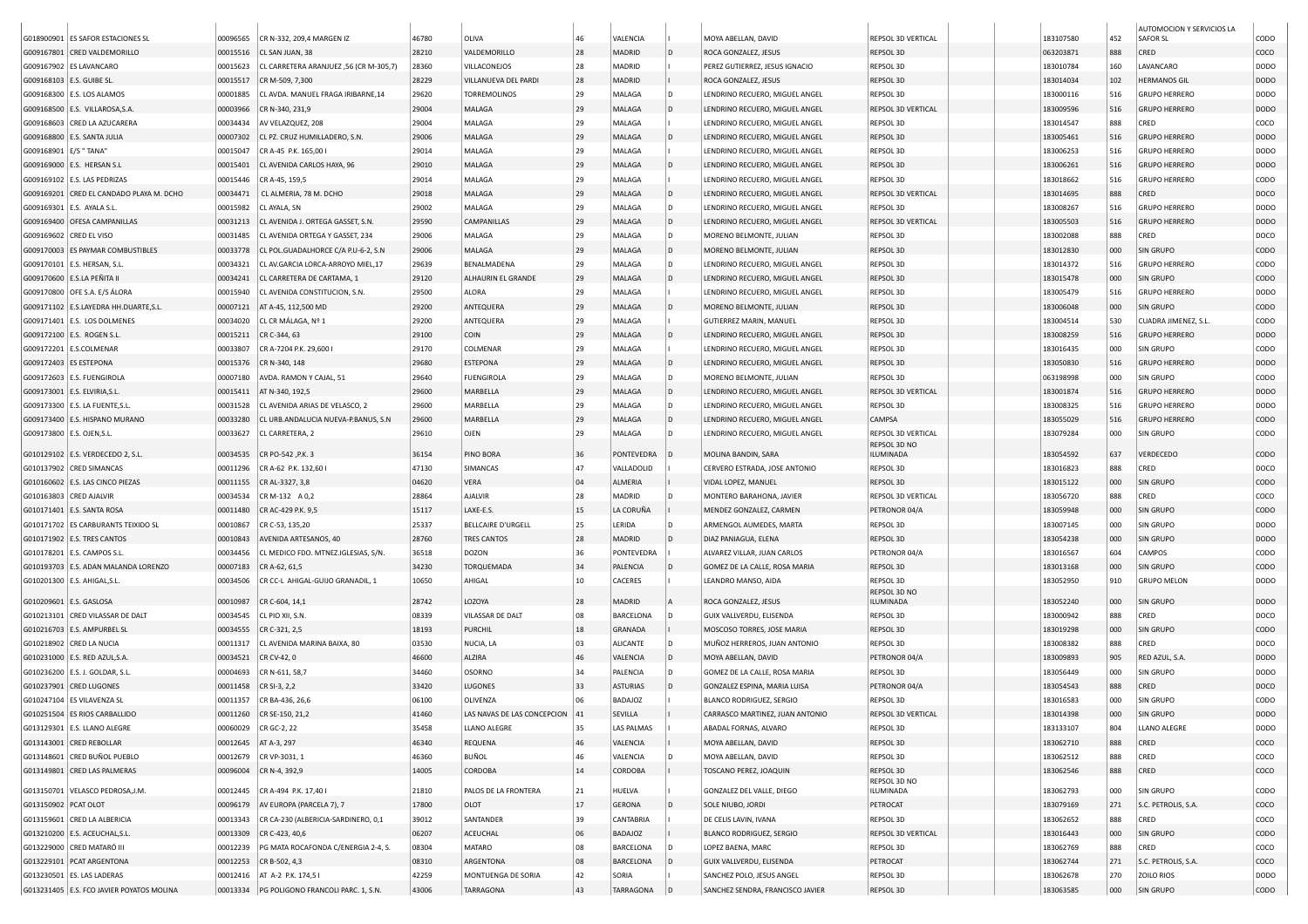|                                           |          |                                             |       |                             |    |                 |              |                                  |                    |           |     | AUTOMOCION Y SERVICIOS LA |             |
|-------------------------------------------|----------|---------------------------------------------|-------|-----------------------------|----|-----------------|--------------|----------------------------------|--------------------|-----------|-----|---------------------------|-------------|
| G018900901 ES SAFOR ESTACIONES SL         | 00096565 | CR N-332, 209,4 MARGEN IZ                   | 46780 | OLIVA                       | 46 | VALENCIA        |              | MOYA ABELLAN, DAVID              | REPSOL 3D VERTICAL | 183107580 | 452 | <b>SAFOR SL</b>           | CODO        |
| G009167801 CRED VALDEMORILLO              | 00015516 | CL SAN JUAN, 38                             | 28210 | VALDEMORILLO                | 28 | MADRID          | D            | ROCA GONZALEZ, JESUS             | REPSOL 3D          | 063203871 | 888 | CRED                      | coco        |
| G009167902 ES LAVANCARO                   | 00015623 | CL CARRETERA ARANJUEZ .56 (CR M-305.7)      | 28360 | VILLACONEJOS                | 28 | MADRID          |              | PEREZ GUTIERREZ, JESUS IGNACIO   | REPSOL 3D          | 183010784 | 160 | LAVANCARO                 | DODO        |
| G009168103   E.S. GUIBE SL                | 00015517 | CR M-509, 7,300                             | 28229 | VILLANUEVA DEL PARDI        | 28 | MADRID          |              | ROCA GONZALEZ, JESUS             | REPSOL 3D          | 183014034 | 102 | <b>HERMANOS GIL</b>       | <b>DODO</b> |
| G009168300 E.S. LOS ALAMOS                | 00001885 | CL AVDA. MANUEL FRAGA IRIBARNE, 14          | 29620 | <b>TORREMOLINOS</b>         | 29 | MALAGA          | D            | LENDRINO RECUERO, MIGUEL ANGEL   | REPSOL 3D          | 183000116 | 516 | <b>GRUPO HERRERO</b>      | DODO        |
| G009168500 E.S. VILLAROSA, S.A.           | 00003966 | CR N-340, 231,9                             | 29004 | MALAGA                      | 29 | MALAGA          | D            | LENDRINO RECUERO, MIGUEL ANGEL   | REPSOL 3D VERTICAL | 183009596 | 516 | <b>GRUPO HERRERO</b>      | <b>DODO</b> |
| G009168603 CRED LA AZUCARERA              | 00034434 | AV VELAZQUEZ, 208                           | 29004 | MALAGA                      | 29 | MALAGA          |              | LENDRINO RECUERO, MIGUEL ANGEL   | REPSOL 3D          | 183014547 | 888 | CRED                      | coco        |
|                                           |          |                                             |       |                             |    |                 |              |                                  |                    |           |     |                           |             |
| G009168800 E.S. SANTA JULIA               | 00007302 | CL PZ. CRUZ HUMILLADERO, S.N.               | 29006 | MALAGA                      | 29 | MALAGA          | D            | LENDRINO RECUERO, MIGUEL ANGEL   | REPSOL 3D          | 183005461 | 516 | <b>GRUPO HERRERO</b>      | <b>DODO</b> |
| G009168901   E/S " TANA"                  | 00015047 | CR A-45 P.K. 165,00 I                       | 29014 | MALAGA                      | 29 | MALAGA          |              | LENDRINO RECUERO, MIGUEL ANGEL   | REPSOL 3D          | 183006253 | 516 | <b>GRUPO HERRERO</b>      | DODO        |
| G009169000   E.S. HERSAN S.L              | 00015401 | CL AVENIDA CARLOS HAYA, 96                  | 29010 | MALAGA                      | 29 | MALAGA          |              | LENDRINO RECUERO, MIGUEL ANGEL   | REPSOL 3D          | 183006261 | 516 | <b>GRUPO HERRERO</b>      | <b>DODO</b> |
| G009169102   E.S. LAS PEDRIZAS            | 00015446 | CR A-45, 159,5                              | 29014 | MALAGA                      | 29 | MALAGA          |              | LENDRINO RECUERO, MIGUEL ANGEL   | REPSOL 3D          | 183018662 | 516 | <b>GRUPO HERRERO</b>      | CODO        |
| G009169201 CRED EL CANDADO PLAYA M. DCHO  | 00034471 | CL ALMERIA, 78 M. DCHO                      | 29018 | MALAGA                      | 29 | MALAGA          | D            | LENDRINO RECUERO, MIGUEL ANGEL   | REPSOL 3D VERTICAL | 183014695 | 888 | CRED                      | DOCO        |
| G009169301 E.S. AYALA S.L.                | 00015982 | CL AYALA, SN                                | 29002 | MALAGA                      | 29 | MALAGA          | D            | LENDRINO RECUERO, MIGUEL ANGEL   | REPSOL 3D          | 183008267 | 516 | <b>GRUPO HERRERO</b>      | DODO        |
| G009169400 OFESA CAMPANILLAS              | 00031213 | CL AVENIDA J. ORTEGA GASSET, S.N.           | 29590 | CAMPANILLAS                 | 29 | MALAGA          | l D          | LENDRINO RECUERO, MIGUEL ANGEL   | REPSOL 3D VERTICAL | 183005503 | 516 | <b>GRUPO HERRERO</b>      | <b>DODO</b> |
| G009169602 CRED EL VISO                   | 00031485 | CL AVENIDA ORTEGA Y GASSET, 234             | 29006 | MALAGA                      | 29 | MALAGA          | <b>D</b>     | MORENO BELMONTE, JULIAN          | REPSOL 3D          | 183002088 | 888 | CRED                      | DOCO        |
| G009170003 ES PAYMAR COMBUSTIBLES         | 00033778 | CL POL.GUADALHORCE C/A P.U-6-2, S.N         | 29006 | MALAGA                      | 29 | MALAGA          | D            | MORENO BELMONTE, JULIAN          | REPSOL 3D          | 183012830 | 000 | SIN GRUPO                 | CODO        |
| G009170101 E.S. HERSAN, S.L.              | 00034321 | CL AV.GARCIA LORCA-ARROYO MIEL,17           | 29639 | BENALMADENA                 | 29 | MALAGA          | D            | LENDRINO RECUERO, MIGUEL ANGEL   | REPSOL 3D          | 183014372 | 516 | <b>GRUPO HERRERO</b>      | CODO        |
| G009170600 E.S.LA PEÑITA II               | 00034241 | CL CARRETERA DE CARTAMA, 1                  | 29120 | ALHAURIN EL GRANDE          | 29 | MALAGA          | ID.          | LENDRINO RECUERO, MIGUEL ANGEL   | REPSOL 3D          | 183015478 | 000 | SIN GRUPO                 | CODO        |
| G009170800 OFE S.A. E/S ÁLORA             | 00015940 | CL AVENIDA CONSTITUCION, S.N.               | 29500 | ALORA                       | 29 | MALAGA          |              | LENDRINO RECUERO, MIGUEL ANGEL   | REPSOL 3D          | 183005479 | 516 | <b>GRUPO HERRERO</b>      | DODO        |
| G009171102 E.S.LAYEDRA HH.DUARTE, S.L.    | 00007121 | AT A-45, 112,500 MD                         | 29200 | ANTEQUERA                   | 29 | MALAGA          | ID.          | MORENO BELMONTE, JULIAN          | REPSOL 3D          | 183006048 | 000 | SIN GRUPO                 | CODO        |
| G009171401 E.S. LOS DOLMENES              | 00034020 | CL CR MÁLAGA, Nº 1                          | 29200 | ANTEQUERA                   | 29 | MALAGA          |              | GUTIERREZ MARIN, MANUEL          | REPSOL 3D          | 183004514 | 530 | CUADRA JIMENEZ, S.L       | CODO        |
|                                           |          |                                             |       |                             |    |                 |              |                                  |                    |           |     |                           |             |
| G009172100 E.S. ROGEN S.L.                | 00015211 | CR C-344, 63                                | 29100 | COIN                        | 29 | MALAGA          | ۱D           | LENDRINO RECUERO, MIGUEL ANGEL   | REPSOL 3D          | 183008259 | 516 | <b>GRUPO HERRERO</b>      | <b>DODO</b> |
| G009172201 E.S.COLMENAR                   | 00033807 | CR A-7204 P.K. 29,600 I                     | 29170 | COLMENAR                    | 29 | MAI AGA         |              | LENDRINO RECUERO, MIGUEL ANGEL   | REPSOL 3D          | 183016435 | 000 | SIN GRUPO                 | CODO        |
| G009172403 ES ESTEPONA                    | 00015376 | CR N-340, 148                               | 29680 | <b>ESTEPONA</b>             | 29 | MALAGA          | $\mathsf{D}$ | LENDRINO RECUERO, MIGUEL ANGEL   | REPSOL 3D          | 183050830 | 516 | <b>GRUPO HERRERO</b>      | <b>DODO</b> |
| G009172603   E.S. FUENGIROLA              | 00007180 | AVDA. RAMON Y CAJAL, 51                     | 29640 | <b>FUENGIROLA</b>           | 29 | MALAGA          | D            | MORENO BELMONTE, JULIAN          | REPSOL 3D          | 063198998 | 000 | SIN GRUPO                 | CODO        |
| G009173001 E.S. ELVIRIA, S.L.             | 00015411 | AT N-340, 192,5                             | 29600 | MARBELLA                    | 29 | MALAGA          | D            | LENDRINO RECUERO, MIGUEL ANGEL   | REPSOL 3D VERTICAL | 183001874 | 516 | <b>GRUPO HERRERO</b>      | <b>DODO</b> |
| G009173300   E.S. LA FUENTE, S.L          | 00031528 | CL AVENIDA ARIAS DE VELASCO, 2              | 29600 | MARBELLA                    | 29 | MALAGA          | D            | LENDRINO RECUERO, MIGUEL ANGEL   | REPSOL 3D          | 183008325 | 516 | <b>GRUPO HERRERO</b>      | DODO        |
| G009173400 E.S. HISPANO MURANO            | 00033280 | CL URB.ANDALUCIA NUEVA-P.BANUS, S.N.        | 29600 | MARBELLA                    | 29 | MALAGA          | l D          | LENDRINO RECUERO, MIGUEL ANGEL   | <b>CAMPSA</b>      | 183055029 | 516 | <b>GRUPO HERRERO</b>      | CODO        |
| G009173800 E.S. OJEN, S.L.                | 00033627 | CL CARRETERA, 2                             | 29610 | OJEN                        | 29 | MALAGA          | D            | LENDRINO RECUERO, MIGUEL ANGEL   | REPSOL 3D VERTICAL | 183079284 | 000 | SIN GRUPO                 | CODO        |
|                                           |          |                                             |       |                             |    |                 |              |                                  | REPSOL 3D NO       |           |     |                           |             |
| G010129102   E.S. VERDECEDO 2, S.L.       | 00034535 | CR PO-542, P.K. 3                           | 36154 | PINO BORA                   | 36 | PONTEVEDRA      |              | MOLINA BANDIN, SARA              | <b>ILUMINADA</b>   | 183054592 | 637 | VERDECEDO                 | CODO        |
| G010137902 CRED SIMANCAS                  | 00011296 | CR A-62 P.K. 132,60 I                       | 47130 | SIMANCAS                    | 47 | VALLADOLID      |              | CERVERO ESTRADA, JOSE ANTONIO    | REPSOL 3D          | 183016823 | 888 | CRED                      | DOCO        |
| G010160602   E.S. LAS CINCO PIEZAS        | 00011155 | CR AL-3327, 3,8                             | 04620 | VERA                        | 04 | ALMERIA         |              | VIDAL LOPEZ, MANUEL              | REPSOL 3D          | 183015122 | 000 | SIN GRUPO                 | <b>CODO</b> |
| G010163803 CRED AJALVIR                   | 00034534 | CR M-132 A 0,2                              | 28864 | <b>AJALVIR</b>              | 28 | MADRID          | D            | MONTERO BARAHONA, JAVIER         | REPSOL 3D VERTICAL | 183056720 | 888 | CRED                      | coco        |
| G010171401 E.S. SANTA ROSA                | 00011480 | CR AC-429 P.K. 9,5                          | 15117 | LAXE-E.S                    | 15 | LA CORUÑA       |              | MENDEZ GONZALEZ, CARMEN          | PETRONOR 04/A      | 183059948 | 000 | SIN GRUPO                 | CODO        |
| G010171702 ES CARBURANTS TEIXIDO SL       | 00010867 | CR C-53, 135,20                             | 25337 | <b>BELLCAIRE D'URGELL</b>   | 25 | LERIDA          | D            | ARMENGOL AUMEDES, MARTA          | REPSOL 3D          | 183007145 | 000 | SIN GRUPO                 | DODO        |
| G010171902 E.S. TRES CANTOS               | 00010843 | AVENIDA ARTESANOS, 40                       | 28760 | <b>TRES CANTOS</b>          | 28 | MADRID          | D            | DIAZ PANIAGUA, ELENA             | REPSOL 3D          | 183054238 | 000 | SIN GRUPO                 | <b>DODO</b> |
| G010178201 E.S. CAMPOS S.L.               | 00034456 | CL MEDICO FDO. MTNEZ.IGLESIAS, S/N          | 36518 | <b>DOZON</b>                | 36 | PONTEVEDRA      |              | ALVAREZ VILLAR, JUAN CARLOS      | PETRONOR 04/A      | 183016567 | 604 | CAMPOS                    | CODO        |
| G010193703 E.S. ADAN MALANDA LORENZO      | 00007183 | CR A-62, 61,5                               | 34230 | TORQUEMADA                  | 34 | PALENCIA        | D            | GOMEZ DE LA CALLE, ROSA MARIA    | REPSOL 3D          | 183013168 | 000 | SIN GRUPO                 | CODO        |
| G010201300 E.S. AHIGAL, S.L.              | 00034506 | CR CC-L AHIGAL-GUIJO GRANADIL, 1            | 10650 | AHIGAL                      | 10 | CACERES         |              | LEANDRO MANSO, AIDA              | REPSOL 3D          | 183052950 | 910 | <b>GRUPO MELON</b>        | DODO        |
|                                           |          |                                             |       |                             |    |                 |              |                                  | REPSOL 3D NO       |           |     |                           |             |
| G010209601 E.S. GASLOSA                   | 00010987 | CR C-604, 14,1                              | 28742 | LOZOYA                      | 28 | MADRID          |              | ROCA GONZALEZ, JESUS             | <b>ILUMINADA</b>   | 183052240 | 000 | SIN GRUPO                 | <b>DODO</b> |
| G010213101 CRED VILASSAR DE DALT          | 00034545 | CL PIO XII, S.N.                            | 08339 | VILASSAR DE DALT            | 08 | BARCELONA       | D            | GUIX VALLVERDU, ELISENDA         | REPSOL 3D          | 183000942 | 888 | CRED                      | DOCO        |
| G010216703 E.S. AMPURBEL SL               | 00034555 | CR C-321, 2,5                               | 18193 | PURCHIL                     | 18 | <b>GRANADA</b>  |              | MOSCOSO TORRES, JOSE MARIA       | REPSOL 3D          | 183019298 | 000 | SIN GRUPO                 | CODO        |
| G010218902 CRED LA NUCIA                  | 00011317 | CL AVENIDA MARINA BAIXA, 80                 | 03530 | NUCIA, LA                   | 03 | <b>ALICANTE</b> | D            | MUÑOZ HERREROS, JUAN ANTONIO     | REPSOL 3D          | 183008382 | 888 | CRED                      | DOCO        |
| G010231000 E.S. RED AZUL, S.A.            | 00034521 | CR CV-42, 0                                 | 46600 | ALZIRA                      | 46 | VALENCIA        | D            | MOYA ABELLAN, DAVID              | PETRONOR 04/A      | 183009893 | 905 | RED AZUL, S.A.            | <b>DODO</b> |
| G010236200 E.S. J. GOLDAR, S.L            | 00004693 | CR N-611, 58.7                              | 34460 | <b>OSORNO</b>               | 34 | PALENCIA        | D            | GOMEZ DE LA CALLE, ROSA MARIA    | REPSOL 3D          | 183056449 | 000 | SIN GRUPO                 | DODO        |
| G010237901 CRED LUGONES                   | 00011458 | CR SI-3, 2,2                                | 33420 | LUGONES                     | 33 | <b>ASTURIAS</b> | D            | GONZALEZ ESPINA, MARIA LUISA     | PETRONOR 04/A      | 183054543 | 888 | CRED                      | DOCO        |
| G010247104 ES VILAVENZA SL                | 00011357 | CR BA-436, 26,6                             | 06100 | OLIVENZA                    | 06 | BADAJOZ         |              | <b>BLANCO RODRIGUEZ, SERGIO</b>  | REPSOL 3D          | 183016583 | 000 | SIN GRUPO                 | CODO        |
| G010251504 ES RIOS CARBALLIDO             | 00011260 | CR SE-150, 21,2                             | 41460 | LAS NAVAS DE LAS CONCEPCION | 41 | SEVILLA         |              | CARRASCO MARTINEZ, JUAN ANTONIO  | REPSOL 3D VERTICAL | 183014398 | 000 | SIN GRUPO                 | <b>DODO</b> |
| G013129301 E.S. LLANO ALEGRE              |          | 00060029 CR GC-2, 22                        | 35458 | LLANO ALEGRE                | 35 | LAS PALMAS      |              | ABADAL FORNAS, ALVARO            | REPSOL 3D          | 183133107 | 804 | <b>LLANO ALEGRE</b>       | <b>DODO</b> |
| G013143001 CRED REBOLLAR                  |          | 00012645   AT A-3, 297                      | 46340 | REQUENA                     | 46 | VALENCIA        |              | MOYA ABELLAN, DAVID              | REPSOL 3D          | 183062710 | 888 | CRED                      | coco        |
| G013148601 CRED BUÑOL PUEBLO              | 00012679 | CR VP-3031, 1                               | 46360 | BUÑOL                       | 46 | VALENCIA        | D            | MOYA ABELLAN, DAVID              | REPSOL 3D          | 183062512 | 888 | CRED                      | coco        |
| G013149801 CRED LAS PALMERAS              |          | 00096004 CR N-4, 392,9                      | 14005 | CORDOBA                     | 14 | CORDOBA         |              | TOSCANO PEREZ, JOAQUIN           | REPSOL 3D          | 183062546 | 888 | CRED                      | coco        |
|                                           |          |                                             |       |                             |    |                 |              |                                  | REPSOL 3D NO       |           |     |                           |             |
| G013150701 VELASCO PEDROSA, J.M.          | 00012445 | CR A-494 P.K. 17,40 I                       | 21810 | PALOS DE LA FRONTERA        | 21 | HUELVA          |              | GONZALEZ DEL VALLE, DIEGO        | ILUMINADA          | 183062793 | 000 | SIN GRUPO                 | CODO        |
| G013150902 PCAT OLOT                      | 00096179 | AV EUROPA (PARCELA 7), 7                    | 17800 | OLOT                        | 17 | GERONA          |              | SOLE NIUBO, JORDI                | PETROCAT           | 183079169 | 271 | S.C. PETROLIS, S.A.       | coco        |
| G013159601 CRED LA ALBERICIA              | 00013343 | CR CA-230 (ALBERICIA-SARDINERO, 0,1         | 39012 | SANTANDER                   | 39 | CANTABRIA       |              | DE CELIS LAVIN, IVANA            | REPSOL 3D          | 183062652 | 888 | CRED                      | coco        |
| G013210200 E.S. ACEUCHAL, S.L.            | 00013309 | CR C-423, 40,6                              | 06207 | ACEUCHAL                    | 06 | BADAJOZ         |              | <b>BLANCO RODRIGUEZ, SERGIO</b>  | REPSOL 3D VERTICAL | 183016443 | 000 | SIN GRUPO                 | CODO        |
| G013229000 CRED MATARÓ III                | 00012239 | PG MATA ROCAFONDA C/ENERGIA 2-4, S.         | 08304 | MATARO                      | 08 | BARCELONA       | D            | LOPEZ BAENA, MARC                | REPSOL 3D          | 183062769 | 888 | CRED                      | coco        |
| G013229101 PCAT ARGENTONA                 | 00012253 | CR B-502, 4,3                               | 08310 | ARGENTONA                   | 08 | BARCELONA       |              | GUIX VALLVERDU, ELISENDA         | PETROCAT           | 183062744 | 271 | S.C. PETROLIS, S.A.       | coco        |
| G013230501 ES. LAS LADERAS                | 00012416 | AT A-2 P.K. 174,5 I                         | 42259 | MONTUENGA DE SORIA          | 42 | SORIA           |              | SANCHEZ POLO, JESUS ANGEL        | REPSOL 3D          | 183062678 | 270 | ZOILO RIOS                | <b>DODO</b> |
| G013231405 E.S. FCO JAVIER POYATOS MOLINA |          | 00013334 PG POLIGONO FRANCOLI PARC. 1, S.N. | 43006 | TARRAGONA                   | 43 | TARRAGONA       |              | SANCHEZ SENDRA, FRANCISCO JAVIER | REPSOL 3D          | 183063585 | 000 | SIN GRUPO                 | CODO        |
|                                           |          |                                             |       |                             |    |                 |              |                                  |                    |           |     |                           |             |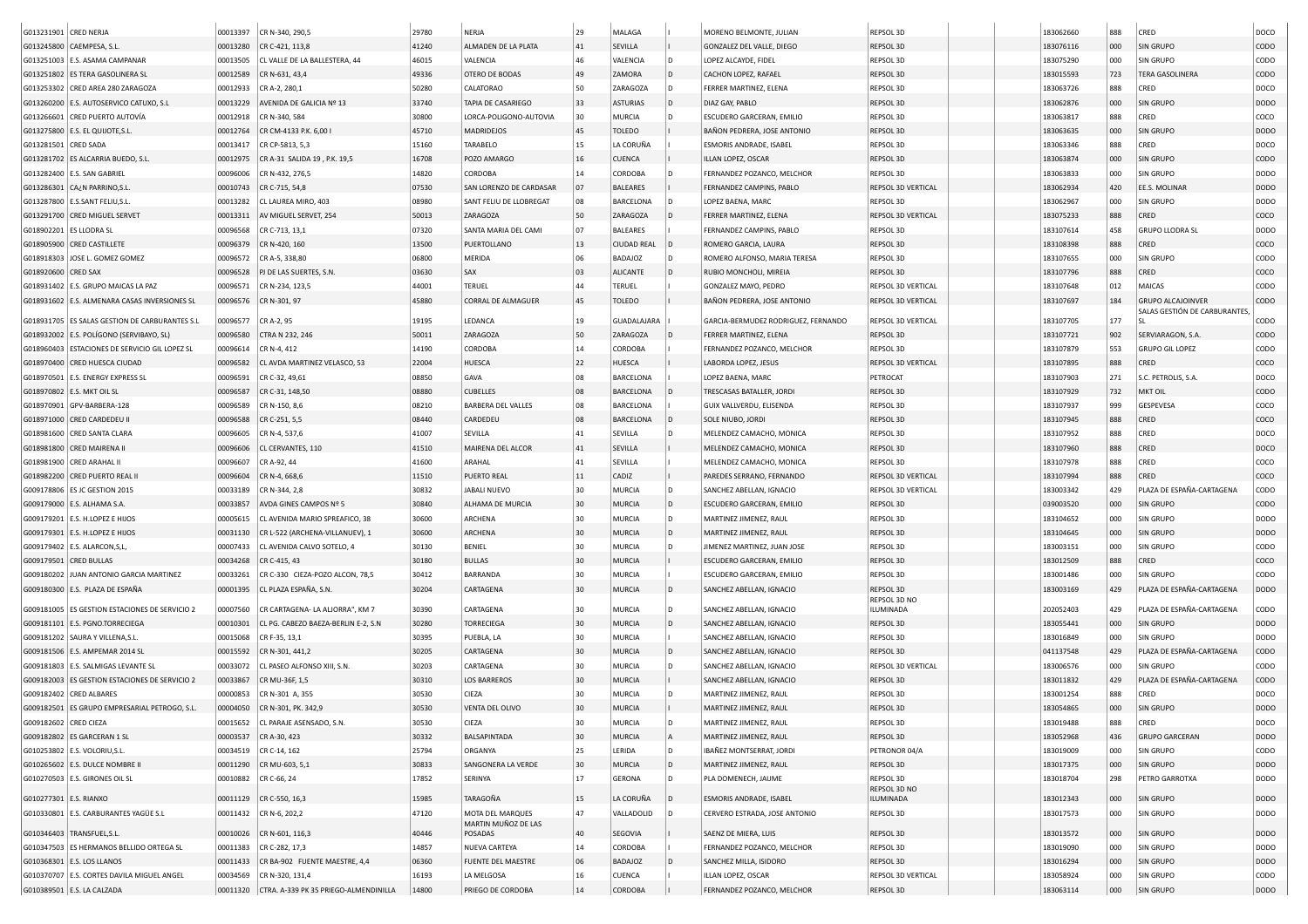| G013231901 CRED NERJA                                                                | 00013397 | CR N-340, 290,5                                | 29780 | NERJA                     | 29 | MALAGA                    |   | MORENO BELMONTE, JULIAN             | REPSOL 3D                 | 183062660 | 888        | CRED                         | DOCO             |
|--------------------------------------------------------------------------------------|----------|------------------------------------------------|-------|---------------------------|----|---------------------------|---|-------------------------------------|---------------------------|-----------|------------|------------------------------|------------------|
| G013245800 CAEMPESA, S.L.                                                            | 00013280 | CR C-421, 113,8                                | 41240 | ALMADEN DE LA PLATA       | 41 | SEVILLA                   |   | GONZALEZ DEL VALLE, DIEGO           | REPSOL 3D                 | 183076116 | 000        | SIN GRUPO                    | <b>CODO</b>      |
| G013251003 E.S. ASAMA CAMPANAR                                                       | 00013505 | CL VALLE DE LA BALLESTERA, 44                  | 46015 | VALENCIA                  | 46 | VALENCIA                  |   | LOPEZ ALCAYDE, FIDEL                | REPSOL 3D                 | 183075290 | 000        | SIN GRUPO                    | CODO             |
| G013251802 ES TERA GASOLINERA SL                                                     | 00012589 | CR N-631, 43,4                                 | 49336 | OTERO DE BODAS            | 49 | ZAMORA                    | D | CACHON LOPEZ, RAFAEL                | REPSOL 3D                 | 183015593 | 723        | <b>TERA GASOLINERA</b>       | CODO             |
| G013253302 CRED AREA 280 ZARAGOZA                                                    | 00012933 | CR A-2, 280,1                                  | 50280 | CALATORAO                 | 50 | ZARAGOZ/                  | D | FERRER MARTINEZ, ELENA              | REPSOL 3D                 | 183063726 | 888        | CRED                         | DOCO             |
| G013260200 E.S. AUTOSERVICO CATUXO, S.L                                              | 00013229 | AVENIDA DE GALICIA Nº 13                       | 33740 | TAPIA DE CASARIEGO        | 33 | ASTURIAS                  |   | DIAZ GAY, PABLO                     | REPSOL 3D                 | 183062876 | 000        | <b>SIN GRUPO</b>             | <b>DODO</b>      |
| G013266601 CRED PUERTO AUTOVÍA                                                       | 00012918 | CR N-340, 584                                  | 30800 | LORCA-POLIGONO-AUTOVIA    | 30 | MURCIA                    |   | ESCUDERO GARCERAN, EMILIO           | REPSOL 3D                 | 183063817 | 888        | CRED                         | COCO             |
| G013275800 E.S. EL QUIJOTE, S.L                                                      | 00012764 | CR CM-4133 P.K. 6,00 I                         | 45710 | MADRIDEJOS                | 45 | <b>TOLEDO</b>             |   | BAÑON PEDRERA, JOSE ANTONIO         | REPSOL 3D                 | 183063635 | 000        | <b>SIN GRUPO</b>             | <b>DODO</b>      |
| G013281501 CRED SADA                                                                 | 00013417 | CR CP-5813, 5,3                                | 15160 | TARABELO                  | 15 | LA CORUÑA                 |   | ESMORIS ANDRADE, ISABEL             | REPSOL 3D                 | 183063346 | 888        | CRED                         | DOCO             |
| G013281702 ES ALCARRIA BUEDO, S.L.                                                   | 00012975 | CR A-31 SALIDA 19, P.K. 19,5                   | 16708 | POZO AMARGO               | 16 | CUENCA                    |   | ILLAN LOPEZ, OSCAR                  | REPSOL 3D                 | 183063874 | 000        | SIN GRUPO                    | CODO             |
| G013282400 E.S. SAN GABRIEL                                                          | 00096006 | CR N-432, 276,5                                | 14820 | CORDOBA                   | 14 | CORDOBA                   |   | FERNANDEZ POZANCO, MELCHOR          | REPSOL 3D                 | 183063833 | 000        | SIN GRUPO                    | <b>DODO</b>      |
| G013286301 CA¿N PARRINO, S.L                                                         | 00010743 | CR C-715, 54,8                                 | 07530 | SAN LORENZO DE CARDASAR   | 07 | <b>BALEARES</b>           |   | FERNANDEZ CAMPINS, PABLO            | REPSOL 3D VERTICAL        | 183062934 | 420        | EE.S. MOLINAR                | <b>DODO</b>      |
| G013287800 E.S.SANT FELIU, S.L                                                       | 00013282 | CL LAUREA MIRO, 403                            | 08980 | SANT FELIU DE LLOBREGAT   | 08 | <b>BARCELONA</b>          |   | LOPEZ BAENA, MARC                   | REPSOL 3D                 | 183062967 | 000        | SIN GRUPO                    | <b>DODO</b>      |
| G013291700 CRED MIGUEL SERVET                                                        | 00013311 | AV MIGUEL SERVET, 254                          | 50013 | ZARAGOZA                  | 50 | ZARAGOZA                  |   | FERRER MARTINEZ, ELENA              | REPSOL 3D VERTICAL        | 183075233 | 888        | CRED                         | coco             |
| G018902201 ES LLODRA SL                                                              | 00096568 | CR C-713, 13,1                                 | 07320 | SANTA MARIA DEL CAMI      | 07 | <b>BALEARES</b>           |   | FERNANDEZ CAMPINS, PABLO            | REPSOL 3D                 | 183107614 | 458        | <b>GRUPO LLODRA SL</b>       | <b>DODO</b>      |
| G018905900 CRED CASTILLETE                                                           | 00096379 | CR N-420, 160                                  | 13500 | PUERTOLLANO               | 13 | <b>CIUDAD REAL</b>        |   | ROMERO GARCIA, LAURA                | REPSOL 3D                 | 183108398 | 888        | CRED                         | coco             |
| JOSE L. GOMEZ GOMEZ<br>G018918303                                                    | 00096572 | CR A-5, 338,80                                 | 06800 | MERIDA                    | 06 | BADAJOZ                   |   | ROMERO ALFONSO, MARIA TERESA        | REPSOL 3D                 | 183107655 | 000        | SIN GRUPO                    | copo             |
|                                                                                      |          |                                                | 03630 | SAX                       | 03 |                           |   |                                     |                           |           |            | CRED                         | coco             |
| G018920600 CRED SAX                                                                  | 00096528 | PJ DE LAS SUERTES, S.N.                        | 44001 | TERUEL                    | 44 | ALICANTE<br><b>TERUEL</b> |   | RUBIO MONCHOLI, MIREIA              | REPSOL 3D                 | 183107796 | 888<br>012 | MAICAS                       | copo             |
| G018931402 E.S. GRUPO MAICAS LA PAZ<br>G018931602 E.S. ALMENARA CASAS INVERSIONES SL | 00096571 | CR N-234, 123,5                                |       | <b>CORRAL DE ALMAGUER</b> | 45 |                           |   | GONZALEZ MAYO, PEDRO                | REPSOL 3D VERTICAL        | 183107648 |            | <b>GRUPO ALCAJOINVER</b>     | <b>CODO</b>      |
|                                                                                      | 00096576 | CR N-301, 97                                   | 45880 |                           |    | TOLEDO                    |   | BAÑON PEDRERA, JOSE ANTONIO         | REPSOL 3D VERTICAL        | 183107697 | 184        | SALAS GESTIÓN DE CARBURANTES |                  |
| G018931705   ES SALAS GESTION DE CARBURANTES S.L                                     | 00096577 | CR A-2, 95                                     | 19195 | LEDANCA                   | 19 | <b>GUADALAJARA</b>        |   | GARCIA-BERMUDEZ RODRIGUEZ, FERNANDO | REPSOL 3D VERTICAL        | 183107705 | 177        | <b>SL</b>                    | <b>CODO</b>      |
| G018932002 E.S. POLÍGONO (SERVIBAYO, SL)                                             | 00096580 | CTRA N 232, 246                                | 50011 | ZARAGOZA                  | 50 | ZARAGOZA                  |   | FERRER MARTINEZ, ELENA              | REPSOL 3D                 | 183107721 | 902        | SERVIARAGON, S.A.            | <b>CODO</b>      |
| G018960403 ESTACIONES DE SERVICIO GIL LOPEZ SL                                       | 00096614 | CR N-4, 412                                    | 14190 | CORDOBA                   | 14 | CORDOBA                   |   | FERNANDEZ POZANCO, MELCHOR          | REPSOL 3D                 | 183107879 | 553        | <b>GRUPO GIL LOPEZ</b>       | copo             |
| G018970400 CRED HUESCA CIUDAD                                                        | 00096582 | CL AVDA MARTINEZ VELASCO, 53                   | 22004 | HUESCA                    | 22 | HUESCA                    |   | LABORDA LOPEZ, JESUS                | REPSOL 3D VERTICAL        | 183107895 | 888        | CRED                         | coco             |
| G018970501 E.S. ENERGY EXPRESS SL                                                    | 00096591 | CR C-32, 49,61                                 | 08850 | GAVA                      | 08 | BARCELONA                 |   | LOPEZ BAENA, MARC                   | PETROCAT                  | 183107903 | 271        | S.C. PETROLIS, S.A.          | DOCO             |
| G018970802 E.S. MKT OIL SL                                                           | 00096587 | CR C-31, 148,50                                | 08880 | <b>CUBELLES</b>           | 08 | BARCELONA                 |   | TRESCASAS BATALLER, JORDI           | REPSOL 3D                 | 183107929 | 732        | <b>MKT OIL</b>               | CODO             |
| G018970901 GPV-BARBERA-128                                                           | 00096589 | CR N-150, 8,6                                  | 08210 | BARBERA DEL VALLES        | 08 | <b>BARCELONA</b>          |   | GUIX VALLVERDU, ELISENDA            | REPSOL 3D                 | 183107937 | 999        | GESPEVESA                    | coco             |
| G018971000 CRED CARDEDEU II                                                          | 00096588 | CR C-251, 5,5                                  | 08440 | CARDEDEU                  | 08 | <b>BARCELONA</b>          |   | SOLE NIUBO, JORDI                   | REPSOL 3D                 | 183107945 | 888        | CRED                         | coco             |
| G018981600 CRED SANTA CLARA                                                          | 00096605 | CR N-4, 537,6                                  | 41007 | SEVILLA                   | 41 | SEVILLA                   |   | MELENDEZ CAMACHO, MONICA            | REPSOL 3D                 | 183107952 | 888        | CRED                         | DOCO             |
| G018981800 CRED MAIRENA II                                                           | 00096606 | CL CERVANTES, 110                              | 41510 | MAIRENA DEL ALCOR         | 41 | SEVILLA                   |   | MELENDEZ CAMACHO, MONICA            | REPSOL 3D                 | 183107960 | 888        | CRED                         | DOCO             |
| G018981900 CRED ARAHAL II                                                            | 00096607 | CR A-92, 44                                    | 41600 | ARAHAL                    | 41 | SEVILLA                   |   | MELENDEZ CAMACHO, MONICA            | REPSOL 3D                 | 183107978 | 888        | CRED                         | COCO             |
| G018982200 CRED PUERTO REAL I                                                        | 00096604 | CR N-4, 668,6                                  | 11510 | PUERTO REAL               | 11 | CADIZ                     |   | PAREDES SERRANO, FERNANDO           | REPSOL 3D VERTICAL        | 183107994 | 888        | CRED                         | coco             |
| G009178806 ES JC GESTION 2015                                                        | 00033189 | CR N-344, 2,8                                  | 30832 | JABALI NUEVO              | 30 | MURCIA                    | D | SANCHEZ ABELLAN, IGNACIO            | REPSOL 3D VERTICAL        | 183003342 | 429        | PLAZA DE ESPAÑA-CARTAGENA    | CODO             |
| G009179000 E.S. ALHAMA S.A.                                                          | 00033857 | AVDA GINES CAMPOS Nº 5                         | 30840 | ALHAMA DE MURCIA          | 30 | MURCIA                    | D | ESCUDERO GARCERAN, EMILIO           | REPSOL 3D                 | 039003520 | 000        | SIN GRUPO                    | CODO             |
| G009179201   E.S. H.LOPEZ E HIJOS                                                    | 00005615 | CL AVENIDA MARIO SPREAFICO, 38                 | 30600 | ARCHENA                   | 30 | MURCIA                    | D | MARTINEZ JIMENEZ, RAUL              | REPSOL 3D                 | 183104652 | 000        | SIN GRUPO                    | <b>DODO</b>      |
| G009179301   E.S. H.LOPEZ E HIJOS                                                    | 00031130 | CR L-522 (ARCHENA-VILLANUEV), :                | 30600 | ARCHENA                   | 30 | MURCIA                    |   | MARTINEZ JIMENEZ, RAUL              | REPSOL 3D                 | 183104645 | 000        | <b>SIN GRUPO</b>             | <b>DODO</b>      |
| G009179402   E.S. ALARCON, S, L,                                                     | 00007433 | CL AVENIDA CALVO SOTELO, 4                     | 30130 | BENIEL                    | 30 | <b>MURCIA</b>             | D | JIMENEZ MARTINEZ, JUAN JOSE         | REPSOL 3D                 | 183003151 | 000        | SIN GRUPO                    | copo             |
| G009179501 CRED BULLAS                                                               | 00034268 | CR C-415, 43                                   | 30180 | <b>BULLAS</b>             | 30 | MURCIA                    |   | ESCUDERO GARCERAN, EMILIO           | REPSOL 3D                 | 183012509 | 888        | CRED                         | coco             |
| G009180202 JUAN ANTONIO GARCIA MARTINEZ                                              | 00033261 | CR C-330 CIEZA-POZO ALCON, 78,5                | 30412 | BARRANDA                  | 30 | MURCIA                    |   | ESCUDERO GARCERAN, EMILIO           | REPSOL 3D                 | 183001486 | 000        | SIN GRUPO                    | copo             |
| G009180300 E.S. PLAZA DE ESPAÑA                                                      | 00001395 | CL PLAZA ESPAÑA, S.N.                          | 30204 | CARTAGENA                 | 30 | MURCIA                    |   | SANCHEZ ABELLAN, IGNACIO            | REPSOL 3D                 | 183003169 | 429        | PLAZA DE ESPAÑA-CARTAGENA    | DOD <sub>O</sub> |
|                                                                                      |          |                                                |       |                           |    |                           |   |                                     | REPSOL 3D NO              |           |            |                              |                  |
| G009181005 ES GESTION ESTACIONES DE SERVICIO 2                                       | 00007560 | CR CARTAGENA- LA ALJORRA", KM 7                | 30390 | CARTAGENA                 | 30 | <b>MURCIA</b>             |   | SANCHEZ ABELLAN, IGNACIO            | ILUMINADA                 | 202052403 | 429        | PLAZA DE ESPAÑA-CARTAGENA    | <b>CODO</b>      |
| G009181101 E.S. PGNO.TORRECIEGA                                                      | 00010301 | CL PG. CABEZO BAEZA-BERLIN E-2, S.N            | 30280 | <b>TORRECIEGA</b>         | 30 | <b>MURCIA</b>             | D | SANCHEZ ABELLAN, IGNACIO            | REPSOL 3D                 | 183055441 | 000        | <b>SIN GRUPO</b>             | DODO             |
| G009181202   SAURA Y VILLENA, S.L.                                                   | 00015068 | CR F-35, 13,1                                  | 30395 | PUEBLA, LA                | 30 | MURCIA                    |   | SANCHEZ ABELLAN, IGNACIO            | REPSOL 3D                 | 183016849 | 000        | SIN GRUPO                    | DODO             |
| G009181506 E.S. AMPEMAR 2014 SL                                                      | 00015592 | CR N-301, 441,2                                | 30205 | CARTAGENA                 | 30 | <b>MURCIA</b>             | D | SANCHEZ ABELLAN, IGNACIO            | REPSOL 3D                 | 041137548 | 429        | PLAZA DE ESPAÑA-CARTAGENA    | <b>CODO</b>      |
| G009181803 E.S. SALMIGAS LEVANTE SL                                                  | 00033072 | CL PASEO ALFONSO XIII, S.N.                    | 30203 | CARTAGENA                 | 30 | MURCIA                    |   | SANCHEZ ABELLAN, IGNACIO            | REPSOL 3D VERTICAL        | 183006576 | 000        | SIN GRUPO                    | CODO             |
| G009182003 ES GESTION ESTACIONES DE SERVICIO 2                                       | 00033867 | CR MU-36F, 1,5                                 | 30310 | <b>LOS BARREROS</b>       | 30 | MURCIA                    |   | SANCHEZ ABELLAN, IGNACIO            | REPSOL 3D                 | 183011832 | 429        | PLAZA DE ESPAÑA-CARTAGENA    | <b>CODO</b>      |
| G009182402 CRED ALBARES                                                              | 00000853 | CR N-301 A, 355                                | 30530 | CIEZA                     | 30 | MURCIA                    |   | MARTINEZ JIMENEZ, RAUL              | REPSOL 3D                 | 183001254 | 888        | CRED                         | DOCO             |
| G009182501 ES GRUPO EMPRESARIAL PETROGO, S.L.                                        | 00004050 | CR N-301, PK. 342,9                            | 30530 | VENTA DEL OLIVO           | 30 | MURCIA                    |   | MARTINEZ JIMENEZ, RAUL              | REPSOL 3D                 | 183054865 | 000        | SIN GRUPO                    | <b>DODO</b>      |
| G009182602 CRED CIEZA                                                                |          | 00015652 CL PARAJE ASENSADO, S.N.              | 30530 | CIEZA                     | 30 | MURCIA                    | D | MARTINEZ JIMENEZ, RAUL              | REPSOL 3D                 | 183019488 | 888        | CRED                         | DOCO             |
| G009182802 ES GARCERAN 1 SL                                                          |          | 00003537 CR A-30, 423                          | 30332 | BALSAPINTADA              | 30 | <b>MURCIA</b>             | A | MARTINEZ JIMENEZ, RAUL              | REPSOL 3D                 | 183052968 | 436        | <b>GRUPO GARCERAN</b>        | <b>DODO</b>      |
| G010253802 E.S. VOLORIU, S.L.                                                        |          | 00034519 CR C-14, 162                          | 25794 | ORGANYA                   | 25 | LERIDA                    | D | IBAÑEZ MONTSERRAT, JORDI            | PETRONOR 04/A             | 183019009 | 000        | SIN GRUPO                    | <b>CODO</b>      |
| G010265602 E.S. DULCE NOMBRE I                                                       |          | 00011290 CR MU-603, 5,1                        | 30833 | SANGONERA LA VERDE        | 30 | <b>MURCIA</b>             | D | MARTINEZ JIMENEZ, RAUL              | REPSOL 3D                 | 183017375 | 000        | SIN GRUPO                    | <b>DODO</b>      |
| G010270503 E.S. GIRONES OIL SL                                                       |          | 00010882 CR C-66, 24                           | 17852 | SERINYA                   | 17 | <b>GERONA</b>             | D | PLA DOMENECH, JAUME                 | REPSOL 3D                 | 183018704 | 298        | PETRO GARROTXA               | <b>DODO</b>      |
| G010277301 E.S. RIANXO                                                               |          | 00011129 CR C-550, 16,3                        | 15985 | TARAGOÑA                  | 15 | LA CORUÑA                 |   | ESMORIS ANDRADE, ISABEL             | REPSOL 3D NO<br>ILUMINADA | 183012343 | 000        | SIN GRUPO                    | DODO             |
| G010330801 E.S. CARBURANTES YAGÜE S.L                                                |          | 00011432 CR N-6, 202,2                         | 47120 | MOTA DEL MARQUES          | 47 | VALLADOLID                |   | CERVERO ESTRADA, JOSE ANTONIO       | REPSOL 3D                 | 183017573 | 000        | SIN GRUPO                    | <b>DODO</b>      |
|                                                                                      |          |                                                |       | MARTIN MUÑOZ DE LAS       |    |                           |   |                                     |                           |           |            |                              |                  |
| G010346403 TRANSFUEL, S.L.                                                           |          | 00010026   CR N-601, 116,3                     | 40446 | POSADAS                   | 40 | SEGOVIA                   |   | SAENZ DE MIERA, LUIS                | REPSOL 3D                 | 183013572 | 000        | <b>SIN GRUPO</b>             | DODO             |
| G010347503 ES HERMANOS BELLIDO ORTEGA SL                                             | 00011383 | CR C-282, 17,3                                 | 14857 | NUEVA CARTEYA             | 14 | CORDOBA                   |   | FERNANDEZ POZANCO, MELCHOR          | REPSOL 3D                 | 183019090 | 000        | SIN GRUPO                    | <b>DODO</b>      |
| G010368301 E.S. LOS LLANOS                                                           |          | 00011433 CR BA-902 FUENTE MAESTRE, 4,4         | 06360 | <b>FUENTE DEL MAESTRE</b> | 06 | BADAJOZ                   |   | SANCHEZ MILLA, ISIDORO              | REPSOL 3D                 | 183016294 | 000        | <b>SIN GRUPO</b>             | DODO             |
| G010370707 E.S. CORTES DAVILA MIGUEL ANGEL                                           |          | 00034569 CR N-320, 131,4                       | 16193 | LA MELGOSA                | 16 | CUENCA                    |   | ILLAN LOPEZ, OSCAR                  | REPSOL 3D VERTICAL        | 183058924 | 000        | SIN GRUPO                    | CODO             |
| G010389501 E.S. LA CALZADA                                                           |          | 00011320 CTRA. A-339 PK 35 PRIEGO-ALMENDINILLA | 14800 | PRIEGO DE CORDOBA         | 14 | CORDOBA                   |   | FERNANDEZ POZANCO, MELCHOR          | REPSOL 3D                 | 183063114 | 000        | SIN GRUPO                    | <b>DODO</b>      |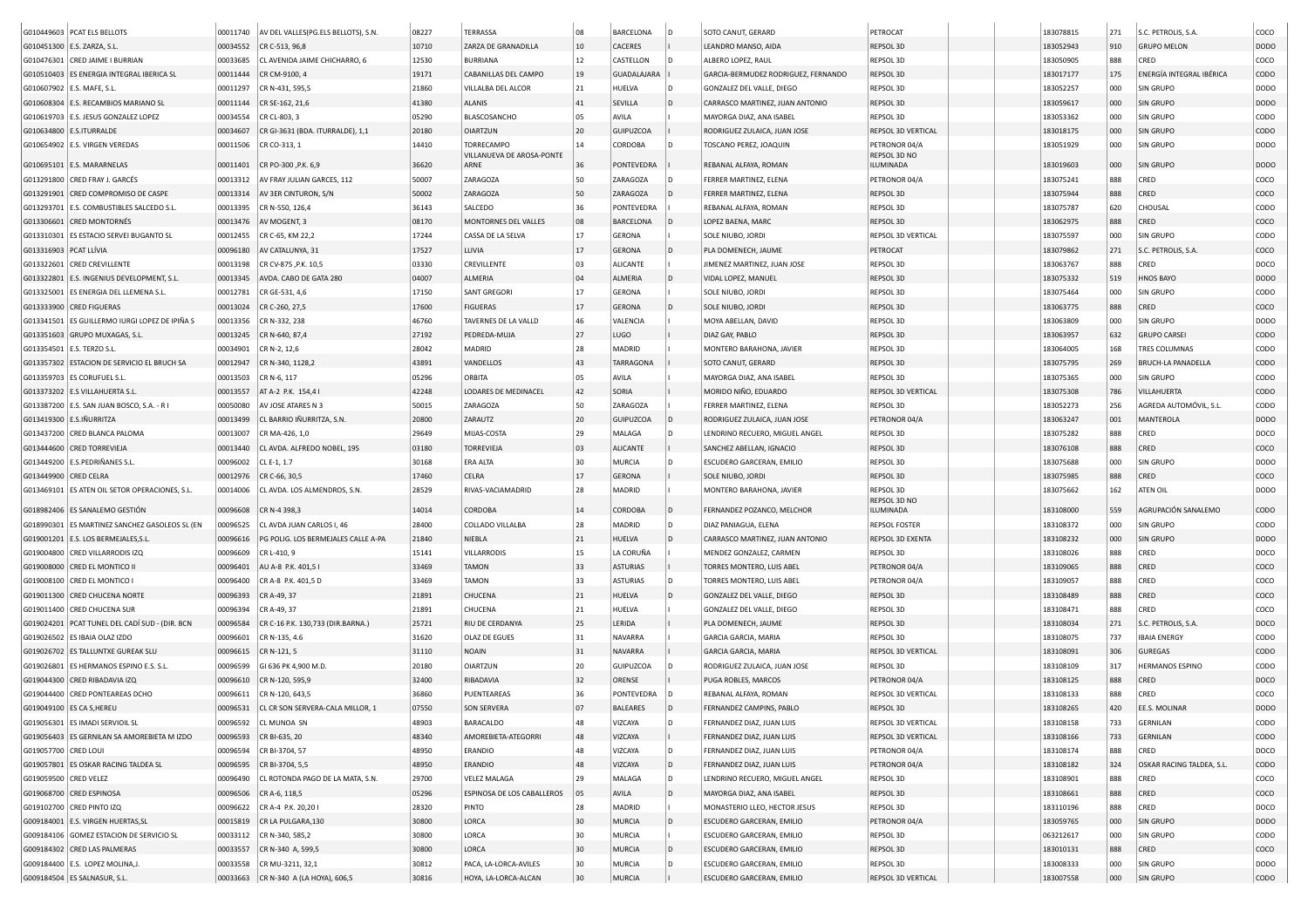|                        | G010449603 PCAT ELS BELLOTS                    | 00011740 | AV DEL VALLES(PG.ELS BELLOTS), S.N.       | 08227          | TERRASSA                          | 08 | <b>BARCELONA</b>   |     | SOTO CANUT, GERARD                  | PETROCAT                  | 183078815 | 271 | S.C. PETROLIS, S.A.           | coco             |
|------------------------|------------------------------------------------|----------|-------------------------------------------|----------------|-----------------------------------|----|--------------------|-----|-------------------------------------|---------------------------|-----------|-----|-------------------------------|------------------|
|                        | G010451300   E.S. ZARZA, S.L.                  | 00034552 | CR C-513, 96,8                            | 10710          | ZARZA DE GRANADILLA               | 10 | CACERES            |     | LEANDRO MANSO, AIDA                 | REPSOL 3D                 | 183052943 | 910 | <b>GRUPO MELON</b>            | <b>DODO</b>      |
|                        | G010476301 CRED JAIME I BURRIAN                | 00033685 | CL AVENIDA JAIME CHICHARRO, 6             | 12530          | BURRIANA                          | 12 | CASTELLON          |     | ALBERO LOPEZ, RAUL                  | REPSOL 3D                 | 183050905 | 888 | CRED                          | coco             |
|                        | G010510403 ES ENERGIA INTEGRAL IBERICA SL      | 00011444 | CR CM-9100, 4                             | 19171          | CABANILLAS DEL CAMPO              | 19 | <b>GUADALAJARA</b> |     | GARCIA-BERMUDEZ RODRIGUEZ, FERNANDO | REPSOL 3D                 | 183017177 | 175 | ENERGÍA INTEGRAL IBÉRICA      | <b>CODO</b>      |
|                        | G010607902 E.S. MAFE, S.L.                     | 00011297 | CR N-431, 595,5                           | 21860          | VILLALBA DEL ALCOR                | 21 | HUELVA             | D   | GONZALEZ DEL VALLE, DIEGO           | REPSOL 3D                 | 183052257 | 000 | <b>SIN GRUPO</b>              | <b>DODO</b>      |
|                        | G010608304 E.S. RECAMBIOS MARIANO SL           | 00011144 | CR SE-162, 21,6                           | 41380          | <b>ALANIS</b>                     | 41 | SEVILLA            | D   | CARRASCO MARTINEZ, JUAN ANTONIO     | REPSOL 3D                 | 183059617 | 000 | SIN GRUPO                     | <b>DODO</b>      |
|                        | G010619703 E.S. JESUS GONZALEZ LOPEZ           | 00034554 | CR CL-803, 3                              | 05290          | <b>BLASCOSANCHO</b>               | 05 | AVILA              |     | MAYORGA DIAZ, ANA ISABEL            | REPSOL 3D                 | 183053362 | 000 | <b>SIN GRUPO</b>              | CODO             |
|                        | G010634800 E.S.ITURRALDE                       | 00034607 | CR GI-3631 (BDA. ITURRALDE), 1,1          | 20180          | <b>OIARTZUN</b>                   | 20 | <b>GUIPUZCOA</b>   |     | RODRIGUEZ ZULAICA, JUAN JOSE        | REPSOL 3D VERTICAL        | 183018175 | 000 | <b>SIN GRUPO</b>              | <b>CODO</b>      |
|                        | G010654902 E.S. VIRGEN VEREDAS                 | 00011506 | CR CO-313, 1                              | 14410          | TORRECAMPO                        | 14 | CORDOBA            |     | TOSCANO PEREZ, JOAQUIN              | PETRONOR 04/A             | 183051929 | 000 | <b>SIN GRUPO</b>              | DODO             |
|                        | G010695101 E.S. MARARNELAS                     | 00011401 | CR PO-300, P.K. 6,9                       | 36620          | VILLANUEVA DE AROSA-PONTE<br>ARNE | 36 | PONTEVEDRA         |     | REBANAL ALFAYA, ROMAN               | REPSOL 3D NO<br>ILUMINADA | 183019603 | 000 | <b>SIN GRUPO</b>              | <b>DODO</b>      |
|                        | G013291800 CRED FRAY J. GARCÉS                 | 00013312 | AV FRAY JULIAN GARCES, 112                | 50007          | ZARAGOZA                          | 50 | ZARAGOZA           | D   | FERRER MARTINEZ, ELENA              | PETRONOR 04/A             | 183075241 | 888 | CRED                          | COCO             |
|                        | G013291901 CRED COMPROMISO DE CASPE            | 00013314 | AV 3ER CINTURON, S/N                      | 50002          | ZARAGOZA                          | 50 | ZARAGOZA           | D   | FERRER MARTINEZ, ELENA              | REPSOL 3D                 | 183075944 | 888 | CRED                          | coco             |
|                        | G013293701 E.S. COMBUSTIBLES SALCEDO S.L       | 00013395 | CR N-550, 126,4                           | 36143          | SALCEDO                           | 36 | PONTEVEDRA         |     | REBANAL ALFAYA, ROMAN               | REPSOL 3D                 | 183075787 | 620 | CHOUSAL                       | CODO             |
| G013306601             | <b>CRED MONTORNÉS</b>                          | 00013476 | AV MOGENT, 3                              | 08170          | MONTORNES DEL VALLES              | 08 | <b>BARCELONA</b>   | l D | LOPEZ BAENA, MARC                   | REPSOL 3D                 | 183062975 | 888 | CRED                          | coco             |
| G013310301             | ES ESTACIO SERVEI BUGANTO SL                   | 00012455 | CR C-65, KM 22,2                          | 17244          | CASSA DE LA SELVA                 | 17 | <b>GERONA</b>      |     | SOLE NIUBO, JORDI                   | REPSOL 3D VERTICAL        | 183075597 | 000 | <b>SIN GRUPO</b>              | CODO             |
| G013316903 PCAT LLÍVIA |                                                | 00096180 | AV CATALUNYA, 31                          | 17527          | LLIVIA                            | 17 | <b>GERONA</b>      | ID  | PLA DOMENECH, JAUME                 | PETROCAT                  | 183079862 | 271 | S.C. PETROLIS, S.A.           | coco             |
|                        |                                                | 00013198 |                                           | 03330          | CREVILLENTE                       | 03 | ALICANTE           |     |                                     | REPSOL 3D                 | 183063767 | 888 | CRED                          | DOCO             |
| G013322601             | <b>CRED CREVILLENTE</b>                        |          | CR CV-875, P.K. 10,5                      |                |                                   | 04 |                    |     | JIMENEZ MARTINEZ, JUAN JOSE         |                           |           |     |                               | DOD <sub>O</sub> |
| G013322801             | E.S. INGENIUS DEVELOPMENT, S.L.                | 00013345 | AVDA. CABO DE GATA 280                    | 04007<br>17150 | ALMERIA<br><b>SANT GREGORI</b>    | 17 | ALMERIA            |     | VIDAL LOPEZ, MANUEL                 | REPSOL 3D<br>REPSOL 3D    | 183075332 | 519 | HNOS BAYO<br><b>SIN GRUPO</b> | copo             |
|                        | G013325001 ES ENERGIA DEL LLEMENA S.L          | 00012781 | CR GE-531, 4,6                            |                |                                   |    | GERONA             |     | SOLE NIUBO, JORDI                   |                           | 183075464 | 000 |                               |                  |
|                        | G013333900 CRED FIGUERAS                       | 00013024 | CR C-260, 27,5                            | 17600          | <b>FIGUERAS</b>                   | 17 | <b>GERONA</b>      |     | SOLE NIUBO, JORD                    | REPSOL 3D                 | 183063775 | 888 | CRED                          | coco             |
| G013341501             | ES GUILLERMO IURGI LOPEZ DE IPIÑA S            | 00013356 | CR N-332, 238                             | 46760          | TAVERNES DE LA VALLD              | 46 | VALENCIA           |     | MOYA ABELLAN, DAVID                 | REPSOL 3D                 | 183063809 | 000 | <b>SIN GRUPO</b>              | <b>DODO</b>      |
|                        | G013351603 GRUPO MUXAGAS, S.L.                 | 00013245 | CR N-640, 87,4                            | 27192          | PEDREDA-MUJA                      | 27 | LUGO               |     | <b>DIAZ GAY, PABLO</b>              | REPSOL 3D                 | 183063957 | 632 | <b>GRUPO CARSEI</b>           | <b>CODO</b>      |
|                        | G013354501 E.S. TERZO S.L.                     | 00034901 | CR N-2, 12,6                              | 28042          | MADRID                            | 28 | MADRID             |     | MONTERO BARAHONA, JAVIER            | REPSOL 3D                 | 183064005 | 168 | TRES COLUMNAS                 | CODO             |
|                        | G013357302 ESTACION DE SERVICIO EL BRUCH SA    | 00012947 | CR N-340, 1128,2                          | 43891          | VANDELLOS                         | 43 | <b>TARRAGONA</b>   |     | SOTO CANUT, GERARD                  | REPSOL 3D                 | 183075795 | 269 | <b>BRUCH-LA PANADELLA</b>     | CODO             |
|                        | G013359703 ES CORUFUEL S.L                     | 00013503 | CR N-6, 117                               | 05296          | ORBITA                            | 05 | AVILA              |     | MAYORGA DIAZ, ANA ISABEL            | REPSOL 3D                 | 183075365 | 000 | <b>SIN GRUPO</b>              | CODO             |
|                        | G013373202 E.S VILLAHUERTA S.L                 | 00013557 | AT A-2 P.K. 154,41                        | 42248          | LODARES DE MEDINACEL              | 42 | SORIA              |     | MORIDO NIÑO, EDUARDO                | REPSOL 3D VERTICAL        | 183075308 | 786 | VILLAHUERTA                   | CODO             |
|                        | G013387200   E.S. SAN JUAN BOSCO, S.A. - R I   | 00050080 | AV JOSE ATARES N 3                        | 50015          | ZARAGOZA                          | 50 | ZARAGOZA           |     | FERRER MARTINEZ, ELENA              | REPSOL 3D                 | 183052273 | 256 | AGREDA AUTOMÓVIL, S.L.        | CODO             |
|                        | G013419300 E.S.IÑURRITZA                       | 00013499 | CL BARRIO IÑURRITZA, S.N.                 | 20800          | ZARAUTZ                           | 20 | <b>GUIPUZCOA</b>   | ID  | RODRIGUEZ ZULAICA, JUAN JOSE        | PETRONOR 04/A             | 183063247 | 001 | <b>MANTEROLA</b>              | <b>DODO</b>      |
|                        | G013437200 CRED BLANCA PALOMA                  | 00013007 | CR MA-426, 1,0                            | 29649          | MIJAS-COSTA                       | 29 | MALAGA             |     | LENDRINO RECUERO, MIGUEL ANGEL      | REPSOL 3D                 | 183075282 | 888 | CRED                          | DOCO             |
|                        | G013444600 CRED TORREVIEJA                     | 00013440 | CL AVDA. ALFREDO NOBEL, 195               | 03180          | <b>TORREVIEJA</b>                 | 03 | <b>ALICANTE</b>    |     | SANCHEZ ABELLAN, IGNACIO            | REPSOL 3D                 | 183076108 | 888 | CRED                          | coco             |
|                        | G013449200 E.S.PEDRIÑANES S.L.                 | 00096002 | CL E-1, 1.7                               | 30168          | ERA ALTA                          | 30 | <b>MURCIA</b>      | D   | ESCUDERO GARCERAN, EMILIO           | REPSOL 3D                 | 183075688 | 000 | <b>SIN GRUPO</b>              | DODO             |
| G013449900 CRED CELRA  |                                                | 00012976 | CR C-66, 30,5                             | 17460          | CELRA                             | 17 | <b>GERONA</b>      |     | <b>SOLE NIUBO, JORDI</b>            | REPSOL 3D                 | 183075985 | 888 | CRED                          | coco             |
|                        | G013469101 ES ATEN OIL SETOR OPERACIONES, S.L. | 00014006 | CL AVDA. LOS ALMENDROS, S.N.              | 28529          | RIVAS-VACIAMADRID                 | 28 | MADRID             |     | MONTERO BARAHONA, JAVIER            | REPSOL 3D                 | 183075662 | 162 | ATEN OIL                      | DODO             |
|                        |                                                |          |                                           |                |                                   |    |                    |     |                                     | REPSOL 3D NO              |           |     |                               |                  |
|                        | G018982406 ES SANALEMO GESTIÓN                 | 00096608 | CR N-4 398,3                              | 14014          | CORDOBA                           | 14 | CORDOBA            | D   | FERNANDEZ POZANCO, MELCHOR          | ILUMINADA                 | 183108000 | 559 | AGRUPACIÓN SANALEMO           | <b>CODO</b>      |
|                        | G018990301 ES MARTINEZ SANCHEZ GASOLEOS SL (EN | 00096525 | CL AVDA JUAN CARLOS I, 46                 | 28400          | COLLADO VILLALBA                  | 28 | <b>MADRID</b>      | D   | DIAZ PANIAGUA, ELENA                | <b>REPSOL FOSTER</b>      | 183108372 | 000 | <b>SIN GRUPO</b>              | CODO             |
|                        | G019001201 E.S. LOS BERMEJALES, S.L            | 00096616 | PG POLIG. LOS BERMEJALES CALLE A-PA       | 21840          | NIEBLA                            | 21 | HUELVA             | D   | CARRASCO MARTINEZ, JUAN ANTONIO     | REPSOL 3D EXENTA          | 183108232 | 000 | <b>SIN GRUPO</b>              | DOD <sub>O</sub> |
|                        | G019004800 CRED VILLARRODIS IZQ                | 00096609 | CR L-410, 9                               | 15141          | VILLARRODIS                       | 15 | LA CORUÑA          |     | MENDEZ GONZALEZ, CARMEN             | REPSOL 3D                 | 183108026 | 888 | CRED                          | DOCO             |
|                        | G019008000 CRED EL MONTICO II                  | 00096401 | AU A-8 P.K. 401,5 I                       | 33469          | <b>TAMON</b>                      | 33 | <b>ASTURIAS</b>    |     | TORRES MONTERO, LUIS ABEL           | PETRONOR 04/A             | 183109065 | 888 | CRED                          | coco             |
|                        | G019008100 CRED EL MONTICO I                   | 00096400 | CR A-8 P.K. 401,5 D                       | 33469          | <b>TAMON</b>                      | 33 | <b>ASTURIAS</b>    | l n | TORRES MONTERO, LUIS ABEL           | PETRONOR 04/A             | 183109057 | 888 | CRED                          | coco             |
|                        | G019011300 CRED CHUCENA NORTE                  | 00096393 | CR A-49, 37                               | 21891          | CHUCENA                           | 21 | HUELVA             |     | GONZALEZ DEL VALLE, DIEGO           | REPSOL 3D                 | 183108489 | 888 | CRED                          | coco             |
|                        | G019011400 CRED CHUCENA SUR                    | 00096394 | CR A-49, 37                               | 21891          | CHUCENA                           | 21 | HUELVA             |     | GONZALEZ DEL VALLE, DIEGO           | REPSOL 3D                 | 183108471 | 888 | CRED                          | coco             |
|                        | G019024201 PCAT TUNEL DEL CADÍ SUD - (DIR. BCN | 00096584 | CR C-16 P.K. 130,733 (DIR.BARNA.          | 25721          | RIU DE CERDANYA                   | 25 | LERIDA             |     | PLA DOMENECH, JAUME                 | REPSOL 3D                 | 183108034 | 271 | S.C. PETROLIS, S.A.           | DOCO             |
|                        | G019026502 ES IBAIA OLAZ IZDO                  | 00096601 | CR N-135, 4.6                             | 31620          | OLAZ DE EGUES                     | 31 | NAVARRA            |     | GARCIA GARCIA, MARIA                | REPSOL 3D                 | 183108075 | 737 | <b>BAIA ENERGY</b>            | CODO             |
|                        | G019026702 ES TALLUNTXE GUREAK SLU             | 00096615 | CR N-121, 5                               | 31110          | <b>NOAIN</b>                      | 31 | <b>NAVARRA</b>     |     | <b>GARCIA GARCIA, MARIA</b>         | REPSOL 3D VERTICAL        | 183108091 | 306 | <b>GUREGAS</b>                | <b>CODO</b>      |
|                        | G019026801 ES HERMANOS ESPINO E.S. S.L.        | 00096599 | GI 636 PK 4,900 M.D.                      | 20180          | <b>OIARTZUN</b>                   | 20 | GUIPUZCOA          |     | RODRIGUEZ ZULAICA, JUAN JOSE        | REPSOL 3D                 | 183108109 | 317 | HERMANOS ESPINO               | CODO             |
|                        | G019044300 CRED RIBADAVIA IZQ                  | 00096610 | CR N-120, 595,9                           | 32400          | RIBADAVIA                         | 32 | ORENSE             |     | PUGA ROBLES, MARCOS                 | PETRONOR 04/A             | 183108125 | 888 | CRED                          | DOCO             |
|                        | G019044400 CRED PONTEAREAS DCHO                | 00096611 | CR N-120, 643,5                           | 36860          | PUENTEAREAS                       | 36 | PONTEVEDRA         |     | REBANAL ALFAYA, ROMAN               | REPSOL 3D VERTICAL        | 183108133 | 888 | CRED                          | coco             |
|                        | G019049100 ES CA S, HEREU                      | 00096531 | CL CR SON SERVERA-CALA MILLOR. 1          | 07550          | <b>SON SERVERA</b>                | 07 | <b>BALEARES</b>    | D   | FERNANDEZ CAMPINS, PABLO            | REPSOL 3D                 | 183108265 | 420 | EE.S. MOLINAR                 | <b>DODO</b>      |
|                        | G019056301 ES IMADI SERVIOIL SL                |          | 00096592 CL MUNOA SN                      | 48903          | BARACALDO                         |    | VIZCAYA            |     | FERNANDEZ DIAZ, JUAN LUIS           | REPSOL 3D VERTICAL        | 183108158 | 733 | GERNILAN                      | <b>CODO</b>      |
|                        | G019056403 ES GERNILAN SA AMOREBIETA M IZDO    |          | 00096593 CR BI-635, 20                    | 48340          | AMOREBIETA-ATEGORRI               | 48 | VIZCAYA            |     | FERNANDEZ DIAZ, JUAN LUIS           | REPSOL 3D VERTICAL        | 183108166 | 733 | GERNILAN                      | CODO             |
| G019057700 CRED LOUI   |                                                |          | 00096594 CR BI-3704, 57                   | 48950          | ERANDIO                           | 48 | VIZCAYA            | D   | FERNANDEZ DIAZ, JUAN LUIS           | PETRONOR 04/A             | 183108174 | 888 | CRED                          | DOCO             |
|                        | G019057801 ES OSKAR RACING TALDEA SL           |          | 00096595 CR BI-3704, 5,5                  | 48950          | ERANDIO                           | 48 | VIZCAYA            | D   | FERNANDEZ DIAZ, JUAN LUIS           | PETRONOR 04/A             | 183108182 | 324 | OSKAR RACING TALDEA, S.L.     | <b>CODO</b>      |
| G019059500 CRED VELEZ  |                                                |          | 00096490 CL ROTONDA PAGO DE LA MATA, S.N. | 29700          | VELEZ MALAGA                      | 29 | MALAGA             | D   | LENDRINO RECUERO, MIGUEL ANGEL      | REPSOL 3D                 | 183108901 | 888 | CRED                          | coco             |
|                        | G019068700 CRED ESPINOSA                       |          | 00096506 CR A-6, 118,5                    | 05296          | ESPINOSA DE LOS CABALLEROS        | 05 | AVILA              | D   | MAYORGA DIAZ, ANA ISABEL            | REPSOL 3D                 | 183108661 | 888 | CRED                          | coco             |
|                        | G019102700 CRED PINTO IZQ                      |          | 00096622 CR A-4 P.K. 20,20 I              | 28320          | PINTO                             | 28 | MADRID             |     | MONASTERIO LLEO, HECTOR JESUS       | REPSOL 3D                 | 183110196 | 888 | CRED                          | DOCO             |
|                        | G009184001 E.S. VIRGEN HUERTAS, SL             |          | 00015819 CR LA PULGARA,130                | 30800          | LORCA                             | 30 | MURCIA             | D   | <b>ESCUDERO GARCERAN, EMILIO</b>    | PETRONOR 04/A             | 183059765 | 000 | <b>SIN GRUPO</b>              | <b>DODO</b>      |
|                        | G009184106 GOMEZ ESTACION DE SERVICIO SL       |          | 00033112   CR N-340, 585,2                | 30800          | LORCA                             | 30 | MURCIA             |     | ESCUDERO GARCERAN, EMILIO           | REPSOL 3D                 | 063212617 | 000 | <b>SIN GRUPO</b>              | CODO             |
|                        | G009184302 CRED LAS PALMERAS                   |          | 00033557 CR N-340 A, 599,5                | 30800          | LORCA                             | 30 | MURCIA             | D   | ESCUDERO GARCERAN, EMILIO           | REPSOL 3D                 | 183010131 | 888 | CRED                          | coco             |
|                        | G009184400 E.S. LOPEZ MOLINA,J                 |          | 00033558   CR MU-3211, 32,1               | 30812          | PACA, LA-LORCA-AVILES             | 30 | MURCIA             |     | ESCUDERO GARCERAN, EMILIO           | REPSOL 3D                 | 183008333 | 000 | <b>SIN GRUPO</b>              | <b>DODO</b>      |
|                        | G009184504 ES SALNASUR, S.L.                   |          | 00033663 CR N-340 A (LA HOYA), 606,5      | 30816          | HOYA, LA-LORCA-ALCAN              | 30 | <b>MURCIA</b>      |     | ESCUDERO GARCERAN, EMILIO           | REPSOL 3D VERTICAL        | 183007558 | 000 | SIN GRUPO                     | CODO             |
|                        |                                                |          |                                           |                |                                   |    |                    |     |                                     |                           |           |     |                               |                  |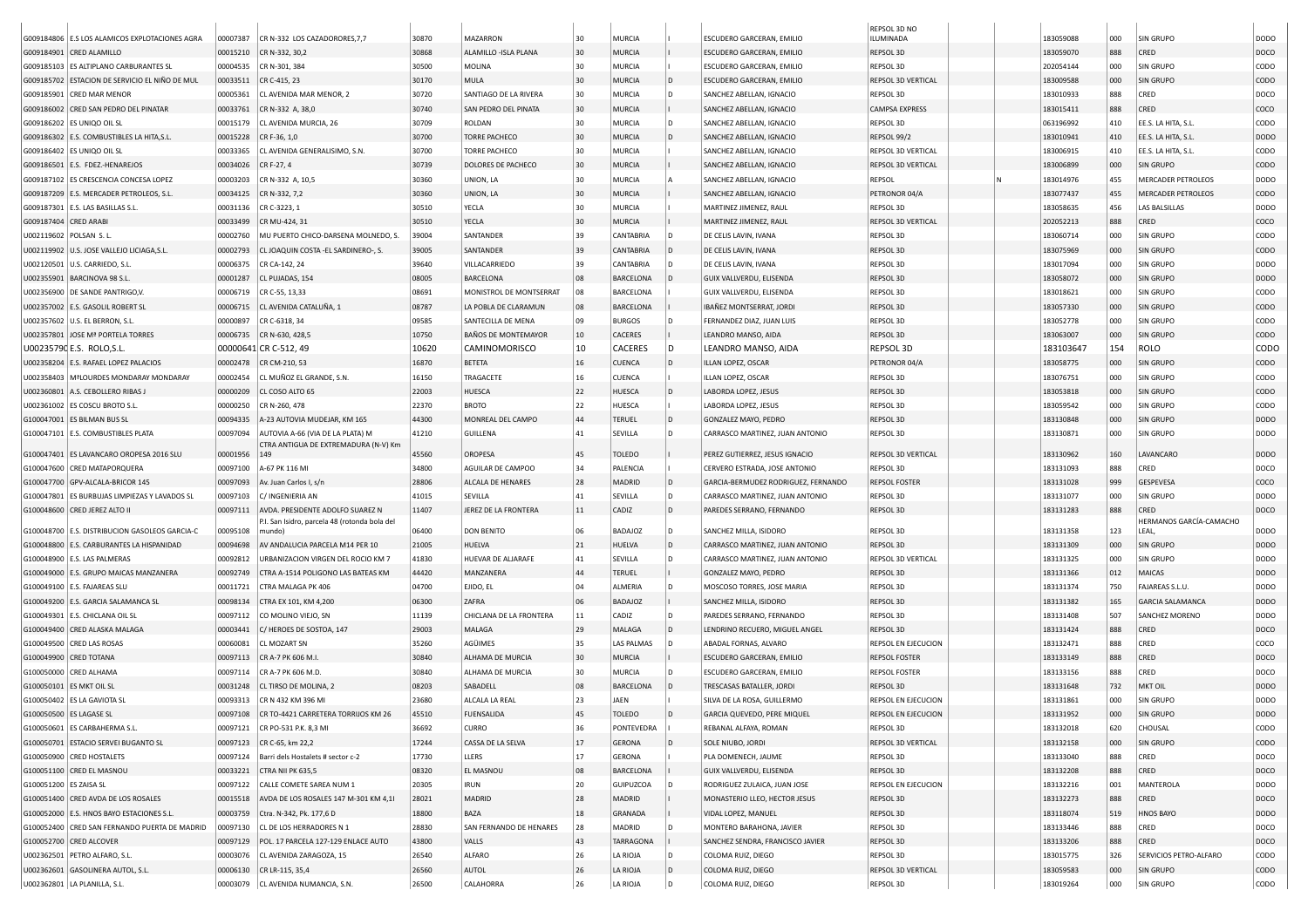|                          |                                                |          |                                                                                   |       |                         |    |                   |     |                                     | REPSOL 3D NO          |  |           |               |                                 |                  |
|--------------------------|------------------------------------------------|----------|-----------------------------------------------------------------------------------|-------|-------------------------|----|-------------------|-----|-------------------------------------|-----------------------|--|-----------|---------------|---------------------------------|------------------|
|                          | G009184806 E.S LOS ALAMICOS EXPLOTACIONES AGRA | 00007387 | CR N-332 LOS CAZADORORES, 7,7                                                     | 30870 | MAZARRON                | 30 | MURCIA            |     | ESCUDERO GARCERAN, EMILIO           | ILUMINADA             |  | 183059088 | 000           | <b>SIN GRUPO</b>                | <b>DODO</b>      |
|                          | G009184901 CRED ALAMILLO                       | 00015210 | CR N-332, 30,2                                                                    | 30868 | ALAMILLO - ISLA PLANA   | 30 | <b>MURCIA</b>     |     | <b>ESCUDERO GARCERAN, EMILIO</b>    | REPSOL 3D             |  | 183059070 | 888           | CRED                            | DOCO             |
|                          | G009185103 ES ALTIPLANO CARBURANTES SL         | 00004535 | CR N-301, 384                                                                     | 30500 | MOLINA                  | 30 | <b>MURCIA</b>     |     | ESCUDERO GARCERAN, EMILIO           | REPSOL 3D             |  | 202054144 | 000           | <b>SIN GRUPO</b>                | CODO             |
|                          | G009185702 ESTACION DE SERVICIO EL NIÑO DE MUL | 00033511 | CR C-415, 23                                                                      | 30170 | <b>MULA</b>             | 30 | <b>MURCIA</b>     | l D | ESCUDERO GARCERAN, EMILIO           | REPSOL 3D VERTICAL    |  | 183009588 | 000           | <b>SIN GRUPO</b>                | <b>CODO</b>      |
| G009185901               | <b>CRED MAR MENOR</b>                          | 00005361 | CL AVENIDA MAR MENOR, 2                                                           | 30720 | SANTIAGO DE LA RIVERA   | 30 | MURCIA            | l D | SANCHEZ ABELLAN, IGNACIO            | REPSOL 3D             |  | 183010933 | 888           | CRED                            | DOCO             |
|                          | G009186002 CRED SAN PEDRO DEL PINATAR          | 00033761 | CR N-332 A, 38,0                                                                  | 30740 | SAN PEDRO DEL PINATA    | 30 | MURCIA            |     | SANCHEZ ABELLAN, IGNACIO            | <b>CAMPSA EXPRESS</b> |  | 183015411 | 888           | CRED                            | coco             |
|                          | G009186202 ES UNIQO OIL SL                     | 00015179 | CL AVENIDA MURCIA, 26                                                             | 30709 | ROLDAN                  | 30 | MURCIA            | l D | SANCHEZ ABELLAN, IGNACIO            | REPSOL 3D             |  | 063196992 | 410           | EE.S. LA HITA, S.L.             | CODO             |
|                          | G009186302 E.S. COMBUSTIBLES LA HITA, S.L.     | 00015228 | CR F-36, 1,0                                                                      | 30700 | TORRE PACHECO           | 30 | <b>MURCIA</b>     | ID. | SANCHEZ ABELLAN, IGNACIO            | REPSOL 99/2           |  | 183010941 | 410           | EE.S. LA HITA, S.L.             | DOD <sub>O</sub> |
|                          | G009186402 ES UNIQO OIL SL                     | 00033365 | CL AVENIDA GENERALISIMO, S.N.                                                     | 30700 | <b>TORRE PACHECO</b>    | 30 | <b>MURCIA</b>     |     | SANCHEZ ABELLAN, IGNACIO            | REPSOL 3D VERTICAL    |  | 183006915 | 410           | EE.S. LA HITA, S.L.             | CODO             |
|                          | G009186501   E.S. FDEZ .- HENAREJOS            | 00034026 | CR F-27, 4                                                                        | 30739 | DOLORES DE PACHECO      | 30 | <b>MURCIA</b>     |     | SANCHEZ ABELLAN, IGNACIO            | REPSOL 3D VERTICAL    |  | 183006899 | 000           | <b>SIN GRUPO</b>                | <b>CODO</b>      |
|                          | G009187102 ES CRESCENCIA CONCESA LOPEZ         | 00003203 | CR N-332 A, 10,5                                                                  | 30360 | UNION, LA               | 30 | MURCIA            |     | SANCHEZ ABELLAN, IGNACIO            | REPSOL                |  | 183014976 | 455           | <b>MERCADER PETROLEOS</b>       | <b>DODO</b>      |
|                          | G009187209 E.S. MERCADER PETROLEOS, S.L.       | 00034125 | CR N-332, 7,2                                                                     | 30360 | UNION, LA               | 30 | <b>MURCIA</b>     |     | SANCHEZ ABELLAN, IGNACIO            | PETRONOR 04/A         |  | 183077437 | 455           | <b>MERCADER PETROLEOS</b>       | <b>CODO</b>      |
|                          | G009187301   E.S. LAS BASILLAS S.L.            | 00031136 | CR C-3223, 1                                                                      | 30510 | YECLA                   | 30 | MURCIA            |     | MARTINEZ JIMENEZ, RAUL              | REPSOL 3D             |  | 183058635 | 456           | LAS BALSILLAS                   | <b>DODO</b>      |
| G009187404 CRED ARABI    |                                                | 00033499 | CR MU-424, 31                                                                     | 30510 | YECLA                   | 30 | <b>MURCIA</b>     |     | MARTINEZ JIMENEZ, RAUL              | REPSOL 3D VERTICAL    |  | 202052213 | 888           | CRED                            | coco             |
| U002119602 POLSAN S.L.   |                                                | 00002760 | MU PUERTO CHICO-DARSENA MOLNEDO, S                                                | 39004 | SANTANDER               | 39 | CANTABRIA         |     | DE CELIS LAVIN, IVANA               | REPSOL 3D             |  | 183060714 | 000           | SIN GRUPO                       | CODO             |
|                          | U002119902 U.S. JOSE VALLEJO LICIAGA, S.L.     | 00002793 | CL JOAQUIN COSTA - EL SARDINERO-, S.                                              | 39005 | SANTANDER               | 39 | <b>CANTABRIA</b>  | ID. | DE CELIS LAVIN, IVANA               | REPSOL 3D             |  | 183075969 | 000           | SIN GRUPO                       | <b>CODO</b>      |
|                          | U002120501 U.S. CARRIEDO, S.L.                 | 00006375 | CR CA-142, 24                                                                     | 39640 | VILLACARRIEDO           | 39 | CANTABRIA         | l D | DE CELIS LAVIN, IVANA               | REPSOL 3D             |  | 183017094 | 000           | <b>SIN GRUPO</b>                | <b>DODO</b>      |
|                          | U002355901 BARCINOVA 98 S.L.                   | 00001287 | CL PUJADAS, 154                                                                   | 08005 | <b>BARCELONA</b>        | 08 | <b>BARCELONA</b>  |     | GUIX VALLVERDU, ELISENDA            | REPSOL 3D             |  | 183058072 | 000           | <b>SIN GRUPO</b>                | <b>DODO</b>      |
|                          | U002356900 DE SANDE PANTRIGO,V.                | 00006719 | CR C-55, 13,33                                                                    | 08691 | MONISTROL DE MONTSERRAT | 08 | <b>BARCELONA</b>  |     | GUIX VALLVERDU, ELISENDA            | REPSOL 3D             |  | 183018621 | 000           | SIN GRUPO                       | CODO             |
|                          | U002357002 E.S. GASOLIL ROBERT SL              | 00006715 | CL AVENIDA CATALUÑA, 1                                                            | 08787 | LA POBLA DE CLARAMUN    | 08 | <b>BARCELONA</b>  |     | IBAÑEZ MONTSERRAT, JORDI            | REPSOL 3D             |  | 183057330 | 000           | <b>SIN GRUPO</b>                | <b>CODO</b>      |
|                          | U002357602 U.S. EL BERRON, S.L                 | 00000897 | CR C-6318, 34                                                                     | 09585 | SANTECILLA DE MENA      | 09 | <b>BURGOS</b>     |     | FERNANDEZ DIAZ, JUAN LUIS           | REPSOL 3D             |  | 183052778 | 000           | <b>SIN GRUPO</b>                | CODO             |
|                          | U002357801 JOSE Mª PORTELA TORRES              | 00006735 | CR N-630, 428,5                                                                   | 10750 | BAÑOS DE MONTEMAYOR     | 10 | <b>CACERES</b>    |     | LEANDRO MANSO, AIDA                 | REPSOL 3D             |  | 183063007 | 000           | <b>SIN GRUPO</b>                | <b>CODO</b>      |
|                          | U00235790 E.S. ROLO.S.L.                       |          | 00000641 CR C-512, 49                                                             | 10620 | CAMINOMORISCO           | 10 | <b>CACERES</b>    | ١D  | LEANDRO MANSO, AIDA                 | REPSOL 3D             |  | 183103647 | 154           | ROLO                            | CODO             |
|                          | U002358204 E.S. RAFAEL LOPEZ PALACIOS          | 00002478 | CR CM-210, 53                                                                     | 16870 | <b>BETETA</b>           | 16 | <b>CUENCA</b>     | ID. | ILLAN LOPEZ, OSCAR                  | PETRONOR 04/A         |  | 183058775 | 000           | <b>SIN GRUPO</b>                | <b>CODO</b>      |
|                          | U002358403   MªLOURDES MONDARAY MONDARAY       | 00002454 | CL MUÑOZ EL GRANDE, S.N.                                                          | 16150 | TRAGACETE               | 16 | <b>CUENCA</b>     |     | ILLAN LOPEZ, OSCAR                  | REPSOL 3D             |  | 183076751 | 000           | <b>SIN GRUPO</b>                | CODO             |
|                          | U002360801 A.S. CEBOLLERO RIBAS J              | 00000209 | CL COSO ALTO 65                                                                   | 22003 | HUESCA                  | 22 | HUESCA            | ID. | LABORDA LOPEZ, JESUS                | REPSOL 3D             |  | 183053818 | 000           | <b>SIN GRUPO</b>                | CODO             |
|                          | U002361002 ES COSCU BROTO S.L.                 | 00000250 | CR N-260, 478                                                                     | 22370 | <b>BROTO</b>            | 22 | HUESCA            |     | LABORDA LOPEZ, JESUS                | REPSOL 3D             |  | 183059542 | 000           | <b>SIN GRUPO</b>                | CODO             |
|                          | G100047001 ES BILMAN BUS SL                    | 00094335 | A-23 AUTOVIA MUDEJAR, KM 165                                                      | 44300 | MONREAL DEL CAMPO       | 44 | <b>TERUEL</b>     | ID. | GONZALEZ MAYO, PEDRO                | REPSOL 3D             |  | 183130848 | 000           | <b>SIN GRUPO</b>                | <b>DODO</b>      |
|                          | G100047101 E.S. COMBUSTIBLES PLATA             | 00097094 | AUTOVIA A-66 (VIA DE LA PLATA) M                                                  | 41210 | <b>GUILLENA</b>         | 41 | SEVILLA           |     | CARRASCO MARTINEZ, JUAN ANTONIO     | REPSOL 3D             |  | 183130871 | 000           | <b>SIN GRUPO</b>                | <b>DODO</b>      |
|                          |                                                |          | CTRA ANTIGUA DE EXTREMADURA (N-V) Km                                              |       |                         |    |                   |     |                                     |                       |  |           |               |                                 |                  |
|                          | G100047401 ES LAVANCARO OROPESA 2016 SLU       | 00001956 | 149                                                                               | 45560 | OROPESA                 | 45 | <b>TOLEDO</b>     |     | PEREZ GUTIERREZ, JESUS IGNACIO      | REPSOL 3D VERTICAL    |  | 183130962 | 160           | LAVANCARO                       | <b>DODO</b>      |
|                          | G100047600 CRED MATAPORQUERA                   | 00097100 | A-67 PK 116 MI                                                                    | 34800 | AGUILAR DE CAMPOO       | 34 | PALENCIA          |     | CERVERO ESTRADA, JOSE ANTONIO       | REPSOL 3D             |  | 183131093 | 888           | CRED                            | DOCO             |
|                          | G100047700 GPV-ALCALA-BRICOR 145               | 00097093 | Av. Juan Carlos I, s/n                                                            | 28806 | ALCALA DE HENARES       | 28 | MADRID            | ID. | GARCIA-BERMUDEZ RODRIGUEZ, FERNANDO | <b>REPSOL FOSTER</b>  |  | 183131028 | 999           | GESPEVESA                       | coco             |
|                          | G100047801 ES BURBUJAS LIMPIEZAS Y LAVADOS SL  | 00097103 | C/ INGENIERIA AN                                                                  | 41015 | SEVILLA                 | 41 | SEVILLA           | l n | CARRASCO MARTINEZ, JUAN ANTONIO     | REPSOL 3D             |  | 183131077 | 000           | <b>SIN GRUPO</b>                | <b>DODO</b>      |
|                          | G100048600 CRED JEREZ ALTO I                   | 00097111 | AVDA. PRESIDENTE ADOLFO SUAREZ N<br>P.I. San Isidro, parcela 48 (rotonda bola del | 11407 | JEREZ DE LA FRONTERA    | 11 | CADIZ             | ID. | PAREDES SERRANO, FERNANDO           | REPSOL 3D             |  | 183131283 | 888           | CRED<br>HERMANOS GARCÍA-CAMACHO | DOCO             |
|                          | G100048700 E.S. DISTRIBUCION GASOLEOS GARCIA-C | 00095108 | mundol                                                                            | 06400 | <b>DON BENITO</b>       | 06 | <b>BADAJOZ</b>    | l D | SANCHEZ MILLA, ISIDORO              | REPSOL 3D             |  | 183131358 | 123           | LEAL,                           | <b>DODO</b>      |
|                          | G100048800 E.S. CARBURANTES LA HISPANIDAD      | 00094698 | AV ANDALUCIA PARCELA M14 PER 10                                                   | 21005 | HUELVA                  | 21 | HUELVA            | ID. | CARRASCO MARTINEZ, JUAN ANTONIO     | REPSOL 3D             |  | 183131309 | 000           | <b>SIN GRUPO</b>                | DOD <sub>O</sub> |
|                          | G100048900   E.S. LAS PALMERAS                 | 00092812 | JRBANIZACION VIRGEN DEL ROCIO KM 7                                                | 41830 | HUEVAR DE ALJARAFE      | 41 | SEVILLA           | l D | CARRASCO MARTINEZ, JUAN ANTONIO     | REPSOL 3D VERTICAL    |  | 183131325 | 000           | <b>SIN GRUPO</b>                | <b>DODO</b>      |
|                          | G100049000 E.S. GRUPO MAICAS MANZANERA         | 00092749 | CTRA A-1514 POLIGONO LAS BATEAS KM                                                | 44420 | <b>MANZANERA</b>        | 44 | <b>TERUEL</b>     |     | GONZALEZ MAYO, PEDRO                | REPSOL 3D             |  | 183131366 | $ 012\rangle$ | <b>MAICAS</b>                   | <b>DODO</b>      |
|                          | G100049100   E.S. FAJAREAS SLU                 | 00011721 | CTRA MALAGA PK 406                                                                | 04700 | EJIDO, EL               | 04 | ALMERIA           | l D | MOSCOSO TORRES, JOSE MARIA          | REPSOL 3D             |  | 183131374 | 750           | FAJAREAS S.L.U.                 | <b>DODO</b>      |
|                          | G100049200 E.S. GARCIA SALAMANCA SL            | 00098134 | CTRA EX 101, KM 4,200                                                             | 06300 | ZAFRA                   | 06 | <b>BADAJOZ</b>    |     | SANCHEZ MILLA, ISIDORO              | REPSOL 3D             |  | 183131382 | 165           | <b>GARCIA SALAMANCA</b>         | <b>DODO</b>      |
|                          | G100049301 E.S. CHICLANA OIL SL                | 00097112 | CO MOLINO VIEJO, SN                                                               | 11139 | CHICLANA DE LA FRONTERA | 11 | CADIZ             | D   | PAREDES SERRANO, FERNANDO           | REPSOL 3D             |  | 183131408 | 507           | SANCHEZ MORENO                  | <b>DODO</b>      |
|                          | G100049400 CRED ALASKA MALAGA                  | 00003441 | C/ HEROES DE SOSTOA, 147                                                          | 29003 | MALAGA                  | 29 | MALAGA            | l D | LENDRINO RECUERO, MIGUEL ANGEL      | REPSOL 3D             |  | 183131424 | 888           | CRED                            | DOCO             |
|                          | G100049500 CRED LAS ROSAS                      | 00060081 | CL MOZART SN                                                                      | 35260 | AGÜIMES                 | 35 | <b>LAS PALMAS</b> |     | ABADAL FORNAS, ALVARO               | REPSOL EN EJECUCION   |  | 183132471 | 888           | CRED                            | coco             |
|                          | G100049900 CRED TOTANA                         | 00097113 | CR A-7 PK 606 M.I.                                                                | 30840 | ALHAMA DE MURCIA        | 30 | <b>MURCIA</b>     |     | ESCUDERO GARCERAN, EMILIO           | <b>REPSOL FOSTER</b>  |  | 183133149 | 888           | CRED                            | DOCO             |
|                          | G100050000 CRED ALHAMA                         | 00097114 | CR A-7 PK 606 M.D.                                                                | 30840 | ALHAMA DE MURCIA        | 30 | <b>MURCIA</b>     |     | ESCUDERO GARCERAN, EMILIO           | <b>REPSOL FOSTER</b>  |  | 183133156 | 888           | CRED                            | DOCO             |
| G100050101 ES MKT OIL SL |                                                | 00031248 | CL TIRSO DE MOLINA, 2                                                             | 08203 | SABADELL                | 08 | <b>BARCELONA</b>  | l D | TRESCASAS BATALLER, JORDI           | REPSOL 3D             |  | 183131648 | 732           | <b>MKT OIL</b>                  | <b>DODO</b>      |
|                          | G100050402 ES LA GAVIOTA SL                    | 00093313 | CR N 432 KM 396 MI                                                                | 23680 | ALCALA LA REAL          | 23 | JAEN              |     | SILVA DE LA ROSA, GUILLERMO         | REPSOL EN EJECUCION   |  | 183131861 | 000           | <b>SIN GRUPO</b>                | <b>DODO</b>      |
| G100050500 ES LAGASE SL  |                                                | 00097108 | CR TO-4421 CARRETERA TORRIJOS KM 26                                               | 45510 | <b>FUENSALIDA</b>       | 45 | <b>TOLEDO</b>     | In. | GARCIA QUEVEDO, PERE MIQUEL         | REPSOL EN EJECUCION   |  | 183131952 | 000           | <b>SIN GRUPO</b>                | <b>DODO</b>      |
|                          | G100050601 ES CARBAHERMA S.L.                  | 00097121 | CR PO-531 P.K. 8,3 MI                                                             | 36692 | <b>CURRO</b>            | 36 | PONTEVEDRA        |     | REBANAL ALFAYA, ROMAN               | REPSOL 3D             |  | 183132018 | 620           | CHOUSAL                         | CODO             |
|                          | G100050701 ESTACIO SERVEI BUGANTO SL           | 00097123 | CR C-65, km 22,2                                                                  | 17244 | CASSA DE LA SELVA       | 17 | <b>GERONA</b>     | D   | SOLE NIUBO, JORDI                   | REPSOL 3D VERTICAL    |  | 183132158 | 000           | SIN GRUPO                       | <b>CODO</b>      |
|                          | G100050900 CRED HOSTALETS                      | 00097124 | Barri dels Hostalets # sector c-2                                                 | 17730 | LLERS                   | 17 | <b>GERONA</b>     |     | PLA DOMENECH, JAUME                 | REPSOL 3D             |  | 183133040 | 888           | CRED                            | DOCO             |
|                          | G100051100 CRED EL MASNOU                      | 00033221 | CTRA NII PK 635,5                                                                 | 08320 | <b>EL MASNOU</b>        | 08 | <b>BARCELONA</b>  |     | GUIX VALLVERDU, ELISENDA            | REPSOL 3D             |  | 183132208 | 888           | CRED                            | DOCO             |
| G100051200 ES ZAISA SL   |                                                | 00097122 | CALLE COMETE SAREA NUM 1                                                          | 20305 | <b>IRUN</b>             | 20 | <b>GUIPUZCOA</b>  |     | RODRIGUEZ ZULAICA, JUAN JOSE        | REPSOL EN EJECUCION   |  | 183132216 | 001           | MANTEROLA                       | <b>DODO</b>      |
|                          | G100051400 CRED AVDA DE LOS ROSALES            | 00015518 | AVDA DE LOS ROSALES 147 M-301 KM 4,1                                              | 28021 | MADRID                  | 28 | MADRID            |     | MONASTERIO LLEO, HECTOR JESUS       | REPSOL 3D             |  | 183132273 | 888           | CRED                            | DOCO             |
|                          | G100052000 E.S. HNOS BAYO ESTACIONES S.L.      | 00003759 | Ctra. N-342, Pk. 177,6 D                                                          | 18800 | BAZA                    | 18 | GRANADA           |     | VIDAL LOPEZ, MANUEL                 | REPSOL 3D             |  | 183118074 | 519           | <b>HNOS BAYO</b>                | <b>DODO</b>      |
|                          | G100052400 CRED SAN FERNANDO PUERTA DE MADRID  | 00097130 | CL DE LOS HERRADORES N 1                                                          | 28830 | SAN FERNANDO DE HENARES | 28 | MADRID            |     | MONTERO BARAHONA, JAVIER            | REPSOL 3D             |  | 183133446 | 888           | CRED                            | DOCO             |
|                          | G100052700 CRED ALCOVER                        | 00097129 | POL. 17 PARCELA 127-129 ENLACE AUTO                                               | 43800 | VALLS                   | 43 | <b>TARRAGONA</b>  |     | SANCHEZ SENDRA, FRANCISCO JAVIER    | REPSOL 3D             |  | 183133206 | 888           | CRED                            | DOCO             |
|                          | U002362501 PETRO ALFARO, S.L.                  | 00003076 | CL AVENIDA ZARAGOZA, 15                                                           | 26540 | ALFARO                  | 26 | LA RIOJA          | l D | COLOMA RUIZ, DIEGO                  | REPSOL 3D             |  | 183015775 | 326           | SERVICIOS PETRO-ALFARO          | CODO             |
|                          | U002362601 GASOLINERA AUTOL, S.L.              | 00006130 | CR LR-115, 35,4                                                                   | 26560 | AUTOL                   | 26 | LA RIOJA          | ID. | COLOMA RUIZ, DIEGO                  | REPSOL 3D VERTICAL    |  | 183059583 | 000           | <b>SIN GRUPO</b>                | <b>CODO</b>      |
|                          | U002362801 LA PLANILLA, S.L.                   | 00003079 | CL AVENIDA NUMANCIA, S.N.                                                         | 26500 | CALAHORRA               | 26 | LA RIOJA          | l D | COLOMA RUIZ, DIEGO                  | REPSOL 3D             |  | 183019264 | 000           | <b>SIN GRUPO</b>                | CODO             |
|                          |                                                |          |                                                                                   |       |                         |    |                   |     |                                     |                       |  |           |               |                                 |                  |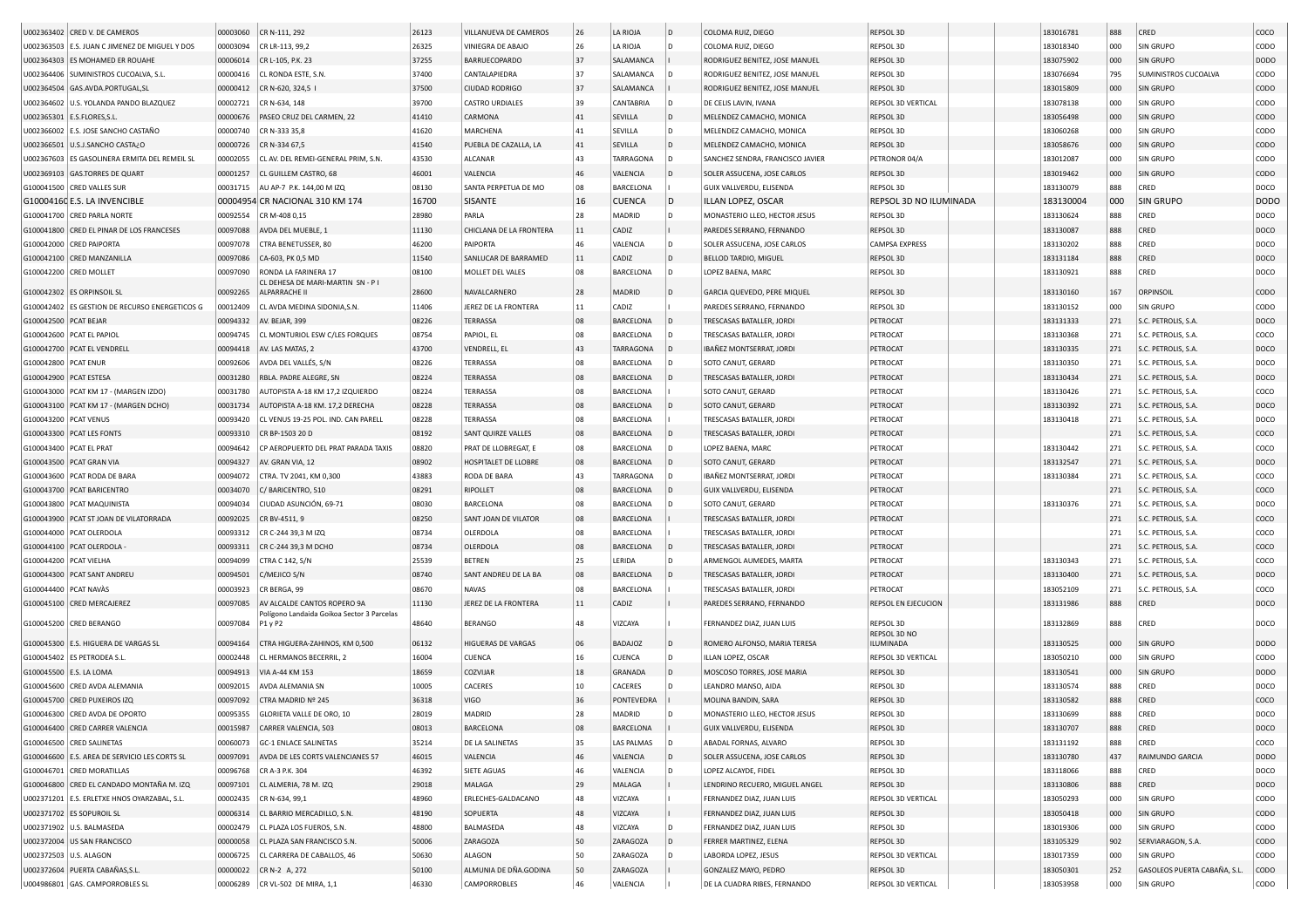|                         | U002363402 CRED V. DE CAMEROS                  | 00003060 | CR N-111, 292                                                             | 26123 | VILLANUEVA DE CAMEROS   | 26       | LA RIOJA         | D              | COLOMA RUIZ, DIEGO               | REPSOL 3D                          | 183016781 | 888        | CRED                         | COCO        |
|-------------------------|------------------------------------------------|----------|---------------------------------------------------------------------------|-------|-------------------------|----------|------------------|----------------|----------------------------------|------------------------------------|-----------|------------|------------------------------|-------------|
|                         | U002363503 E.S. JUAN C JIMENEZ DE MIGUEL Y DOS | 00003094 | CR LR-113, 99,2                                                           | 26325 | VINIEGRA DE ABAJO       | 26       | LA RIOJA         |                | COLOMA RUIZ, DIEGO               | REPSOL 3D                          | 183018340 | 000        | <b>SIN GRUPO</b>             | CODO        |
|                         | U002364303 ES MOHAMED ER ROUAHE                | 00006014 | CR L-105, P.K. 23                                                         | 37255 | BARRUECOPARDO           | 37       | SALAMANCA        |                | RODRIGUEZ BENITEZ, JOSE MANUEL   | REPSOL 3D                          | 183075902 | 000        | <b>SIN GRUPO</b>             | DODO        |
|                         | U002364406 SUMINISTROS CUCOALVA, S.L.          | 00000416 | CL RONDA ESTE, S.N.                                                       | 37400 | CANTALAPIEDRA           | 37       | SALAMANCA        |                | RODRIGUEZ BENITEZ, JOSE MANUEL   | REPSOL 3D                          | 183076694 | 795        | SUMINISTROS CUCOALVA         | CODO        |
|                         | U002364504 GAS.AVDA.PORTUGAL,S                 | 00000412 | CR N-620, 324,5                                                           | 37500 | <b>CIUDAD RODRIGO</b>   | 37       | SALAMANCA        |                | RODRIGUEZ BENITEZ, JOSE MANUEL   | REPSOL 3D                          | 183015809 | 000        | <b>SIN GRUPO</b>             | CODO        |
|                         | U002364602 U.S. YOLANDA PANDO BLAZQUEZ         | 00002721 | CR N-634, 148                                                             | 39700 | <b>CASTRO URDIALES</b>  | 39       | CANTABRIA        | ID.            | DE CELIS LAVIN, IVANA            | REPSOL 3D VERTICAL                 | 183078138 | 000        | <b>SIN GRUPO</b>             | CODO        |
|                         | U002365301 E.S.FLORES, S.L                     | 00000676 | PASEO CRUZ DEL CARMEN, 22                                                 | 41410 | CARMONA                 | 41       | SEVILLA          | D              | MELENDEZ CAMACHO, MONICA         | REPSOL 3D                          | 183056498 | 000        | <b>SIN GRUPO</b>             | CODO        |
|                         | U002366002 E.S. JOSE SANCHO CASTAÑO            | 00000740 | CR N-333 35,8                                                             | 41620 | MARCHENA                | 41       | SEVILLA          |                | MELENDEZ CAMACHO, MONICA         | REPSOL 3D                          | 183060268 | 000        | SIN GRUPO                    | CODO        |
|                         | U002366501 U.S.J.SANCHO CASTA¿O                | 00000726 | CR N-334 67,5                                                             | 41540 | PUEBLA DE CAZALLA, LA   | 41       | <b>SEVILLA</b>   | D              | MELENDEZ CAMACHO, MONICA         | REPSOL 3D                          | 183058676 | 000        | <b>SIN GRUPO</b>             | CODO        |
|                         | U002367603 ES GASOLINERA ERMITA DEL REMEIL SL  | 00002055 | CL AV. DEL REMEI-GENERAL PRIM, S.N.                                       | 43530 | <b>ALCANAR</b>          | 43       | TARRAGONA        |                | SANCHEZ SENDRA, FRANCISCO JAVIER | PETRONOR 04/A                      | 183012087 | 000        | <b>SIN GRUPO</b>             | CODO        |
|                         | U002369103 GAS.TORRES DE QUART                 | 00001257 | CL GUILLEM CASTRO, 68                                                     | 46001 | VALENCIA                | 46       | VALENCIA         | $\overline{D}$ | SOLER ASSUCENA, JOSE CARLOS      | REPSOL 3D                          | 183019462 | 000        | <b>SIN GRUPO</b>             | CODO        |
|                         | G100041500 CRED VALLES SUR                     | 00031715 | AU AP-7 P.K. 144,00 M IZQ                                                 | 08130 | SANTA PERPETUA DE MO    | 08       | BARCELONA        |                | GUIX VALLVERDU, ELISENDA         | REPSOL 3D                          | 183130079 | 888        | CRED                         | DOCO        |
|                         | G10004160 E.S. LA INVENCIBLE                   |          | 00004954 CR NACIONAL 310 KM 174                                           | 16700 | <b>SISANTE</b>          | 16       | <b>CUENCA</b>    | $\mathsf{D}$   | ILLAN LOPEZ, OSCAR               | REPSOL 3D NO ILUMINADA             | 183130004 | 000        | <b>SIN GRUPO</b>             | <b>DODO</b> |
|                         | G100041700 CRED PARLA NORTE                    | 00092554 | CR M-408 0,15                                                             | 28980 | PARLA                   | 28       | <b>MADRID</b>    | l n            | MONASTERIO LLEO, HECTOR JESUS    | REPSOL 3D                          | 183130624 | 888        | CRED                         | DOCO        |
|                         |                                                |          |                                                                           |       | CHICLANA DE LA FRONTERA | 11       | CADIZ            |                |                                  |                                    |           | 888        | CRED                         |             |
|                         | G100041800 CRED EL PINAR DE LOS FRANCESES      | 00097088 | AVDA DEL MUEBLE, 1<br>CTRA BENETUSSER, 80                                 | 11130 | PAIPORTA                | 46       |                  |                | PAREDES SERRANO, FERNANDO        | REPSOL 3D<br><b>CAMPSA EXPRESS</b> | 183130087 |            |                              | DOCO        |
|                         | G100042000 CRED PAIPORTA                       | 00097078 |                                                                           | 46200 |                         |          | VALENCIA         |                | SOLER ASSUCENA, JOSE CARLOS      |                                    | 183130202 | 888        | CRED                         | DOCO        |
|                         | G100042100 CRED MANZANILLA                     | 00097086 | CA-603, PK 0,5 MD                                                         | 11540 | SANLUCAR DE BARRAMED    | 11       | CADIZ            | l D            | BELLOD TARDIO, MIGUEL            | REPSOL 3D                          | 183131184 | 888        | CRED                         | DOCO        |
|                         | G100042200 CRED MOLLET                         | 00097090 | RONDA LA FARINERA 17<br>CL DEHESA DE MARI-MARTIN SN - P I                 | 08100 | MOLLET DEL VALES        | 08       | BARCELONA        |                | LOPEZ BAENA, MARC                | REPSOL 3D                          | 183130921 | 888        | CRED                         | DOCO        |
|                         | G100042302 ES ORPINSOIL SL                     | 00092265 | ALPARRACHE II                                                             | 28600 | NAVALCARNERO            | 28       | MADRID           | D              | GARCIA QUEVEDO, PERE MIQUEL      | REPSOL 3D                          | 183130160 | 167        | ORPINSOIL                    | CODO        |
|                         | G100042402 ES GESTION DE RECURSO ENERGETICOS G | 00012409 | CL AVDA MEDINA SIDONIA, S.N.                                              | 11406 | JEREZ DE LA FRONTERA    | 11       | CADIZ            |                | PAREDES SERRANO, FERNANDO        | REPSOL 3D                          | 183130152 | 000        | <b>SIN GRUPO</b>             | CODO        |
| G100042500 PCAT BEJAR   |                                                | 00094332 | AV. BEJAR, 399                                                            | 08226 | TERRASSA                | 08       | <b>BARCELONA</b> |                | TRESCASAS BATALLER, JORDI        | PETROCAT                           | 183131333 | 271        | S.C. PETROLIS, S.A.          | DOCO        |
|                         | G100042600 PCAT EL PAPIOL                      | 00094745 | CL MONTURIOL ESW C/LES FORQUES                                            | 08754 | PAPIOL, EL              | 08       | <b>BARCELONA</b> |                | TRESCASAS BATALLER, JORDI        | PETROCAT                           | 183130368 | 271        | S.C. PETROLIS, S.A.          | COCO        |
|                         | G100042700 PCAT EL VENDRELL                    | 00094418 | AV. LAS MATAS, 2                                                          | 43700 | VENDRELL, EI            | 43       | TARRAGONA        |                | IBAÑEZ MONTSERRAT, JORDI         | PETROCAT                           | 183130335 | 271        | S.C. PETROLIS, S.A.          | DOCO        |
| G100042800 PCAT ENUR    |                                                | 00092606 | AVDA DEL VALLÉS, S/N                                                      | 08226 | TERRASSA                | 08       | <b>BARCELONA</b> |                | SOTO CANUT, GERARD               | PETROCAT                           | 183130350 | 271        | S.C. PETROLIS, S.A.          | DOCO        |
| G100042900 PCAT ESTESA  |                                                | 00031280 | RBLA. PADRE ALEGRE, SN                                                    | 08224 | TERRASSA                | 08       | BARCELONA        |                | TRESCASAS BATALLER, JORDI        | PETROCAT                           | 183130434 | 271        | S.C. PETROLIS, S.A.          | DOCO        |
|                         | G100043000 PCAT KM 17 - (MARGEN IZDO)          | 00031780 | AUTOPISTA A-18 KM 17,2 IZQUIERDO                                          | 08224 | TERRASSA                | 08       | BARCELONA        |                | SOTO CANUT, GERARD               | PETROCAT                           | 183130426 | 271        | S.C. PETROLIS, S.A           | COCO        |
|                         | G100043100 PCAT KM 17 - (MARGEN DCHO)          | 00031734 | AUTOPISTA A-18 KM. 17,2 DERECHA                                           | 08228 | TERRASSA                | 08       | BARCELONA        |                | SOTO CANUT, GERARD               | PETROCAT                           | 183130392 | 271        | S.C. PETROLIS, S.A.          | DOCO        |
| G100043200 PCAT VENUS   |                                                | 00093420 | CL VENUS 19-25 POL. IND. CAN PARELL                                       | 08228 | TERRASSA                | 08       | BARCELONA        |                | TRESCASAS BATALLER, JORDI        | PETROCAT                           | 183130418 | 271        | S.C. PETROLIS, S.A           | DOCO        |
|                         | G100043300 PCAT LES FONTS                      | 00093310 | CR BP-1503 20 D                                                           | 08192 | SANT QUIRZE VALLES      | 08       | BARCELONA        |                | TRESCASAS BATALLER, JORDI        | PETROCAT                           |           | 271        | S.C. PETROLIS, S.A           | COCO        |
| G100043400 PCAT EL PRAT |                                                | 00094642 | CP AEROPUERTO DEL PRAT PARADA TAXIS                                       | 08820 | PRAT DE LLOBREGAT, E    | 08       | <b>BARCELONA</b> |                | LOPEZ BAENA, MARC                | PETROCAT                           | 183130442 | 271        | S.C. PETROLIS, S.A           | COCO        |
|                         | G100043500 PCAT GRAN VIA                       | 00094327 | AV. GRAN VIA, 12                                                          | 08902 | HOSPITALET DE LLOBRE    | 08       | BARCELONA        |                | SOTO CANUT, GERARD               | PETROCAT                           | 183132547 | 271        | S.C. PETROLIS, S.A.          | DOCO        |
|                         | G100043600 PCAT RODA DE BARA                   | 00094072 | CTRA. TV 2041, KM 0,300                                                   | 43883 | RODA DE BARA            | 43       | <b>TARRAGONA</b> |                | IBAÑEZ MONTSERRAT, JORDI         | PETROCAT                           | 183130384 | 271        | S.C. PETROLIS, S.A.          | COCO        |
|                         | G100043700 PCAT BARICENTRO                     | 00034070 | C/ BARICENTRO, 510                                                        | 08291 | <b>RIPOLLET</b>         | 08       | <b>BARCELONA</b> | l D            | GUIX VALLVERDU, ELISENDA         | PETROCAT                           |           | 271        | S.C. PETROLIS, S.A.          | COCO        |
|                         | G100043800 PCAT MAQUINISTA                     | 00094034 | CIUDAD ASUNCIÓN, 69-71                                                    | 08030 | BARCELONA               | 08       | BARCELONA        |                | SOTO CANUT, GERARD               | PETROCAT                           | 183130376 | 271        | S.C. PETROLIS, S.A.          | DOCO        |
|                         | G100043900 PCAT ST JOAN DE VILATORRADA         | 00092025 | CR BV-4511, 9                                                             | 08250 | SANT JOAN DE VILATOR    | 08       | <b>BARCELONA</b> |                | TRESCASAS BATALLER, JORDI        | PETROCAT                           |           | 271        | S.C. PETROLIS, S.A.          | COCO        |
|                         | G100044000 PCAT OLERDOLA                       | 00093312 | CR C-244 39,3 M IZQ                                                       | 08734 | OLERDOLA                | 08       | <b>BARCELONA</b> |                | TRESCASAS BATALLER, JORDI        | PETROCAT                           |           | 271        | S.C. PETROLIS, S.A.          | COCO        |
|                         | G100044100 PCAT OLERDOLA                       | 00093311 | CR C-244 39,3 M DCHO                                                      | 08734 | OLERDOLA                | 08       | BARCELONA        |                | TRESCASAS BATALLER, JORDI        | PETROCAT                           |           | 271        | S.C. PETROLIS, S.A.          | COCO        |
| G100044200 PCAT VIELHA  |                                                | 00094099 | <b>CTRA C 142, S/N</b>                                                    | 25539 | <b>BETREN</b>           | 25       | LERIDA           |                | ARMENGOL AUMEDES, MARTA          | PETROCAT                           | 183130343 | 271        | S.C. PETROLIS, S.A.          | COCO        |
|                         | G100044300 PCAT SANT ANDREU                    |          |                                                                           | 08740 |                         |          |                  |                |                                  |                                    |           | 271        |                              | DOCO        |
|                         |                                                | 00094501 | C/MEJICO S/N                                                              | 08670 | SANT ANDREU DE LA BA    | 08<br>08 | <b>BARCELONA</b> |                | TRESCASAS BATALLER, JORDI        | PETROCAT                           | 183130400 |            | S.C. PETROLIS, S.A.          | coco        |
| G100044400 PCAT NAVAS   |                                                | 00003923 | CR BERGA, 99                                                              |       | <b>NAVAS</b>            |          | BARCELONA        |                | TRESCASAS BATALLER, JORDI        | PETROCAT                           | 183052109 | 271<br>888 | S.C. PETROLIS, S.A.          |             |
|                         | G100045100 CRED MERCAJEREZ                     | 00097085 | AV ALCALDE CANTOS ROPERO 9A<br>Polígono Landaida Goikoa Sector 3 Parcelas | 11130 | JEREZ DE LA FRONTERA    | 11       | CADIZ            |                | PAREDES SERRANO, FERNANDO        | REPSOL EN EJECUCION                | 183131986 |            | CRED                         | DOCO        |
|                         | G100045200 CRED BERANGO                        | 00097084 | P1 y P2                                                                   | 48640 | <b>BERANGO</b>          | 48       | VIZCAYA          |                | FERNANDEZ DIAZ, JUAN LUIS        | REPSOL 3D                          | 183132869 | 888        | CRED                         | DOCO        |
|                         | G100045300 E.S. HIGUERA DE VARGAS SL           | 00094164 | CTRA HIGUERA-ZAHINOS, KM 0,500                                            | 06132 | HIGUERAS DE VARGAS      | 06       | <b>BADAJOZ</b>   | D              | ROMERO ALFONSO, MARIA TERESA     | REPSOL 3D NO<br>ILUMINADA          | 183130525 | 000        | <b>SIN GRUPO</b>             | <b>DODO</b> |
|                         |                                                | 00002448 | CL HERMANOS BECERRIL, 2                                                   | 16004 |                         | 16       | <b>CUENCA</b>    |                | <b>ILLAN LOPEZ, OSCAR</b>        | REPSOL 3D VERTICAL                 | 183050210 |            | SIN GRUPO                    | CODO        |
| G100045500 E.S. LA LOMA | G100045402 ES PETRODEA S.L                     | 00094913 | VIA A-44 KM 153                                                           | 18659 | CUENCA<br>COZVIJAR      | 18       | GRANADA          | ID.            | MOSCOSO TORRES, JOSE MARIA       | REPSOL 3D                          | 183130541 | 000<br>000 | <b>SIN GRUPO</b>             | DODO        |
|                         | G100045600 CRED AVDA ALEMANIA                  | 00092015 | AVDA ALEMANIA SN                                                          | 10005 | CACERES                 | 10       | CACERES          | l D            |                                  | REPSOL 3D                          | 183130574 | 888        | CRED                         | DOCO        |
|                         |                                                |          |                                                                           |       |                         |          |                  |                | LEANDRO MANSO, AIDA              |                                    |           |            |                              |             |
|                         | G100045700 CRED PUXEIROS IZQ                   | 00097092 | CTRA MADRID Nº 245                                                        | 36318 | VIGO                    | 36<br>28 | PONTEVEDRA       |                | MOLINA BANDIN, SARA              | REPSOL 3D                          | 183130582 | 888        | CRED                         | COCO        |
|                         | G100046300 CRED AVDA DE OPORTO                 | 00095355 | GLORIETA VALLE DE ORO, 10                                                 | 28019 | MADRID                  |          | <b>MADRID</b>    | l D            | MONASTERIO LLEO, HECTOR JESUS    | REPSOL 3D                          | 183130699 | 888        | CRED                         | DOCO        |
|                         | G100046400 CRED CARRER VALENCIA                | 00015987 | CARRER VALENCIA, 503                                                      | 08013 | <b>BARCELONA</b>        | 08       | <b>BARCELONA</b> |                | GUIX VALLVERDU, ELISENDA         | REPSOL 3D                          | 183130707 | 888        | CRED                         | DOCO        |
|                         | G100046500 CRED SALINETAS                      | 00060073 | <b>GC-1 ENLACE SALINETAS</b>                                              | 35214 | DE LA SALINETAS         | 35       | LAS PALMAS       |                | ABADAL FORNAS, ALVARO            | REPSOL 3D                          | 183131192 | 888        | CRED                         | COCO        |
|                         | G100046600 E.S. AREA DE SERVICIO LES CORTS SL  | 00097091 | AVDA DE LES CORTS VALENCIANES 57                                          | 46015 | VALENCIA                | 46       | VALENCIA         | D              | SOLER ASSUCENA, JOSE CARLOS      | REPSOL 3D                          | 183130780 | 437        | RAIMUNDO GARCIA              | DODO        |
|                         | G100046701 CRED MORATILLAS                     | 00096768 | CR A-3 P.K. 304                                                           | 46392 | SIETE AGUAS             | 46       | VALENCIA         | l D            | LOPEZ ALCAYDE, FIDEL             | REPSOL 3D                          | 183118066 | 888        | CRED                         | DOCO        |
|                         | G100046800 CRED EL CANDADO MONTAÑA M. IZQ      | 00097101 | CL ALMERIA, 78 M. IZQ                                                     | 29018 | MALAGA                  | 29       | MALAGA           |                | LENDRINO RECUERO, MIGUEL ANGEL   | REPSOL 3D                          | 183130806 | 888        | CRED                         | DOCO        |
|                         | U002371201 E.S. ERLETXE HNOS OYARZABAL, S.L.   | 00002435 | CR N-634, 99,1                                                            | 48960 | ERLECHES-GALDACANO      | 48       | VIZCAYA          |                | FERNANDEZ DIAZ, JUAN LUIS        | REPSOL 3D VERTICAL                 | 183050293 | 000        | <b>SIN GRUPO</b>             | CODO        |
|                         | U002371702 ES SOPUROIL SL                      | 00006314 | CL BARRIO MERCADILLO, S.N.                                                | 48190 | SOPUERTA                | 48       | VIZCAYA          |                | FERNANDEZ DIAZ, JUAN LUIS        | REPSOL 3D                          | 183050418 | 000        | <b>SIN GRUPO</b>             | CODO        |
|                         | U002371902 U.S. BALMASEDA                      | 00002479 | CL PLAZA LOS FUEROS, S.N.                                                 | 48800 | BALMASEDA               | 48       | VIZCAYA          |                | FERNANDEZ DIAZ, JUAN LUIS        | REPSOL 3D                          | 183019306 | 000        | <b>SIN GRUPO</b>             | CODO        |
|                         | U002372004 US SAN FRANCISCO                    | 00000058 | CL PLAZA SAN FRANCISCO S.N.                                               | 50006 | ZARAGOZA                | 50       | ZARAGOZA         | D              | FERRER MARTINEZ, ELENA           | REPSOL 3D                          | 183105329 | 902        | SERVIARAGON, S.A.            | CODO        |
| U002372503 U.S. ALAGON  |                                                | 00006725 | CL CARRERA DE CABALLOS, 46                                                | 50630 | ALAGON                  | 50       | ZARAGOZA         |                | LABORDA LOPEZ, JESUS             | REPSOL 3D VERTICAL                 | 183017359 | 000        | <b>SIN GRUPO</b>             | CODO        |
|                         | U002372604 PUERTA CABAÑAS, S.L                 | 00000022 | CR N-2 A, 272                                                             | 50100 | ALMUNIA DE DÑA.GODINA   | 50       | ZARAGOZA         |                | GONZALEZ MAYO, PEDRO             | REPSOL 3D                          | 183050301 | 252        | GASOLEOS PUERTA CABAÑA, S.L. | CODO        |
|                         | U004986801 GAS. CAMPORROBLES SL                |          | 00006289 CR VL-502 DE MIRA, 1,1                                           | 46330 | CAMPORROBLES            | 46       | VALENCIA         |                | DE LA CUADRA RIBES, FERNANDO     | REPSOL 3D VERTICAL                 | 183053958 | 000        | <b>SIN GRUPO</b>             | CODO        |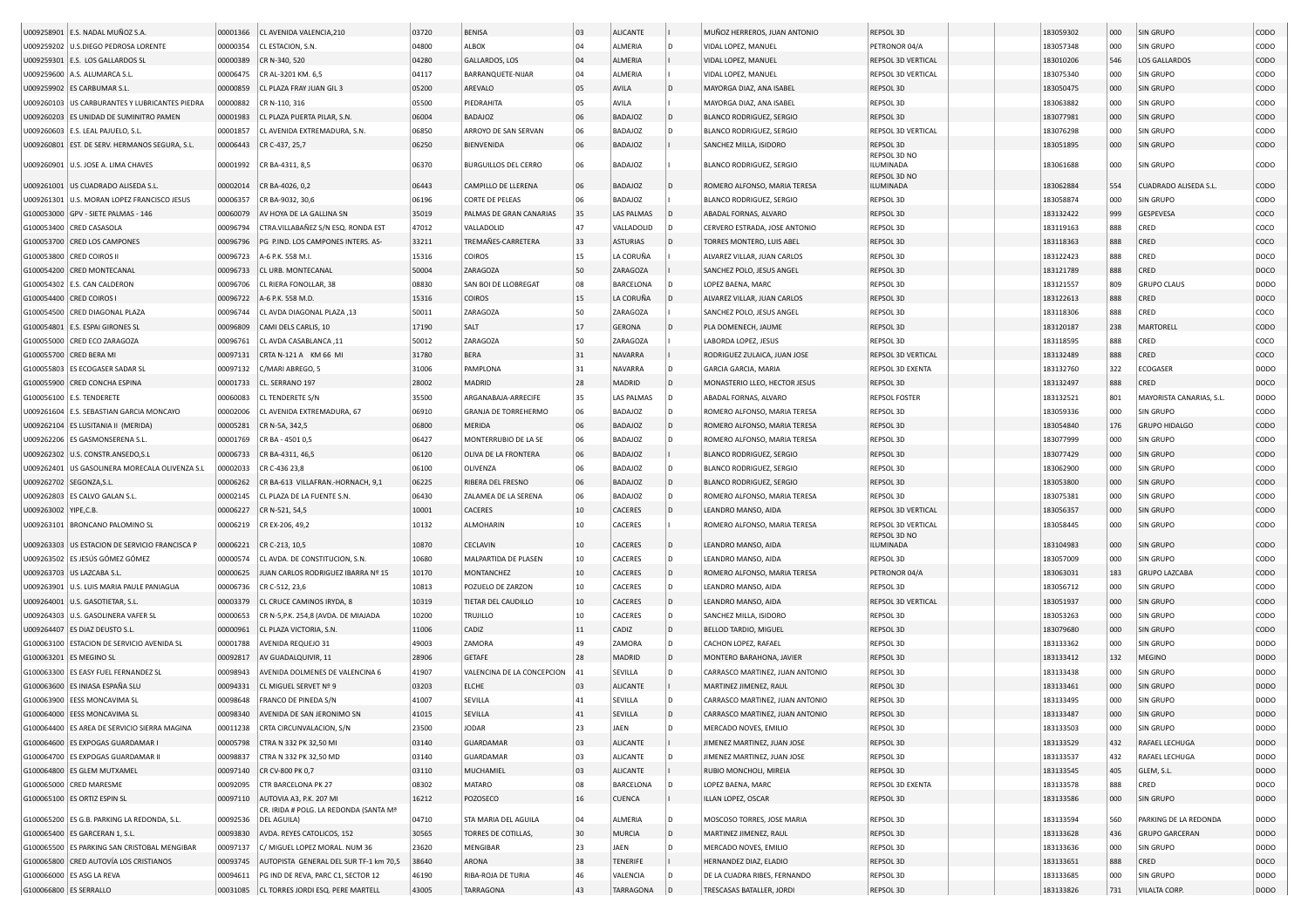|                                | U009258901 E.S. NADAL MUÑOZ S.A                  | 00001366 | CL AVENIDA VALENCIA, 210               | 03720 | <b>BENISA</b>               | 03 | ALICANTE          |              | MUÑOZ HERREROS, JUAN ANTONIO    | REPSOL 3D                 | 183059302 | 000 | SIN GRUPO                   | CODO        |
|--------------------------------|--------------------------------------------------|----------|----------------------------------------|-------|-----------------------------|----|-------------------|--------------|---------------------------------|---------------------------|-----------|-----|-----------------------------|-------------|
|                                | U009259202 U.S.DIEGO PEDROSA LORENTE             | 00000354 | CL ESTACION, S.N.                      | 04800 | ALBOX                       | 04 | ALMERIA           |              | VIDAL LOPEZ, MANUEL             | PETRONOR 04/A             | 183057348 | 000 | SIN GRUPO                   | CODO        |
|                                |                                                  |          |                                        |       |                             |    |                   |              |                                 |                           |           |     |                             |             |
|                                | U009259301 E.S. LOS GALLARDOS SL                 | 00000389 | CR N-340, 520                          | 04280 | GALLARDOS, LOS              | 04 | ALMERIA           |              | VIDAL LOPEZ, MANUEL             | REPSOL 3D VERTICAL        | 183010206 | 546 | LOS GALLARDOS               | CODO        |
|                                | U009259600 A.S. ALUMARCA S.L                     | 00006475 | CR AL-3201 KM. 6,5                     | 04117 | BARRANQUETE-NIJAR           | 04 | ALMERIA           |              | VIDAL LOPEZ, MANUEL             | REPSOL 3D VERTICAL        | 183075340 | 000 | SIN GRUPO                   | CODO        |
|                                | U009259902   ES CARBUMAR S.L                     | 00000859 | CL PLAZA FRAY JUAN GIL 3               | 05200 | AREVALO                     | 05 | AVILA             |              | MAYORGA DIAZ, ANA ISABEL        | REPSOL 3D                 | 183050475 | 000 | SIN GRUPO                   | CODO        |
|                                | U009260103   US CARBURANTES Y LUBRICANTES PIEDRA | 00000882 | CR N-110, 316                          | 05500 | PIEDRAHITA                  | 05 | AVILA             |              | MAYORGA DIAZ, ANA ISABEL        | REPSOL 3D                 | 183063882 | 000 | SIN GRUPO                   | CODO        |
|                                | U009260203 ES UNIDAD DE SUMINITRO PAMEN          | 00001983 | CL PLAZA PUERTA PILAR, S.N.            | 06004 | <b>BADAJOZ</b>              | 06 | <b>BADAJOZ</b>    |              | <b>BLANCO RODRIGUEZ, SERGIO</b> | <b>REPSOL 3D</b>          | 183077981 | 000 | SIN GRUPO                   | CODO        |
|                                | U009260603   E.S. LEAL PAJUELO, S.L              | 00001857 | CL AVENIDA EXTREMADURA, S.N.           | 06850 | ARROYO DE SAN SERVAN        | 06 | <b>BADAJOZ</b>    |              | <b>BLANCO RODRIGUEZ, SERGIO</b> | REPSOL 3D VERTICAL        | 183076298 | 000 | SIN GRUPO                   | CODO        |
|                                | U009260801 EST. DE SERV. HERMANOS SEGURA, S.L.   | 00006443 | CR C-437, 25,7                         | 06250 | BIENVENIDA                  | 06 | <b>BADAJOZ</b>    |              | SANCHEZ MILLA, ISIDORO          | REPSOL 3D                 | 183051895 | 000 | SIN GRUPO                   | CODO        |
|                                |                                                  |          |                                        |       |                             |    |                   |              |                                 | REPSOL 3D NO              |           |     |                             |             |
|                                | U009260901   U.S. JOSE A. LIMA CHAVES            | 00001992 | CR BA-4311, 8,5                        | 06370 | <b>BURGUILLOS DEL CERRO</b> | 06 | <b>BADAJOZ</b>    |              | <b>BLANCO RODRIGUEZ, SERGIO</b> | ILUMINADA                 | 183061688 | 000 | SIN GRUPO                   | CODO        |
|                                | U009261001 US CUADRADO ALISEDA S.L               | 00002014 | CR BA-4026, 0,2                        | 06443 | CAMPILLO DE LLERENA         | 06 | <b>BADAJOZ</b>    |              | ROMERO ALFONSO, MARIA TERESA    | REPSOL 3D NO<br>ILUMINADA | 183062884 | 554 | <b>CUADRADO ALISEDA S.L</b> | CODO        |
|                                | U009261301   U.S. MORAN LOPEZ FRANCISCO JESUS    | 00006357 |                                        | 06196 | <b>CORTE DE PELEAS</b>      | 06 | <b>BADAJOZ</b>    |              | <b>BLANCO RODRIGUEZ, SERGIO</b> | REPSOL 3D                 | 183058874 | 000 | SIN GRUPO                   | CODO        |
|                                |                                                  |          | CR BA-9032, 30,6                       |       |                             |    |                   |              |                                 |                           |           |     |                             |             |
|                                | G100053000 GPV - SIETE PALMAS - 146              | 00060079 | AV HOYA DE LA GALLINA SN               | 35019 | PALMAS DE GRAN CANARIAS     | 35 | LAS PALMAS        |              | ABADAL FORNAS, ALVARO           | REPSOL 3D                 | 183132422 | 999 | GESPEVESA                   | coco        |
|                                | G100053400 CRED CASASOLA                         | 00096794 | CTRA.VILLABAÑEZ S/N ESQ. RONDA EST     | 47012 | VALLADOLID                  | 47 | VALLADOLID        |              | CERVERO ESTRADA, JOSE ANTONIO   | REPSOL 3D                 | 183119163 | 888 | CRED                        | coco        |
|                                | G100053700 CRED LOS CAMPONES                     | 00096796 | PG P.IND. LOS CAMPONES INTERS. AS-     | 33211 | TREMAÑES-CARRETERA          | 33 | <b>ASTURIAS</b>   | $\mathsf{D}$ | TORRES MONTERO, LUIS ABEI       | <b>REPSOL 3D</b>          | 183118363 | 888 | CRED                        | coco        |
|                                | G100053800   CRED COIROS II                      | 00096723 | A-6 P.K. 558 M.I.                      | 15316 | <b>COIROS</b>               | 15 | LA CORUÑA         |              | ALVAREZ VILLAR, JUAN CARLOS     | REPSOL 3D                 | 183122423 | 888 | CRED                        | DOCO        |
|                                | G100054200 CRED MONTECANAL                       | 00096733 | CL URB. MONTECANAL                     | 50004 | ZARAGOZA                    | 50 | ZARAGOZA          |              | SANCHEZ POLO, JESUS ANGEL       | REPSOL 3D                 | 183121789 | 888 | CRED                        | DOCO        |
|                                | G100054302   E.S. CAN CALDERON                   | 00096706 | CL RIERA FONOLLAR, 38                  | 08830 | SAN BOI DE LLOBREGAT        | 08 | BARCELONA         |              | LOPEZ BAENA, MARC               | REPSOL 3D                 | 183121557 | 809 | <b>GRUPO CLAUS</b>          | DODO        |
|                                | G100054400 CRED COIROS I                         | 00096722 | A-6 P.K. 558 M.D                       | 15316 | <b>COIROS</b>               | 15 | LA CORUÑA         |              | ALVAREZ VILLAR, JUAN CARLOS     | <b>REPSOL 3D</b>          | 183122613 | 888 | CRED                        | DOCO        |
|                                | G100054500 CRED DIAGONAL PLAZA                   | 00096744 | CL AVDA DIAGONAL PLAZA, 13             | 50011 | ZARAGOZA                    | 50 | ZARAGOZA          |              | SANCHEZ POLO, JESUS ANGEL       | <b>REPSOL 3D</b>          | 183118306 | 888 | CRED                        | coco        |
|                                | G100054801 E.S. ESPAI GIRONES SL                 | 00096809 | CAMI DELS CARLIS, 10                   | 17190 | SALT                        | 17 | <b>GERONA</b>     |              | PLA DOMENECH, JAUME             | REPSOL 3D                 | 183120187 | 238 | MARTORELL                   | CODO        |
|                                | G100055000 CRED ECO ZARAGOZA                     | 00096761 | CL AVDA CASABLANCA, 11                 | 50012 | ZARAGOZA                    | 50 | ZARAGOZA          |              | LABORDA LOPEZ, JESUS            | REPSOL 3D                 | 183118595 | 888 | CRED                        | coco        |
|                                | G100055700 CRED BERA MI                          | 00097131 | CRTA N-121 A KM 66 MI                  | 31780 | <b>BERA</b>                 | 31 | <b>NAVARRA</b>    |              | RODRIGUEZ ZULAICA, JUAN JOSE    | REPSOL 3D VERTICAL        | 183132489 | 888 | CRED                        | coco        |
|                                |                                                  |          |                                        | 31006 |                             | 31 |                   | l D          | <b>GARCIA GARCIA, MARIA</b>     | <b>REPSOL 3D EXENTA</b>   |           |     | ECOGASER                    |             |
|                                | G100055803 ES ECOGASER SADAR SL                  | 00097132 | C/MARI ABREGO, 5                       |       | PAMPLONA                    |    | NAVARRA           |              |                                 |                           | 183132760 | 322 |                             | DODO        |
|                                | G100055900 CRED CONCHA ESPINA                    | 00001733 | CL. SERRANO 197                        | 28002 | MADRID                      | 28 | MADRID            | ID.          | MONASTERIO LLEO, HECTOR JESUS   | REPSOL 3D                 | 183132497 | 888 | CRED                        | DOCO        |
|                                | G100056100   E.S. TENDERETE                      | 00060083 | CL TENDERETE S/N                       | 35500 | ARGANABAJA-ARRECIFE         | 35 | <b>LAS PALMAS</b> |              | ABADAL FORNAS, ALVARO           | <b>REPSOL FOSTER</b>      | 183132521 | 801 | MAYORISTA CANARIAS, S.L.    | DODO        |
|                                | U009261604 E.S. SEBASTIAN GARCIA MONCAYO         | 00002006 | CL AVENIDA EXTREMADURA, 67             | 06910 | <b>GRANJA DE TORREHERMO</b> | 06 | <b>BADAJOZ</b>    | I D          | ROMERO ALFONSO, MARIA TERESA    | REPSOL 3D                 | 183059336 | 000 | SIN GRUPO                   | CODO        |
|                                | U009262104 ES LUSITANIA II (MERIDA)              | 00005281 | CR N-5A, 342,5                         | 06800 | <b>MFRIDA</b>               | 06 | <b>BADAJOZ</b>    | l D          | ROMERO ALFONSO, MARIA TERESA    | REPSOL 3D                 | 183054840 | 176 | <b>GRUPO HIDALGO</b>        | CODO        |
|                                | U009262206 ES GASMONSERENA S.L.                  | 00001769 | CR BA - 4501 0,5                       | 06427 | MONTERRUBIO DE LA SE        | 06 | <b>BADAJOZ</b>    |              | ROMERO ALFONSO, MARIA TERESA    | REPSOL 3D                 | 183077999 | 000 | SIN GRUPO                   | CODO        |
| J009262302                     | U.S. CONSTR.ANSEDO,S.L                           | 00006733 | CR BA-4311, 46,5                       | 06120 | OLIVA DE LA FRONTERA        | 06 | <b>BADAJOZ</b>    |              | <b>BLANCO RODRIGUEZ, SERGIO</b> | REPSOL 3D                 | 183077429 | 000 | <b>SIN GRUPO</b>            | CODO        |
| J009262401                     | US GASOLINERA MORECALA OLIVENZA S.L              | 00002033 | CR C-436 23,8                          | 06100 | OLIVENZA                    | 06 | <b>BADAJOZ</b>    |              | <b>BLANCO RODRIGUEZ, SERGIO</b> | REPSOL 3D                 | 183062900 | 000 | SIN GRUPO                   | CODO        |
|                                | U009262702 SEGONZA,S.L                           | 00006262 | CR BA-613 VILLAFRAN.-HORNACH, 9,1      | 06225 | RIBERA DEL FRESNO           | 06 | <b>BADAJOZ</b>    | ID.          | <b>BLANCO RODRIGUEZ, SERGIO</b> | REPSOL 3D                 | 183053800 | 000 | SIN GRUPO                   | CODO        |
|                                | U009262803 ES CALVO GALAN S.L.                   | 00002145 | CL PLAZA DE LA FUENTE S.N.             | 06430 | ZALAMEA DE LA SERENA        | 06 | <b>BADAJOZ</b>    | l n          | ROMERO ALFONSO, MARIA TERESA    | REPSOL 3D                 | 183075381 | 000 | SIN GRUPO                   | CODO        |
| U009263002 YIPE,C.B            |                                                  | 00006227 | CR N-521, 54,5                         | 10001 | CACERES                     | 10 | CACERES           |              | LEANDRO MANSO, AIDA             | REPSOL 3D VERTICAL        | 183056357 | 000 | SIN GRUPO                   | CODO        |
| J009263101                     | <b>BRONCANO PALOMINO SL</b>                      | 00006219 | CR EX-206, 49,2                        | 10132 | ALMOHARIN                   | 10 | CACERES           |              | ROMERO ALFONSO, MARIA TERESA    | REPSOL 3D VERTICAL        | 183058445 | 000 | SIN GRUPO                   | CODO        |
|                                |                                                  |          |                                        |       |                             |    |                   |              |                                 | REPSOL 3D NO              |           |     |                             |             |
|                                | U009263303 US ESTACION DE SERVICIO FRANCISCA P   | 00006221 | CR C-213, 10,5                         | 10870 | CECLAVIN                    | 10 | CACERES           | ID.          | LEANDRO MANSO, AIDA             | <b>ILUMINADA</b>          | 183104983 | 000 | <b>SIN GRUPO</b>            | CODO        |
|                                | U009263502 ES JESÚS GÓMEZ GÓMEZ                  | 00000574 | CL AVDA. DE CONSTITUCION, S.N.         | 10680 | MALPARTIDA DE PLASEN        | 10 | CACERES           |              | LEANDRO MANSO, AIDA             | REPSOL 3D                 | 183057009 | 000 | SIN GRUPO                   | CODO        |
|                                | U009263703 US LAZCABA S.L.                       | 00000625 | JUAN CARLOS RODRIGUEZ IBARRA Nº 15     | 10170 | MONTANCHEZ                  | 10 | CACERES           | ID.          | ROMERO ALFONSO, MARIA TERESA    | PETRONOR 04/A             | 183063031 | 183 | <b>GRUPO LAZCABA</b>        | CODO        |
|                                | U009263901 U.S. LUIS MARIA PAULE PANIAGUA        | 00006736 | CR C-512, 23,6                         | 10813 | POZUELO DE ZARZON           | 10 | CACERES           | l D          | LEANDRO MANSO, AIDA             | REPSOL 3D                 | 183056712 | 000 | SIN GRUPO                   | CODO        |
|                                | U009264001 U.S. GASOTIETAR, S.L.                 | 00003379 | CL CRUCE CAMINOS IRYDA, 8              | 10319 | TIETAR DEL CAUDILLO         | 10 | <b>CACERES</b>    | ID.          | LEANDRO MANSO, AIDA             | <b>REPSOL 3D VERTICAL</b> | 183051937 | 000 | SIN GRUPO                   | CODO        |
|                                | U009264303 U.S. GASOLINERA VAFER SL              | 00000653 | CR N-5, P.K. 254, 8 (AVDA. DE MIAJADA  | 10200 | <b>TRUJILLO</b>             | 10 | CACERES           | ID.          | SANCHEZ MILLA, ISIDORO          | REPSOL 3D                 | 183053263 | 000 | SIN GRUPO                   | CODO        |
|                                | U009264407 ES DIAZ DEUSTO S.L                    | 00000961 | CL PLAZA VICTORIA, S.N                 | 11006 | CADIZ                       | 11 | CADIZ             | ID.          | BELLOD TARDIO, MIGUEL           | REPSOL 3D                 | 183079680 | 000 | SIN GRUPO                   | CODO        |
|                                | G100063100 ESTACION DE SERVICIO AVENIDA SL       | 00001788 | <b>AVENIDA REQUEJO 31</b>              | 49003 | ZAMORA                      | 49 | ZAMORA            |              | CACHON LOPEZ, RAFAEL            | REPSOL 3D                 | 183133362 | 000 | SIN GRUPO                   | DODO        |
|                                | G100063201 ES MEGINO SL                          | 00092817 | AV GUADALQUIVIR, 11                    | 28906 | GETAFE                      | 28 | MADRID            | ID.          | MONTERO BARAHONA, JAVIER        | REPSOL 3D                 | 183133412 | 132 | MEGINO                      | DODO        |
|                                | G100063300 ES EASY FUEL FERNANDEZ SL             | 00098943 | AVENIDA DOLMENES DE VALENCINA 6        | 41907 | VALENCINA DE LA CONCEPCION  | 41 | SEVILLA           |              | CARRASCO MARTINEZ, JUAN ANTONIO | REPSOL 3D                 | 183133438 | 000 | SIN GRUPO                   | DODO        |
|                                |                                                  |          |                                        |       |                             |    |                   |              |                                 |                           |           |     |                             |             |
|                                | G100063600 ES INIASA ESPAÑA SLI                  | 00094331 | CL MIGUEL SERVET Nº 9                  | 03203 | <b>ELCHE</b>                | 03 | <b>ALICANTE</b>   |              | MARTINEZ JIMENEZ, RAUL          | REPSOL 3D                 | 183133461 | 000 | SIN GRUPO                   | DODO        |
|                                | G100063900 EESS MONCAVIMA SL                     | 00098648 | <b>FRANCO DE PINEDA S/N</b>            | 41007 | SEVILLA                     | 41 | SEVILLA           |              | CARRASCO MARTINEZ, JUAN ANTONIO | REPSOL 3D                 | 183133495 | 000 | SIN GRUPO                   | DODO        |
|                                | G100064000 EESS MONCAVIMA SL                     | 00098340 | AVENIDA DE SAN JERONIMO SN             | 41015 | SEVILLA                     | 41 | SEVILLA           | In           | CARRASCO MARTINEZ, JUAN ANTONIO | REPSOL 3D                 | 183133487 | 000 | SIN GRUPO                   | <b>DODO</b> |
|                                | G100064400 ES AREA DE SERVICIO SIERRA MAGINA     | 00011238 | CRTA CIRCUNVALACION, S/N               | 23500 | <b>JODAR</b>                | 23 | JAEN              | ID.          | MERCADO NOVES, EMILIO           | REPSOL 3D                 | 183133503 | 000 | SIN GRUPO                   | <b>DODO</b> |
|                                | G100064600 ES EXPOGAS GUARDAMAR I                | 00005798 | CTRA N 332 PK 32,50 MI                 | 03140 | GUARDAMAR                   | 03 | ALICANTE          |              | JIMENEZ MARTINEZ, JUAN JOSE     | REPSOL 3D                 | 183133529 | 432 | RAFAEL LECHUGA              | DODO        |
|                                | G100064700 ES EXPOGAS GUARDAMAR II               | 00098837 | CTRA N 332 PK 32,50 MD                 | 03140 | GUARDAMAR                   | 03 | ALICANTE          | l D          | JIMENEZ MARTINEZ, JUAN JOSE     | REPSOL 3D                 | 183133537 | 432 | RAFAEL LECHUGA              | DODO        |
|                                | G100064800 ES GLEM MUTXAMEL                      | 00097140 | CR CV-800 PK 0,7                       | 03110 | MUCHAMIEL                   | 03 | ALICANTE          |              | RUBIO MONCHOLI, MIREIA          | REPSOL 3D                 | 183133545 | 405 | GLEM, S.L.                  | DODO        |
|                                | G100065000 CRED MARESME                          | 00092095 | CTR BARCELONA PK 27                    | 08302 | MATARO                      | 08 | <b>BARCELONA</b>  |              | LOPEZ BAENA, MARC               | REPSOL 3D EXENTA          | 183133578 | 888 | CRED                        | DOCO        |
|                                | G100065100 ES ORTIZ ESPIN SL                     | 00097110 | AUTOVIA A3, P.K. 207 MI                | 16212 | POZOSECO                    | 16 | <b>CUENCA</b>     |              | ILLAN LOPEZ, OSCAR              | REPSOL 3D                 | 183133586 | 000 | SIN GRUPO                   | DODO        |
|                                |                                                  |          | CR. IRIDA # POLG. LA REDONDA (SANTA Mª |       |                             |    |                   |              |                                 |                           |           |     |                             |             |
|                                | G100065200 ES G.B. PARKING LA REDONDA, S.L.      | 00092536 | DEL AGUILA)                            | 04710 | STA MARIA DEL AGUILA        | 04 | ALMERIA           | l D          | MOSCOSO TORRES, JOSE MARIA      | REPSOL 3D                 | 183133594 | 560 | PARKING DE LA REDONDA       | <b>DODO</b> |
| G100065400 ES GARCERAN 1, S.L. |                                                  | 00093830 | AVDA. REYES CATOLICOS, 152             | 30565 | TORRES DE COTILLAS,         | 30 | MURCIA            | $\mathsf{D}$ | MARTINEZ JIMENEZ, RAUL          | REPSOL 3D                 | 183133628 | 436 | <b>GRUPO GARCERAN</b>       | DODO        |
|                                |                                                  |          |                                        |       |                             |    |                   |              |                                 |                           |           |     |                             |             |
|                                | G100065500 ES PARKING SAN CRISTOBAL MENGIBAR     | 00097137 | C/ MIGUEL LOPEZ MORAL. NUM 36          | 23620 | MENGIBAR                    | 23 | JAEN              | ID.          | MERCADO NOVES, EMILIO           | REPSOL 3D                 | 183133636 | 000 | SIN GRUPO                   | <b>DODO</b> |
|                                | G100065800 CRED AUTOVÍA LOS CRISTIANOS           | 00093745 | AUTOPISTA GENERAL DEL SUR TF-1 km 70,5 | 38640 | ARONA                       | 38 | <b>TENERIFE</b>   |              | HERNANDEZ DIAZ, ELADIO          | REPSOL 3D                 | 183133651 | 888 | CRED                        | DOCO        |
|                                | G100066000 ES ASG LA REVA                        | 00094611 | PG IND DE REVA, PARC C1, SECTOR 12     | 46190 | RIBA-ROJA DE TURIA          | 46 | VALENCIA          |              | DE LA CUADRA RIBES, FERNANDO    | REPSOL 3D                 | 183133685 | 000 | SIN GRUPO                   | <b>DODO</b> |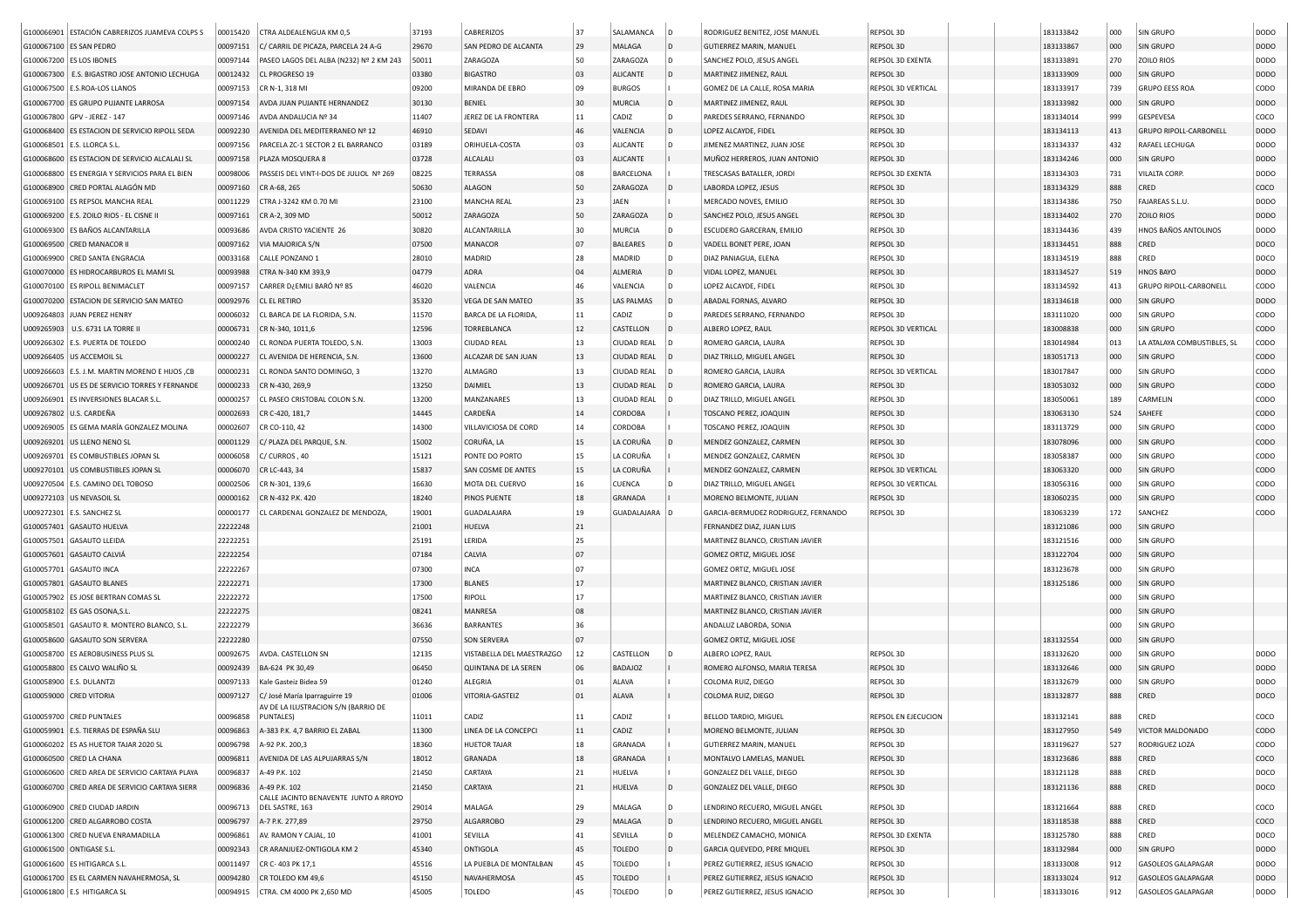| G100066901 ESTACIÓN CABRERIZOS JUAMEVA COLPS S    | 00015420 | CTRA ALDEALENGUA KM 0,5                                              | 37193 | CABRERIZOS                | 37           | SALAMANCA          |                | RODRIGUEZ BENITEZ, JOSE MANUEL      | REPSOL 3D           | 183133842 | 000 | SIN GRUPO                   | DODO        |
|---------------------------------------------------|----------|----------------------------------------------------------------------|-------|---------------------------|--------------|--------------------|----------------|-------------------------------------|---------------------|-----------|-----|-----------------------------|-------------|
| G100067100 ES SAN PEDRO                           | 00097151 | C/ CARRIL DE PICAZA, PARCELA 24 A-G                                  | 29670 | SAN PEDRO DE ALCANTA      | 29           | MALAGA             | $\overline{D}$ | <b>GUTIERREZ MARIN, MANUEL</b>      | REPSOL 3D           | 183133867 | 000 | <b>SIN GRUPO</b>            | <b>DODO</b> |
| G100067200 ES LOS IBONES                          | 00097144 | PASEO LAGOS DEL ALBA (N232) Nº 2 KM 243                              | 50011 | ZARAGOZA                  | 50           | ZARAGOZA           | D              | SANCHEZ POLO, JESUS ANGEL           | REPSOL 3D EXENTA    | 183133891 | 270 | ZOILO RIOS                  | DODO        |
| G100067300 E.S. BIGASTRO JOSE ANTONIO LECHUGA     | 00012432 | CL PROGRESO 19                                                       | 03380 | <b>BIGASTRO</b>           | 03           | <b>ALICANTE</b>    | $\overline{D}$ | MARTINEZ JIMENEZ, RAUL              | REPSOL 3D           | 183133909 | 000 | SIN GRUPO                   | <b>DODO</b> |
| G100067500 E.S.ROA-LOS LLANOS                     | 00097153 | CR N-1, 318 MI                                                       | 09200 | MIRANDA DE EBRO           | 09           | <b>BURGOS</b>      |                | GOMEZ DE LA CALLE, ROSA MARIA       | REPSOL 3D VERTICAL  | 183133917 | 739 | <b>GRUPO EESS ROA</b>       | CODO        |
| G100067700 ES GRUPO PUJANTE LARROSA               | 00097154 | AVDA JUAN PUJANTE HERNANDEZ                                          | 30130 | <b>BENIEL</b>             | 30           | <b>MURCIA</b>      | D              | MARTINEZ JIMENEZ, RAUL              | REPSOL 3D           | 183133982 | 000 | SIN GRUPO                   | <b>DODO</b> |
|                                                   |          |                                                                      | 11407 | JEREZ DE LA FRONTERA      |              |                    | D              |                                     |                     |           |     |                             | coco        |
| G100067800 GPV - JEREZ - 147                      | 00097146 | AVDA ANDALUCIA Nº 34                                                 |       |                           | $11\,$<br>46 | CADIZ              |                | PAREDES SERRANO, FERNANDO           | REPSOL 3D           | 183134014 | 999 | GESPEVESA                   |             |
| G100068400 ES ESTACION DE SERVICIO RIPOLL SEDA    | 00092230 | AVENIDA DEL MEDITERRANEO Nº 12                                       | 46910 | SEDAVI                    |              | VALENCIA           | D              | LOPEZ ALCAYDE, FIDEL                | REPSOL 3D           | 183134113 | 413 | GRUPO RIPOLL-CARBONELL      | <b>DODO</b> |
| G100068501   E.S. LLORCA S.L                      | 00097156 | PARCELA ZC-1 SECTOR 2 EL BARRANCO                                    | 03189 | ORIHUELA-COSTA            | 03           | ALICANTE           | D              | JIMENEZ MARTINEZ, JUAN JOSE         | REPSOL 3D           | 183134337 | 432 | RAFAEL LECHUGA              | DODO        |
| G100068600 ES ESTACION DE SERVICIO ALCALALI SL    | 00097158 | PLAZA MOSQUERA 8                                                     | 03728 | ALCALALI                  | 03           | <b>ALICANTE</b>    |                | MUÑOZ HERREROS, JUAN ANTONIO        | REPSOL 3D           | 183134246 | 000 | SIN GRUPO                   | <b>DODO</b> |
| G100068800   ES ENERGIA Y SERVICIOS PARA EL BIEN  | 00098006 | PASSEIS DEL VINT-I-DOS DE JULIOL Nº 269                              | 08225 | TERRASSA                  | 08           | <b>BARCELONA</b>   |                | TRESCASAS BATALLER, JORDI           | REPSOL 3D EXENTA    | 183134303 | 731 | VILALTA CORP.               | DODO        |
| G100068900 CRED PORTAL ALAGÓN MD                  | 00097160 | CR A-68, 265                                                         | 50630 | ALAGON                    | 50           | ZARAGOZA           |                | LABORDA LOPEZ, JESUS                | REPSOL 3D           | 183134329 | 888 | CRED                        | coco        |
| G100069100 ES REPSOL MANCHA REAL                  | 00011229 | CTRA J-3242 KM 0.70 MI                                               | 23100 | MANCHA REAL               | 23           | JAEN               |                | MERCADO NOVES, EMILIO               | REPSOL 3D           | 183134386 | 750 | FAJAREAS S.L.U.             | DODO        |
| G100069200   E.S. ZOILO RIOS - EL CISNE II        | 00097161 | CR A-2, 309 MD                                                       | 50012 | ZARAGOZA                  | 50           | ZARAGOZA           | D              | SANCHEZ POLO, JESUS ANGEL           | REPSOL 3D           | 183134402 | 270 | <b>ZOILO RIOS</b>           | DODO        |
| G100069300 ES BAÑOS ALCANTARILLA                  | 00093686 | AVDA CRISTO YACIENTE 26                                              | 30820 | ALCANTARILLA              | 30           | MURCIA             | D              | ESCUDERO GARCERAN, EMILIO           | REPSOL 3D           | 183134436 | 439 | HNOS BAÑOS ANTOLINOS        | DODO        |
| G100069500 CRED MANACOR I                         | 00097162 | VIA MAJORICA S/N                                                     | 07500 | MANACOR                   | 07           | <b>BALEARES</b>    | <b>D</b>       | VADELL BONET PERE, JOAN             | REPSOL 3D           | 183134451 | 888 | CRED                        | DOCO        |
| G100069900 CRED SANTA ENGRACIA                    | 00033168 | CALLE PONZANO 1                                                      | 28010 | MADRID                    | 28           | MADRID             | D              | DIAZ PANIAGUA, ELENA                | REPSOL 3D           | 183134519 | 888 | CRED                        | DOCO        |
| G100070000 ES HIDROCARBUROS EL MAMI SL            | 00093988 | CTRA N-340 KM 393,9                                                  | 04779 | ADRA                      | 04           | ALMERIA            | l D            | VIDAL LOPEZ, MANUEL                 | REPSOL 3D           | 183134527 | 519 | <b>HNOS BAYO</b>            | DODO        |
| G100070100 ES RIPOLL BENIMACLET                   | 00097157 | CARRER D¿EMILI BARÓ № 85                                             | 46020 | VALENCIA                  | 46           | VALENCIA           | D              | LOPEZ ALCAYDE, FIDEL                | REPSOL 3D           | 183134592 | 413 | GRUPO RIPOLL-CARBONELL      | CODO        |
| G100070200 ESTACION DE SERVICIO SAN MATEO         | 00092976 | CL EL RETIRO                                                         | 35320 | VEGA DE SAN MATEO         | 35           | <b>LAS PALMAS</b>  | D              | ABADAL FORNAS, ALVARO               | REPSOL 3D           | 183134618 | 000 | SIN GRUPO                   | DODO        |
| U009264803 JUAN PEREZ HENRY                       | 00006032 | CL BARCA DE LA FLORIDA, S.N.                                         | 11570 | BARCA DE LA FLORIDA,      | 11           | CADIZ              | D              | PAREDES SERRANO, FERNANDO           | REPSOL 3D           | 183111020 | 000 | SIN GRUPO                   | CODO        |
| U009265903<br>U.S. 6731 LA TORRE I                | 00006731 | CR N-340, 1011,6                                                     | 12596 | TORREBLANCA               | $12\,$       | CASTELLON          | ۱D             | ALBERO LOPEZ, RAUL                  | REPSOL 3D VERTICAL  | 183008838 | 000 | <b>SIN GRUPO</b>            | CODO        |
| E.S. PUERTA DE TOLEDO<br>U009266302               | 00000240 | CL RONDA PUERTA TOLEDO, S.N.                                         | 13003 | CIUDAD REAL               | 13           | <b>CIUDAD REAL</b> |                | ROMERO GARCIA, LAURA                | REPSOL 3D           | 183014984 | 013 | LA ATALAYA COMBUSTIBLES, SL | CODO        |
| U009266405 US ACCEMOIL SL                         | 00000227 | CL AVENIDA DE HERENCIA, S.N                                          | 13600 | ALCAZAR DE SAN JUAN       | 13           | <b>CIUDAD REAL</b> | D              | DIAZ TRILLO, MIGUEL ANGEL           | REPSOL 3D           | 183051713 | 000 | SIN GRUPO                   | CODO        |
| E.S. J.M. MARTIN MORENO E HIJOS, CB<br>U009266603 | 00000231 | CL RONDA SANTO DOMINGO, 3                                            | 13270 | ALMAGRO                   | 13           | <b>CIUDAD REAL</b> |                | ROMERO GARCIA, LAURA                | REPSOL 3D VERTICAL  | 183017847 | 000 | SIN GRUPO                   | CODO        |
| U009266701 US ES DE SERVICIO TORRES Y FERNANDE    | 00000233 | CR N-430, 269,9                                                      | 13250 | DAIMIEL                   | 13           | <b>CIUDAD REAL</b> |                | ROMERO GARCIA, LAURA                | REPSOL 3D           | 183053032 | 000 | <b>SIN GRUPO</b>            | CODO        |
| U009266901 ES INVERSIONES BLACAR S.L.             | 00000257 | CL PASEO CRISTOBAL COLON S.N.                                        | 13200 | MANZANARES                | 13           | <b>CIUDAD REAL</b> |                | DIAZ TRILLO, MIGUEL ANGEL           | REPSOL 3D           | 183050061 | 189 | CARMELIN                    | CODO        |
| U009267802 U.S. CARDEÑA                           | 00002693 | CR C-420, 181,7                                                      | 14445 | CARDEÑA                   | 14           | CORDOBA            |                | TOSCANO PEREZ, JOAQUIN              | REPSOL 3D           | 183063130 | 524 | SAHEFE                      | CODO        |
| U009269005 ES GEMA MARÍA GONZALEZ MOLINA          | 00002607 | CR CO-110, 42                                                        | 14300 | VILLAVICIOSA DE CORD      | 14           | CORDOBA            |                | TOSCANO PEREZ, JOAQUIN              | REPSOL 3D           | 183113729 | 000 | SIN GRUPO                   | CODO        |
| U009269201 US LLENO NENO SL                       | 00001129 | C/ PLAZA DEL PARQUE, S.N.                                            | 15002 | CORUÑA, LA                | 15           | LA CORUÑA          |                | MENDEZ GONZALEZ, CARMEN             | REPSOL 3D           | 183078096 | 000 | SIN GRUPO                   | CODO        |
| U009269701 ES COMBUSTIBLES JOPAN SL               | 00006058 | C/CURROS, 40                                                         | 15121 | PONTE DO PORTO            | 15           | LA CORUÑA          |                | MENDEZ GONZALEZ, CARMEN             | REPSOL 3D           | 183058387 | 000 | SIN GRUPO                   | CODO        |
| U009270101 US COMBUSTIBLES JOPAN SL               | 00006070 | CR LC-443, 34                                                        | 15837 | SAN COSME DE ANTES        | 15           | LA CORUÑA          |                | MENDEZ GONZALEZ, CARMEN             | REPSOL 3D VERTICAL  | 183063320 | 000 | SIN GRUPO                   | CODO        |
| U009270504 E.S. CAMINO DEL TOBOSO                 | 00002506 | CR N-301, 139,6                                                      | 16630 | MOTA DEL CUERVO           | 16           | CUENCA             | D              | DIAZ TRILLO, MIGUEL ANGEL           | REPSOL 3D VERTICAL  | 183056316 | 000 | SIN GRUPO                   | CODO        |
| U009272103 US NEVASOIL SL                         | 00000162 | CR N-432 P.K. 420                                                    | 18240 | PINOS PUENTE              | 18           | GRANADA            |                | MORENO BELMONTE, JULIAN             | REPSOL 3D           | 183060235 | 000 | SIN GRUPO                   | CODO        |
| U009272301 E.S. SANCHEZ SL                        | 00000177 | CL CARDENAL GONZALEZ DE MENDOZA,                                     | 19001 | <b>GUADALAJARA</b>        | 19           | GUADALAJARA        |                | GARCIA-BERMUDEZ RODRIGUEZ, FERNANDO | REPSOL 3D           | 183063239 | 172 | SANCHEZ                     | CODO        |
| G100057401 GASAUTO HUELVA                         | 22222248 |                                                                      | 21001 | HUELVA                    | 21           |                    |                | FERNANDEZ DIAZ, JUAN LUIS           |                     | 183121086 | 000 | SIN GRUPO                   |             |
| G100057501 GASAUTO LLEIDA                         | 22222251 |                                                                      | 25191 | LERIDA                    | 25           |                    |                | MARTINEZ BLANCO, CRISTIAN JAVIER    |                     | 183121516 | 000 | SIN GRUPO                   |             |
| G100057601 GASAUTO CALVIÁ                         | 22222254 |                                                                      | 07184 | CALVIA                    | 07           |                    |                | GOMEZ ORTIZ, MIGUEL JOSE            |                     | 183122704 | 000 | SIN GRUPO                   |             |
| G100057701 GASAUTO INCA                           | 22222267 |                                                                      | 07300 | <b>INCA</b>               | 07           |                    |                | GOMEZ ORTIZ, MIGUEL JOSE            |                     | 183123678 | 000 | SIN GRUPO                   |             |
| G100057801 GASAUTO BLANES                         | 22222271 |                                                                      | 17300 | <b>BLANES</b>             | 17           |                    |                | MARTINEZ BLANCO, CRISTIAN JAVIER    |                     | 183125186 | 000 | SIN GRUPO                   |             |
| G100057902 ES JOSE BERTRAN COMAS SL               | 22222272 |                                                                      | 17500 | RIPOLL                    | 17           |                    |                | MARTINEZ BLANCO, CRISTIAN JAVIER    |                     |           | 000 | SIN GRUPO                   |             |
| G100058102 ES GAS OSONA, S.L.                     | 22222275 |                                                                      | 08241 | MANRESA                   | 08           |                    |                | MARTINEZ BLANCO, CRISTIAN JAVIER    |                     |           | 000 | SIN GRUPO                   |             |
| G100058501 GASAUTO R. MONTERO BLANCO, S.L         | 22222279 |                                                                      | 36636 | <b>BARRANTES</b>          | 36           |                    |                | ANDALUZ LABORDA, SONIA              |                     |           | 000 | SIN GRUPO                   |             |
| G100058600 GASAUTO SON SERVERA                    | 22222280 |                                                                      | 07550 | <b>SON SERVERA</b>        | 07           |                    |                | GOMEZ ORTIZ, MIGUEL JOSE            |                     | 183132554 | 000 | <b>SIN GRUPO</b>            |             |
| G100058700 ES AEROBUSINESS PLUS SL                |          | AVDA. CASTELLON SN                                                   | 12135 | VISTABELLA DEL MAESTRAZGO | 12           | CASTELLON          | D              | ALBERO LOPEZ, RAUL                  | REPSOL 3D           | 183132620 | 000 | SIN GRUPO                   |             |
|                                                   | 00092675 |                                                                      |       |                           |              |                    |                |                                     |                     |           |     |                             | DODO        |
| G100058800 ES CALVO WALIÑO SI                     | 00092439 | BA-624 PK 30,49                                                      | 06450 | QUINTANA DE LA SEREN      | 06           | <b>BADAJOZ</b>     |                | ROMERO ALFONSO, MARIA TERESA        | REPSOL 3D           | 183132646 | 000 | <b>SIN GRUPO</b>            | <b>DODO</b> |
| G100058900   E.S. DULANTZI                        | 00097133 | Kale Gasteiz Bidea 59                                                | 01240 | ALEGRIA                   | 01           | ALAVA              |                | COLOMA RUIZ, DIEGO                  | REPSOL 3D           | 183132679 | 000 | SIN GRUPO                   | DODO        |
| G100059000 CRED VITORIA                           | 00097127 | C/ José María Iparraguirre 19<br>AV DE LA ILUSTRACION S/N (BARRIO DE | 01006 | VITORIA-GASTEIZ           | 01           | ALAVA              |                | COLOMA RUIZ, DIEGO                  | REPSOL 3D           | 183132877 | 888 | CRED                        | DOCO        |
| G100059700 CRED PUNTALES                          | 00096858 | <b>PUNTALES)</b>                                                     | 11011 | CADIZ                     | 11           | CADIZ              |                | BELLOD TARDIO, MIGUEL               | REPSOL EN EJECUCION | 183132141 | 888 | CRED                        | COCO        |
| G100059901 E.S. TIERRAS DE ESPAÑA SLU             |          | 00096863 A-383 P.K. 4,7 BARRIO EL ZABAL                              | 11300 | LINEA DE LA CONCEPCI      | 11           | CADIZ              |                | MORENO BELMONTE, JULIAN             | REPSOL 3D           | 183127950 | 549 | VICTOR MALDONADO            | CODO        |
| G100060202 ES AS HUETOR TAJAR 2020 SL             | 00096798 | A-92 P.K. 200,3                                                      | 18360 | <b>HUETOR TAJAR</b>       | 18           | GRANADA            |                | <b>GUTIERREZ MARIN, MANUEL</b>      | REPSOL 3D           | 183119627 | 527 | RODRIGUEZ LOZA              | CODO        |
| G100060500 CRED LA CHANA                          | 00096811 | AVENIDA DE LAS ALPUJARRAS S/N                                        | 18012 | GRANADA                   | 18           | GRANADA            |                | MONTALVO LAMELAS, MANUEL            | REPSOL 3D           | 183123686 | 888 | CRED                        | coco        |
| G100060600 CRED AREA DE SERVICIO CARTAYA PLAYA    | 00096837 | A-49 P.K. 102                                                        | 21450 | CARTAYA                   | 21           | HUELVA             |                | GONZALEZ DEL VALLE, DIEGO           | REPSOL 3D           | 183121128 | 888 | CRED                        | DOCO        |
| G100060700 CRED AREA DE SERVICIO CARTAYA SIERR    | 00096836 | A-49 P.K. 102                                                        | 21450 | CARTAYA                   | 21           | HUELVA             | D              | GONZALEZ DEL VALLE, DIEGO           | REPSOL 3D           | 183121136 | 888 | CRED                        | DOCO        |
|                                                   |          | CALLE JACINTO BENAVENTE JUNTO A RROYO                                |       |                           |              |                    |                |                                     |                     |           |     |                             |             |
| G100060900 CRED CIUDAD JARDIN                     |          | 00096713   DEL SASTRE, 163                                           | 29014 | MALAGA                    | 29           | MALAGA             |                | LENDRINO RECUERO, MIGUEL ANGEL      | REPSOL 3D           | 183121664 | 888 | CRED                        | coco        |
| G100061200 CRED ALGARROBO COSTA                   | 00096797 | A-7 P.K. 277,89                                                      | 29750 | <b>ALGARROBO</b>          | 29           | MALAGA             | D              | LENDRINO RECUERO, MIGUEL ANGEL      | REPSOL 3D           | 183118538 | 888 | CRED                        | COCO        |
| G100061300 CRED NUEVA ENRAMADILLA                 | 00096861 | AV. RAMON Y CAJAL, 10                                                | 41001 | SEVILLA                   | 41           | SEVILLA            | D              | MELENDEZ CAMACHO, MONICA            | REPSOL 3D EXENTA    | 183125780 | 888 | CRED                        | DOCO        |
| G100061500 ONTIGASE S.L.                          | 00092343 | CR ARANJUEZ-ONTIGOLA KM 2                                            | 45340 | <b>ONTIGOLA</b>           | 45           | <b>TOLEDO</b>      | D              | GARCIA QUEVEDO, PERE MIQUEL         | REPSOL 3D           | 183132984 | 000 | SIN GRUPO                   | <b>DODO</b> |
| G100061600 ES HITIGARCA S.L.                      | 00011497 | CR C-403 PK 17,1                                                     | 45516 | LA PUEBLA DE MONTALBAN    | 45           | <b>TOLEDO</b>      |                | PEREZ GUTIERREZ, JESUS IGNACIO      | REPSOL 3D           | 183133008 | 912 | GASOLEOS GALAPAGAR          | DODO        |
| G100061700 ES EL CARMEN NAVAHERMOSA, SL           | 00094280 | CR TOLEDO KM 49,6                                                    | 45150 | NAVAHERMOSA               | 45           | TOLEDO             |                | PEREZ GUTIERREZ, JESUS IGNACIO      | REPSOL 3D           | 183133024 | 912 | <b>GASOLEOS GALAPAGAR</b>   | <b>DODO</b> |
| G100061800 E.S HITIGARCA SL                       |          | 00094915 CTRA. CM 4000 PK 2,650 MD                                   | 45005 | TOLEDO                    | 45           | TOLEDO             | D              | PEREZ GUTIERREZ, JESUS IGNACIO      | REPSOL 3D           | 183133016 | 912 | <b>GASOLEOS GALAPAGAR</b>   | <b>DODO</b> |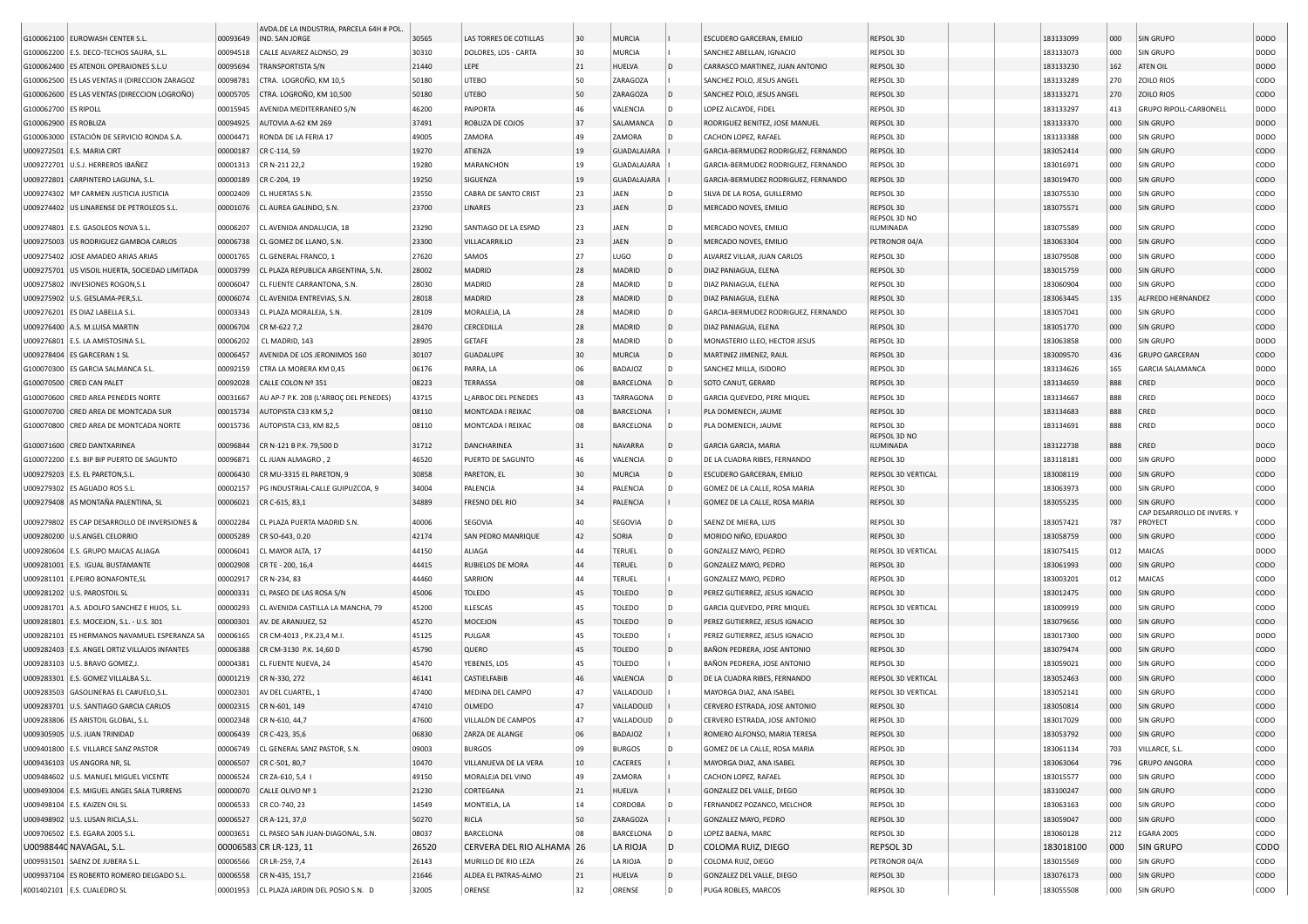|                        |                                                |          | AVDA.DE LA INDUSTRIA, PARCELA 64H # POL   |       |                           |     |                    |                        |                                     |                           |           |     |                             |             |
|------------------------|------------------------------------------------|----------|-------------------------------------------|-------|---------------------------|-----|--------------------|------------------------|-------------------------------------|---------------------------|-----------|-----|-----------------------------|-------------|
|                        | G100062100 EUROWASH CENTER S.L.                | 00093649 | IND. SAN JORGE                            | 30565 | LAS TORRES DE COTILLAS    | 30  | <b>MURCIA</b>      |                        | ESCUDERO GARCERAN, EMILIO           | REPSOL 3D                 | 183133099 | 000 | <b>SIN GRUPO</b>            | <b>DODO</b> |
|                        | G100062200   E.S. DECO-TECHOS SAURA, S.L       | 00094518 | CALLE ALVAREZ ALONSO, 29                  | 30310 | DOLORES, LOS - CARTA      | 30  | <b>MURCIA</b>      |                        | SANCHEZ ABELLAN, IGNACIO            | REPSOL 3D                 | 183133073 | 000 | SIN GRUPO                   | <b>DODO</b> |
|                        | G100062400 ES ATENOIL OPERAIONES S.L.U         | 00095694 | <b>TRANSPORTISTA S/N</b>                  | 21440 | LEPE                      | 21  | HUELVA             | l D                    | CARRASCO MARTINEZ, JUAN ANTONIO     | REPSOL 3D                 | 183133230 | 162 | ATEN OIL                    | <b>DODO</b> |
|                        | G100062500 ES LAS VENTAS II (DIRECCION ZARAGOZ | 00098781 | CTRA. LOGROÑO, KM 10,5                    | 50180 | <b>UTEBO</b>              | 50  | ZARAGOZA           |                        | SANCHEZ POLO, JESUS ANGEL           | REPSOL 3D                 | 183133289 | 270 | ZOILO RIOS                  | CODO        |
|                        | G100062600 ES LAS VENTAS (DIRECCION LOGROÑO)   | 00005705 | CTRA. LOGROÑO, KM 10,500                  | 50180 | <b>UTEBO</b>              | 50  | ZARAGOZA           | l D                    | SANCHEZ POLO, JESUS ANGEL           | REPSOL 3D                 | 183133271 | 270 | <b>ZOILO RIOS</b>           | CODO        |
| G100062700   ES RIPOLL |                                                | 00015945 | AVENIDA MEDITERRANEO S/N                  | 46200 | PAIPORTA                  | 46  | VALENCIA           | l D                    | LOPEZ ALCAYDE, FIDEL                | REPSOL 3D                 | 183133297 | 413 | GRUPO RIPOLL-CARBONELL      | <b>DODO</b> |
| G100062900 ES ROBLIZA  |                                                | 00094925 | AUTOVIA A-62 KM 269                       | 37491 | ROBLIZA DE COJOS          | 137 | SALAMANCA          | חו                     | RODRIGUEZ BENITEZ, JOSE MANUEL      | REPSOL 3D                 | 183133370 | 000 | SIN GRUPO                   | <b>DODO</b> |
|                        | G100063000 ESTACIÓN DE SERVICIO RONDA S.A.     | 00004471 | RONDA DE LA FERIA 17                      | 49005 | ZAMORA                    | 49  | ZAMORA             |                        | CACHON LOPEZ, RAFAEL                | REPSOL 3D                 | 183133388 | 000 | SIN GRUPO                   | <b>DODO</b> |
|                        | J009272501 E.S. MARIA CIRT                     | 00000187 | CR C-114, 59                              | 19270 | ATIENZA                   | 19  | <b>GUADALAJARA</b> |                        | GARCIA-BERMUDEZ RODRIGUEZ, FERNANDO | REPSOL 3D                 | 183052414 | 000 | SIN GRUPO                   | CODO        |
|                        | U009272701   U.S.J. HERREROS IBAÑEZ            | 00001313 | CR N-211 22,2                             | 19280 | MARANCHON                 | 19  | <b>GUADALAJARA</b> |                        | GARCIA-BERMUDEZ RODRIGUEZ, FERNANDO | REPSOL 3D                 | 183016971 | 000 | SIN GRUPO                   | CODO        |
|                        | J009272801   CARPINTERO LAGUNA, S.L.           | 00000189 | CR C-204, 19                              | 19250 | SIGUENZA                  | 19  | GUADALAJARA        |                        | GARCIA-BERMUDEZ RODRIGUEZ, FERNANDO | REPSOL 3D                 | 183019470 | 000 | SIN GRUPO                   | <b>CODO</b> |
|                        | U009274302   Mª CARMEN JUSTICIA JUSTICIA       | 00002409 | CL HUERTAS S.N.                           | 23550 | CABRA DE SANTO CRIST      | 23  | <b>JAEN</b>        | D                      | SILVA DE LA ROSA, GUILLERMO         | REPSOL 3D                 | 183075530 | 000 | SIN GRUPO                   | copo        |
|                        | U009274402 US LINARENSE DE PETROLEOS S.L       | 00001076 | CL AUREA GALINDO, S.N.                    | 23700 | <b>LINARES</b>            | 23  | JAEN               | ID.                    | MERCADO NOVES, EMILIO               | REPSOL 3D                 | 183075571 | 000 | SIN GRUPO                   | CODO        |
|                        | U009274801 E.S. GASOLEOS NOVA S.L              | 00006207 | CL AVENIDA ANDALUCIA, 18                  | 23290 | SANTIAGO DE LA ESPAD      | 23  | JAEN               |                        | MERCADO NOVES, EMILIO               | REPSOL 3D NO<br>ILUMINADA | 183075589 | 000 | SIN GRUPO                   | CODO        |
|                        | U009275003 US RODRIGUEZ GAMBOA CARLOS          | 00006738 | CL GOMEZ DE LLANO, S.N.                   | 23300 | VILLACARRILLO             | 23  | JAEN               |                        | MERCADO NOVES, EMILIO               | PETRONOR 04/A             | 183063304 | 000 | <b>SIN GRUPO</b>            | CODO        |
|                        | U009275402 JOSE AMADEO ARIAS ARIAS             | 00001765 | CL GENERAL FRANCO, 1                      | 27620 | SAMOS                     | 27  | LUGO               | $\overline{D}$<br>l D. | ALVAREZ VILLAR, JUAN CARLOS         | REPSOL 3D                 | 183079508 | 000 | SIN GRUPO                   | CODO        |
|                        | U009275701 US VISOIL HUERTA, SOCIEDAD LIMITADA | 00003799 | CL PLAZA REPUBLICA ARGENTINA, S.N.        | 28002 | MADRID                    | 28  | MADRID             | D                      | DIAZ PANIAGUA, ELENA                | REPSOL 3D                 | 183015759 | 000 | <b>SIN GRUPO</b>            | CODO        |
|                        | U009275802   INVESIONES ROGON, S.L             | 00006047 | CL FUENTE CARRANTONA, S.N                 | 28030 | <b>MADRID</b>             | 28  | MADRID             | ۱D.                    | DIAZ PANIAGUA, ELENA                | REPSOL 3D                 | 183060904 | 000 | SIN GRUPO                   | CODO        |
|                        |                                                |          |                                           |       |                           |     |                    |                        |                                     |                           |           |     |                             |             |
|                        | U009275902 U.S. GESLAMA-PER,S.L                | 00006074 | CL AVENIDA ENTREVIAS, S.N.                | 28018 | MADRID                    | 28  | MADRID             | D                      | DIAZ PANIAGUA, ELENA                | REPSOL 3D                 | 183063445 | 135 | ALFREDO HERNANDEZ           | CODO        |
|                        | U009276201 ES DIAZ LABELLA S.L.                | 00003343 | CL PLAZA MORALEJA, S.N.                   | 28109 | MORALEJA, LA              | 28  | MADRID             | ۱D.                    | GARCIA-BERMUDEZ RODRIGUEZ, FERNANDO | REPSOL 3D                 | 183057041 | 000 | SIN GRUPO                   | CODO        |
|                        | J009276400 A.S. M.LUISA MARTIN                 | 00006704 | CR M-622 7,2                              | 28470 | CERCEDILLA                | 28  | MADRID             | D                      | DIAZ PANIAGUA, ELENA                | REPSOL 3D                 | 183051770 | 000 | SIN GRUPO                   | CODO        |
|                        | U009276801 E.S. LA AMISTOSINA S.L.             | 00006202 | CL MADRID, 143                            | 28905 | GETAFE                    | 28  | MADRID             | D                      | MONASTERIO LLEO, HECTOR JESUS       | REPSOL 3D                 | 183063858 | 000 | SIN GRUPO                   | <b>DODO</b> |
|                        | U009278404 ES GARCERAN 1 SL                    | 00006457 | AVENIDA DE LOS JERONIMOS 160              | 30107 | <b>GUADALUPE</b>          | 30  | <b>MURCIA</b>      | ID.                    | MARTINEZ JIMENEZ, RAUL              | REPSOL 3D                 | 183009570 | 436 | <b>GRUPO GARCERAN</b>       | CODO        |
|                        | G100070300 ES GARCIA SALMANCA S.L.             | 00092159 | CTRA LA MORERA KM 0.45                    | 06176 | PARRA, LA                 | 06  | <b>BADAJOZ</b>     | l D.                   | SANCHEZ MILLA, ISIDORO              | REPSOL 3D                 | 183134626 | 165 | <b>GARCIA SALAMANCA</b>     | <b>DODO</b> |
|                        | G100070500 CRED CAN PALET                      | 00092028 | CALLE COLON Nº 351                        | 08223 | <b>TERRASSA</b>           | 08  | <b>BARCELONA</b>   | l D                    | SOTO CANUT, GERARD                  | REPSOL 3D                 | 183134659 | 888 | CRED                        | DOCO        |
|                        | G100070600 CRED AREA PENEDES NORTE             | 00031667 | AU AP-7 P.K. 208 (L'ARBOC DEL PENEDES)    | 43715 | L¿ARBOC DEL PENEDES       | 43  | TARRAGONA          |                        | GARCIA QUEVEDO, PERE MIQUEL         | REPSOL 3D                 | 183134667 | 888 | CRED                        | DOCO        |
|                        | G100070700 CRED AREA DE MONTCADA SUR           | 00015734 | AUTOPISTA C33 KM 5.2                      | 08110 | MONTCADA I REIXAC         | 08  | <b>BARCELONA</b>   |                        | PLA DOMENECH, JAUME                 | REPSOL 3D                 | 183134683 | 888 | CRED                        | DOCO        |
|                        | G100070800 CRED AREA DE MONTCADA NORTE         | 00015736 | AUTOPISTA C33, KM 82,5                    | 08110 | MONTCADA I REIXAC         | 08  | <b>BARCELONA</b>   | l D                    | PLA DOMENECH, JAUME                 | REPSOL 3D                 | 183134691 | 888 | CRED                        | DOCO        |
|                        | G100071600 CRED DANTXARINEA                    | 00096844 | CR N-121 B P.K. 79,500 D                  | 31712 | DANCHARINEA               | 31  | NAVARRA            | ID.                    | GARCIA GARCIA, MARIA                | REPSOL 3D NO<br>ILUMINADA | 183122738 | 888 | CRED                        | DOCO        |
|                        | G100072200 E.S. BIP BIP PUERTO DE SAGUNTO      | 00096871 | CL JUAN ALMAGRO, 2                        | 46520 | PUERTO DE SAGUNTO         | 46  | VALENCIA           | l D                    | DE LA CUADRA RIBES, FERNANDO        | REPSOL 3D                 | 183118181 | 000 | SIN GRUPO                   | <b>DODO</b> |
|                        | U009279203   E.S. EL PARETON, S.L.             | 00006430 | CR MU-3315 EL PARETON, 9                  | 30858 | PARETON, EL               | 30  | <b>MURCIA</b>      | ID.                    | ESCUDERO GARCERAN, EMILIO           | REPSOL 3D VERTICAL        | 183008119 | 000 | SIN GRUPO                   | CODO        |
|                        | U009279302 ES AGUADO ROS S.L.                  | 00002157 | PG INDUSTRIAL-CALLE GUIPUZCOA, 9          | 34004 | PALENCIA                  | 34  | PALENCIA           | ID.                    | GOMEZ DE LA CALLE, ROSA MARIA       | REPSOL 3D                 | 183063973 | 000 | SIN GRUPO                   | CODO        |
|                        | U009279408 AS MONTAÑA PALENTINA, SL            | 00006021 | CR C-615, 83,1                            | 34889 | FRESNO DEL RIO            | 34  | PALENCIA           |                        | GOMEZ DE LA CALLE, ROSA MARIA       | REPSOL 3D                 | 183055235 | 000 | SIN GRUPO                   | <b>CODO</b> |
|                        |                                                |          |                                           |       |                           |     |                    |                        |                                     |                           |           |     | CAP DESARROLLO DE INVERS. Y |             |
|                        | U009279802 ES CAP DESARROLLO DE INVERSIONES &  | 00002284 | CL PLAZA PUERTA MADRID S.N.               | 40006 | SEGOVIA                   | 40  | SEGOVIA            | l D                    | SAENZ DE MIERA, LUIS                | REPSOL 3D                 | 183057421 | 787 | PROYECT                     | CODO        |
|                        | U009280200 U.S.ANGEL CELORRIO                  | 00005289 | CR SO-643, 0.20                           | 42174 | SAN PEDRO MANRIQUE        | 42  | SORIA              | ID.                    | MORIDO NIÑO, EDUARDO                | REPSOL 3D                 | 183058759 | 000 | SIN GRUPO                   | CODO        |
|                        | U009280604 E.S. GRUPO MAICAS ALIAGA            | 00006041 | CL MAYOR ALTA, 17                         | 44150 | ALIAGA                    | 44  | <b>TERUEL</b>      | l D.                   | GONZALEZ MAYO, PEDRO                | REPSOL 3D VERTICAL        | 183075415 | 012 | MAICAS                      | <b>DODO</b> |
|                        | U009281001 E.S. IGUAL BUSTAMANTE               | 00002908 | CR TE - 200, 16,4                         | 44415 | RUBIELOS DE MORA          | 44  | <b>TERUEL</b>      | ID.                    | GONZALEZ MAYO, PEDRO                | REPSOL 3D                 | 183061993 | 000 | SIN GRUPO                   | CODO        |
|                        | J009281101 E.PEIRO BONAFONTE,SL                | 00002917 | CR N-234, 83                              | 44460 | SARRION                   | 44  | <b>TERUEL</b>      |                        | GONZALEZ MAYO, PEDRO                | REPSOL 3D                 | 183003201 | 012 | MAICAS                      | CODO        |
|                        | U009281202 U.S. PAROSTOIL SL                   | 00000331 | CL PASEO DE LAS ROSA S/N                  | 45006 | <b>TOLEDO</b>             | 45  | <b>TOLEDO</b>      | ID.                    | PEREZ GUTIERREZ, JESUS IGNACIO      | REPSOL 3D                 | 183012475 | 000 | SIN GRUPO                   | <b>CODO</b> |
|                        | U009281701   A.S. ADOLFO SANCHEZ E HIJOS, S.L. | 00000293 | CL AVENIDA CASTILLA LA MANCHA, 79         | 45200 | ILLESCAS                  | 45  | <b>TOLEDO</b>      | In.                    | GARCIA QUEVEDO, PERE MIQUEL         | REPSOL 3D VERTICAL        | 183009919 | 000 | SIN GRUPO                   | CODO        |
|                        | U009281801 E.S. MOCEJON, S.L. - U.S. 301       | 00000301 | AV. DE ARANJUEZ, 52                       | 45270 | MOCEJON                   | 45  | <b>TOLEDO</b>      | ID.                    | PEREZ GUTIERREZ, JESUS IGNACIO      | REPSOL 3D                 | 183079656 | 000 | SIN GRUPO                   | <b>CODO</b> |
|                        | J009282101 ES HERMANOS NAVAMUEL ESPERANZA SA   | 00006165 | CR CM-4013, P.K.23,4 M.I                  | 45125 | PULGAR                    | 45  | <b>TOLEDO</b>      |                        | PEREZ GUTIERREZ, JESUS IGNACIO      | REPSOL 3D                 | 183017300 | 000 | SIN GRUPO                   | <b>DODO</b> |
| J009282403             | E.S. ANGEL ORTIZ VILLAJOS INFANTES             | 00006388 | CR CM-3130 P.K. 14,60 D                   | 45790 | QUERO                     | 45  | <b>TOLEDO</b>      |                        | BAÑON PEDRERA, JOSE ANTONIO         | REPSOL 3D                 | 183079474 | 000 | SIN GRUPO                   | <b>CODO</b> |
| U009283103             | U.S. BRAVO GOMEZ, J.                           | 00004381 | CL FUENTE NUEVA, 24                       | 45470 | YEBENES, LOS              | 45  | <b>TOLEDO</b>      |                        | BAÑON PEDRERA, JOSE ANTONIO         | REPSOL 3D                 | 183059021 | 000 | SIN GRUPO                   | CODO        |
|                        | U009283301 E.S. GOMEZ VILLALBA S.L             | 00001219 | CR N-330, 272                             | 46141 | CASTIELFABIB              | 46  | VALENCIA           | l D                    | DE LA CUADRA RIBES, FERNANDO        | REPSOL 3D VERTICAL        | 183052463 | 000 | SIN GRUPO                   | <b>CODO</b> |
|                        | U009283503 GASOLINERAS EL CA#UELO.S.L          | 00002301 | AV DEL CUARTEL, 1                         | 47400 | MEDINA DEL CAMPO          | 47  | VALLADOLID         |                        | MAYORGA DIAZ, ANA ISABEL            | REPSOL 3D VERTICAL        | 183052141 | 000 | SIN GRUPO                   | CODO        |
|                        | U009283701 U.S. SANTIAGO GARCIA CARLOS         | 00002315 | CR N-601, 149                             | 47410 | OLMEDO                    | 47  | VALLADOLID         |                        | CERVERO ESTRADA, JOSE ANTONIO       | REPSOL 3D                 | 183050814 | 000 | SIN GRUPO                   | CODO        |
|                        | U009283806 ES ARISTOIL GLOBAL, S.L.            |          | 00002348 CR N-610, 44,7                   | 47600 | VILLALON DE CAMPOS        |     | VALLADOLID         |                        | CERVERO ESTRADA, JOSE ANTONIO       | REPSOL 3D                 | 183017029 | 000 | SIN GRUPO                   | CODO        |
|                        | U009305905 U.S. JUAN TRINIDAD                  |          | 00006439 CR C-423, 35,6                   | 06830 | ZARZA DE ALANGE           | 06  | BADAJOZ            |                        | ROMERO ALFONSO, MARIA TERESA        | REPSOL 3D                 | 183053792 | 000 | SIN GRUPO                   | CODO        |
|                        | U009401800 E.S. VILLARCE SANZ PASTOR           |          | 00006749 CL GENERAL SANZ PASTOR, S.N.     | 09003 | <b>BURGOS</b>             | 09  | <b>BURGOS</b>      |                        | GOMEZ DE LA CALLE, ROSA MARIA       | REPSOL 3D                 | 183061134 | 703 | VILLARCE, S.L.              | CODO        |
|                        | U009436103 US ANGORA NR, SL                    | 00006507 | CR C-501, 80,7                            | 10470 | VILLANUEVA DE LA VERA     | 10  | CACERES            |                        | MAYORGA DIAZ, ANA ISABEL            | REPSOL 3D                 | 183063064 | 796 | <b>GRUPO ANGORA</b>         | <b>CODO</b> |
|                        | U009484602 U.S. MANUEL MIGUEL VICENTE          | 00006524 | CR ZA-610, 5,4 1                          | 49150 | MORALEJA DEL VINO         | 49  | ZAMORA             |                        | CACHON LOPEZ, RAFAEL                | REPSOL 3D                 | 183015577 | 000 | SIN GRUPO                   | CODO        |
|                        | U009493004 E.S. MIGUEL ANGEL SALA TURRENS      | 00000070 | CALLE OLIVO Nº 1                          | 21230 | CORTEGANA                 | 21  | HUELVA             |                        | GONZALEZ DEL VALLE, DIEGO           | REPSOL 3D                 | 183100247 | 000 | SIN GRUPO                   | <b>CODO</b> |
|                        | U009498104 E.S. KAIZEN OIL SL                  | 00006533 | CR CO-740, 23                             | 14549 | MONTIELA, LA              | 14  | <b>CORDOBA</b>     | ۱D                     | FERNANDEZ POZANCO, MELCHOR          | REPSOL 3D                 | 183063163 | 000 | SIN GRUPO                   | CODO        |
|                        | U009498902 U.S. LUSAN RICLA, S.L.              |          | 00006527 CR A-121, 37,0                   | 50270 | RICLA                     | 50  | ZARAGOZA           |                        | GONZALEZ MAYO, PEDRO                | REPSOL 3D                 | 183059047 | 000 | SIN GRUPO                   | <b>CODO</b> |
|                        | U009706502 E.S. EGARA 2005 S.L.                |          | 00003651 CL PASEO SAN JUAN-DIAGONAL, S.N. | 08037 | BARCELONA                 | 08  | <b>BARCELONA</b>   |                        | LOPEZ BAENA, MARC                   | REPSOL 3D                 | 183060128 | 212 | <b>EGARA 2005</b>           | CODO        |
|                        | U00988440 NAVAGAL, S.L.                        |          | 00006583 CR LR-123, 11                    | 26520 | CERVERA DEL RIO ALHAMA 26 |     | LA RIOJA           | D                      | COLOMA RUIZ, DIEGO                  | REPSOL 3D                 | 183018100 | 000 | <b>SIN GRUPO</b>            | <b>CODO</b> |
|                        | U009931501 SAENZ DE JUBERA S.L.                | 00006566 | CR LR-259, 7,4                            | 26143 | MURILLO DE RIO LEZA       | 26  | LA RIOJA           | D                      | COLOMA RUIZ, DIEGO                  | PETRONOR 04/A             | 183015569 | 000 | SIN GRUPO                   | CODO        |
|                        | U009937104 ES ROBERTO ROMERO DELGADO S.L.      | 00006558 | CR N-435, 151,7                           | 21646 | ALDEA EL PATRAS-ALMO      | 21  | HUELVA             | $\overline{D}$         | GONZALEZ DEL VALLE, DIEGO           | REPSOL 3D                 | 183076173 | 000 | SIN GRUPO                   | CODO        |
|                        | K001402101 E.S. CUALEDRO SL                    |          | 00001953 CL PLAZA JARDIN DEL POSIO S.N. D | 32005 | ORENSE                    | 32  | ORENSE             | D                      | PUGA ROBLES, MARCOS                 | REPSOL 3D                 | 183055508 | 000 | <b>SIN GRUPO</b>            | CODO        |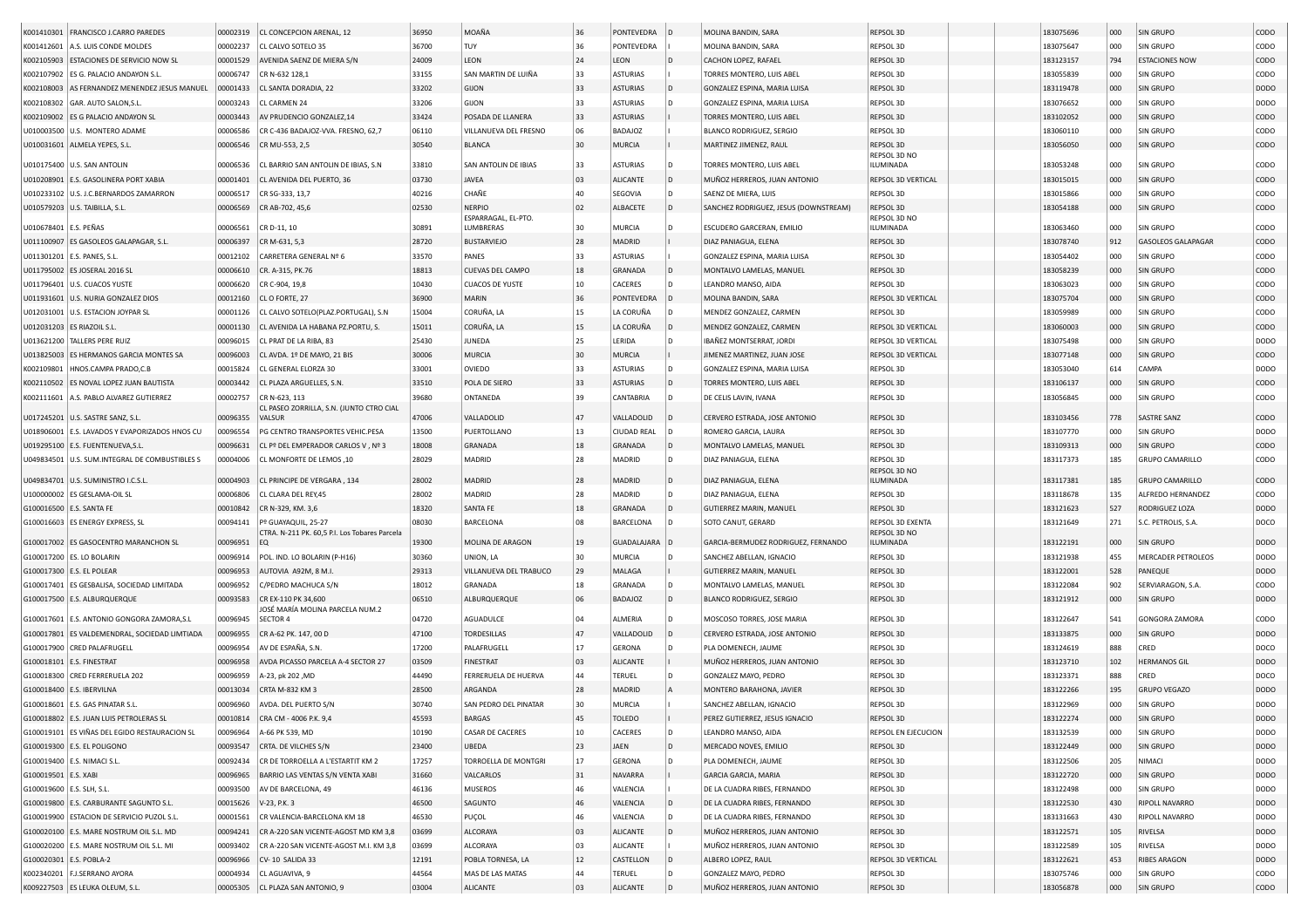|                             | K001410301   FRANCISCO J.CARRO PAREDES         | 00002319 | CL CONCEPCION ARENAL, 12                                 | 36950 | MOAÑA                   | 36 | PONTEVEDRA         | $\overline{D}$ | MOLINA BANDIN, SARA                   | REPSOL 3D                 | 183075696 | 000 | SIN GRUPO                 | CODO        |
|-----------------------------|------------------------------------------------|----------|----------------------------------------------------------|-------|-------------------------|----|--------------------|----------------|---------------------------------------|---------------------------|-----------|-----|---------------------------|-------------|
|                             | K001412601 A.S. LUIS CONDE MOLDES              | 00002237 | CL CALVO SOTELO 35                                       | 36700 | TUY                     | 36 | PONTEVEDRA         |                | MOLINA BANDIN, SARA                   | REPSOL 3D                 | 183075647 | 000 | SIN GRUPO                 | CODO        |
| K002105903                  | ESTACIONES DE SERVICIO NOW SL                  | 00001529 | AVENIDA SAENZ DE MIERA S/N                               | 24009 | LEON                    | 24 | LEON               | D              | CACHON LOPEZ, RAFAEL                  | REPSOL 3D                 | 183123157 | 794 | <b>ESTACIONES NOW</b>     | CODO        |
| K002107902                  | ES G. PALACIO ANDAYON S.L                      | 00006747 | CR N-632 128,1                                           | 33155 | SAN MARTIN DE LUIÑA     | 33 | <b>ASTURIAS</b>    |                | TORRES MONTERO, LUIS ABEL             | REPSOL 3D                 | 183055839 | 000 | SIN GRUPO                 | CODO        |
|                             | AS FERNANDEZ MENENDEZ JESUS MANUEL             | 00001433 | CL SANTA DORADIA, 22                                     | 33202 | GIJON                   | 33 | <b>ASTURIAS</b>    | D              | GONZALEZ ESPINA, MARIA LUISA          | REPSOL 3D                 | 183119478 | 000 | SIN GRUPO                 | DODO        |
| K002108003                  |                                                |          |                                                          | 33206 | GIJON                   | 33 |                    | D              |                                       | REPSOL 3D                 | 183076652 |     | SIN GRUPO                 | <b>DODO</b> |
|                             | K002108302 GAR. AUTO SALON, S.L.               | 00003243 | CL CARMEN 24                                             |       |                         |    | <b>ASTURIAS</b>    |                | GONZALEZ ESPINA, MARIA LUISA          |                           |           | 000 |                           |             |
|                             | K002109002 ES G PALACIO ANDAYON SL             | 00003443 | AV PRUDENCIO GONZALEZ,14                                 | 33424 | POSADA DE LLANERA       | 33 | <b>ASTURIAS</b>    |                | TORRES MONTERO, LUIS ABEL             | REPSOL 3D                 | 183102052 | 000 | SIN GRUPO                 | CODO        |
|                             | U010003500 U.S. MONTERO ADAME                  | 00006586 | CR C-436 BADAJOZ-VVA. FRESNO, 62,7                       | 06110 | VILLANUEVA DEL FRESNO   | 06 | <b>BADAJOZ</b>     |                | BLANCO RODRIGUEZ, SERGIO              | REPSOL 3D                 | 183060110 | 000 | SIN GRUPO                 | CODO        |
|                             | U010031601 ALMELA YEPES, S.L                   | 00006546 | CR MU-553, 2,5                                           | 30540 | <b>BLANCA</b>           | 30 | <b>MURCIA</b>      |                | MARTINEZ JIMENEZ, RAUL                | REPSOL 3D<br>REPSOL 3D NO | 183056050 | 000 | SIN GRUPO                 | CODO        |
|                             | U010175400 U.S. SAN ANTOLIN                    | 00006536 | CL BARRIO SAN ANTOLIN DE IBIAS, S.N                      | 33810 | SAN ANTOLIN DE IBIAS    | 33 | <b>ASTURIAS</b>    | D              | TORRES MONTERO, LUIS ABEL             | ILUMINADA                 | 183053248 | 000 | SIN GRUPO                 | CODO        |
|                             | U010208901 E.S. GASOLINERA PORT XABIA          | 00001401 | CL AVENIDA DEL PUERTO, 36                                | 03730 | <b>JAVEA</b>            | 03 | <b>ALICANTE</b>    | D              | MUÑOZ HERREROS, JUAN ANTONIO          | REPSOL 3D VERTICAL        | 183015015 | 000 | SIN GRUPO                 | CODO        |
|                             | U010233102 U.S. J.C.BERNARDOS ZAMARRON         | 00006517 | CR SG-333, 13,7                                          | 40216 | CHAÑE                   | 40 | SEGOVIA            | D              | SAENZ DE MIERA, LUIS                  | REPSOL 3D                 | 183015866 | 000 | SIN GRUPO                 | CODO        |
|                             | U010579203 U.S. TAIBILLA, S.L.                 | 00006569 | CR AB-702, 45,6                                          | 02530 | NERPIO                  | 02 | ALBACETE           | D              | SANCHEZ RODRIGUEZ, JESUS (DOWNSTREAM) | REPSOL 3D                 | 183054188 | 000 | SIN GRUPO                 | CODO        |
|                             |                                                |          |                                                          |       | ESPARRAGAL, EL-PTO.     |    |                    |                |                                       | REPSOL 3D NO              |           |     |                           |             |
| U010678401 E.S. PEÑAS       |                                                | 00006561 | CR D-11, 10                                              | 30891 | LUMBRERAS               | 30 | MURCIA             |                | ESCUDERO GARCERAN, EMILIO             | ILUMINADA                 | 183063460 | 000 | SIN GRUPO                 | CODO        |
|                             | U011100907 ES GASOLEOS GALAPAGAR, S.L.         | 00006397 | CR M-631, 5,3                                            | 28720 | <b>BUSTARVIEJO</b>      | 28 | MADRID             |                | DIAZ PANIAGUA, ELENA                  | REPSOL 3D                 | 183078740 | 912 | <b>GASOLEOS GALAPAGAR</b> | CODO        |
|                             | U011301201 E.S. PANES, S.L.                    | 00012102 | CARRETERA GENERAL Nº 6                                   | 33570 | PANES                   | 33 | <b>ASTURIAS</b>    |                | GONZALEZ ESPINA, MARIA LUISA          | REPSOL 3D                 | 183054402 | 000 | SIN GRUPO                 | CODO        |
|                             | U011795002 ES JOSERAL 2016 SL                  | 00006610 | CR. A-315, PK.76                                         | 18813 | <b>CUEVAS DEL CAMPO</b> | 18 | GRANADA            | ID.            | MONTALVO LAMELAS, MANUEL              | REPSOL 3D                 | 183058239 | 000 | SIN GRUPO                 | CODO        |
|                             | U011796401   U.S. CUACOS YUSTE                 | 00006620 | CR C-904, 19,8                                           | 10430 | <b>CUACOS DE YUSTE</b>  | 10 | CACERES            | D              | LEANDRO MANSO, AIDA                   | REPSOL 3D                 | 183063023 | 000 | SIN GRUPO                 | CODO        |
|                             | U011931601 U.S. NURIA GONZALEZ DIOS            | 00012160 | CLO FORTE, 27                                            | 36900 | MARIN                   | 36 | PONTEVEDRA         | D              | MOLINA BANDIN, SARA                   | REPSOL 3D VERTICAL        | 183075704 | 000 | SIN GRUPO                 | CODO        |
|                             | U012031001 U.S. ESTACION JOYPAR SL             | 00001126 | CL CALVO SOTELO(PLAZ.PORTUGAL), S.N                      | 15004 | CORUÑA, LA              | 15 | LA CORUÑA          |                | MENDEZ GONZALEZ, CARMEN               | REPSOL 3D                 | 183059989 | 000 | SIN GRUPO                 | CODO        |
|                             | U012031203 ES RIAZOIL S.L                      | 00001130 | CL AVENIDA LA HABANA PZ.PORTU, S.                        | 15011 | CORUÑA, LA              | 15 | LA CORUÑA          |                | MENDEZ GONZALEZ, CARMEN               | REPSOL 3D VERTICAL        | 183060003 | 000 | SIN GRUPO                 | CODO        |
| U013621200                  | TALLERS PERE RUIZ                              | 00096015 | CL PRAT DE LA RIBA, 83                                   | 25430 | JUNEDA                  | 25 | LERIDA             |                | IBAÑEZ MONTSERRAT, JORDI              | REPSOL 3D VERTICAL        | 183075498 | 000 | SIN GRUPO                 | <b>DODO</b> |
| U013825003                  | <b>ES HERMANOS GARCIA MONTES SA</b>            | 00096003 | CL AVDA, 1º DE MAYO, 21 BIS                              | 30006 | <b>MURCIA</b>           | 30 | <b>MURCIA</b>      |                | JIMENEZ MARTINEZ, JUAN JOSE           | REPSOL 3D VERTICAL        | 183077148 | 000 | SIN GRUPO                 | CODO        |
| K002109801                  | HNOS.CAMPA PRADO,C.B                           | 00015824 | CL GENERAL ELORZA 30                                     | 33001 | <b>OVIEDO</b>           | 33 | <b>ASTURIAS</b>    | D              | GONZALEZ ESPINA, MARIA LUISA          | REPSOL 3D                 | 183053040 | 614 | CAMPA                     | <b>DODO</b> |
|                             | K002110502 ES NOVAL LOPEZ JUAN BAUTISTA        | 00003442 | CL PLAZA ARGUELLES, S.N.                                 | 33510 | POLA DE SIERO           | 33 | <b>ASTURIAS</b>    | ID.            | <b>TORRES MONTERO, LUIS ABEL</b>      | REPSOL 3D                 | 183106137 | 000 | SIN GRUPO                 | CODO        |
| K002111601                  | A.S. PABLO ALVAREZ GUTIERREZ                   | 00002757 | CR N-623, 113                                            | 39680 | ONTANEDA                | 39 | CANTABRIA          | D              | DE CELIS LAVIN, IVANA                 | REPSOL 3D                 | 183056845 | 000 | SIN GRUPO                 | CODO        |
|                             |                                                |          | CL PASEO ZORRILLA, S.N. (JUNTO CTRO CIAL                 |       |                         |    |                    |                |                                       |                           |           |     |                           |             |
| U017245201                  | U.S. SASTRE SANZ, S.L                          | 00096355 | VALSUR                                                   | 47006 | VALLADOLID              | 47 | VALLADOLID         |                | CERVERO ESTRADA, JOSE ANTONIO         | REPSOL 3D                 | 183103456 | 778 | SASTRE SANZ               | CODO        |
|                             | U018906001 E.S. LAVADOS Y EVAPORIZADOS HNOS CU | 00096554 | PG CENTRO TRANSPORTES VEHIC.PESA                         | 13500 | PUERTOLLANO             | 13 | <b>CIUDAD REAL</b> | D              | ROMERO GARCIA, LAURA                  | REPSOL 3D                 | 183107770 | 000 | SIN GRUPO                 | DODO        |
|                             | U019295100 E.S. FUENTENUEVA.S.L                | 00096631 | CL Pº DEL EMPERADOR CARLOS V, Nº 3                       | 18008 | <b>GRANADA</b>          | 18 | <b>GRANADA</b>     | ID.            | MONTALVO LAMELAS, MANUEL              | REPSOL 3D                 | 183109313 | 000 | SIN GRUPO                 | CODO        |
|                             | U049834501 U.S. SUM.INTEGRAL DE COMBUSTIBLES S | 00004006 | CL MONFORTE DE LEMOS, 10                                 | 28029 | MADRID                  | 28 | MADRID             | D              | DIAZ PANIAGUA, ELENA                  | REPSOL 3D<br>REPSOL 3D NO | 183117373 | 185 | <b>GRUPO CAMARILLO</b>    | CODO        |
|                             | U049834701 U.S. SUMINISTRO I.C.S.L             | 00004903 | CL PRINCIPE DE VERGARA, 134                              | 28002 | MADRID                  | 28 | MADRID             | ID.            | DIAZ PANIAGUA, ELENA                  | ILUMINADA                 | 183117381 | 185 | <b>GRUPO CAMARILLO</b>    | CODO        |
|                             | U100000002 ES GESLAMA-OIL SL                   | 00006806 | CL CLARA DEL REY,45                                      | 28002 | MADRID                  | 28 | MADRID             | D              | DIAZ PANIAGUA, ELENA                  | REPSOL 3D                 | 183118678 | 135 | ALFREDO HERNANDEZ         | CODO        |
| G100016500 E.S. SANTA FE    |                                                | 00010842 | CR N-329, KM. 3,6                                        | 18320 | SANTA FE                | 18 | <b>GRANADA</b>     | D              | GUTIERREZ MARIN, MANUEL               | REPSOL 3D                 | 183121623 | 527 | RODRIGUEZ LOZA            | <b>DODO</b> |
|                             | G100016603 ES ENERGY EXPRESS, SL               | 00094141 | Pº GUAYAQUIL, 25-27                                      | 08030 | BARCELONA               | 08 | BARCELONA          |                | SOTO CANUT, GERARD                    | REPSOL 3D EXENTA          | 183121649 | 271 | S.C. PETROLIS, S.A.       | DOCO        |
|                             |                                                |          | CTRA. N-211 PK. 60,5 P.I. Los Tobares Parcela            |       |                         |    |                    |                |                                       | REPSOL 3D NO              |           |     |                           |             |
|                             | G100017002 ES GASOCENTRO MARANCHON SL          | 00096951 | EO                                                       | 19300 | MOLINA DE ARAGON        | 19 | GUADALAJARA        | $\mathsf{D}$   | GARCIA-BERMUDEZ RODRIGUEZ, FERNANDO   | ILUMINADA                 | 183122191 | 000 | SIN GRUPO                 | <b>DODO</b> |
|                             | G100017200 ES. LO BOLARIN                      | 00096914 | POL. IND. LO BOLARIN (P-H16)                             | 30360 | UNION, LA               | 30 | MURCIA             | D              | SANCHEZ ABELLAN, IGNACIO              | REPSOL 3D                 | 183121938 | 455 | MERCADER PETROLEOS        | <b>DODO</b> |
|                             | G100017300 E.S. EL POLEAR                      | 00096953 | AUTOVIA A92M, 8 M.I                                      | 29313 | VILLANUEVA DEL TRABUCO  | 29 | MALAGA             |                | GUTIERREZ MARIN, MANUEL               | REPSOL 3D                 | 183122001 | 528 | PANEQUE                   | <b>DODO</b> |
|                             | G100017401   ES GESBALISA, SOCIEDAD LIMITADA   | 00096952 | C/PEDRO MACHUCA S/N                                      | 18012 | GRANADA                 | 18 | <b>GRANADA</b>     | D              | MONTALVO LAMELAS, MANUEL              | REPSOL 3D                 | 183122084 | 902 | SERVIARAGON, S.A.         | CODO        |
|                             | G100017500 E.S. ALBURQUERQUE                   | 00093583 | CR EX-110 PK 34,600                                      | 06510 | ALBURQUERQUE            | 06 | BADAJOZ            | D              | <b>BLANCO RODRIGUEZ, SERGIO</b>       | REPSOL 3D                 | 183121912 | 000 | SIN GRUPO                 | <b>DODO</b> |
|                             | G100017601   E.S. ANTONIO GONGORA ZAMORA, S.I  | 00096945 | JOSÉ MARÍA MOLINA PARCELA NUM.2<br><b>SECTOR 4</b>       | 04720 | AGUADULCE               | 04 | ALMERIA            | D              | MOSCOSO TORRES, JOSE MARIA            | REPSOL 3D                 | 183122647 | 541 | <b>GONGORA ZAMORA</b>     | CODO        |
|                             | G100017801 ES VALDEMENDRAL, SOCIEDAD LIMTIADA  | 00096955 | CR A-62 PK. 147, 00 D                                    | 47100 | <b>TORDESILLAS</b>      | 47 | VALLADOLID         | ID.            | CERVERO ESTRADA, JOSE ANTONIO         | REPSOL 3D                 | 183133875 | 000 | SIN GRUPO                 | <b>DODO</b> |
|                             |                                                |          |                                                          | 17200 |                         | 17 |                    | D              |                                       | REPSOL 3D                 |           | 888 | CRED                      | DOCO        |
|                             | G100017900 CRED PALAFRUGELL                    | 00096954 | AV DE ESPAÑA, S.N.<br>AVDA PICASSO PARCELA A-4 SECTOR 27 |       | PALAFRUGELL             | 03 | <b>GERONA</b>      |                | PLA DOMENECH, JAUME                   |                           | 183124619 |     |                           |             |
|                             | G100018101 E.S. FINESTRAT                      | 00096958 |                                                          | 03509 | FINESTRAT               |    | <b>ALICANTE</b>    |                | MUÑOZ HERREROS, JUAN ANTONIO          | REPSOL 3D                 | 183123710 | 102 | <b>HERMANOS GIL</b>       | <b>DODO</b> |
|                             | G100018300 CRED FERRERUELA 202                 | 00096959 | A-23, pk 202, MD                                         | 44490 | FERRERUELA DE HUERVA    | 44 | TERUEL             |                | GONZALEZ MAYO, PEDRO                  | REPSOL 3D                 | 183123371 | 888 | CRED                      | DOCO        |
|                             | G100018400   E.S. IBERVILNA                    | 00013034 | CRTA M-832 KM 3                                          | 28500 | ARGANDA                 | 28 | MADRID             |                | MONTERO BARAHONA, JAVIER              | REPSOL 3D                 | 183122266 | 195 | <b>GRUPO VEGAZO</b>       | <b>DODO</b> |
|                             | G100018601   E.S. GAS PINATAR S.L.             | 00096960 | AVDA. DEL PUERTO S/N                                     | 30740 | SAN PEDRO DEL PINATAR   | 30 | MURCIA             |                | SANCHEZ ABELLAN, IGNACIO              | REPSOL 3D                 | 183122969 | 000 | SIN GRUPO                 | <b>DODO</b> |
|                             | G100018802 E.S. JUAN LUIS PETROLERAS SL        | 00010814 | CRA CM - 4006 P.K. 9.4                                   | 45593 | <b>BARGAS</b>           |    | TOLEDO             |                | PEREZ GUTIERREZ, JESUS IGNACIO        | REPSOL 3D                 | 183122274 | 000 | SIN GRUPO                 | DODO        |
|                             | G100019101 ES VIÑAS DEL EGIDO RESTAURACION SL  | 00096964 | A-66 PK 539, MD                                          | 10190 | CASAR DE CACERES        | 10 | CACERES            | l D            | LEANDRO MANSO, AIDA                   | REPSOL EN EJECUCION       | 183132539 | 000 | SIN GRUPO                 | <b>DODO</b> |
|                             | G100019300 E.S. EL POLIGONO                    | 00093547 | CRTA. DE VILCHES S/N                                     | 23400 | UBEDA                   | 23 | JAEN               | D              | MERCADO NOVES, EMILIO                 | REPSOL 3D                 | 183122449 | 000 | SIN GRUPO                 | <b>DODO</b> |
|                             | G100019400   E.S. NIMACI S.L.                  | 00092434 | CR DE TORROELLA A L'ESTARTIT KM 2                        | 17257 | TORROELLA DE MONTGRI    | 17 | <b>GERONA</b>      | D              | PLA DOMENECH, JAUME                   | REPSOL 3D                 | 183122506 | 205 | NIMACI                    | DODO        |
| G100019501 E.S. XABI        |                                                | 00096965 | BARRIO LAS VENTAS S/N VENTA XABI                         | 31660 | VALCARLOS               | 31 | NAVARRA            |                | <b>GARCIA GARCIA, MARIA</b>           | REPSOL 3D                 | 183122720 | 000 | SIN GRUPO                 | <b>DODO</b> |
| G100019600   E.S. SLH, S.L. |                                                | 00093500 | AV DE BARCELONA, 49                                      | 46136 | <b>MUSEROS</b>          | 46 | VALENCIA           |                | DE LA CUADRA RIBES, FERNANDO          | REPSOL 3D                 | 183122498 | 000 | SIN GRUPO                 | <b>DODO</b> |
|                             | G100019800 E.S. CARBURANTE SAGUNTO S.L.        | 00015626 | V-23, P.K. 3                                             | 46500 | SAGUNTO                 | 46 | VALENCIA           | ۱D             | DE LA CUADRA RIBES, FERNANDO          | REPSOL 3D                 | 183122530 | 430 | RIPOLL NAVARRO            | <b>DODO</b> |
|                             | G100019900 ESTACION DE SERVICIO PUZOL S.L.     | 00001561 | CR VALENCIA-BARCELONA KM 18                              | 46530 | PUÇOL                   | 46 | VALENCIA           | D              | DE LA CUADRA RIBES, FERNANDO          | REPSOL 3D                 | 183131663 | 430 | RIPOLL NAVARRO            | DODO        |
|                             | G100020100   E.S. MARE NOSTRUM OIL S.L. MD     | 00094241 | CR A-220 SAN VICENTE-AGOST MD KM 3,8                     | 03699 | ALCORAYA                | 03 | <b>ALICANTE</b>    | $\mathsf{D}$   | MUÑOZ HERREROS, JUAN ANTONIO          | REPSOL 3D                 | 183122571 | 105 | RIVELSA                   | <b>DODO</b> |
|                             | G100020200 E.S. MARE NOSTRUM OIL S.L. MI       | 00093402 | CR A-220 SAN VICENTE-AGOST M.I. KM 3,8                   | 03699 | ALCORAYA                | 03 | <b>ALICANTE</b>    |                | MUÑOZ HERREROS, JUAN ANTONIO          | REPSOL 3D                 | 183122589 | 105 | RIVELSA                   | DODO        |
|                             | G100020301 E.S. POBLA-2                        | 00096966 | CV-10 SALIDA 33                                          | 12191 | POBLA TORNESA, LA       | 12 | CASTELLON          |                | ALBERO LOPEZ, RAUL                    | REPSOL 3D VERTICAL        | 183122621 | 453 | <b>RIBES ARAGON</b>       | DODO        |
|                             | K002340201   F.J.SERRANO AYORA                 | 00004934 | CL AGUAVIVA, 9                                           | 44564 | MAS DE LAS MATAS        | 44 | TERUEL             | D              | GONZALEZ MAYO, PEDRO                  | REPSOL 3D                 | 183075746 | 000 | SIN GRUPO                 | CODO        |
|                             | K009227503 ES LEUKA OLEUM, S.L.                | 00005305 | CL PLAZA SAN ANTONIO, 9                                  | 03004 | ALICANTE                | 03 | <b>ALICANTE</b>    |                | MUÑOZ HERREROS, JUAN ANTONIO          | REPSOL 3D                 | 183056878 | 000 | SIN GRUPO                 | CODO        |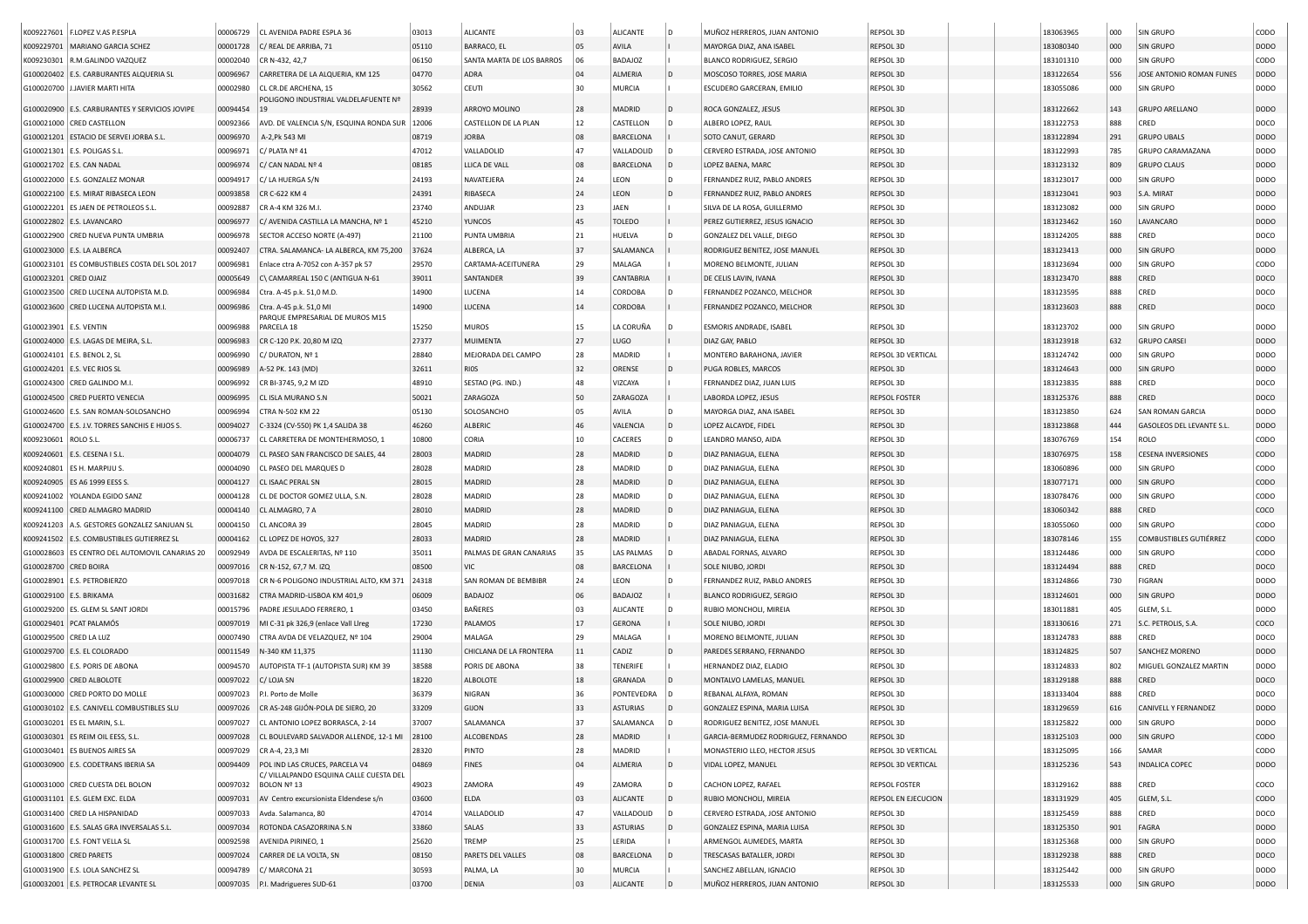|                        | K009227601   F.LOPEZ V.AS P.ESPLA                           | 00006729             | CL AVENIDA PADRE ESPLA 36                              | 03013          | <b>ALICANTE</b>           | 03         | <b>ALICANTE</b>   | D   | MUÑOZ HERREROS, JUAN ANTONIO                     | REPSOL 3D                 | 183063965 | 000        | SIN GRUPO                 | CODO        |
|------------------------|-------------------------------------------------------------|----------------------|--------------------------------------------------------|----------------|---------------------------|------------|-------------------|-----|--------------------------------------------------|---------------------------|-----------|------------|---------------------------|-------------|
| K009229701             | MARIANO GARCIA SCHEZ                                        | 00001728             | C/ REAL DE ARRIBA, 71                                  | 05110          | BARRACO, EL               | 05         | AVILA             |     | MAYORGA DIAZ, ANA ISABEL                         | REPSOL 3D                 | 183080340 | 000        | SIN GRUPO                 | <b>DODO</b> |
| K009230301             | R.M.GALINDO VAZQUEZ                                         | 00002040             | CR N-432, 42,7                                         | 06150          | SANTA MARTA DE LOS BARROS | 06         | <b>BADAJOZ</b>    |     | <b>BLANCO RODRIGUEZ, SERGIO</b>                  | REPSOL 3D                 | 183101310 | 000        | SIN GRUPO                 | CODO        |
|                        | G100020402 E.S. CARBURANTES ALQUERIA SL                     | 00096967             | CARRETERA DE LA ALQUERIA, KM 125                       | 04770          | ADRA                      | 04         | ALMERIA           |     | MOSCOSO TORRES, JOSE MARIA                       | REPSOL 3D                 | 183122654 | 556        | JOSE ANTONIO ROMAN FUNES  | <b>DODO</b> |
|                        | G100020700 J.JAVIER MARTI HITA                              | 00002980             | CL CR.DE ARCHENA, 15                                   | 30562          | <b>CEUTI</b>              | 30         | <b>MURCIA</b>     |     | ESCUDERO GARCERAN, EMILIO                        | REPSOL 3D                 | 183055086 | 000        | SIN GRUPO                 | DODO        |
|                        |                                                             |                      | POLIGONO INDUSTRIAL VALDELAFUENTE Nº                   |                |                           |            |                   |     |                                                  |                           |           |            |                           |             |
| G100020900             | E.S. CARBURANTES Y SERVICIOS JOVIPE                         | 00094454             |                                                        | 28939          | ARROYO MOLINO             | 28         | MADRID            |     | ROCA GONZALEZ, JESUS                             | REPSOL 3D                 | 183122662 | 143        | <b>GRUPO ARELLANO</b>     | <b>DODO</b> |
|                        | G100021000 CRED CASTELLON                                   | 00092366             | AVD. DE VALENCIA S/N, ESQUINA RONDA SUR                | 12006          | CASTELLON DE LA PLAN      | 12         | CASTELLON         |     | ALBERO LOPEZ, RAUL                               | REPSOL 3D                 | 183122753 | 888        | CRED                      | DOCO        |
|                        | G100021201 ESTACIO DE SERVEI JORBA S.L                      | 00096970             | A-2, Pk 543 MI                                         | 08719          | <b>JORBA</b>              | 08         | BARCELONA         |     | SOTO CANUT, GERARD                               | REPSOL 3D                 | 183122894 | 291        | <b>GRUPO UBALS</b>        | <b>DODO</b> |
|                        | G100021301 E.S. POLIGAS S.L                                 | 00096971             | C/ PLATA Nº 41                                         | 47012          | VALLADOLID                | 47         | VALLADOLID        |     | CERVERO ESTRADA, JOSE ANTONIO                    | REPSOL 3D                 | 183122993 | 785        | GRUPO CARAMAZANA          | DODO        |
|                        | G100021702 E.S. CAN NADAL                                   | 00096974             | C/ CAN NADAL Nº 4                                      | 08185          | LLICA DE VALL             | 08         | <b>BARCELONA</b>  |     | LOPEZ BAENA, MARC                                | REPSOL 3D                 | 183123132 | 809        | <b>GRUPO CLAUS</b>        | <b>DODO</b> |
|                        | G100022000 E.S. GONZALEZ MONAR                              | 00094917             | C/ LA HUERGA S/N                                       | 24193          | NAVATEJERA                | 24         | LEON              | D   | FERNANDEZ RUIZ, PABLO ANDRES                     | REPSOL 3D                 | 183123017 | 000        | SIN GRUPO                 | DODO        |
|                        | G100022100 E.S. MIRAT RIBASECA LEON                         | 00093858             | CR C-622 KM 4                                          | 24391          | RIBASECA                  | 24         | LEON              |     | FERNANDEZ RUIZ, PABLO ANDRES                     | REPSOL 3D                 | 183123041 | 903        | S.A. MIRAT                | <b>DODO</b> |
|                        | G100022201 ES JAEN DE PETROLEOS S.L.                        | 00092887             | CR A-4 KM 326 M.I.                                     | 23740          | ANDUJAR                   | 23         | JAEN              |     | SILVA DE LA ROSA, GUILLERMO                      | REPSOL 3D                 | 183123082 | 000        | SIN GRUPO                 | DODO        |
|                        | G100022802 E.S. LAVANCARO                                   | 00096977             | C/ AVENIDA CASTILLA LA MANCHA, Nº 1                    | 45210          | <b>YUNCOS</b>             | 45         | <b>TOLEDO</b>     |     | PEREZ GUTIERREZ, JESUS IGNACIO                   | REPSOL 3D                 | 183123462 | 160        | LAVANCARO                 | DODO        |
|                        | G100022900 CRED NUEVA PUNTA UMBRIA                          | 00096978             | SECTOR ACCESO NORTE (A-497)                            | 21100          | PUNTA UMBRIA              | 21         | HUELVA            |     | GONZALEZ DEL VALLE, DIEGO                        | REPSOL 3D                 | 183124205 | 888        | CRED                      | DOCO        |
|                        | G100023000 E.S. LA ALBERCA                                  | 00092407             | CTRA. SALAMANCA- LA ALBERCA, KM 75,200                 | 37624          | ALBERCA, LA               | 37         | SALAMANCA         |     | RODRIGUEZ BENITEZ, JOSE MANUEL                   | REPSOL 3D                 | 183123413 | 000        | SIN GRUPO                 | DODO        |
|                        | G100023101 ES COMBUSTIBLES COSTA DEL SOL 2017               | 00096981             | Enlace ctra A-7052 con A-357 pk 57                     | 29570          | CARTAMA-ACEITUNERA        | 29         | MALAGA            |     | MORENO BELMONTE, JULIAN                          | REPSOL 3D                 | 183123694 | 000        | SIN GRUPO                 | CODO        |
| G100023201 CRED OJAIZ  |                                                             | 00005649             | C\ CAMARREAL 150 C (ANTIGUA N-61                       | 39011          | SANTANDER                 | 39         | CANTABRIA         |     | DE CELIS LAVIN, IVANA                            | REPSOL 3D                 | 183123470 | 888        | CRED                      | DOCO        |
|                        | G100023500 CRED LUCENA AUTOPISTA M.D.                       | 00096984             | Ctra. A-45 p.k. 51,0 M.D.                              | 14900          | LUCENA                    | 14         | CORDOBA           |     | FERNANDEZ POZANCO, MELCHOR                       | REPSOL 3D                 | 183123595 | 888        | CRED                      | DOCO        |
|                        | G100023600 CRED LUCENA AUTOPISTA M.I.                       | 00096986             | Ctra. A-45 p.k. 51,0 MI                                | 14900          | LUCENA                    | 14         | CORDOBA           |     | FERNANDEZ POZANCO, MELCHOR                       | REPSOL 3D                 | 183123603 | 888        | CRED                      | DOCO        |
| G100023901 E.S. VENTIN |                                                             | 00096988             | PARQUE EMPRESARIAL DE MUROS M15<br>PARCELA 18          | 15250          | <b>MUROS</b>              | 15         | LA CORUÑA         |     | ESMORIS ANDRADE, ISABEL                          | REPSOL 3D                 | 183123702 | 000        | SIN GRUPO                 | DODO        |
|                        | G100024000 E.S. LAGAS DE MEIRA, S.L.                        | 00096983             | CR C-120 P.K. 20,80 M IZQ                              | 27377          | <b>MUIMENTA</b>           | 27         | LUGO              |     | DIAZ GAY, PABLO                                  | REPSOL 3D                 | 183123918 | 632        | <b>GRUPO CARSEI</b>       | <b>DODO</b> |
|                        |                                                             |                      |                                                        | 28840          | MEJORADA DEL CAMPO        | 28         | MADRID            |     |                                                  | <b>REPSOL 3D VERTICAL</b> |           |            | SIN GRUPO                 | DODO        |
|                        | G100024101 E.S. BENOL 2, SL                                 | 00096990             | C/DURATON, Nº 1                                        |                |                           | 32         |                   |     | MONTERO BARAHONA, JAVIER                         | REPSOL 3D                 | 183124742 | 000        | SIN GRUPO                 | <b>DODO</b> |
|                        | G100024201 E.S. VEC RIOS SL<br>G100024300 CRED GALINDO M.I. | 00096989<br>00096992 | A-52 PK. 143 (MD)<br>CR BI-3745, 9.2 M IZD             | 32611<br>48910 | <b>RIOS</b>               | 48         | ORENSE<br>VIZCAYA |     | PUGA ROBLES, MARCOS<br>FERNANDEZ DIAZ, JUAN LUIS | REPSOL 3D                 | 183124643 | 000<br>888 | CRED                      | DOCO        |
|                        |                                                             |                      |                                                        |                | SESTAO (PG. IND.)         |            |                   |     |                                                  |                           | 183123835 |            |                           |             |
|                        | G100024500 CRED PUERTO VENECIA                              | 00096995             | CL ISLA MURANO S.N                                     | 50021          | ZARAGOZA                  | 50         | ZARAGOZA          |     | LABORDA LOPEZ, JESUS                             | <b>REPSOL FOSTER</b>      | 183125376 | 888        | CRED                      | DOCO        |
|                        | G100024600 E.S. SAN ROMAN-SOLOSANCHO                        | 00096994             | CTRA N-502 KM 22                                       | 05130          | SOLOSANCHO                | 05         | AVILA             | D   | MAYORGA DIAZ, ANA ISABEL                         | REPSOL 3D                 | 183123850 | 624        | SAN ROMAN GARCIA          | DODO        |
|                        | G100024700 E.S. J.V. TORRES SANCHIS E HIJOS S               | 00094027             | C-3324 (CV-550) PK 1,4 SALIDA 38                       | 46260          | ALBERIC                   | 46         | VALENCIA          | l D | LOPEZ ALCAYDE, FIDEL                             | REPSOL 3D                 | 183123868 | 444        | GASOLEOS DEL LEVANTE S.L. | <b>DODO</b> |
| K009230601             | ROLO S.L.                                                   | 00006737             | CL CARRETERA DE MONTEHERMOSO, 1                        | 10800          | CORIA                     | 10         | CACERES           | D   | LEANDRO MANSO, AIDA                              | REPSOL 3D                 | 183076769 | 154        | ROLO                      | CODO        |
| K009240601             | E.S. CESENA I S.L                                           | 00004079             | CL PASEO SAN FRANCISCO DE SALES, 44                    | 28003          | MADRID                    | 28         | MADRID            | D   | DIAZ PANIAGUA, ELENA                             | REPSOL 3D                 | 183076975 | 158        | <b>CESENA INVERSIONES</b> | CODO        |
| K009240801             | ES H. MARPIJU S.                                            | 00004090             | CL PASEO DEL MARQUES D                                 | 28028          | MADRID                    | 28         | MADRID            | D   | DIAZ PANIAGUA, ELENA                             | REPSOL 3D                 | 183060896 | 000        | SIN GRUPO                 | CODO        |
| K009240905             | ES A6 1999 EESS S.                                          | 00004127             | CL ISAAC PERAL SN                                      | 28015          | MADRID                    | 28         | MADRID            |     | DIAZ PANIAGUA, ELENA                             | REPSOL 3D                 | 183077171 | 000        | SIN GRUPO                 | CODO        |
| K009241002             | YOLANDA EGIDO SANZ                                          | 00004128             | CL DE DOCTOR GOMEZ ULLA, S.N                           | 28028          | MADRID                    | 28         | MADRID            |     | DIAZ PANIAGUA, ELENA                             | REPSOL 3D                 | 183078476 | 000        | SIN GRUPO                 | CODO        |
|                        | K009241100 CRED ALMAGRO MADRID                              | 00004140             | CL ALMAGRO, 7 A                                        | 28010          | MADRID                    | 28         | MADRID            | D   | DIAZ PANIAGUA, ELENA                             | REPSOL 3D                 | 183060342 | 888        | CRED                      | coco        |
| K009241203             | A.S. GESTORES GONZALEZ SANJUAN SL                           | 00004150             | CL ANCORA 39                                           | 28045          | MADRID                    | 28         | MADRID            |     | DIAZ PANIAGUA, ELENA                             | REPSOL 3D                 | 183055060 | 000        | SIN GRUPO                 | CODO        |
| K009241502             | E.S. COMBUSTIBLES GUTIERREZ SL                              | 00004162             | CL LOPEZ DE HOYOS, 327                                 | 28033          | <b>MADRID</b>             | 28         | MADRID            |     | DIAZ PANIAGUA, ELENA                             | REPSOL 3D                 | 183078146 | 155        | COMBUSTIBLES GUTIÉRREZ    | CODO        |
|                        | G100028603 ES CENTRO DEL AUTOMOVIL CANARIAS 20              | 00092949             | AVDA DE ESCALERITAS, Nº 110                            | 35011          | PALMAS DE GRAN CANARIAS   | 35         | LAS PALMAS        |     | ABADAL FORNAS, ALVARO                            | REPSOL 3D                 | 183124486 | 000        | SIN GRUPO                 | CODO        |
| G100028700 CRED BOIRA  |                                                             | 00097016             | CR N-152, 67,7 M. IZQ                                  | 08500          | VIC                       | 08         | <b>BARCELONA</b>  |     | SOLE NIUBO, JORDI                                | REPSOL 3D                 | 183124494 | 888        | CRED                      | DOCO        |
|                        | G100028901 E.S. PETROBIERZO                                 | 00097018             | CR N-6 POLIGONO INDUSTRIAL ALTO, KM 371                | 24318          | SAN ROMAN DE BEMBIBR      | 24         | LEON              |     | FERNANDEZ RUIZ, PABLO ANDRES                     | REPSOL 3D                 | 183124866 | 730        | FIGRAN                    | DODO        |
|                        | G100029100 E.S. BRIKAMA                                     | 00031682             | CTRA MADRID-LISBOA KM 401,9                            | 06009          | <b>BADAJOZ</b>            | 06         | <b>BADAJOZ</b>    |     | <b>BLANCO RODRIGUEZ, SERGIO</b>                  | REPSOL 3D                 | 183124601 | 000        | SIN GRUPO                 | DODO        |
|                        | G100029200 ES. GLEM SL SANT JORDI                           | 00015796             | PADRE JESULADO FERRERO, 1                              | 03450          | BAÑERES                   | 03         | <b>ALICANTE</b>   | D   | RUBIO MONCHOLI, MIREIA                           | REPSOL 3D                 | 183011881 | 405        | GLEM, S.L.                | DODO        |
|                        | G100029401 PCAT PALAMÓS                                     | 00097019             | MI C-31 pk 326,9 (enlace Vall Lireg                    | 17230          | PALAMOS                   | 17         | <b>GERONA</b>     |     | SOLE NIUBO, JORDI                                | REPSOL 3D                 | 183130616 | 271        | S.C. PETROLIS, S.A.       | coco        |
| G100029500 CRED LA LUZ |                                                             | 00007490             | CTRA AVDA DE VELAZQUEZ, Nº 104                         | 29004          | MALAGA                    | 29         | MALAGA            |     | MORENO BELMONTE, JULIAN                          | REPSOL 3D                 | 183124783 | 888        | CRED                      | DOCO        |
|                        | G100029700 E.S. EL COLORADO                                 | 00011549             | N-340 KM 11,375                                        | 11130          | CHICLANA DE LA FRONTERA   | 11         | CADIZ             |     | PAREDES SERRANO, FERNANDO                        | REPSOL 3D                 | 183124825 | 507        | SANCHEZ MORENO            | <b>DODO</b> |
|                        | G100029800 E.S. PORIS DE ABONA                              | 00094570             | AUTOPISTA TF-1 (AUTOPISTA SUR) KM 39                   | 38588          | PORIS DE ABONA            | 38         | <b>TENERIFE</b>   |     | HERNANDEZ DIAZ, ELADIO                           | REPSOL 3D                 | 183124833 | 802        | MIGUEL GONZALEZ MARTIN    | DODO        |
|                        | G100029900 CRED ALBOLOTE                                    | 00097022             | C/ LOJA SN                                             | 18220          | <b>ALBOLOTE</b>           | 18         | GRANADA           |     | MONTALVO LAMELAS, MANUEL                         | REPSOL 3D                 | 183129188 | 888        | CRED                      | DOCO        |
|                        | G100030000 CRED PORTO DO MOLLE                              | 00097023             | P.I. Porto de Molle                                    | 36379          | NIGRAN                    | 36         | PONTEVEDRA        |     | REBANAL ALFAYA, ROMAN                            | REPSOL 3D                 | 183133404 | 888        | CRED                      | DOCO        |
|                        | G100030102 E.S. CANIVELL COMBUSTIBLES SLU                   | 00097026             | CR AS-248 GIJÓN-POLA DE SIERO, 20                      | 33209          | GIJON                     | 33         | ASTURIAS          |     | GONZALEZ ESPINA, MARIA LUISA                     | REPSOL 3D                 | 183129659 | 616        | CANIVELL Y FERNANDEZ      | DODO        |
|                        | G100030201 ES EL MARIN, S.L.                                |                      | 00097027 CL ANTONIO LOPEZ BORRASCA, 2-14               | 37007          | SALAMANCA                 | 37         | SALAMANCA         |     | RODRIGUEZ BENITEZ, JOSE MANUEL                   | REPSOL 3D                 | 183125822 | 000        | SIN GRUPO                 | DODO        |
|                        | G100030301 ES REIM OIL EESS, S.L.                           | 00097028             | CL BOULEVARD SALVADOR ALLENDE, 12-1 MI                 | 28100          | ALCOBENDAS                | 28         | MADRID            |     | GARCIA-BERMUDEZ RODRIGUEZ, FERNANDO              | REPSOL 3D                 | 183125103 | 000        | SIN GRUPO                 | CODO        |
|                        | G100030401 ES BUENOS AIRES SA                               | 00097029             | CR A-4, 23,3 MI                                        | 28320          | PINTO                     | 28         | MADRID            |     | MONASTERIO LLEO, HECTOR JESUS                    | REPSOL 3D VERTICAL        | 183125095 | 166        | SAMAR                     | CODO        |
|                        | G100030900 E.S. CODETRANS IBERIA SA                         | 00094409             | POL IND LAS CRUCES, PARCELA V4                         | 04869          | <b>FINES</b>              | 04         | ALMERIA           | l D | VIDAL LOPEZ, MANUEL                              | REPSOL 3D VERTICAL        | 183125236 | 543        | <b>INDALICA COPEC</b>     | DODO        |
|                        | G100031000 CRED CUESTA DEL BOLON                            | 00097032             | C/ VILLALPANDO ESQUINA CALLE CUESTA DEL<br>BOLON Nº 13 | 49023          | ZAMORA                    | 49         | ZAMORA            |     | CACHON LOPEZ, RAFAEL                             | REPSOL FOSTER             | 183129162 | 888        | CRED                      | COCO        |
|                        | G100031101 E.S. GLEM EXC. ELDA                              | 00097031             | AV Centro excursionista Eldendese s/n                  | 03600          | ELDA                      | 03         | ALICANTE          | D   | RUBIO MONCHOLI, MIREIA                           | REPSOL EN EJECUCION       | 183131929 | 405        | GLEM, S.L.                | CODO        |
|                        | G100031400 CRED LA HISPANIDAD                               | 00097033             | Avda. Salamanca, 80                                    | 47014          | VALLADOLID                | 47         | VALLADOLID        |     | CERVERO ESTRADA, JOSE ANTONIO                    | REPSOL 3D                 | 183125459 | 888        | CRED                      | DOCO        |
|                        | G100031600 E.S. SALAS GRA INVERSALAS S.L.                   | 00097034             | ROTONDA CASAZORRINA S.N                                | 33860          | SALAS                     | 33         | <b>ASTURIAS</b>   | D   | GONZALEZ ESPINA, MARIA LUISA                     | REPSOL 3D                 | 183125350 | 901        | FAGRA                     | DODO        |
|                        | G100031700 E.S. FONT VELLA SL                               | 00092598             | AVENIDA PIRINEO, 1                                     | 25620          | TREMP                     | 25         | LERIDA            |     | ARMENGOL AUMEDES, MARTA                          | REPSOL 3D                 | 183125368 | 000        | SIN GRUPO                 | DODO        |
|                        | G100031800 CRED PARETS                                      | 00097024             | CARRER DE LA VOLTA, SN                                 | 08150          | PARETS DEL VALLES         | ${\bf 08}$ | BARCELONA         |     | TRESCASAS BATALLER, JORDI                        | REPSOL 3D                 | 183129238 | 888        | CRED                      | DOCO        |
|                        | G100031900 E.S. LOLA SANCHEZ SL                             | 00094789             | C/ MARCONA 21                                          | 30593          | PALMA, LA                 | 30         | <b>MURCIA</b>     |     | SANCHEZ ABELLAN, IGNACIO                         | REPSOL 3D                 | 183125442 | 000        | SIN GRUPO                 | <b>DODO</b> |
|                        | G100032001 E.S. PETROCAR LEVANTE SL                         |                      | 00097035 P.I. Madrigueres SUD-61                       | 03700          | DENIA                     | 03         | ALICANTE          |     | MUÑOZ HERREROS, JUAN ANTONIO                     | REPSOL 3D                 | 183125533 | 000        | SIN GRUPO                 | DODO        |
|                        |                                                             |                      |                                                        |                |                           |            |                   |     |                                                  |                           |           |            |                           |             |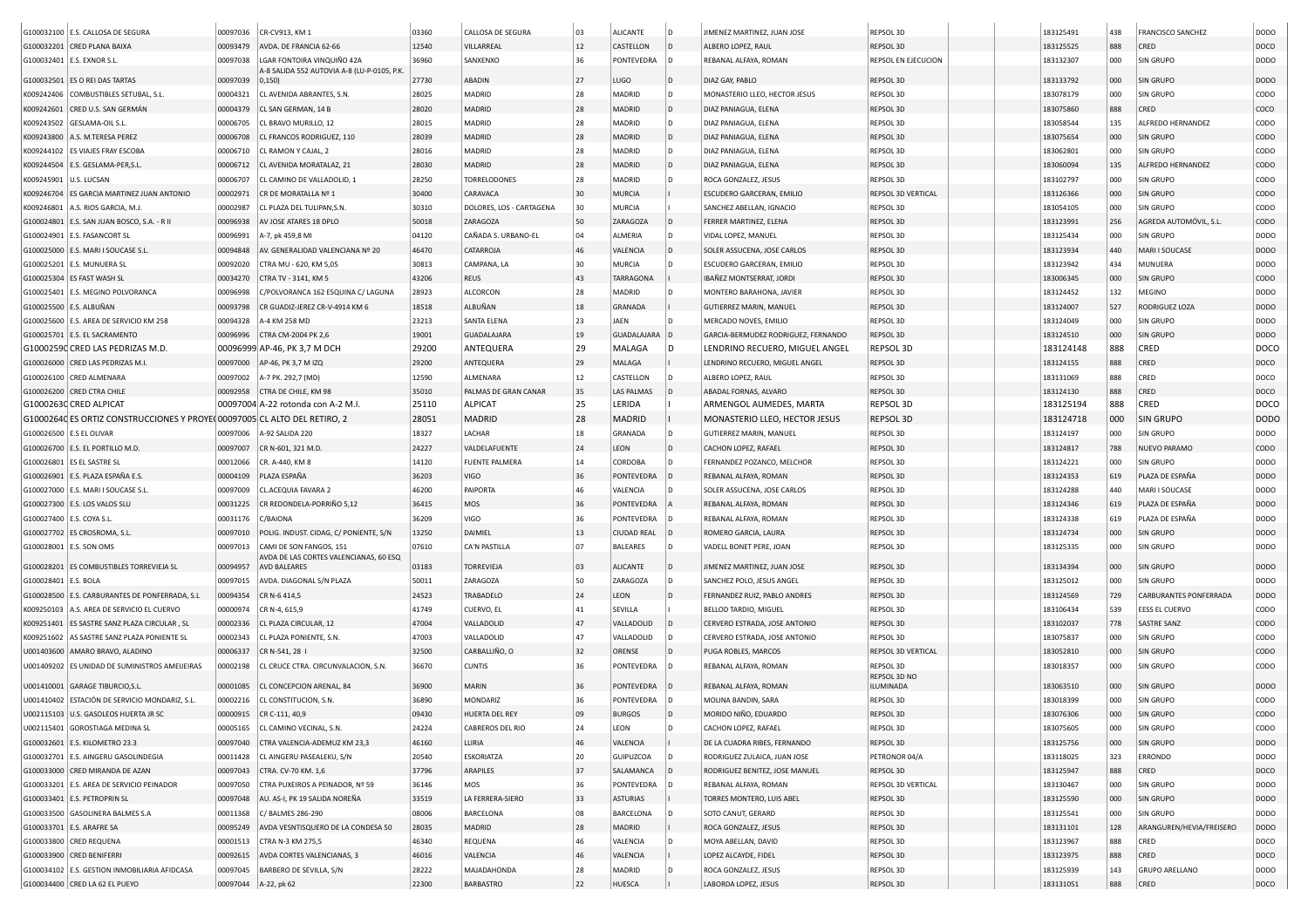|                          | G100032100 E.S. CALLOSA DE SEGURA                                               | 00097036 | CR-CV913, KM 1                                                            | 03360          | CALLOSA DE SEGURA        | 03 | ALICANTE           | ID.            | JIMENEZ MARTINEZ, JUAN JOSE         | REPSOL 3D              | 183125491 | 438        | <b>FRANCISCO SANCHEZ</b>      | DODO        |
|--------------------------|---------------------------------------------------------------------------------|----------|---------------------------------------------------------------------------|----------------|--------------------------|----|--------------------|----------------|-------------------------------------|------------------------|-----------|------------|-------------------------------|-------------|
|                          | G100032201 CRED PLANA BAIXA                                                     | 00093479 | AVDA. DE FRANCIA 62-66                                                    | 12540          | VILLARREAL               | 12 | CASTELLON          | $\mathsf{D}$   | ALBERO LOPEZ, RAUL                  | REPSOL 3D              | 183125525 | 888        | CRED                          | DOCO        |
|                          |                                                                                 |          |                                                                           |                |                          | 36 |                    |                |                                     |                        |           |            |                               |             |
|                          | G100032401   E.S. EXNOR S.L.                                                    | 00097038 | LGAR FONTOIRA VINQUIÑO 42A<br>A-8 SALIDA 552 AUTOVIA A-8 (LU-P-0105, P.K. | 36960          | SANXENXO                 |    | PONTEVEDRA         |                | REBANAL ALFAYA, ROMAN               | REPSOL EN EJECUCION    | 183132307 | 000        | <b>SIN GRUPO</b>              | DODO        |
|                          | G100032501 ES O REI DAS TARTAS                                                  | 00097039 | 0,150                                                                     | 27730          | ABADIN                   | 27 | LUGO               | D              | DIAZ GAY, PABLO                     | REPSOL 3D              | 183133792 | 000        | <b>SIN GRUPO</b>              | DODO        |
| K009242406               | COMBUSTIBLES SETUBAL, S.L.                                                      | 00004321 | CL AVENIDA ABRANTES, S.N.                                                 | 28025          | MADRID                   | 28 | MADRID             | l n            | MONASTERIO LLEO, HECTOR JESUS       | REPSOL 3D              | 183078179 | 000        | <b>SIN GRUPO</b>              | CODO        |
| K009242601               | CRED U.S. SAN GERMÁN                                                            | 00004379 | CL SAN GERMAN, 14 B                                                       | 28020          | MADRID                   | 28 | MADRID             | D              | DIAZ PANIAGUA, ELENA                | REPSOL 3D              | 183075860 | 888        | CRED                          | coco        |
| K009243502               | <b>GESLAMA-OIL S.L</b>                                                          | 00006705 | CL BRAVO MURILLO, 12                                                      | 28015          | MADRID                   | 28 | MADRID             | l n            | DIAZ PANIAGUA, ELENA                | REPSOL 3D              | 183058544 | 135        | ALFREDO HERNANDEZ             | CODO        |
| K009243800               | A.S. M.TERESA PEREZ                                                             | 00006708 | CL FRANCOS RODRIGUEZ, 110                                                 | 28039          | MADRID                   | 28 | MADRID             | D              | DIAZ PANIAGUA, ELENA                | REPSOL 3D              | 183075654 | 000        | <b>SIN GRUPO</b>              | CODO        |
| K009244102               | <b>ES VIAJES FRAY ESCOBA</b>                                                    | 00006710 | CL RAMON Y CAJAL, 2                                                       | 28016          | MADRID                   | 28 | MADRID             |                | DIAZ PANIAGUA, ELENA                | REPSOL 3D              | 183062801 | 000        | SIN GRUPO                     | CODO        |
| K009244504               | E.S. GESLAMA-PER,S.L                                                            | 00006712 | CL AVENIDA MORATALAZ, 21                                                  | 28030          | MADRID                   | 28 | MADRID             | D              | DIAZ PANIAGUA, ELENA                | REPSOL 3D              | 183060094 | 135        | ALFREDO HERNANDEZ             | CODO        |
| K009245901               | U.S. LUCSAN                                                                     | 00006707 | CL CAMINO DE VALLADOLID. 1                                                | 28250          | <b>TORRELODONES</b>      | 28 | MADRID             |                | ROCA GONZALEZ, JESUS                | REPSOL 3D              | 183102797 | 000        | <b>SIN GRUPO</b>              | CODO        |
|                          | ES GARCIA MARTINEZ JUAN ANTONIO                                                 |          |                                                                           |                |                          |    |                    |                |                                     |                        |           |            |                               |             |
| K009246704               |                                                                                 | 00002971 | CR DE MORATALLA Nº 1                                                      | 30400          | CARAVACA                 | 30 | MURCIA             |                | ESCUDERO GARCERAN, EMILIO           | REPSOL 3D VERTICAL     | 183126366 | 000        | <b>SIN GRUPO</b>              | CODO        |
| K009246801               | A.S. RIOS GARCIA, M.J.                                                          | 00002987 | CL PLAZA DEL TULIPAN, S.N.                                                | 30310          | DOLORES, LOS - CARTAGENA | 30 | MURCIA             |                | SANCHEZ ABELLAN, IGNACIO            | REPSOL 3D              | 183054105 | 000        | SIN GRUPO                     | CODO        |
|                          | G100024801 E.S. SAN JUAN BOSCO, S.A. - R II                                     | 00096938 | AV JOSE ATARES 18 DPLO                                                    | 50018          | ZARAGOZA                 | 50 | ZARAGOZA           | ID.            | FERRER MARTINEZ, ELENA              | REPSOL 3D              | 183123991 | 256        | AGREDA AUTOMÓVIL, S.L.        | CODO        |
|                          | G100024901 E.S. FASANCORT SL                                                    | 00096991 | A-7, pk 459,8 MI                                                          | 04120          | CAÑADA S. URBANO-EL      | 04 | ALMERIA            |                | VIDAL LOPEZ, MANUEL                 | REPSOL 3D              | 183125434 | 000        | SIN GRUPO                     | <b>DODO</b> |
|                          | G100025000   E.S. MARI I SOUCASE S.L                                            | 00094848 | AV. GENERALIDAD VALENCIANA Nº 20                                          | 46470          | CATARROJA                |    | VALENCIA           | D              | SOLER ASSUCENA, JOSE CARLOS         | REPSOL 3D              | 183123934 | 440        | MARI I SOUCASE                | DODO        |
|                          | G100025201 E.S. MUNUERA SL                                                      | 00092020 | CTRA MU - 620, KM 5,05                                                    | 30813          | CAMPANA, LA              | 30 | <b>MURCIA</b>      |                | ESCUDERO GARCERAN, EMILIO           | REPSOL 3D              | 183123942 | 434        | MUNUERA                       | DODO        |
|                          | G100025304 ES FAST WASH SL                                                      | 00034270 | CTRA TV - 3141, KM 5                                                      | 43206          | REUS                     | 43 | <b>TARRAGONA</b>   |                | IBAÑEZ MONTSERRAT, JORDI            | REPSOL 3D              | 183006345 | 000        | <b>SIN GRUPO</b>              | CODO        |
|                          | G100025401 E.S. MEGINO POLVORANCA                                               | 00096998 | C/POLVORANCA 162 ESQUINA C/ LAGUNA                                        | 28923          | ALCORCON                 | 28 | MADRID             |                | MONTERO BARAHONA, JAVIER            | REPSOL 3D              | 183124452 | 132        | MEGINO                        | DODO        |
|                          | G100025500 E.S. ALBUÑAN                                                         | 00093798 | CR GUADIZ-JEREZ CR-V-4914 KM                                              | 18518          | ALBUÑAN                  | 18 | GRANADA            |                | GUTIERREZ MARIN, MANUEL             | REPSOL 3D              | 183124007 | 527        | RODRIGUEZ LOZA                | DODO        |
|                          | G100025600 E.S. AREA DE SERVICIO KM 258                                         | 00094328 | 4-4 KM 258 MD                                                             | 23213          | SANTA ELENA              | 23 | JAEN               |                | MERCADO NOVES, EMILIO               | REPSOL 3D              | 183124049 | 000        | SIN GRUPO                     | DODO        |
|                          | G100025701 E.S. EL SACRAMENTO                                                   | 00096996 | CTRA CM-2004 PK 2,6                                                       | 19001          | <b>GUADALAJARA</b>       | 19 | GUADALAJARA        | $\mathsf{D}$   | GARCIA-BERMUDEZ RODRIGUEZ, FERNANDO | REPSOL 3D              | 183124510 | 000        | <b>SIN GRUPO</b>              | DODO        |
|                          | G10002590 CRED LAS PEDRIZAS M.D.                                                |          | 00096999 AP-46, PK 3,7 M DCH                                              | 29200          | ANTEQUERA                | 29 | MALAGA             | l D            | LENDRINO RECUERO, MIGUEL ANGEL      | REPSOL 3D              | 183124148 | 888        | CRED                          | DOCO        |
|                          | G100026000 CRED LAS PEDRIZAS M.I                                                | 00097000 | AP-46, PK 3,7 M IZQ                                                       | 29200          | ANTEQUERA                | 29 | MALAGA             |                | LENDRINO RECUERO, MIGUEL ANGEL      | REPSOL 3D              | 183124155 | 888        | CRED                          | DOCO        |
|                          |                                                                                 |          |                                                                           |                |                          |    |                    |                |                                     |                        |           |            |                               |             |
|                          | G100026100 CRED ALMENARA                                                        | 00097002 | A-7 PK. 292,7 (MD)                                                        | 12590          | ALMENARA                 | 12 | CASTELLON          |                | ALBERO LOPEZ, RAUL                  | REPSOL 3D              | 183131069 | 888        | CRED                          | DOCO        |
|                          | G100026200 CRED CTRA CHILE                                                      | 00092958 | CTRA DE CHILE, KM 98                                                      | 35010          | PALMAS DE GRAN CANAR     | 35 | LAS PALMAS         |                | ABADAL FORNAS, ALVARO               | REPSOL 3D              | 183124130 | 888        | CRED                          | DOCO        |
|                          | G10002630 CRED ALPICAT                                                          |          | 00097004 A-22 rotonda con A-2 M.I                                         | 25110          | <b>ALPICAT</b>           | 25 | LERIDA             |                | ARMENGOL AUMEDES, MARTA             | REPSOL 3D              | 183125194 | 888        | <b>CRED</b>                   | DOCO        |
|                          | G10002640 ES ORTIZ CONSTRUCCIONES Y PROYE(00097005 CL ALTO DEL RETIRO, 2        |          |                                                                           | 28051          | <b>MADRID</b>            | 28 | MADRID             |                | MONASTERIO LLEO, HECTOR JESUS       | REPSOL 3D              | 183124718 | 000        | <b>SIN GRUPO</b>              | <b>DODO</b> |
|                          | G100026500 E.S EL OLIVAR                                                        | 00097006 | A-92 SALIDA 220                                                           | 18327          | LACHAR                   | 18 | GRANADA            | l D.           | GUTIERREZ MARIN, MANUEL             | REPSOL 3D              | 183124197 | 000        | SIN GRUPO                     | <b>DODO</b> |
|                          | G100026700   E.S. EL PORTILLO M.D                                               | 00097007 | CR N-601, 321 M.D.                                                        | 24227          | VALDELAFUENTE            | 24 | LEON               | l D            | CACHON LOPEZ, RAFAEL                | REPSOL 3D              | 183124817 | 788        | NUEVO PARAMO                  | CODO        |
|                          | G100026801 ES EL SASTRE SL                                                      | 00012066 | CR. A-440, KM 8                                                           | 14120          | <b>FUENTE PALMERA</b>    | 14 | CORDOBA            | l D            | FERNANDEZ POZANCO, MELCHOR          | REPSOL 3D              | 183124221 | 000        | SIN GRUPO                     | <b>DODO</b> |
|                          | G100026901 E.S. PLAZA ESPAÑA E.S.                                               | 00004109 | PLAZA ESPAÑA                                                              | 36203          | VIGO                     | 36 | PONTEVEDRA         |                | REBANAL ALFAYA, ROMAN               | REPSOL 3D              | 183124353 | 619        | PLAZA DE ESPAÑA               | DODO        |
|                          | G100027000 E.S. MARI I SOUCASE S.L                                              | 00097009 | CL.ACEQUIA FAVARA 2                                                       | 46200          | PAIPORTA                 | 46 | VALENCIA           | I D.           | SOLER ASSUCENA, JOSE CARLOS         | REPSOL 3D              | 183124288 | 440        | MARI I SOUCASE                | DODO        |
|                          | G100027300 E.S. LOS VALOS SLU                                                   | 00031225 | CR REDONDELA-PORRIÑO 5,12                                                 | 36415          | MOS                      | 36 | PONTEVEDRA         |                | REBANAL ALFAYA, ROMAN               | REPSOL 3D              | 183124346 | 619        | PLAZA DE ESPAÑA               | DODO        |
| G100027400 E.S. COYA S.L |                                                                                 | 00031176 | C/BAIONA                                                                  | 36209          | VIGO                     | 36 | PONTEVEDRA         |                | REBANAL ALFAYA, ROMAN               | REPSOL 3D              | 183124338 | 619        | PLAZA DE ESPAÑA               | DODO        |
|                          | G100027702 ES CROSROMA, S.L                                                     | 00097010 | POLIG. INDUST. CIDAG, C/ PONIENTE, S/N                                    | 13250          | DAIMIEL                  | 13 | <b>CIUDAD REAL</b> | l D            | ROMERO GARCIA, LAURA                | REPSOL 3D              | 183124734 | 000        | <b>SIN GRUPO</b>              | DODO        |
|                          | G100028001 E.S. SON OMS                                                         | 00097013 | CAMI DE SON FANGOS, 151                                                   | 07610          | CA'N PASTILLA            | 07 | <b>BALEARES</b>    | l D            | VADELL BONET PERE, JOAN             | REPSOL 3D              | 183125335 | 000        | SIN GRUPO                     | DODO        |
|                          |                                                                                 |          | AVDA DE LAS CORTES VALENCIANAS, 60 ESQ                                    |                |                          |    |                    |                |                                     |                        |           |            |                               |             |
|                          | G100028201 ES COMBUSTIBLES TORREVIEJA SL                                        | 00094957 | <b>AVD BALEARES</b>                                                       | 03183          | <b>TORREVIEJA</b>        | 03 | ALICANTE           | D              | JIMENEZ MARTINEZ, JUAN JOSE         | REPSOL 3D              | 183134394 | 000        | <b>SIN GRUPO</b>              | <b>DODO</b> |
| G100028401   E.S. BOLA   |                                                                                 | 00097015 | AVDA. DIAGONAL S/N PLAZA                                                  | 50011          | ZARAGOZA                 | 50 | ZARAGOZA           |                | SANCHEZ POLO, JESUS ANGEL           | REPSOL 3D              | 183125012 | 000        | SIN GRUPO                     | DODO        |
|                          | G100028500 E.S. CARBURANTES DE PONFERRADA, S.L                                  | 00094354 | CR N-6 414,5                                                              | 24523          | TRABADELO                | 24 | LEON               | ID.            | FERNANDEZ RUIZ, PABLO ANDRES        | REPSOL 3D              | 183124569 | 729        | <b>CARBURANTES PONFERRADA</b> | DODO        |
| K009250103               | A.S. AREA DE SERVICIO EL CUERVO                                                 | 00000974 | CR N-4, 615,9                                                             | 41749          | CUERVO, EL               | 41 | SEVILLA            |                | BELLOD TARDIO, MIGUEL               | REPSOL 3D              | 183106434 | 539        | EESS EL CUERVO                | CODO        |
| K009251401               | <b>ES SASTRE SANZ PLAZA CIRCULAR, SL</b>                                        | 00002336 | CL PLAZA CIRCULAR, 12                                                     | 47004          | VALLADOLID               | 47 | VALLADOLID         |                | CERVERO ESTRADA, JOSE ANTONIO       | REPSOL 3D              | 183102037 | 778        | SASTRE SANZ                   | CODO        |
| K009251602               | AS SASTRE SANZ PLAZA PONIENTE SL                                                | 00002343 | CL PLAZA PONIENTE, S.N.                                                   | 47003          | VALLADOLID               | 47 | VALLADOLID         |                | CERVERO ESTRADA, JOSE ANTONIO       | REPSOL 3D              | 183075837 | 000        | SIN GRUPO                     | CODO        |
| U001403600               | AMARO BRAVO, ALADINO                                                            | 00006337 | CR N-541, 28                                                              | 32500          | CARBALLIÑO, O            | 32 | ORENSE             | $\mathsf{D}$   | PUGA ROBLES, MARCOS                 | REPSOL 3D VERTICAL     | 183052810 | 000        | SIN GRUPO                     | CODO        |
|                          | U001409202 ES UNIDAD DE SUMINISTROS AMEIJEIRAS                                  | 00002198 | CL CRUCE CTRA. CIRCUNVALACION, S.N.                                       | 36670          | <b>CUNTIS</b>            | 36 | PONTEVEDRA         |                | REBANAL ALFAYA, ROMAN               | REPSOL 3D              | 183018357 | 000        | <b>SIN GRUPO</b>              | CODO        |
|                          |                                                                                 |          |                                                                           |                |                          |    |                    |                |                                     | REPSOL 3D NO           |           |            |                               |             |
|                          | U001410001 GARAGE TIBURCIO, S.L.                                                | 00001085 | CL CONCEPCION ARENAL, 84                                                  | 36900          | MARIN                    | 36 | PONTEVEDRA         |                | REBANAL ALFAYA, ROMAN               | ILUMINADA              | 183063510 | 000        | SIN GRUPO                     | DODO        |
|                          | U001410402 ESTACIÓN DE SERVICIO MONDARIZ, S.L.                                  | 00002216 | CL CONSTITUCION, S.N                                                      | 36890          | MONDARIZ                 | 36 | PONTEVEDRA         |                | MOLINA BANDIN, SARA                 | REPSOL 3D              | 183018399 | 000        | <b>SIN GRUPO</b>              | CODO        |
|                          | U002115103 U.S. GASOLEOS HUERTA JR SC                                           | 00000915 | CR C-111, 40,9                                                            | 09430          | HUERTA DEL REY           | 09 | <b>BURGOS</b>      | $\overline{D}$ | MORIDO NIÑO, EDUARDO                | REPSOL 3D              | 183076306 | 000        | SIN GRUPO                     | CODO        |
|                          | U002115401 GOROSTIAGA MEDINA SL                                                 | 00005165 | CL CAMINO VECINAL, S.N.                                                   | 24224          | CABREROS DEL RIO         | 24 | LEON               | l D            | CACHON LOPEZ, RAFAEL                | REPSOL 3D              | 183075605 | 000        | <b>SIN GRUPO</b>              | CODO        |
|                          |                                                                                 | 00097040 | CTRA VALENCIA-ADEMUZ KM 23,3                                              | 46160          | LLIRIA                   | 46 | VALENCIA           |                | DE LA CUADRA RIBES, FERNANDO        | REPSOL 3D              | 183125756 | 000        | <b>SIN GRUPO</b>              | <b>DODO</b> |
|                          | G100032601 E.S. KILOMETRO 23.3                                                  |          |                                                                           |                |                          |    |                    |                | RODRIGUEZ ZULAICA, JUAN JOSE        | PETRONOR 04/A          | 183118025 |            | ERRONDO                       | DODO        |
|                          |                                                                                 |          |                                                                           |                |                          |    |                    |                |                                     |                        |           |            |                               |             |
|                          | G100032701 E.S. AINGERU GASOLINDEGIA                                            | 00011428 | CL AINGERU PASEALEKU, S/N                                                 | 20540          | <b>ESKORIATZA</b>        | 20 | GUIPUZCOA          |                |                                     |                        |           | 323        |                               |             |
|                          | G100033000 CRED MIRANDA DE AZAN                                                 | 00097043 | CTRA. CV-70 KM. 1,6                                                       | 37796          | ARAPILES                 | 37 | SALAMANCA          |                | RODRIGUEZ BENITEZ, JOSE MANUEL      | REPSOL 3D              | 183125947 | 888        | CRED                          | DOCO        |
|                          | G100033201 E.S. AREA DE SERVICIO PEINADOR                                       | 00097050 | CTRA PUXEIROS A PEINADOR, Nº 59                                           | 36146          | MOS                      | 36 | PONTEVEDRA         |                | REBANAL ALFAYA, ROMAN               | REPSOL 3D VERTICAL     | 183130467 | 000        | <b>SIN GRUPO</b>              | <b>DODO</b> |
|                          | G100033401 E.S. PETROPRIN SL                                                    | 00097048 | AU. AS-I, PK 19 SALIDA NOREÑA                                             | 33519          | LA FERRERA-SIERO         | 33 | <b>ASTURIAS</b>    |                | TORRES MONTERO, LUIS ABEL           | REPSOL 3D              | 183125590 | 000        | <b>SIN GRUPO</b>              | DODO        |
|                          | G100033500 GASOLINERA BALMES S.A                                                | 00011368 | C/ BALMES 286-290                                                         | 08006          | BARCELONA                | 08 | BARCELONA          |                | SOTO CANUT, GERARD                  | REPSOL 3D              | 183125541 | 000        | <b>SIN GRUPO</b>              | <b>DODO</b> |
|                          | G100033701 E.S. ARAFRE SA                                                       | 00095249 | AVDA VESNTISQUERO DE LA CONDESA 50                                        | 28035          | MADRID                   | 28 | MADRID             |                | ROCA GONZALEZ, JESUS                | REPSOL 3D              | 183131101 | 128        | ARANGUREN/HEVIA/FREISERO      | <b>DODO</b> |
|                          | G100033800 CRED REQUENA                                                         | 00001513 | CTRA N-3 KM 275,5                                                         | 46340          | REQUENA                  | 46 | VALENCIA           |                | MOYA ABELLAN, DAVID                 | REPSOL 3D              | 183123967 | 888        | CRED                          | DOCO        |
|                          | G100033900 CRED BENIFERRI                                                       | 00092615 | AVDA CORTES VALENCIANAS, 3                                                | 46016          | VALENCIA                 | 46 | VALENCIA           |                | LOPEZ ALCAYDE, FIDEL                | REPSOL 3D              | 183123975 | 888        | CRED                          | DOCO        |
|                          | G100034102 E.S. GESTION INMOBILIARIA AFIDCASA<br>G100034400 CRED LA 62 EL PUEYO | 00097045 | BARBERO DE SEVILLA, S/N                                                   | 28222<br>22300 | MAJADAHONDA              | 28 | MADRID             |                | ROCA GONZALEZ, JESUS                | REPSOL 3D<br>REPSOL 3D | 183125939 | 143<br>888 | <b>GRUPO ARELLANO</b>         | DODO        |